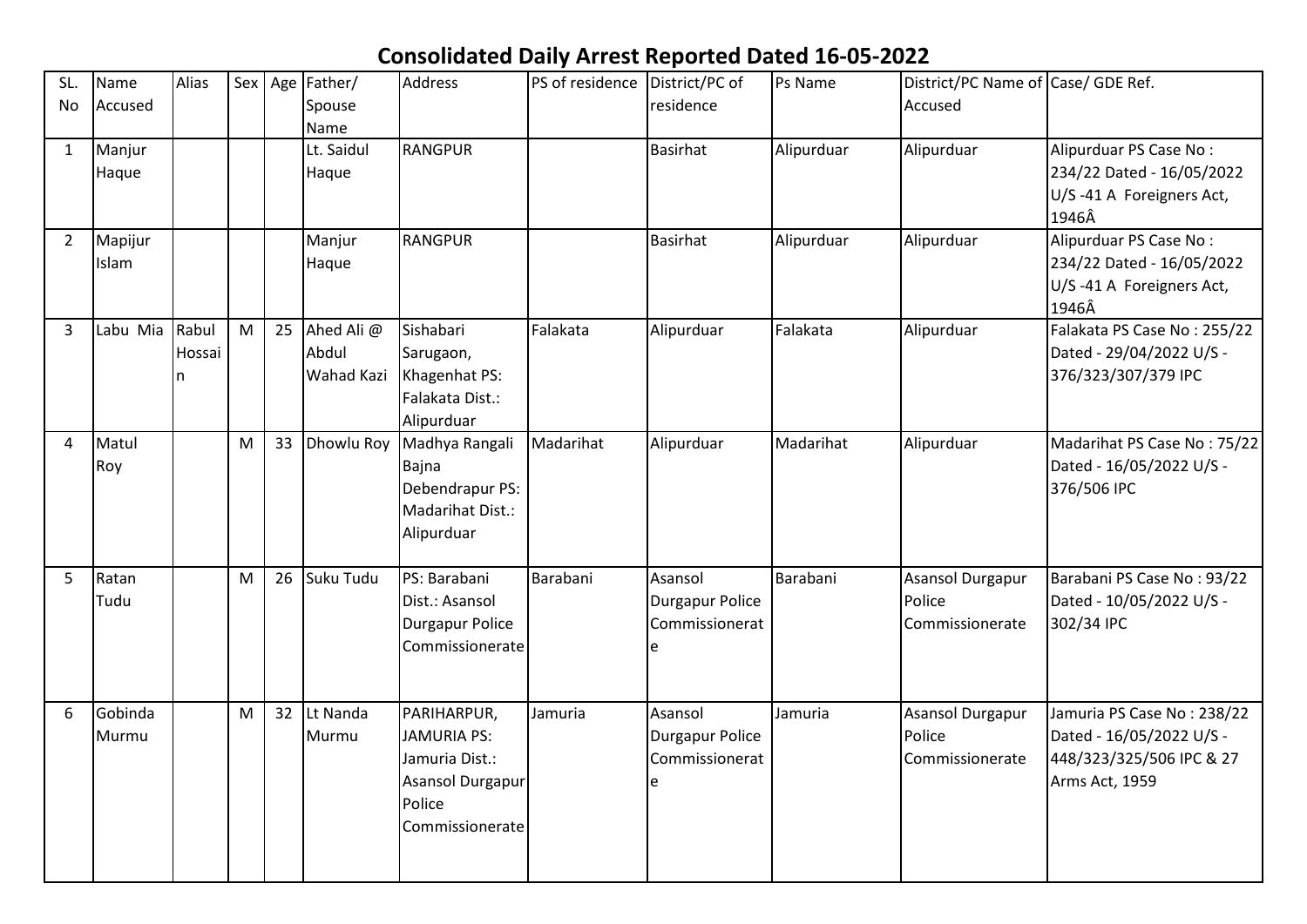## **Consolidated Daily Arrest Reported Dated 16-05-2022**

| SL.<br>No      | Name<br>Accused  | Alias                |   |    | Sex   Age   Father/<br>Spouse     | Address                                                                                              | PS of residence District/PC of | residence                                           | Ps Name    | District/PC Name of Case/ GDE Ref.<br>Accused |                                                                                                      |
|----------------|------------------|----------------------|---|----|-----------------------------------|------------------------------------------------------------------------------------------------------|--------------------------------|-----------------------------------------------------|------------|-----------------------------------------------|------------------------------------------------------------------------------------------------------|
| $\mathbf{1}$   | Manjur<br>Haque  |                      |   |    | Name<br>Lt. Saidul<br>Haque       | <b>RANGPUR</b>                                                                                       |                                | <b>Basirhat</b>                                     | Alipurduar | Alipurduar                                    | Alipurduar PS Case No:<br>234/22 Dated - 16/05/2022<br>U/S-41 A Foreigners Act,<br>1946Â             |
| $\overline{2}$ | Mapijur<br>Islam |                      |   |    | Manjur<br>Haque                   | <b>RANGPUR</b>                                                                                       |                                | <b>Basirhat</b>                                     | Alipurduar | Alipurduar                                    | Alipurduar PS Case No:<br>234/22 Dated - 16/05/2022<br>U/S-41 A Foreigners Act,<br>1946Â             |
| 3              | Labu Mia         | Rabul<br>Hossai<br>n | M | 25 | Ahed Ali @<br>Abdul<br>Wahad Kazi | Sishabari<br>Sarugaon,<br>Khagenhat PS:<br>Falakata Dist.:<br>Alipurduar                             | Falakata                       | Alipurduar                                          | Falakata   | Alipurduar                                    | Falakata PS Case No: 255/22<br>Dated - 29/04/2022 U/S -<br>376/323/307/379 IPC                       |
| 4              | Matul<br>Roy     |                      | M | 33 | <b>Dhowlu Roy</b>                 | Madhya Rangali<br>Bajna<br>Debendrapur PS:<br>Madarihat Dist.:<br>Alipurduar                         | Madarihat                      | Alipurduar                                          | Madarihat  | Alipurduar                                    | Madarihat PS Case No: 75/22<br>Dated - 16/05/2022 U/S -<br>376/506 IPC                               |
| 5              | Ratan<br>Tudu    |                      | M | 26 | Suku Tudu                         | PS: Barabani<br>Dist.: Asansol<br><b>Durgapur Police</b><br>Commissionerate                          | Barabani                       | Asansol<br><b>Durgapur Police</b><br>Commissionerat | Barabani   | Asansol Durgapur<br>Police<br>Commissionerate | Barabani PS Case No: 93/22<br>Dated - 10/05/2022 U/S -<br>302/34 IPC                                 |
| 6              | Gobinda<br>Murmu |                      | M | 32 | Lt Nanda<br>Murmu                 | PARIHARPUR,<br><b>JAMURIA PS:</b><br>Jamuria Dist.:<br>Asansol Durgapur<br>Police<br>Commissionerate | Jamuria                        | Asansol<br><b>Durgapur Police</b><br>Commissionerat | Jamuria    | Asansol Durgapur<br>Police<br>Commissionerate | Jamuria PS Case No: 238/22<br>Dated - 16/05/2022 U/S -<br>448/323/325/506 IPC & 27<br>Arms Act, 1959 |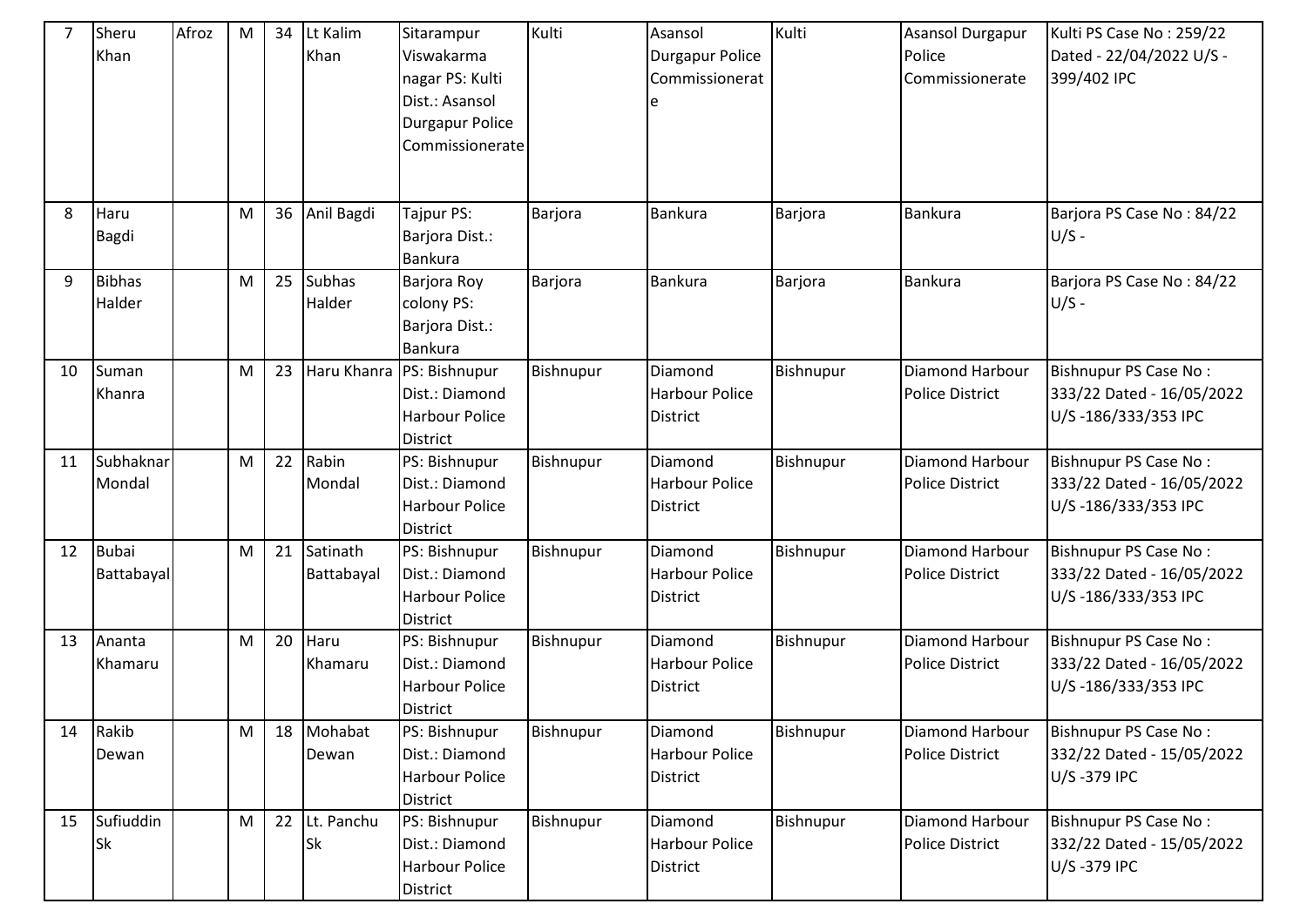| $\overline{7}$ | Sheru<br>Khan           | Afroz | M         | 34 | Lt Kalim<br>Khan        | Sitarampur<br>Viswakarma<br>nagar PS: Kulti<br>Dist.: Asansol<br><b>Durgapur Police</b><br>Commissionerate | Kulti     | Asansol<br>Durgapur Police<br>Commissionerat        | Kulti     | Asansol Durgapur<br>Police<br>Commissionerate | Kulti PS Case No: 259/22<br>Dated - 22/04/2022 U/S -<br>399/402 IPC       |
|----------------|-------------------------|-------|-----------|----|-------------------------|------------------------------------------------------------------------------------------------------------|-----------|-----------------------------------------------------|-----------|-----------------------------------------------|---------------------------------------------------------------------------|
|                |                         |       |           |    |                         |                                                                                                            |           |                                                     |           |                                               |                                                                           |
| 8              | Haru<br>Bagdi           |       | ${\sf M}$ | 36 | Anil Bagdi              | Tajpur PS:<br>Barjora Dist.:<br><b>Bankura</b>                                                             | Barjora   | <b>Bankura</b>                                      | Barjora   | <b>Bankura</b>                                | Barjora PS Case No: 84/22<br>$U/S -$                                      |
| 9              | <b>Bibhas</b><br>Halder |       | M         | 25 | Subhas<br>Halder        | Barjora Roy<br>colony PS:<br>Barjora Dist.:<br>Bankura                                                     | Barjora   | Bankura                                             | Barjora   | <b>Bankura</b>                                | Barjora PS Case No: 84/22<br>$U/S -$                                      |
| 10             | Suman<br>Khanra         |       | M         | 23 | Haru Khanra             | PS: Bishnupur<br>Dist.: Diamond<br><b>Harbour Police</b><br><b>District</b>                                | Bishnupur | Diamond<br><b>Harbour Police</b><br><b>District</b> | Bishnupur | Diamond Harbour<br><b>Police District</b>     | Bishnupur PS Case No:<br>333/22 Dated - 16/05/2022<br>U/S-186/333/353 IPC |
| 11             | Subhaknar<br>Mondal     |       | M         | 22 | Rabin<br>Mondal         | PS: Bishnupur<br>Dist.: Diamond<br><b>Harbour Police</b><br><b>District</b>                                | Bishnupur | Diamond<br><b>Harbour Police</b><br><b>District</b> | Bishnupur | Diamond Harbour<br><b>Police District</b>     | Bishnupur PS Case No:<br>333/22 Dated - 16/05/2022<br>U/S-186/333/353 IPC |
| 12             | Bubai<br>Battabayal     |       | M         | 21 | Satinath<br>Battabayal  | PS: Bishnupur<br>Dist.: Diamond<br><b>Harbour Police</b><br><b>District</b>                                | Bishnupur | Diamond<br><b>Harbour Police</b><br><b>District</b> | Bishnupur | Diamond Harbour<br><b>Police District</b>     | Bishnupur PS Case No:<br>333/22 Dated - 16/05/2022<br>U/S-186/333/353 IPC |
| 13             | Ananta<br>Khamaru       |       | M         | 20 | Haru<br>Khamaru         | PS: Bishnupur<br>Dist.: Diamond<br><b>Harbour Police</b><br><b>District</b>                                | Bishnupur | Diamond<br><b>Harbour Police</b><br><b>District</b> | Bishnupur | Diamond Harbour<br><b>Police District</b>     | Bishnupur PS Case No:<br>333/22 Dated - 16/05/2022<br>U/S-186/333/353 IPC |
| 14             | Rakib<br>Dewan          |       | M         | 18 | Mohabat<br>Dewan        | PS: Bishnupur<br>Dist.: Diamond<br><b>Harbour Police</b><br><b>District</b>                                | Bishnupur | Diamond<br><b>Harbour Police</b><br><b>District</b> | Bishnupur | Diamond Harbour<br>Police District            | Bishnupur PS Case No:<br>332/22 Dated - 15/05/2022<br>U/S-379 IPC         |
| 15             | Sufiuddin<br><b>Sk</b>  |       | M         | 22 | Lt. Panchu<br><b>Sk</b> | PS: Bishnupur<br>Dist.: Diamond<br><b>Harbour Police</b><br>District                                       | Bishnupur | Diamond<br><b>Harbour Police</b><br>District        | Bishnupur | Diamond Harbour<br>Police District            | Bishnupur PS Case No:<br>332/22 Dated - 15/05/2022<br>U/S-379 IPC         |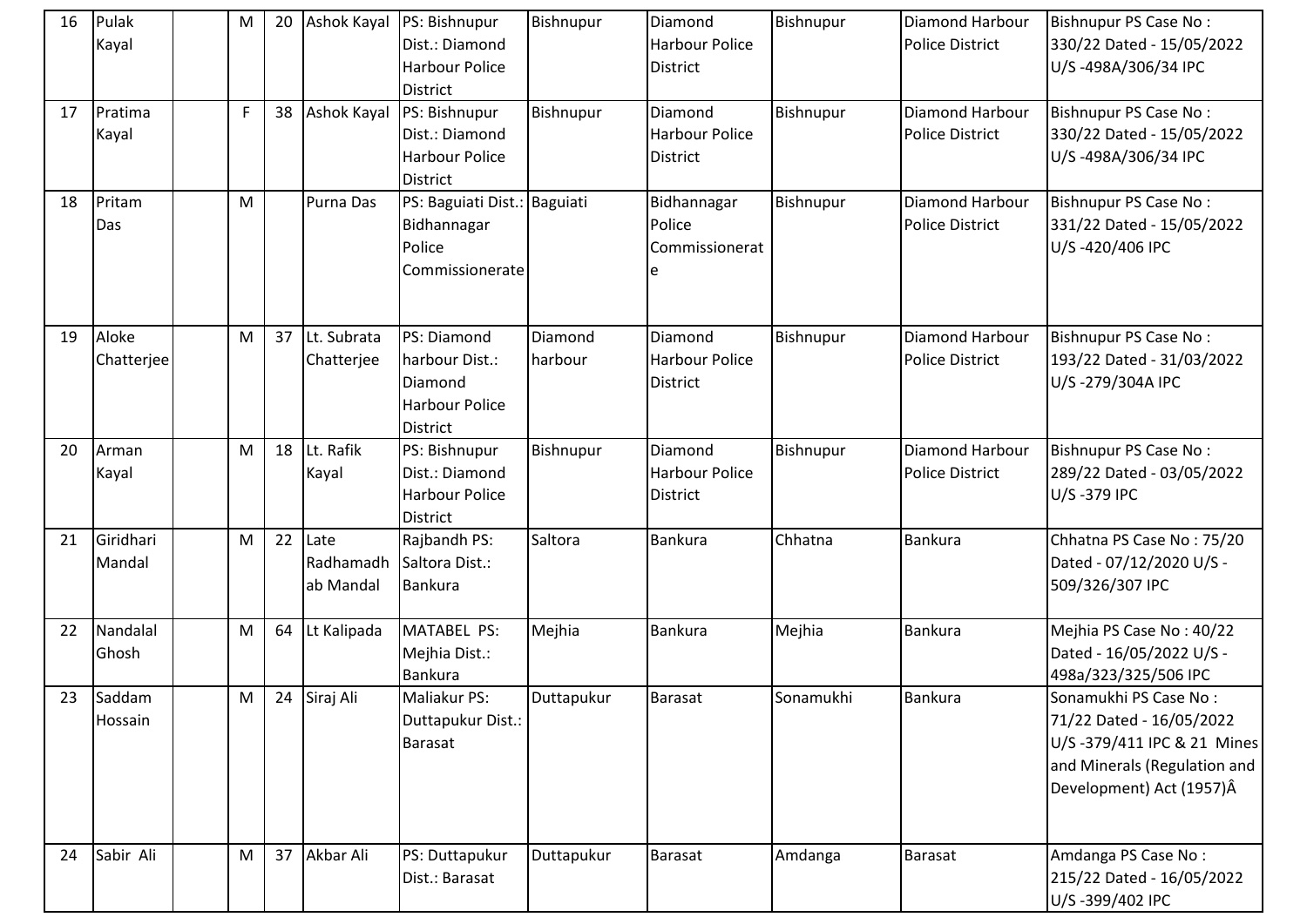| 16 | Pulak<br>Kayal      | M           | 20 |                                | Ashok Kayal PS: Bishnupur<br>Dist.: Diamond<br><b>Harbour Police</b><br><b>District</b> | Bishnupur          | Diamond<br><b>Harbour Police</b><br><b>District</b> | Bishnupur | <b>Diamond Harbour</b><br><b>Police District</b> | Bishnupur PS Case No:<br>330/22 Dated - 15/05/2022<br>U/S-498A/306/34 IPC                                                                   |
|----|---------------------|-------------|----|--------------------------------|-----------------------------------------------------------------------------------------|--------------------|-----------------------------------------------------|-----------|--------------------------------------------------|---------------------------------------------------------------------------------------------------------------------------------------------|
| 17 | Pratima<br>Kayal    | $\mathsf F$ | 38 | <b>Ashok Kayal</b>             | PS: Bishnupur<br>Dist.: Diamond<br><b>Harbour Police</b><br><b>District</b>             | Bishnupur          | Diamond<br><b>Harbour Police</b><br><b>District</b> | Bishnupur | <b>Diamond Harbour</b><br><b>Police District</b> | Bishnupur PS Case No:<br>330/22 Dated - 15/05/2022<br>U/S-498A/306/34 IPC                                                                   |
| 18 | Pritam<br>Das       | M           |    | Purna Das                      | PS: Baguiati Dist.: Baguiati<br>Bidhannagar<br>Police<br>Commissionerate                |                    | Bidhannagar<br>Police<br>Commissionerat             | Bishnupur | Diamond Harbour<br><b>Police District</b>        | Bishnupur PS Case No:<br>331/22 Dated - 15/05/2022<br>U/S-420/406 IPC                                                                       |
| 19 | Aloke<br>Chatterjee | M           |    | 37 Lt. Subrata<br>Chatterjee   | PS: Diamond<br>harbour Dist.:<br>Diamond<br><b>Harbour Police</b><br><b>District</b>    | Diamond<br>harbour | Diamond<br><b>Harbour Police</b><br><b>District</b> | Bishnupur | Diamond Harbour<br><b>Police District</b>        | Bishnupur PS Case No:<br>193/22 Dated - 31/03/2022<br>U/S-279/304A IPC                                                                      |
| 20 | Arman<br>Kayal      | M           | 18 | Lt. Rafik<br>Kayal             | PS: Bishnupur<br>Dist.: Diamond<br><b>Harbour Police</b><br><b>District</b>             | Bishnupur          | Diamond<br><b>Harbour Police</b><br>District        | Bishnupur | <b>Diamond Harbour</b><br><b>Police District</b> | Bishnupur PS Case No:<br>289/22 Dated - 03/05/2022<br>U/S-379 IPC                                                                           |
| 21 | Giridhari<br>Mandal | M           | 22 | Late<br>Radhamadh<br>ab Mandal | Rajbandh PS:<br>Saltora Dist.:<br><b>Bankura</b>                                        | Saltora            | <b>Bankura</b>                                      | Chhatna   | <b>Bankura</b>                                   | Chhatna PS Case No: 75/20<br>Dated - 07/12/2020 U/S -<br>509/326/307 IPC                                                                    |
| 22 | Nandalal<br>Ghosh   | M           | 64 | Lt Kalipada                    | MATABEL PS:<br>Mejhia Dist.:<br>Bankura                                                 | Mejhia             | Bankura                                             | Mejhia    | <b>Bankura</b>                                   | Mejhia PS Case No: 40/22<br>Dated - 16/05/2022 U/S -<br>498a/323/325/506 IPC                                                                |
| 23 | Saddam<br>Hossain   | M           |    | 24 Siraj Ali                   | Maliakur PS:<br>Duttapukur Dist.:<br><b>Barasat</b>                                     | Duttapukur         | Barasat                                             | Sonamukhi | <b>Bankura</b>                                   | Sonamukhi PS Case No:<br>71/22 Dated - 16/05/2022<br>U/S-379/411 IPC & 21 Mines<br>and Minerals (Regulation and<br>Development) Act (1957)Â |
| 24 | Sabir Ali           | M           | 37 | Akbar Ali                      | PS: Duttapukur<br>Dist.: Barasat                                                        | Duttapukur         | <b>Barasat</b>                                      | Amdanga   | <b>Barasat</b>                                   | Amdanga PS Case No:<br>215/22 Dated - 16/05/2022<br>U/S-399/402 IPC                                                                         |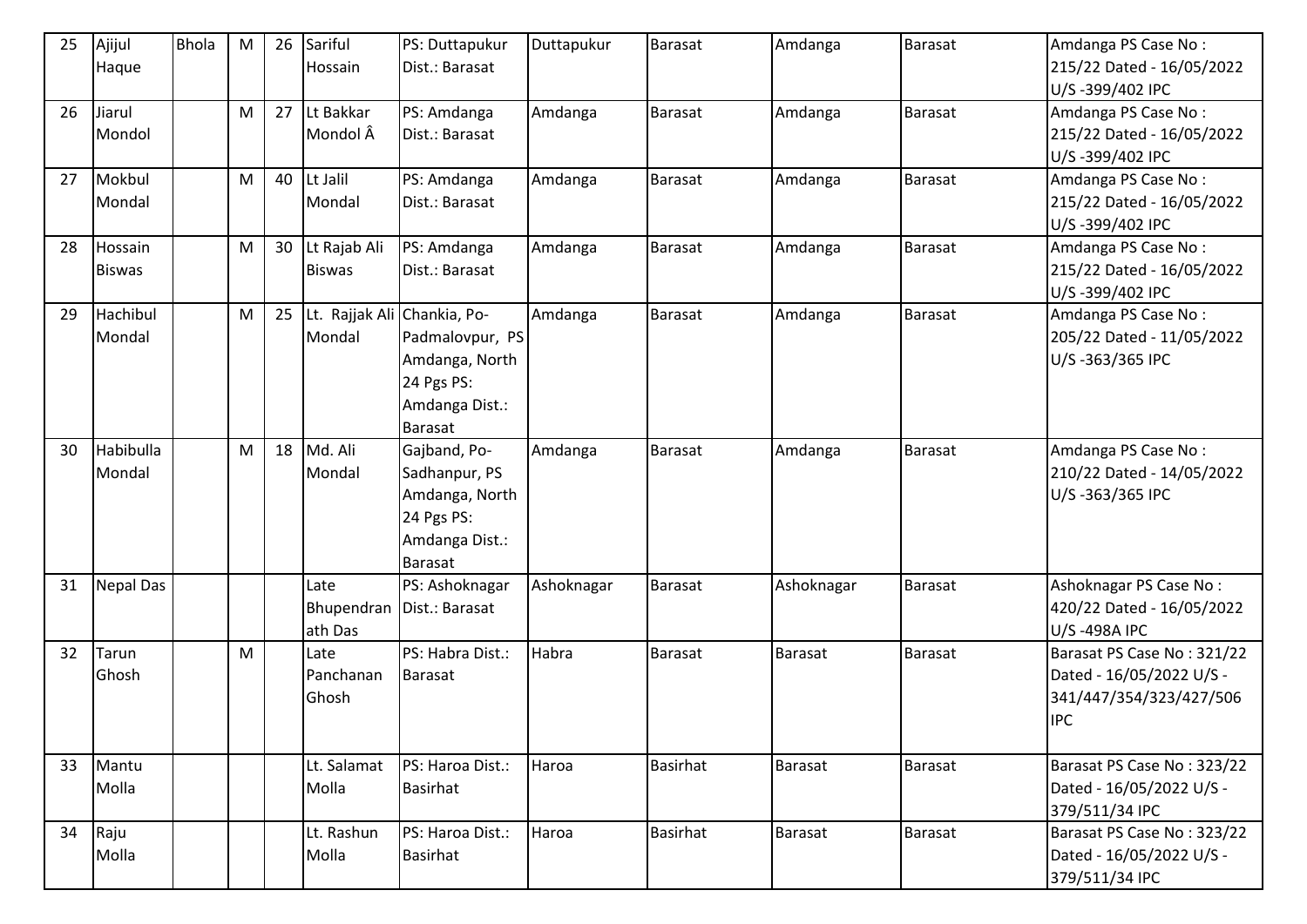| 25 | Ajijul           | <b>Bhola</b> | M         | 26 | Sariful                     | PS: Duttapukur              | Duttapukur | <b>Barasat</b>  | Amdanga        | Barasat        | Amdanga PS Case No:        |
|----|------------------|--------------|-----------|----|-----------------------------|-----------------------------|------------|-----------------|----------------|----------------|----------------------------|
|    | Haque            |              |           |    | Hossain                     | Dist.: Barasat              |            |                 |                |                | 215/22 Dated - 16/05/2022  |
|    |                  |              |           |    |                             |                             |            |                 |                |                | U/S-399/402 IPC            |
| 26 | Jiarul           |              | ${\sf M}$ | 27 | Lt Bakkar                   | PS: Amdanga                 | Amdanga    | <b>Barasat</b>  | Amdanga        | <b>Barasat</b> | Amdanga PS Case No:        |
|    | Mondol           |              |           |    | Mondol Â                    | Dist.: Barasat              |            |                 |                |                | 215/22 Dated - 16/05/2022  |
|    |                  |              |           |    |                             |                             |            |                 |                |                | U/S-399/402 IPC            |
| 27 | Mokbul           |              | M         | 40 | Lt Jalil                    | PS: Amdanga                 | Amdanga    | <b>Barasat</b>  | Amdanga        | Barasat        | Amdanga PS Case No:        |
|    | Mondal           |              |           |    | Mondal                      | Dist.: Barasat              |            |                 |                |                | 215/22 Dated - 16/05/2022  |
|    |                  |              |           |    |                             |                             |            |                 |                |                | U/S-399/402 IPC            |
| 28 | Hossain          |              | ${\sf M}$ | 30 | Lt Rajab Ali                | PS: Amdanga                 | Amdanga    | <b>Barasat</b>  | Amdanga        | <b>Barasat</b> | Amdanga PS Case No:        |
|    | <b>Biswas</b>    |              |           |    | <b>Biswas</b>               | Dist.: Barasat              |            |                 |                |                | 215/22 Dated - 16/05/2022  |
|    |                  |              |           |    |                             |                             |            |                 |                |                | U/S-399/402 IPC            |
| 29 | Hachibul         |              | M         | 25 | Lt. Rajjak Ali Chankia, Po- |                             | Amdanga    | <b>Barasat</b>  | Amdanga        | <b>Barasat</b> | Amdanga PS Case No:        |
|    | Mondal           |              |           |    | Mondal                      | Padmalovpur, PS             |            |                 |                |                | 205/22 Dated - 11/05/2022  |
|    |                  |              |           |    |                             | Amdanga, North              |            |                 |                |                | U/S-363/365 IPC            |
|    |                  |              |           |    |                             | 24 Pgs PS:                  |            |                 |                |                |                            |
|    |                  |              |           |    |                             | Amdanga Dist.:              |            |                 |                |                |                            |
| 30 | Habibulla        |              | M         | 18 | Md. Ali                     | Barasat<br>Gajband, Po-     | Amdanga    | <b>Barasat</b>  | Amdanga        | Barasat        | Amdanga PS Case No:        |
|    | Mondal           |              |           |    | Mondal                      | Sadhanpur, PS               |            |                 |                |                | 210/22 Dated - 14/05/2022  |
|    |                  |              |           |    |                             | Amdanga, North              |            |                 |                |                | U/S-363/365 IPC            |
|    |                  |              |           |    |                             | 24 Pgs PS:                  |            |                 |                |                |                            |
|    |                  |              |           |    |                             | Amdanga Dist.:              |            |                 |                |                |                            |
|    |                  |              |           |    |                             | <b>Barasat</b>              |            |                 |                |                |                            |
| 31 | <b>Nepal Das</b> |              |           |    | Late                        | PS: Ashoknagar              | Ashoknagar | <b>Barasat</b>  | Ashoknagar     | <b>Barasat</b> | Ashoknagar PS Case No:     |
|    |                  |              |           |    |                             | Bhupendran   Dist.: Barasat |            |                 |                |                | 420/22 Dated - 16/05/2022  |
|    |                  |              |           |    | ath Das                     |                             |            |                 |                |                | U/S-498A IPC               |
| 32 | Tarun            |              | ${\sf M}$ |    | Late                        | PS: Habra Dist.:            | Habra      | <b>Barasat</b>  | <b>Barasat</b> | <b>Barasat</b> | Barasat PS Case No: 321/22 |
|    | Ghosh            |              |           |    | Panchanan                   | <b>Barasat</b>              |            |                 |                |                | Dated - 16/05/2022 U/S -   |
|    |                  |              |           |    | Ghosh                       |                             |            |                 |                |                | 341/447/354/323/427/506    |
|    |                  |              |           |    |                             |                             |            |                 |                |                | <b>IPC</b>                 |
|    |                  |              |           |    |                             |                             |            |                 |                |                |                            |
| 33 | Mantu            |              |           |    | Lt. Salamat                 | PS: Haroa Dist.:            | Haroa      | <b>Basirhat</b> | Barasat        | Barasat        | Barasat PS Case No: 323/22 |
|    | Molla            |              |           |    | Molla                       | Basirhat                    |            |                 |                |                | Dated - 16/05/2022 U/S -   |
|    |                  |              |           |    |                             |                             |            |                 |                |                | 379/511/34 IPC             |
| 34 | Raju             |              |           |    | Lt. Rashun                  | PS: Haroa Dist.:            | Haroa      | <b>Basirhat</b> | Barasat        | Barasat        | Barasat PS Case No: 323/22 |
|    | Molla            |              |           |    | Molla                       | <b>Basirhat</b>             |            |                 |                |                | Dated - 16/05/2022 U/S -   |
|    |                  |              |           |    |                             |                             |            |                 |                |                | 379/511/34 IPC             |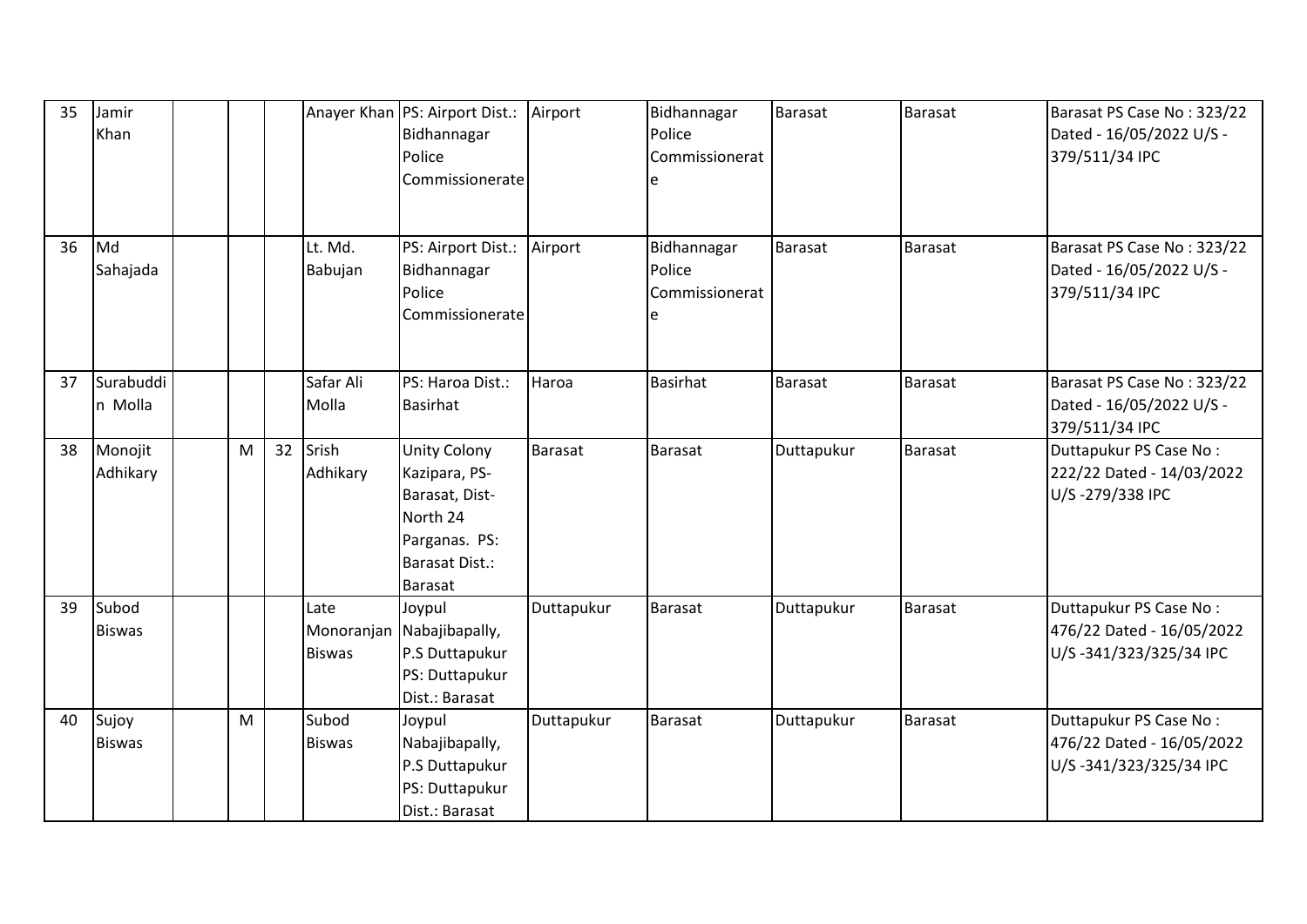| 35 | Jamir<br>Khan          |   |    |                                     | Anayer Khan   PS: Airport Dist.:<br>Bidhannagar<br>Police<br>Commissionerate                                                   | Airport        | Bidhannagar<br>Police<br>Commissionerat<br>e | Barasat    | Barasat        | Barasat PS Case No: 323/22<br>Dated - 16/05/2022 U/S -<br>379/511/34 IPC      |
|----|------------------------|---|----|-------------------------------------|--------------------------------------------------------------------------------------------------------------------------------|----------------|----------------------------------------------|------------|----------------|-------------------------------------------------------------------------------|
| 36 | Md<br>Sahajada         |   |    | Lt. Md.<br>Babujan                  | PS: Airport Dist.:<br>Bidhannagar<br>Police<br>Commissionerate                                                                 | Airport        | Bidhannagar<br>Police<br>Commissionerat<br>e | Barasat    | <b>Barasat</b> | Barasat PS Case No: 323/22<br>Dated - 16/05/2022 U/S -<br>379/511/34 IPC      |
| 37 | Surabuddi<br>n Molla   |   |    | Safar Ali<br>Molla                  | PS: Haroa Dist.:<br><b>Basirhat</b>                                                                                            | Haroa          | <b>Basirhat</b>                              | Barasat    | <b>Barasat</b> | Barasat PS Case No: 323/22<br>Dated - 16/05/2022 U/S -<br>379/511/34 IPC      |
| 38 | Monojit<br>Adhikary    | M | 32 | Srish<br>Adhikary                   | <b>Unity Colony</b><br>Kazipara, PS-<br>Barasat, Dist-<br>North 24<br>Parganas. PS:<br><b>Barasat Dist.:</b><br><b>Barasat</b> | <b>Barasat</b> | <b>Barasat</b>                               | Duttapukur | Barasat        | Duttapukur PS Case No:<br>222/22 Dated - 14/03/2022<br>U/S-279/338 IPC        |
| 39 | Subod<br><b>Biswas</b> |   |    | Late<br>Monoranjan<br><b>Biswas</b> | Joypul<br>Nabajibapally,<br>P.S Duttapukur<br>PS: Duttapukur<br>Dist.: Barasat                                                 | Duttapukur     | <b>Barasat</b>                               | Duttapukur | Barasat        | Duttapukur PS Case No:<br>476/22 Dated - 16/05/2022<br>U/S-341/323/325/34 IPC |
| 40 | Sujoy<br><b>Biswas</b> | M |    | Subod<br><b>Biswas</b>              | Joypul<br>Nabajibapally,<br>P.S Duttapukur<br>PS: Duttapukur<br>Dist.: Barasat                                                 | Duttapukur     | <b>Barasat</b>                               | Duttapukur | Barasat        | Duttapukur PS Case No:<br>476/22 Dated - 16/05/2022<br>U/S-341/323/325/34 IPC |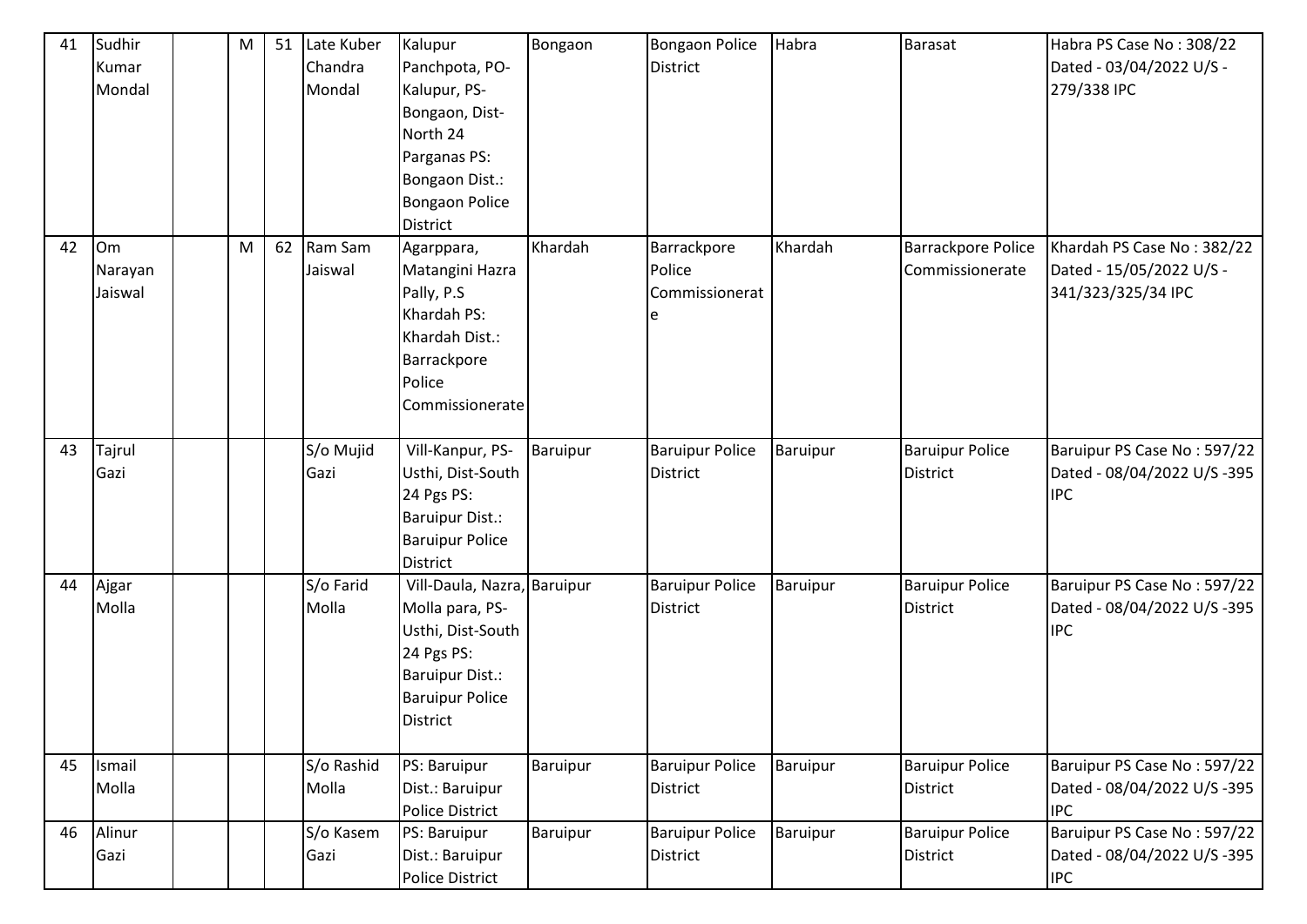| 41 | Sudhir  | M |    | 51 Late Kuber | Kalupur                     | Bongaon         | <b>Bongaon Police</b>  | Habra    | <b>Barasat</b>            | Habra PS Case No: 308/22    |
|----|---------|---|----|---------------|-----------------------------|-----------------|------------------------|----------|---------------------------|-----------------------------|
|    | Kumar   |   |    | Chandra       | Panchpota, PO-              |                 | District               |          |                           | Dated - 03/04/2022 U/S -    |
|    | Mondal  |   |    | Mondal        | Kalupur, PS-                |                 |                        |          |                           | 279/338 IPC                 |
|    |         |   |    |               | Bongaon, Dist-              |                 |                        |          |                           |                             |
|    |         |   |    |               | North 24                    |                 |                        |          |                           |                             |
|    |         |   |    |               | Parganas PS:                |                 |                        |          |                           |                             |
|    |         |   |    |               | Bongaon Dist.:              |                 |                        |          |                           |                             |
|    |         |   |    |               | <b>Bongaon Police</b>       |                 |                        |          |                           |                             |
|    |         |   |    |               | District                    |                 |                        |          |                           |                             |
| 42 | Om      | M | 62 | Ram Sam       | Agarppara,                  | Khardah         | Barrackpore            | Khardah  | <b>Barrackpore Police</b> | Khardah PS Case No: 382/22  |
|    | Narayan |   |    | Jaiswal       | Matangini Hazra             |                 | Police                 |          | Commissionerate           | Dated - 15/05/2022 U/S -    |
|    | Jaiswal |   |    |               | Pally, P.S                  |                 | Commissionerat         |          |                           | 341/323/325/34 IPC          |
|    |         |   |    |               | Khardah PS:                 |                 | e                      |          |                           |                             |
|    |         |   |    |               | Khardah Dist.:              |                 |                        |          |                           |                             |
|    |         |   |    |               | Barrackpore                 |                 |                        |          |                           |                             |
|    |         |   |    |               | Police                      |                 |                        |          |                           |                             |
|    |         |   |    |               | Commissionerate             |                 |                        |          |                           |                             |
|    |         |   |    |               |                             |                 |                        |          |                           |                             |
| 43 | Tajrul  |   |    | S/o Mujid     | Vill-Kanpur, PS-            | Baruipur        | <b>Baruipur Police</b> | Baruipur | <b>Baruipur Police</b>    | Baruipur PS Case No: 597/22 |
|    | Gazi    |   |    | Gazi          | Usthi, Dist-South           |                 | <b>District</b>        |          | <b>District</b>           | Dated - 08/04/2022 U/S -395 |
|    |         |   |    |               | 24 Pgs PS:                  |                 |                        |          |                           | <b>IPC</b>                  |
|    |         |   |    |               | <b>Baruipur Dist.:</b>      |                 |                        |          |                           |                             |
|    |         |   |    |               | <b>Baruipur Police</b>      |                 |                        |          |                           |                             |
|    |         |   |    |               | <b>District</b>             |                 |                        |          |                           |                             |
| 44 | Ajgar   |   |    | S/o Farid     | Vill-Daula, Nazra, Baruipur |                 | <b>Baruipur Police</b> | Baruipur | <b>Baruipur Police</b>    | Baruipur PS Case No: 597/22 |
|    | Molla   |   |    | Molla         | Molla para, PS-             |                 | <b>District</b>        |          | <b>District</b>           | Dated - 08/04/2022 U/S -395 |
|    |         |   |    |               | Usthi, Dist-South           |                 |                        |          |                           | <b>IPC</b>                  |
|    |         |   |    |               | 24 Pgs PS:                  |                 |                        |          |                           |                             |
|    |         |   |    |               | <b>Baruipur Dist.:</b>      |                 |                        |          |                           |                             |
|    |         |   |    |               | <b>Baruipur Police</b>      |                 |                        |          |                           |                             |
|    |         |   |    |               | <b>District</b>             |                 |                        |          |                           |                             |
|    |         |   |    |               |                             |                 |                        |          |                           |                             |
| 45 | Ismail  |   |    | S/o Rashid    | PS: Baruipur                | Baruipur        | <b>Baruipur Police</b> | Baruipur | <b>Baruipur Police</b>    | Baruipur PS Case No: 597/22 |
|    | Molla   |   |    | Molla         | Dist.: Baruipur             |                 | <b>District</b>        |          | <b>District</b>           | Dated - 08/04/2022 U/S -395 |
|    |         |   |    |               | Police District             |                 |                        |          |                           | <b>IPC</b>                  |
| 46 | Alinur  |   |    | S/o Kasem     | PS: Baruipur                | <b>Baruipur</b> | <b>Baruipur Police</b> | Baruipur | <b>Baruipur Police</b>    | Baruipur PS Case No: 597/22 |
|    | Gazi    |   |    | Gazi          | Dist.: Baruipur             |                 | District               |          | <b>District</b>           | Dated - 08/04/2022 U/S -395 |
|    |         |   |    |               | <b>Police District</b>      |                 |                        |          |                           | <b>IPC</b>                  |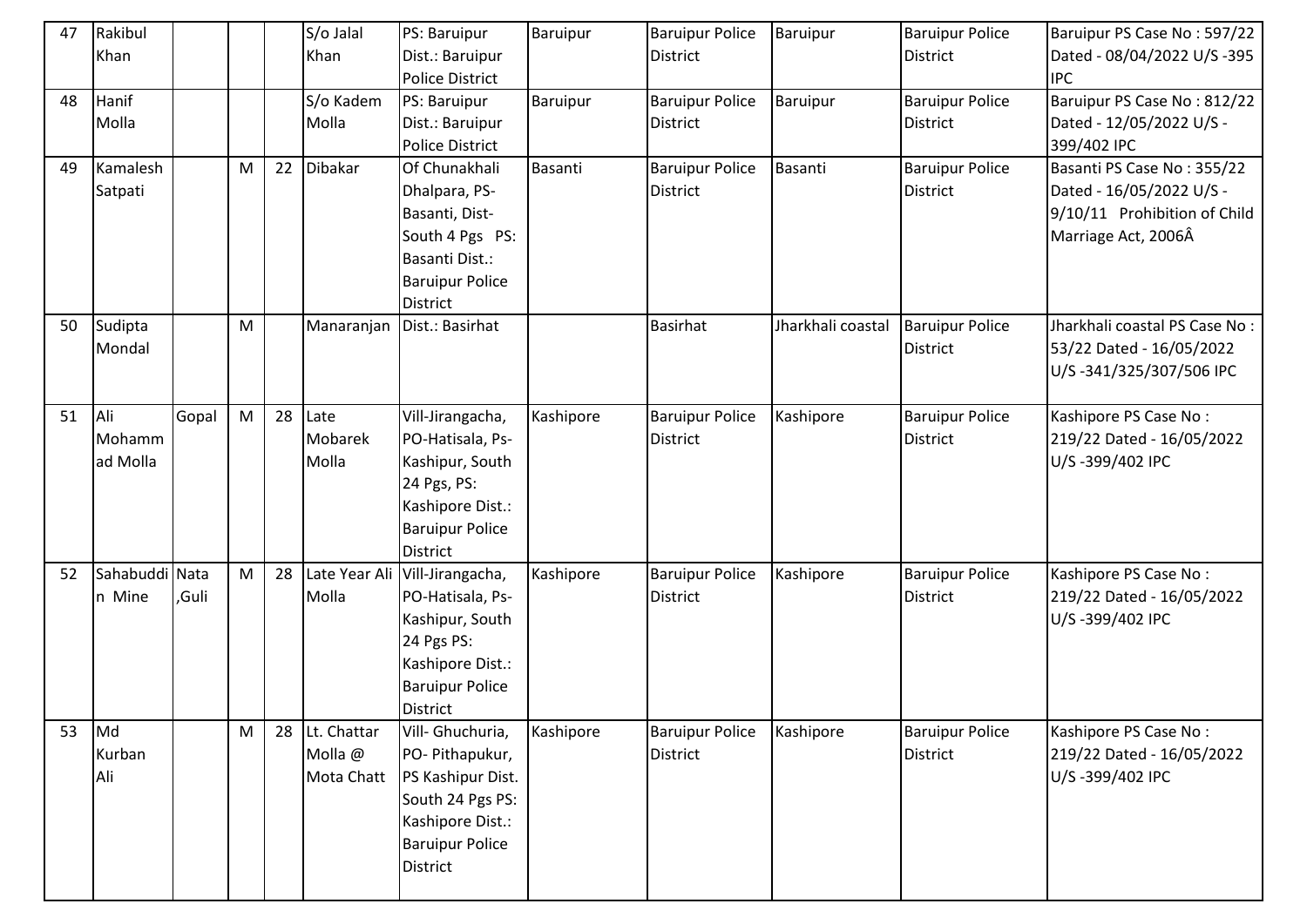| 47 | Rakibul        |       |   |    | S/o Jalal     | PS: Baruipur           | Baruipur  | <b>Baruipur Police</b> | Baruipur          | <b>Baruipur Police</b> | Baruipur PS Case No: 597/22   |
|----|----------------|-------|---|----|---------------|------------------------|-----------|------------------------|-------------------|------------------------|-------------------------------|
|    | Khan           |       |   |    | Khan          | Dist.: Baruipur        |           | <b>District</b>        |                   | District               | Dated - 08/04/2022 U/S -395   |
|    |                |       |   |    |               | <b>Police District</b> |           |                        |                   |                        | <b>IPC</b>                    |
| 48 | Hanif          |       |   |    | S/o Kadem     | PS: Baruipur           | Baruipur  | <b>Baruipur Police</b> | Baruipur          | <b>Baruipur Police</b> | Baruipur PS Case No: 812/22   |
|    | Molla          |       |   |    | Molla         | Dist.: Baruipur        |           | District               |                   | <b>District</b>        | Dated - 12/05/2022 U/S -      |
|    |                |       |   |    |               | <b>Police District</b> |           |                        |                   |                        | 399/402 IPC                   |
| 49 | Kamalesh       |       | M | 22 | Dibakar       | Of Chunakhali          | Basanti   | <b>Baruipur Police</b> | Basanti           | <b>Baruipur Police</b> | Basanti PS Case No: 355/22    |
|    | Satpati        |       |   |    |               | Dhalpara, PS-          |           | District               |                   | District               | Dated - 16/05/2022 U/S -      |
|    |                |       |   |    |               | Basanti, Dist-         |           |                        |                   |                        | 9/10/11 Prohibition of Child  |
|    |                |       |   |    |               | South 4 Pgs PS:        |           |                        |                   |                        | Marriage Act, 2006Â           |
|    |                |       |   |    |               | Basanti Dist.:         |           |                        |                   |                        |                               |
|    |                |       |   |    |               | <b>Baruipur Police</b> |           |                        |                   |                        |                               |
|    |                |       |   |    |               | <b>District</b>        |           |                        |                   |                        |                               |
| 50 | Sudipta        |       | M |    | Manaranjan    | Dist.: Basirhat        |           | <b>Basirhat</b>        | Jharkhali coastal | <b>Baruipur Police</b> | Jharkhali coastal PS Case No: |
|    | Mondal         |       |   |    |               |                        |           |                        |                   | District               | 53/22 Dated - 16/05/2022      |
|    |                |       |   |    |               |                        |           |                        |                   |                        | U/S-341/325/307/506 IPC       |
|    |                |       |   |    |               |                        |           |                        |                   |                        |                               |
| 51 | Ali            | Gopal | M | 28 | Late          | Vill-Jirangacha,       | Kashipore | <b>Baruipur Police</b> | Kashipore         | <b>Baruipur Police</b> | Kashipore PS Case No:         |
|    | Mohamm         |       |   |    | Mobarek       | PO-Hatisala, Ps-       |           | District               |                   | District               | 219/22 Dated - 16/05/2022     |
|    | ad Molla       |       |   |    | Molla         | Kashipur, South        |           |                        |                   |                        | U/S-399/402 IPC               |
|    |                |       |   |    |               | 24 Pgs, PS:            |           |                        |                   |                        |                               |
|    |                |       |   |    |               | Kashipore Dist.:       |           |                        |                   |                        |                               |
|    |                |       |   |    |               | <b>Baruipur Police</b> |           |                        |                   |                        |                               |
|    |                |       |   |    |               | <b>District</b>        |           |                        |                   |                        |                               |
| 52 | Sahabuddi Nata |       | M | 28 | Late Year Ali | Vill-Jirangacha,       | Kashipore | <b>Baruipur Police</b> | Kashipore         | <b>Baruipur Police</b> | Kashipore PS Case No:         |
|    | n Mine         | ,Guli |   |    | Molla         | PO-Hatisala, Ps-       |           | District               |                   | District               | 219/22 Dated - 16/05/2022     |
|    |                |       |   |    |               | Kashipur, South        |           |                        |                   |                        | U/S-399/402 IPC               |
|    |                |       |   |    |               | 24 Pgs PS:             |           |                        |                   |                        |                               |
|    |                |       |   |    |               | Kashipore Dist.:       |           |                        |                   |                        |                               |
|    |                |       |   |    |               | <b>Baruipur Police</b> |           |                        |                   |                        |                               |
|    |                |       |   |    |               | <b>District</b>        |           |                        |                   |                        |                               |
| 53 | Md             |       | M | 28 | Lt. Chattar   | Vill- Ghuchuria,       | Kashipore | <b>Baruipur Police</b> | Kashipore         | <b>Baruipur Police</b> | Kashipore PS Case No:         |
|    | Kurban         |       |   |    | Molla @       | PO- Pithapukur,        |           | District               |                   | District               | 219/22 Dated - 16/05/2022     |
|    | Ali            |       |   |    | Mota Chatt    | PS Kashipur Dist.      |           |                        |                   |                        | U/S-399/402 IPC               |
|    |                |       |   |    |               | South 24 Pgs PS:       |           |                        |                   |                        |                               |
|    |                |       |   |    |               | Kashipore Dist.:       |           |                        |                   |                        |                               |
|    |                |       |   |    |               | <b>Baruipur Police</b> |           |                        |                   |                        |                               |
|    |                |       |   |    |               | District               |           |                        |                   |                        |                               |
|    |                |       |   |    |               |                        |           |                        |                   |                        |                               |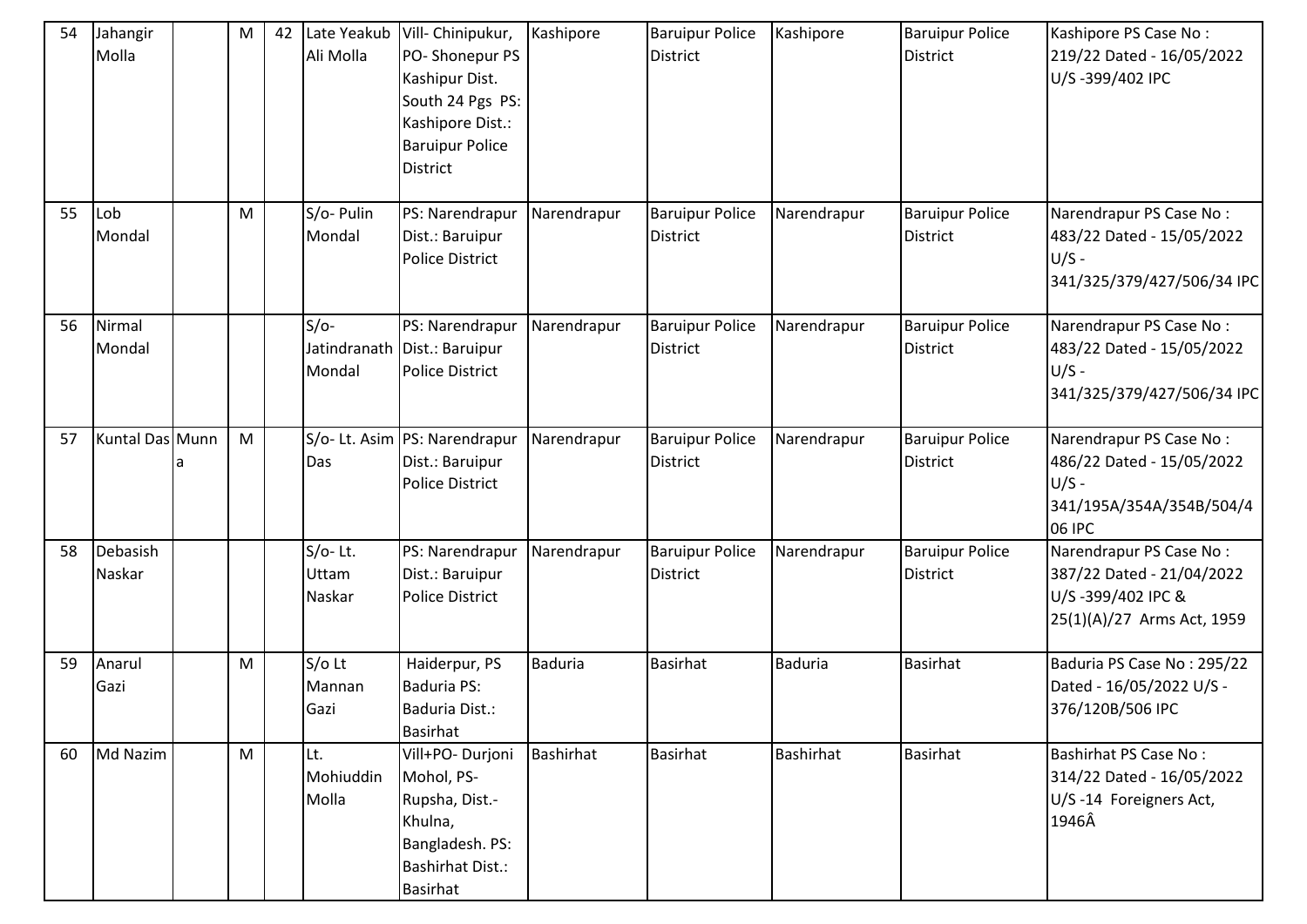| 54 | Jahangir<br>Molla  | ${\sf M}$ | 42 | Late Yeakub<br>Ali Molla      | Vill- Chinipukur,<br>PO-Shonepur PS<br>Kashipur Dist.<br>South 24 Pgs PS:<br>Kashipore Dist.:<br><b>Baruipur Police</b><br><b>District</b> | Kashipore      | <b>Baruipur Police</b><br><b>District</b> | Kashipore        | <b>Baruipur Police</b><br><b>District</b> | Kashipore PS Case No:<br>219/22 Dated - 16/05/2022<br>U/S-399/402 IPC                                   |
|----|--------------------|-----------|----|-------------------------------|--------------------------------------------------------------------------------------------------------------------------------------------|----------------|-------------------------------------------|------------------|-------------------------------------------|---------------------------------------------------------------------------------------------------------|
| 55 | Lob<br>Mondal      | ${\sf M}$ |    | S/o- Pulin<br>Mondal          | PS: Narendrapur<br>Dist.: Baruipur<br><b>Police District</b>                                                                               | Narendrapur    | <b>Baruipur Police</b><br><b>District</b> | Narendrapur      | <b>Baruipur Police</b><br>District        | Narendrapur PS Case No:<br>483/22 Dated - 15/05/2022<br>$U/S -$<br>341/325/379/427/506/34 IPC           |
| 56 | Nirmal<br>Mondal   |           |    | $S/O-$<br>Mondal              | PS: Narendrapur<br>Jatindranath Dist.: Baruipur<br><b>Police District</b>                                                                  | Narendrapur    | <b>Baruipur Police</b><br><b>District</b> | Narendrapur      | <b>Baruipur Police</b><br>District        | Narendrapur PS Case No:<br>483/22 Dated - 15/05/2022<br>$U/S -$<br>341/325/379/427/506/34 IPC           |
| 57 | Kuntal Das Munn    | M         |    | Das                           | S/o- Lt. Asim   PS: Narendrapur<br>Dist.: Baruipur<br><b>Police District</b>                                                               | Narendrapur    | <b>Baruipur Police</b><br><b>District</b> | Narendrapur      | <b>Baruipur Police</b><br>District        | Narendrapur PS Case No:<br>486/22 Dated - 15/05/2022<br>$U/S -$<br>341/195A/354A/354B/504/4<br>06 IPC   |
| 58 | Debasish<br>Naskar |           |    | $S/O-$ Lt.<br>Uttam<br>Naskar | PS: Narendrapur<br>Dist.: Baruipur<br><b>Police District</b>                                                                               | Narendrapur    | <b>Baruipur Police</b><br><b>District</b> | Narendrapur      | <b>Baruipur Police</b><br>District        | Narendrapur PS Case No:<br>387/22 Dated - 21/04/2022<br>U/S-399/402 IPC &<br>25(1)(A)/27 Arms Act, 1959 |
| 59 | Anarul<br>Gazi     | M         |    | $S/O$ Lt<br>Mannan<br>Gazi    | Haiderpur, PS<br><b>Baduria PS:</b><br>Baduria Dist.:<br><b>Basirhat</b>                                                                   | <b>Baduria</b> | <b>Basirhat</b>                           | <b>Baduria</b>   | <b>Basirhat</b>                           | Baduria PS Case No: 295/22<br>Dated - 16/05/2022 U/S -<br>376/120B/506 IPC                              |
| 60 | Md Nazim           | M         |    | Lt.<br>Mohiuddin<br>Molla     | Vill+PO- Durjoni<br>Mohol, PS-<br>Rupsha, Dist.-<br>Khulna,<br>Bangladesh. PS:<br><b>Bashirhat Dist.:</b><br>Basirhat                      | Bashirhat      | <b>Basirhat</b>                           | <b>Bashirhat</b> | <b>Basirhat</b>                           | Bashirhat PS Case No:<br>314/22 Dated - 16/05/2022<br>U/S-14 Foreigners Act,<br>1946Â                   |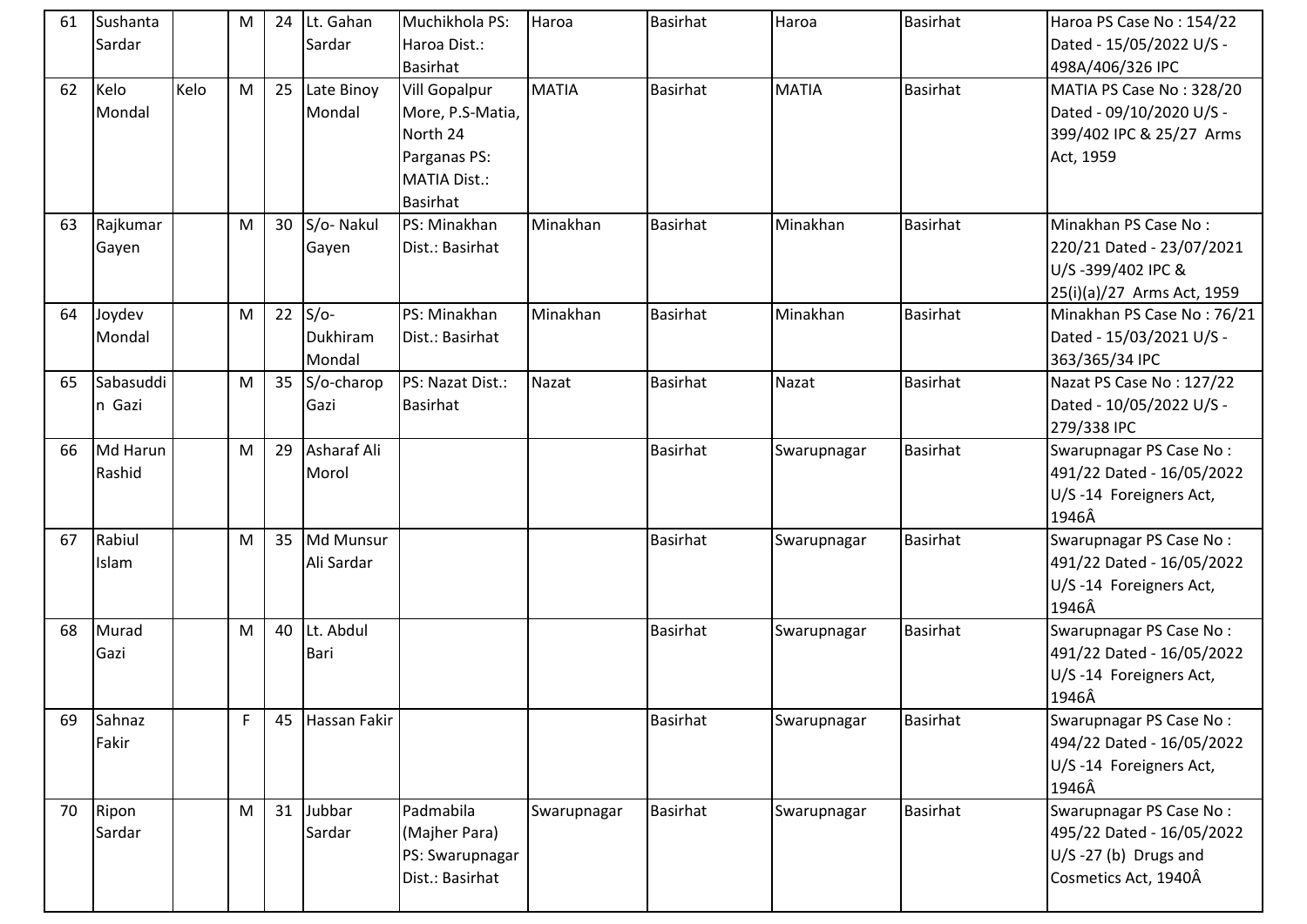| 61 | Sushanta<br>Sardar  |      | M | 24 | Lt. Gahan<br>Sardar             | Muchikhola PS:<br>Haroa Dist.:<br>Basirhat                                                                     | Haroa        | <b>Basirhat</b> | Haroa        | <b>Basirhat</b> | Haroa PS Case No: 154/22<br>Dated - 15/05/2022 U/S -<br>498A/406/326 IPC                             |
|----|---------------------|------|---|----|---------------------------------|----------------------------------------------------------------------------------------------------------------|--------------|-----------------|--------------|-----------------|------------------------------------------------------------------------------------------------------|
| 62 | Kelo<br>Mondal      | Kelo | M | 25 | Late Binoy<br>Mondal            | <b>Vill Gopalpur</b><br>More, P.S-Matia,<br>North 24<br>Parganas PS:<br><b>MATIA Dist.:</b><br><b>Basirhat</b> | <b>MATIA</b> | <b>Basirhat</b> | <b>MATIA</b> | <b>Basirhat</b> | MATIA PS Case No: 328/20<br>Dated - 09/10/2020 U/S -<br>399/402 IPC & 25/27 Arms<br>Act, 1959        |
| 63 | Rajkumar<br>Gayen   |      | M | 30 | S/o-Nakul<br>Gayen              | PS: Minakhan<br>Dist.: Basirhat                                                                                | Minakhan     | <b>Basirhat</b> | Minakhan     | <b>Basirhat</b> | Minakhan PS Case No:<br>220/21 Dated - 23/07/2021<br>U/S-399/402 IPC &<br>25(i)(a)/27 Arms Act, 1959 |
| 64 | Joydev<br>Mondal    |      | M |    | $22$ S/o-<br>Dukhiram<br>Mondal | PS: Minakhan<br>Dist.: Basirhat                                                                                | Minakhan     | <b>Basirhat</b> | Minakhan     | Basirhat        | Minakhan PS Case No: 76/21<br>Dated - 15/03/2021 U/S -<br>363/365/34 IPC                             |
| 65 | Sabasuddi<br>n Gazi |      | M | 35 | S/o-charop<br>Gazi              | PS: Nazat Dist.:<br>Basirhat                                                                                   | Nazat        | <b>Basirhat</b> | Nazat        | <b>Basirhat</b> | Nazat PS Case No: 127/22<br>Dated - 10/05/2022 U/S -<br>279/338 IPC                                  |
| 66 | Md Harun<br>Rashid  |      | M | 29 | Asharaf Ali<br>Morol            |                                                                                                                |              | <b>Basirhat</b> | Swarupnagar  | <b>Basirhat</b> | Swarupnagar PS Case No:<br>491/22 Dated - 16/05/2022<br>U/S-14 Foreigners Act,<br>1946Â              |
| 67 | Rabiul<br>Islam     |      | M | 35 | Md Munsur<br>Ali Sardar         |                                                                                                                |              | <b>Basirhat</b> | Swarupnagar  | Basirhat        | Swarupnagar PS Case No:<br>491/22 Dated - 16/05/2022<br>U/S-14 Foreigners Act,<br>1946Â              |
| 68 | Murad<br>Gazi       |      | M |    | 40 Lt. Abdul<br>Bari            |                                                                                                                |              | <b>Basirhat</b> | Swarupnagar  | <b>Basirhat</b> | Swarupnagar PS Case No:<br>491/22 Dated - 16/05/2022<br>U/S-14 Foreigners Act,<br>1946Â              |
| 69 | Sahnaz<br>Fakir     |      | F | 45 | Hassan Fakir                    |                                                                                                                |              | <b>Basirhat</b> | Swarupnagar  | Basirhat        | Swarupnagar PS Case No:<br>494/22 Dated - 16/05/2022<br>U/S-14 Foreigners Act,<br>1946Â              |
| 70 | Ripon<br>Sardar     |      | M | 31 | Jubbar<br>Sardar                | Padmabila<br>(Majher Para)<br>PS: Swarupnagar<br>Dist.: Basirhat                                               | Swarupnagar  | Basirhat        | Swarupnagar  | <b>Basirhat</b> | Swarupnagar PS Case No:<br>495/22 Dated - 16/05/2022<br>U/S-27 (b) Drugs and<br>Cosmetics Act, 1940Â |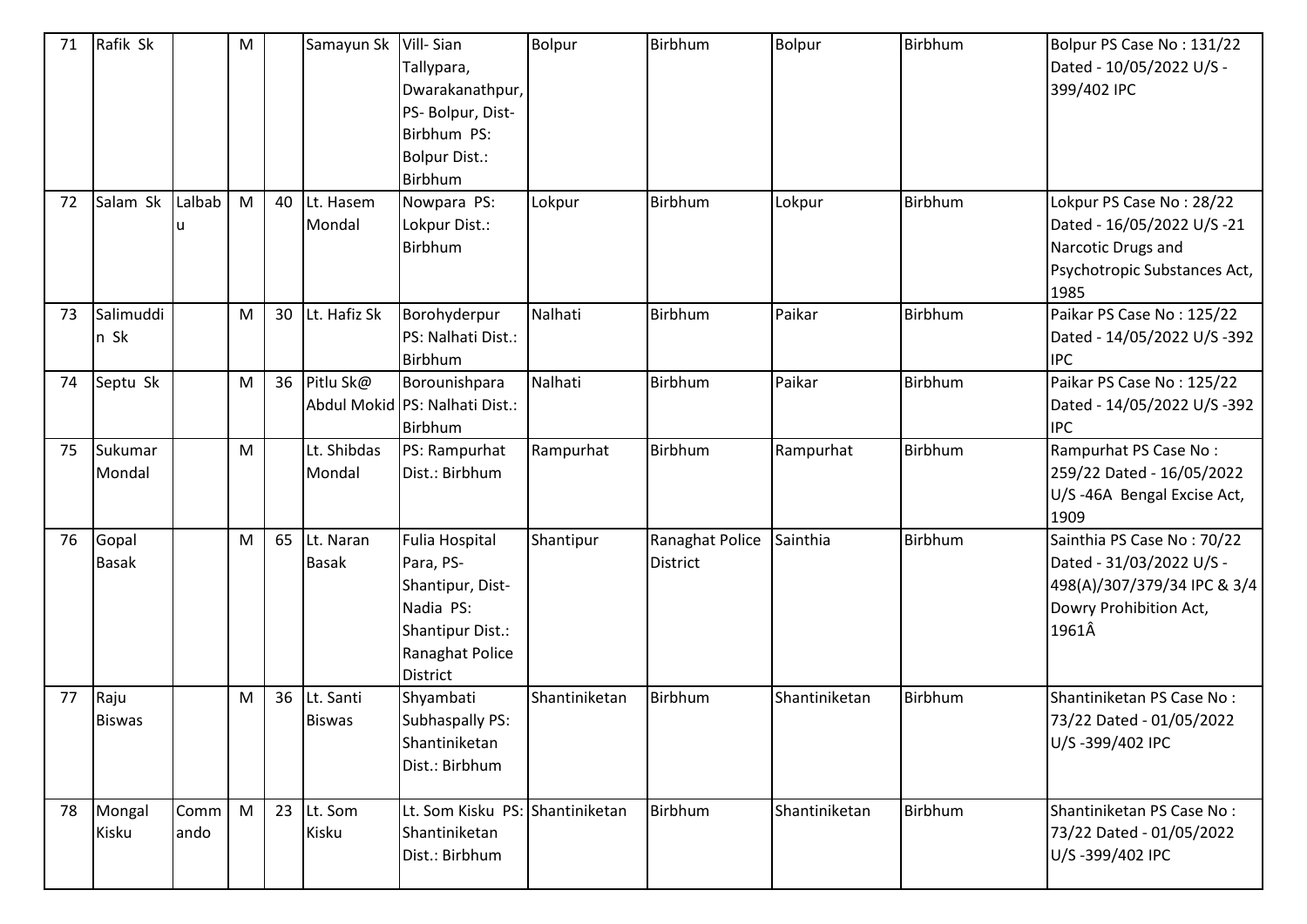| 71 | Rafik Sk              |              | M |    | Samayun Sk                 | Vill-Sian<br>Tallypara,<br>Dwarakanathpur,<br>PS- Bolpur, Dist-<br>Birbhum PS:<br><b>Bolpur Dist.:</b><br>Birbhum                    | Bolpur        | Birbhum                            | Bolpur        | Birbhum | Bolpur PS Case No: 131/22<br>Dated - 10/05/2022 U/S -<br>399/402 IPC                                                     |
|----|-----------------------|--------------|---|----|----------------------------|--------------------------------------------------------------------------------------------------------------------------------------|---------------|------------------------------------|---------------|---------|--------------------------------------------------------------------------------------------------------------------------|
| 72 | Salam Sk              | Lalbab       | M | 40 | Lt. Hasem<br>Mondal        | Nowpara PS:<br>Lokpur Dist.:<br>Birbhum                                                                                              | Lokpur        | Birbhum                            | Lokpur        | Birbhum | Lokpur PS Case No: 28/22<br>Dated - 16/05/2022 U/S -21<br>Narcotic Drugs and<br>Psychotropic Substances Act,<br>1985     |
| 73 | Salimuddi<br>n Sk     |              | M | 30 | Lt. Hafiz Sk               | Borohyderpur<br>PS: Nalhati Dist.:<br>Birbhum                                                                                        | Nalhati       | Birbhum                            | Paikar        | Birbhum | Paikar PS Case No: 125/22<br>Dated - 14/05/2022 U/S -392<br><b>IPC</b>                                                   |
| 74 | Septu Sk              |              | M | 36 | Pitlu Sk@                  | Borounishpara<br>Abdul Mokid PS: Nalhati Dist.:<br>Birbhum                                                                           | Nalhati       | Birbhum                            | Paikar        | Birbhum | Paikar PS Case No: 125/22<br>Dated - 14/05/2022 U/S -392<br><b>IPC</b>                                                   |
| 75 | Sukumar<br>Mondal     |              | M |    | Lt. Shibdas<br>Mondal      | PS: Rampurhat<br>Dist.: Birbhum                                                                                                      | Rampurhat     | Birbhum                            | Rampurhat     | Birbhum | Rampurhat PS Case No:<br>259/22 Dated - 16/05/2022<br>U/S-46A Bengal Excise Act,<br>1909                                 |
| 76 | Gopal<br><b>Basak</b> |              | M | 65 | Lt. Naran<br><b>Basak</b>  | <b>Fulia Hospital</b><br>Para, PS-<br>Shantipur, Dist-<br>Nadia PS:<br><b>Shantipur Dist.:</b><br>Ranaghat Police<br><b>District</b> | Shantipur     | Ranaghat Police<br><b>District</b> | Sainthia      | Birbhum | Sainthia PS Case No: 70/22<br>Dated - 31/03/2022 U/S -<br>498(A)/307/379/34 IPC & 3/4<br>Dowry Prohibition Act,<br>1961Â |
| 77 | Raju<br><b>Biswas</b> |              | M | 36 | Lt. Santi<br><b>Biswas</b> | Shyambati<br>Subhaspally PS:<br>Shantiniketan<br>Dist.: Birbhum                                                                      | Shantiniketan | Birbhum                            | Shantiniketan | Birbhum | Shantiniketan PS Case No:<br>73/22 Dated - 01/05/2022<br>U/S-399/402 IPC                                                 |
| 78 | Mongal<br>Kisku       | Comm<br>ando | M | 23 | Lt. Som<br>Kisku           | Lt. Som Kisku PS: Shantiniketan<br>Shantiniketan<br>Dist.: Birbhum                                                                   |               | Birbhum                            | Shantiniketan | Birbhum | Shantiniketan PS Case No:<br>73/22 Dated - 01/05/2022<br>U/S-399/402 IPC                                                 |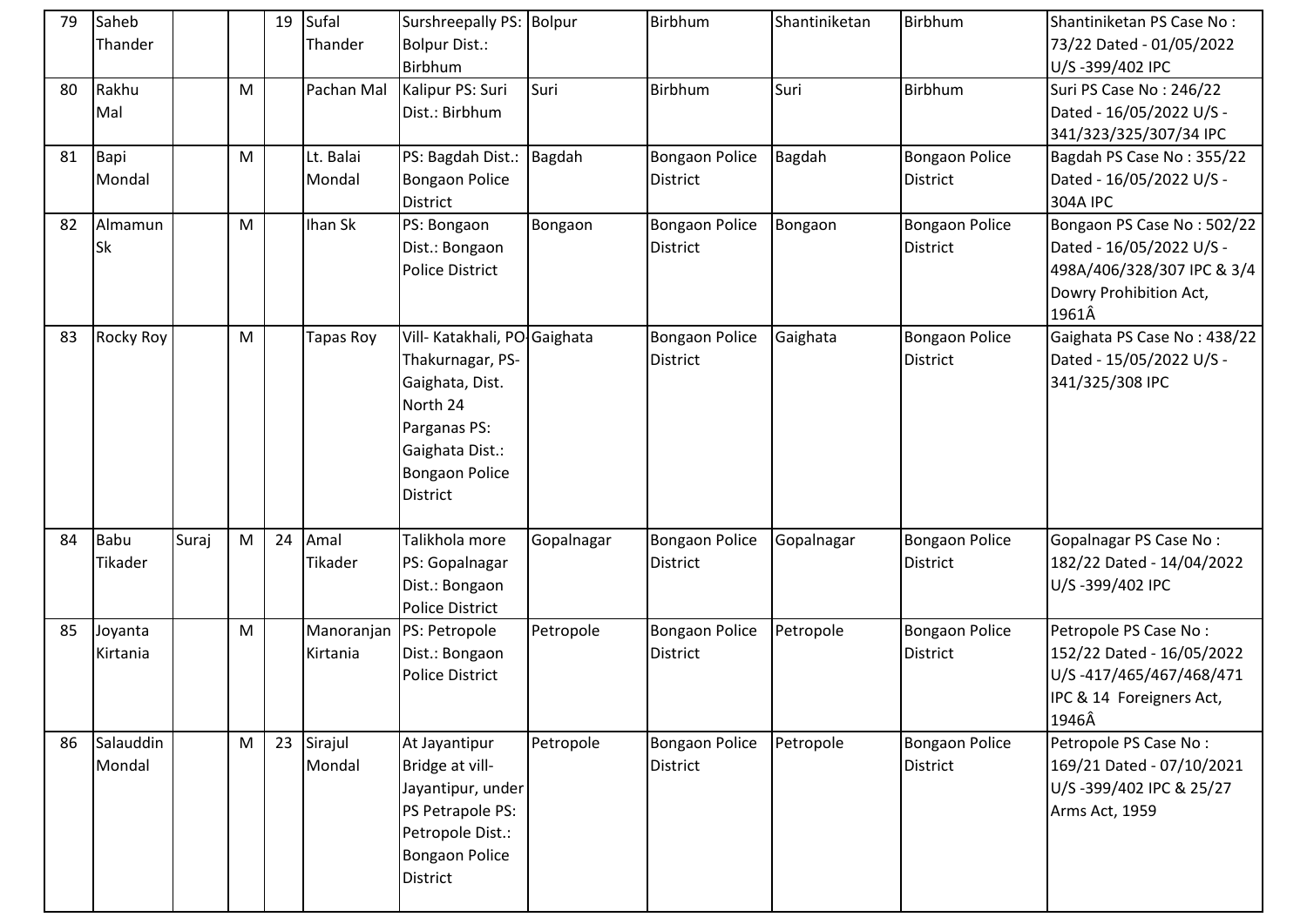| 79 | Saheb<br>Thander       |       |   | 19 | Sufal<br>Thander       | Surshreepally PS: Bolpur<br><b>Bolpur Dist.:</b><br>Birbhum                                                                                                    |            | Birbhum                                  | Shantiniketan | Birbhum                                  | Shantiniketan PS Case No:<br>73/22 Dated - 01/05/2022<br>U/S-399/402 IPC                                                |
|----|------------------------|-------|---|----|------------------------|----------------------------------------------------------------------------------------------------------------------------------------------------------------|------------|------------------------------------------|---------------|------------------------------------------|-------------------------------------------------------------------------------------------------------------------------|
| 80 | Rakhu<br>Mal           |       | M |    | Pachan Mal             | Kalipur PS: Suri<br>Dist.: Birbhum                                                                                                                             | Suri       | Birbhum                                  | Suri          | Birbhum                                  | Suri PS Case No: 246/22<br>Dated - 16/05/2022 U/S -<br>341/323/325/307/34 IPC                                           |
| 81 | Bapi<br>Mondal         |       | M |    | Lt. Balai<br>Mondal    | PS: Bagdah Dist.:<br><b>Bongaon Police</b><br><b>District</b>                                                                                                  | Bagdah     | <b>Bongaon Police</b><br><b>District</b> | Bagdah        | <b>Bongaon Police</b><br><b>District</b> | Bagdah PS Case No: 355/22<br>Dated - 16/05/2022 U/S -<br><b>304A IPC</b>                                                |
| 82 | Almamun<br><b>Sk</b>   |       | M |    | Ihan Sk                | PS: Bongaon<br>Dist.: Bongaon<br><b>Police District</b>                                                                                                        | Bongaon    | <b>Bongaon Police</b><br><b>District</b> | Bongaon       | Bongaon Police<br><b>District</b>        | Bongaon PS Case No: 502/22<br>Dated - 16/05/2022 U/S -<br>498A/406/328/307 IPC & 3/4<br>Dowry Prohibition Act,<br>1961Â |
| 83 | Rocky Roy              |       | M |    | Tapas Roy              | Vill- Katakhali, PO-Gaighata<br>Thakurnagar, PS-<br>Gaighata, Dist.<br>North 24<br>Parganas PS:<br>Gaighata Dist.:<br><b>Bongaon Police</b><br><b>District</b> |            | <b>Bongaon Police</b><br><b>District</b> | Gaighata      | <b>Bongaon Police</b><br><b>District</b> | Gaighata PS Case No: 438/22<br>Dated - 15/05/2022 U/S -<br>341/325/308 IPC                                              |
| 84 | <b>Babu</b><br>Tikader | Suraj | M | 24 | Amal<br>Tikader        | Talikhola more<br>PS: Gopalnagar<br>Dist.: Bongaon<br><b>Police District</b>                                                                                   | Gopalnagar | <b>Bongaon Police</b><br><b>District</b> | Gopalnagar    | <b>Bongaon Police</b><br><b>District</b> | <b>Gopalnagar PS Case No:</b><br>182/22 Dated - 14/04/2022<br>U/S-399/402 IPC                                           |
| 85 | Joyanta<br>Kirtania    |       | M |    | Manoranjan<br>Kirtania | PS: Petropole<br>Dist.: Bongaon<br><b>Police District</b>                                                                                                      | Petropole  | <b>Bongaon Police</b><br><b>District</b> | Petropole     | <b>Bongaon Police</b><br><b>District</b> | Petropole PS Case No:<br>152/22 Dated - 16/05/2022<br>U/S-417/465/467/468/471<br>IPC & 14 Foreigners Act,<br>1946Â      |
| 86 | Salauddin<br>Mondal    |       | M |    | 23 Sirajul<br>Mondal   | At Jayantipur<br>Bridge at vill-<br>Jayantipur, under<br>PS Petrapole PS:<br>Petropole Dist.:<br><b>Bongaon Police</b><br><b>District</b>                      | Petropole  | Bongaon Police<br><b>District</b>        | Petropole     | Bongaon Police<br>District               | Petropole PS Case No:<br>169/21 Dated - 07/10/2021<br>U/S-399/402 IPC & 25/27<br>Arms Act, 1959                         |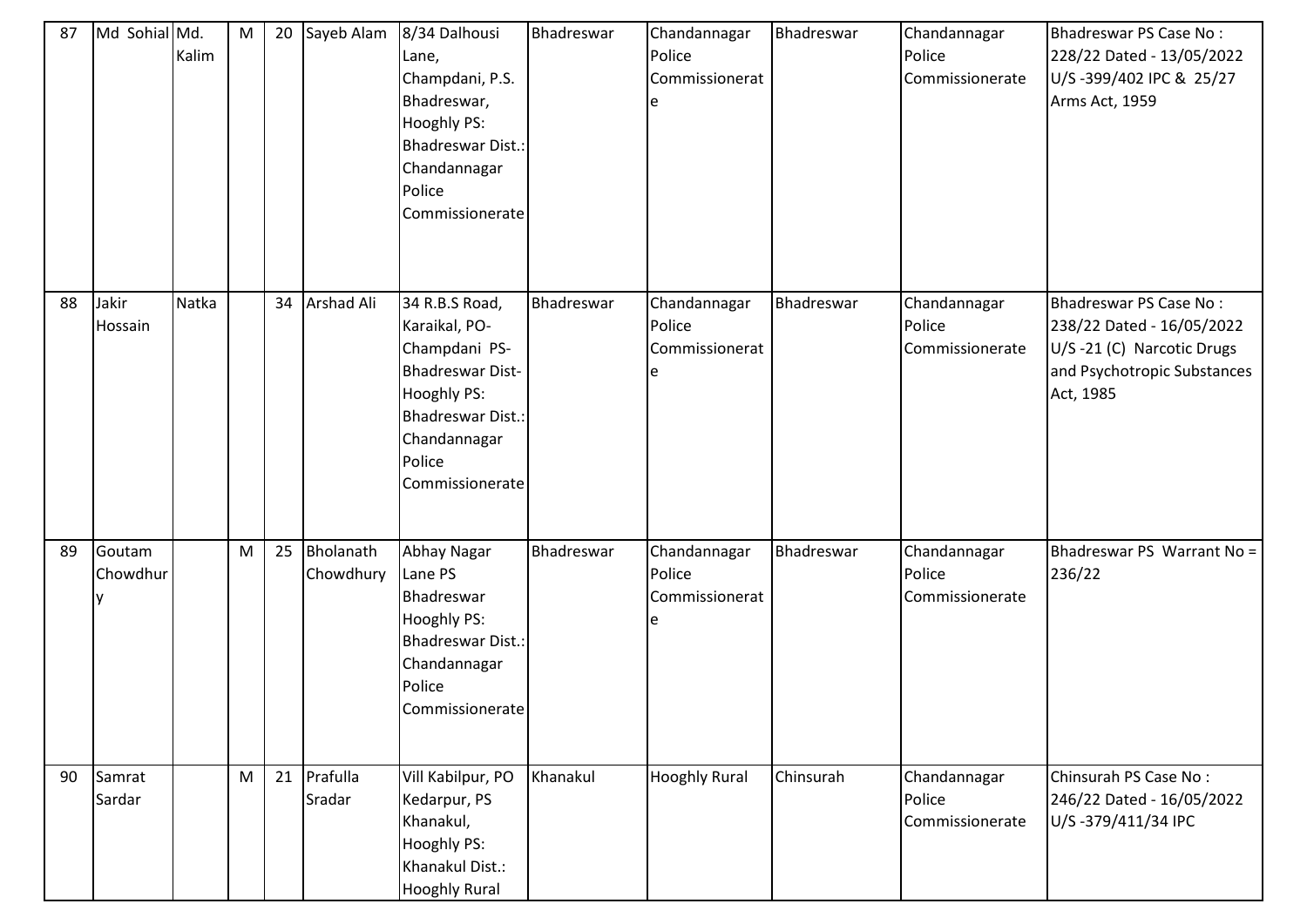| 87 | Md Sohial Md.      | Kalim | ${\sf M}$ | 20 | Sayeb Alam             | 8/34 Dalhousi<br>Lane,<br>Champdani, P.S.<br>Bhadreswar,<br>Hooghly PS:<br><b>Bhadreswar Dist.:</b><br>Chandannagar<br>Police<br>Commissionerate                    | Bhadreswar | Chandannagar<br>Police<br>Commissionerat<br>e | Bhadreswar | Chandannagar<br>Police<br>Commissionerate | Bhadreswar PS Case No:<br>228/22 Dated - 13/05/2022<br>U/S-399/402 IPC & 25/27<br>Arms Act, 1959                             |
|----|--------------------|-------|-----------|----|------------------------|---------------------------------------------------------------------------------------------------------------------------------------------------------------------|------------|-----------------------------------------------|------------|-------------------------------------------|------------------------------------------------------------------------------------------------------------------------------|
| 88 | Jakir<br>Hossain   | Natka |           | 34 | Arshad Ali             | 34 R.B.S Road,<br>Karaikal, PO-<br>Champdani PS-<br><b>Bhadreswar Dist-</b><br>Hooghly PS:<br><b>Bhadreswar Dist.:</b><br>Chandannagar<br>Police<br>Commissionerate | Bhadreswar | Chandannagar<br>Police<br>Commissionerat      | Bhadreswar | Chandannagar<br>Police<br>Commissionerate | Bhadreswar PS Case No:<br>238/22 Dated - 16/05/2022<br>U/S-21 (C) Narcotic Drugs<br>and Psychotropic Substances<br>Act, 1985 |
| 89 | Goutam<br>Chowdhur |       | M         | 25 | Bholanath<br>Chowdhury | Abhay Nagar<br>Lane PS<br>Bhadreswar<br>Hooghly PS:<br><b>Bhadreswar Dist.:</b><br>Chandannagar<br>Police<br>Commissionerate                                        | Bhadreswar | Chandannagar<br>Police<br>Commissionerat<br>e | Bhadreswar | Chandannagar<br>Police<br>Commissionerate | Bhadreswar PS Warrant No =<br>236/22                                                                                         |
| 90 | Samrat<br>Sardar   |       | M         | 21 | Prafulla<br>Sradar     | Vill Kabilpur, PO<br>Kedarpur, PS<br>Khanakul,<br>Hooghly PS:<br>Khanakul Dist.:<br><b>Hooghly Rural</b>                                                            | Khanakul   | <b>Hooghly Rural</b>                          | Chinsurah  | Chandannagar<br>Police<br>Commissionerate | Chinsurah PS Case No:<br>246/22 Dated - 16/05/2022<br>U/S-379/411/34 IPC                                                     |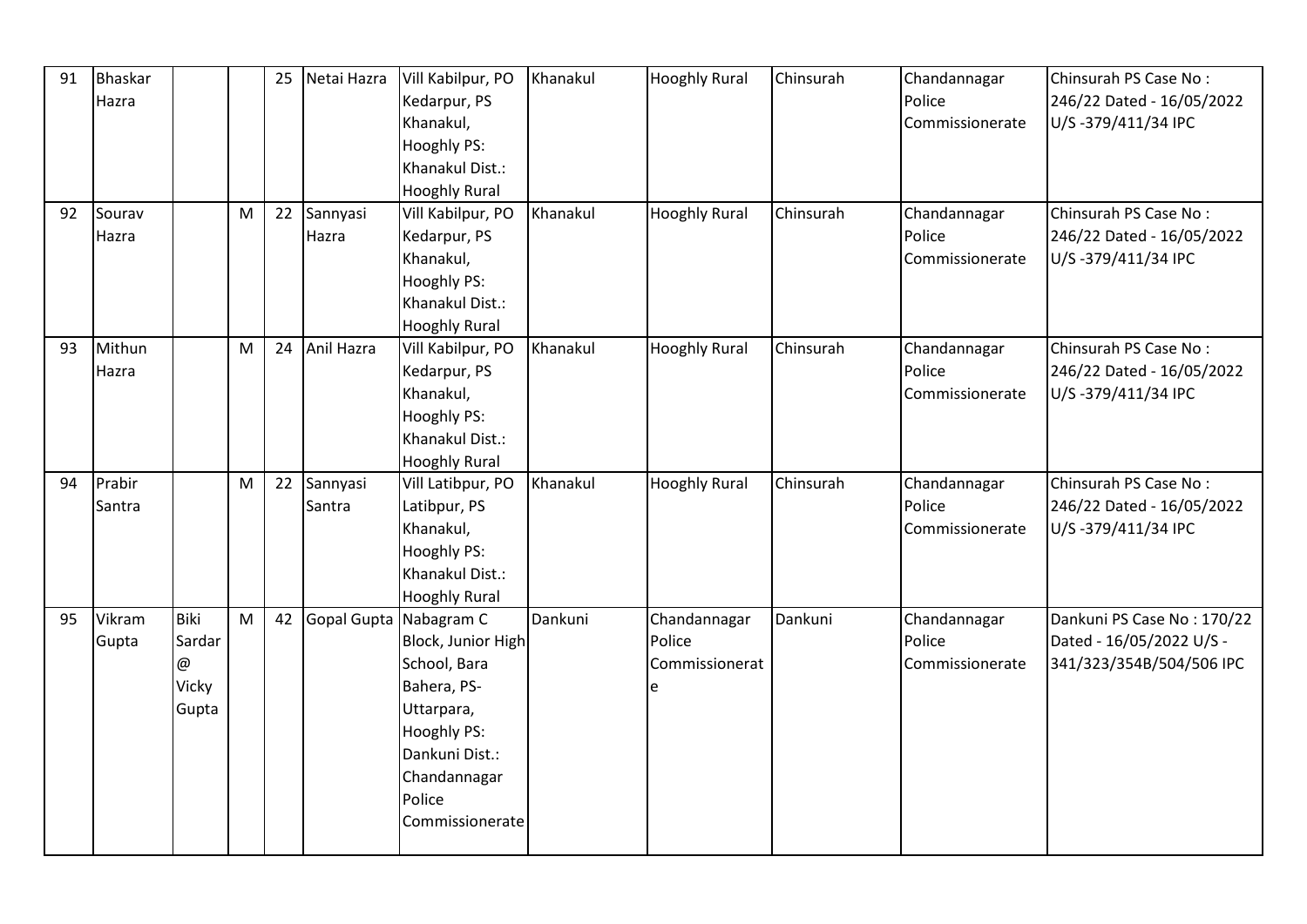| 91 | <b>Bhaskar</b> |             |   | 25 | Netai Hazra               | Vill Kabilpur, PO    | Khanakul | <b>Hooghly Rural</b> | Chinsurah | Chandannagar    | Chinsurah PS Case No:      |
|----|----------------|-------------|---|----|---------------------------|----------------------|----------|----------------------|-----------|-----------------|----------------------------|
|    | Hazra          |             |   |    |                           | Kedarpur, PS         |          |                      |           | Police          | 246/22 Dated - 16/05/2022  |
|    |                |             |   |    |                           | Khanakul,            |          |                      |           | Commissionerate | U/S-379/411/34 IPC         |
|    |                |             |   |    |                           | Hooghly PS:          |          |                      |           |                 |                            |
|    |                |             |   |    |                           | Khanakul Dist.:      |          |                      |           |                 |                            |
|    |                |             |   |    |                           | <b>Hooghly Rural</b> |          |                      |           |                 |                            |
| 92 | Sourav         |             | M | 22 | Sannyasi                  | Vill Kabilpur, PO    | Khanakul | <b>Hooghly Rural</b> | Chinsurah | Chandannagar    | Chinsurah PS Case No:      |
|    | Hazra          |             |   |    | Hazra                     | Kedarpur, PS         |          |                      |           | Police          | 246/22 Dated - 16/05/2022  |
|    |                |             |   |    |                           | Khanakul,            |          |                      |           | Commissionerate | U/S-379/411/34 IPC         |
|    |                |             |   |    |                           | Hooghly PS:          |          |                      |           |                 |                            |
|    |                |             |   |    |                           | Khanakul Dist.:      |          |                      |           |                 |                            |
|    |                |             |   |    |                           | <b>Hooghly Rural</b> |          |                      |           |                 |                            |
| 93 | Mithun         |             | M | 24 | Anil Hazra                | Vill Kabilpur, PO    | Khanakul | <b>Hooghly Rural</b> | Chinsurah | Chandannagar    | Chinsurah PS Case No:      |
|    | Hazra          |             |   |    |                           | Kedarpur, PS         |          |                      |           | Police          | 246/22 Dated - 16/05/2022  |
|    |                |             |   |    |                           | Khanakul,            |          |                      |           | Commissionerate | U/S-379/411/34 IPC         |
|    |                |             |   |    |                           | Hooghly PS:          |          |                      |           |                 |                            |
|    |                |             |   |    |                           | Khanakul Dist.:      |          |                      |           |                 |                            |
|    |                |             |   |    |                           | <b>Hooghly Rural</b> |          |                      |           |                 |                            |
| 94 | Prabir         |             | M | 22 | Sannyasi                  | Vill Latibpur, PO    | Khanakul | <b>Hooghly Rural</b> | Chinsurah | Chandannagar    | Chinsurah PS Case No:      |
|    | Santra         |             |   |    | Santra                    | Latibpur, PS         |          |                      |           | Police          | 246/22 Dated - 16/05/2022  |
|    |                |             |   |    |                           | Khanakul,            |          |                      |           | Commissionerate | U/S-379/411/34 IPC         |
|    |                |             |   |    |                           | Hooghly PS:          |          |                      |           |                 |                            |
|    |                |             |   |    |                           | Khanakul Dist.:      |          |                      |           |                 |                            |
|    |                |             |   |    |                           | <b>Hooghly Rural</b> |          |                      |           |                 |                            |
| 95 | Vikram         | <b>Biki</b> | M |    | 42 Gopal Gupta Nabagram C |                      | Dankuni  | Chandannagar         | Dankuni   | Chandannagar    | Dankuni PS Case No: 170/22 |
|    | Gupta          | Sardar      |   |    |                           | Block, Junior High   |          | Police               |           | Police          | Dated - 16/05/2022 U/S -   |
|    |                | @           |   |    |                           | School, Bara         |          | Commissionerat       |           | Commissionerate | 341/323/354B/504/506 IPC   |
|    |                | Vicky       |   |    |                           | Bahera, PS-          |          | e                    |           |                 |                            |
|    |                | Gupta       |   |    |                           | Uttarpara,           |          |                      |           |                 |                            |
|    |                |             |   |    |                           | Hooghly PS:          |          |                      |           |                 |                            |
|    |                |             |   |    |                           | Dankuni Dist.:       |          |                      |           |                 |                            |
|    |                |             |   |    |                           | Chandannagar         |          |                      |           |                 |                            |
|    |                |             |   |    |                           | Police               |          |                      |           |                 |                            |
|    |                |             |   |    |                           | Commissionerate      |          |                      |           |                 |                            |
|    |                |             |   |    |                           |                      |          |                      |           |                 |                            |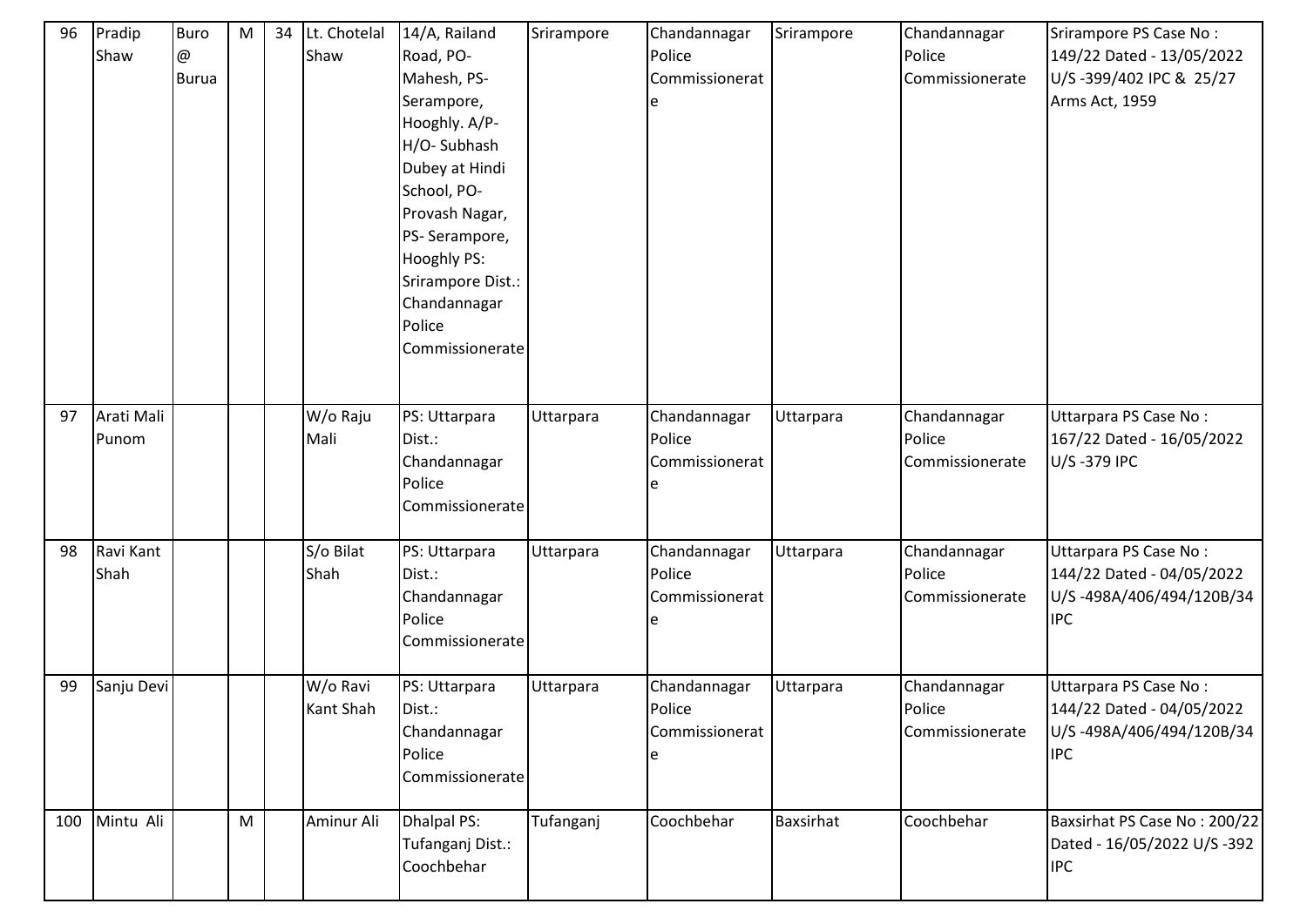| 96  | Pradip<br>Shaw      | <b>Buro</b><br>@<br><b>Burua</b> | ${\sf M}$ | 34 | Lt. Chotelal<br>Shaw  | 14/A, Railand<br>Road, PO-<br>Mahesh, PS-<br>Serampore,<br>Hooghly. A/P-<br>H/O-Subhash<br>Dubey at Hindi<br>School, PO-<br>Provash Nagar,<br>PS-Serampore,<br><b>Hooghly PS:</b><br>Srirampore Dist.:<br>Chandannagar<br>Police<br>Commissionerate | Srirampore | Chandannagar<br>Police<br>Commissionerat | Srirampore       | Chandannagar<br>Police<br>Commissionerate | Srirampore PS Case No:<br>149/22 Dated - 13/05/2022<br>U/S-399/402 IPC & 25/27<br>Arms Act, 1959 |
|-----|---------------------|----------------------------------|-----------|----|-----------------------|-----------------------------------------------------------------------------------------------------------------------------------------------------------------------------------------------------------------------------------------------------|------------|------------------------------------------|------------------|-------------------------------------------|--------------------------------------------------------------------------------------------------|
| 97  | Arati Mali<br>Punom |                                  |           |    | W/o Raju<br>Mali      | PS: Uttarpara<br>Dist.:<br>Chandannagar<br>Police<br>Commissionerate                                                                                                                                                                                | Uttarpara  | Chandannagar<br>Police<br>Commissionerat | Uttarpara        | Chandannagar<br>Police<br>Commissionerate | Uttarpara PS Case No:<br>167/22 Dated - 16/05/2022<br>U/S-379 IPC                                |
| 98  | Ravi Kant<br>Shah   |                                  |           |    | S/o Bilat<br>Shah     | PS: Uttarpara<br>Dist.:<br>Chandannagar<br>Police<br>Commissionerate                                                                                                                                                                                | Uttarpara  | Chandannagar<br>Police<br>Commissionerat | Uttarpara        | Chandannagar<br>Police<br>Commissionerate | Uttarpara PS Case No:<br>144/22 Dated - 04/05/2022<br>U/S-498A/406/494/120B/34<br><b>IPC</b>     |
| 99  | Sanju Devi          |                                  |           |    | W/o Ravi<br>Kant Shah | PS: Uttarpara<br>Dist.:<br>Chandannagar<br>Police<br>Commissionerate                                                                                                                                                                                | Uttarpara  | Chandannagar<br>Police<br>Commissionerat | Uttarpara        | Chandannagar<br>Police<br>Commissionerate | Uttarpara PS Case No:<br>144/22 Dated - 04/05/2022<br>U/S-498A/406/494/120B/34<br><b>IPC</b>     |
| 100 | Mintu Ali           |                                  | ${\sf M}$ |    | Aminur Ali            | <b>Dhalpal PS:</b><br>Tufanganj Dist.:<br>Coochbehar                                                                                                                                                                                                | Tufanganj  | Coochbehar                               | <b>Baxsirhat</b> | Coochbehar                                | Baxsirhat PS Case No: 200/22<br>Dated - 16/05/2022 U/S -392<br><b>IPC</b>                        |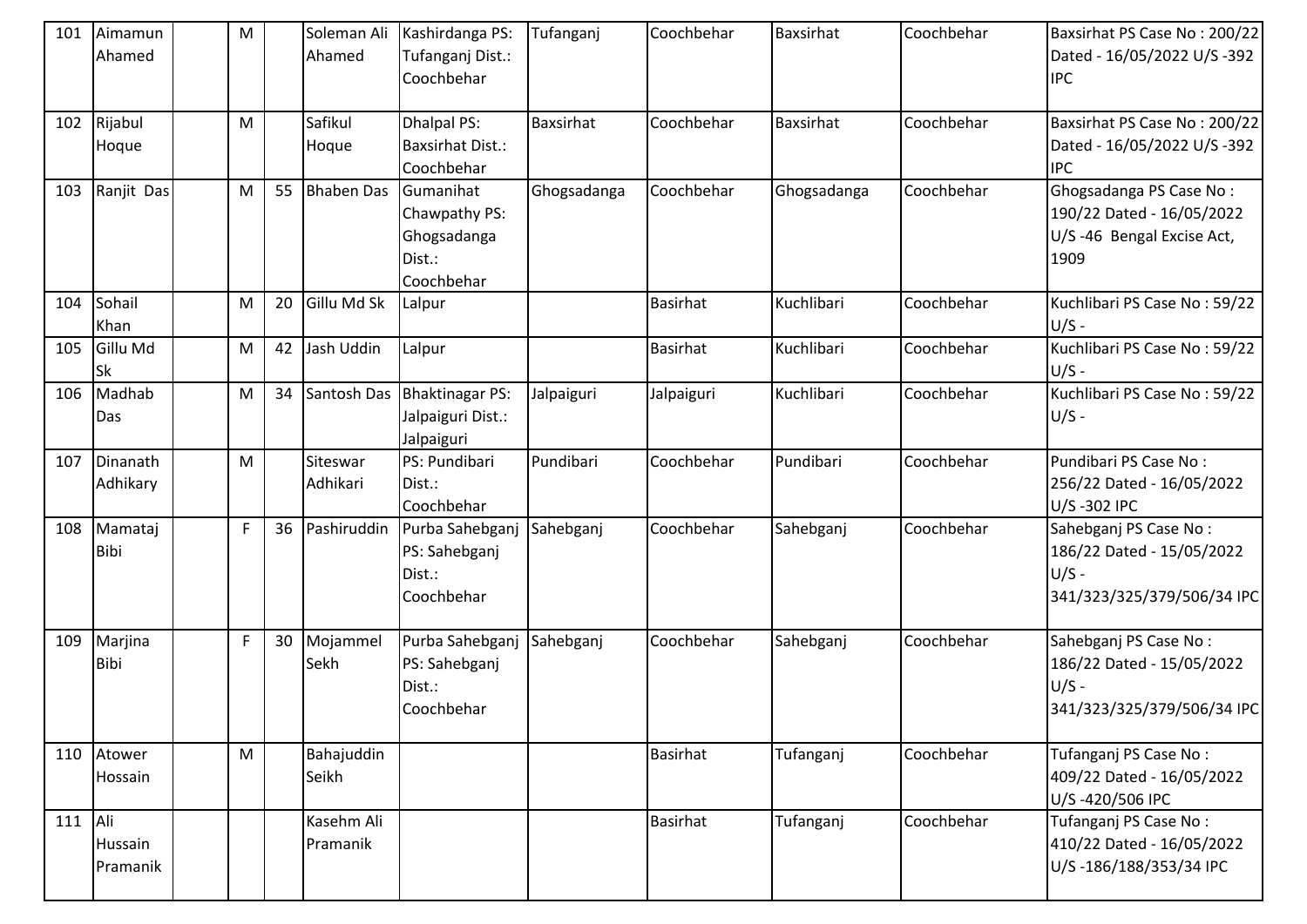| 101       | Aimamun<br>Ahamed      | M           |    | Soleman Ali<br>Ahamed  | Kashirdanga PS:<br>Tufanganj Dist.:<br>Coochbehar                 | Tufanganj        | Coochbehar      | Baxsirhat        | Coochbehar | Baxsirhat PS Case No: 200/22<br>Dated - 16/05/2022 U/S -392<br><b>IPC</b>                   |
|-----------|------------------------|-------------|----|------------------------|-------------------------------------------------------------------|------------------|-----------------|------------------|------------|---------------------------------------------------------------------------------------------|
| 102       | Rijabul<br>Hoque       | M           |    | Safikul<br>Hoque       | Dhalpal PS:<br><b>Baxsirhat Dist.:</b><br>Coochbehar              | <b>Baxsirhat</b> | Coochbehar      | <b>Baxsirhat</b> | Coochbehar | Baxsirhat PS Case No: 200/22<br>Dated - 16/05/2022 U/S -392<br><b>IPC</b>                   |
| 103       | Ranjit Das             | M           | 55 | <b>Bhaben Das</b>      | Gumanihat<br>Chawpathy PS:<br>Ghogsadanga<br>Dist.:<br>Coochbehar | Ghogsadanga      | Coochbehar      | Ghogsadanga      | Coochbehar | Ghogsadanga PS Case No:<br>190/22 Dated - 16/05/2022<br>U/S-46 Bengal Excise Act,<br>1909   |
| 104       | Sohail<br>Khan         | M           | 20 | Gillu Md Sk            | Lalpur                                                            |                  | <b>Basirhat</b> | Kuchlibari       | Coochbehar | Kuchlibari PS Case No: 59/22<br>$U/S -$                                                     |
| 105       | Gillu Md<br><b>Sk</b>  | M           | 42 | Jash Uddin             | Lalpur                                                            |                  | <b>Basirhat</b> | Kuchlibari       | Coochbehar | Kuchlibari PS Case No: 59/22<br>$U/S -$                                                     |
| 106       | Madhab<br>Das          | M           | 34 | Santosh Das            | Bhaktinagar PS:<br>Jalpaiguri Dist.:<br>Jalpaiguri                | Jalpaiguri       | Jalpaiguri      | Kuchlibari       | Coochbehar | Kuchlibari PS Case No: 59/22<br>$U/S -$                                                     |
| 107       | Dinanath<br>Adhikary   | M           |    | Siteswar<br>Adhikari   | PS: Pundibari<br>Dist.:<br>Coochbehar                             | Pundibari        | Coochbehar      | Pundibari        | Coochbehar | Pundibari PS Case No:<br>256/22 Dated - 16/05/2022<br>U/S-302 IPC                           |
| 108       | Mamataj<br><b>Bibi</b> | $\mathsf F$ | 36 | Pashiruddin            | Purba Sahebganj<br>PS: Sahebganj<br>Dist.:<br>Coochbehar          | Sahebganj        | Coochbehar      | Sahebganj        | Coochbehar | Sahebganj PS Case No:<br>186/22 Dated - 15/05/2022<br>$U/S -$<br>341/323/325/379/506/34 IPC |
| 109       | Marjina<br><b>Bibi</b> | F           | 30 | Mojammel<br>Sekh       | Purba Sahebganj<br>PS: Sahebganj<br>Dist.:<br>Coochbehar          | Sahebganj        | Coochbehar      | Sahebganj        | Coochbehar | Sahebganj PS Case No:<br>186/22 Dated - 15/05/2022<br>$U/S -$<br>341/323/325/379/506/34 IPC |
|           | 110 Atower<br>Hossain  | M           |    | Bahajuddin<br>Seikh    |                                                                   |                  | <b>Basirhat</b> | Tufanganj        | Coochbehar | Tufanganj PS Case No:<br>409/22 Dated - 16/05/2022<br>U/S-420/506 IPC                       |
| $111$ Ali | Hussain<br>Pramanik    |             |    | Kasehm Ali<br>Pramanik |                                                                   |                  | <b>Basirhat</b> | Tufanganj        | Coochbehar | Tufanganj PS Case No:<br>410/22 Dated - 16/05/2022<br>U/S-186/188/353/34 IPC                |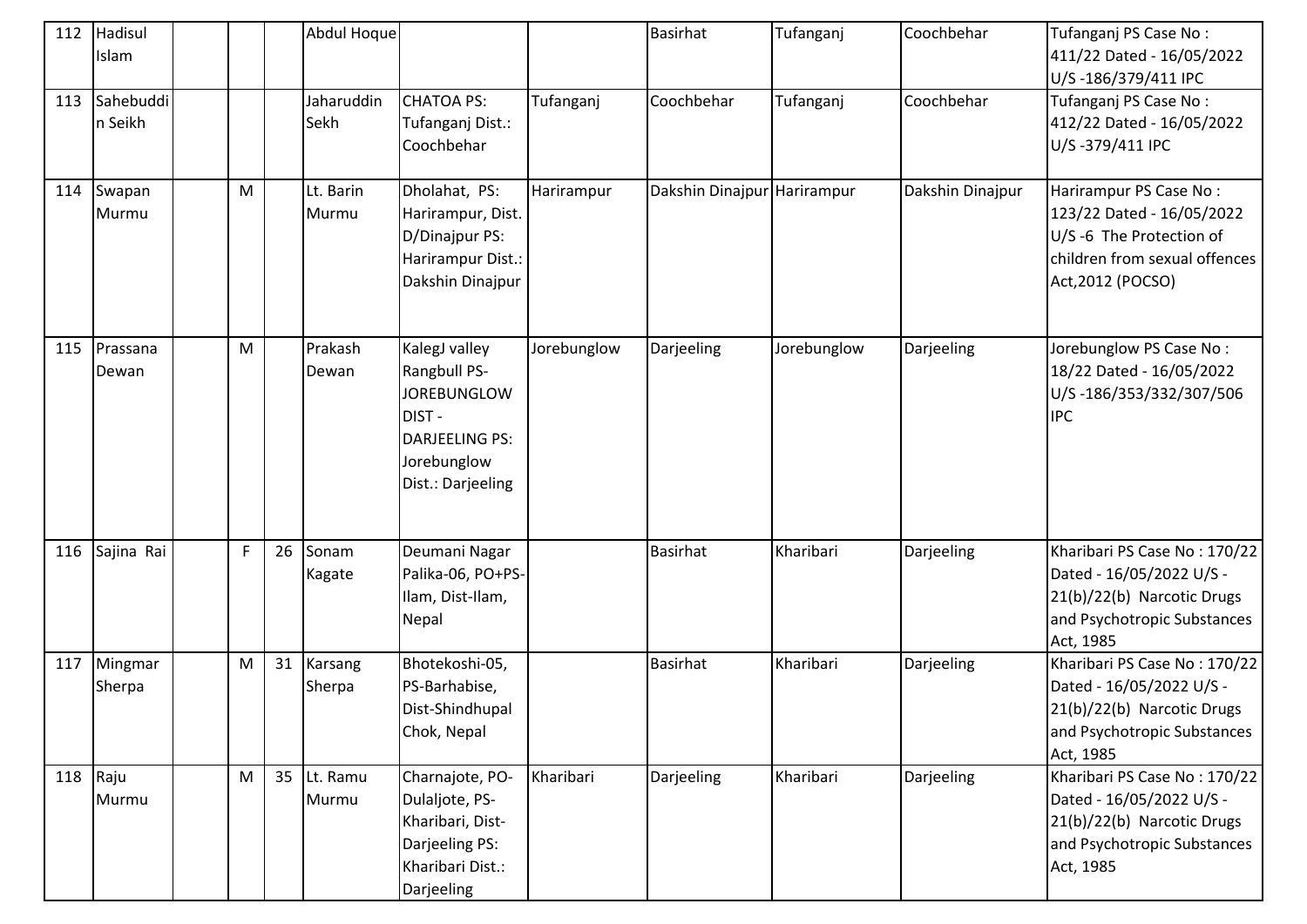| 112 | Hadisul<br>Islam      |   |    | Abdul Hoque               |                                                                                                                           |             | <b>Basirhat</b>             | Tufanganj   | Coochbehar       | Tufanganj PS Case No:<br>411/22 Dated - 16/05/2022                                                                                   |
|-----|-----------------------|---|----|---------------------------|---------------------------------------------------------------------------------------------------------------------------|-------------|-----------------------------|-------------|------------------|--------------------------------------------------------------------------------------------------------------------------------------|
|     |                       |   |    |                           |                                                                                                                           |             |                             |             |                  | U/S-186/379/411 IPC                                                                                                                  |
| 113 | Sahebuddi<br>n Seikh  |   |    | Jaharuddin<br><b>Sekh</b> | <b>CHATOA PS:</b><br>Tufanganj Dist.:<br>Coochbehar                                                                       | Tufanganj   | Coochbehar                  | Tufanganj   | Coochbehar       | Tufanganj PS Case No:<br>412/22 Dated - 16/05/2022<br>U/S-379/411 IPC                                                                |
|     | 114 Swapan<br>Murmu   | M |    | Lt. Barin<br>Murmu        | Dholahat, PS:<br>Harirampur, Dist.<br>D/Dinajpur PS:<br>Harirampur Dist.:<br>Dakshin Dinajpur                             | Harirampur  | Dakshin Dinajpur Harirampur |             | Dakshin Dinajpur | Harirampur PS Case No:<br>123/22 Dated - 16/05/2022<br>U/S-6 The Protection of<br>children from sexual offences<br>Act, 2012 (POCSO) |
|     | 115 Prassana<br>Dewan | M |    | Prakash<br>Dewan          | KalegJ valley<br>Rangbull PS-<br><b>JOREBUNGLOW</b><br>DIST-<br><b>DARJEELING PS:</b><br>Jorebunglow<br>Dist.: Darjeeling | Jorebunglow | Darjeeling                  | Jorebunglow | Darjeeling       | Jorebunglow PS Case No:<br>18/22 Dated - 16/05/2022<br>U/S-186/353/332/307/506<br><b>IPC</b>                                         |
|     | 116 Sajina Rai        | F | 26 | Sonam<br>Kagate           | Deumani Nagar<br>Palika-06, PO+PS-<br>Ilam, Dist-Ilam,<br>Nepal                                                           |             | <b>Basirhat</b>             | Kharibari   | Darjeeling       | Kharibari PS Case No: 170/22<br>Dated - 16/05/2022 U/S -<br>21(b)/22(b) Narcotic Drugs<br>and Psychotropic Substances<br>Act, 1985   |
| 117 | Mingmar<br>Sherpa     | M | 31 | Karsang<br>Sherpa         | Bhotekoshi-05,<br>PS-Barhabise,<br>Dist-Shindhupal<br>Chok, Nepal                                                         |             | <b>Basirhat</b>             | Kharibari   | Darjeeling       | Kharibari PS Case No: 170/22<br>Dated - 16/05/2022 U/S -<br>21(b)/22(b) Narcotic Drugs<br>and Psychotropic Substances<br>Act, 1985   |
|     | 118 Raju<br>Murmu     | M | 35 | Lt. Ramu<br>Murmu         | Charnajote, PO-<br>Dulaljote, PS-<br>Kharibari, Dist-<br>Darjeeling PS:<br>Kharibari Dist.:<br>Darjeeling                 | Kharibari   | Darjeeling                  | Kharibari   | Darjeeling       | Kharibari PS Case No: 170/22<br>Dated - 16/05/2022 U/S -<br>21(b)/22(b) Narcotic Drugs<br>and Psychotropic Substances<br>Act, 1985   |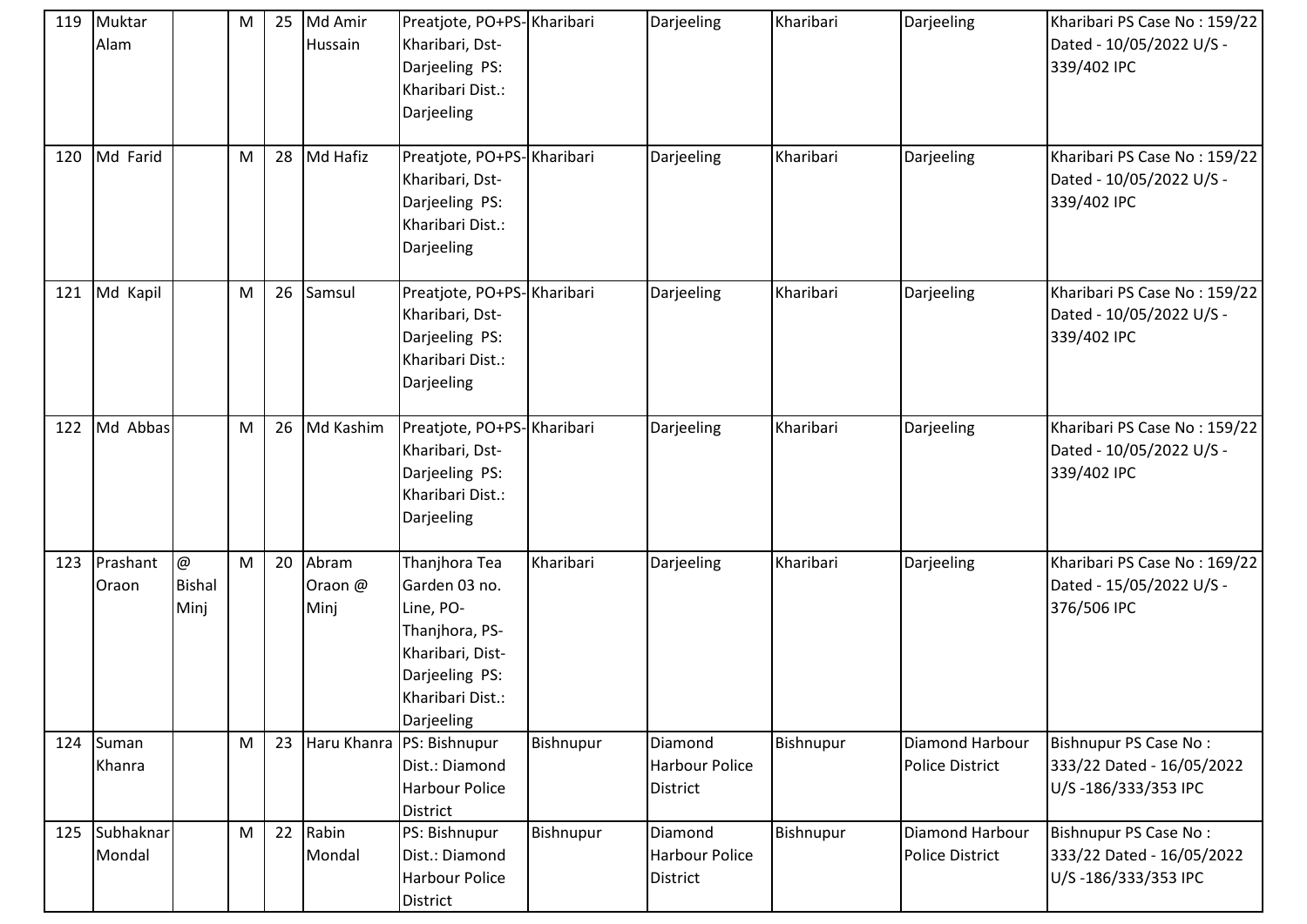| 119 | Muktar<br>Alam          |                            | M         | 25 | Md Amir<br>Hussain       | Preatjote, PO+PS-Kharibari<br>Kharibari, Dst-<br>Darjeeling PS:<br>Kharibari Dist.:<br>Darjeeling                                     |           | Darjeeling                                   | Kharibari | Darjeeling                                | Kharibari PS Case No: 159/22<br>Dated - 10/05/2022 U/S -<br>339/402 IPC   |
|-----|-------------------------|----------------------------|-----------|----|--------------------------|---------------------------------------------------------------------------------------------------------------------------------------|-----------|----------------------------------------------|-----------|-------------------------------------------|---------------------------------------------------------------------------|
| 120 | Md Farid                |                            | ${\sf M}$ | 28 | Md Hafiz                 | Preatjote, PO+PS-Kharibari<br>Kharibari, Dst-<br>Darjeeling PS:<br>Kharibari Dist.:<br>Darjeeling                                     |           | Darjeeling                                   | Kharibari | Darjeeling                                | Kharibari PS Case No: 159/22<br>Dated - 10/05/2022 U/S -<br>339/402 IPC   |
| 121 | Md Kapil                |                            | M         | 26 | Samsul                   | Preatjote, PO+PS-Kharibari<br>Kharibari, Dst-<br>Darjeeling PS:<br>Kharibari Dist.:<br>Darjeeling                                     |           | Darjeeling                                   | Kharibari | Darjeeling                                | Kharibari PS Case No: 159/22<br>Dated - 10/05/2022 U/S -<br>339/402 IPC   |
| 122 | Md Abbas                |                            | M         | 26 | Md Kashim                | Preatjote, PO+PS-Kharibari<br>Kharibari, Dst-<br>Darjeeling PS:<br>Kharibari Dist.:<br>Darjeeling                                     |           | Darjeeling                                   | Kharibari | Darjeeling                                | Kharibari PS Case No: 159/22<br>Dated - 10/05/2022 U/S -<br>339/402 IPC   |
| 123 | Prashant<br>Oraon       | @<br><b>Bishal</b><br>Minj | M         | 20 | Abram<br>Oraon @<br>Minj | Thanjhora Tea<br>Garden 03 no.<br>Line, PO-<br>Thanjhora, PS-<br>Kharibari, Dist-<br>Darjeeling PS:<br>Kharibari Dist.:<br>Darjeeling | Kharibari | Darjeeling                                   | Kharibari | Darjeeling                                | Kharibari PS Case No: 169/22<br>Dated - 15/05/2022 U/S -<br>376/506 IPC   |
|     | 124 Suman<br>Khanra     |                            | M         | 23 |                          | Haru Khanra PS: Bishnupur<br>Dist.: Diamond<br><b>Harbour Police</b><br><b>District</b>                                               | Bishnupur | Diamond<br>Harbour Police<br><b>District</b> | Bishnupur | Diamond Harbour<br><b>Police District</b> | Bishnupur PS Case No:<br>333/22 Dated - 16/05/2022<br>U/S-186/333/353 IPC |
|     | 125 Subhaknar<br>Mondal |                            | M         | 22 | Rabin<br>Mondal          | PS: Bishnupur<br>Dist.: Diamond<br><b>Harbour Police</b><br>District                                                                  | Bishnupur | Diamond<br><b>Harbour Police</b><br>District | Bishnupur | Diamond Harbour<br><b>Police District</b> | Bishnupur PS Case No:<br>333/22 Dated - 16/05/2022<br>U/S-186/333/353 IPC |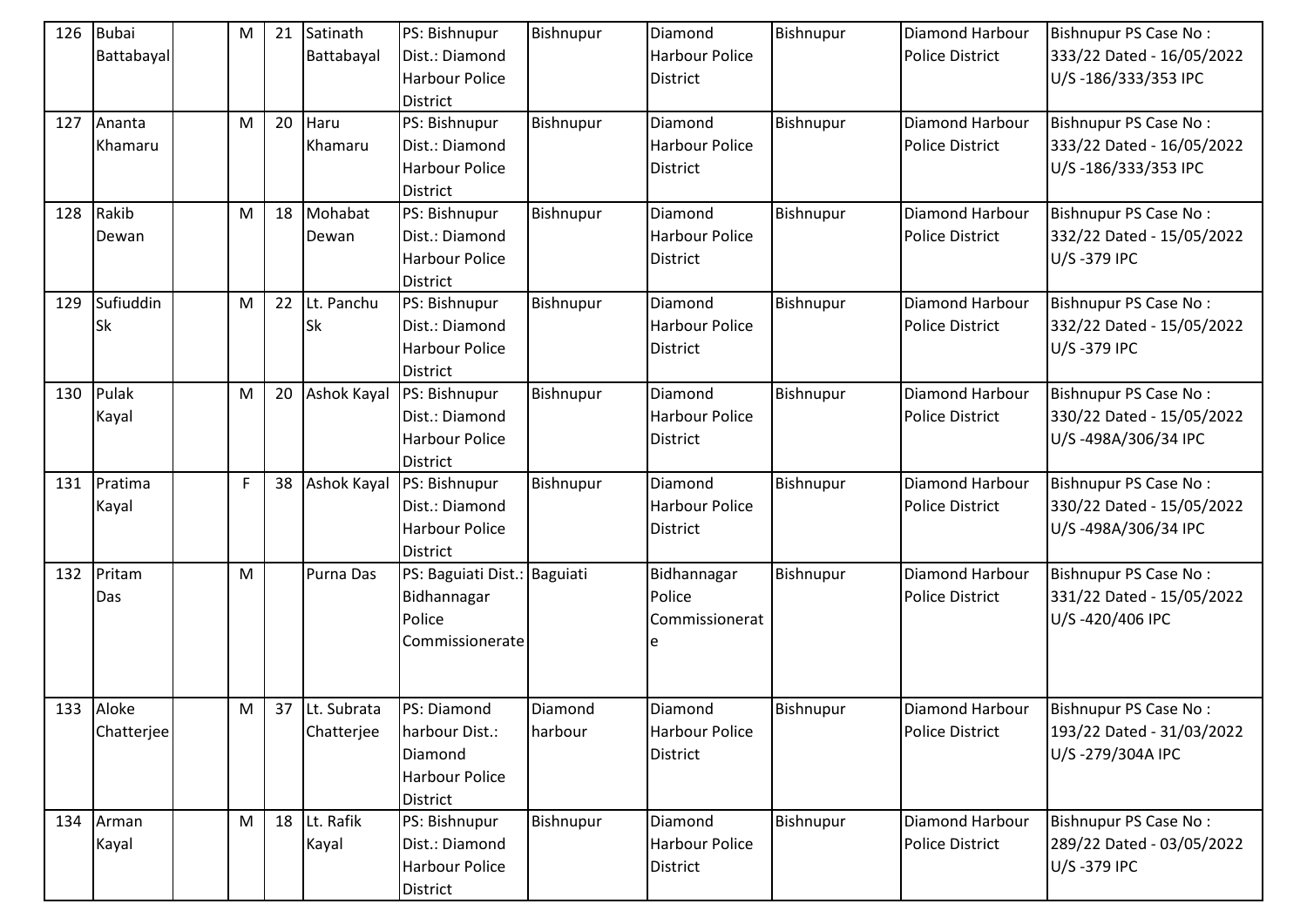| 126 | <b>Bubai</b><br>Battabayal | M | 21 | Satinath<br>Battabayal    | PS: Bishnupur<br>Dist.: Diamond<br><b>Harbour Police</b><br><b>District</b> | Bishnupur          | Diamond<br>Harbour Police<br><b>District</b>        | Bishnupur | <b>Diamond Harbour</b><br><b>Police District</b> | Bishnupur PS Case No:<br>333/22 Dated - 16/05/2022<br>U/S-186/333/353 IPC |
|-----|----------------------------|---|----|---------------------------|-----------------------------------------------------------------------------|--------------------|-----------------------------------------------------|-----------|--------------------------------------------------|---------------------------------------------------------------------------|
| 127 | Ananta<br>Khamaru          | M | 20 | Haru<br>Khamaru           | PS: Bishnupur<br>Dist.: Diamond<br><b>Harbour Police</b><br><b>District</b> | Bishnupur          | Diamond<br>Harbour Police<br><b>District</b>        | Bishnupur | Diamond Harbour<br><b>Police District</b>        | Bishnupur PS Case No:<br>333/22 Dated - 16/05/2022<br>U/S-186/333/353 IPC |
| 128 | Rakib<br>Dewan             | M | 18 | Mohabat<br>Dewan          | PS: Bishnupur<br>Dist.: Diamond<br><b>Harbour Police</b><br><b>District</b> | Bishnupur          | Diamond<br>Harbour Police<br><b>District</b>        | Bishnupur | Diamond Harbour<br><b>Police District</b>        | Bishnupur PS Case No:<br>332/22 Dated - 15/05/2022<br>U/S-379 IPC         |
| 129 | Sufiuddin<br><b>Sk</b>     | M | 22 | Lt. Panchu<br><b>Sk</b>   | PS: Bishnupur<br>Dist.: Diamond<br>Harbour Police<br><b>District</b>        | Bishnupur          | Diamond<br>Harbour Police<br><b>District</b>        | Bishnupur | Diamond Harbour<br><b>Police District</b>        | Bishnupur PS Case No:<br>332/22 Dated - 15/05/2022<br>U/S-379 IPC         |
| 130 | Pulak<br>Kayal             | M | 20 | <b>Ashok Kayal</b>        | PS: Bishnupur<br>Dist.: Diamond<br><b>Harbour Police</b><br><b>District</b> | Bishnupur          | Diamond<br>Harbour Police<br><b>District</b>        | Bishnupur | Diamond Harbour<br><b>Police District</b>        | Bishnupur PS Case No:<br>330/22 Dated - 15/05/2022<br>U/S-498A/306/34 IPC |
| 131 | Pratima<br>Kayal           | F | 38 | Ashok Kayal               | PS: Bishnupur<br>Dist.: Diamond<br><b>Harbour Police</b><br><b>District</b> | Bishnupur          | Diamond<br>Harbour Police<br><b>District</b>        | Bishnupur | Diamond Harbour<br><b>Police District</b>        | Bishnupur PS Case No:<br>330/22 Dated - 15/05/2022<br>U/S-498A/306/34 IPC |
| 132 | Pritam<br>Das              | M |    | Purna Das                 | PS: Baguiati Dist.: Baguiati<br>Bidhannagar<br>Police<br>Commissionerate    |                    | Bidhannagar<br>Police<br>Commissionerat             | Bishnupur | Diamond Harbour<br><b>Police District</b>        | Bishnupur PS Case No:<br>331/22 Dated - 15/05/2022<br>U/S-420/406 IPC     |
|     | 133 Aloke<br>Chatterjee    | M | 37 | Lt. Subrata<br>Chatterjee | PS: Diamond<br>harbour Dist.:<br>Diamond<br>Harbour Police<br>District      | Diamond<br>harbour | Diamond<br><b>Harbour Police</b><br><b>District</b> | Bishnupur | <b>Diamond Harbour</b><br><b>Police District</b> | Bishnupur PS Case No:<br>193/22 Dated - 31/03/2022<br>U/S-279/304A IPC    |
| 134 | Arman<br>Kayal             | M | 18 | Lt. Rafik<br>Kayal        | PS: Bishnupur<br>Dist.: Diamond<br><b>Harbour Police</b><br>District        | Bishnupur          | Diamond<br><b>Harbour Police</b><br><b>District</b> | Bishnupur | Diamond Harbour<br>Police District               | Bishnupur PS Case No:<br>289/22 Dated - 03/05/2022<br>U/S-379 IPC         |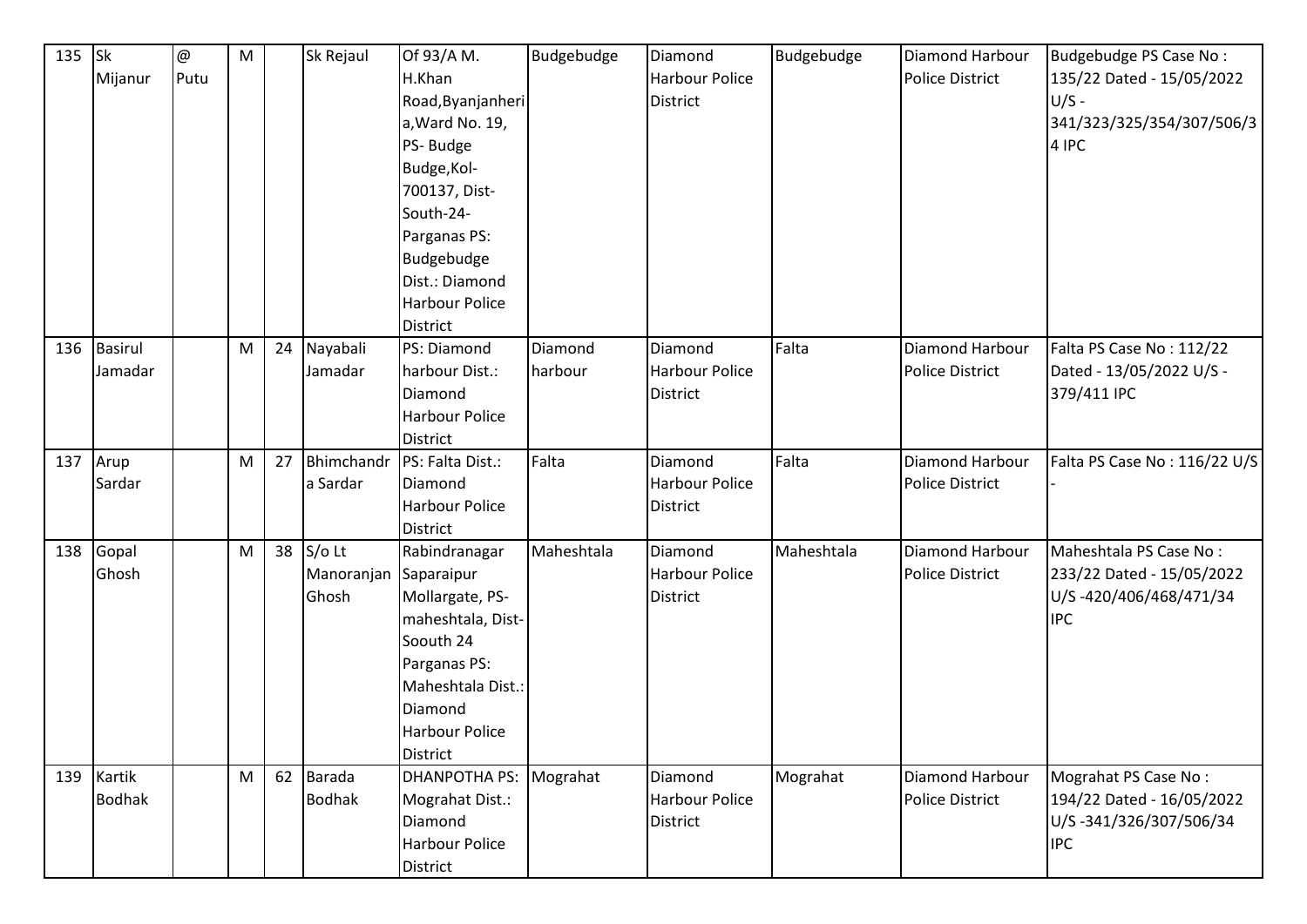| 135 Sk |               | $^\text{\textregistered}$ | ${\sf M}$ |    | Sk Rejaul     | Of 93/A M.            | Budgebudge | Diamond               | Budgebudge | Diamond Harbour        | Budgebudge PS Case No:       |
|--------|---------------|---------------------------|-----------|----|---------------|-----------------------|------------|-----------------------|------------|------------------------|------------------------------|
|        | Mijanur       | Putu                      |           |    |               | H.Khan                |            | Harbour Police        |            | <b>Police District</b> | 135/22 Dated - 15/05/2022    |
|        |               |                           |           |    |               | Road, Byanjanheri     |            | <b>District</b>       |            |                        | $U/S -$                      |
|        |               |                           |           |    |               | a, Ward No. 19,       |            |                       |            |                        | 341/323/325/354/307/506/3    |
|        |               |                           |           |    |               | PS-Budge              |            |                       |            |                        | 4 IPC                        |
|        |               |                           |           |    |               | Budge, Kol-           |            |                       |            |                        |                              |
|        |               |                           |           |    |               | 700137, Dist-         |            |                       |            |                        |                              |
|        |               |                           |           |    |               | South-24-             |            |                       |            |                        |                              |
|        |               |                           |           |    |               | Parganas PS:          |            |                       |            |                        |                              |
|        |               |                           |           |    |               | Budgebudge            |            |                       |            |                        |                              |
|        |               |                           |           |    |               | Dist.: Diamond        |            |                       |            |                        |                              |
|        |               |                           |           |    |               | <b>Harbour Police</b> |            |                       |            |                        |                              |
|        |               |                           |           |    |               | <b>District</b>       |            |                       |            |                        |                              |
| 136    | Basirul       |                           | M         | 24 | Nayabali      | PS: Diamond           | Diamond    | Diamond               | Falta      | Diamond Harbour        | Falta PS Case No: 112/22     |
|        | Jamadar       |                           |           |    | Jamadar       | harbour Dist.:        | harbour    | Harbour Police        |            | <b>Police District</b> | Dated - 13/05/2022 U/S -     |
|        |               |                           |           |    |               | Diamond               |            | <b>District</b>       |            |                        | 379/411 IPC                  |
|        |               |                           |           |    |               | <b>Harbour Police</b> |            |                       |            |                        |                              |
|        |               |                           |           |    |               | <b>District</b>       |            |                       |            |                        |                              |
| 137    | Arup          |                           | M         | 27 | Bhimchandr    | PS: Falta Dist.:      | Falta      | Diamond               | Falta      | Diamond Harbour        | Falta PS Case No: 116/22 U/S |
|        | Sardar        |                           |           |    | a Sardar      | Diamond               |            | <b>Harbour Police</b> |            | <b>Police District</b> |                              |
|        |               |                           |           |    |               | <b>Harbour Police</b> |            | <b>District</b>       |            |                        |                              |
|        |               |                           |           |    |               | <b>District</b>       |            |                       |            |                        |                              |
| 138    | Gopal         |                           | M         | 38 | $S/O$ Lt      | Rabindranagar         | Maheshtala | Diamond               | Maheshtala | Diamond Harbour        | Maheshtala PS Case No:       |
|        | Ghosh         |                           |           |    | Manoranjan    | Saparaipur            |            | <b>Harbour Police</b> |            | <b>Police District</b> | 233/22 Dated - 15/05/2022    |
|        |               |                           |           |    | Ghosh         | Mollargate, PS-       |            | <b>District</b>       |            |                        | U/S-420/406/468/471/34       |
|        |               |                           |           |    |               | maheshtala, Dist-     |            |                       |            |                        | <b>IPC</b>                   |
|        |               |                           |           |    |               | Soouth 24             |            |                       |            |                        |                              |
|        |               |                           |           |    |               | Parganas PS:          |            |                       |            |                        |                              |
|        |               |                           |           |    |               | Maheshtala Dist.:     |            |                       |            |                        |                              |
|        |               |                           |           |    |               | Diamond               |            |                       |            |                        |                              |
|        |               |                           |           |    |               | Harbour Police        |            |                       |            |                        |                              |
|        |               |                           |           |    |               | <b>District</b>       |            |                       |            |                        |                              |
|        | 139 Kartik    |                           | M         | 62 | Barada        | <b>DHANPOTHA PS:</b>  | Mograhat   | Diamond               | Mograhat   | Diamond Harbour        | Mograhat PS Case No:         |
|        | <b>Bodhak</b> |                           |           |    | <b>Bodhak</b> | Mograhat Dist.:       |            | Harbour Police        |            | <b>Police District</b> | 194/22 Dated - 16/05/2022    |
|        |               |                           |           |    |               | Diamond               |            | District              |            |                        | U/S-341/326/307/506/34       |
|        |               |                           |           |    |               | Harbour Police        |            |                       |            |                        | <b>IPC</b>                   |
|        |               |                           |           |    |               | District              |            |                       |            |                        |                              |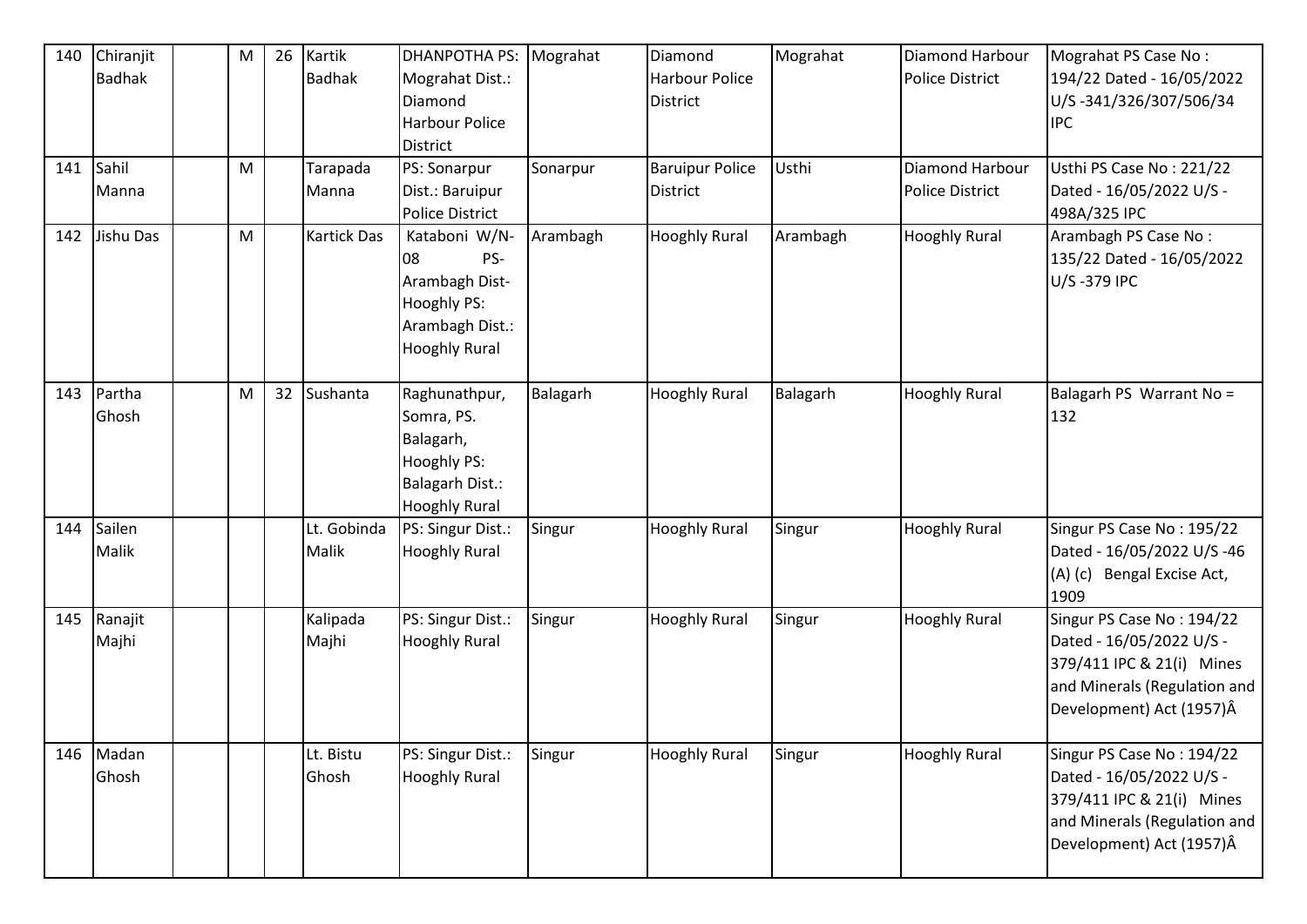| 140<br>141 | Chiranjit<br><b>Badhak</b><br>Sahil<br>Manna | M<br>M | 26 | Kartik<br><b>Badhak</b><br>Tarapada<br>Manna | <b>DHANPOTHA PS:</b><br>Mograhat Dist.:<br>Diamond<br><b>Harbour Police</b><br><b>District</b><br>PS: Sonarpur<br>Dist.: Baruipur<br><b>Police District</b> | Mograhat<br>Sonarpur | Diamond<br>Harbour Police<br><b>District</b><br><b>Baruipur Police</b><br><b>District</b> | Mograhat<br>Usthi | Diamond Harbour<br><b>Police District</b><br>Diamond Harbour<br><b>Police District</b> | Mograhat PS Case No:<br>194/22 Dated - 16/05/2022<br>U/S-341/326/307/506/34<br><b>IPC</b><br>Usthi PS Case No: 221/22<br>Dated - 16/05/2022 U/S -<br>498A/325 IPC |
|------------|----------------------------------------------|--------|----|----------------------------------------------|-------------------------------------------------------------------------------------------------------------------------------------------------------------|----------------------|-------------------------------------------------------------------------------------------|-------------------|----------------------------------------------------------------------------------------|-------------------------------------------------------------------------------------------------------------------------------------------------------------------|
| 142        | Jishu Das                                    | M      |    | <b>Kartick Das</b>                           | Kataboni W/N-<br>PS-<br>08<br>Arambagh Dist-<br><b>Hooghly PS:</b><br>Arambagh Dist.:<br><b>Hooghly Rural</b>                                               | Arambagh             | <b>Hooghly Rural</b>                                                                      | Arambagh          | <b>Hooghly Rural</b>                                                                   | Arambagh PS Case No:<br>135/22 Dated - 16/05/2022<br>U/S-379 IPC                                                                                                  |
|            | 143 Partha<br>Ghosh                          | M      | 32 | Sushanta                                     | Raghunathpur,<br>Somra, PS.<br>Balagarh,<br><b>Hooghly PS:</b><br><b>Balagarh Dist.:</b><br><b>Hooghly Rural</b>                                            | Balagarh             | <b>Hooghly Rural</b>                                                                      | Balagarh          | <b>Hooghly Rural</b>                                                                   | Balagarh PS Warrant No =<br>132                                                                                                                                   |
| 144        | Sailen<br>Malik                              |        |    | Lt. Gobinda<br>Malik                         | PS: Singur Dist.:<br><b>Hooghly Rural</b>                                                                                                                   | Singur               | <b>Hooghly Rural</b>                                                                      | Singur            | <b>Hooghly Rural</b>                                                                   | Singur PS Case No: 195/22<br>Dated - 16/05/2022 U/S -46<br>Bengal Excise Act,<br>$(A)$ $(c)$<br>1909                                                              |
|            | 145 Ranajit<br>Majhi                         |        |    | Kalipada<br>Majhi                            | PS: Singur Dist.:<br><b>Hooghly Rural</b>                                                                                                                   | Singur               | <b>Hooghly Rural</b>                                                                      | Singur            | <b>Hooghly Rural</b>                                                                   | Singur PS Case No: 194/22<br>Dated - 16/05/2022 U/S -<br>379/411 IPC & 21(i) Mines<br>and Minerals (Regulation and<br>Development) Act (1957)Â                    |
| 146        | Madan<br>Ghosh                               |        |    | Lt. Bistu<br>Ghosh                           | PS: Singur Dist.:<br><b>Hooghly Rural</b>                                                                                                                   | Singur               | <b>Hooghly Rural</b>                                                                      | Singur            | <b>Hooghly Rural</b>                                                                   | Singur PS Case No: 194/22<br>Dated - 16/05/2022 U/S -<br>379/411 IPC & 21(i) Mines<br>and Minerals (Regulation and<br>Development) Act (1957)Â                    |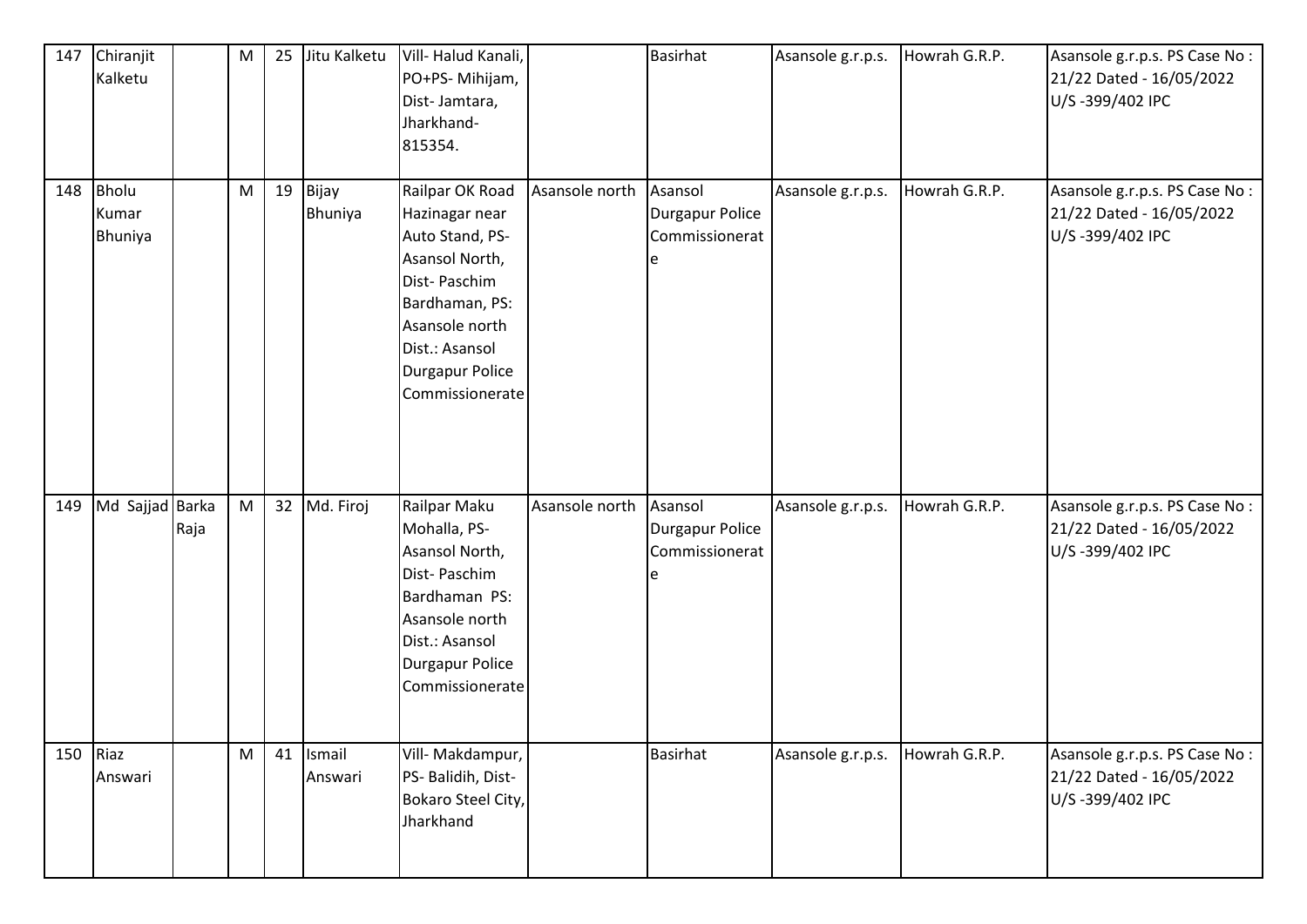| 147 | Chiranjit<br>Kalketu      |      | M | 25 Jitu Kalketu      | Vill-Halud Kanali,<br>PO+PS- Mihijam,<br>Dist-Jamtara,<br>Jharkhand-<br>815354.                                                                                                    |                | <b>Basirhat</b>                              | Asansole g.r.p.s. | Howrah G.R.P. | Asansole g.r.p.s. PS Case No:<br>21/22 Dated - 16/05/2022<br>U/S-399/402 IPC  |
|-----|---------------------------|------|---|----------------------|------------------------------------------------------------------------------------------------------------------------------------------------------------------------------------|----------------|----------------------------------------------|-------------------|---------------|-------------------------------------------------------------------------------|
| 148 | Bholu<br>Kumar<br>Bhuniya |      | M | 19 Bijay<br>Bhuniya  | Railpar OK Road<br>Hazinagar near<br>Auto Stand, PS-<br>Asansol North,<br>Dist-Paschim<br>Bardhaman, PS:<br>Asansole north<br>Dist.: Asansol<br>Durgapur Police<br>Commissionerate | Asansole north | Asansol<br>Durgapur Police<br>Commissionerat | Asansole g.r.p.s. | Howrah G.R.P. | Asansole g.r.p.s. PS Case No :<br>21/22 Dated - 16/05/2022<br>U/S-399/402 IPC |
| 149 | Md Sajjad Barka           | Raja | M | 32 Md. Firoj         | Railpar Maku<br>Mohalla, PS-<br>Asansol North,<br>Dist-Paschim<br>Bardhaman PS:<br>Asansole north<br>Dist.: Asansol<br>Durgapur Police<br>Commissionerate                          | Asansole north | Asansol<br>Durgapur Police<br>Commissionerat | Asansole g.r.p.s. | Howrah G.R.P. | Asansole g.r.p.s. PS Case No:<br>21/22 Dated - 16/05/2022<br>U/S-399/402 IPC  |
| 150 | Riaz<br>Answari           |      | M | 41 Ismail<br>Answari | Vill- Makdampur,<br>PS- Balidih, Dist-<br>Bokaro Steel City,<br>Jharkhand                                                                                                          |                | <b>Basirhat</b>                              | Asansole g.r.p.s. | Howrah G.R.P. | Asansole g.r.p.s. PS Case No :<br>21/22 Dated - 16/05/2022<br>U/S-399/402 IPC |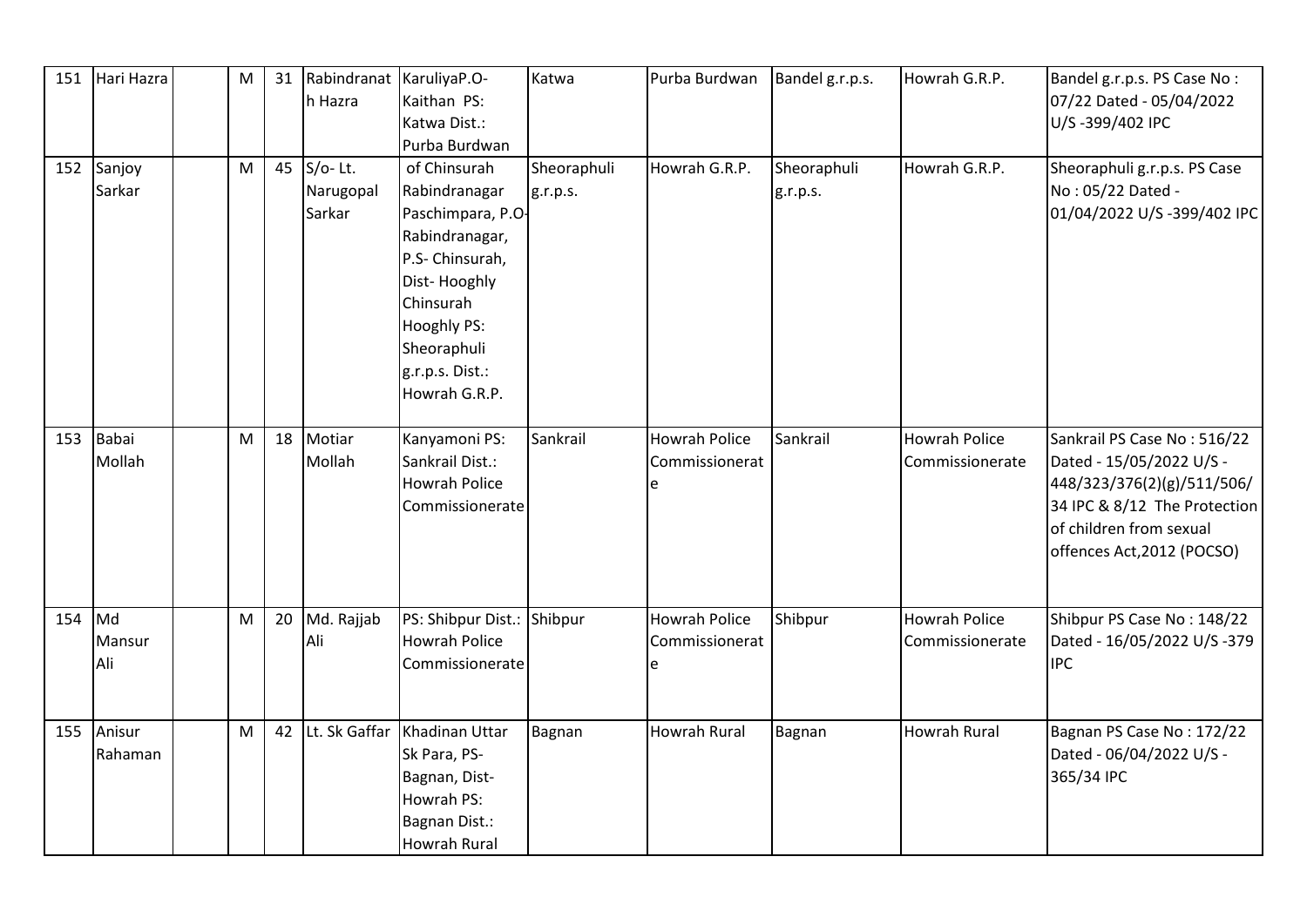| 151 | Hari Hazra           | M |    | 31 Rabindranat KaruliyaP.O-<br>h Hazra | Kaithan PS:<br>Katwa Dist.:<br>Purba Burdwan                                                                                                                                           | Katwa                   | Purba Burdwan                          | Bandel g.r.p.s.         | Howrah G.R.P.                           | Bandel g.r.p.s. PS Case No:<br>07/22 Dated - 05/04/2022<br>U/S-399/402 IPC                                                                                                     |
|-----|----------------------|---|----|----------------------------------------|----------------------------------------------------------------------------------------------------------------------------------------------------------------------------------------|-------------------------|----------------------------------------|-------------------------|-----------------------------------------|--------------------------------------------------------------------------------------------------------------------------------------------------------------------------------|
|     | 152 Sanjoy<br>Sarkar | M |    | 45 S/o-Lt.<br>Narugopal<br>Sarkar      | of Chinsurah<br>Rabindranagar<br>Paschimpara, P.O-<br>Rabindranagar,<br>P.S- Chinsurah,<br>Dist-Hooghly<br>Chinsurah<br>Hooghly PS:<br>Sheoraphuli<br>g.r.p.s. Dist.:<br>Howrah G.R.P. | Sheoraphuli<br>g.r.p.s. | Howrah G.R.P.                          | Sheoraphuli<br>g.r.p.s. | Howrah G.R.P.                           | Sheoraphuli g.r.p.s. PS Case<br>No: 05/22 Dated -<br>01/04/2022 U/S-399/402 IPC                                                                                                |
| 153 | Babai<br>Mollah      | M |    | 18 Motiar<br>Mollah                    | Kanyamoni PS:<br>Sankrail Dist.:<br><b>Howrah Police</b><br>Commissionerate                                                                                                            | Sankrail                | <b>Howrah Police</b><br>Commissionerat | Sankrail                | <b>Howrah Police</b><br>Commissionerate | Sankrail PS Case No: 516/22<br>Dated - 15/05/2022 U/S -<br>448/323/376(2)(g)/511/506/<br>34 IPC & 8/12 The Protection<br>of children from sexual<br>offences Act, 2012 (POCSO) |
| 154 | Md<br>Mansur<br>Ali  | M | 20 | Md. Rajjab<br>Ali                      | PS: Shibpur Dist.: Shibpur<br><b>Howrah Police</b><br>Commissionerate                                                                                                                  |                         | Howrah Police<br>Commissionerat        | Shibpur                 | <b>Howrah Police</b><br>Commissionerate | Shibpur PS Case No: 148/22<br>Dated - 16/05/2022 U/S -379<br><b>IPC</b>                                                                                                        |
| 155 | Anisur<br>Rahaman    | M | 42 | Lt. Sk Gaffar                          | Khadinan Uttar<br>Sk Para, PS-<br>Bagnan, Dist-<br>Howrah PS:<br>Bagnan Dist.:<br><b>Howrah Rural</b>                                                                                  | Bagnan                  | <b>Howrah Rural</b>                    | <b>Bagnan</b>           | <b>Howrah Rural</b>                     | Bagnan PS Case No: 172/22<br>Dated - 06/04/2022 U/S -<br>365/34 IPC                                                                                                            |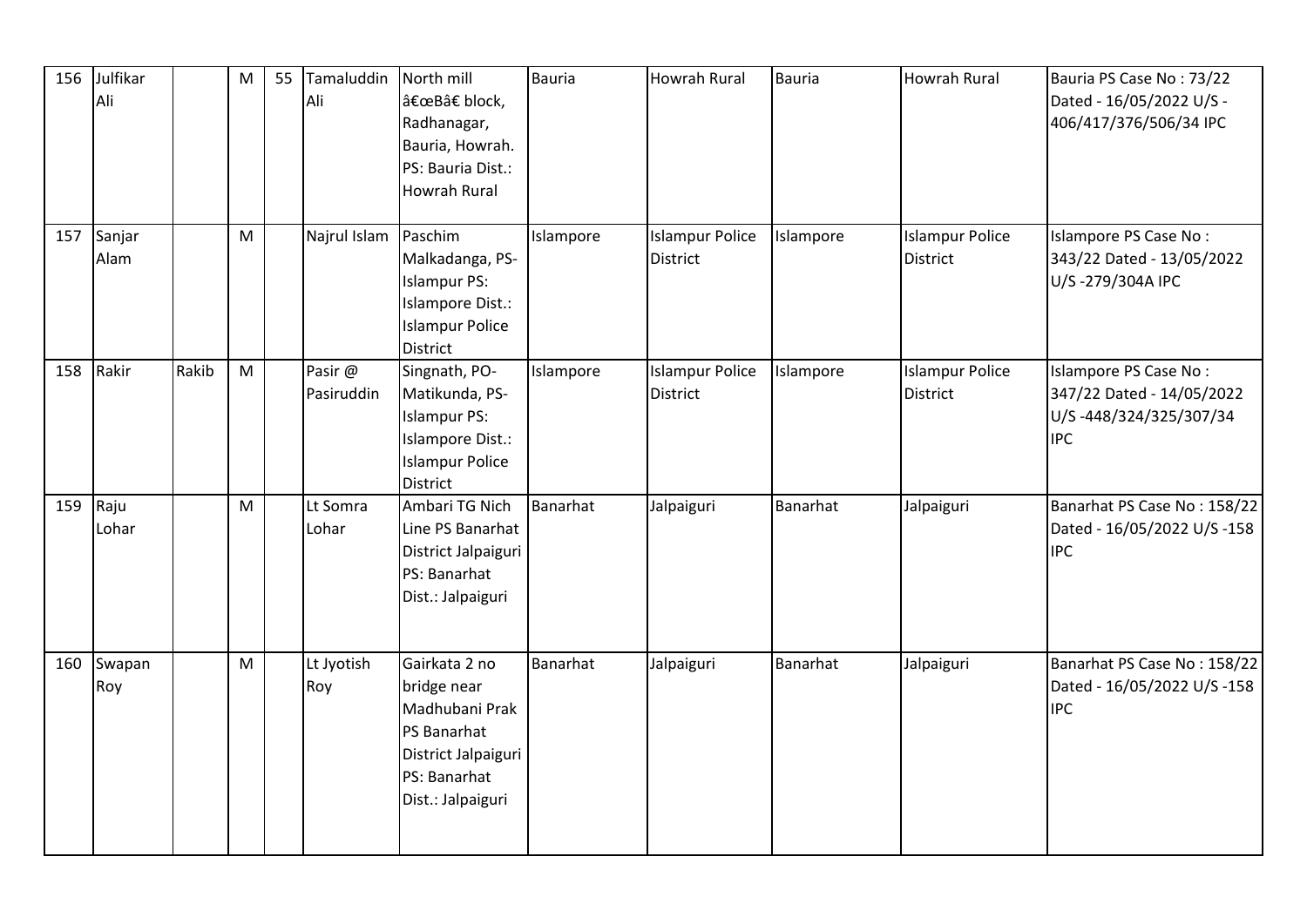| 156 | Julfikar<br>Ali |       | M | 55 | Tamaluddin<br>Ali     | North mill<br>"B†block,<br>Radhanagar,<br>Bauria, Howrah.<br>PS: Bauria Dist.:<br>Howrah Rural                            | <b>Bauria</b> | Howrah Rural                              | <b>Bauria</b> | <b>Howrah Rural</b>                       | Bauria PS Case No: 73/22<br>Dated - 16/05/2022 U/S -<br>406/417/376/506/34 IPC             |
|-----|-----------------|-------|---|----|-----------------------|---------------------------------------------------------------------------------------------------------------------------|---------------|-------------------------------------------|---------------|-------------------------------------------|--------------------------------------------------------------------------------------------|
| 157 | Sanjar<br>Alam  |       | M |    | Najrul Islam          | Paschim<br>Malkadanga, PS-<br><b>Islampur PS:</b><br>Islampore Dist.:<br><b>Islampur Police</b><br><b>District</b>        | Islampore     | <b>Islampur Police</b><br>District        | Islampore     | <b>Islampur Police</b><br>District        | Islampore PS Case No:<br>343/22 Dated - 13/05/2022<br>U/S-279/304A IPC                     |
| 158 | Rakir           | Rakib | M |    | Pasir @<br>Pasiruddin | Singnath, PO-<br>Matikunda, PS-<br><b>Islampur PS:</b><br>Islampore Dist.:<br><b>Islampur Police</b><br><b>District</b>   | Islampore     | <b>Islampur Police</b><br><b>District</b> | Islampore     | <b>Islampur Police</b><br><b>District</b> | Islampore PS Case No:<br>347/22 Dated - 14/05/2022<br>U/S-448/324/325/307/34<br><b>IPC</b> |
| 159 | Raju<br>Lohar   |       | M |    | Lt Somra<br>Lohar     | Ambari TG Nich<br>Line PS Banarhat<br>District Jalpaiguri<br>PS: Banarhat<br>Dist.: Jalpaiguri                            | Banarhat      | Jalpaiguri                                | Banarhat      | Jalpaiguri                                | Banarhat PS Case No: 158/22<br>Dated - 16/05/2022 U/S -158<br><b>IPC</b>                   |
| 160 | Swapan<br>Roy   |       | M |    | Lt Jyotish<br>Roy     | Gairkata 2 no<br>bridge near<br>Madhubani Prak<br>PS Banarhat<br>District Jalpaiguri<br>PS: Banarhat<br>Dist.: Jalpaiguri | Banarhat      | Jalpaiguri                                | Banarhat      | Jalpaiguri                                | Banarhat PS Case No: 158/22<br>Dated - 16/05/2022 U/S -158<br><b>IPC</b>                   |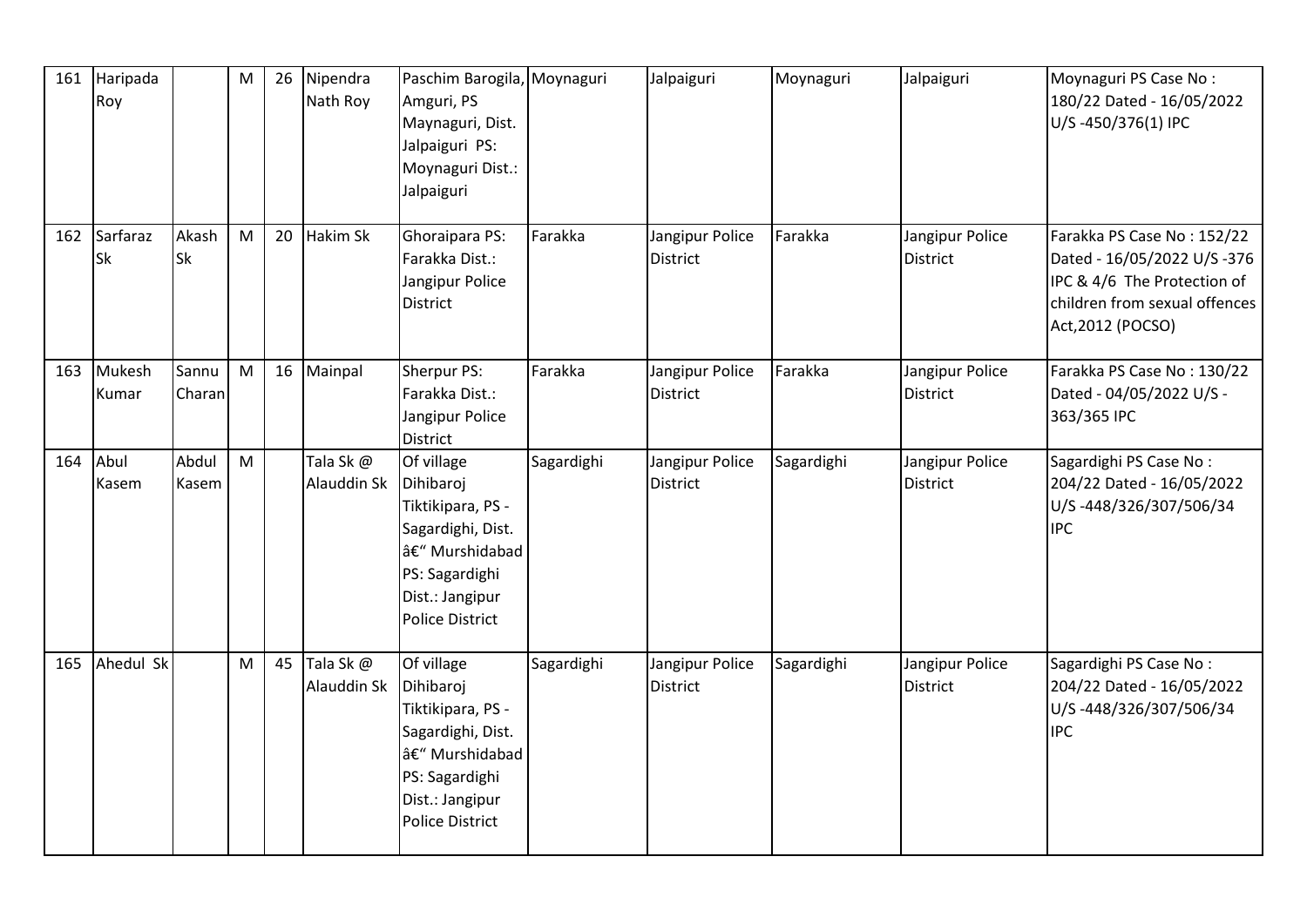| 161 | Haripada<br>Roy |                    | M |    | 26 Nipendra<br>Nath Roy     | Paschim Barogila, Moynaguri<br>Amguri, PS<br>Maynaguri, Dist.<br>Jalpaiguri PS:<br>Moynaguri Dist.:<br>Jalpaiguri                                 |            | Jalpaiguri                         | Moynaguri  | Jalpaiguri                         | Moynaguri PS Case No:<br>180/22 Dated - 16/05/2022<br>U/S-450/376(1) IPC                                                                       |
|-----|-----------------|--------------------|---|----|-----------------------------|---------------------------------------------------------------------------------------------------------------------------------------------------|------------|------------------------------------|------------|------------------------------------|------------------------------------------------------------------------------------------------------------------------------------------------|
| 162 | Sarfaraz<br>Sk  | Akash<br><b>Sk</b> | M | 20 | Hakim Sk                    | Ghoraipara PS:<br>Farakka Dist.:<br>Jangipur Police<br><b>District</b>                                                                            | Farakka    | Jangipur Police<br><b>District</b> | Farakka    | Jangipur Police<br><b>District</b> | Farakka PS Case No: 152/22<br>Dated - 16/05/2022 U/S -376<br>IPC & 4/6 The Protection of<br>children from sexual offences<br>Act, 2012 (POCSO) |
| 163 | Mukesh<br>Kumar | Sannu<br>Charan    | M |    | 16 Mainpal                  | Sherpur PS:<br>Farakka Dist.:<br>Jangipur Police<br><b>District</b>                                                                               | Farakka    | Jangipur Police<br><b>District</b> | Farakka    | Jangipur Police<br><b>District</b> | Farakka PS Case No: 130/22<br>Dated - 04/05/2022 U/S -<br>363/365 IPC                                                                          |
| 164 | Abul<br>Kasem   | Abdul<br>Kasem     | M |    | Tala Sk@<br>Alauddin Sk     | Of village<br>Dihibaroj<br>Tiktikipara, PS -<br>Sagardighi, Dist.<br>– Murshidabad<br>PS: Sagardighi<br>Dist.: Jangipur<br><b>Police District</b> | Sagardighi | Jangipur Police<br><b>District</b> | Sagardighi | Jangipur Police<br>District        | Sagardighi PS Case No:<br>204/22 Dated - 16/05/2022<br>U/S-448/326/307/506/34<br><b>IPC</b>                                                    |
| 165 | Ahedul Sk       |                    | M |    | 45 Tala Sk @<br>Alauddin Sk | Of village<br>Dihibaroj<br>Tiktikipara, PS -<br>Sagardighi, Dist.<br>– Murshidabad<br>PS: Sagardighi<br>Dist.: Jangipur<br><b>Police District</b> | Sagardighi | Jangipur Police<br><b>District</b> | Sagardighi | Jangipur Police<br><b>District</b> | Sagardighi PS Case No:<br>204/22 Dated - 16/05/2022<br>U/S-448/326/307/506/34<br><b>IPC</b>                                                    |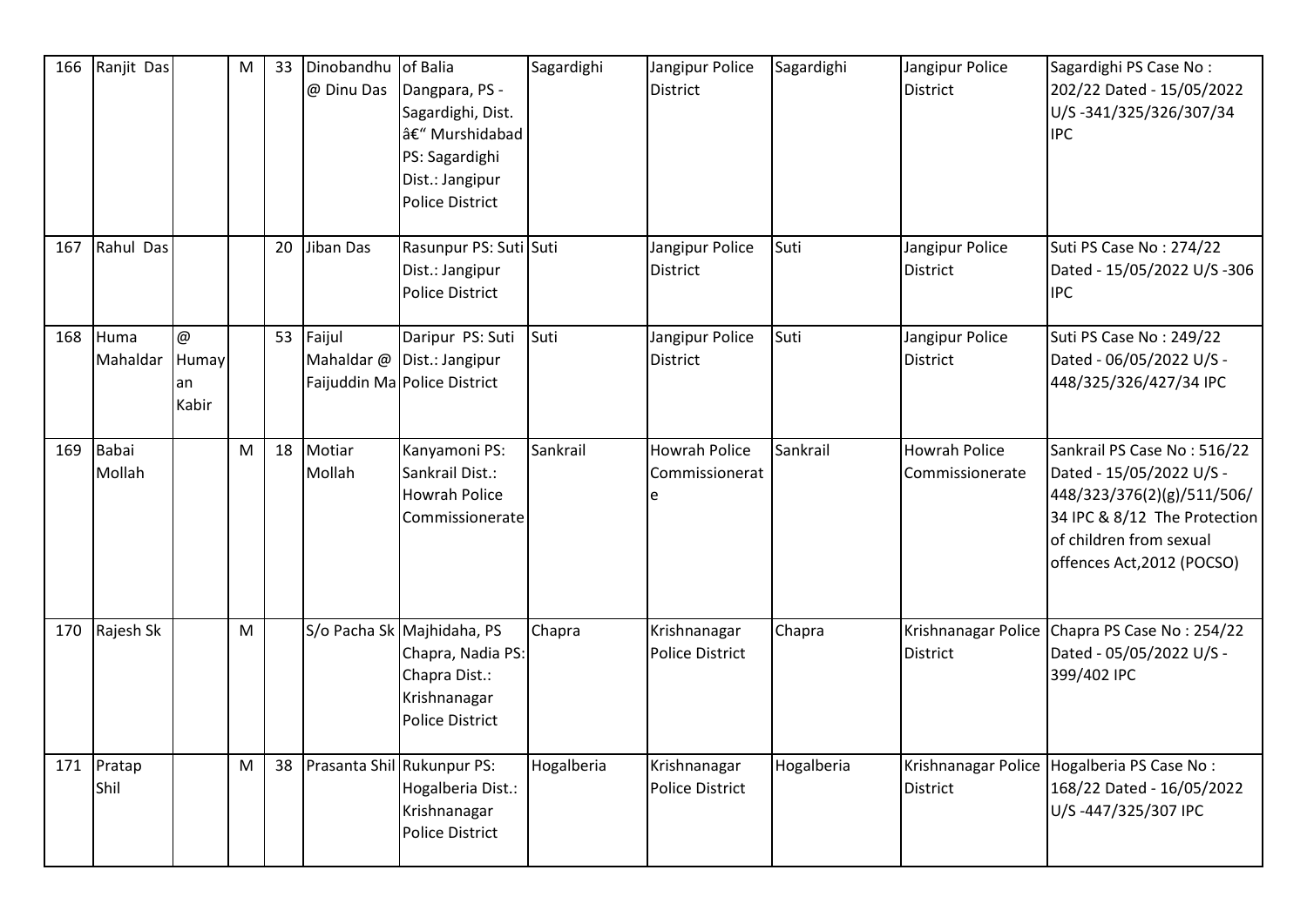| 166 | Ranjit Das         |                                  | M | 33 | Dinobandhu<br>@ Dinu Das | of Balia<br>Dangpara, PS -<br>Sagardighi, Dist.<br>– Murshidabad<br>PS: Sagardighi<br>Dist.: Jangipur<br><b>Police District</b> | Sagardighi | Jangipur Police<br><b>District</b>     | Sagardighi | Jangipur Police<br>District             | Sagardighi PS Case No:<br>202/22 Dated - 15/05/2022<br>U/S-341/325/326/307/34<br><b>IPC</b>                                                                                    |
|-----|--------------------|----------------------------------|---|----|--------------------------|---------------------------------------------------------------------------------------------------------------------------------|------------|----------------------------------------|------------|-----------------------------------------|--------------------------------------------------------------------------------------------------------------------------------------------------------------------------------|
| 167 | Rahul Das          |                                  |   | 20 | Jiban Das                | Rasunpur PS: Suti Suti<br>Dist.: Jangipur<br><b>Police District</b>                                                             |            | Jangipur Police<br><b>District</b>     | Suti       | Jangipur Police<br><b>District</b>      | Suti PS Case No: 274/22<br>Dated - 15/05/2022 U/S -306<br><b>IPC</b>                                                                                                           |
| 168 | Huma<br>Mahaldar   | $\omega$<br>Humay<br>an<br>Kabir |   |    | 53 Faijul                | Daripur PS: Suti<br>Mahaldar @ Dist.: Jangipur<br>Faijuddin Ma Police District                                                  | Suti       | Jangipur Police<br><b>District</b>     | Suti       | Jangipur Police<br>District             | Suti PS Case No: 249/22<br>Dated - 06/05/2022 U/S -<br>448/325/326/427/34 IPC                                                                                                  |
| 169 | Babai<br>Mollah    |                                  | M | 18 | Motiar<br>Mollah         | Kanyamoni PS:<br>Sankrail Dist.:<br><b>Howrah Police</b><br>Commissionerate                                                     | Sankrail   | <b>Howrah Police</b><br>Commissionerat | Sankrail   | <b>Howrah Police</b><br>Commissionerate | Sankrail PS Case No: 516/22<br>Dated - 15/05/2022 U/S -<br>448/323/376(2)(g)/511/506/<br>34 IPC & 8/12 The Protection<br>of children from sexual<br>offences Act, 2012 (POCSO) |
| 170 | Rajesh Sk          |                                  | M |    |                          | S/o Pacha Sk Majhidaha, PS<br>Chapra, Nadia PS:<br>Chapra Dist.:<br>Krishnanagar<br><b>Police District</b>                      | Chapra     | Krishnanagar<br><b>Police District</b> | Chapra     | Krishnanagar Police<br><b>District</b>  | Chapra PS Case No: 254/22<br>Dated - 05/05/2022 U/S -<br>399/402 IPC                                                                                                           |
|     | 171 Pratap<br>Shil |                                  | M |    |                          | 38 Prasanta Shil Rukunpur PS:<br>Hogalberia Dist.:<br>Krishnanagar<br><b>Police District</b>                                    | Hogalberia | Krishnanagar<br><b>Police District</b> | Hogalberia | District                                | Krishnanagar Police Hogalberia PS Case No:<br>168/22 Dated - 16/05/2022<br>U/S-447/325/307 IPC                                                                                 |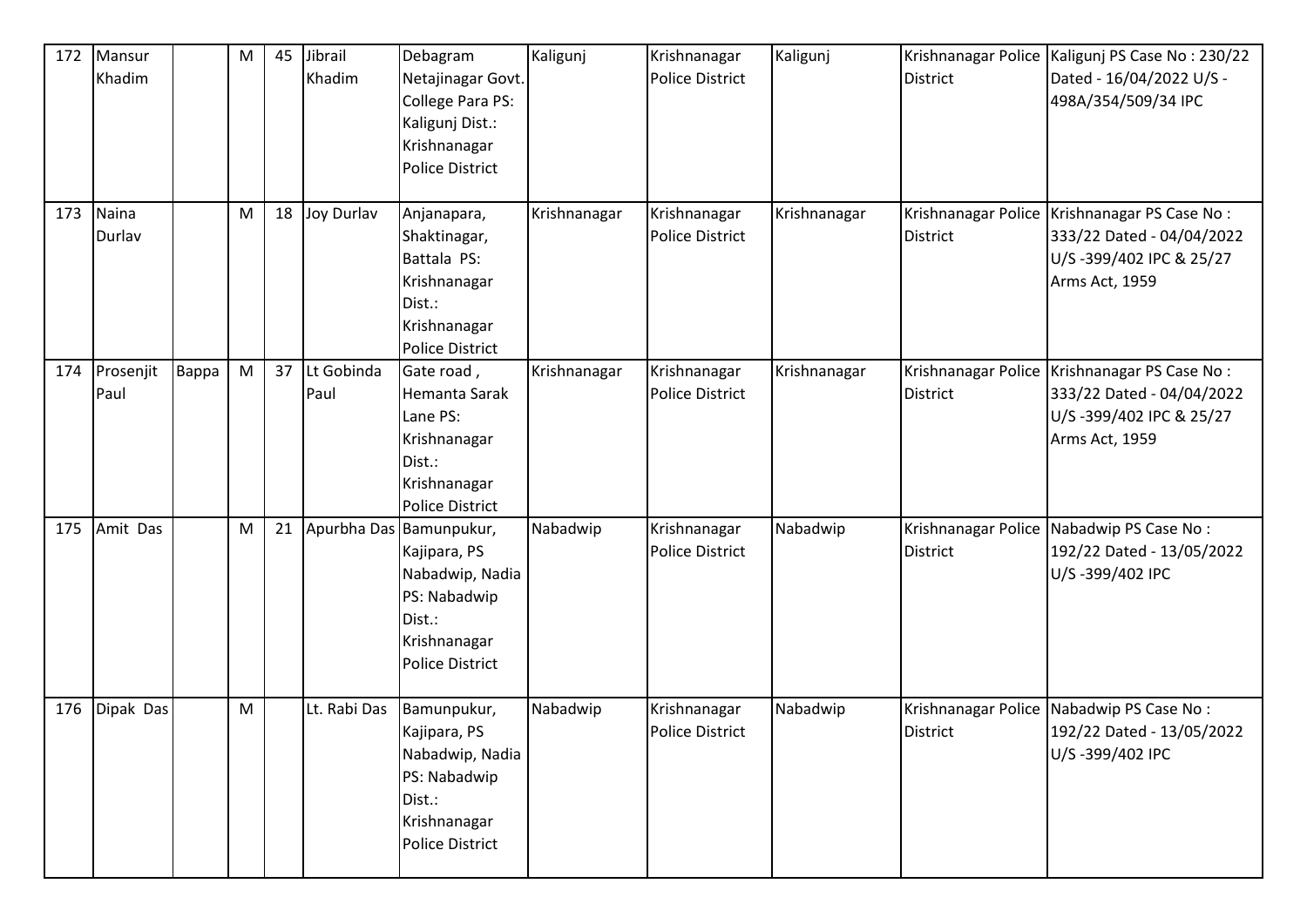| 172 | Mansur<br>Khadim  |       | M                                                                                     | 45 | Jibrail<br>Khadim  | Debagram<br>Netajinagar Govt.<br>College Para PS:<br>Kaligunj Dist.:<br>Krishnanagar<br><b>Police District</b>                 | Kaligunj     | Krishnanagar<br><b>Police District</b> | Kaligunj     | <b>District</b>                        | Krishnanagar Police   Kaligunj PS Case No: 230/22<br>Dated - 16/04/2022 U/S -<br>498A/354/509/34 IPC                     |
|-----|-------------------|-------|---------------------------------------------------------------------------------------|----|--------------------|--------------------------------------------------------------------------------------------------------------------------------|--------------|----------------------------------------|--------------|----------------------------------------|--------------------------------------------------------------------------------------------------------------------------|
| 173 | Naina<br>Durlav   |       | M                                                                                     | 18 | Joy Durlav         | Anjanapara,<br>Shaktinagar,<br>Battala PS:<br>Krishnanagar<br>Dist.:<br>Krishnanagar<br><b>Police District</b>                 | Krishnanagar | Krishnanagar<br>Police District        | Krishnanagar | District                               | Krishnanagar Police   Krishnanagar PS Case No:<br>333/22 Dated - 04/04/2022<br>U/S-399/402 IPC & 25/27<br>Arms Act, 1959 |
| 174 | Prosenjit<br>Paul | Bappa | $\mathsf{M}% _{T}=\mathsf{M}_{T}\!\left( a,b\right) ,\ \mathsf{M}_{T}=\mathsf{M}_{T}$ | 37 | Lt Gobinda<br>Paul | Gate road,<br>Hemanta Sarak<br>Lane PS:<br>Krishnanagar<br>Dist.:<br>Krishnanagar<br><b>Police District</b>                    | Krishnanagar | Krishnanagar<br><b>Police District</b> | Krishnanagar | <b>District</b>                        | Krishnanagar Police   Krishnanagar PS Case No:<br>333/22 Dated - 04/04/2022<br>U/S-399/402 IPC & 25/27<br>Arms Act, 1959 |
| 175 | Amit Das          |       | M                                                                                     | 21 |                    | Apurbha Das Bamunpukur,<br>Kajipara, PS<br>Nabadwip, Nadia<br>PS: Nabadwip<br>Dist.:<br>Krishnanagar<br><b>Police District</b> | Nabadwip     | Krishnanagar<br><b>Police District</b> | Nabadwip     | Krishnanagar Police<br><b>District</b> | Nabadwip PS Case No:<br>192/22 Dated - 13/05/2022<br>U/S-399/402 IPC                                                     |
| 176 | Dipak Das         |       | M                                                                                     |    | Lt. Rabi Das       | Bamunpukur,<br>Kajipara, PS<br>Nabadwip, Nadia<br>PS: Nabadwip<br>Dist.:<br>Krishnanagar<br><b>Police District</b>             | Nabadwip     | Krishnanagar<br>Police District        | Nabadwip     | District                               | Krishnanagar Police Nabadwip PS Case No:<br>192/22 Dated - 13/05/2022<br>U/S-399/402 IPC                                 |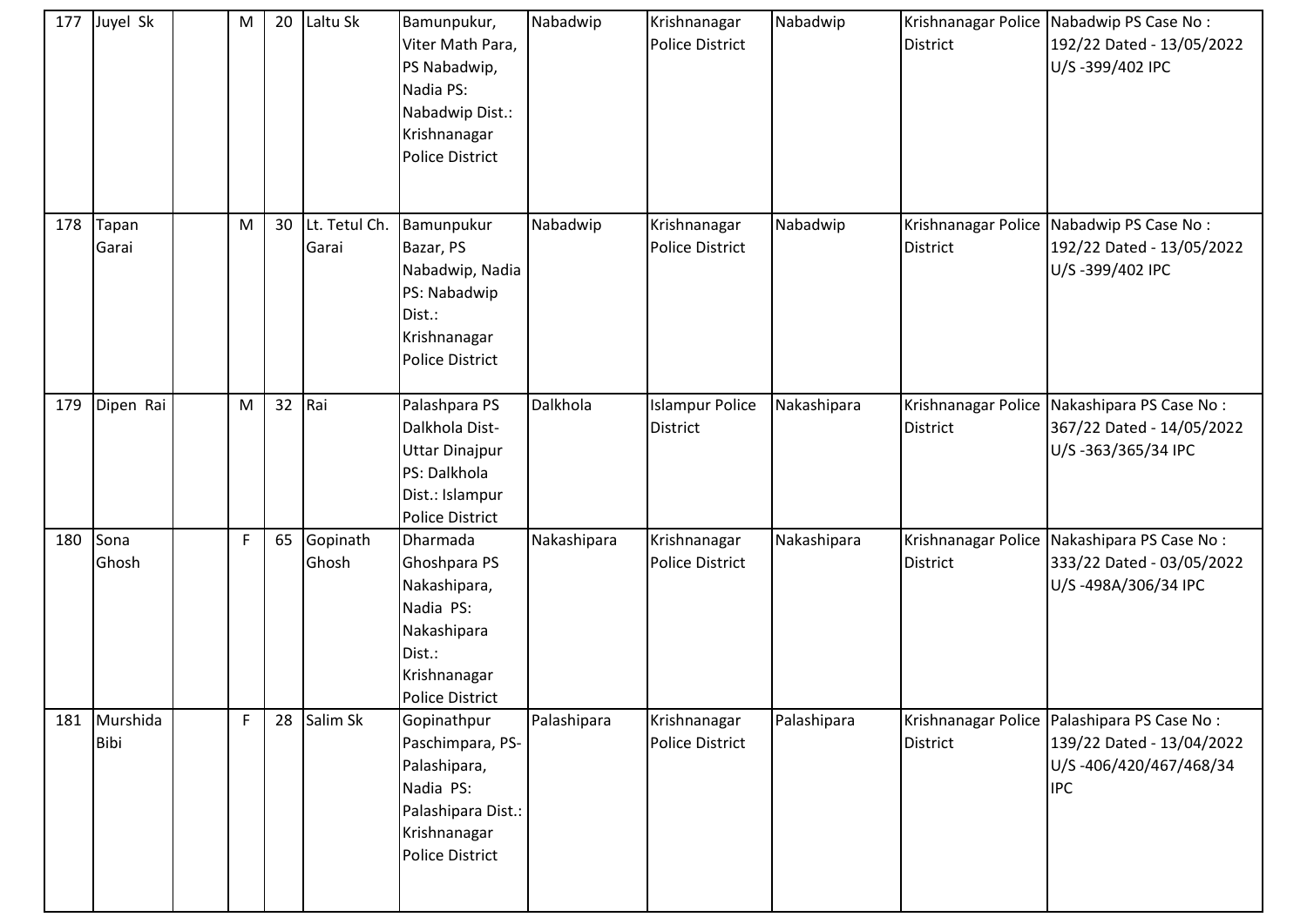| 177 | Juyel Sk         | M | 20 | Laltu Sk               | Bamunpukur,<br>Viter Math Para,<br>PS Nabadwip,<br>Nadia PS:<br>Nabadwip Dist.:<br>Krishnanagar<br><b>Police District</b> | Nabadwip    | Krishnanagar<br><b>Police District</b>    | Nabadwip    | <b>District</b> | Krishnanagar Police Nabadwip PS Case No:<br>192/22 Dated - 13/05/2022<br>U/S-399/402 IPC                           |
|-----|------------------|---|----|------------------------|---------------------------------------------------------------------------------------------------------------------------|-------------|-------------------------------------------|-------------|-----------------|--------------------------------------------------------------------------------------------------------------------|
| 178 | Tapan<br>Garai   | M | 30 | Lt. Tetul Ch.<br>Garai | Bamunpukur<br>Bazar, PS<br>Nabadwip, Nadia<br>PS: Nabadwip<br>Dist.:<br>Krishnanagar<br><b>Police District</b>            | Nabadwip    | Krishnanagar<br><b>Police District</b>    | Nabadwip    | <b>District</b> | Krishnanagar Police Nabadwip PS Case No:<br>192/22 Dated - 13/05/2022<br>U/S-399/402 IPC                           |
| 179 | Dipen Rai        | M | 32 | Rai                    | Palashpara PS<br>Dalkhola Dist-<br><b>Uttar Dinajpur</b><br>PS: Dalkhola<br>Dist.: Islampur<br><b>Police District</b>     | Dalkhola    | <b>Islampur Police</b><br><b>District</b> | Nakashipara | <b>District</b> | Krishnanagar Police Nakashipara PS Case No:<br>367/22 Dated - 14/05/2022<br>U/S-363/365/34 IPC                     |
| 180 | Sona<br>Ghosh    | F | 65 | Gopinath<br>Ghosh      | Dharmada<br>Ghoshpara PS<br>Nakashipara,<br>Nadia PS:<br>Nakashipara<br>Dist.:<br>Krishnanagar<br><b>Police District</b>  | Nakashipara | Krishnanagar<br><b>Police District</b>    | Nakashipara | <b>District</b> | Krishnanagar Police Nakashipara PS Case No:<br>333/22 Dated - 03/05/2022<br>U/S-498A/306/34 IPC                    |
| 181 | Murshida<br>Bibi | F | 28 | Salim Sk               | Gopinathpur<br>Paschimpara, PS-<br>Palashipara,<br>Nadia PS:<br>Palashipara Dist.:<br>Krishnanagar<br>Police District     | Palashipara | Krishnanagar<br>Police District           | Palashipara | <b>District</b> | Krishnanagar Police   Palashipara PS Case No:<br>139/22 Dated - 13/04/2022<br>U/S-406/420/467/468/34<br><b>IPC</b> |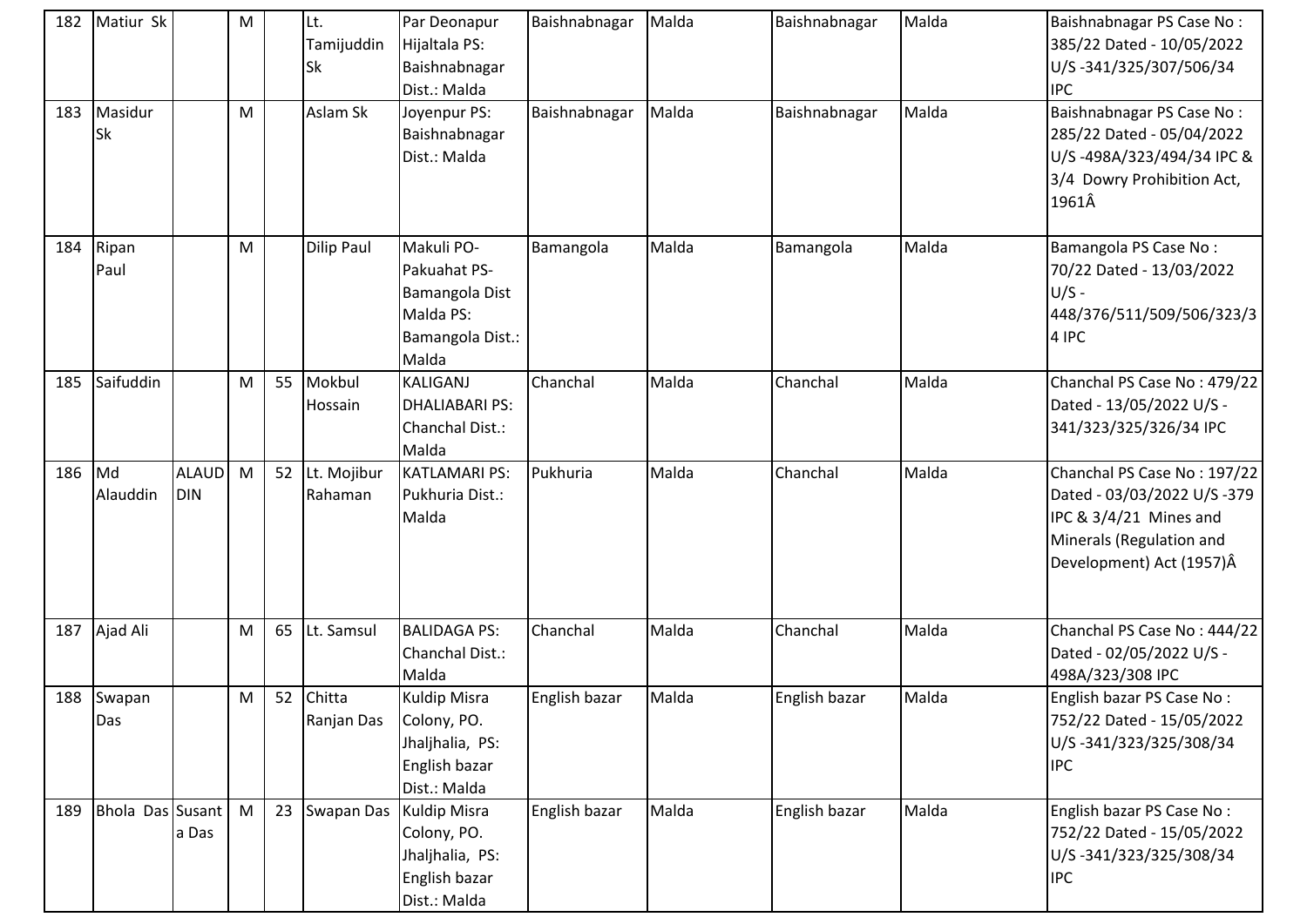| 182 | Matiur Sk        |              | M |    | Lt.<br>Tamijuddin | Par Deonapur<br>Hijaltala PS: | Baishnabnagar | Malda | Baishnabnagar | Malda | Baishnabnagar PS Case No:<br>385/22 Dated - 10/05/2022 |
|-----|------------------|--------------|---|----|-------------------|-------------------------------|---------------|-------|---------------|-------|--------------------------------------------------------|
|     |                  |              |   |    | Sk                | Baishnabnagar                 |               |       |               |       | U/S-341/325/307/506/34                                 |
|     |                  |              |   |    |                   | Dist.: Malda                  |               |       |               |       | <b>IPC</b>                                             |
| 183 | Masidur          |              | M |    | Aslam Sk          | Joyenpur PS:                  | Baishnabnagar | Malda | Baishnabnagar | Malda | Baishnabnagar PS Case No:                              |
|     | <b>Sk</b>        |              |   |    |                   | Baishnabnagar                 |               |       |               |       | 285/22 Dated - 05/04/2022                              |
|     |                  |              |   |    |                   | Dist.: Malda                  |               |       |               |       | U/S-498A/323/494/34 IPC &                              |
|     |                  |              |   |    |                   |                               |               |       |               |       | 3/4 Dowry Prohibition Act,                             |
|     |                  |              |   |    |                   |                               |               |       |               |       | 1961Â                                                  |
|     |                  |              |   |    |                   |                               |               |       |               |       |                                                        |
| 184 | Ripan            |              | M |    | Dilip Paul        | Makuli PO-                    | Bamangola     | Malda | Bamangola     | Malda | Bamangola PS Case No:                                  |
|     | Paul             |              |   |    |                   | Pakuahat PS-                  |               |       |               |       | 70/22 Dated - 13/03/2022                               |
|     |                  |              |   |    |                   | Bamangola Dist                |               |       |               |       | $U/S -$                                                |
|     |                  |              |   |    |                   | Malda PS:                     |               |       |               |       | 448/376/511/509/506/323/3                              |
|     |                  |              |   |    |                   | Bamangola Dist.:              |               |       |               |       | 4 IPC                                                  |
|     |                  |              |   |    |                   | Malda                         |               |       |               |       |                                                        |
| 185 | Saifuddin        |              | M | 55 | Mokbul            | <b>KALIGANJ</b>               | Chanchal      | Malda | Chanchal      | Malda | Chanchal PS Case No: 479/22                            |
|     |                  |              |   |    | Hossain           | <b>DHALIABARI PS:</b>         |               |       |               |       | Dated - 13/05/2022 U/S -                               |
|     |                  |              |   |    |                   | Chanchal Dist.:               |               |       |               |       | 341/323/325/326/34 IPC                                 |
|     |                  |              |   |    |                   | Malda                         |               |       |               |       |                                                        |
| 186 | Md               | <b>ALAUD</b> | M |    | 52 Lt. Mojibur    | <b>KATLAMARI PS:</b>          | Pukhuria      | Malda | Chanchal      | Malda | Chanchal PS Case No: 197/22                            |
|     | Alauddin         | DIN          |   |    | Rahaman           | Pukhuria Dist.:               |               |       |               |       | Dated - 03/03/2022 U/S -379                            |
|     |                  |              |   |    |                   | Malda                         |               |       |               |       | IPC & 3/4/21 Mines and                                 |
|     |                  |              |   |    |                   |                               |               |       |               |       | Minerals (Regulation and                               |
|     |                  |              |   |    |                   |                               |               |       |               |       | Development) Act (1957)Â                               |
|     |                  |              |   |    |                   |                               |               |       |               |       |                                                        |
| 187 | Ajad Ali         |              | M | 65 | Lt. Samsul        | <b>BALIDAGA PS:</b>           | Chanchal      | Malda | Chanchal      | Malda | Chanchal PS Case No: 444/22                            |
|     |                  |              |   |    |                   | Chanchal Dist.:               |               |       |               |       | Dated - 02/05/2022 U/S -                               |
|     |                  |              |   |    |                   | Malda                         |               |       |               |       | 498A/323/308 IPC                                       |
|     | 188 Swapan       |              | M |    | 52 Chitta         | <b>Kuldip Misra</b>           | English bazar | Malda | English bazar | Malda | English bazar PS Case No:                              |
|     | Das              |              |   |    | Ranjan Das        | Colony, PO.                   |               |       |               |       | 752/22 Dated - 15/05/2022                              |
|     |                  |              |   |    |                   | Jhaljhalia, PS:               |               |       |               |       | U/S-341/323/325/308/34                                 |
|     |                  |              |   |    |                   | English bazar                 |               |       |               |       | <b>IPC</b>                                             |
|     |                  |              |   |    |                   | Dist.: Malda                  |               |       |               |       |                                                        |
| 189 | Bhola Das Susant |              | M | 23 | Swapan Das        | <b>Kuldip Misra</b>           | English bazar | Malda | English bazar | Malda | English bazar PS Case No:                              |
|     |                  | a Das        |   |    |                   | Colony, PO.                   |               |       |               |       | 752/22 Dated - 15/05/2022                              |
|     |                  |              |   |    |                   | Jhaljhalia, PS:               |               |       |               |       | U/S-341/323/325/308/34                                 |
|     |                  |              |   |    |                   |                               |               |       |               |       |                                                        |
|     |                  |              |   |    |                   | English bazar                 |               |       |               |       | <b>IPC</b>                                             |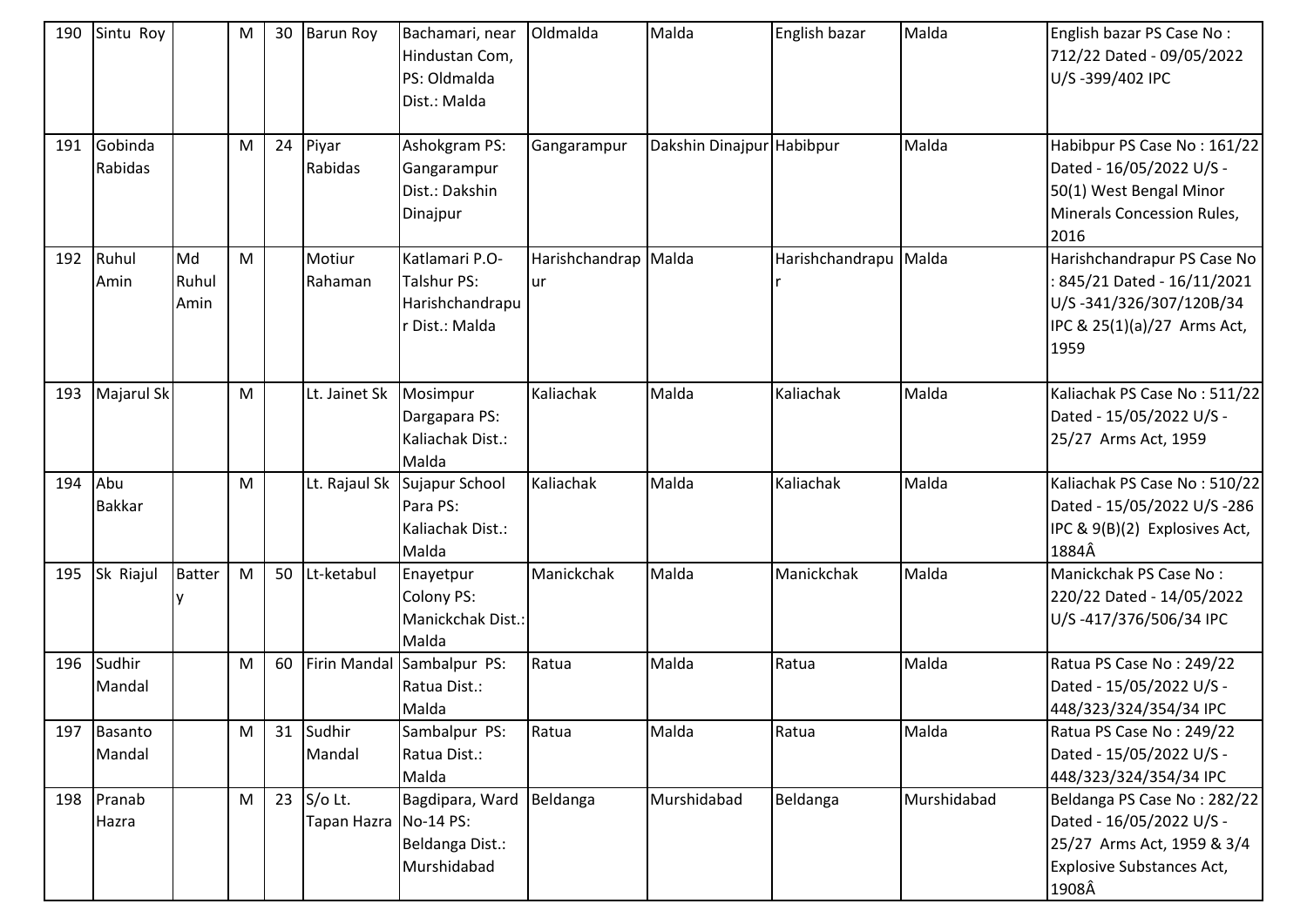| 190 | Sintu Roy            |                     | M | 30 | <b>Barun Roy</b>                    | Bachamari, near<br>Hindustan Com,<br>PS: Oldmalda<br>Dist.: Malda       | Oldmalda                          | Malda                     | English bazar   | Malda       | English bazar PS Case No:<br>712/22 Dated - 09/05/2022<br>U/S-399/402 IPC                                                          |
|-----|----------------------|---------------------|---|----|-------------------------------------|-------------------------------------------------------------------------|-----------------------------------|---------------------------|-----------------|-------------|------------------------------------------------------------------------------------------------------------------------------------|
| 191 | Gobinda<br>Rabidas   |                     | M | 24 | Piyar<br>Rabidas                    | Ashokgram PS:<br>Gangarampur<br>Dist.: Dakshin<br>Dinajpur              | Gangarampur                       | Dakshin Dinajpur Habibpur |                 | Malda       | Habibpur PS Case No: 161/22<br>Dated - 16/05/2022 U/S -<br>50(1) West Bengal Minor<br>Minerals Concession Rules,<br>2016           |
| 192 | Ruhul<br>Amin        | Md<br>Ruhul<br>Amin | M |    | Motiur<br>Rahaman                   | Katlamari P.O-<br><b>Talshur PS:</b><br>Harishchandrapu<br>Dist.: Malda | Harishchandrap Malda<br><b>ur</b> |                           | Harishchandrapu | Malda       | Harishchandrapur PS Case No<br>845/21 Dated - 16/11/2021<br>U/S-341/326/307/120B/34<br>IPC & 25(1)(a)/27 Arms Act,<br>1959         |
| 193 | Majarul Sk           |                     | M |    | Lt. Jainet Sk                       | Mosimpur<br>Dargapara PS:<br>Kaliachak Dist.:<br>Malda                  | Kaliachak                         | Malda                     | Kaliachak       | Malda       | Kaliachak PS Case No: 511/22<br>Dated - 15/05/2022 U/S -<br>25/27 Arms Act, 1959                                                   |
| 194 | Abu<br><b>Bakkar</b> |                     | M |    | Lt. Rajaul Sk                       | Sujapur School<br>Para PS:<br>Kaliachak Dist.:<br>Malda                 | Kaliachak                         | Malda                     | Kaliachak       | Malda       | Kaliachak PS Case No: 510/22<br>Dated - 15/05/2022 U/S -286<br>IPC & 9(B)(2) Explosives Act,<br>1884Â                              |
| 195 | Sk Riajul            | <b>Batter</b>       | M | 50 | Lt-ketabul                          | Enayetpur<br><b>Colony PS:</b><br>Manickchak Dist.:<br>Malda            | Manickchak                        | Malda                     | Manickchak      | Malda       | Manickchak PS Case No:<br>220/22 Dated - 14/05/2022<br>U/S-417/376/506/34 IPC                                                      |
| 196 | Sudhir<br>Mandal     |                     | M | 60 |                                     | Firin Mandal Sambalpur PS:<br>Ratua Dist.:<br>Malda                     | Ratua                             | Malda                     | Ratua           | Malda       | Ratua PS Case No: 249/22<br>Dated - 15/05/2022 U/S -<br>448/323/324/354/34 IPC                                                     |
| 197 | Basanto<br>Mandal    |                     | M |    | 31 Sudhir<br>Mandal                 | Sambalpur PS:<br>Ratua Dist.:<br>Malda                                  | Ratua                             | Malda                     | Ratua           | Malda       | Ratua PS Case No: 249/22<br>Dated - 15/05/2022 U/S -<br>448/323/324/354/34 IPC                                                     |
|     | 198 Pranab<br>Hazra  |                     | M | 23 | $S$ /o Lt.<br>Tapan Hazra No-14 PS: | Bagdipara, Ward<br>Beldanga Dist.:<br>Murshidabad                       | Beldanga                          | Murshidabad               | Beldanga        | Murshidabad | Beldanga PS Case No: 282/22<br>Dated - 16/05/2022 U/S -<br>25/27 Arms Act, 1959 & 3/4<br><b>Explosive Substances Act,</b><br>1908Â |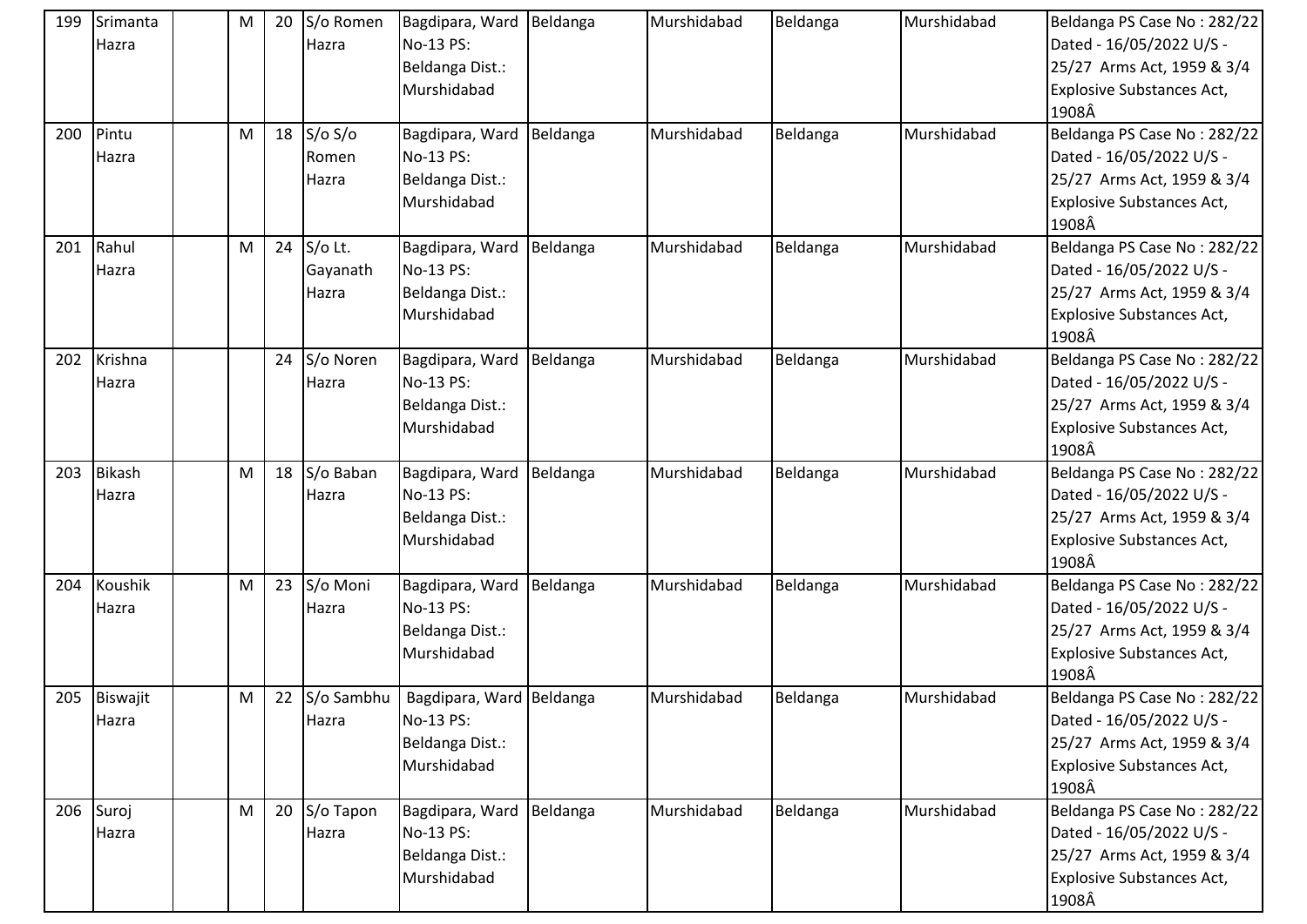| 199 | Srimanta<br>Hazra      | M | 20 | S/o Romen<br>Hazra           | Bagdipara, Ward Beldanga<br>No-13 PS:<br>Beldanga Dist.:<br>Murshidabad |          | Murshidabad | Beldanga | Murshidabad | Beldanga PS Case No: 282/22<br>Dated - 16/05/2022 U/S -<br>25/27 Arms Act, 1959 & 3/4<br><b>Explosive Substances Act,</b><br>1908Â |
|-----|------------------------|---|----|------------------------------|-------------------------------------------------------------------------|----------|-------------|----------|-------------|------------------------------------------------------------------------------------------------------------------------------------|
| 200 | Pintu<br>Hazra         | M | 18 | S/O S/O<br>Romen<br>Hazra    | Bagdipara, Ward<br>No-13 PS:<br>Beldanga Dist.:<br>Murshidabad          | Beldanga | Murshidabad | Beldanga | Murshidabad | Beldanga PS Case No: 282/22<br>Dated - 16/05/2022 U/S -<br>25/27 Arms Act, 1959 & 3/4<br><b>Explosive Substances Act,</b><br>1908Â |
| 201 | Rahul<br>Hazra         | M | 24 | S/o Lt.<br>Gayanath<br>Hazra | Bagdipara, Ward Beldanga<br>No-13 PS:<br>Beldanga Dist.:<br>Murshidabad |          | Murshidabad | Beldanga | Murshidabad | Beldanga PS Case No: 282/22<br>Dated - 16/05/2022 U/S -<br>25/27 Arms Act, 1959 & 3/4<br><b>Explosive Substances Act,</b><br>1908Â |
| 202 | Krishna<br>Hazra       |   | 24 | S/o Noren<br>Hazra           | Bagdipara, Ward<br>No-13 PS:<br>Beldanga Dist.:<br>Murshidabad          | Beldanga | Murshidabad | Beldanga | Murshidabad | Beldanga PS Case No: 282/22<br>Dated - 16/05/2022 U/S -<br>25/27 Arms Act, 1959 & 3/4<br><b>Explosive Substances Act,</b><br>1908Â |
| 203 | <b>Bikash</b><br>Hazra | M |    | 18 $S$ /o Baban<br>Hazra     | Bagdipara, Ward<br>No-13 PS:<br>Beldanga Dist.:<br>Murshidabad          | Beldanga | Murshidabad | Beldanga | Murshidabad | Beldanga PS Case No: 282/22<br>Dated - 16/05/2022 U/S -<br>25/27 Arms Act, 1959 & 3/4<br><b>Explosive Substances Act,</b><br>1908Â |
| 204 | Koushik<br>Hazra       | M | 23 | S/o Moni<br>Hazra            | Bagdipara, Ward<br>No-13 PS:<br>Beldanga Dist.:<br>Murshidabad          | Beldanga | Murshidabad | Beldanga | Murshidabad | Beldanga PS Case No: 282/22<br>Dated - 16/05/2022 U/S -<br>25/27 Arms Act, 1959 & 3/4<br><b>Explosive Substances Act,</b><br>1908Â |
|     | 205 Biswajit<br>Hazra  | M | 22 | S/o Sambhu<br>Hazra          | Bagdipara, Ward Beldanga<br>No-13 PS:<br>Beldanga Dist.:<br>Murshidabad |          | Murshidabad | Beldanga | Murshidabad | Beldanga PS Case No: 282/22<br>Dated - 16/05/2022 U/S -<br>25/27 Arms Act, 1959 & 3/4<br><b>Explosive Substances Act,</b><br>1908Â |
|     | 206 Suroj<br>Hazra     | M | 20 | S/o Tapon<br>Hazra           | Bagdipara, Ward Beldanga<br>No-13 PS:<br>Beldanga Dist.:<br>Murshidabad |          | Murshidabad | Beldanga | Murshidabad | Beldanga PS Case No: 282/22<br>Dated - 16/05/2022 U/S -<br>25/27 Arms Act, 1959 & 3/4<br><b>Explosive Substances Act,</b><br>1908Â |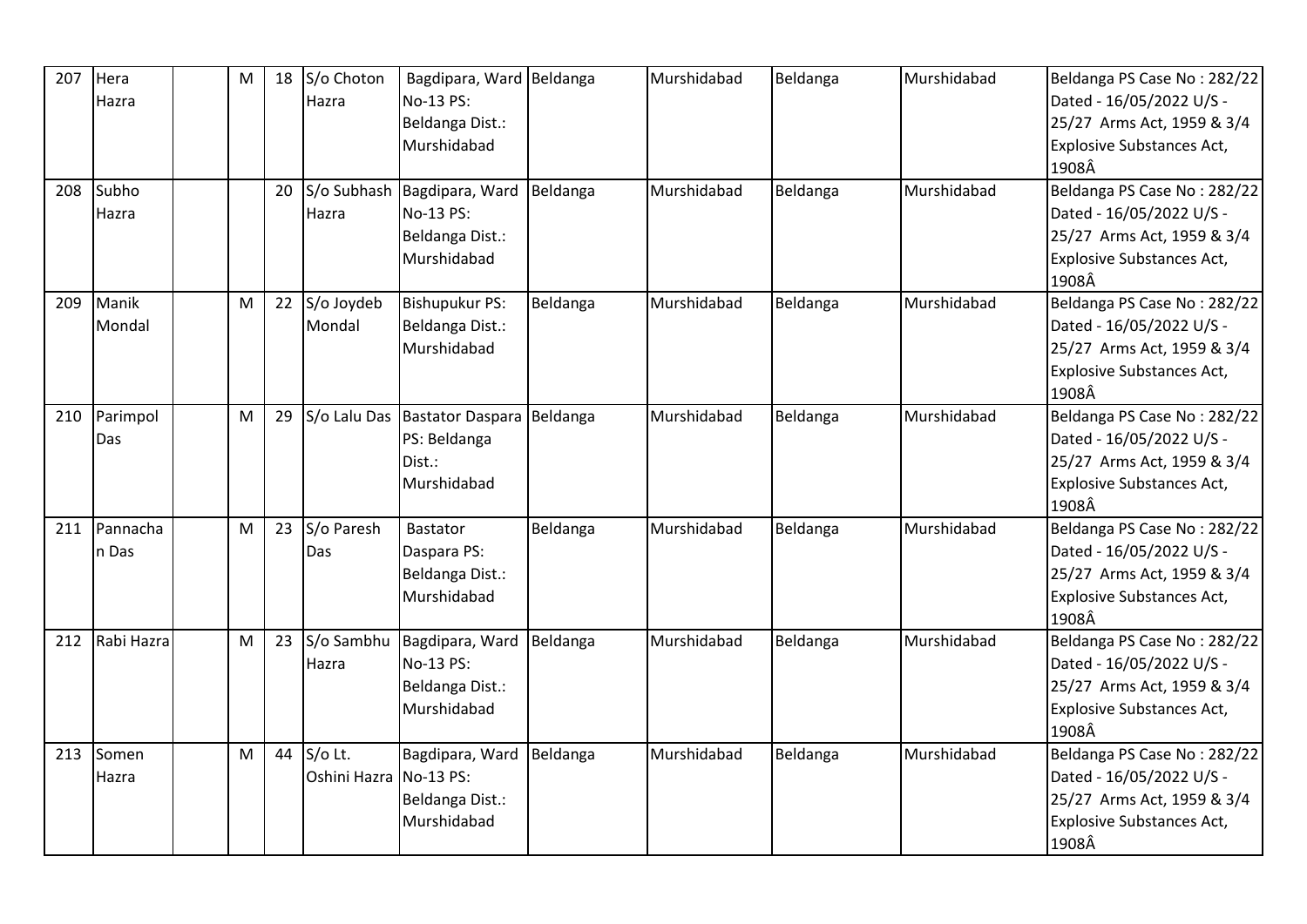| 207 | Hera       | M | 18 | S/o Choton             | Bagdipara, Ward Beldanga    |          | Murshidabad | Beldanga | Murshidabad | Beldanga PS Case No: 282/22      |
|-----|------------|---|----|------------------------|-----------------------------|----------|-------------|----------|-------------|----------------------------------|
|     | Hazra      |   |    | Hazra                  | No-13 PS:                   |          |             |          |             | Dated - 16/05/2022 U/S -         |
|     |            |   |    |                        | Beldanga Dist.:             |          |             |          |             | 25/27 Arms Act, 1959 & 3/4       |
|     |            |   |    |                        | Murshidabad                 |          |             |          |             | <b>Explosive Substances Act,</b> |
|     |            |   |    |                        |                             |          |             |          |             | 1908Â                            |
| 208 | Subho      |   | 20 |                        | S/o Subhash Bagdipara, Ward | Beldanga | Murshidabad | Beldanga | Murshidabad | Beldanga PS Case No: 282/22      |
|     | Hazra      |   |    | Hazra                  | No-13 PS:                   |          |             |          |             | Dated - 16/05/2022 U/S -         |
|     |            |   |    |                        | Beldanga Dist.:             |          |             |          |             | 25/27 Arms Act, 1959 & 3/4       |
|     |            |   |    |                        | Murshidabad                 |          |             |          |             | <b>Explosive Substances Act,</b> |
|     |            |   |    |                        |                             |          |             |          |             | 1908Â                            |
| 209 | Manik      | M | 22 | S/o Joydeb             | <b>Bishupukur PS:</b>       | Beldanga | Murshidabad | Beldanga | Murshidabad | Beldanga PS Case No: 282/22      |
|     | Mondal     |   |    | Mondal                 | Beldanga Dist.:             |          |             |          |             | Dated - 16/05/2022 U/S -         |
|     |            |   |    |                        | Murshidabad                 |          |             |          |             | 25/27 Arms Act, 1959 & 3/4       |
|     |            |   |    |                        |                             |          |             |          |             | <b>Explosive Substances Act,</b> |
|     |            |   |    |                        |                             |          |             |          |             | 1908Â                            |
| 210 | Parimpol   | M | 29 | S/o Lalu Das           | <b>Bastator Daspara</b>     | Beldanga | Murshidabad | Beldanga | Murshidabad | Beldanga PS Case No: 282/22      |
|     | Das        |   |    |                        | PS: Beldanga                |          |             |          |             | Dated - 16/05/2022 U/S -         |
|     |            |   |    |                        | Dist.:                      |          |             |          |             | 25/27 Arms Act, 1959 & 3/4       |
|     |            |   |    |                        | Murshidabad                 |          |             |          |             | Explosive Substances Act,        |
|     |            |   |    |                        |                             |          |             |          |             | 1908Â                            |
| 211 | Pannacha   | M | 23 | S/o Paresh             | <b>Bastator</b>             | Beldanga | Murshidabad | Beldanga | Murshidabad | Beldanga PS Case No: 282/22      |
|     | n Das      |   |    | Das                    | Daspara PS:                 |          |             |          |             | Dated - 16/05/2022 U/S -         |
|     |            |   |    |                        | Beldanga Dist.:             |          |             |          |             | 25/27 Arms Act, 1959 & 3/4       |
|     |            |   |    |                        | Murshidabad                 |          |             |          |             | <b>Explosive Substances Act,</b> |
|     |            |   |    |                        |                             |          |             |          |             | 1908Â                            |
| 212 | Rabi Hazra | M | 23 | S/o Sambhu             | Bagdipara, Ward             | Beldanga | Murshidabad | Beldanga | Murshidabad | Beldanga PS Case No: 282/22      |
|     |            |   |    | Hazra                  | No-13 PS:                   |          |             |          |             | Dated - 16/05/2022 U/S -         |
|     |            |   |    |                        | Beldanga Dist.:             |          |             |          |             | 25/27 Arms Act, 1959 & 3/4       |
|     |            |   |    |                        | Murshidabad                 |          |             |          |             | <b>Explosive Substances Act,</b> |
|     |            |   |    |                        |                             |          |             |          |             | 1908Â                            |
| 213 | Somen      | M | 44 | S/o Lt.                | Bagdipara, Ward             | Beldanga | Murshidabad | Beldanga | Murshidabad | Beldanga PS Case No: 282/22      |
|     | Hazra      |   |    | Oshini Hazra No-13 PS: |                             |          |             |          |             | Dated - 16/05/2022 U/S -         |
|     |            |   |    |                        | Beldanga Dist.:             |          |             |          |             | 25/27 Arms Act, 1959 & 3/4       |
|     |            |   |    |                        | Murshidabad                 |          |             |          |             | <b>Explosive Substances Act,</b> |
|     |            |   |    |                        |                             |          |             |          |             | 1908Â                            |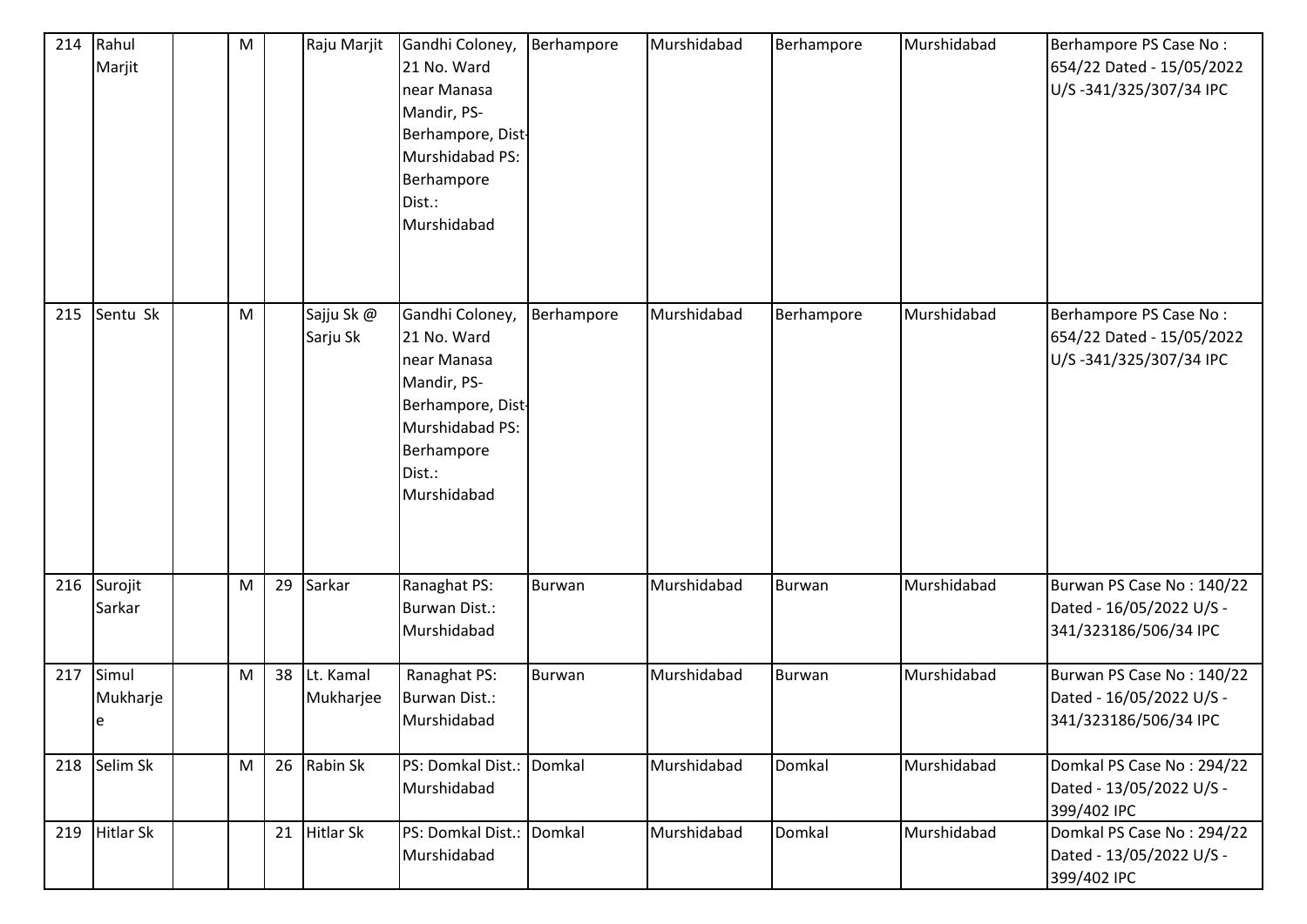| 214 | Rahul<br>Marjit        | M |    | Raju Marjit            | Gandhi Coloney,<br>21 No. Ward<br>near Manasa<br>Mandir, PS-<br>Berhampore, Dist-<br>Murshidabad PS:<br>Berhampore<br>Dist.:<br>Murshidabad | Berhampore    | Murshidabad | Berhampore    | Murshidabad | Berhampore PS Case No:<br>654/22 Dated - 15/05/2022<br>U/S-341/325/307/34 IPC  |
|-----|------------------------|---|----|------------------------|---------------------------------------------------------------------------------------------------------------------------------------------|---------------|-------------|---------------|-------------|--------------------------------------------------------------------------------|
| 215 | Sentu Sk               | M |    | Sajju Sk @<br>Sarju Sk | Gandhi Coloney,<br>21 No. Ward<br>near Manasa<br>Mandir, PS-<br>Berhampore, Dist-<br>Murshidabad PS:<br>Berhampore<br>Dist.:<br>Murshidabad | Berhampore    | Murshidabad | Berhampore    | Murshidabad | Berhampore PS Case No:<br>654/22 Dated - 15/05/2022<br>U/S-341/325/307/34 IPC  |
| 216 | Surojit<br>Sarkar      | M | 29 | Sarkar                 | Ranaghat PS:<br><b>Burwan Dist.:</b><br>Murshidabad                                                                                         | <b>Burwan</b> | Murshidabad | <b>Burwan</b> | Murshidabad | Burwan PS Case No: 140/22<br>Dated - 16/05/2022 U/S -<br>341/323186/506/34 IPC |
| 217 | Simul<br>Mukharje<br>e | M | 38 | Lt. Kamal<br>Mukharjee | Ranaghat PS:<br><b>Burwan Dist.:</b><br>Murshidabad                                                                                         | <b>Burwan</b> | Murshidabad | <b>Burwan</b> | Murshidabad | Burwan PS Case No: 140/22<br>Dated - 16/05/2022 U/S -<br>341/323186/506/34 IPC |
|     | 218 Selim Sk           | M |    | 26 Rabin Sk            | PS: Domkal Dist.: Domkal<br>Murshidabad                                                                                                     |               | Murshidabad | Domkal        | Murshidabad | Domkal PS Case No: 294/22<br>Dated - 13/05/2022 U/S -<br>399/402 IPC           |
| 219 | <b>Hitlar Sk</b>       |   | 21 | Hitlar Sk              | PS: Domkal Dist.: Domkal<br>Murshidabad                                                                                                     |               | Murshidabad | Domkal        | Murshidabad | Domkal PS Case No: 294/22<br>Dated - 13/05/2022 U/S -<br>399/402 IPC           |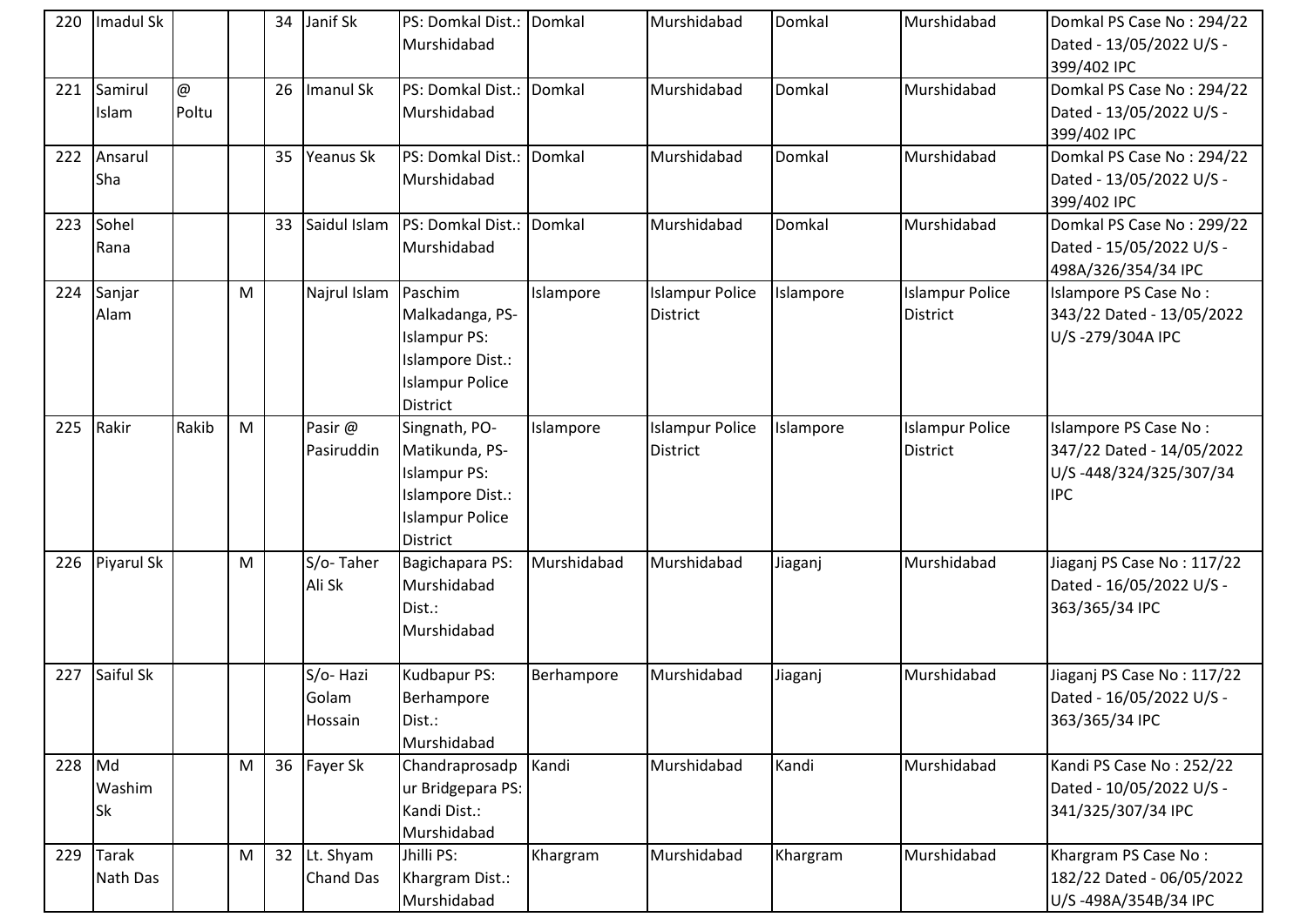| 220    | Imadul Sk          |                                    |   | 34              | Janif Sk                      | PS: Domkal Dist.: Domkal<br>Murshidabad                                                                          |             | Murshidabad                               | Domkal    | Murshidabad                               | Domkal PS Case No: 294/22<br>Dated - 13/05/2022 U/S -<br>399/402 IPC                       |
|--------|--------------------|------------------------------------|---|-----------------|-------------------------------|------------------------------------------------------------------------------------------------------------------|-------------|-------------------------------------------|-----------|-------------------------------------------|--------------------------------------------------------------------------------------------|
| 221    | Samirul<br>Islam   | $^\text{\textregistered}$<br>Poltu |   | 26              | Imanul Sk                     | PS: Domkal Dist.:<br>Murshidabad                                                                                 | Domkal      | Murshidabad                               | Domkal    | Murshidabad                               | Domkal PS Case No: 294/22<br>Dated - 13/05/2022 U/S -<br>399/402 IPC                       |
|        | 222 Ansarul<br>Sha |                                    |   | 35              | <b>Yeanus Sk</b>              | PS: Domkal Dist.:<br>Murshidabad                                                                                 | Domkal      | Murshidabad                               | Domkal    | Murshidabad                               | Domkal PS Case No: 294/22<br>Dated - 13/05/2022 U/S -<br>399/402 IPC                       |
| 223    | Sohel<br>Rana      |                                    |   | 33              | Saidul Islam                  | PS: Domkal Dist.:<br>Murshidabad                                                                                 | Domkal      | Murshidabad                               | Domkal    | Murshidabad                               | Domkal PS Case No: 299/22<br>Dated - 15/05/2022 U/S -<br>498A/326/354/34 IPC               |
| 224    | Sanjar<br>Alam     |                                    | M |                 | Najrul Islam                  | Paschim<br>Malkadanga, PS-<br><b>Islampur PS:</b><br>Islampore Dist.:<br><b>Islampur Police</b><br>District      | Islampore   | <b>Islampur Police</b><br><b>District</b> | Islampore | <b>Islampur Police</b><br><b>District</b> | Islampore PS Case No:<br>343/22 Dated - 13/05/2022<br>U/S-279/304A IPC                     |
| 225    | Rakir              | Rakib                              | M |                 | Pasir @<br>Pasiruddin         | Singnath, PO-<br>Matikunda, PS-<br><b>Islampur PS:</b><br>Islampore Dist.:<br><b>Islampur Police</b><br>District | Islampore   | <b>Islampur Police</b><br>District        | Islampore | <b>Islampur Police</b><br>District        | Islampore PS Case No:<br>347/22 Dated - 14/05/2022<br>U/S-448/324/325/307/34<br><b>IPC</b> |
|        | 226 Piyarul Sk     |                                    | M |                 | S/o-Taher<br>Ali Sk           | Bagichapara PS:<br>Murshidabad<br>Dist.:<br>Murshidabad                                                          | Murshidabad | Murshidabad                               | Jiaganj   | Murshidabad                               | Jiaganj PS Case No: 117/22<br>Dated - 16/05/2022 U/S -<br>363/365/34 IPC                   |
| 227    | Saiful Sk          |                                    |   |                 | S/o-Hazi<br>Golam<br>Hossain  | Kudbapur PS:<br>Berhampore<br>Dist.:<br>Murshidabad                                                              | Berhampore  | Murshidabad                               | Jiaganj   | Murshidabad                               | Jiaganj PS Case No: 117/22<br>Dated - 16/05/2022 U/S -<br>363/365/34 IPC                   |
| 228 Md | Washim<br>Sk       |                                    | M |                 | 36 Fayer Sk                   | Chandraprosadp<br>ur Bridgepara PS:<br>Kandi Dist.:<br>Murshidabad                                               | Kandi       | Murshidabad                               | Kandi     | Murshidabad                               | Kandi PS Case No: 252/22<br>Dated - 10/05/2022 U/S -<br>341/325/307/34 IPC                 |
| 229    | Tarak<br>Nath Das  |                                    | M | 32 <sup>2</sup> | Lt. Shyam<br><b>Chand Das</b> | Jhilli PS:<br>Khargram Dist.:<br>Murshidabad                                                                     | Khargram    | Murshidabad                               | Khargram  | Murshidabad                               | Khargram PS Case No:<br>182/22 Dated - 06/05/2022<br>U/S-498A/354B/34 IPC                  |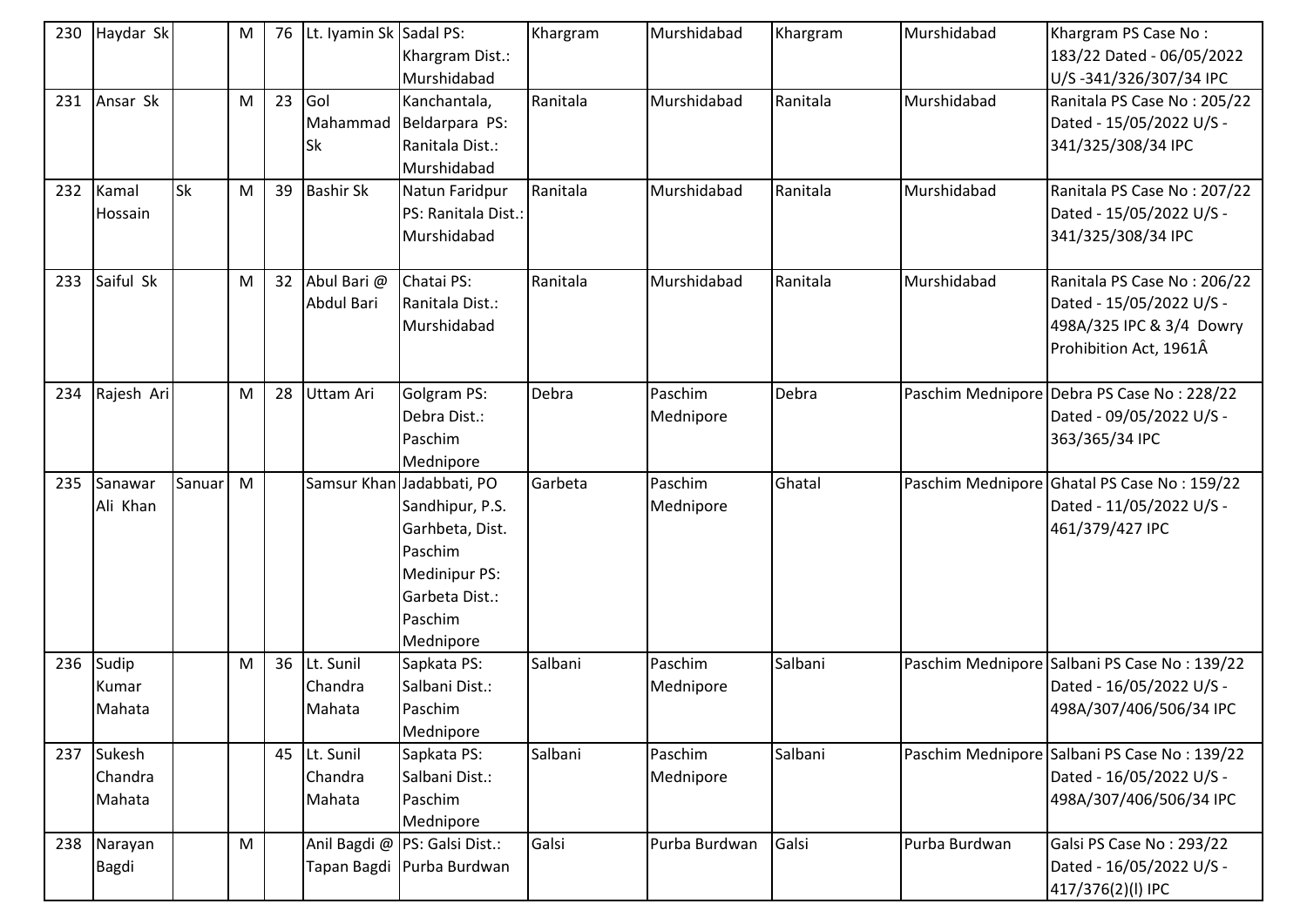| 230 | Haydar Sk                   |           | M         | 76 | Lt. Iyamin Sk Sadal PS:           | Khargram Dist.:<br>Murshidabad                                                                                                               | Khargram | Murshidabad          | Khargram | Murshidabad   | Khargram PS Case No:<br>183/22 Dated - 06/05/2022<br>U/S-341/326/307/34 IPC                                   |
|-----|-----------------------------|-----------|-----------|----|-----------------------------------|----------------------------------------------------------------------------------------------------------------------------------------------|----------|----------------------|----------|---------------|---------------------------------------------------------------------------------------------------------------|
| 231 | Ansar Sk                    |           | M         | 23 | Gol<br>Mahammad<br><b>Sk</b>      | Kanchantala,<br>Beldarpara PS:<br>Ranitala Dist.:<br>Murshidabad                                                                             | Ranitala | Murshidabad          | Ranitala | Murshidabad   | Ranitala PS Case No: 205/22<br>Dated - 15/05/2022 U/S -<br>341/325/308/34 IPC                                 |
| 232 | Kamal<br>Hossain            | <b>Sk</b> | M         | 39 | <b>Bashir Sk</b>                  | Natun Faridpur<br>PS: Ranitala Dist.:<br>Murshidabad                                                                                         | Ranitala | Murshidabad          | Ranitala | Murshidabad   | Ranitala PS Case No: 207/22<br>Dated - 15/05/2022 U/S -<br>341/325/308/34 IPC                                 |
| 233 | Saiful Sk                   |           | M         | 32 | Abul Bari @<br>Abdul Bari         | Chatai PS:<br>Ranitala Dist.:<br>Murshidabad                                                                                                 | Ranitala | Murshidabad          | Ranitala | Murshidabad   | Ranitala PS Case No: 206/22<br>Dated - 15/05/2022 U/S -<br>498A/325 IPC & 3/4 Dowry<br>Prohibition Act, 1961Â |
| 234 | Rajesh Ari                  |           | M         | 28 | Uttam Ari                         | Golgram PS:<br>Debra Dist.:<br>Paschim<br>Mednipore                                                                                          | Debra    | Paschim<br>Mednipore | Debra    |               | Paschim Mednipore Debra PS Case No: 228/22<br>Dated - 09/05/2022 U/S -<br>363/365/34 IPC                      |
| 235 | Sanawar<br>Ali Khan         | Sanuar    | M         |    |                                   | Samsur Khan Jadabbati, PO<br>Sandhipur, P.S.<br>Garhbeta, Dist.<br>Paschim<br><b>Medinipur PS:</b><br>Garbeta Dist.:<br>Paschim<br>Mednipore | Garbeta  | Paschim<br>Mednipore | Ghatal   |               | Paschim Mednipore Ghatal PS Case No: 159/22<br>Dated - 11/05/2022 U/S -<br>461/379/427 IPC                    |
| 236 | Sudip<br>Kumar<br>Mahata    |           | M         | 36 | Lt. Sunil<br>Chandra<br>Mahata    | Sapkata PS:<br>Salbani Dist.:<br>Paschim<br>Mednipore                                                                                        | Salbani  | Paschim<br>Mednipore | Salbani  |               | Paschim Mednipore Salbani PS Case No: 139/22<br>Dated - 16/05/2022 U/S -<br>498A/307/406/506/34 IPC           |
| 237 | Sukesh<br>Chandra<br>Mahata |           |           |    | 45 Lt. Sunil<br>Chandra<br>Mahata | Sapkata PS:<br>Salbani Dist.:<br>Paschim<br>Mednipore                                                                                        | Salbani  | Paschim<br>Mednipore | Salbani  |               | Paschim Mednipore Salbani PS Case No: 139/22<br>Dated - 16/05/2022 U/S -<br>498A/307/406/506/34 IPC           |
| 238 | Narayan<br><b>Bagdi</b>     |           | ${\sf M}$ |    |                                   | Anil Bagdi @ PS: Galsi Dist.:<br>Tapan Bagdi Purba Burdwan                                                                                   | Galsi    | Purba Burdwan        | Galsi    | Purba Burdwan | Galsi PS Case No: 293/22<br>Dated - 16/05/2022 U/S -<br>417/376(2)(l) IPC                                     |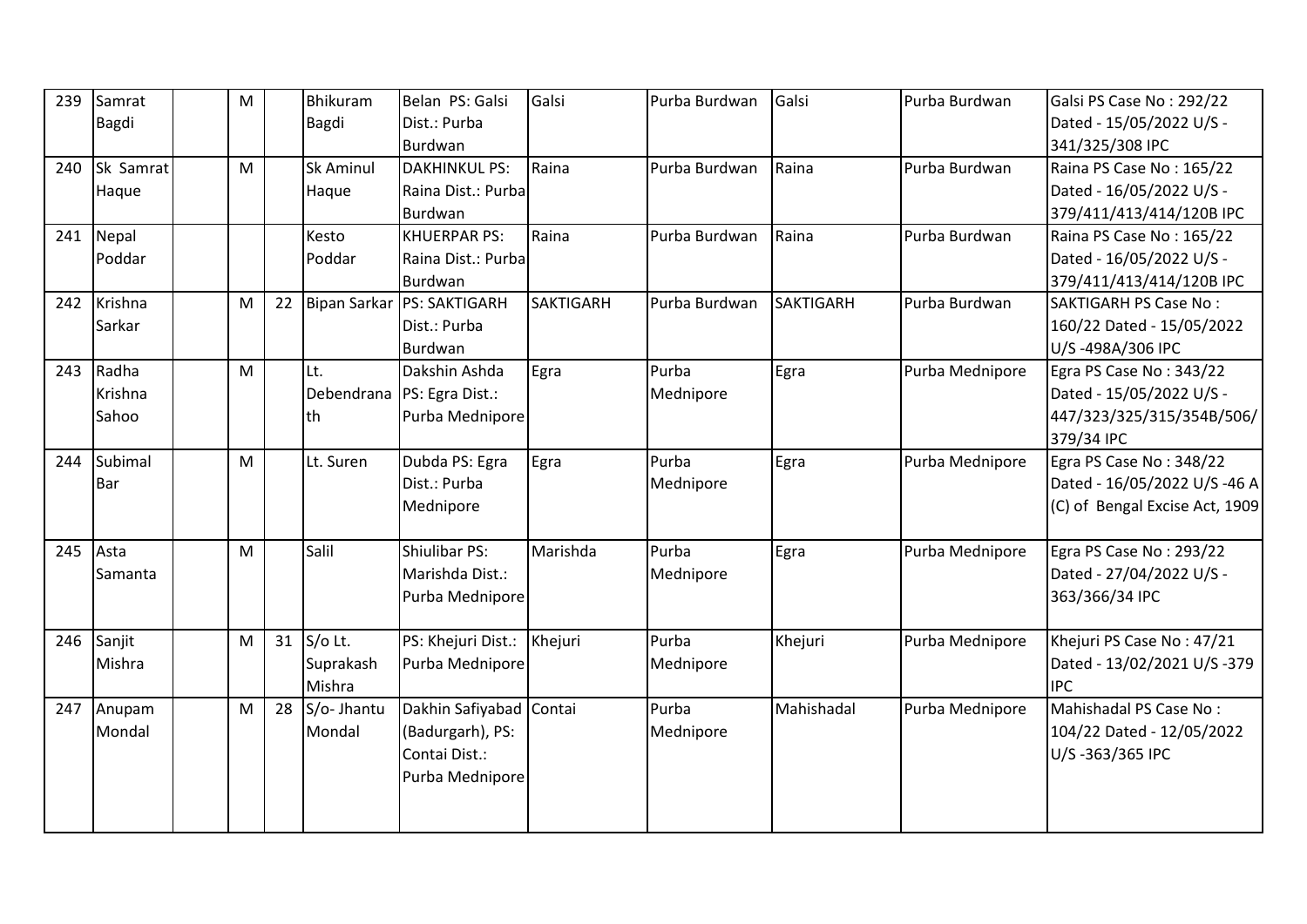| 239 | Samrat       | M |    | Bhikuram            | Belan PS: Galsi              | Galsi            | Purba Burdwan | Galsi            | Purba Burdwan   | Galsi PS Case No: 292/22       |
|-----|--------------|---|----|---------------------|------------------------------|------------------|---------------|------------------|-----------------|--------------------------------|
|     | <b>Bagdi</b> |   |    | Bagdi               | Dist.: Purba                 |                  |               |                  |                 | Dated - 15/05/2022 U/S -       |
|     |              |   |    |                     | Burdwan                      |                  |               |                  |                 | 341/325/308 IPC                |
| 240 | Sk Samrat    | M |    | Sk Aminul           | <b>DAKHINKUL PS:</b>         | Raina            | Purba Burdwan | Raina            | Purba Burdwan   | Raina PS Case No: 165/22       |
|     | Haque        |   |    | Haque               | Raina Dist.: Purba           |                  |               |                  |                 | Dated - 16/05/2022 U/S -       |
|     |              |   |    |                     | Burdwan                      |                  |               |                  |                 | 379/411/413/414/120B IPC       |
|     | 241 Nepal    |   |    | Kesto               | <b>KHUERPAR PS:</b>          | Raina            | Purba Burdwan | Raina            | Purba Burdwan   | Raina PS Case No: 165/22       |
|     | Poddar       |   |    | Poddar              | Raina Dist.: Purba           |                  |               |                  |                 | Dated - 16/05/2022 U/S -       |
|     |              |   |    |                     | Burdwan                      |                  |               |                  |                 | 379/411/413/414/120B IPC       |
|     | 242 Krishna  | M | 22 | <b>Bipan Sarkar</b> | <b>PS: SAKTIGARH</b>         | <b>SAKTIGARH</b> | Purba Burdwan | <b>SAKTIGARH</b> | Purba Burdwan   | <b>SAKTIGARH PS Case No:</b>   |
|     | Sarkar       |   |    |                     | Dist.: Purba                 |                  |               |                  |                 | 160/22 Dated - 15/05/2022      |
|     |              |   |    |                     | Burdwan                      |                  |               |                  |                 | U/S-498A/306 IPC               |
| 243 | Radha        | M |    | Lt.                 | Dakshin Ashda                | Egra             | Purba         | Egra             | Purba Mednipore | Egra PS Case No: 343/22        |
|     | Krishna      |   |    |                     | Debendrana   PS: Egra Dist.: |                  | Mednipore     |                  |                 | Dated - 15/05/2022 U/S -       |
|     | Sahoo        |   |    | th                  | Purba Mednipore              |                  |               |                  |                 | 447/323/325/315/354B/506/      |
|     |              |   |    |                     |                              |                  |               |                  |                 | 379/34 IPC                     |
| 244 | Subimal      | M |    | Lt. Suren           | Dubda PS: Egra               | Egra             | Purba         | Egra             | Purba Mednipore | Egra PS Case No: 348/22        |
|     | Bar          |   |    |                     | Dist.: Purba                 |                  | Mednipore     |                  |                 | Dated - 16/05/2022 U/S -46 A   |
|     |              |   |    |                     | Mednipore                    |                  |               |                  |                 | (C) of Bengal Excise Act, 1909 |
|     |              |   |    |                     |                              |                  |               |                  |                 |                                |
| 245 | Asta         | M |    | Salil               | Shiulibar PS:                | Marishda         | Purba         | Egra             | Purba Mednipore | Egra PS Case No: 293/22        |
|     | Samanta      |   |    |                     | Marishda Dist.:              |                  | Mednipore     |                  |                 | Dated - 27/04/2022 U/S -       |
|     |              |   |    |                     | Purba Mednipore              |                  |               |                  |                 | 363/366/34 IPC                 |
|     |              |   |    |                     |                              |                  |               |                  |                 |                                |
|     | 246 Sanjit   | M | 31 | S/o Lt.             | PS: Khejuri Dist.:           | Khejuri          | Purba         | Khejuri          | Purba Mednipore | Khejuri PS Case No: 47/21      |
|     | Mishra       |   |    | Suprakash           | Purba Mednipore              |                  | Mednipore     |                  |                 | Dated - 13/02/2021 U/S -379    |
|     |              |   |    | Mishra              |                              |                  |               |                  |                 | <b>IPC</b>                     |
| 247 | Anupam       | M | 28 | S/o- Jhantu         | Dakhin Safiyabad Contai      |                  | Purba         | Mahishadal       | Purba Mednipore | Mahishadal PS Case No:         |
|     | Mondal       |   |    | Mondal              | (Badurgarh), PS:             |                  | Mednipore     |                  |                 | 104/22 Dated - 12/05/2022      |
|     |              |   |    |                     | Contai Dist.:                |                  |               |                  |                 | U/S-363/365 IPC                |
|     |              |   |    |                     | Purba Mednipore              |                  |               |                  |                 |                                |
|     |              |   |    |                     |                              |                  |               |                  |                 |                                |
|     |              |   |    |                     |                              |                  |               |                  |                 |                                |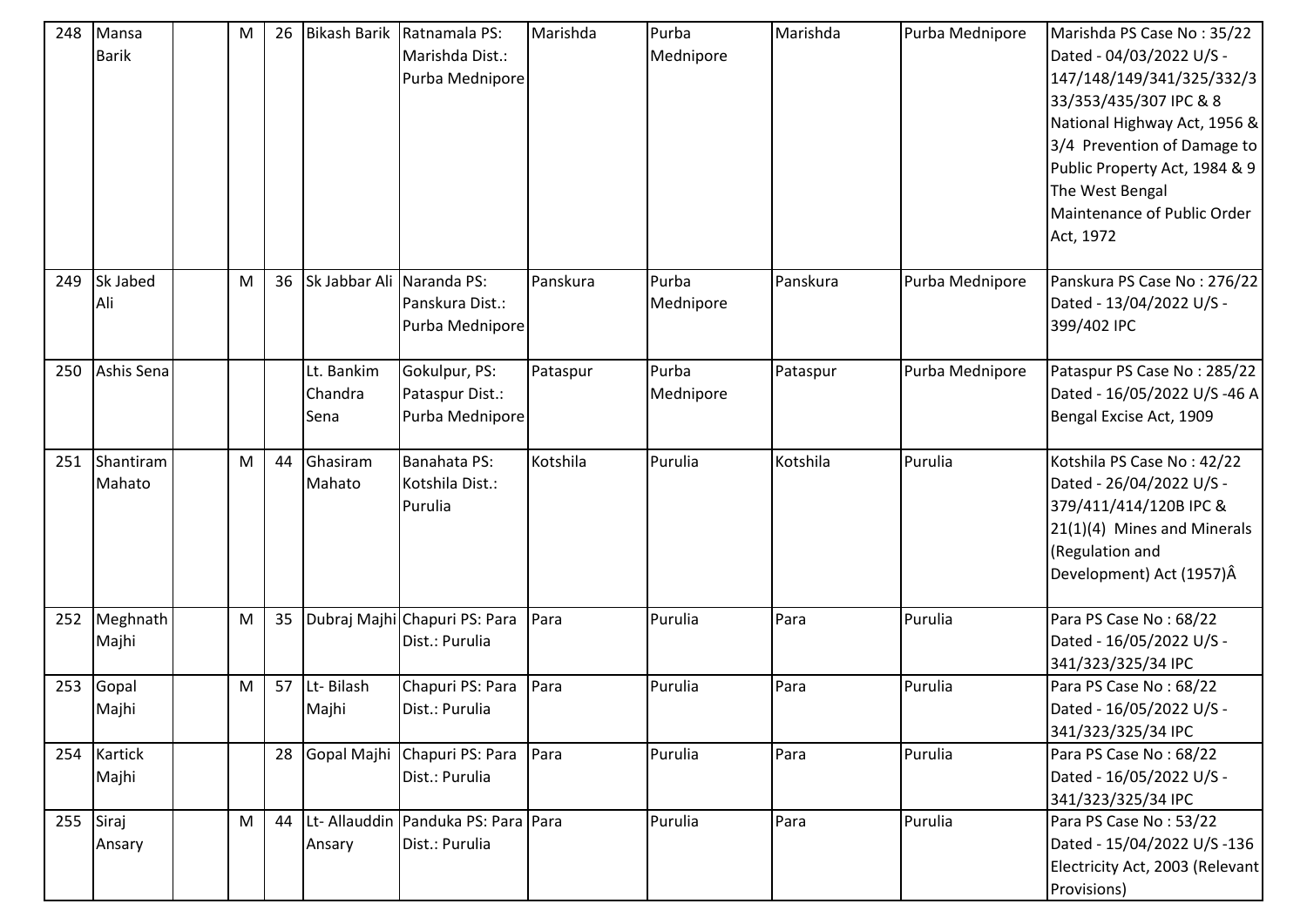| 248 | Mansa<br><b>Barik</b> | M | 26 |                               | Bikash Barik Ratnamala PS:<br>Marishda Dist.:<br>Purba Mednipore | Marishda | Purba<br>Mednipore | Marishda | Purba Mednipore | Marishda PS Case No: 35/22<br>Dated - 04/03/2022 U/S -<br>147/148/149/341/325/332/3<br>33/353/435/307 IPC & 8<br>National Highway Act, 1956 &<br>3/4 Prevention of Damage to<br>Public Property Act, 1984 & 9<br>The West Bengal<br>Maintenance of Public Order<br>Act, 1972 |
|-----|-----------------------|---|----|-------------------------------|------------------------------------------------------------------|----------|--------------------|----------|-----------------|------------------------------------------------------------------------------------------------------------------------------------------------------------------------------------------------------------------------------------------------------------------------------|
| 249 | Sk Jabed<br>Ali       | M | 36 | Sk Jabbar Ali Naranda PS:     | Panskura Dist.:<br>Purba Mednipore                               | Panskura | Purba<br>Mednipore | Panskura | Purba Mednipore | Panskura PS Case No: 276/22<br>Dated - 13/04/2022 U/S -<br>399/402 IPC                                                                                                                                                                                                       |
| 250 | Ashis Sena            |   |    | Lt. Bankim<br>Chandra<br>Sena | Gokulpur, PS:<br>Pataspur Dist.:<br>Purba Mednipore              | Pataspur | Purba<br>Mednipore | Pataspur | Purba Mednipore | Pataspur PS Case No: 285/22<br>Dated - 16/05/2022 U/S -46 A<br>Bengal Excise Act, 1909                                                                                                                                                                                       |
| 251 | Shantiram<br>Mahato   | M | 44 | Ghasiram<br>Mahato            | Banahata PS:<br>Kotshila Dist.:<br>Purulia                       | Kotshila | Purulia            | Kotshila | Purulia         | Kotshila PS Case No: 42/22<br>Dated - 26/04/2022 U/S -<br>379/411/414/120B IPC &<br>$21(1)(4)$ Mines and Minerals<br>(Regulation and<br>Development) Act (1957)Â                                                                                                             |
| 252 | Meghnath<br>Majhi     | M | 35 |                               | Dubraj Majhi Chapuri PS: Para<br>Dist.: Purulia                  | Para     | Purulia            | Para     | Purulia         | Para PS Case No: 68/22<br>Dated - 16/05/2022 U/S -<br>341/323/325/34 IPC                                                                                                                                                                                                     |
| 253 | Gopal<br>Majhi        | M | 57 | Lt-Bilash<br>Majhi            | Chapuri PS: Para<br>Dist.: Purulia                               | Para     | Purulia            | Para     | Purulia         | Para PS Case No: 68/22<br>Dated - 16/05/2022 U/S -<br>341/323/325/34 IPC                                                                                                                                                                                                     |
|     | 254 Kartick<br>Majhi  |   | 28 |                               | Gopal Majhi Chapuri PS: Para<br>Dist.: Purulia                   | Para     | Purulia            | Para     | Purulia         | Para PS Case No: 68/22<br>Dated - 16/05/2022 U/S -<br>341/323/325/34 IPC                                                                                                                                                                                                     |
| 255 | Siraj<br>Ansary       | M | 44 | Ansary                        | Lt- Allauddin Panduka PS: Para Para<br>Dist.: Purulia            |          | Purulia            | Para     | Purulia         | Para PS Case No: 53/22<br>Dated - 15/04/2022 U/S -136<br>Electricity Act, 2003 (Relevant<br>Provisions)                                                                                                                                                                      |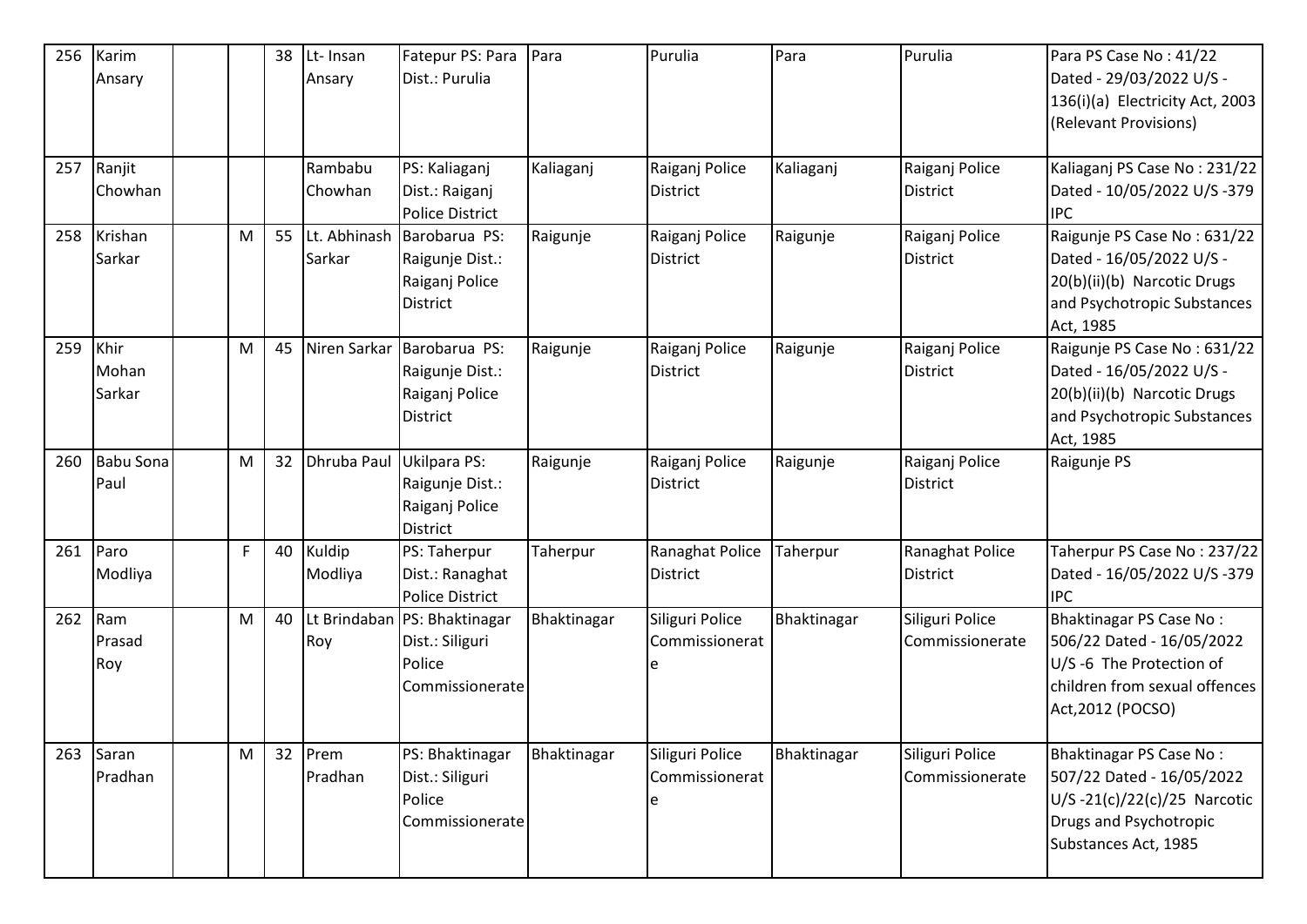| 256 | Karim            |           | 38 | Lt-Insan        | Fatepur PS: Para                   | Para        | Purulia                           | Para        | Purulia         | Para PS Case No: 41/22                                  |
|-----|------------------|-----------|----|-----------------|------------------------------------|-------------|-----------------------------------|-------------|-----------------|---------------------------------------------------------|
|     | Ansary           |           |    | Ansary          | Dist.: Purulia                     |             |                                   |             |                 | Dated - 29/03/2022 U/S -                                |
|     |                  |           |    |                 |                                    |             |                                   |             |                 | 136(i)(a) Electricity Act, 2003                         |
|     |                  |           |    |                 |                                    |             |                                   |             |                 | (Relevant Provisions)                                   |
|     |                  |           |    |                 |                                    |             |                                   |             |                 |                                                         |
| 257 | Ranjit           |           |    | Rambabu         | PS: Kaliaganj                      | Kaliaganj   | Raiganj Police                    | Kaliaganj   | Raiganj Police  | Kaliaganj PS Case No: 231/22                            |
|     | Chowhan          |           |    | Chowhan         | Dist.: Raiganj                     |             | <b>District</b>                   |             | District        | Dated - 10/05/2022 U/S -379                             |
|     |                  |           |    |                 | <b>Police District</b>             |             |                                   |             |                 | <b>IPC</b>                                              |
| 258 | Krishan          | ${\sf M}$ | 55 | Sarkar          | Lt. Abhinash Barobarua PS:         | Raigunje    | Raiganj Police<br><b>District</b> | Raigunje    | Raiganj Police  | Raigunje PS Case No: 631/22<br>Dated - 16/05/2022 U/S - |
|     | Sarkar           |           |    |                 | Raigunje Dist.:<br>Raiganj Police  |             |                                   |             | District        | 20(b)(ii)(b) Narcotic Drugs                             |
|     |                  |           |    |                 | District                           |             |                                   |             |                 | and Psychotropic Substances                             |
|     |                  |           |    |                 |                                    |             |                                   |             |                 | Act, 1985                                               |
| 259 | Khir             | M         | 45 |                 | Niren Sarkar Barobarua PS:         | Raigunje    | Raiganj Police                    | Raigunje    | Raiganj Police  | Raigunje PS Case No: 631/22                             |
|     | Mohan            |           |    |                 | Raigunje Dist.:                    |             | <b>District</b>                   |             | District        | Dated - 16/05/2022 U/S -                                |
|     | Sarkar           |           |    |                 | Raiganj Police                     |             |                                   |             |                 | 20(b)(ii)(b) Narcotic Drugs                             |
|     |                  |           |    |                 | <b>District</b>                    |             |                                   |             |                 | and Psychotropic Substances                             |
|     |                  |           |    |                 |                                    |             |                                   |             |                 | Act, 1985                                               |
| 260 | <b>Babu Sona</b> | M         | 32 | Dhruba Paul     | Ukilpara PS:                       | Raigunje    | Raiganj Police                    | Raigunje    | Raiganj Police  | Raigunje PS                                             |
|     | Paul             |           |    |                 | Raigunje Dist.:                    |             | <b>District</b>                   |             | <b>District</b> |                                                         |
|     |                  |           |    |                 | Raiganj Police                     |             |                                   |             |                 |                                                         |
| 261 | Paro             | F         | 40 | Kuldip          | <b>District</b><br>PS: Taherpur    | Taherpur    | Ranaghat Police                   | Taherpur    | Ranaghat Police | Taherpur PS Case No: 237/22                             |
|     | Modliya          |           |    | Modliya         | Dist.: Ranaghat                    |             | District                          |             | District        | Dated - 16/05/2022 U/S -379                             |
|     |                  |           |    |                 | <b>Police District</b>             |             |                                   |             |                 | <b>IPC</b>                                              |
| 262 | Ram              | M         | 40 |                 | Lt Brindaban   PS: Bhaktinagar     | Bhaktinagar | Siliguri Police                   | Bhaktinagar | Siliguri Police | Bhaktinagar PS Case No:                                 |
|     | Prasad           |           |    | Roy             | Dist.: Siliguri                    |             | Commissionerat                    |             | Commissionerate | 506/22 Dated - 16/05/2022                               |
|     | Roy              |           |    |                 | Police                             |             |                                   |             |                 | U/S-6 The Protection of                                 |
|     |                  |           |    |                 | Commissionerate                    |             |                                   |             |                 | children from sexual offences                           |
|     |                  |           |    |                 |                                    |             |                                   |             |                 | Act, 2012 (POCSO)                                       |
|     |                  |           |    |                 |                                    |             |                                   |             |                 |                                                         |
| 263 | Saran            | ${\sf M}$ | 32 | Prem<br>Pradhan | PS: Bhaktinagar<br>Dist.: Siliguri | Bhaktinagar | Siliguri Police<br>Commissionerat | Bhaktinagar | Siliguri Police | Bhaktinagar PS Case No:<br>507/22 Dated - 16/05/2022    |
|     | Pradhan          |           |    |                 | Police                             |             |                                   |             | Commissionerate | U/S-21(c)/22(c)/25 Narcotic                             |
|     |                  |           |    |                 | Commissionerate                    |             |                                   |             |                 | Drugs and Psychotropic                                  |
|     |                  |           |    |                 |                                    |             |                                   |             |                 | Substances Act, 1985                                    |
|     |                  |           |    |                 |                                    |             |                                   |             |                 |                                                         |
|     |                  |           |    |                 |                                    |             |                                   |             |                 |                                                         |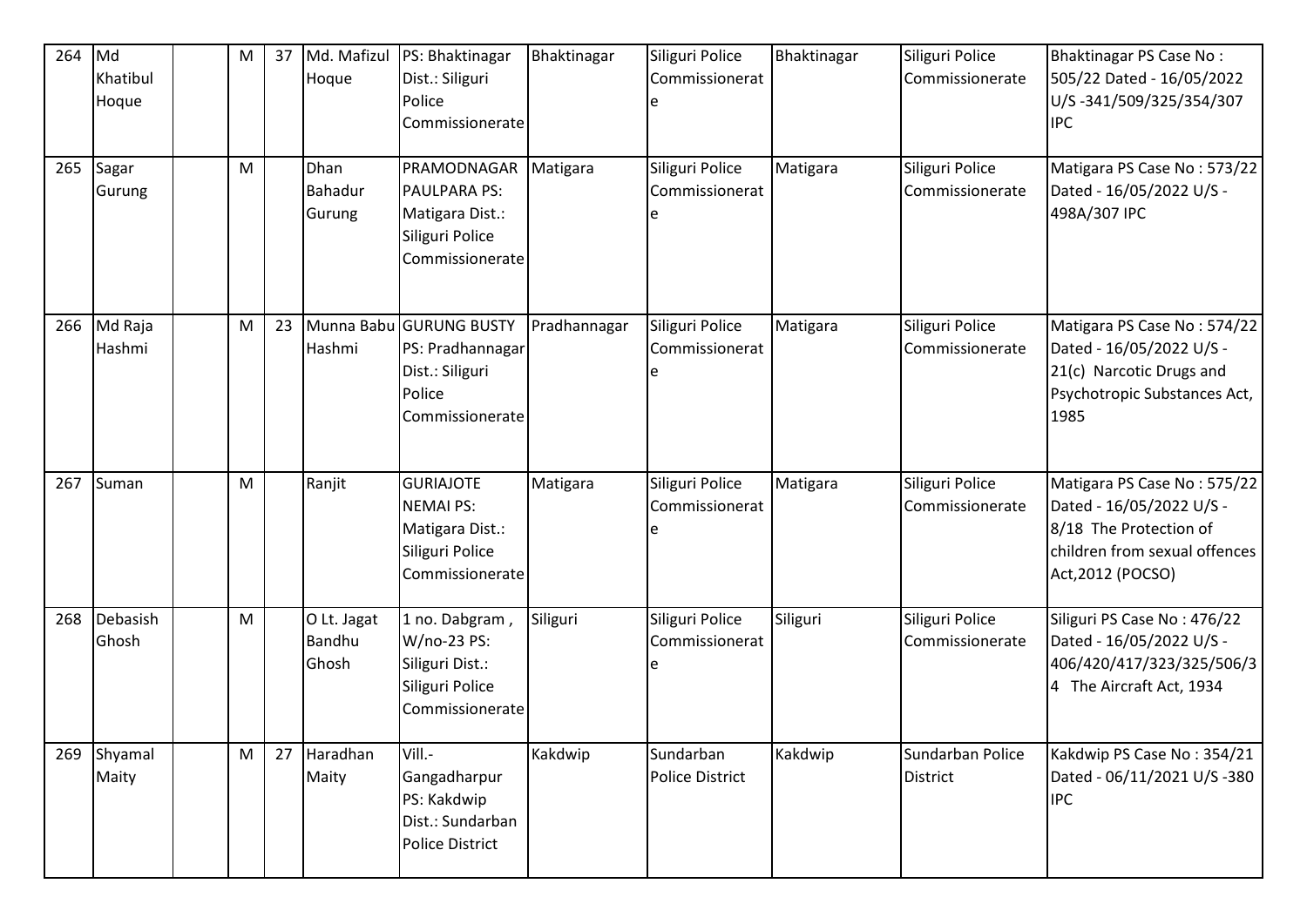| 264<br>265 | Md<br>Khatibul<br>Hoque<br>Sagar<br>Gurung | M<br>M    | 37 | Md. Mafizul<br>Hoque<br>Dhan<br><b>Bahadur</b> | PS: Bhaktinagar<br>Dist.: Siliguri<br>Police<br>Commissionerate<br>PRAMODNAGAR Matigara<br><b>PAULPARA PS:</b> | Bhaktinagar  | Siliguri Police<br>Commissionerat<br>Siliguri Police<br>Commissionerat | Bhaktinagar<br>Matigara | Siliguri Police<br>Commissionerate<br>Siliguri Police<br>Commissionerate | Bhaktinagar PS Case No:<br>505/22 Dated - 16/05/2022<br>U/S-341/509/325/354/307<br><b>IPC</b><br>Matigara PS Case No: 573/22<br>Dated - 16/05/2022 U/S - |
|------------|--------------------------------------------|-----------|----|------------------------------------------------|----------------------------------------------------------------------------------------------------------------|--------------|------------------------------------------------------------------------|-------------------------|--------------------------------------------------------------------------|----------------------------------------------------------------------------------------------------------------------------------------------------------|
|            |                                            |           |    | Gurung                                         | Matigara Dist.:<br>Siliguri Police<br>Commissionerate                                                          |              |                                                                        |                         |                                                                          | 498A/307 IPC                                                                                                                                             |
|            | 266 Md Raja<br>Hashmi                      | M         | 23 | Hashmi                                         | Munna Babu GURUNG BUSTY<br>PS: Pradhannagar<br>Dist.: Siliguri<br>Police<br>Commissionerate                    | Pradhannagar | Siliguri Police<br>Commissionerat                                      | Matigara                | Siliguri Police<br>Commissionerate                                       | Matigara PS Case No: 574/22<br>Dated - 16/05/2022 U/S -<br>21(c) Narcotic Drugs and<br>Psychotropic Substances Act,<br>1985                              |
| 267        | Suman                                      | M         |    | Ranjit                                         | <b>GURIAJOTE</b><br><b>NEMAI PS:</b><br>Matigara Dist.:<br>Siliguri Police<br>Commissionerate                  | Matigara     | Siliguri Police<br>Commissionerat                                      | Matigara                | Siliguri Police<br>Commissionerate                                       | Matigara PS Case No: 575/22<br>Dated - 16/05/2022 U/S -<br>8/18 The Protection of<br>children from sexual offences<br>Act, 2012 (POCSO)                  |
| 268        | Debasish<br>Ghosh                          | M         |    | O Lt. Jagat<br><b>Bandhu</b><br>Ghosh          | 1 no. Dabgram,<br>W/no-23 PS:<br>Siliguri Dist.:<br>Siliguri Police<br>Commissionerate                         | Siliguri     | Siliguri Police<br>Commissionerat                                      | Siliguri                | Siliguri Police<br>Commissionerate                                       | Siliguri PS Case No: 476/22<br>Dated - 16/05/2022 U/S -<br>406/420/417/323/325/506/3<br>4 The Aircraft Act, 1934                                         |
| 269        | Shyamal<br>Maity                           | ${\sf M}$ | 27 | Haradhan<br>Maity                              | Vill.-<br>Gangadharpur<br>PS: Kakdwip<br>Dist.: Sundarban<br><b>Police District</b>                            | Kakdwip      | Sundarban<br>Police District                                           | Kakdwip                 | Sundarban Police<br><b>District</b>                                      | Kakdwip PS Case No: 354/21<br>Dated - 06/11/2021 U/S -380<br><b>IPC</b>                                                                                  |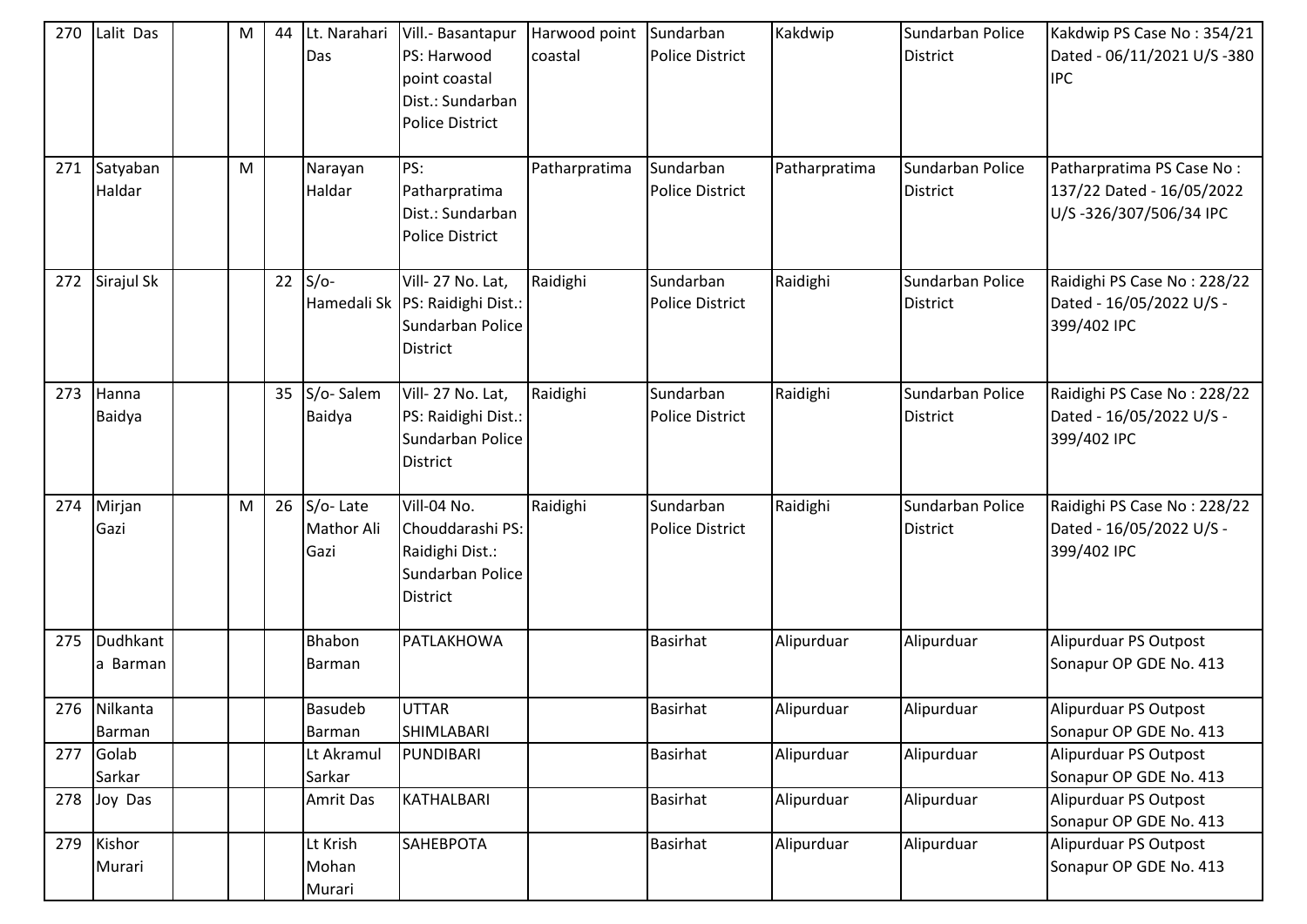| 270 | Lalit Das              | M | 44 | Lt. Narahari<br>Das                   | Vill.- Basantapur<br>PS: Harwood<br>point coastal<br>Dist.: Sundarban<br><b>Police District</b> | Harwood point<br>coastal | Sundarban<br><b>Police District</b> | Kakdwip       | Sundarban Police<br><b>District</b> | Kakdwip PS Case No: 354/21<br>Dated - 06/11/2021 U/S -380<br><b>IPC</b>          |
|-----|------------------------|---|----|---------------------------------------|-------------------------------------------------------------------------------------------------|--------------------------|-------------------------------------|---------------|-------------------------------------|----------------------------------------------------------------------------------|
| 271 | Satyaban<br>Haldar     | M |    | Narayan<br>Haldar                     | PS:<br>Patharpratima<br>Dist.: Sundarban<br><b>Police District</b>                              | Patharpratima            | Sundarban<br><b>Police District</b> | Patharpratima | Sundarban Police<br><b>District</b> | Patharpratima PS Case No:<br>137/22 Dated - 16/05/2022<br>U/S-326/307/506/34 IPC |
| 272 | Sirajul Sk             |   | 22 | $S/O-$                                | Vill-27 No. Lat,<br>Hamedali Sk   PS: Raidighi Dist.:<br>Sundarban Police<br><b>District</b>    | Raidighi                 | Sundarban<br><b>Police District</b> | Raidighi      | Sundarban Police<br><b>District</b> | Raidighi PS Case No: 228/22<br>Dated - 16/05/2022 U/S -<br>399/402 IPC           |
| 273 | Hanna<br>Baidya        |   | 35 | S/o-Salem<br>Baidya                   | Vill-27 No. Lat,<br>PS: Raidighi Dist.:<br>Sundarban Police<br><b>District</b>                  | Raidighi                 | Sundarban<br><b>Police District</b> | Raidighi      | Sundarban Police<br><b>District</b> | Raidighi PS Case No: 228/22<br>Dated - 16/05/2022 U/S -<br>399/402 IPC           |
| 274 | Mirjan<br>Gazi         | M | 26 | S/o-Late<br><b>Mathor Ali</b><br>Gazi | Vill-04 No.<br>Chouddarashi PS:<br>Raidighi Dist.:<br>Sundarban Police<br><b>District</b>       | Raidighi                 | Sundarban<br><b>Police District</b> | Raidighi      | Sundarban Police<br><b>District</b> | Raidighi PS Case No: 228/22<br>Dated - 16/05/2022 U/S -<br>399/402 IPC           |
| 275 | Dudhkant<br>a Barman   |   |    | Bhabon<br>Barman                      | PATLAKHOWA                                                                                      |                          | <b>Basirhat</b>                     | Alipurduar    | Alipurduar                          | Alipurduar PS Outpost<br>Sonapur OP GDE No. 413                                  |
|     | 276 Nilkanta<br>Barman |   |    | <b>Basudeb</b><br>Barman              | <b>UTTAR</b><br>SHIMLABARI                                                                      |                          | <b>Basirhat</b>                     | Alipurduar    | Alipurduar                          | Alipurduar PS Outpost<br>Sonapur OP GDE No. 413                                  |
| 277 | Golab<br>Sarkar        |   |    | Lt Akramul<br>Sarkar                  | PUNDIBARI                                                                                       |                          | Basirhat                            | Alipurduar    | Alipurduar                          | Alipurduar PS Outpost<br>Sonapur OP GDE No. 413                                  |
| 278 | Joy Das                |   |    | Amrit Das                             | KATHALBARI                                                                                      |                          | Basirhat                            | Alipurduar    | Alipurduar                          | Alipurduar PS Outpost<br>Sonapur OP GDE No. 413                                  |
| 279 | Kishor<br>Murari       |   |    | Lt Krish<br>Mohan<br>Murari           | SAHEBPOTA                                                                                       |                          | <b>Basirhat</b>                     | Alipurduar    | Alipurduar                          | Alipurduar PS Outpost<br>Sonapur OP GDE No. 413                                  |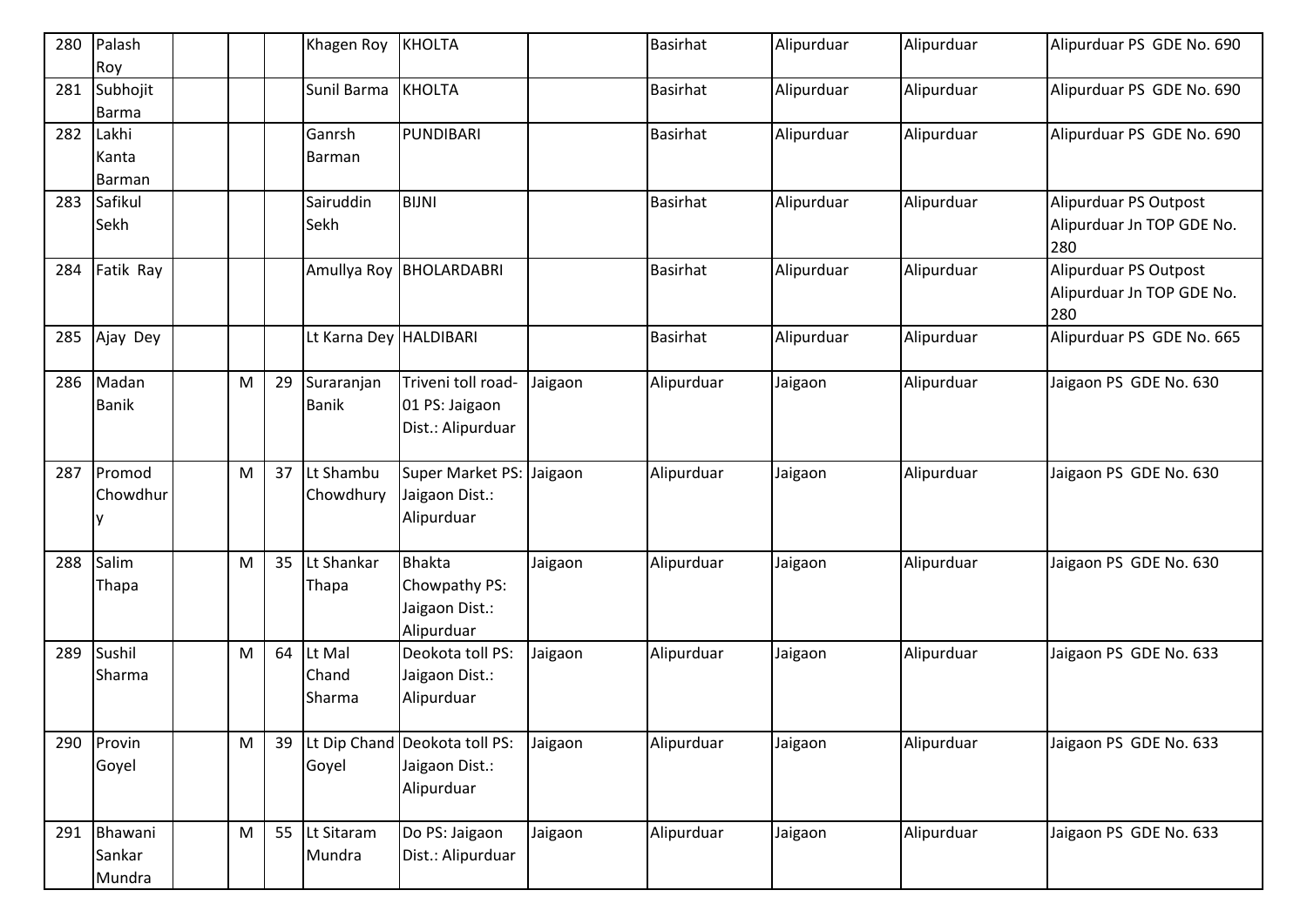| 280 | Palash<br>Roy               |           |    | Khagen Roy                 | <b>KHOLTA</b>                                                  |         | <b>Basirhat</b> | Alipurduar | Alipurduar | Alipurduar PS GDE No. 690                                 |
|-----|-----------------------------|-----------|----|----------------------------|----------------------------------------------------------------|---------|-----------------|------------|------------|-----------------------------------------------------------|
| 281 | Subhojit<br><b>Barma</b>    |           |    | Sunil Barma                | KHOLTA                                                         |         | Basirhat        | Alipurduar | Alipurduar | Alipurduar PS GDE No. 690                                 |
| 282 | Lakhi<br>Kanta<br>Barman    |           |    | Ganrsh<br>Barman           | PUNDIBARI                                                      |         | <b>Basirhat</b> | Alipurduar | Alipurduar | Alipurduar PS GDE No. 690                                 |
| 283 | Safikul<br>Sekh             |           |    | Sairuddin<br>Sekh          | <b>BIJNI</b>                                                   |         | <b>Basirhat</b> | Alipurduar | Alipurduar | Alipurduar PS Outpost<br>Alipurduar Jn TOP GDE No.<br>280 |
| 284 | Fatik Ray                   |           |    |                            | Amullya Roy BHOLARDABRI                                        |         | <b>Basirhat</b> | Alipurduar | Alipurduar | Alipurduar PS Outpost<br>Alipurduar Jn TOP GDE No.<br>280 |
| 285 | Ajay Dey                    |           |    | Lt Karna Dey HALDIBARI     |                                                                |         | <b>Basirhat</b> | Alipurduar | Alipurduar | Alipurduar PS GDE No. 665                                 |
|     | 286 Madan<br><b>Banik</b>   | M         | 29 | Suraranjan<br><b>Banik</b> | Triveni toll road-<br>01 PS: Jaigaon<br>Dist.: Alipurduar      | Jaigaon | Alipurduar      | Jaigaon    | Alipurduar | Jaigaon PS GDE No. 630                                    |
| 287 | Promod<br>Chowdhur          | M         | 37 | Lt Shambu<br>Chowdhury     | Super Market PS:<br>Jaigaon Dist.:<br>Alipurduar               | Jaigaon | Alipurduar      | Jaigaon    | Alipurduar | Jaigaon PS GDE No. 630                                    |
| 288 | Salim<br>Thapa              | M         | 35 | Lt Shankar<br>Thapa        | <b>Bhakta</b><br>Chowpathy PS:<br>Jaigaon Dist.:<br>Alipurduar | Jaigaon | Alipurduar      | Jaigaon    | Alipurduar | Jaigaon PS GDE No. 630                                    |
| 289 | Sushil<br>Sharma            | M         | 64 | Lt Mal<br>Chand<br>Sharma  | Deokota toll PS:<br>Jaigaon Dist.:<br>Alipurduar               | Jaigaon | Alipurduar      | Jaigaon    | Alipurduar | Jaigaon PS GDE No. 633                                    |
|     | 290 Provin<br>Goyel         | M         | 39 | Goyel                      | Lt Dip Chand Deokota toll PS:<br>Jaigaon Dist.:<br>Alipurduar  | Jaigaon | Alipurduar      | Jaigaon    | Alipurduar | Jaigaon PS GDE No. 633                                    |
| 291 | Bhawani<br>Sankar<br>Mundra | ${\sf M}$ | 55 | Lt Sitaram<br>Mundra       | Do PS: Jaigaon<br>Dist.: Alipurduar                            | Jaigaon | Alipurduar      | Jaigaon    | Alipurduar | Jaigaon PS GDE No. 633                                    |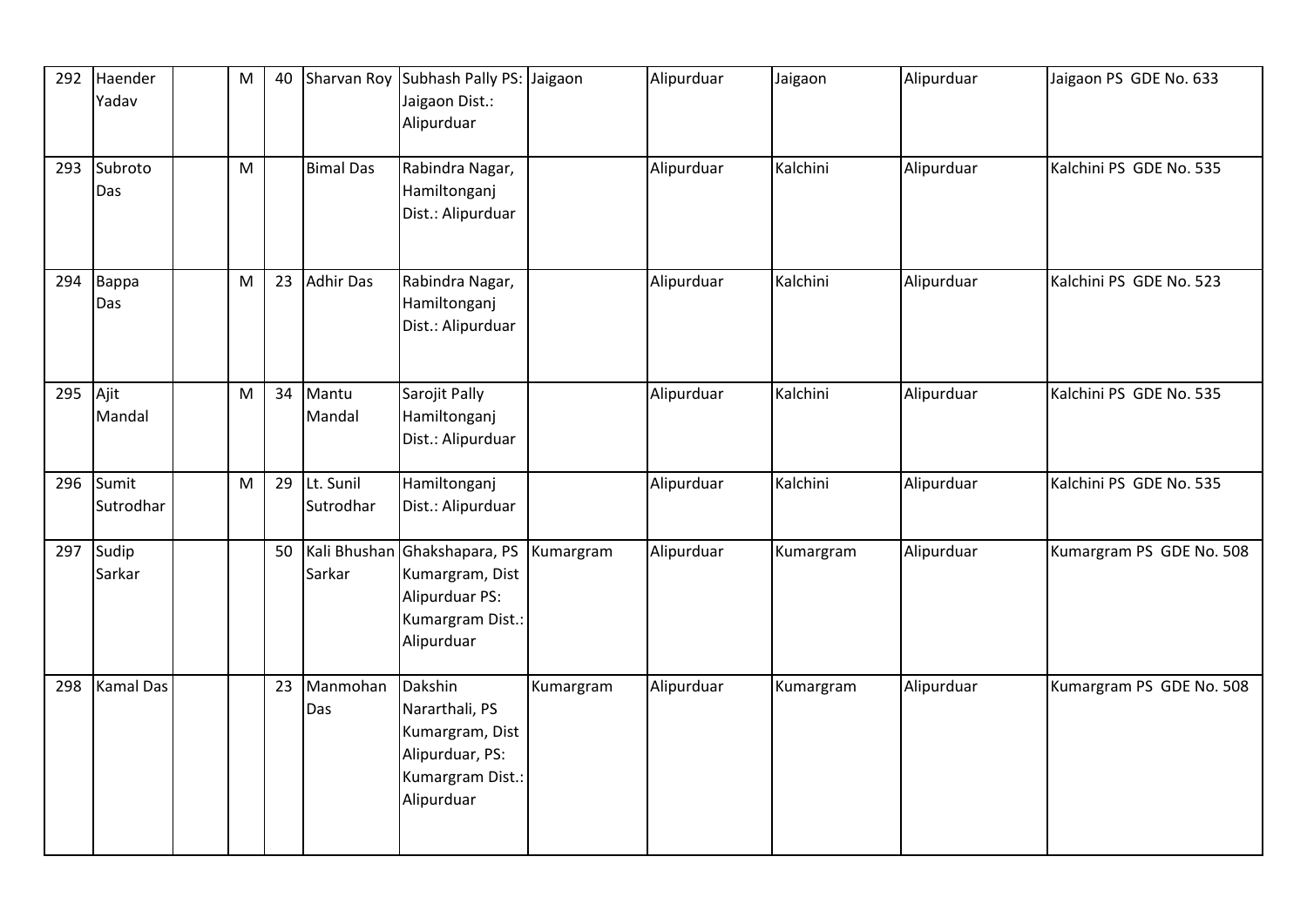| 292 | Haender<br>Yadav   | ${\sf M}$ | 40 |                        | Sharvan Roy Subhash Pally PS: Jaigaon<br>Jaigaon Dist.:<br>Alipurduar                             |           | Alipurduar | Jaigaon   | Alipurduar | Jaigaon PS GDE No. 633   |
|-----|--------------------|-----------|----|------------------------|---------------------------------------------------------------------------------------------------|-----------|------------|-----------|------------|--------------------------|
| 293 | Subroto<br>Das     | M         |    | <b>Bimal Das</b>       | Rabindra Nagar,<br>Hamiltonganj<br>Dist.: Alipurduar                                              |           | Alipurduar | Kalchini  | Alipurduar | Kalchini PS GDE No. 535  |
| 294 | Bappa<br>Das       | ${\sf M}$ | 23 | <b>Adhir Das</b>       | Rabindra Nagar,<br>Hamiltonganj<br>Dist.: Alipurduar                                              |           | Alipurduar | Kalchini  | Alipurduar | Kalchini PS GDE No. 523  |
| 295 | Ajit<br>Mandal     | M         | 34 | Mantu<br>Mandal        | Sarojit Pally<br>Hamiltonganj<br>Dist.: Alipurduar                                                |           | Alipurduar | Kalchini  | Alipurduar | Kalchini PS GDE No. 535  |
| 296 | Sumit<br>Sutrodhar | M         | 29 | Lt. Sunil<br>Sutrodhar | Hamiltonganj<br>Dist.: Alipurduar                                                                 |           | Alipurduar | Kalchini  | Alipurduar | Kalchini PS GDE No. 535  |
| 297 | Sudip<br>Sarkar    |           | 50 | Kali Bhushan<br>Sarkar | Ghakshapara, PS<br>Kumargram, Dist<br>Alipurduar PS:<br>Kumargram Dist.:<br>Alipurduar            | Kumargram | Alipurduar | Kumargram | Alipurduar | Kumargram PS GDE No. 508 |
| 298 | <b>Kamal Das</b>   |           | 23 | Manmohan<br>Das        | Dakshin<br>Nararthali, PS<br>Kumargram, Dist<br>Alipurduar, PS:<br>Kumargram Dist.:<br>Alipurduar | Kumargram | Alipurduar | Kumargram | Alipurduar | Kumargram PS GDE No. 508 |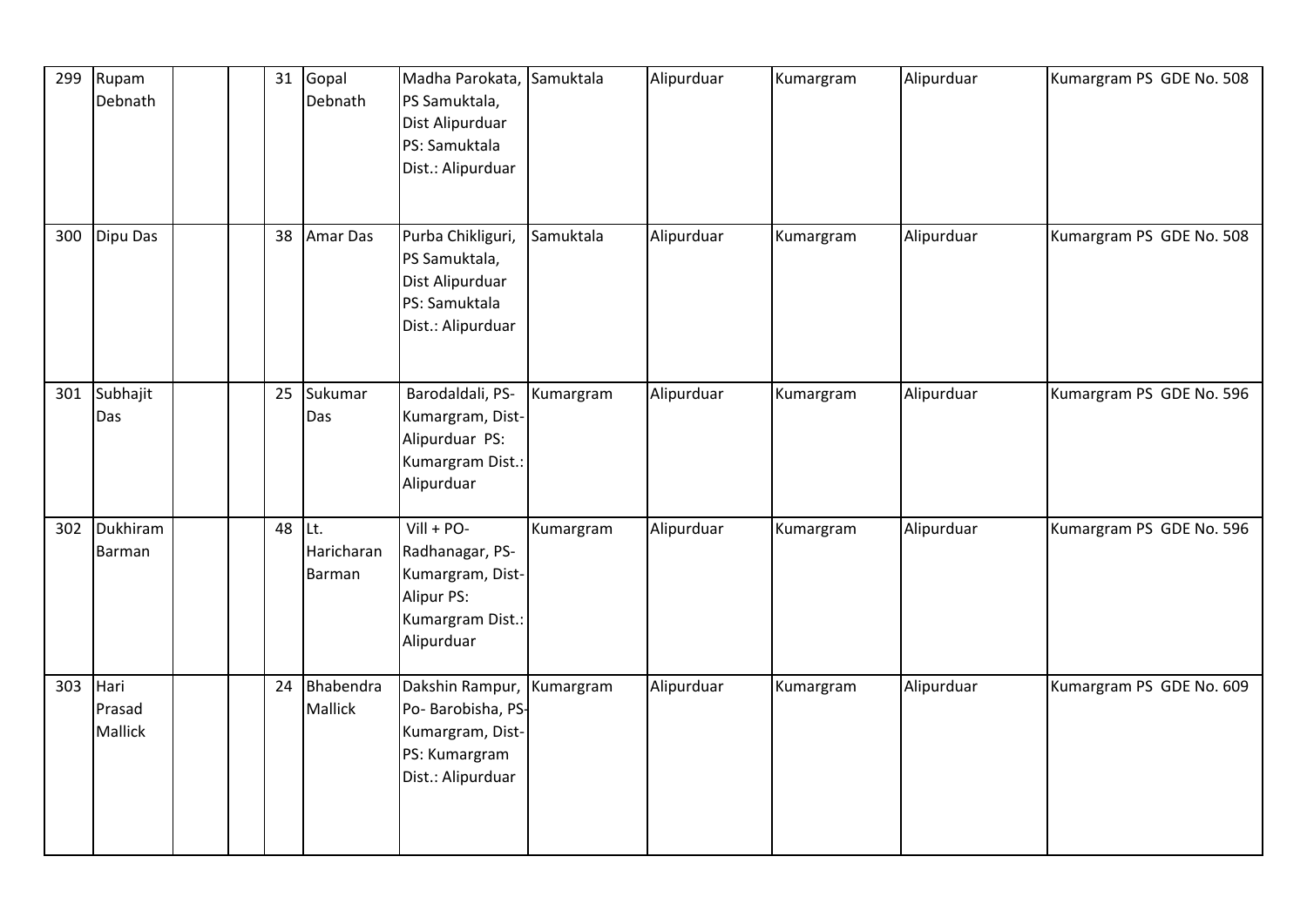| 299 | Rupam<br>Debnath                 |  |        | 31 Gopal<br>Debnath  | Madha Parokata, Samuktala<br>PS Samuktala,<br>Dist Alipurduar<br>PS: Samuktala<br>Dist.: Alipurduar |           | Alipurduar | Kumargram | Alipurduar | Kumargram PS GDE No. 508 |
|-----|----------------------------------|--|--------|----------------------|-----------------------------------------------------------------------------------------------------|-----------|------------|-----------|------------|--------------------------|
| 300 | Dipu Das                         |  |        | 38 Amar Das          | Purba Chikliguri,<br>PS Samuktala,<br>Dist Alipurduar<br>PS: Samuktala<br>Dist.: Alipurduar         | Samuktala | Alipurduar | Kumargram | Alipurduar | Kumargram PS GDE No. 508 |
| 301 | Subhajit<br>Das                  |  | 25     | Sukumar<br>Das       | Barodaldali, PS-<br>Kumargram, Dist-<br>Alipurduar PS:<br>Kumargram Dist.:<br>Alipurduar            | Kumargram | Alipurduar | Kumargram | Alipurduar | Kumargram PS GDE No. 596 |
| 302 | Dukhiram<br>Barman               |  | 48 Lt. | Haricharan<br>Barman | $VIII + PO-$<br>Radhanagar, PS-<br>Kumargram, Dist-<br>Alipur PS:<br>Kumargram Dist.:<br>Alipurduar | Kumargram | Alipurduar | Kumargram | Alipurduar | Kumargram PS GDE No. 596 |
| 303 | Hari<br>Prasad<br><b>Mallick</b> |  | 24     | Bhabendra<br>Mallick | Dakshin Rampur,<br>Po- Barobisha, PS-<br>Kumargram, Dist-<br>PS: Kumargram<br>Dist.: Alipurduar     | Kumargram | Alipurduar | Kumargram | Alipurduar | Kumargram PS GDE No. 609 |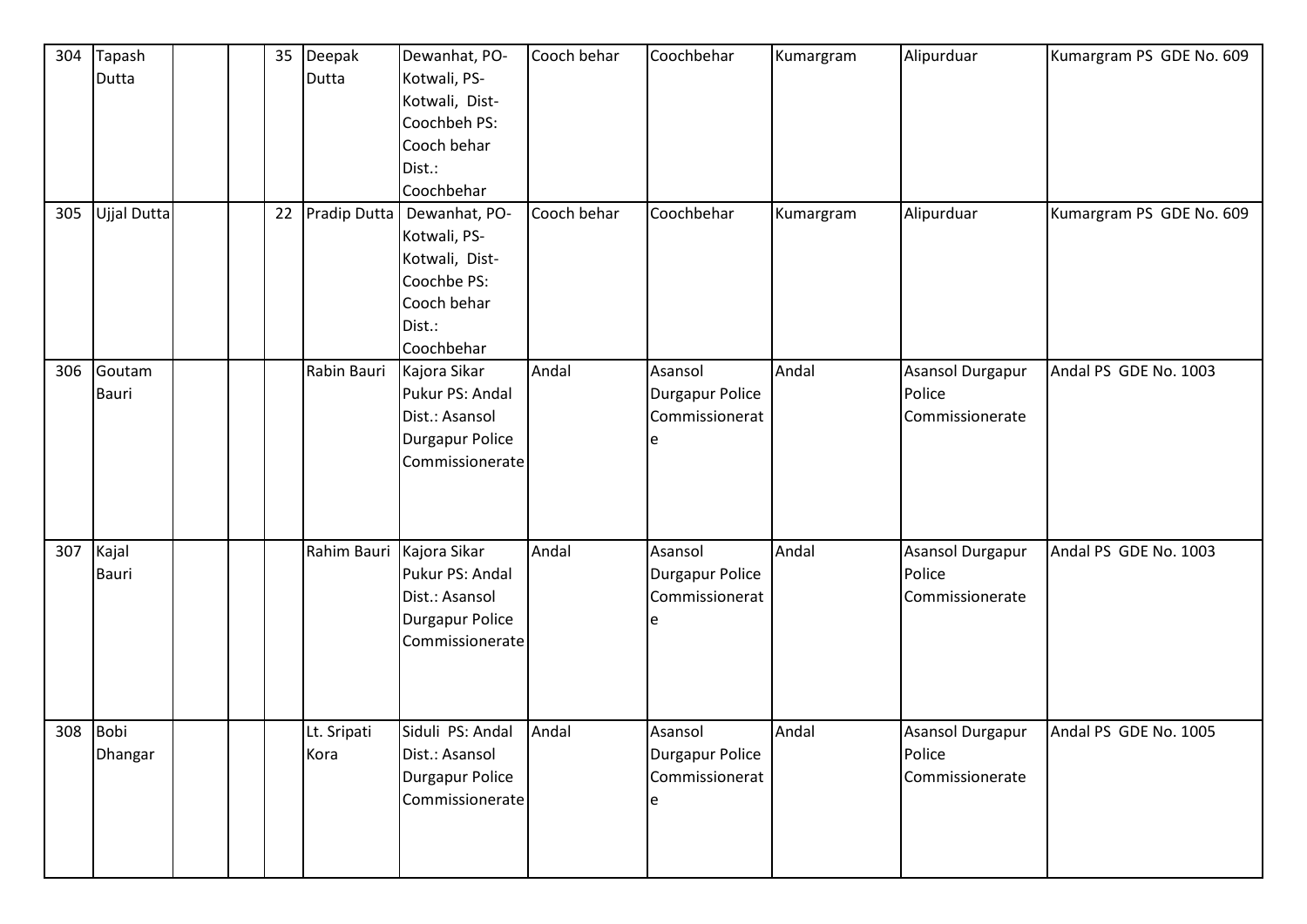| 304 | Tapash       |  |    | 35 Deepak           | Dewanhat, PO-          | Cooch behar | Coochbehar             | Kumargram | Alipurduar       | Kumargram PS GDE No. 609 |
|-----|--------------|--|----|---------------------|------------------------|-------------|------------------------|-----------|------------------|--------------------------|
|     | Dutta        |  |    | Dutta               | Kotwali, PS-           |             |                        |           |                  |                          |
|     |              |  |    |                     | Kotwali, Dist-         |             |                        |           |                  |                          |
|     |              |  |    |                     | Coochbeh PS:           |             |                        |           |                  |                          |
|     |              |  |    |                     | Cooch behar            |             |                        |           |                  |                          |
|     |              |  |    |                     | Dist.:                 |             |                        |           |                  |                          |
|     |              |  |    |                     | Coochbehar             |             |                        |           |                  |                          |
| 305 | Ujjal Dutta  |  | 22 | <b>Pradip Dutta</b> | Dewanhat, PO-          | Cooch behar | Coochbehar             | Kumargram | Alipurduar       | Kumargram PS GDE No. 609 |
|     |              |  |    |                     | Kotwali, PS-           |             |                        |           |                  |                          |
|     |              |  |    |                     | Kotwali, Dist-         |             |                        |           |                  |                          |
|     |              |  |    |                     | Coochbe PS:            |             |                        |           |                  |                          |
|     |              |  |    |                     | Cooch behar            |             |                        |           |                  |                          |
|     |              |  |    |                     | Dist.:                 |             |                        |           |                  |                          |
|     |              |  |    |                     | Coochbehar             |             |                        |           |                  |                          |
| 306 | Goutam       |  |    | Rabin Bauri         | Kajora Sikar           | Andal       | Asansol                | Andal     | Asansol Durgapur | Andal PS GDE No. 1003    |
|     | <b>Bauri</b> |  |    |                     | Pukur PS: Andal        |             | <b>Durgapur Police</b> |           | Police           |                          |
|     |              |  |    |                     | Dist.: Asansol         |             | Commissionerat         |           | Commissionerate  |                          |
|     |              |  |    |                     | <b>Durgapur Police</b> |             | e                      |           |                  |                          |
|     |              |  |    |                     | Commissionerate        |             |                        |           |                  |                          |
|     |              |  |    |                     |                        |             |                        |           |                  |                          |
|     |              |  |    |                     |                        |             |                        |           |                  |                          |
|     |              |  |    |                     |                        |             |                        |           |                  |                          |
| 307 | Kajal        |  |    | Rahim Bauri         | Kajora Sikar           | Andal       | Asansol                | Andal     | Asansol Durgapur | Andal PS GDE No. 1003    |
|     | <b>Bauri</b> |  |    |                     | Pukur PS: Andal        |             | Durgapur Police        |           | Police           |                          |
|     |              |  |    |                     | Dist.: Asansol         |             | Commissionerat         |           | Commissionerate  |                          |
|     |              |  |    |                     | <b>Durgapur Police</b> |             |                        |           |                  |                          |
|     |              |  |    |                     | Commissionerate        |             |                        |           |                  |                          |
|     |              |  |    |                     |                        |             |                        |           |                  |                          |
|     |              |  |    |                     |                        |             |                        |           |                  |                          |
|     |              |  |    |                     |                        |             |                        |           |                  |                          |
|     | 308 Bobi     |  |    | Lt. Sripati         | Siduli PS: Andal Andal |             | Asansol                | Andal     | Asansol Durgapur | Andal PS GDE No. 1005    |
|     | Dhangar      |  |    | Kora                | Dist.: Asansol         |             | Durgapur Police        |           | Police           |                          |
|     |              |  |    |                     | <b>Durgapur Police</b> |             | Commissionerat         |           | Commissionerate  |                          |
|     |              |  |    |                     | Commissionerate        |             |                        |           |                  |                          |
|     |              |  |    |                     |                        |             |                        |           |                  |                          |
|     |              |  |    |                     |                        |             |                        |           |                  |                          |
|     |              |  |    |                     |                        |             |                        |           |                  |                          |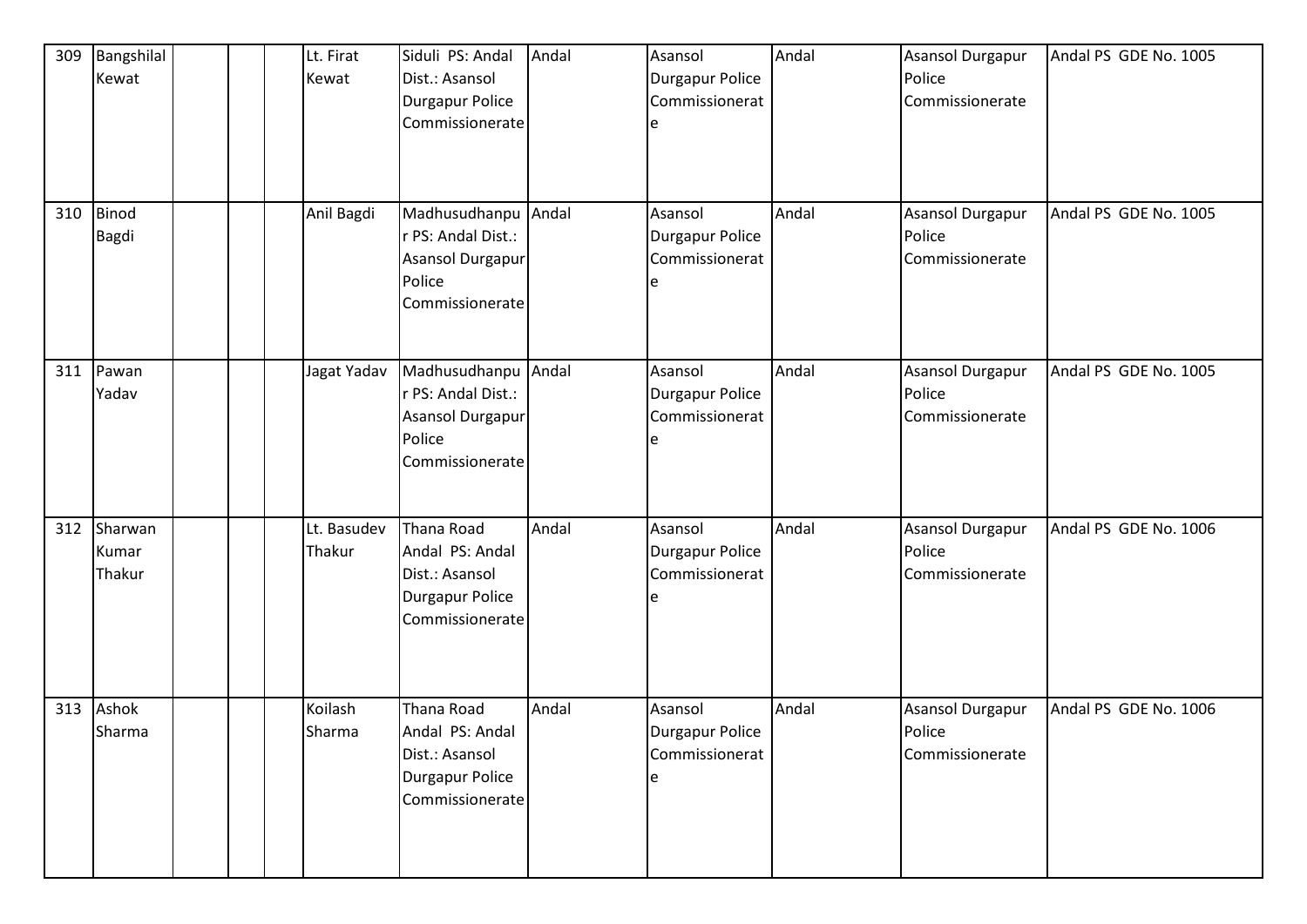| 309 | Bangshilal<br>Kewat        |  | Lt. Firat<br>Kewat    | Siduli PS: Andal<br>Dist.: Asansol<br><b>Durgapur Police</b><br>Commissionerate              | Andal | Asansol<br>Durgapur Police<br>Commissionerat<br>e        | Andal | Asansol Durgapur<br>Police<br>Commissionerate | Andal PS GDE No. 1005 |
|-----|----------------------------|--|-----------------------|----------------------------------------------------------------------------------------------|-------|----------------------------------------------------------|-------|-----------------------------------------------|-----------------------|
| 310 | <b>Binod</b><br>Bagdi      |  | Anil Bagdi            | Madhusudhanpu Andal<br>r PS: Andal Dist.:<br>Asansol Durgapur<br>Police<br>Commissionerate   |       | Asansol<br>Durgapur Police<br>Commissionerat             | Andal | Asansol Durgapur<br>Police<br>Commissionerate | Andal PS GDE No. 1005 |
| 311 | Pawan<br>Yadav             |  | Jagat Yadav           | Madhusudhanpu Andal<br>r PS: Andal Dist.:<br>Asansol Durgapur<br>Police<br>Commissionerate   |       | Asansol<br><b>Durgapur Police</b><br>Commissionerat<br>e | Andal | Asansol Durgapur<br>Police<br>Commissionerate | Andal PS GDE No. 1005 |
| 312 | Sharwan<br>Kumar<br>Thakur |  | Lt. Basudev<br>Thakur | Thana Road<br>Andal PS: Andal<br>Dist.: Asansol<br><b>Durgapur Police</b><br>Commissionerate | Andal | Asansol<br><b>Durgapur Police</b><br>Commissionerat<br>e | Andal | Asansol Durgapur<br>Police<br>Commissionerate | Andal PS GDE No. 1006 |
| 313 | Ashok<br>Sharma            |  | Koilash<br>Sharma     | Thana Road<br>Andal PS: Andal<br>Dist.: Asansol<br><b>Durgapur Police</b><br>Commissionerate | Andal | Asansol<br>Durgapur Police<br>Commissionerat             | Andal | Asansol Durgapur<br>Police<br>Commissionerate | Andal PS GDE No. 1006 |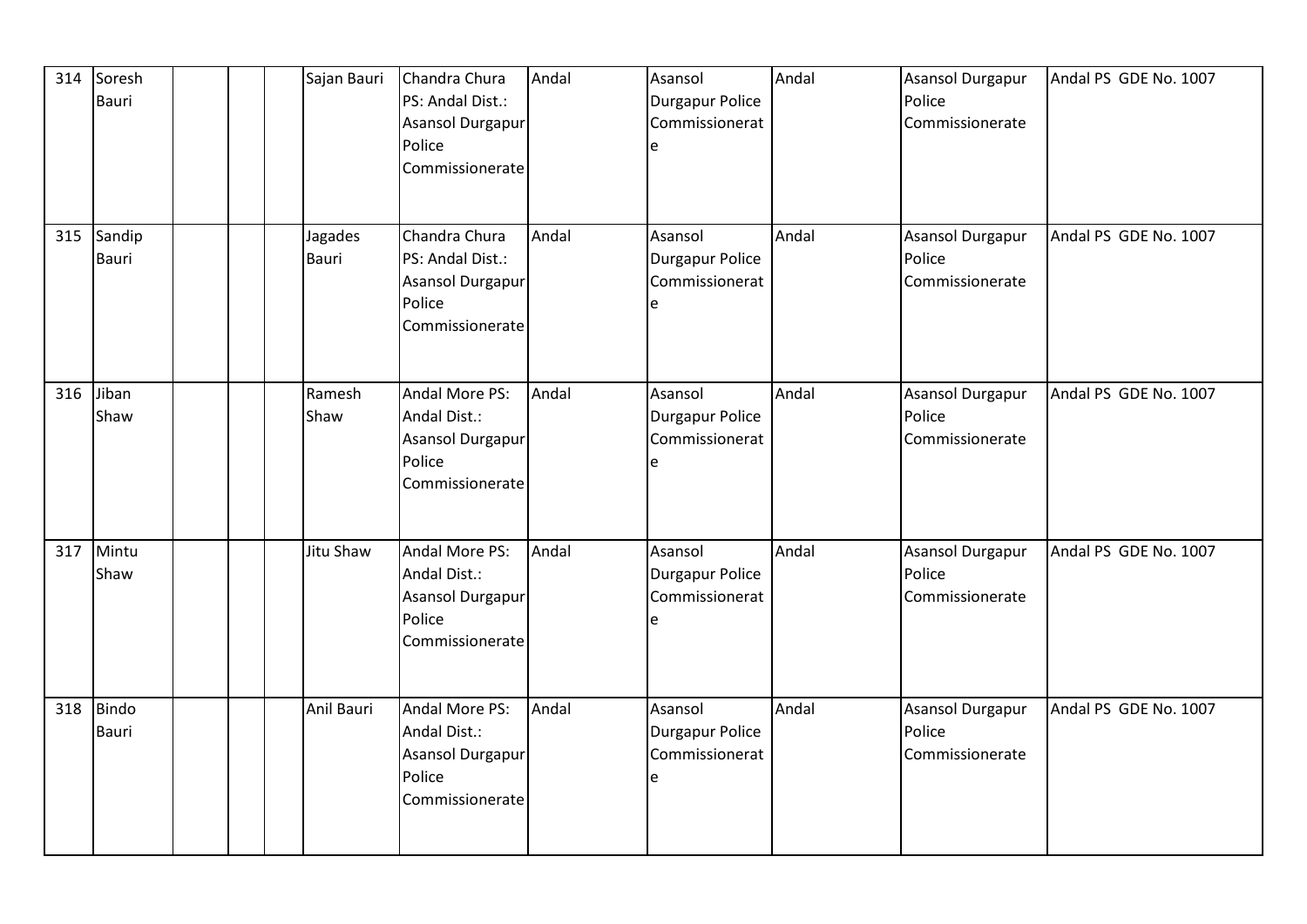| 314 | Soresh<br>Bauri       | Sajan Bauri      | Chandra Chura<br>PS: Andal Dist.:<br>Asansol Durgapur<br>Police<br>Commissionerate | Andal | Asansol<br>Durgapur Police<br>Commissionerat<br>e | Andal | <b>Asansol Durgapur</b><br>Police<br>Commissionerate | Andal PS GDE No. 1007 |
|-----|-----------------------|------------------|------------------------------------------------------------------------------------|-------|---------------------------------------------------|-------|------------------------------------------------------|-----------------------|
| 315 | Sandip<br>Bauri       | Jagades<br>Bauri | Chandra Chura<br>PS: Andal Dist.:<br>Asansol Durgapur<br>Police<br>Commissionerate | Andal | Asansol<br>Durgapur Police<br>Commissionerat<br>e | Andal | <b>Asansol Durgapur</b><br>Police<br>Commissionerate | Andal PS GDE No. 1007 |
| 316 | Jiban<br>Shaw         | Ramesh<br>Shaw   | Andal More PS:<br>Andal Dist.:<br>Asansol Durgapur<br>Police<br>Commissionerate    | Andal | Asansol<br>Durgapur Police<br>Commissionerat      | Andal | <b>Asansol Durgapur</b><br>Police<br>Commissionerate | Andal PS GDE No. 1007 |
| 317 | Mintu<br>Shaw         | Jitu Shaw        | Andal More PS:<br>Andal Dist.:<br>Asansol Durgapur<br>Police<br>Commissionerate    | Andal | Asansol<br>Durgapur Police<br>Commissionerat<br>e | Andal | <b>Asansol Durgapur</b><br>Police<br>Commissionerate | Andal PS GDE No. 1007 |
| 318 | <b>Bindo</b><br>Bauri | Anil Bauri       | Andal More PS:<br>Andal Dist.:<br>Asansol Durgapur<br>Police<br>Commissionerate    | Andal | Asansol<br>Durgapur Police<br>Commissionerat<br>e | Andal | <b>Asansol Durgapur</b><br>Police<br>Commissionerate | Andal PS GDE No. 1007 |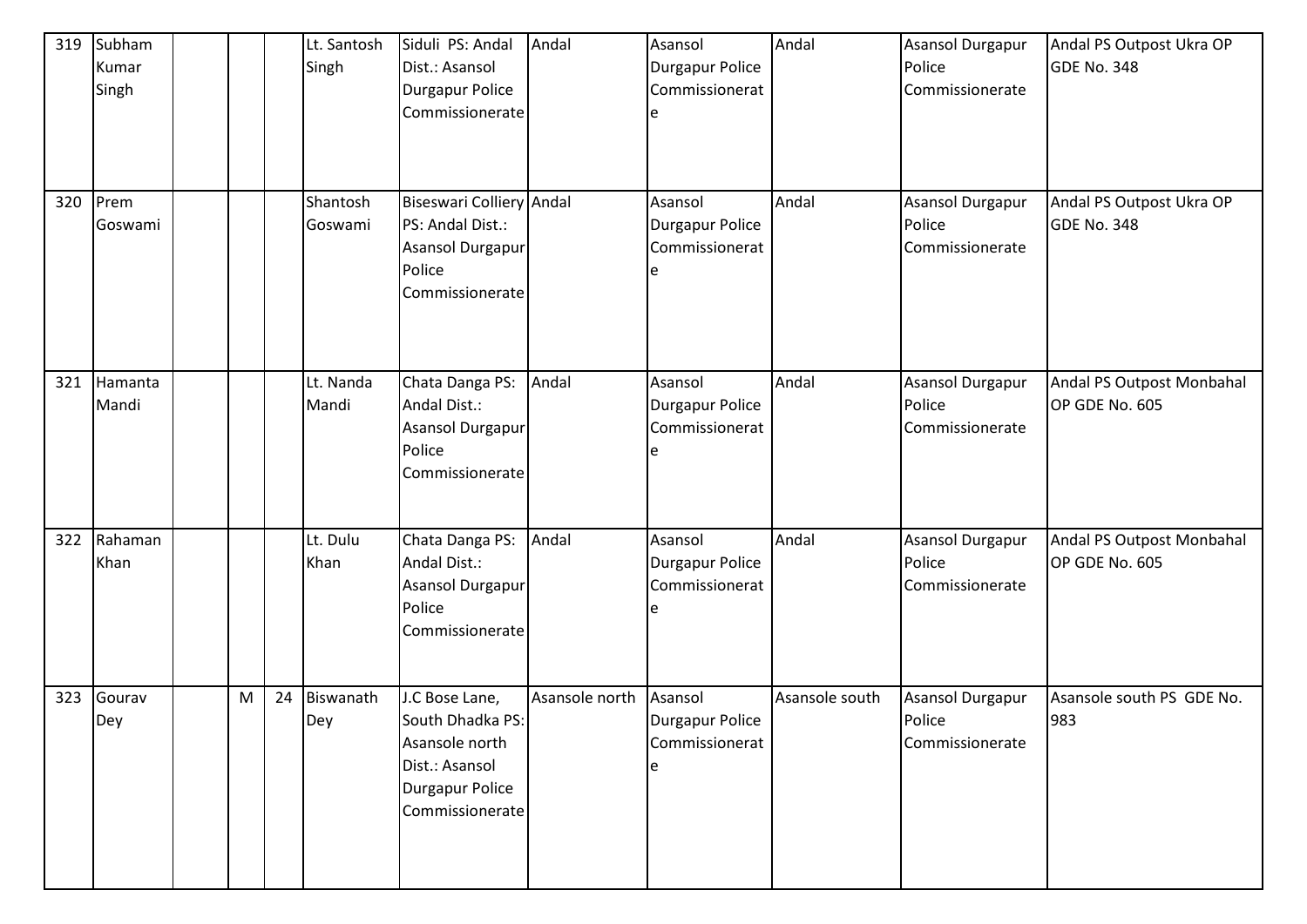| 319 | Subham<br>Kumar<br>Singh |   |    | Lt. Santosh<br>Singh | Siduli PS: Andal<br>Dist.: Asansol<br><b>Durgapur Police</b><br>Commissionerate                                     | Andal          | Asansol<br>Durgapur Police<br>Commissionerat<br>e        | Andal          | <b>Asansol Durgapur</b><br>Police<br>Commissionerate | Andal PS Outpost Ukra OP<br>GDE No. 348     |
|-----|--------------------------|---|----|----------------------|---------------------------------------------------------------------------------------------------------------------|----------------|----------------------------------------------------------|----------------|------------------------------------------------------|---------------------------------------------|
| 320 | Prem<br>Goswami          |   |    | Shantosh<br>Goswami  | Biseswari Colliery Andal<br>PS: Andal Dist.:<br>Asansol Durgapur<br>Police<br>Commissionerate                       |                | Asansol<br>Durgapur Police<br>Commissionerat<br>e        | Andal          | Asansol Durgapur<br>Police<br>Commissionerate        | Andal PS Outpost Ukra OP<br>GDE No. 348     |
| 321 | Hamanta<br>Mandi         |   |    | Lt. Nanda<br>Mandi   | Chata Danga PS:<br>Andal Dist.:<br>Asansol Durgapur<br>Police<br>Commissionerate                                    | Andal          | Asansol<br><b>Durgapur Police</b><br>Commissionerat<br>e | Andal          | Asansol Durgapur<br>Police<br>Commissionerate        | Andal PS Outpost Monbahal<br>OP GDE No. 605 |
| 322 | Rahaman<br>Khan          |   |    | Lt. Dulu<br>Khan     | Chata Danga PS:<br>Andal Dist.:<br>Asansol Durgapur<br>Police<br>Commissionerate                                    | Andal          | Asansol<br>Durgapur Police<br>Commissionerat<br>e        | Andal          | <b>Asansol Durgapur</b><br>Police<br>Commissionerate | Andal PS Outpost Monbahal<br>OP GDE No. 605 |
| 323 | Gourav<br>Dey            | M | 24 | Biswanath<br>Dey     | J.C Bose Lane,<br>South Dhadka PS:<br>Asansole north<br>Dist.: Asansol<br><b>Durgapur Police</b><br>Commissionerate | Asansole north | Asansol<br><b>Durgapur Police</b><br>Commissionerat<br>e | Asansole south | <b>Asansol Durgapur</b><br>Police<br>Commissionerate | Asansole south PS GDE No.<br>983            |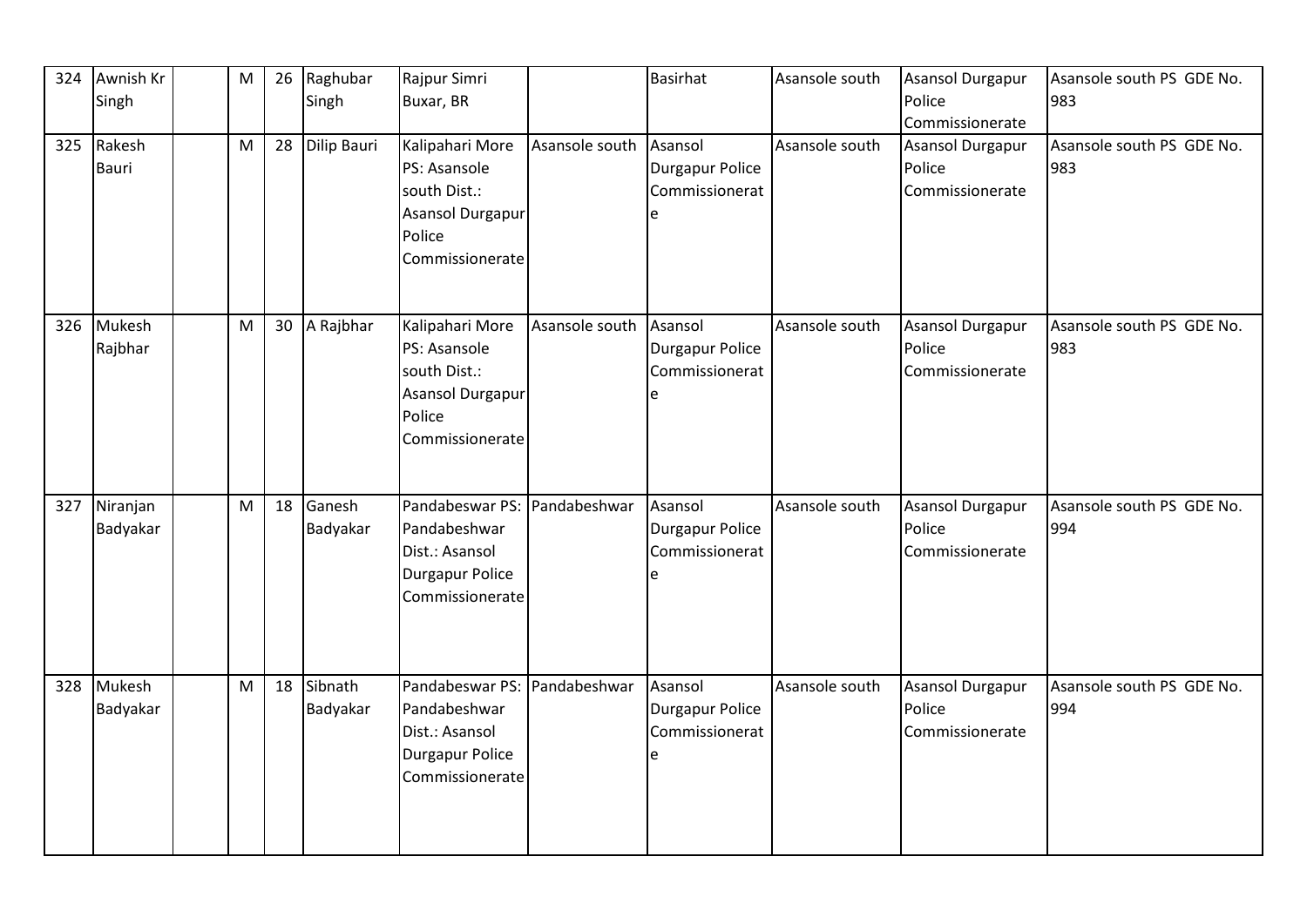| 324 | Awnish Kr<br>Singh   | M | 26 | Raghubar<br>Singh     | Rajpur Simri<br>Buxar, BR                                                                        |                | <b>Basirhat</b>                                   | Asansole south | Asansol Durgapur<br>Police<br>Commissionerate        | Asansole south PS GDE No.<br>983 |
|-----|----------------------|---|----|-----------------------|--------------------------------------------------------------------------------------------------|----------------|---------------------------------------------------|----------------|------------------------------------------------------|----------------------------------|
| 325 | Rakesh<br>Bauri      | M | 28 | Dilip Bauri           | Kalipahari More<br>PS: Asansole<br>south Dist.:<br>Asansol Durgapur<br>Police<br>Commissionerate | Asansole south | Asansol<br>Durgapur Police<br>Commissionerat<br>e | Asansole south | Asansol Durgapur<br>Police<br>Commissionerate        | Asansole south PS GDE No.<br>983 |
| 326 | Mukesh<br>Rajbhar    | M |    | 30 A Rajbhar          | Kalipahari More<br>PS: Asansole<br>south Dist.:<br>Asansol Durgapur<br>Police<br>Commissionerate | Asansole south | Asansol<br>Durgapur Police<br>Commissionerat<br>e | Asansole south | Asansol Durgapur<br>Police<br>Commissionerate        | Asansole south PS GDE No.<br>983 |
| 327 | Niranjan<br>Badyakar | M |    | 18 Ganesh<br>Badyakar | Pandabeswar PS:<br>Pandabeshwar<br>Dist.: Asansol<br><b>Durgapur Police</b><br>Commissionerate   | Pandabeshwar   | Asansol<br>Durgapur Police<br>Commissionerat<br>e | Asansole south | <b>Asansol Durgapur</b><br>Police<br>Commissionerate | Asansole south PS GDE No.<br>994 |
| 328 | Mukesh<br>Badyakar   | M | 18 | Sibnath<br>Badyakar   | Pandabeswar PS:<br>Pandabeshwar<br>Dist.: Asansol<br><b>Durgapur Police</b><br>Commissionerate   | Pandabeshwar   | Asansol<br>Durgapur Police<br>Commissionerat<br>e | Asansole south | <b>Asansol Durgapur</b><br>Police<br>Commissionerate | Asansole south PS GDE No.<br>994 |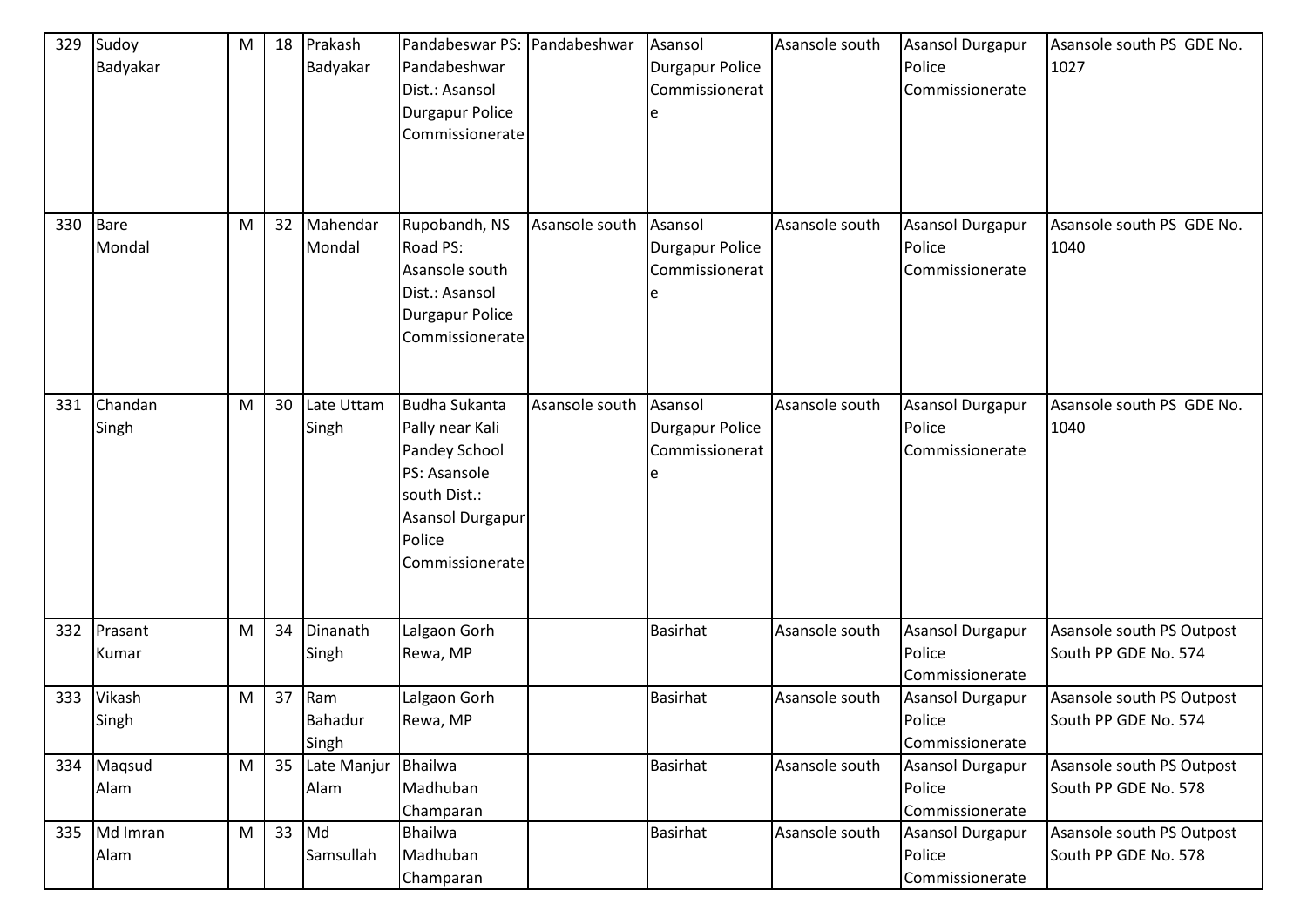| 329 | Sudoy<br>Badyakar  | ${\sf M}$ | 18 | Prakash<br>Badyakar     | Pandabeswar PS: Pandabeshwar<br>Pandabeshwar<br>Dist.: Asansol<br><b>Durgapur Police</b><br>Commissionerate                                      |                | Asansol<br>Durgapur Police<br>Commissionerat        | Asansole south | <b>Asansol Durgapur</b><br>Police<br>Commissionerate | Asansole south PS GDE No.<br>1027                 |
|-----|--------------------|-----------|----|-------------------------|--------------------------------------------------------------------------------------------------------------------------------------------------|----------------|-----------------------------------------------------|----------------|------------------------------------------------------|---------------------------------------------------|
| 330 | Bare<br>Mondal     | M         | 32 | Mahendar<br>Mondal      | Rupobandh, NS<br>Road PS:<br>Asansole south<br>Dist.: Asansol<br><b>Durgapur Police</b><br>Commissionerate                                       | Asansole south | Asansol<br><b>Durgapur Police</b><br>Commissionerat | Asansole south | Asansol Durgapur<br>Police<br>Commissionerate        | Asansole south PS GDE No.<br>1040                 |
| 331 | Chandan<br>Singh   | ${\sf M}$ | 30 | Late Uttam<br>Singh     | <b>Budha Sukanta</b><br>Pally near Kali<br>Pandey School<br>PS: Asansole<br>south Dist.:<br><b>Asansol Durgapur</b><br>Police<br>Commissionerate | Asansole south | Asansol<br><b>Durgapur Police</b><br>Commissionerat | Asansole south | Asansol Durgapur<br>Police<br>Commissionerate        | Asansole south PS GDE No.<br>1040                 |
| 332 | Prasant<br>Kumar   | ${\sf M}$ | 34 | Dinanath<br>Singh       | Lalgaon Gorh<br>Rewa, MP                                                                                                                         |                | <b>Basirhat</b>                                     | Asansole south | <b>Asansol Durgapur</b><br>Police<br>Commissionerate | Asansole south PS Outpost<br>South PP GDE No. 574 |
| 333 | Vikash<br>Singh    | M         | 37 | Ram<br>Bahadur<br>Singh | Lalgaon Gorh<br>Rewa, MP                                                                                                                         |                | <b>Basirhat</b>                                     | Asansole south | Asansol Durgapur<br>Police<br>Commissionerate        | Asansole south PS Outpost<br>South PP GDE No. 574 |
|     | 334 Maqsud<br>Alam | ${\sf M}$ | 35 | Late Manjur<br>Alam     | <b>Bhailwa</b><br>Madhuban<br>Champaran                                                                                                          |                | <b>Basirhat</b>                                     | Asansole south | Asansol Durgapur<br>Police<br>Commissionerate        | Asansole south PS Outpost<br>South PP GDE No. 578 |
| 335 | Md Imran<br>Alam   | M         | 33 | Md<br>Samsullah         | <b>Bhailwa</b><br>Madhuban<br>Champaran                                                                                                          |                | <b>Basirhat</b>                                     | Asansole south | Asansol Durgapur<br>Police<br>Commissionerate        | Asansole south PS Outpost<br>South PP GDE No. 578 |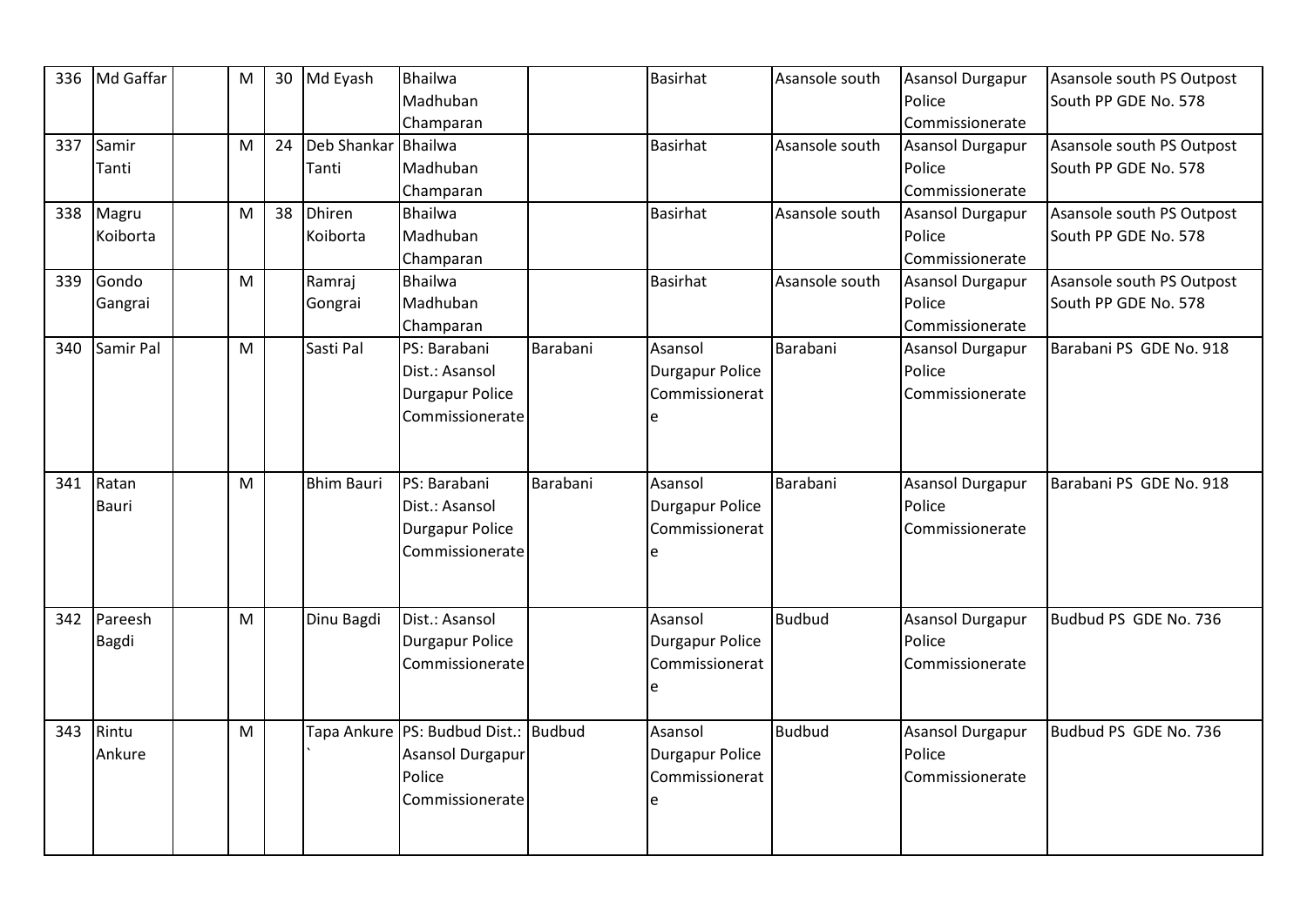| 336 | Md Gaffar    | ${\sf M}$ | 30 | Md Eyash          | Bhailwa                              |          | <b>Basirhat</b> | Asansole south | Asansol Durgapur                    | Asansole south PS Outpost |
|-----|--------------|-----------|----|-------------------|--------------------------------------|----------|-----------------|----------------|-------------------------------------|---------------------------|
|     |              |           |    |                   | Madhuban                             |          |                 |                | Police                              | South PP GDE No. 578      |
| 337 | Samir        | M         | 24 | Deb Shankar       | Champaran<br><b>Bhailwa</b>          |          | <b>Basirhat</b> | Asansole south | Commissionerate<br>Asansol Durgapur | Asansole south PS Outpost |
|     | Tanti        |           |    | Tanti             | Madhuban                             |          |                 |                | Police                              | South PP GDE No. 578      |
|     |              |           |    |                   |                                      |          |                 |                | Commissionerate                     |                           |
|     |              | M         |    |                   | Champaran                            |          |                 |                |                                     |                           |
| 338 | Magru        |           | 38 | <b>Dhiren</b>     | <b>Bhailwa</b>                       |          | <b>Basirhat</b> | Asansole south | Asansol Durgapur                    | Asansole south PS Outpost |
|     | Koiborta     |           |    | Koiborta          | Madhuban                             |          |                 |                | Police                              | South PP GDE No. 578      |
|     |              |           |    |                   | Champaran                            |          |                 |                | Commissionerate                     |                           |
| 339 | Gondo        | M         |    | Ramraj            | Bhailwa                              |          | <b>Basirhat</b> | Asansole south | Asansol Durgapur                    | Asansole south PS Outpost |
|     | Gangrai      |           |    | Gongrai           | Madhuban                             |          |                 |                | Police                              | South PP GDE No. 578      |
|     |              |           |    |                   | Champaran                            |          |                 |                | Commissionerate                     |                           |
| 340 | Samir Pal    | M         |    | Sasti Pal         | PS: Barabani                         | Barabani | Asansol         | Barabani       | <b>Asansol Durgapur</b>             | Barabani PS GDE No. 918   |
|     |              |           |    |                   | Dist.: Asansol                       |          | Durgapur Police |                | Police                              |                           |
|     |              |           |    |                   | <b>Durgapur Police</b>               |          | Commissionerat  |                | Commissionerate                     |                           |
|     |              |           |    |                   | Commissionerate                      |          |                 |                |                                     |                           |
|     |              |           |    |                   |                                      |          |                 |                |                                     |                           |
|     |              |           |    |                   |                                      |          |                 |                |                                     |                           |
| 341 | Ratan        | M         |    | <b>Bhim Bauri</b> | PS: Barabani                         | Barabani | Asansol         | Barabani       | Asansol Durgapur                    | Barabani PS GDE No. 918   |
|     | <b>Bauri</b> |           |    |                   | Dist.: Asansol                       |          | Durgapur Police |                | Police                              |                           |
|     |              |           |    |                   | <b>Durgapur Police</b>               |          | Commissionerat  |                | Commissionerate                     |                           |
|     |              |           |    |                   | Commissionerate                      |          | e               |                |                                     |                           |
|     |              |           |    |                   |                                      |          |                 |                |                                     |                           |
|     |              |           |    |                   |                                      |          |                 |                |                                     |                           |
| 342 | Pareesh      | M         |    | Dinu Bagdi        | Dist.: Asansol                       |          | Asansol         | <b>Budbud</b>  | Asansol Durgapur                    | Budbud PS GDE No. 736     |
|     | Bagdi        |           |    |                   | <b>Durgapur Police</b>               |          | Durgapur Police |                | Police                              |                           |
|     |              |           |    |                   | Commissionerate                      |          | Commissionerat  |                | Commissionerate                     |                           |
|     |              |           |    |                   |                                      |          | e               |                |                                     |                           |
|     |              |           |    |                   |                                      |          |                 |                |                                     |                           |
| 343 | Rintu        | M         |    |                   | Tapa Ankure PS: Budbud Dist.: Budbud |          | Asansol         | <b>Budbud</b>  | Asansol Durgapur                    | Budbud PS GDE No. 736     |
|     | Ankure       |           |    |                   | <b>Asansol Durgapur</b>              |          | Durgapur Police |                | Police                              |                           |
|     |              |           |    |                   | Police                               |          | Commissionerat  |                | Commissionerate                     |                           |
|     |              |           |    |                   | Commissionerate                      |          | e               |                |                                     |                           |
|     |              |           |    |                   |                                      |          |                 |                |                                     |                           |
|     |              |           |    |                   |                                      |          |                 |                |                                     |                           |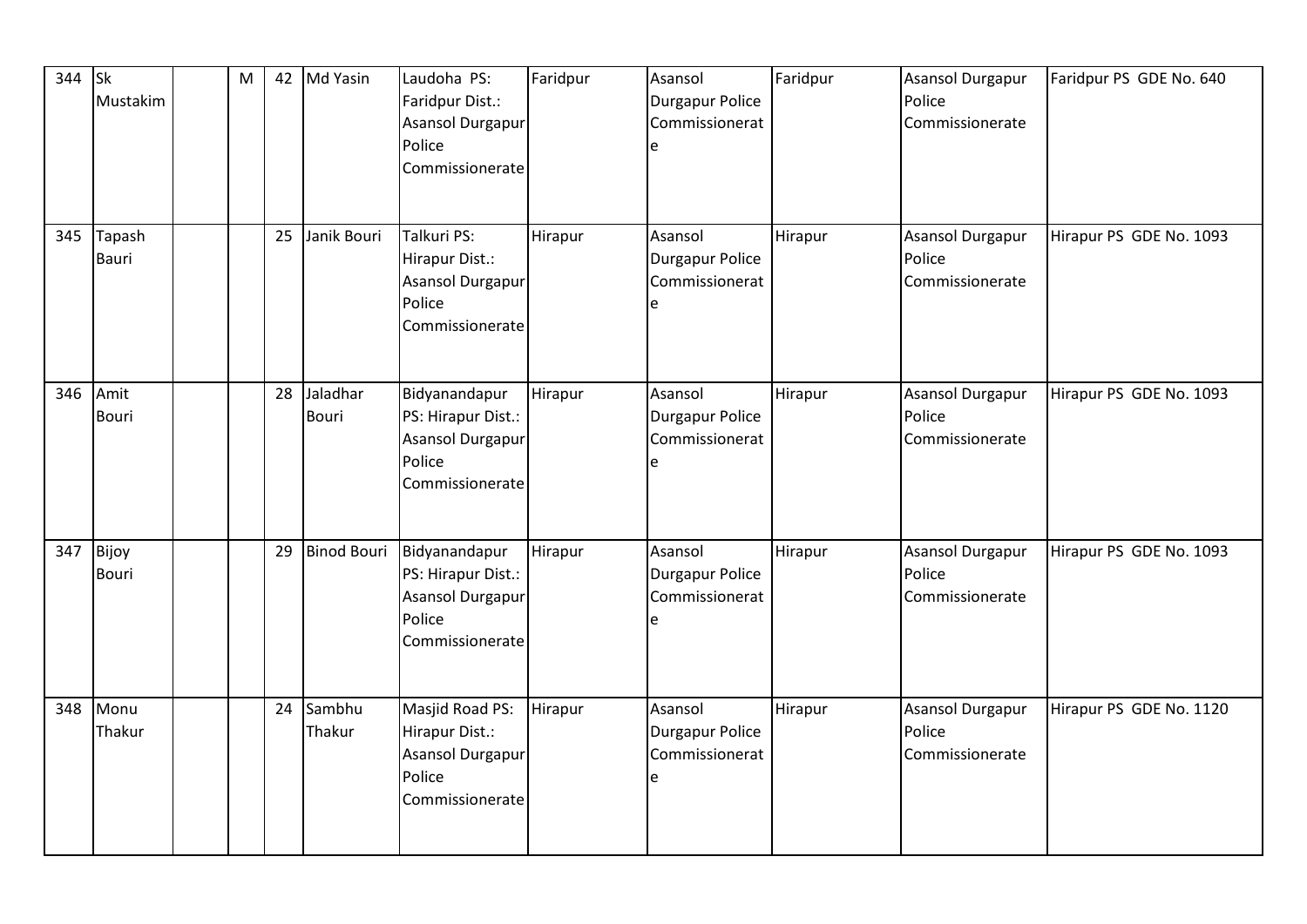| 344 | <b>Sk</b><br>Mustakim | M |    | 42 Md Yasin        | Laudoha PS:<br>Faridpur Dist.:<br>Asansol Durgapur<br>Police<br>Commissionerate             | Faridpur | Asansol<br>Durgapur Police<br>Commissionerat<br>e | Faridpur | <b>Asansol Durgapur</b><br>Police<br>Commissionerate | Faridpur PS GDE No. 640 |
|-----|-----------------------|---|----|--------------------|---------------------------------------------------------------------------------------------|----------|---------------------------------------------------|----------|------------------------------------------------------|-------------------------|
| 345 | Tapash<br>Bauri       |   | 25 | Janik Bouri        | Talkuri PS:<br>Hirapur Dist.:<br>Asansol Durgapur<br>Police<br>Commissionerate              | Hirapur  | Asansol<br>Durgapur Police<br>Commissionerat<br>e | Hirapur  | <b>Asansol Durgapur</b><br>Police<br>Commissionerate | Hirapur PS GDE No. 1093 |
| 346 | Amit<br><b>Bouri</b>  |   | 28 | Jaladhar<br>Bouri  | Bidyanandapur<br>PS: Hirapur Dist.:<br>Asansol Durgapur<br>Police<br>Commissionerate        | Hirapur  | Asansol<br>Durgapur Police<br>Commissionerat<br>e | Hirapur  | <b>Asansol Durgapur</b><br>Police<br>Commissionerate | Hirapur PS GDE No. 1093 |
| 347 | Bijoy<br>Bouri        |   | 29 | <b>Binod Bouri</b> | Bidyanandapur<br>PS: Hirapur Dist.:<br><b>Asansol Durgapur</b><br>Police<br>Commissionerate | Hirapur  | Asansol<br>Durgapur Police<br>Commissionerat<br>e | Hirapur  | <b>Asansol Durgapur</b><br>Police<br>Commissionerate | Hirapur PS GDE No. 1093 |
| 348 | Monu<br>Thakur        |   | 24 | Sambhu<br>Thakur   | Masjid Road PS:<br>Hirapur Dist.:<br>Asansol Durgapur<br>Police<br>Commissionerate          | Hirapur  | Asansol<br>Durgapur Police<br>Commissionerat<br>e | Hirapur  | <b>Asansol Durgapur</b><br>Police<br>Commissionerate | Hirapur PS GDE No. 1120 |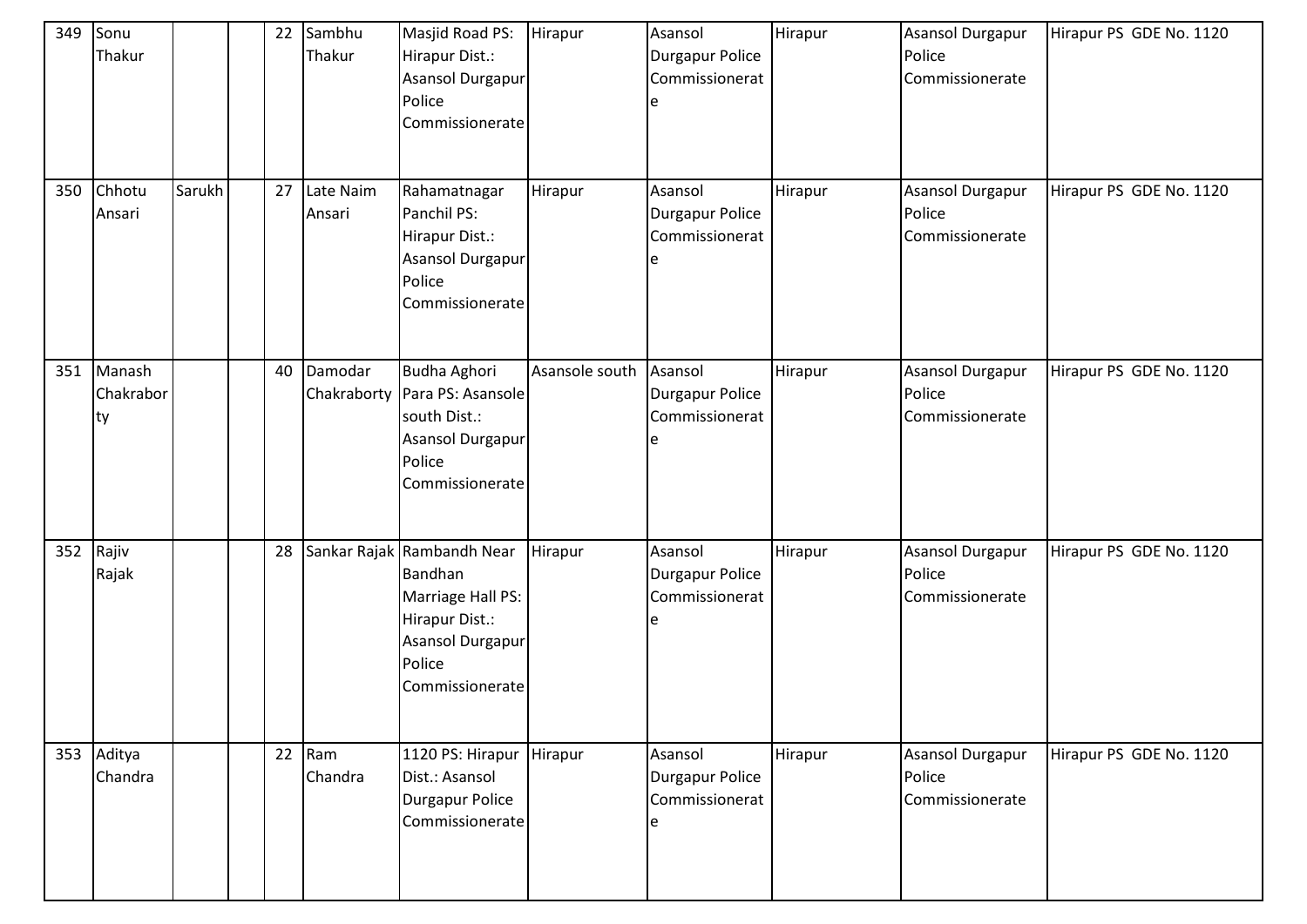| 349 | Sonu<br>Thakur            |        | 22 | Sambhu<br>Thakur    | Masjid Road PS:<br>Hirapur Dist.:<br><b>Asansol Durgapur</b><br>Police<br>Commissionerate                                      | Hirapur        | Asansol<br>Durgapur Police<br>Commissionerat<br>e | Hirapur | <b>Asansol Durgapur</b><br>Police<br>Commissionerate | Hirapur PS GDE No. 1120 |
|-----|---------------------------|--------|----|---------------------|--------------------------------------------------------------------------------------------------------------------------------|----------------|---------------------------------------------------|---------|------------------------------------------------------|-------------------------|
| 350 | Chhotu<br>Ansari          | Sarukh | 27 | Late Naim<br>Ansari | Rahamatnagar<br>Panchil PS:<br>Hirapur Dist.:<br><b>Asansol Durgapur</b><br>Police<br>Commissionerate                          | Hirapur        | Asansol<br>Durgapur Police<br>Commissionerat      | Hirapur | <b>Asansol Durgapur</b><br>Police<br>Commissionerate | Hirapur PS GDE No. 1120 |
| 351 | Manash<br>Chakrabor<br>ty |        | 40 | Damodar             | <b>Budha Aghori</b><br>Chakraborty   Para PS: Asansole<br>south Dist.:<br><b>Asansol Durgapur</b><br>Police<br>Commissionerate | Asansole south | Asansol<br>Durgapur Police<br>Commissionerat      | Hirapur | <b>Asansol Durgapur</b><br>Police<br>Commissionerate | Hirapur PS GDE No. 1120 |
|     | 352 Rajiv<br>Rajak        |        | 28 |                     | Sankar Rajak Rambandh Near<br>Bandhan<br>Marriage Hall PS:<br>Hirapur Dist.:<br>Asansol Durgapur<br>Police<br>Commissionerate  | Hirapur        | Asansol<br>Durgapur Police<br>Commissionerat<br>e | Hirapur | <b>Asansol Durgapur</b><br>Police<br>Commissionerate | Hirapur PS GDE No. 1120 |
|     | 353 Aditya<br>Chandra     |        | 22 | Ram<br>Chandra      | 1120 PS: Hirapur<br>Dist.: Asansol<br><b>Durgapur Police</b><br>Commissionerate                                                | Hirapur        | Asansol<br>Durgapur Police<br>Commissionerat      | Hirapur | <b>Asansol Durgapur</b><br>Police<br>Commissionerate | Hirapur PS GDE No. 1120 |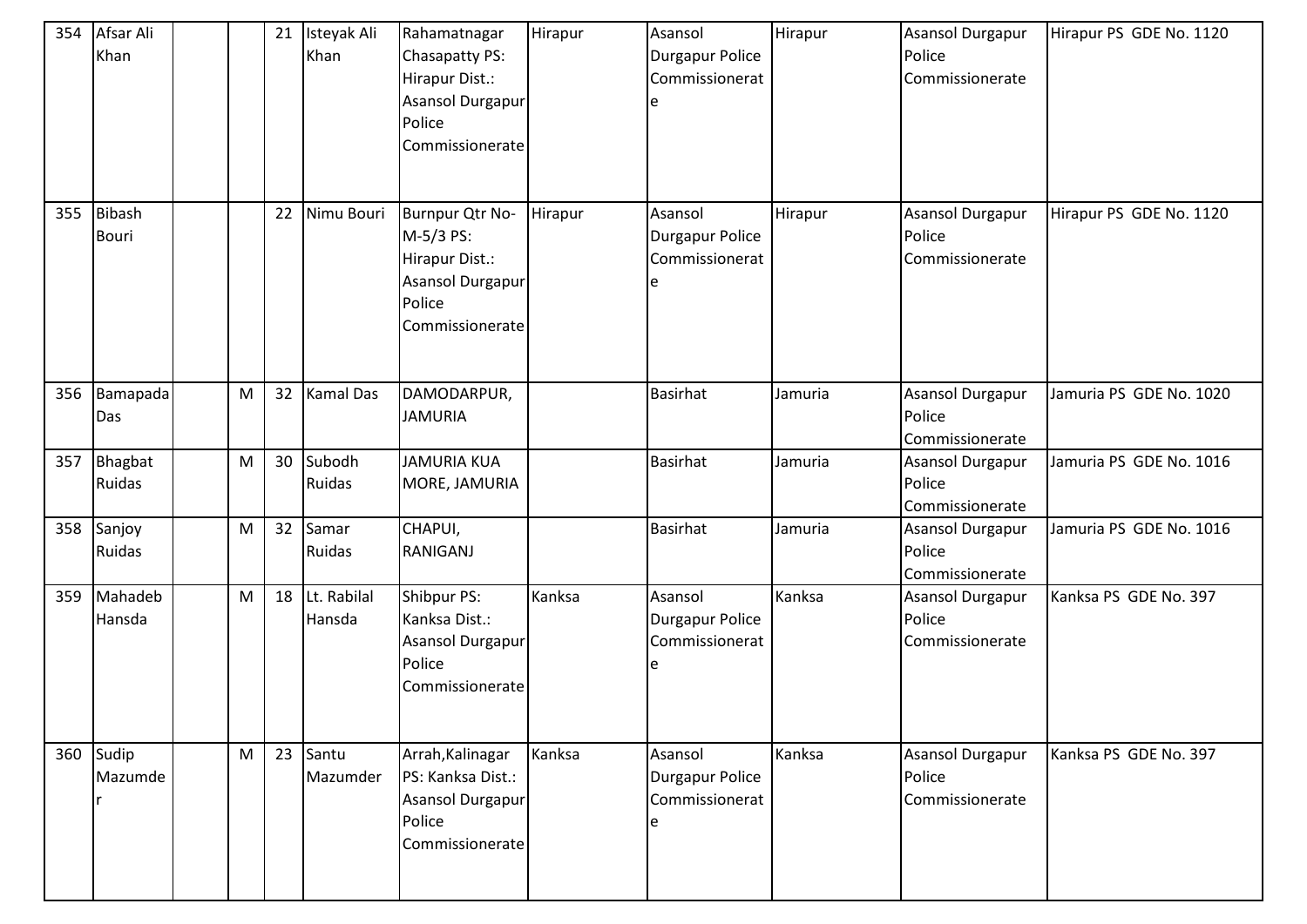| 354 | Afsar Ali<br>Khan      |   | 21 | Isteyak Ali<br>Khan   | Rahamatnagar<br>Chasapatty PS:<br>Hirapur Dist.:<br><b>Asansol Durgapur</b><br>Police<br>Commissionerate | Hirapur | Asansol<br><b>Durgapur Police</b><br>Commissionerat<br>e | Hirapur | <b>Asansol Durgapur</b><br>Police<br>Commissionerate | Hirapur PS GDE No. 1120 |
|-----|------------------------|---|----|-----------------------|----------------------------------------------------------------------------------------------------------|---------|----------------------------------------------------------|---------|------------------------------------------------------|-------------------------|
| 355 | Bibash<br><b>Bouri</b> |   | 22 | Nimu Bouri            | Burnpur Qtr No-<br>M-5/3 PS:<br>Hirapur Dist.:<br>Asansol Durgapur<br>Police<br>Commissionerate          | Hirapur | Asansol<br><b>Durgapur Police</b><br>Commissionerat      | Hirapur | <b>Asansol Durgapur</b><br>Police<br>Commissionerate | Hirapur PS GDE No. 1120 |
| 356 | Bamapada<br>Das        | M | 32 | <b>Kamal Das</b>      | DAMODARPUR,<br><b>JAMURIA</b>                                                                            |         | <b>Basirhat</b>                                          | Jamuria | <b>Asansol Durgapur</b><br>Police<br>Commissionerate | Jamuria PS GDE No. 1020 |
| 357 | Bhagbat<br>Ruidas      | M | 30 | Subodh<br>Ruidas      | <b>JAMURIA KUA</b><br>MORE, JAMURIA                                                                      |         | <b>Basirhat</b>                                          | Jamuria | <b>Asansol Durgapur</b><br>Police<br>Commissionerate | Jamuria PS GDE No. 1016 |
| 358 | Sanjoy<br>Ruidas       | M | 32 | Samar<br>Ruidas       | CHAPUI,<br><b>RANIGANJ</b>                                                                               |         | <b>Basirhat</b>                                          | Jamuria | Asansol Durgapur<br>Police<br>Commissionerate        | Jamuria PS GDE No. 1016 |
| 359 | Mahadeb<br>Hansda      | M | 18 | Lt. Rabilal<br>Hansda | Shibpur PS:<br>Kanksa Dist.:<br>Asansol Durgapur<br>Police<br>Commissionerate                            | Kanksa  | Asansol<br><b>Durgapur Police</b><br>Commissionerat<br>e | Kanksa  | Asansol Durgapur<br>Police<br>Commissionerate        | Kanksa PS GDE No. 397   |
| 360 | Sudip<br>Mazumde       | M | 23 | Santu<br>Mazumder     | Arrah, Kalinagar<br>PS: Kanksa Dist.:<br>Asansol Durgapur<br>Police<br>Commissionerate                   | Kanksa  | Asansol<br><b>Durgapur Police</b><br>Commissionerat<br>e | Kanksa  | <b>Asansol Durgapur</b><br>Police<br>Commissionerate | Kanksa PS GDE No. 397   |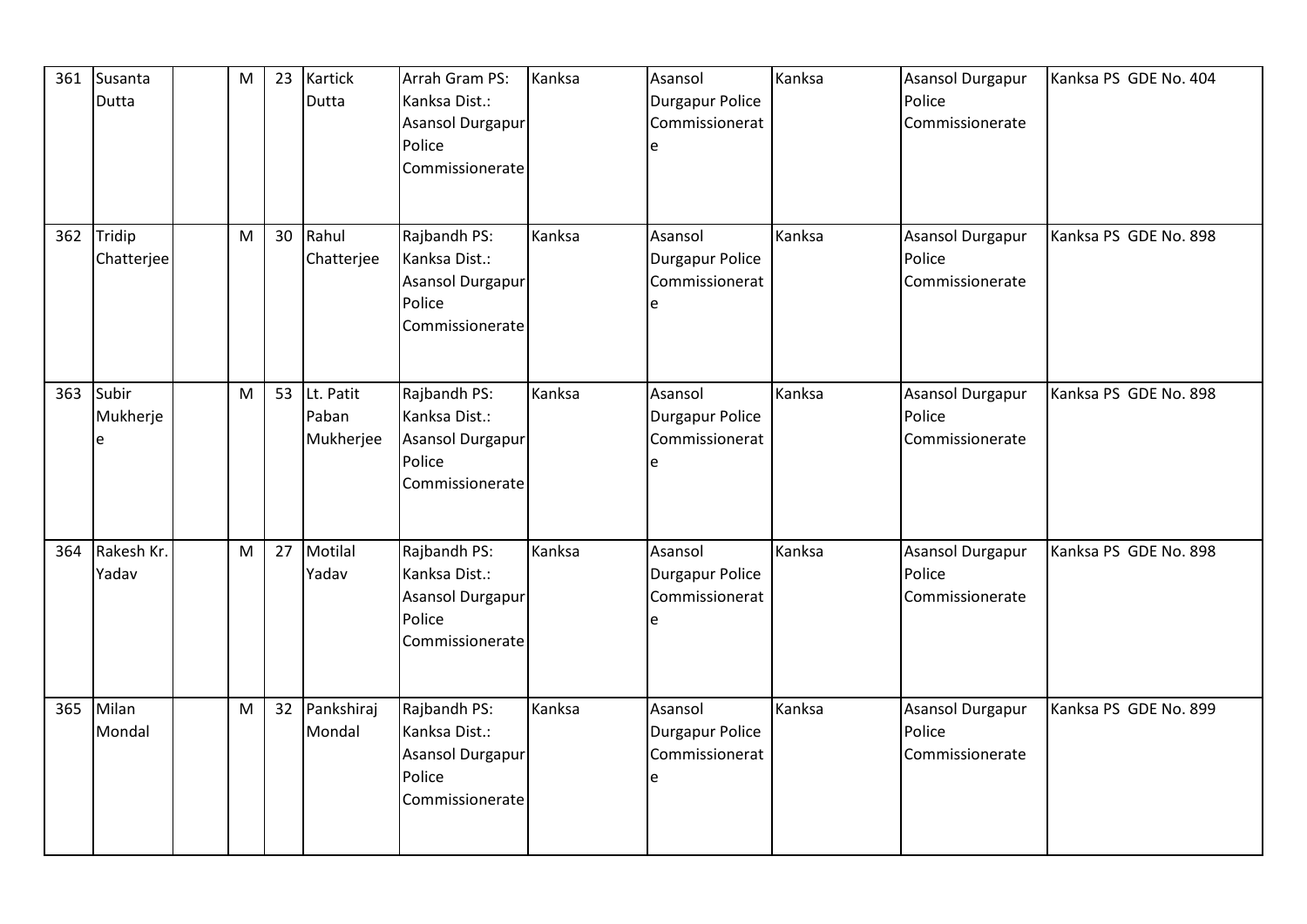| 361 | Susanta<br>Dutta     | M | 23 | Kartick<br>Dutta                   | Arrah Gram PS:<br>Kanksa Dist.:<br>Asansol Durgapur<br>Police<br>Commissionerate | Kanksa | Asansol<br>Durgapur Police<br>Commissionerat<br>e | Kanksa | <b>Asansol Durgapur</b><br>Police<br>Commissionerate | Kanksa PS GDE No. 404 |
|-----|----------------------|---|----|------------------------------------|----------------------------------------------------------------------------------|--------|---------------------------------------------------|--------|------------------------------------------------------|-----------------------|
| 362 | Tridip<br>Chatterjee | M | 30 | Rahul<br>Chatterjee                | Rajbandh PS:<br>Kanksa Dist.:<br>Asansol Durgapur<br>Police<br>Commissionerate   | Kanksa | Asansol<br>Durgapur Police<br>Commissionerat<br>e | Kanksa | <b>Asansol Durgapur</b><br>Police<br>Commissionerate | Kanksa PS GDE No. 898 |
| 363 | Subir<br>Mukherje    | M |    | 53 Lt. Patit<br>Paban<br>Mukherjee | Rajbandh PS:<br>Kanksa Dist.:<br>Asansol Durgapur<br>Police<br>Commissionerate   | Kanksa | Asansol<br>Durgapur Police<br>Commissionerat<br>e | Kanksa | <b>Asansol Durgapur</b><br>Police<br>Commissionerate | Kanksa PS GDE No. 898 |
| 364 | Rakesh Kr.<br>Yadav  | M | 27 | Motilal<br>Yadav                   | Rajbandh PS:<br>Kanksa Dist.:<br>Asansol Durgapur<br>Police<br>Commissionerate   | Kanksa | Asansol<br>Durgapur Police<br>Commissionerat<br>e | Kanksa | <b>Asansol Durgapur</b><br>Police<br>Commissionerate | Kanksa PS GDE No. 898 |
| 365 | Milan<br>Mondal      | M |    | 32 Pankshiraj<br>Mondal            | Rajbandh PS:<br>Kanksa Dist.:<br>Asansol Durgapur<br>Police<br>Commissionerate   | Kanksa | Asansol<br>Durgapur Police<br>Commissionerat<br>e | Kanksa | <b>Asansol Durgapur</b><br>Police<br>Commissionerate | Kanksa PS GDE No. 899 |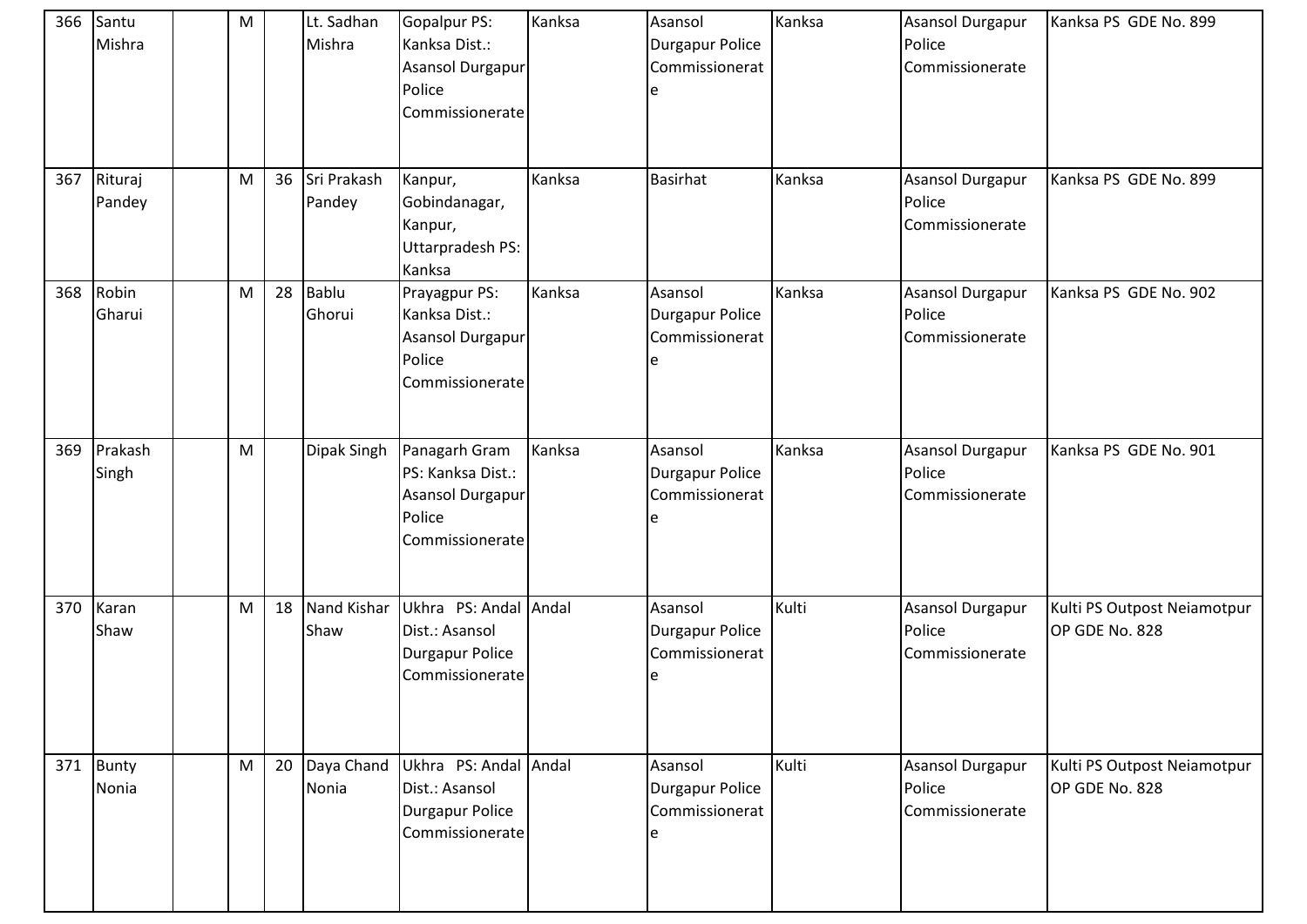| 366 | Santu<br>Mishra       | M |    | Lt. Sadhan<br>Mishra       | <b>Gopalpur PS:</b><br>Kanksa Dist.:<br>Asansol Durgapur<br>Police<br>Commissionerate | Kanksa | Asansol<br><b>Durgapur Police</b><br>Commissionerat<br>e | Kanksa | Asansol Durgapur<br>Police<br>Commissionerate        | Kanksa PS GDE No. 899                         |
|-----|-----------------------|---|----|----------------------------|---------------------------------------------------------------------------------------|--------|----------------------------------------------------------|--------|------------------------------------------------------|-----------------------------------------------|
| 367 | Rituraj<br>Pandey     | M | 36 | Sri Prakash<br>Pandey      | Kanpur,<br>Gobindanagar,<br>Kanpur,<br>Uttarpradesh PS:<br>Kanksa                     | Kanksa | <b>Basirhat</b>                                          | Kanksa | Asansol Durgapur<br>Police<br>Commissionerate        | Kanksa PS GDE No. 899                         |
| 368 | Robin<br>Gharui       | M | 28 | <b>Bablu</b><br>Ghorui     | Prayagpur PS:<br>Kanksa Dist.:<br>Asansol Durgapur<br>Police<br>Commissionerate       | Kanksa | Asansol<br><b>Durgapur Police</b><br>Commissionerat<br>e | Kanksa | Asansol Durgapur<br>Police<br>Commissionerate        | Kanksa PS GDE No. 902                         |
| 369 | Prakash<br>Singh      | M |    | Dipak Singh                | Panagarh Gram<br>PS: Kanksa Dist.:<br>Asansol Durgapur<br>Police<br>Commissionerate   | Kanksa | Asansol<br><b>Durgapur Police</b><br>Commissionerat      | Kanksa | Asansol Durgapur<br>Police<br>Commissionerate        | Kanksa PS GDE No. 901                         |
| 370 | Karan<br>Shaw         | M | 18 | <b>Nand Kishar</b><br>Shaw | Ukhra PS: Andal Andal<br>Dist.: Asansol<br><b>Durgapur Police</b><br>Commissionerate  |        | Asansol<br><b>Durgapur Police</b><br>Commissionerat      | Kulti  | Asansol Durgapur<br>Police<br>Commissionerate        | Kulti PS Outpost Neiamotpur<br>OP GDE No. 828 |
| 371 | <b>Bunty</b><br>Nonia | M | 20 | Daya Chand<br>Nonia        | Ukhra PS: Andal Andal<br>Dist.: Asansol<br>Durgapur Police<br>Commissionerate         |        | Asansol<br>Durgapur Police<br>Commissionerat             | Kulti  | <b>Asansol Durgapur</b><br>Police<br>Commissionerate | Kulti PS Outpost Neiamotpur<br>OP GDE No. 828 |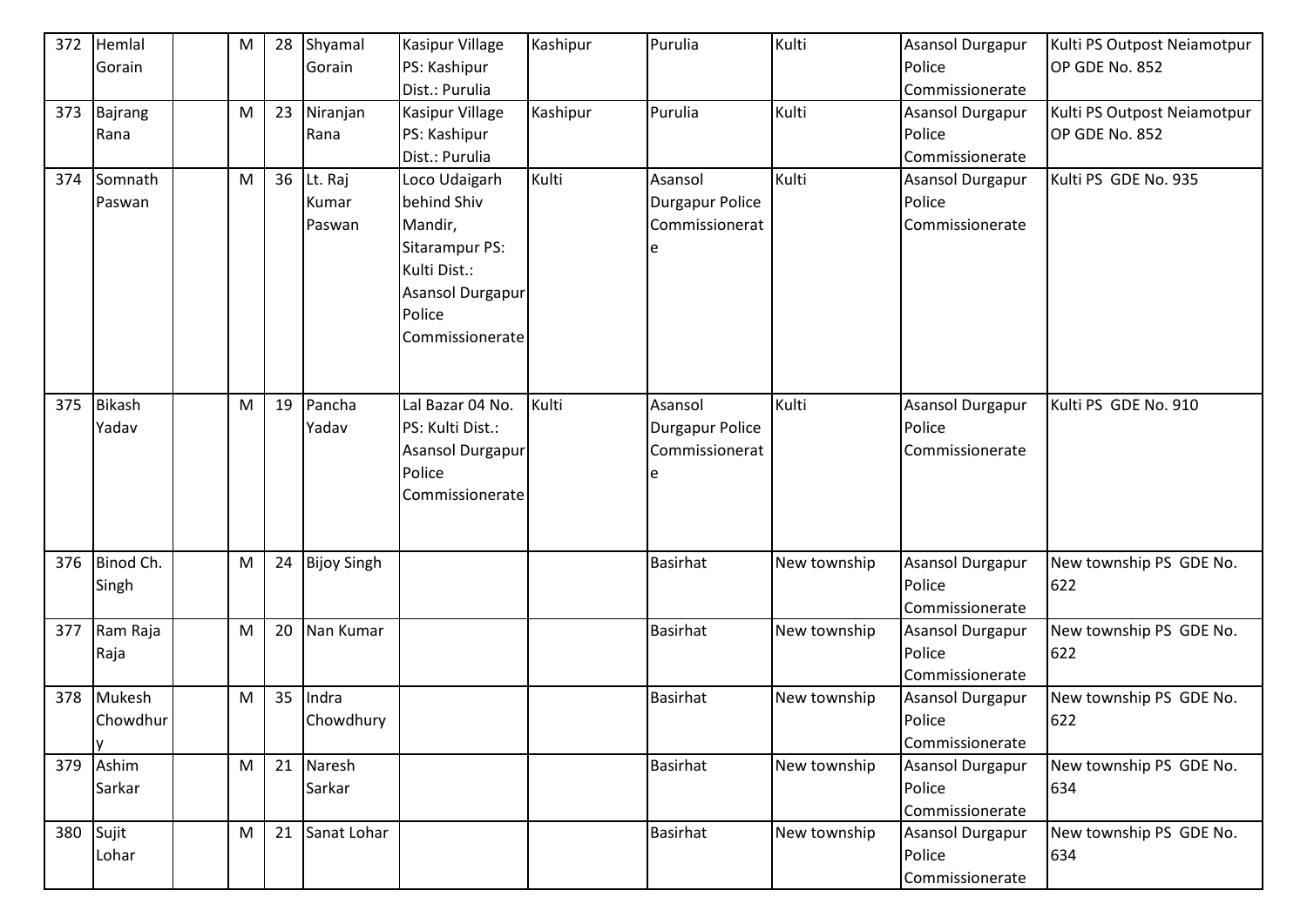| 372       | Hemlal        | M | 28 | Shyamal            | Kasipur Village  | Kashipur | Purulia                | Kulti        | <b>Asansol Durgapur</b> | Kulti PS Outpost Neiamotpur |
|-----------|---------------|---|----|--------------------|------------------|----------|------------------------|--------------|-------------------------|-----------------------------|
|           | Gorain        |   |    | Gorain             | PS: Kashipur     |          |                        |              | Police                  | OP GDE No. 852              |
|           |               |   |    |                    | Dist.: Purulia   |          |                        |              | Commissionerate         |                             |
| 373       | Bajrang       | M | 23 | Niranjan           | Kasipur Village  | Kashipur | Purulia                | Kulti        | <b>Asansol Durgapur</b> | Kulti PS Outpost Neiamotpur |
|           | Rana          |   |    | Rana               | PS: Kashipur     |          |                        |              | Police                  | OP GDE No. 852              |
|           |               |   |    |                    | Dist.: Purulia   |          |                        |              | Commissionerate         |                             |
| 374       | Somnath       | M |    | 36 Lt. Raj         | Loco Udaigarh    | Kulti    | Asansol                | Kulti        | <b>Asansol Durgapur</b> | Kulti PS GDE No. 935        |
|           | Paswan        |   |    | Kumar              | behind Shiv      |          | <b>Durgapur Police</b> |              | Police                  |                             |
|           |               |   |    | Paswan             | Mandir,          |          | Commissionerat         |              | Commissionerate         |                             |
|           |               |   |    |                    | Sitarampur PS:   |          |                        |              |                         |                             |
|           |               |   |    |                    | Kulti Dist.:     |          |                        |              |                         |                             |
|           |               |   |    |                    | Asansol Durgapur |          |                        |              |                         |                             |
|           |               |   |    |                    | Police           |          |                        |              |                         |                             |
|           |               |   |    |                    | Commissionerate  |          |                        |              |                         |                             |
|           |               |   |    |                    |                  |          |                        |              |                         |                             |
|           |               |   |    |                    |                  |          |                        |              |                         |                             |
| 375       | <b>Bikash</b> | M | 19 | Pancha             | Lal Bazar 04 No. | Kulti    | Asansol                | Kulti        | Asansol Durgapur        | Kulti PS GDE No. 910        |
|           | Yadav         |   |    | Yadav              | PS: Kulti Dist.: |          | <b>Durgapur Police</b> |              | Police                  |                             |
|           |               |   |    |                    | Asansol Durgapur |          | Commissionerat         |              | Commissionerate         |                             |
|           |               |   |    |                    | Police           |          |                        |              |                         |                             |
|           |               |   |    |                    | Commissionerate  |          |                        |              |                         |                             |
|           |               |   |    |                    |                  |          |                        |              |                         |                             |
|           |               |   |    |                    |                  |          |                        |              |                         |                             |
|           | 376 Binod Ch. | M | 24 | <b>Bijoy Singh</b> |                  |          | <b>Basirhat</b>        | New township | <b>Asansol Durgapur</b> | New township PS GDE No.     |
|           | Singh         |   |    |                    |                  |          |                        |              | Police                  | 622                         |
|           |               |   |    |                    |                  |          |                        |              | Commissionerate         |                             |
| 377       | Ram Raja      | M | 20 | Nan Kumar          |                  |          | <b>Basirhat</b>        | New township | <b>Asansol Durgapur</b> | New township PS GDE No.     |
|           | Raja          |   |    |                    |                  |          |                        |              | Police                  | 622                         |
|           |               |   |    |                    |                  |          |                        |              | Commissionerate         |                             |
|           | 378 Mukesh    | M | 35 | Indra              |                  |          | <b>Basirhat</b>        | New township | <b>Asansol Durgapur</b> | New township PS GDE No.     |
|           | Chowdhur      |   |    | Chowdhury          |                  |          |                        |              | Police                  | 622                         |
|           | $\mathsf{v}$  |   |    |                    |                  |          |                        |              | Commissionerate         |                             |
|           | 379 Ashim     | M | 21 | Naresh             |                  |          | <b>Basirhat</b>        | New township | Asansol Durgapur        | New township PS GDE No.     |
|           | Sarkar        |   |    | Sarkar             |                  |          |                        |              | Police                  | 634                         |
|           |               |   |    |                    |                  |          |                        |              | Commissionerate         |                             |
| 380 Sujit |               | M | 21 | Sanat Lohar        |                  |          | <b>Basirhat</b>        | New township | <b>Asansol Durgapur</b> | New township PS GDE No.     |
|           | Lohar         |   |    |                    |                  |          |                        |              | Police                  | 634                         |
|           |               |   |    |                    |                  |          |                        |              | Commissionerate         |                             |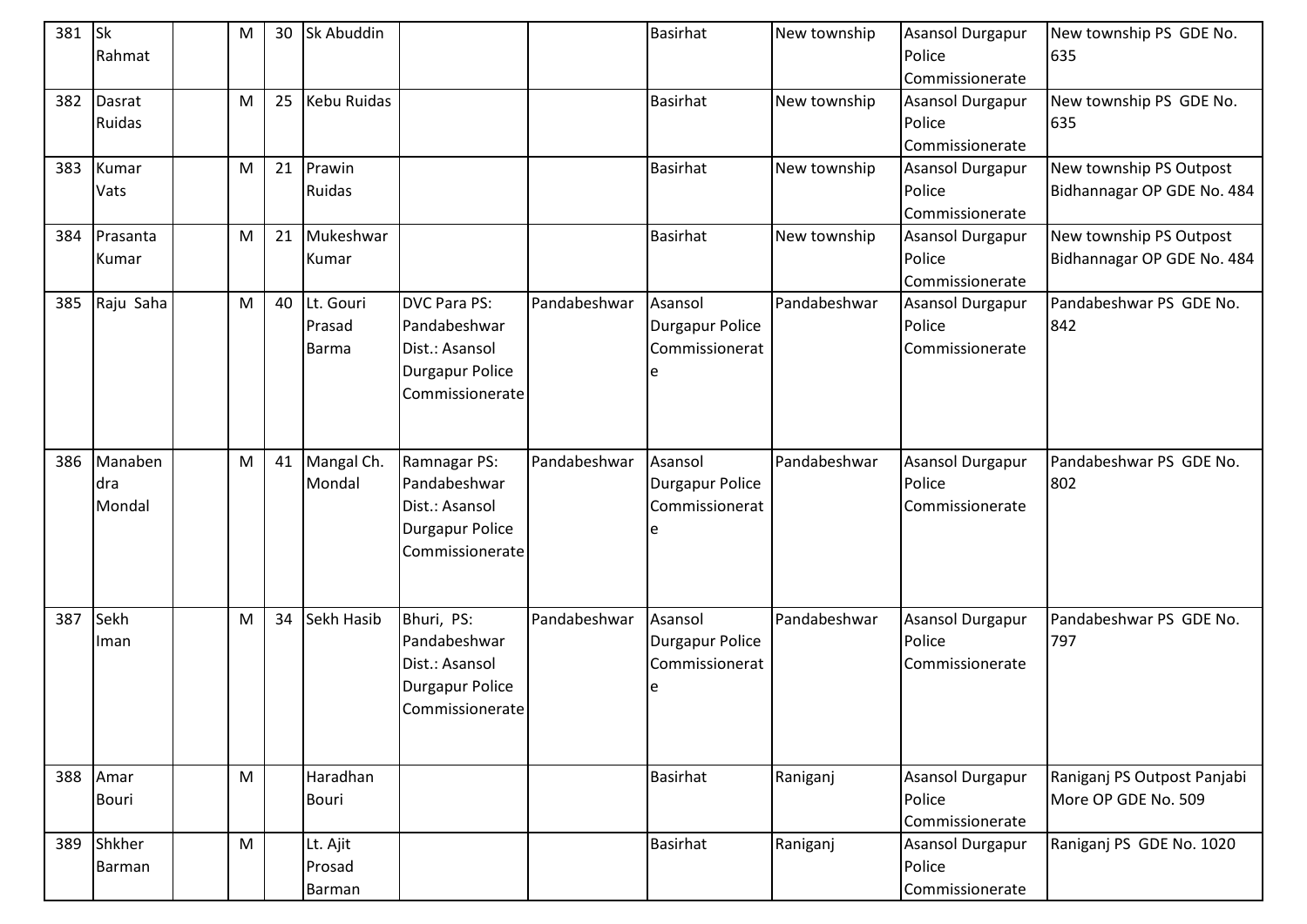| 381 | <b>Sk</b><br>Rahmat      | M         | 30 | <b>Sk Abuddin</b>                   |                                                                                                    |              | <b>Basirhat</b>                              | New township | Asansol Durgapur<br>Police                                              | New township PS GDE No.<br>635                        |
|-----|--------------------------|-----------|----|-------------------------------------|----------------------------------------------------------------------------------------------------|--------------|----------------------------------------------|--------------|-------------------------------------------------------------------------|-------------------------------------------------------|
| 382 | Dasrat<br>Ruidas         | M         | 25 | Kebu Ruidas                         |                                                                                                    |              | <b>Basirhat</b>                              | New township | Commissionerate<br><b>Asansol Durgapur</b><br>Police<br>Commissionerate | New township PS GDE No.<br>635                        |
| 383 | Kumar<br>Vats            | M         | 21 | Prawin<br>Ruidas                    |                                                                                                    |              | <b>Basirhat</b>                              | New township | <b>Asansol Durgapur</b><br>Police<br>Commissionerate                    | New township PS Outpost<br>Bidhannagar OP GDE No. 484 |
| 384 | Prasanta<br>Kumar        | M         | 21 | Mukeshwar<br>Kumar                  |                                                                                                    |              | <b>Basirhat</b>                              | New township | <b>Asansol Durgapur</b><br>Police<br>Commissionerate                    | New township PS Outpost<br>Bidhannagar OP GDE No. 484 |
| 385 | Raju Saha                | M         | 40 | Lt. Gouri<br>Prasad<br><b>Barma</b> | <b>DVC Para PS:</b><br>Pandabeshwar<br>Dist.: Asansol<br><b>Durgapur Police</b><br>Commissionerate | Pandabeshwar | Asansol<br>Durgapur Police<br>Commissionerat | Pandabeshwar | <b>Asansol Durgapur</b><br>Police<br>Commissionerate                    | Pandabeshwar PS GDE No.<br>842                        |
| 386 | Manaben<br>dra<br>Mondal | ${\sf M}$ |    | 41 Mangal Ch.<br>Mondal             | Ramnagar PS:<br>Pandabeshwar<br>Dist.: Asansol<br><b>Durgapur Police</b><br>Commissionerate        | Pandabeshwar | Asansol<br>Durgapur Police<br>Commissionerat | Pandabeshwar | Asansol Durgapur<br>Police<br>Commissionerate                           | Pandabeshwar PS GDE No.<br>802                        |
| 387 | Sekh<br>Iman             | M         | 34 | Sekh Hasib                          | Bhuri, PS:<br>Pandabeshwar<br>Dist.: Asansol<br><b>Durgapur Police</b><br>Commissionerate          | Pandabeshwar | Asansol<br>Durgapur Police<br>Commissionerat | Pandabeshwar | Asansol Durgapur<br>Police<br>Commissionerate                           | Pandabeshwar PS GDE No.<br>797                        |
|     | 388 Amar<br>Bouri        | M         |    | Haradhan<br>Bouri                   |                                                                                                    |              | <b>Basirhat</b>                              | Raniganj     | <b>Asansol Durgapur</b><br>Police<br>Commissionerate                    | Raniganj PS Outpost Panjabi<br>More OP GDE No. 509    |
| 389 | Shkher<br>Barman         | M         |    | Lt. Ajit<br>Prosad<br>Barman        |                                                                                                    |              | Basirhat                                     | Raniganj     | Asansol Durgapur<br>Police<br>Commissionerate                           | Raniganj PS GDE No. 1020                              |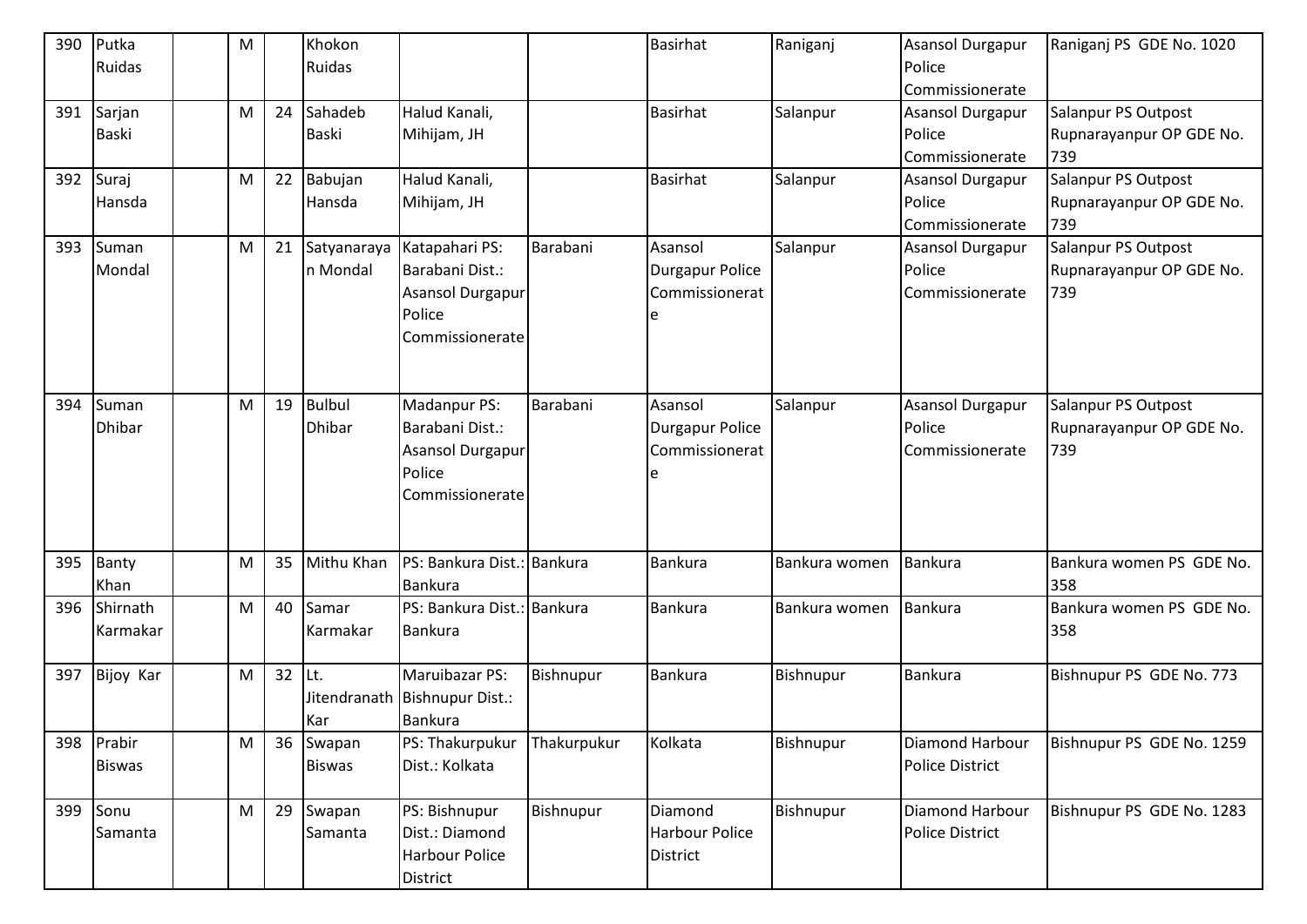| 390 | Putka         | M |    | Khokon        |                               |             | Basirhat               | Raniganj      | <b>Asansol Durgapur</b> | Raniganj PS GDE No. 1020  |
|-----|---------------|---|----|---------------|-------------------------------|-------------|------------------------|---------------|-------------------------|---------------------------|
|     | Ruidas        |   |    | Ruidas        |                               |             |                        |               | Police                  |                           |
|     |               |   |    |               |                               |             |                        |               | Commissionerate         |                           |
| 391 | Sarjan        | M | 24 | Sahadeb       | Halud Kanali,                 |             | Basirhat               | Salanpur      | <b>Asansol Durgapur</b> | Salanpur PS Outpost       |
|     | <b>Baski</b>  |   |    | Baski         | Mihijam, JH                   |             |                        |               | Police                  | Rupnarayanpur OP GDE No.  |
|     |               |   |    |               |                               |             |                        |               | Commissionerate         | 739                       |
| 392 | Suraj         | M | 22 | Babujan       | Halud Kanali,                 |             | <b>Basirhat</b>        | Salanpur      | <b>Asansol Durgapur</b> | Salanpur PS Outpost       |
|     | Hansda        |   |    | Hansda        | Mihijam, JH                   |             |                        |               | Police                  | Rupnarayanpur OP GDE No.  |
|     |               |   |    |               |                               |             |                        |               | Commissionerate         | 739                       |
| 393 | Suman         | M | 21 | Satyanaraya   | Katapahari PS:                | Barabani    | Asansol                | Salanpur      | <b>Asansol Durgapur</b> | Salanpur PS Outpost       |
|     | Mondal        |   |    | n Mondal      | Barabani Dist.:               |             | <b>Durgapur Police</b> |               | Police                  | Rupnarayanpur OP GDE No.  |
|     |               |   |    |               | Asansol Durgapur              |             | Commissionerat         |               | Commissionerate         | 739                       |
|     |               |   |    |               | Police                        |             |                        |               |                         |                           |
|     |               |   |    |               | Commissionerate               |             |                        |               |                         |                           |
|     |               |   |    |               |                               |             |                        |               |                         |                           |
|     |               |   |    |               |                               |             |                        |               |                         |                           |
| 394 | Suman         | M | 19 | <b>Bulbul</b> | Madanpur PS:                  | Barabani    | Asansol                | Salanpur      | <b>Asansol Durgapur</b> | Salanpur PS Outpost       |
|     | <b>Dhibar</b> |   |    | <b>Dhibar</b> | Barabani Dist.:               |             | Durgapur Police        |               | Police                  | Rupnarayanpur OP GDE No.  |
|     |               |   |    |               | Asansol Durgapur              |             | Commissionerat         |               | Commissionerate         | 739                       |
|     |               |   |    |               | Police                        |             |                        |               |                         |                           |
|     |               |   |    |               | Commissionerate               |             |                        |               |                         |                           |
|     |               |   |    |               |                               |             |                        |               |                         |                           |
|     |               |   |    |               |                               |             |                        |               |                         |                           |
| 395 | Banty         | M | 35 | Mithu Khan    | PS: Bankura Dist.: Bankura    |             | <b>Bankura</b>         | Bankura women | <b>Bankura</b>          | Bankura women PS GDE No.  |
|     | Khan          |   |    |               | Bankura                       |             |                        |               |                         | 358                       |
| 396 | Shirnath      | M | 40 | Samar         | PS: Bankura Dist.: Bankura    |             | <b>Bankura</b>         | Bankura women | Bankura                 | Bankura women PS GDE No.  |
|     | Karmakar      |   |    | Karmakar      | Bankura                       |             |                        |               |                         | 358                       |
|     |               |   |    |               |                               |             |                        |               |                         |                           |
| 397 | Bijoy Kar     | M | 32 | lLt.          | Maruibazar PS:                | Bishnupur   | Bankura                | Bishnupur     | <b>Bankura</b>          | Bishnupur PS GDE No. 773  |
|     |               |   |    |               | Jitendranath Bishnupur Dist.: |             |                        |               |                         |                           |
|     |               |   |    | Kar           | <b>Bankura</b>                |             |                        |               |                         |                           |
| 398 | Prabir        | M | 36 | Swapan        | PS: Thakurpukur               | Thakurpukur | Kolkata                | Bishnupur     | Diamond Harbour         | Bishnupur PS GDE No. 1259 |
|     | <b>Biswas</b> |   |    | <b>Biswas</b> | Dist.: Kolkata                |             |                        |               | Police District         |                           |
|     |               |   |    |               |                               |             |                        |               |                         |                           |
| 399 | Sonu          | M | 29 | Swapan        | PS: Bishnupur                 | Bishnupur   | Diamond                | Bishnupur     | Diamond Harbour         | Bishnupur PS GDE No. 1283 |
|     | Samanta       |   |    | Samanta       | Dist.: Diamond                |             | Harbour Police         |               | Police District         |                           |
|     |               |   |    |               | <b>Harbour Police</b>         |             | <b>District</b>        |               |                         |                           |
|     |               |   |    |               | District                      |             |                        |               |                         |                           |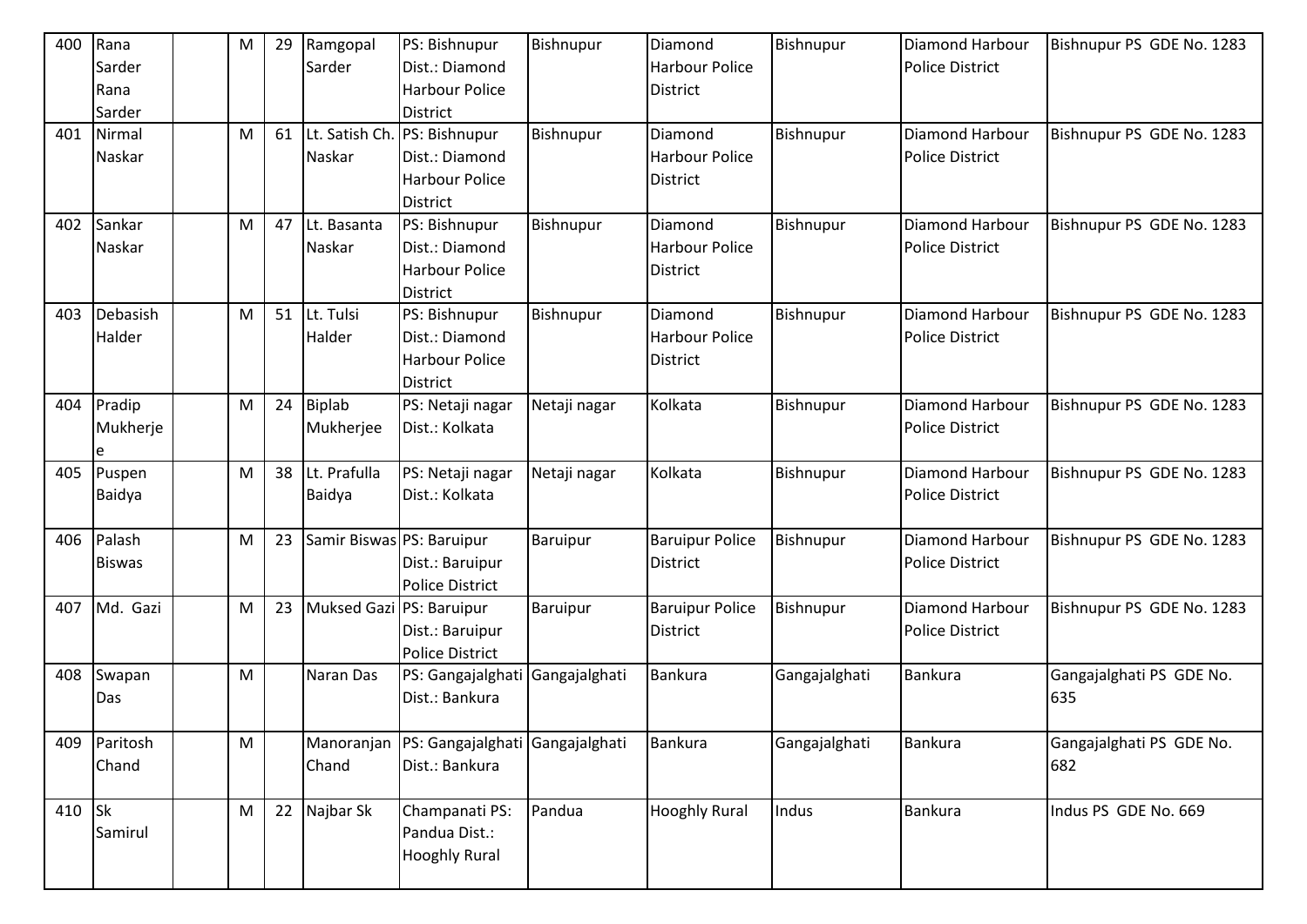| 400    | Rana<br>Sarder<br>Rana<br>Sarder | M | 29 | Ramgopal<br>Sarder        | PS: Bishnupur<br>Dist.: Diamond<br><b>Harbour Police</b><br><b>District</b> | Bishnupur     | Diamond<br>Harbour Police<br>District               | Bishnupur     | <b>Diamond Harbour</b><br><b>Police District</b> | Bishnupur PS GDE No. 1283       |
|--------|----------------------------------|---|----|---------------------------|-----------------------------------------------------------------------------|---------------|-----------------------------------------------------|---------------|--------------------------------------------------|---------------------------------|
| 401    | Nirmal<br>Naskar                 | M | 61 | Lt. Satish Ch.<br>Naskar  | PS: Bishnupur<br>Dist.: Diamond<br><b>Harbour Police</b><br><b>District</b> | Bishnupur     | Diamond<br><b>Harbour Police</b><br><b>District</b> | Bishnupur     | Diamond Harbour<br><b>Police District</b>        | Bishnupur PS GDE No. 1283       |
| 402    | Sankar<br>Naskar                 | M | 47 | Lt. Basanta<br>Naskar     | PS: Bishnupur<br>Dist.: Diamond<br><b>Harbour Police</b><br><b>District</b> | Bishnupur     | Diamond<br><b>Harbour Police</b><br><b>District</b> | Bishnupur     | Diamond Harbour<br><b>Police District</b>        | Bishnupur PS GDE No. 1283       |
| 403    | Debasish<br>Halder               | M | 51 | Lt. Tulsi<br>Halder       | PS: Bishnupur<br>Dist.: Diamond<br><b>Harbour Police</b><br><b>District</b> | Bishnupur     | Diamond<br><b>Harbour Police</b><br>District        | Bishnupur     | <b>Diamond Harbour</b><br><b>Police District</b> | Bishnupur PS GDE No. 1283       |
| 404    | Pradip<br>Mukherje<br>e          | M | 24 | Biplab<br>Mukherjee       | PS: Netaji nagar<br>Dist.: Kolkata                                          | Netaji nagar  | Kolkata                                             | Bishnupur     | Diamond Harbour<br><b>Police District</b>        | Bishnupur PS GDE No. 1283       |
| 405    | Puspen<br>Baidya                 | M | 38 | Lt. Prafulla<br>Baidya    | PS: Netaji nagar<br>Dist.: Kolkata                                          | Netaji nagar  | Kolkata                                             | Bishnupur     | Diamond Harbour<br><b>Police District</b>        | Bishnupur PS GDE No. 1283       |
| 406    | Palash<br><b>Biswas</b>          | M | 23 | Samir Biswas PS: Baruipur | Dist.: Baruipur<br><b>Police District</b>                                   | Baruipur      | <b>Baruipur Police</b><br><b>District</b>           | Bishnupur     | Diamond Harbour<br><b>Police District</b>        | Bishnupur PS GDE No. 1283       |
| 407    | Md. Gazi                         | M | 23 | Muksed Gazi PS: Baruipur  | Dist.: Baruipur<br><b>Police District</b>                                   | Baruipur      | <b>Baruipur Police</b><br>District                  | Bishnupur     | <b>Diamond Harbour</b><br><b>Police District</b> | Bishnupur PS GDE No. 1283       |
| 408    | Swapan<br>Das                    | M |    | Naran Das                 | PS: Gangajalghati<br>Dist.: Bankura                                         | Gangajalghati | Bankura                                             | Gangajalghati | Bankura                                          | Gangajalghati PS GDE No.<br>635 |
| 409    | Paritosh<br>Chand                | M |    | Manoranjan<br>Chand       | PS: Gangajalghati Gangajalghati<br>Dist.: Bankura                           |               | <b>Bankura</b>                                      | Gangajalghati | Bankura                                          | Gangajalghati PS GDE No.<br>682 |
| 410 Sk | Samirul                          | M |    | 22 Najbar Sk              | Champanati PS:<br>Pandua Dist.:<br><b>Hooghly Rural</b>                     | Pandua        | <b>Hooghly Rural</b>                                | Indus         | <b>Bankura</b>                                   | Indus PS GDE No. 669            |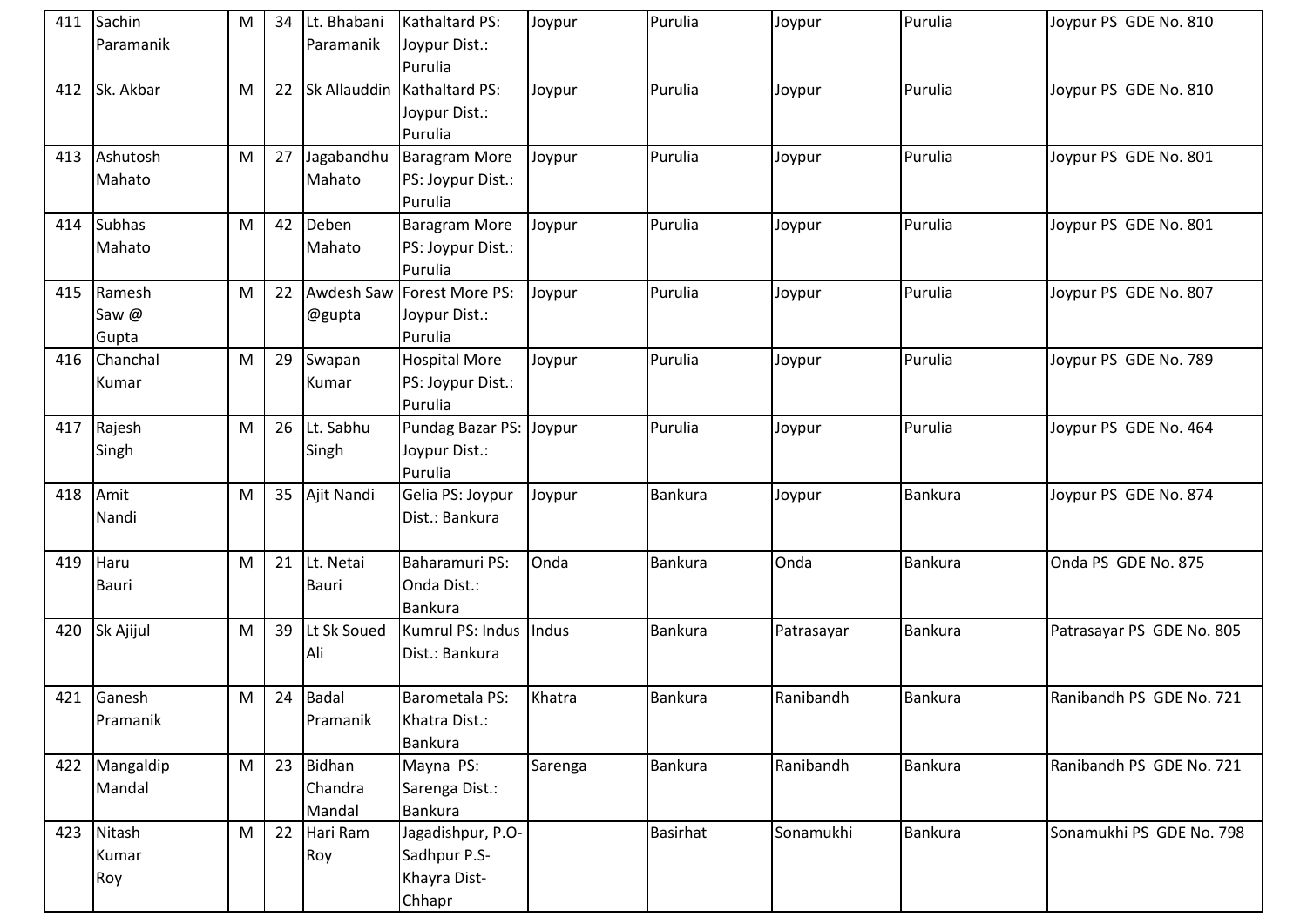| 411 | Sachin        | M | 34 | Lt. Bhabani  | Kathaltard PS:              | Joypur  | Purulia         | Joypur     | Purulia        | Joypur PS GDE No. 810     |
|-----|---------------|---|----|--------------|-----------------------------|---------|-----------------|------------|----------------|---------------------------|
|     | Paramanik     |   |    | Paramanik    | Joypur Dist.:               |         |                 |            |                |                           |
|     |               |   |    |              | Purulia                     |         |                 |            |                |                           |
| 412 | Sk. Akbar     | M | 22 | Sk Allauddin | Kathaltard PS:              | Joypur  | Purulia         | Joypur     | Purulia        | Joypur PS GDE No. 810     |
|     |               |   |    |              | Joypur Dist.:<br>Purulia    |         |                 |            |                |                           |
| 413 | Ashutosh      | M | 27 | Jagabandhu   | Baragram More               |         | Purulia         |            | Purulia        | Joypur PS GDE No. 801     |
|     |               |   |    | Mahato       | PS: Joypur Dist.:           | Joypur  |                 | Joypur     |                |                           |
|     | Mahato        |   |    |              | Purulia                     |         |                 |            |                |                           |
|     | 414 Subhas    | M | 42 | Deben        | <b>Baragram More</b>        | Joypur  | Purulia         | Joypur     | Purulia        | Joypur PS GDE No. 801     |
|     | Mahato        |   |    | Mahato       | PS: Joypur Dist.:           |         |                 |            |                |                           |
|     |               |   |    |              | Purulia                     |         |                 |            |                |                           |
| 415 | Ramesh        | M | 22 | Awdesh Saw   | Forest More PS:             | Joypur  | Purulia         | Joypur     | Purulia        | Joypur PS GDE No. 807     |
|     | Saw @         |   |    | @gupta       | Joypur Dist.:               |         |                 |            |                |                           |
|     | Gupta         |   |    |              | Purulia                     |         |                 |            |                |                           |
| 416 | Chanchal      | M | 29 | Swapan       | <b>Hospital More</b>        | Joypur  | Purulia         | Joypur     | Purulia        | Joypur PS GDE No. 789     |
|     | Kumar         |   |    | Kumar        | PS: Joypur Dist.:           |         |                 |            |                |                           |
|     |               |   |    |              | Purulia                     |         |                 |            |                |                           |
| 417 | Rajesh        | M |    | 26 Lt. Sabhu | Pundag Bazar PS: Joypur     |         | Purulia         | Joypur     | Purulia        | Joypur PS GDE No. 464     |
|     | Singh         |   |    | Singh        | Joypur Dist.:               |         |                 |            |                |                           |
|     |               |   |    |              | Purulia                     |         |                 |            |                |                           |
|     | 418 Amit      | M | 35 | Ajit Nandi   | Gelia PS: Joypur            | Joypur  | Bankura         | Joypur     | <b>Bankura</b> | Joypur PS GDE No. 874     |
|     | Nandi         |   |    |              | Dist.: Bankura              |         |                 |            |                |                           |
|     |               |   |    |              |                             |         |                 |            |                |                           |
| 419 | Haru          | M | 21 | Lt. Netai    | Baharamuri PS:              | Onda    | <b>Bankura</b>  | Onda       | <b>Bankura</b> | Onda PS GDE No. 875       |
|     | <b>Bauri</b>  |   |    | <b>Bauri</b> | Onda Dist.:                 |         |                 |            |                |                           |
| 420 | Sk Ajijul     | M | 39 | Lt Sk Soued  | Bankura<br>Kumrul PS: Indus | Indus   | Bankura         | Patrasayar | Bankura        | Patrasayar PS GDE No. 805 |
|     |               |   |    | Ali          | Dist.: Bankura              |         |                 |            |                |                           |
|     |               |   |    |              |                             |         |                 |            |                |                           |
|     | 421 Ganesh    | M | 24 | Badal        | Barometala PS:              | Khatra  | Bankura         | Ranibandh  | <b>Bankura</b> | Ranibandh PS GDE No. 721  |
|     | Pramanik      |   |    | Pramanik     | Khatra Dist.:               |         |                 |            |                |                           |
|     |               |   |    |              | <b>Bankura</b>              |         |                 |            |                |                           |
|     | 422 Mangaldip | M | 23 | Bidhan       | Mayna PS:                   | Sarenga | Bankura         | Ranibandh  | <b>Bankura</b> | Ranibandh PS GDE No. 721  |
|     | Mandal        |   |    | Chandra      | Sarenga Dist.:              |         |                 |            |                |                           |
|     |               |   |    | Mandal       | <b>Bankura</b>              |         |                 |            |                |                           |
| 423 | Nitash        | M | 22 | Hari Ram     | Jagadishpur, P.O-           |         | <b>Basirhat</b> | Sonamukhi  | Bankura        | Sonamukhi PS GDE No. 798  |
|     | Kumar         |   |    | Roy          | Sadhpur P.S-                |         |                 |            |                |                           |
|     | Roy           |   |    |              | Khayra Dist-                |         |                 |            |                |                           |
|     |               |   |    |              | Chhapr                      |         |                 |            |                |                           |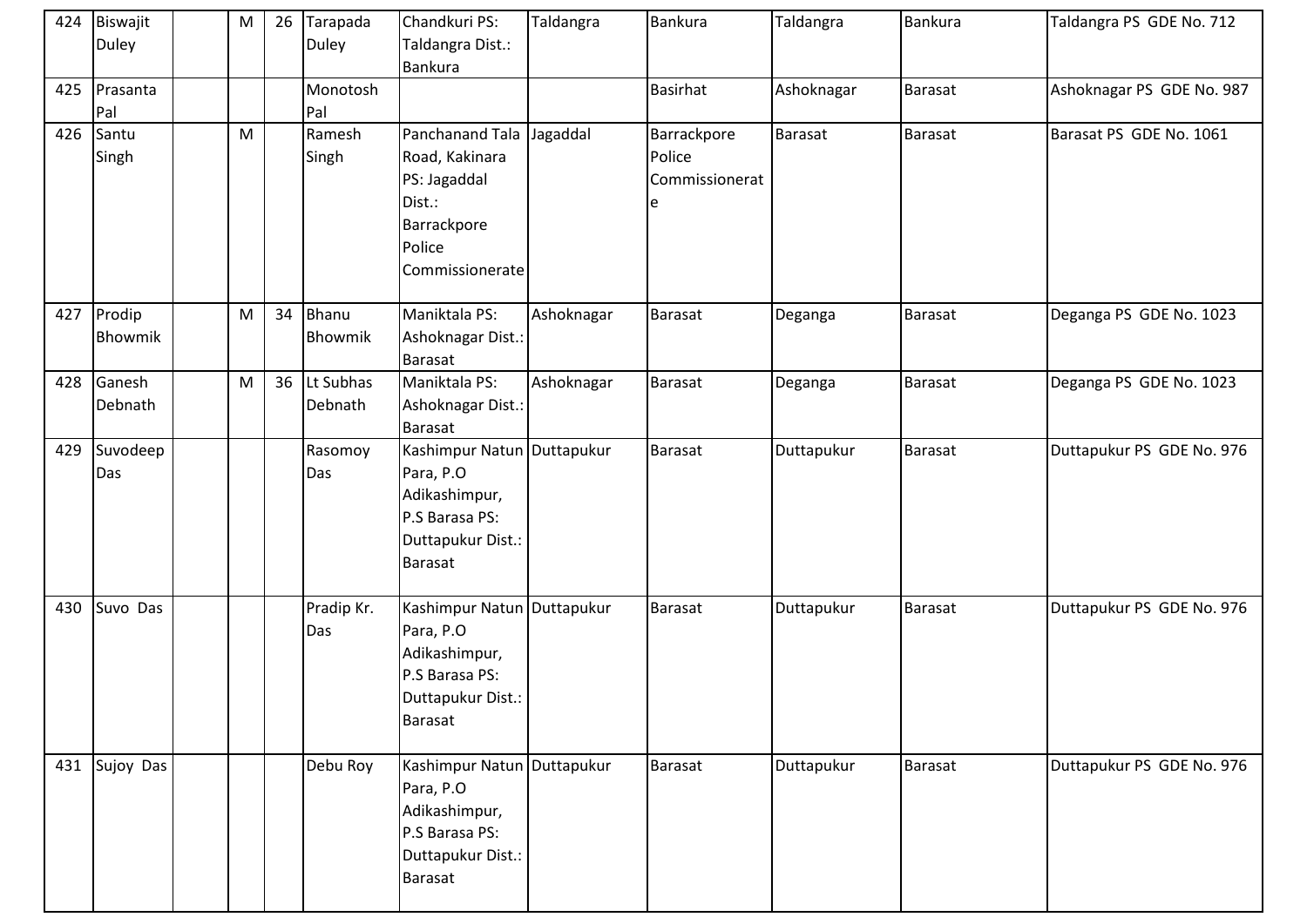| 424 | Biswajit<br><b>Duley</b> | M | 26 | Tarapada<br>Duley       | Chandkuri PS:<br>Taldangra Dist.:<br>Bankura                                                                      | Taldangra  | Bankura                                       | Taldangra  | Bankura        | Taldangra PS GDE No. 712  |
|-----|--------------------------|---|----|-------------------------|-------------------------------------------------------------------------------------------------------------------|------------|-----------------------------------------------|------------|----------------|---------------------------|
| 425 | Prasanta<br>Pal          |   |    | Monotosh<br>Pal         |                                                                                                                   |            | Basirhat                                      | Ashoknagar | <b>Barasat</b> | Ashoknagar PS GDE No. 987 |
| 426 | Santu<br>Singh           | M |    | Ramesh<br>Singh         | Panchanand Tala<br>Road, Kakinara<br>PS: Jagaddal<br>Dist.:<br>Barrackpore<br>Police<br>Commissionerate           | Jagaddal   | Barrackpore<br>Police<br>Commissionerat<br>le | Barasat    | Barasat        | Barasat PS GDE No. 1061   |
| 427 | Prodip<br>Bhowmik        | M | 34 | Bhanu<br>Bhowmik        | Maniktala PS:<br>Ashoknagar Dist.:<br>Barasat                                                                     | Ashoknagar | <b>Barasat</b>                                | Deganga    | <b>Barasat</b> | Deganga PS GDE No. 1023   |
|     | 428 Ganesh<br>Debnath    | M |    | 36 Lt Subhas<br>Debnath | Maniktala PS:<br>Ashoknagar Dist.:<br><b>Barasat</b>                                                              | Ashoknagar | <b>Barasat</b>                                | Deganga    | <b>Barasat</b> | Deganga PS GDE No. 1023   |
| 429 | Suvodeep<br>Das          |   |    | Rasomoy<br>Das          | Kashimpur Natun Duttapukur<br>Para, P.O<br>Adikashimpur,<br>P.S Barasa PS:<br>Duttapukur Dist.:<br>Barasat        |            | <b>Barasat</b>                                | Duttapukur | <b>Barasat</b> | Duttapukur PS GDE No. 976 |
| 430 | Suvo Das                 |   |    | Pradip Kr.<br>Das       | Kashimpur Natun Duttapukur<br>Para, P.O<br>Adikashimpur,<br>P.S Barasa PS:<br>Duttapukur Dist.:<br><b>Barasat</b> |            | <b>Barasat</b>                                | Duttapukur | <b>Barasat</b> | Duttapukur PS GDE No. 976 |
|     | 431 Sujoy Das            |   |    | Debu Roy                | Kashimpur Natun Duttapukur<br>Para, P.O<br>Adikashimpur,<br>P.S Barasa PS:<br>Duttapukur Dist.:<br><b>Barasat</b> |            | <b>Barasat</b>                                | Duttapukur | <b>Barasat</b> | Duttapukur PS GDE No. 976 |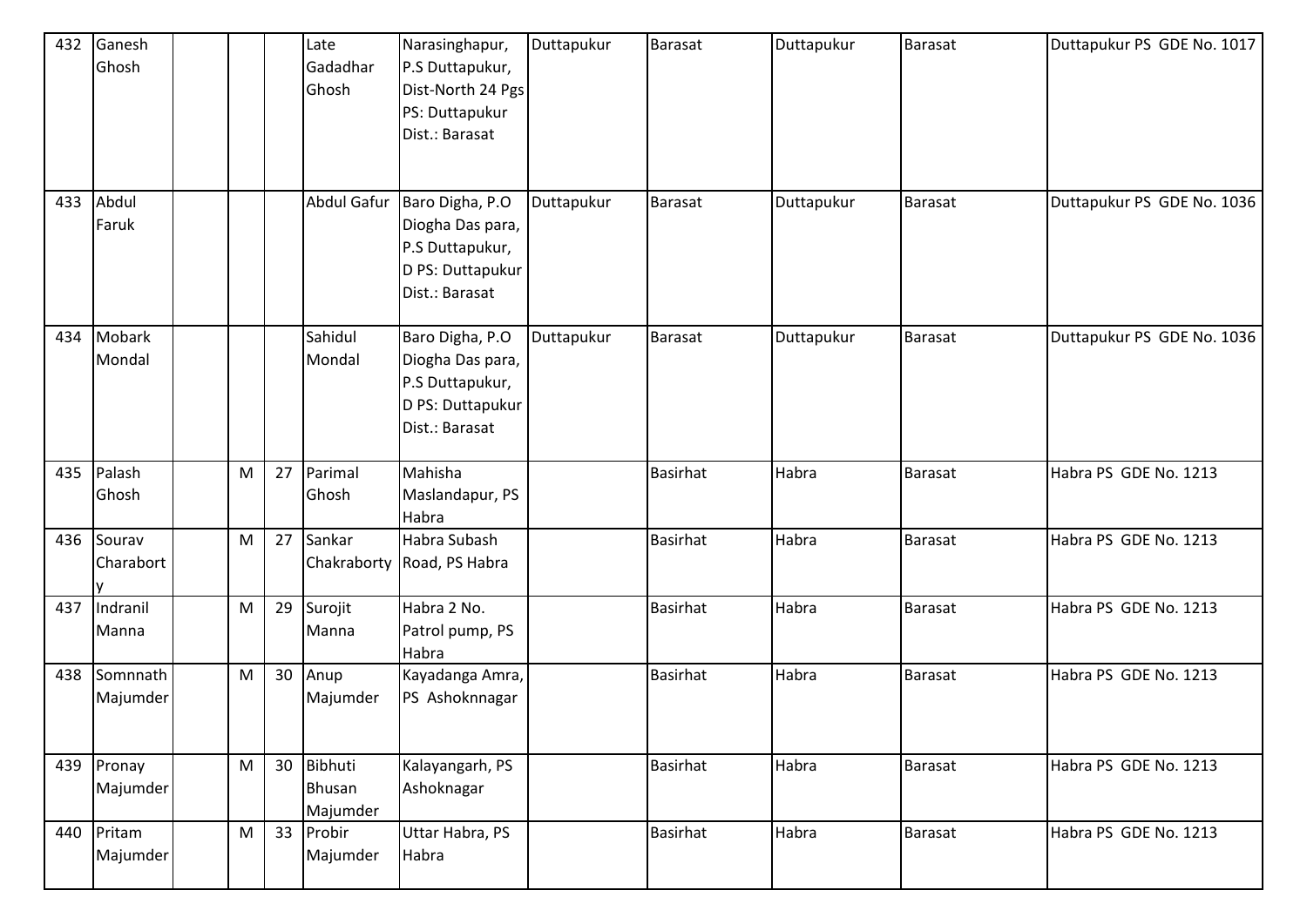| 432 | Ganesh    |           |    | Late          | Narasinghapur,             | Duttapukur | <b>Barasat</b>  | Duttapukur | <b>Barasat</b> | Duttapukur PS GDE No. 1017 |
|-----|-----------|-----------|----|---------------|----------------------------|------------|-----------------|------------|----------------|----------------------------|
|     | Ghosh     |           |    | Gadadhar      | P.S Duttapukur,            |            |                 |            |                |                            |
|     |           |           |    | Ghosh         | Dist-North 24 Pgs          |            |                 |            |                |                            |
|     |           |           |    |               | PS: Duttapukur             |            |                 |            |                |                            |
|     |           |           |    |               | Dist.: Barasat             |            |                 |            |                |                            |
|     |           |           |    |               |                            |            |                 |            |                |                            |
|     |           |           |    |               |                            |            |                 |            |                |                            |
| 433 | Abdul     |           |    | Abdul Gafur   | Baro Digha, P.O            | Duttapukur | <b>Barasat</b>  | Duttapukur | <b>Barasat</b> | Duttapukur PS GDE No. 1036 |
|     | Faruk     |           |    |               | Diogha Das para,           |            |                 |            |                |                            |
|     |           |           |    |               | P.S Duttapukur,            |            |                 |            |                |                            |
|     |           |           |    |               | D PS: Duttapukur           |            |                 |            |                |                            |
|     |           |           |    |               | Dist.: Barasat             |            |                 |            |                |                            |
|     |           |           |    |               |                            |            |                 |            |                |                            |
| 434 | Mobark    |           |    | Sahidul       | Baro Digha, P.O            | Duttapukur | <b>Barasat</b>  | Duttapukur | Barasat        | Duttapukur PS GDE No. 1036 |
|     | Mondal    |           |    | Mondal        | Diogha Das para,           |            |                 |            |                |                            |
|     |           |           |    |               | P.S Duttapukur,            |            |                 |            |                |                            |
|     |           |           |    |               | D PS: Duttapukur           |            |                 |            |                |                            |
|     |           |           |    |               | Dist.: Barasat             |            |                 |            |                |                            |
|     |           |           |    |               |                            |            |                 |            |                |                            |
| 435 | Palash    | ${\sf M}$ | 27 | Parimal       | Mahisha                    |            | <b>Basirhat</b> | Habra      | Barasat        | Habra PS GDE No. 1213      |
|     | Ghosh     |           |    | Ghosh         | Maslandapur, PS            |            |                 |            |                |                            |
|     |           |           |    |               | Habra                      |            |                 |            |                |                            |
| 436 | Sourav    | ${\sf M}$ | 27 | Sankar        | Habra Subash               |            | <b>Basirhat</b> | Habra      | Barasat        | Habra PS GDE No. 1213      |
|     | Charabort |           |    |               | Chakraborty Road, PS Habra |            |                 |            |                |                            |
|     |           |           |    |               |                            |            |                 |            |                |                            |
| 437 | Indranil  | M         | 29 | Surojit       | Habra 2 No.                |            | <b>Basirhat</b> | Habra      | Barasat        | Habra PS GDE No. 1213      |
|     | Manna     |           |    | Manna         | Patrol pump, PS            |            |                 |            |                |                            |
|     |           |           |    |               | Habra                      |            |                 |            |                |                            |
| 438 | Somnnath  | M         | 30 | Anup          | Kayadanga Amra,            |            | <b>Basirhat</b> | Habra      | Barasat        | Habra PS GDE No. 1213      |
|     | Majumder  |           |    | Majumder      | PS Ashoknnagar             |            |                 |            |                |                            |
|     |           |           |    |               |                            |            |                 |            |                |                            |
|     |           |           |    |               |                            |            |                 |            |                |                            |
| 439 | Pronay    | M         | 30 | Bibhuti       | Kalayangarh, PS            |            | <b>Basirhat</b> | Habra      | Barasat        | Habra PS GDE No. 1213      |
|     | Majumder  |           |    | <b>Bhusan</b> | Ashoknagar                 |            |                 |            |                |                            |
|     |           |           |    | Majumder      |                            |            |                 |            |                |                            |
| 440 | Pritam    | M         | 33 | Probir        | Uttar Habra, PS            |            | <b>Basirhat</b> | Habra      | Barasat        | Habra PS GDE No. 1213      |
|     | Majumder  |           |    | Majumder      | Habra                      |            |                 |            |                |                            |
|     |           |           |    |               |                            |            |                 |            |                |                            |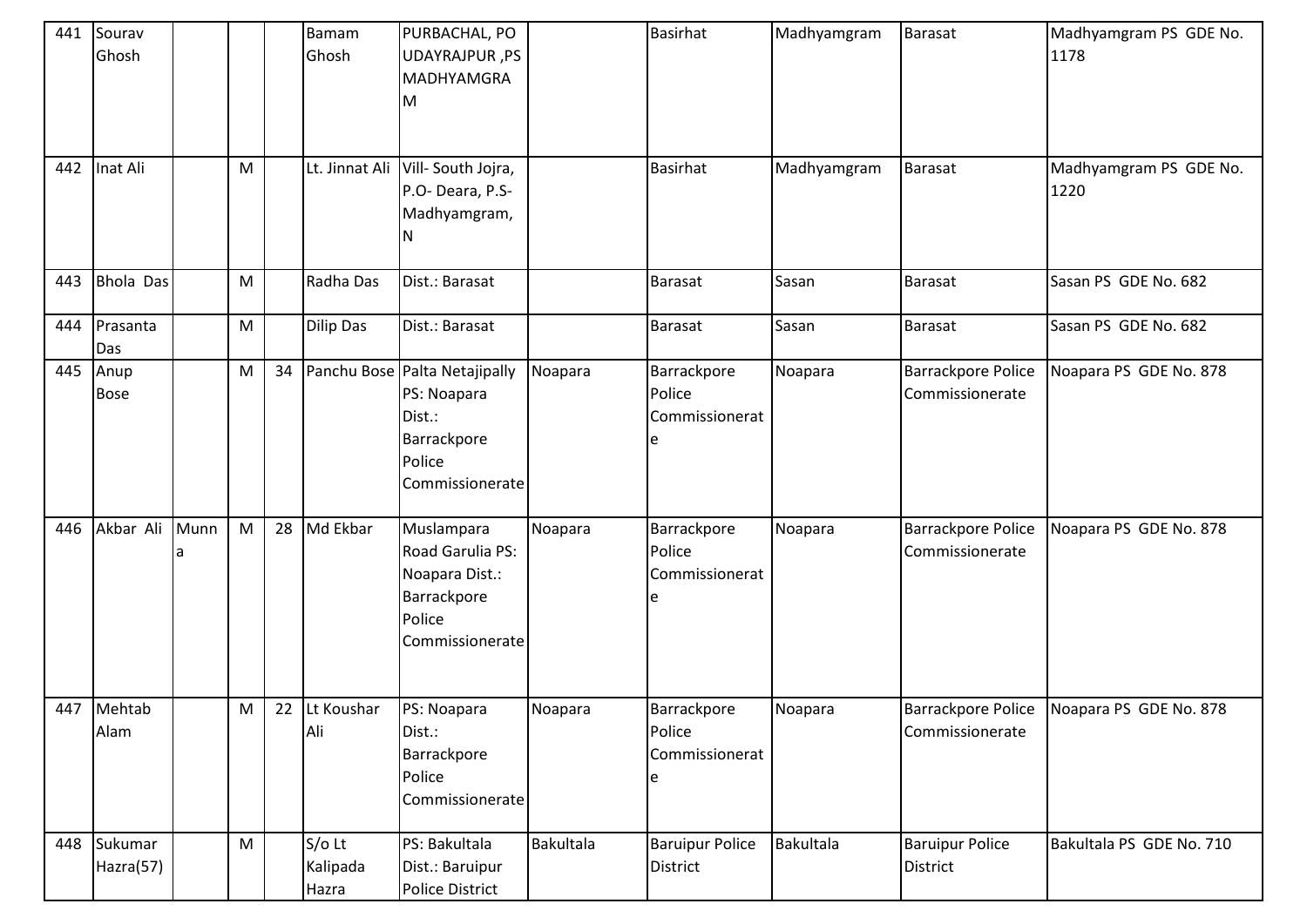| 441<br>442 | Sourav<br>Ghosh<br>Inat Ali |           | M         |    | <b>Bamam</b><br>Ghosh<br>Lt. Jinnat Ali | PURBACHAL, PO<br>UDAYRAJPUR, PS<br><b>MADHYAMGRA</b><br>M<br>Vill-South Jojra,                     |           | <b>Basirhat</b><br><b>Basirhat</b>        | Madhyamgram<br>Madhyamgram | Barasat<br>Barasat                           | Madhyamgram PS GDE No.<br>1178<br>Madhyamgram PS GDE No. |
|------------|-----------------------------|-----------|-----------|----|-----------------------------------------|----------------------------------------------------------------------------------------------------|-----------|-------------------------------------------|----------------------------|----------------------------------------------|----------------------------------------------------------|
|            |                             |           |           |    |                                         | P.O- Deara, P.S-<br>Madhyamgram,<br>N                                                              |           |                                           |                            |                                              | 1220                                                     |
| 443        | <b>Bhola Das</b>            |           | M         |    | Radha Das                               | Dist.: Barasat                                                                                     |           | <b>Barasat</b>                            | Sasan                      | <b>Barasat</b>                               | Sasan PS GDE No. 682                                     |
| 444        | Prasanta<br>Das             |           | M         |    | Dilip Das                               | Dist.: Barasat                                                                                     |           | <b>Barasat</b>                            | Sasan                      | <b>Barasat</b>                               | Sasan PS GDE No. 682                                     |
| 445        | Anup<br><b>Bose</b>         |           | ${\sf M}$ | 34 |                                         | Panchu Bose Palta Netajipally<br>PS: Noapara<br>Dist.:<br>Barrackpore<br>Police<br>Commissionerate | Noapara   | Barrackpore<br>Police<br>Commissionerat   | Noapara                    | <b>Barrackpore Police</b><br>Commissionerate | Noapara PS GDE No. 878                                   |
| 446        | Akbar Ali                   | Munn<br>a | M         | 28 | Md Ekbar                                | Muslampara<br>Road Garulia PS:<br>Noapara Dist.:<br>Barrackpore<br>Police<br>Commissionerate       | Noapara   | Barrackpore<br>Police<br>Commissionerat   | Noapara                    | Barrackpore Police<br>Commissionerate        | Noapara PS GDE No. 878                                   |
|            | 447 Mehtab<br>Alam          |           | M         |    | 22 Lt Koushar<br>Ali                    | PS: Noapara<br>Dist.:<br>Barrackpore<br>Police<br>Commissionerate                                  | Noapara   | Barrackpore<br>Police<br>Commissionerat   | Noapara                    | <b>Barrackpore Police</b><br>Commissionerate | Noapara PS GDE No. 878                                   |
|            | 448 Sukumar<br>Hazra(57)    |           | ${\sf M}$ |    | $S/O$ Lt<br>Kalipada<br>Hazra           | PS: Bakultala<br>Dist.: Baruipur<br><b>Police District</b>                                         | Bakultala | <b>Baruipur Police</b><br><b>District</b> | Bakultala                  | <b>Baruipur Police</b><br>District           | Bakultala PS GDE No. 710                                 |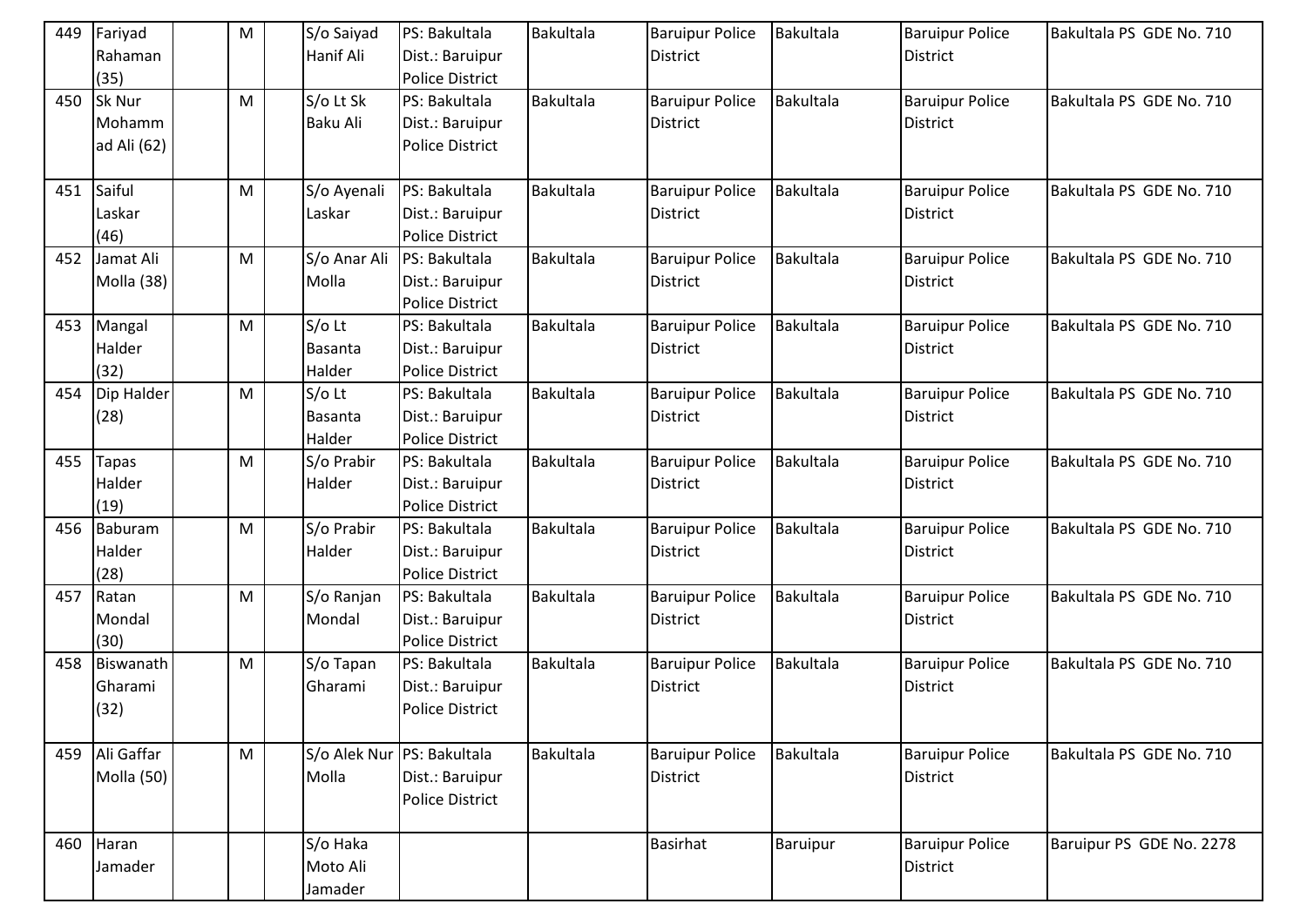| 449 | Fariyad<br>Rahaman<br>(35)      | M         | S/o Saiyad<br>Hanif Ali         | PS: Bakultala<br>Dist.: Baruipur<br>Police District                     | Bakultala | <b>Baruipur Police</b><br><b>District</b> | Bakultala | <b>Baruipur Police</b><br><b>District</b> | Bakultala PS GDE No. 710 |
|-----|---------------------------------|-----------|---------------------------------|-------------------------------------------------------------------------|-----------|-------------------------------------------|-----------|-------------------------------------------|--------------------------|
| 450 | Sk Nur<br>Mohamm<br>ad Ali (62) | ${\sf M}$ | S/o Lt Sk<br>Baku Ali           | PS: Bakultala<br>Dist.: Baruipur<br>Police District                     | Bakultala | <b>Baruipur Police</b><br><b>District</b> | Bakultala | <b>Baruipur Police</b><br><b>District</b> | Bakultala PS GDE No. 710 |
| 451 | Saiful<br>Laskar<br>(46)        | M         | S/o Ayenali<br>Laskar           | PS: Bakultala<br>Dist.: Baruipur<br>Police District                     | Bakultala | <b>Baruipur Police</b><br><b>District</b> | Bakultala | <b>Baruipur Police</b><br><b>District</b> | Bakultala PS GDE No. 710 |
| 452 | Jamat Ali<br>Molla (38)         | M         | S/o Anar Ali<br>Molla           | PS: Bakultala<br>Dist.: Baruipur<br><b>Police District</b>              | Bakultala | <b>Baruipur Police</b><br><b>District</b> | Bakultala | <b>Baruipur Police</b><br><b>District</b> | Bakultala PS GDE No. 710 |
| 453 | Mangal<br>Halder<br>(32)        | M         | $S/O$ Lt<br>Basanta<br>Halder   | PS: Bakultala<br>Dist.: Baruipur<br><b>Police District</b>              | Bakultala | <b>Baruipur Police</b><br><b>District</b> | Bakultala | <b>Baruipur Police</b><br><b>District</b> | Bakultala PS GDE No. 710 |
| 454 | Dip Halder<br>(28)              | M         | $S/O$ Lt<br>Basanta<br>Halder   | PS: Bakultala<br>Dist.: Baruipur<br><b>Police District</b>              | Bakultala | <b>Baruipur Police</b><br><b>District</b> | Bakultala | <b>Baruipur Police</b><br><b>District</b> | Bakultala PS GDE No. 710 |
| 455 | Tapas<br>Halder<br>(19)         | M         | S/o Prabir<br>Halder            | PS: Bakultala<br>Dist.: Baruipur<br>Police District                     | Bakultala | <b>Baruipur Police</b><br><b>District</b> | Bakultala | <b>Baruipur Police</b><br><b>District</b> | Bakultala PS GDE No. 710 |
| 456 | Baburam<br>Halder<br>(28)       | ${\sf M}$ | S/o Prabir<br>Halder            | PS: Bakultala<br>Dist.: Baruipur<br>Police District                     | Bakultala | <b>Baruipur Police</b><br><b>District</b> | Bakultala | <b>Baruipur Police</b><br><b>District</b> | Bakultala PS GDE No. 710 |
| 457 | Ratan<br>Mondal<br>(30)         | M         | S/o Ranjan<br>Mondal            | PS: Bakultala<br>Dist.: Baruipur<br><b>Police District</b>              | Bakultala | <b>Baruipur Police</b><br><b>District</b> | Bakultala | <b>Baruipur Police</b><br><b>District</b> | Bakultala PS GDE No. 710 |
| 458 | Biswanath<br>Gharami<br>(32)    | ${\sf M}$ | S/o Tapan<br>Gharami            | PS: Bakultala<br>Dist.: Baruipur<br><b>Police District</b>              | Bakultala | <b>Baruipur Police</b><br><b>District</b> | Bakultala | <b>Baruipur Police</b><br><b>District</b> | Bakultala PS GDE No. 710 |
| 459 | Ali Gaffar<br>Molla (50)        | ${\sf M}$ | Molla                           | S/o Alek Nur PS: Bakultala<br>Dist.: Baruipur<br><b>Police District</b> | Bakultala | <b>Baruipur Police</b><br><b>District</b> | Bakultala | <b>Baruipur Police</b><br>District        | Bakultala PS GDE No. 710 |
| 460 | Haran<br>Jamader                |           | S/o Haka<br>Moto Ali<br>Jamader |                                                                         |           | <b>Basirhat</b>                           | Baruipur  | <b>Baruipur Police</b><br><b>District</b> | Baruipur PS GDE No. 2278 |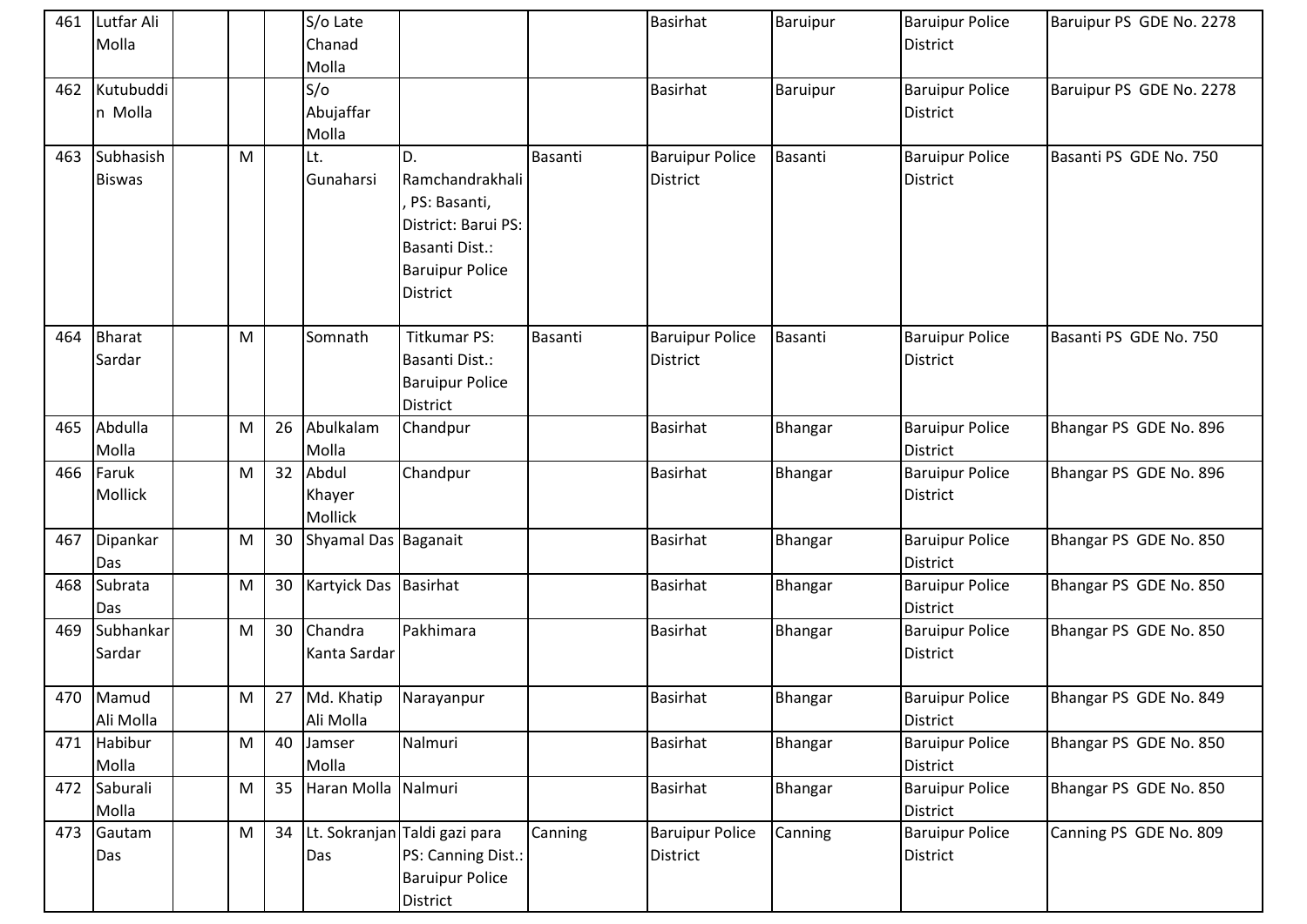| 461 | Lutfar Ali<br>Molla        |   |    | S/o Late<br>Chanad<br>Molla |                                                                                                                             |         | <b>Basirhat</b>                    | Baruipur | <b>Baruipur Police</b><br><b>District</b> | Baruipur PS GDE No. 2278 |
|-----|----------------------------|---|----|-----------------------------|-----------------------------------------------------------------------------------------------------------------------------|---------|------------------------------------|----------|-------------------------------------------|--------------------------|
| 462 | Kutubuddi<br>n Molla       |   |    | S/O<br>Abujaffar<br>Molla   |                                                                                                                             |         | <b>Basirhat</b>                    | Baruipur | <b>Baruipur Police</b><br><b>District</b> | Baruipur PS GDE No. 2278 |
| 463 | Subhasish<br><b>Biswas</b> | M |    | Lt.<br>Gunaharsi            | D.<br>Ramchandrakhali<br>PS: Basanti,<br>District: Barui PS:<br>Basanti Dist.:<br><b>Baruipur Police</b><br><b>District</b> | Basanti | <b>Baruipur Police</b><br>District | Basanti  | <b>Baruipur Police</b><br><b>District</b> | Basanti PS GDE No. 750   |
| 464 | <b>Bharat</b><br>Sardar    | M |    | Somnath                     | <b>Titkumar PS:</b><br>Basanti Dist.:<br><b>Baruipur Police</b><br><b>District</b>                                          | Basanti | <b>Baruipur Police</b><br>District | Basanti  | <b>Baruipur Police</b><br><b>District</b> | Basanti PS GDE No. 750   |
| 465 | Abdulla<br>Molla           | M | 26 | Abulkalam<br>Molla          | Chandpur                                                                                                                    |         | <b>Basirhat</b>                    | Bhangar  | <b>Baruipur Police</b><br>District        | Bhangar PS GDE No. 896   |
| 466 | Faruk<br><b>Mollick</b>    | M | 32 | Abdul<br>Khayer<br>Mollick  | Chandpur                                                                                                                    |         | <b>Basirhat</b>                    | Bhangar  | <b>Baruipur Police</b><br><b>District</b> | Bhangar PS GDE No. 896   |
| 467 | Dipankar<br>Das            | M | 30 | Shyamal Das Baganait        |                                                                                                                             |         | <b>Basirhat</b>                    | Bhangar  | <b>Baruipur Police</b><br>District        | Bhangar PS GDE No. 850   |
| 468 | Subrata<br>Das             | M | 30 | Kartyick Das Basirhat       |                                                                                                                             |         | <b>Basirhat</b>                    | Bhangar  | <b>Baruipur Police</b><br>District        | Bhangar PS GDE No. 850   |
| 469 | Subhankar<br>Sardar        | M | 30 | Chandra<br>Kanta Sardar     | Pakhimara                                                                                                                   |         | <b>Basirhat</b>                    | Bhangar  | <b>Baruipur Police</b><br><b>District</b> | Bhangar PS GDE No. 850   |
|     | 470 Mamud<br>Ali Molla     | M | 27 | Md. Khatip<br>Ali Molla     | Narayanpur                                                                                                                  |         | <b>Basirhat</b>                    | Bhangar  | <b>Baruipur Police</b><br>District        | Bhangar PS GDE No. 849   |
| 471 | Habibur<br>Molla           | M | 40 | Jamser<br>Molla             | Nalmuri                                                                                                                     |         | Basirhat                           | Bhangar  | <b>Baruipur Police</b><br>District        | Bhangar PS GDE No. 850   |
| 472 | Saburali<br>Molla          | M | 35 | Haran Molla                 | Nalmuri                                                                                                                     |         | Basirhat                           | Bhangar  | <b>Baruipur Police</b><br><b>District</b> | Bhangar PS GDE No. 850   |
| 473 | Gautam<br>Das              | M | 34 | Das                         | Lt. Sokranjan Taldi gazi para<br>PS: Canning Dist.:<br><b>Baruipur Police</b><br>District                                   | Canning | <b>Baruipur Police</b><br>District | Canning  | <b>Baruipur Police</b><br><b>District</b> | Canning PS GDE No. 809   |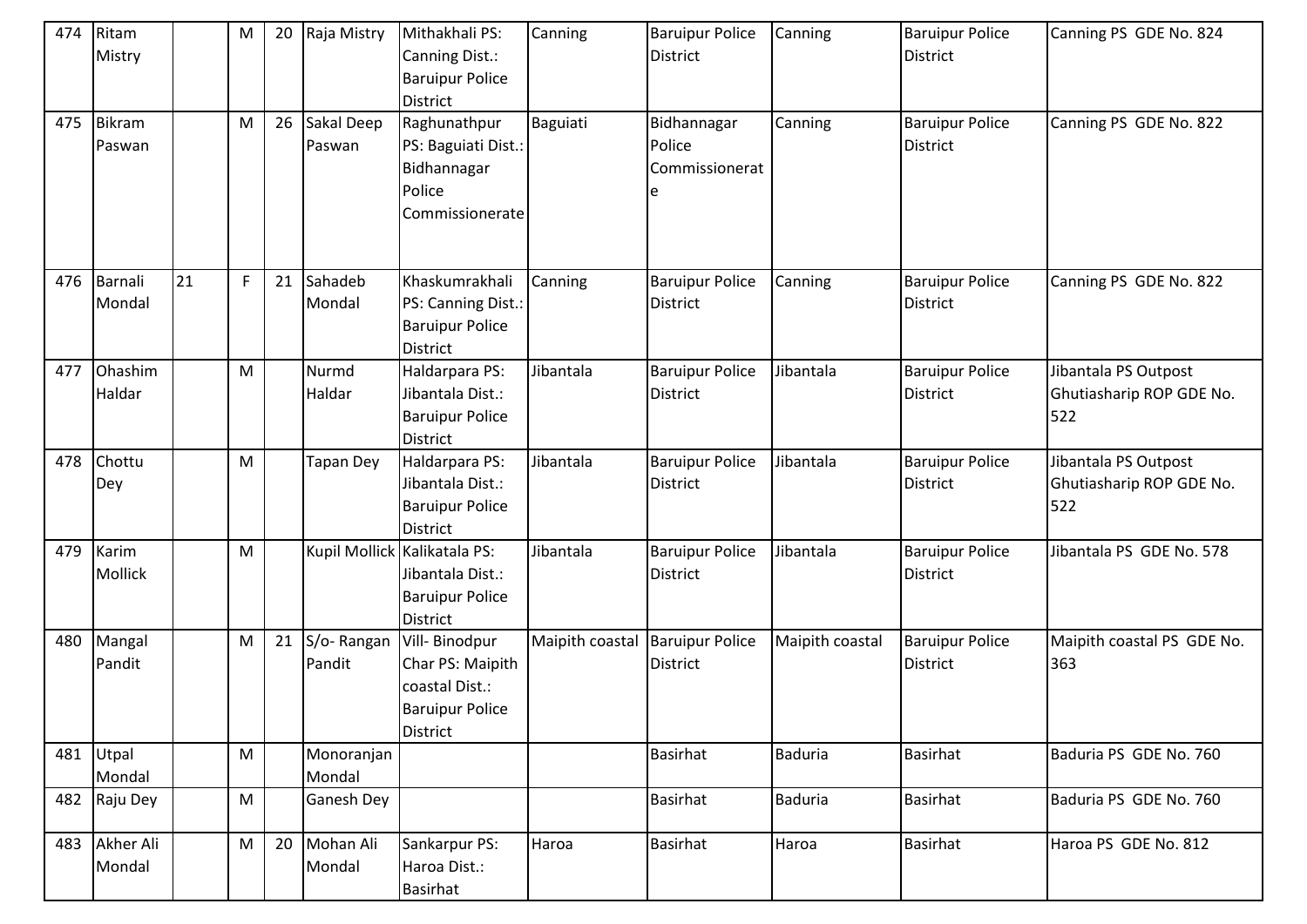| 474 | Ritam<br>Mistry         |    | M         | 20 | Raja Mistry          | Mithakhali PS:<br>Canning Dist.:<br><b>Baruipur Police</b><br><b>District</b>             | Canning         | <b>Baruipur Police</b><br><b>District</b> | Canning         | <b>Baruipur Police</b><br><b>District</b> | Canning PS GDE No. 824                                  |
|-----|-------------------------|----|-----------|----|----------------------|-------------------------------------------------------------------------------------------|-----------------|-------------------------------------------|-----------------|-------------------------------------------|---------------------------------------------------------|
| 475 | <b>Bikram</b><br>Paswan |    | ${\sf M}$ | 26 | Sakal Deep<br>Paswan | Raghunathpur<br>PS: Baguiati Dist.:<br>Bidhannagar<br>Police<br>Commissionerate           | Baguiati        | Bidhannagar<br>Police<br>Commissionerat   | Canning         | <b>Baruipur Police</b><br><b>District</b> | Canning PS GDE No. 822                                  |
|     | 476 Barnali<br>Mondal   | 21 | F         | 21 | Sahadeb<br>Mondal    | Khaskumrakhali<br>PS: Canning Dist.:<br><b>Baruipur Police</b><br>District                | Canning         | <b>Baruipur Police</b><br><b>District</b> | Canning         | <b>Baruipur Police</b><br><b>District</b> | Canning PS GDE No. 822                                  |
| 477 | Ohashim<br>Haldar       |    | M         |    | Nurmd<br>Haldar      | Haldarpara PS:<br>Jibantala Dist.:<br><b>Baruipur Police</b><br><b>District</b>           | Jibantala       | <b>Baruipur Police</b><br><b>District</b> | Jibantala       | <b>Baruipur Police</b><br><b>District</b> | Jibantala PS Outpost<br>Ghutiasharip ROP GDE No.<br>522 |
| 478 | Chottu<br>Dey           |    | M         |    | Tapan Dey            | Haldarpara PS:<br>Jibantala Dist.:<br><b>Baruipur Police</b><br><b>District</b>           | Jibantala       | <b>Baruipur Police</b><br><b>District</b> | Jibantala       | <b>Baruipur Police</b><br><b>District</b> | Jibantala PS Outpost<br>Ghutiasharip ROP GDE No.<br>522 |
| 479 | Karim<br>Mollick        |    | M         |    |                      | Kupil Mollick Kalikatala PS:<br>Jibantala Dist.:<br><b>Baruipur Police</b><br>District    | Jibantala       | <b>Baruipur Police</b><br><b>District</b> | Jibantala       | <b>Baruipur Police</b><br><b>District</b> | Jibantala PS GDE No. 578                                |
| 480 | Mangal<br>Pandit        |    | ${\sf M}$ | 21 | S/o-Rangan<br>Pandit | Vill-Binodpur<br>Char PS: Maipith<br>coastal Dist.:<br><b>Baruipur Police</b><br>District | Maipith coastal | <b>Baruipur Police</b><br><b>District</b> | Maipith coastal | <b>Baruipur Police</b><br><b>District</b> | Maipith coastal PS GDE No.<br>363                       |
| 481 | Utpal<br>Mondal         |    | ${\sf M}$ |    | Monoranjan<br>Mondal |                                                                                           |                 | <b>Basirhat</b>                           | <b>Baduria</b>  | <b>Basirhat</b>                           | Baduria PS GDE No. 760                                  |
| 482 | Raju Dey                |    | M         |    | Ganesh Dey           |                                                                                           |                 | <b>Basirhat</b>                           | Baduria         | Basirhat                                  | Baduria PS GDE No. 760                                  |
| 483 | Akher Ali<br>Mondal     |    | ${\sf M}$ | 20 | Mohan Ali<br>Mondal  | Sankarpur PS:<br>Haroa Dist.:<br><b>Basirhat</b>                                          | Haroa           | <b>Basirhat</b>                           | Haroa           | <b>Basirhat</b>                           | Haroa PS GDE No. 812                                    |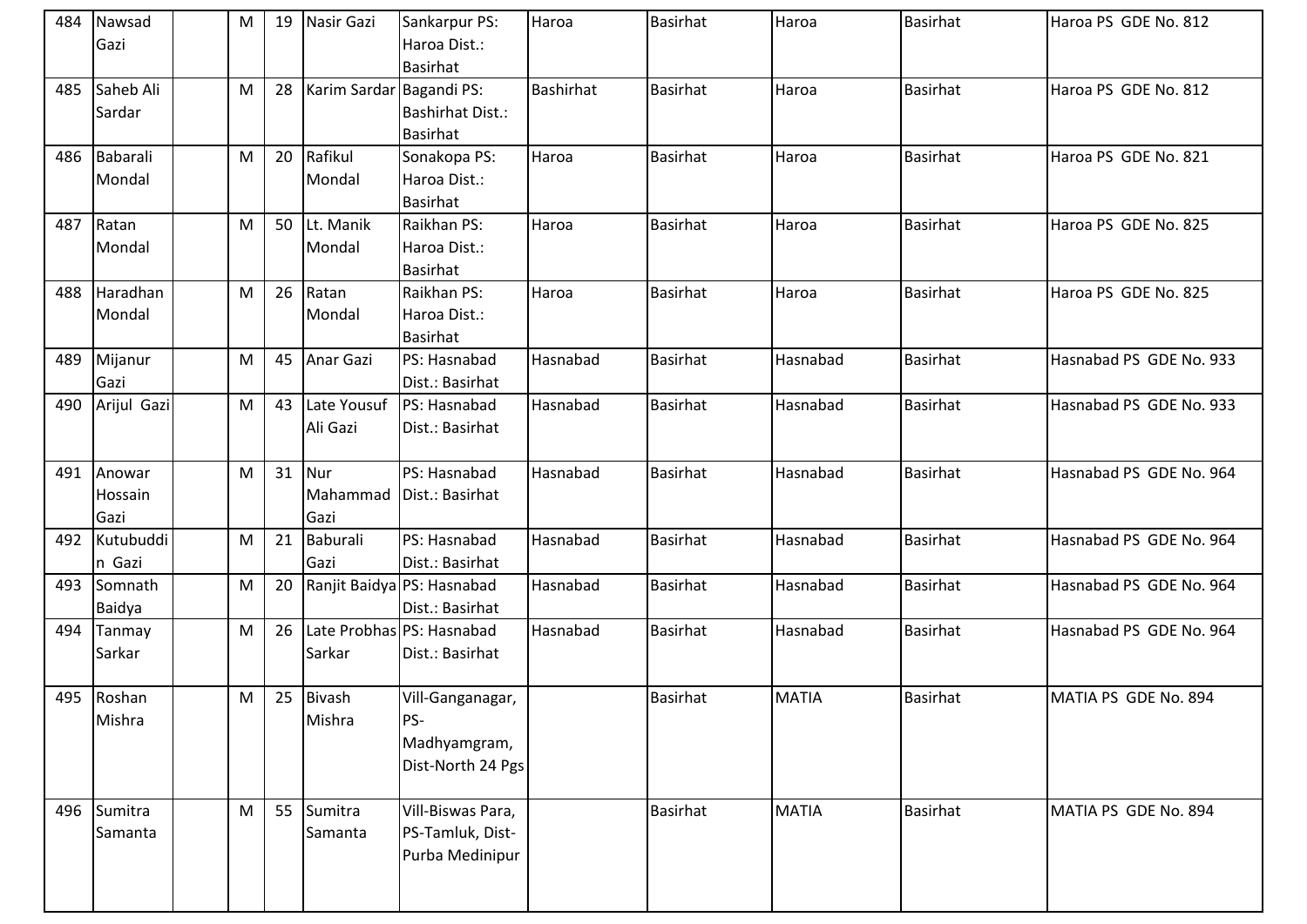| 484 | Nawsad       | M | 19 | Nasir Gazi               | Sankarpur PS:                  | Haroa            | <b>Basirhat</b> | Haroa        | Basirhat        | Haroa PS GDE No. 812    |
|-----|--------------|---|----|--------------------------|--------------------------------|------------------|-----------------|--------------|-----------------|-------------------------|
|     | Gazi         |   |    |                          | Haroa Dist.:                   |                  |                 |              |                 |                         |
|     |              |   |    |                          | <b>Basirhat</b>                |                  |                 |              |                 |                         |
| 485 | Saheb Ali    | M | 28 | Karim Sardar Bagandi PS: |                                | <b>Bashirhat</b> | <b>Basirhat</b> | Haroa        | Basirhat        | Haroa PS GDE No. 812    |
|     | Sardar       |   |    |                          | <b>Bashirhat Dist.:</b>        |                  |                 |              |                 |                         |
|     |              |   |    |                          | <b>Basirhat</b>                |                  |                 |              |                 |                         |
|     | 486 Babarali | M | 20 | Rafikul                  | Sonakopa PS:                   | Haroa            | <b>Basirhat</b> | Haroa        | Basirhat        | Haroa PS GDE No. 821    |
|     | Mondal       |   |    | Mondal                   | Haroa Dist.:                   |                  |                 |              |                 |                         |
| 487 | Ratan        | M |    | 50 Lt. Manik             | <b>Basirhat</b><br>Raikhan PS: | Haroa            | <b>Basirhat</b> | Haroa        | <b>Basirhat</b> | Haroa PS GDE No. 825    |
|     | Mondal       |   |    | Mondal                   | Haroa Dist.:                   |                  |                 |              |                 |                         |
|     |              |   |    |                          | <b>Basirhat</b>                |                  |                 |              |                 |                         |
| 488 | Haradhan     | M | 26 | Ratan                    | Raikhan PS:                    | Haroa            | <b>Basirhat</b> | Haroa        | <b>Basirhat</b> | Haroa PS GDE No. 825    |
|     | Mondal       |   |    | Mondal                   | Haroa Dist.:                   |                  |                 |              |                 |                         |
|     |              |   |    |                          | <b>Basirhat</b>                |                  |                 |              |                 |                         |
| 489 | Mijanur      | M | 45 | Anar Gazi                | PS: Hasnabad                   | Hasnabad         | <b>Basirhat</b> | Hasnabad     | <b>Basirhat</b> | Hasnabad PS GDE No. 933 |
|     | Gazi         |   |    |                          | Dist.: Basirhat                |                  |                 |              |                 |                         |
| 490 | Arijul Gazi  | M | 43 | Late Yousuf              | PS: Hasnabad                   | Hasnabad         | <b>Basirhat</b> | Hasnabad     | <b>Basirhat</b> | Hasnabad PS GDE No. 933 |
|     |              |   |    | Ali Gazi                 | Dist.: Basirhat                |                  |                 |              |                 |                         |
|     |              |   |    |                          |                                |                  |                 |              |                 |                         |
| 491 | Anowar       | M | 31 | Nur                      | PS: Hasnabad                   | Hasnabad         | <b>Basirhat</b> | Hasnabad     | <b>Basirhat</b> | Hasnabad PS GDE No. 964 |
|     |              |   |    |                          |                                |                  |                 |              |                 |                         |
|     | Hossain      |   |    | Mahammad                 | Dist.: Basirhat                |                  |                 |              |                 |                         |
|     | Gazi         |   |    | Gazi                     |                                |                  |                 |              |                 |                         |
| 492 | Kutubuddi    | M | 21 | Baburali                 | PS: Hasnabad                   | Hasnabad         | <b>Basirhat</b> | Hasnabad     | <b>Basirhat</b> | Hasnabad PS GDE No. 964 |
|     | n Gazi       |   |    | Gazi                     | Dist.: Basirhat                |                  |                 |              |                 |                         |
|     | 493 Somnath  | M | 20 |                          | Ranjit Baidya PS: Hasnabad     | Hasnabad         | <b>Basirhat</b> | Hasnabad     | Basirhat        | Hasnabad PS GDE No. 964 |
|     | Baidya       |   |    |                          | Dist.: Basirhat                |                  |                 |              |                 |                         |
| 494 | Tanmay       | M | 26 |                          | Late Probhas PS: Hasnabad      | Hasnabad         | <b>Basirhat</b> | Hasnabad     | <b>Basirhat</b> | Hasnabad PS GDE No. 964 |
|     | Sarkar       |   |    | Sarkar                   | Dist.: Basirhat                |                  |                 |              |                 |                         |
|     |              |   |    |                          |                                |                  |                 |              |                 |                         |
|     | 495 Roshan   | M |    | 25 Bivash                | Vill-Ganganagar,               |                  | <b>Basirhat</b> | <b>MATIA</b> | <b>Basirhat</b> | MATIA PS GDE No. 894    |
|     | Mishra       |   |    | Mishra                   | PS-                            |                  |                 |              |                 |                         |
|     |              |   |    |                          | Madhyamgram,                   |                  |                 |              |                 |                         |
|     |              |   |    |                          | Dist-North 24 Pgs              |                  |                 |              |                 |                         |
|     |              |   |    |                          |                                |                  |                 |              |                 |                         |
|     | 496 Sumitra  | M | 55 | Sumitra                  | Vill-Biswas Para,              |                  | <b>Basirhat</b> | <b>MATIA</b> | <b>Basirhat</b> | MATIA PS GDE No. 894    |
|     | Samanta      |   |    | Samanta                  | PS-Tamluk, Dist-               |                  |                 |              |                 |                         |
|     |              |   |    |                          | Purba Medinipur                |                  |                 |              |                 |                         |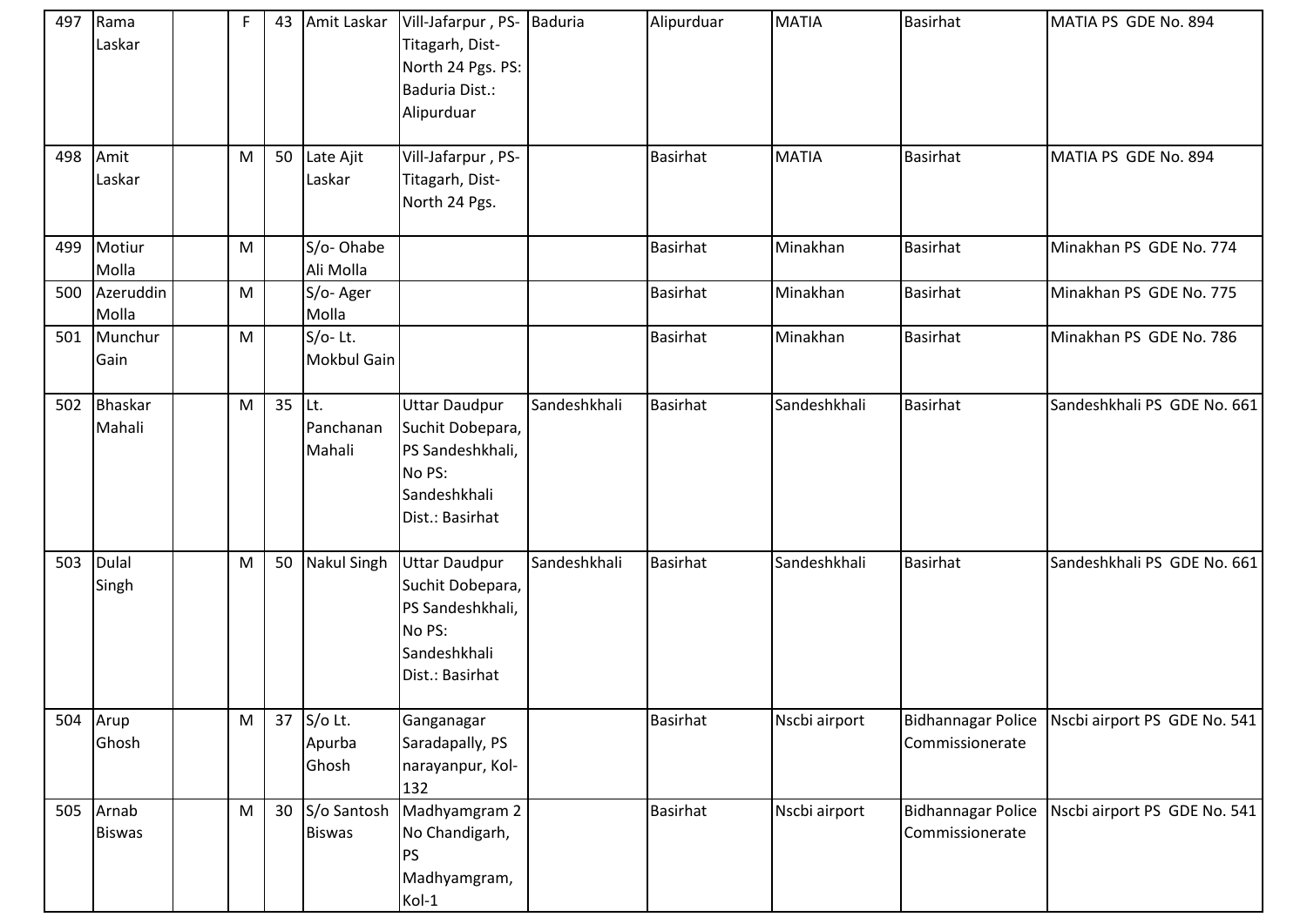| 497 | Rama<br>Laskar           | F | 43 | Amit Laskar                      | Vill-Jafarpur, PS-<br>Titagarh, Dist-<br>North 24 Pgs. PS:<br>Baduria Dist.:<br>Alipurduar                | Baduria      | Alipurduar      | <b>MATIA</b>  | <b>Basirhat</b>                              | MATIA PS GDE No. 894         |
|-----|--------------------------|---|----|----------------------------------|-----------------------------------------------------------------------------------------------------------|--------------|-----------------|---------------|----------------------------------------------|------------------------------|
| 498 | Amit<br>Laskar           | M | 50 | Late Ajit<br>Laskar              | Vill-Jafarpur, PS-<br>Titagarh, Dist-<br>North 24 Pgs.                                                    |              | <b>Basirhat</b> | <b>MATIA</b>  | <b>Basirhat</b>                              | MATIA PS GDE No. 894         |
| 499 | Motiur<br>Molla          | M |    | S/o-Ohabe<br>Ali Molla           |                                                                                                           |              | <b>Basirhat</b> | Minakhan      | <b>Basirhat</b>                              | Minakhan PS GDE No. 774      |
| 500 | Azeruddin<br>Molla       | M |    | S/o-Ager<br>Molla                |                                                                                                           |              | <b>Basirhat</b> | Minakhan      | <b>Basirhat</b>                              | Minakhan PS GDE No. 775      |
| 501 | Munchur<br>Gain          | M |    | $S/O-$ Lt.<br><b>Mokbul Gain</b> |                                                                                                           |              | <b>Basirhat</b> | Minakhan      | <b>Basirhat</b>                              | Minakhan PS GDE No. 786      |
| 502 | <b>Bhaskar</b><br>Mahali | M | 35 | Lt.<br>Panchanan<br>Mahali       | <b>Uttar Daudpur</b><br>Suchit Dobepara,<br>PS Sandeshkhali,<br>No PS:<br>Sandeshkhali<br>Dist.: Basirhat | Sandeshkhali | <b>Basirhat</b> | Sandeshkhali  | <b>Basirhat</b>                              | Sandeshkhali PS GDE No. 661  |
| 503 | Dulal<br>Singh           | M | 50 | <b>Nakul Singh</b>               | <b>Uttar Daudpur</b><br>Suchit Dobepara,<br>PS Sandeshkhali,<br>No PS:<br>Sandeshkhali<br>Dist.: Basirhat | Sandeshkhali | <b>Basirhat</b> | Sandeshkhali  | <b>Basirhat</b>                              | Sandeshkhali PS GDE No. 661  |
| 504 | Arup<br>Ghosh            | M | 37 | S/o Lt.<br>Apurba<br>Ghosh       | Ganganagar<br>Saradapally, PS<br>narayanpur, Kol-<br>132                                                  |              | <b>Basirhat</b> | Nscbi airport | Bidhannagar Police<br>Commissionerate        | Nscbi airport PS GDE No. 541 |
| 505 | Arnab<br><b>Biswas</b>   | M | 30 | S/o Santosh<br><b>Biswas</b>     | Madhyamgram 2<br>No Chandigarh,<br><b>PS</b><br>Madhyamgram,<br>Kol-1                                     |              | <b>Basirhat</b> | Nscbi airport | <b>Bidhannagar Police</b><br>Commissionerate | Nscbi airport PS GDE No. 541 |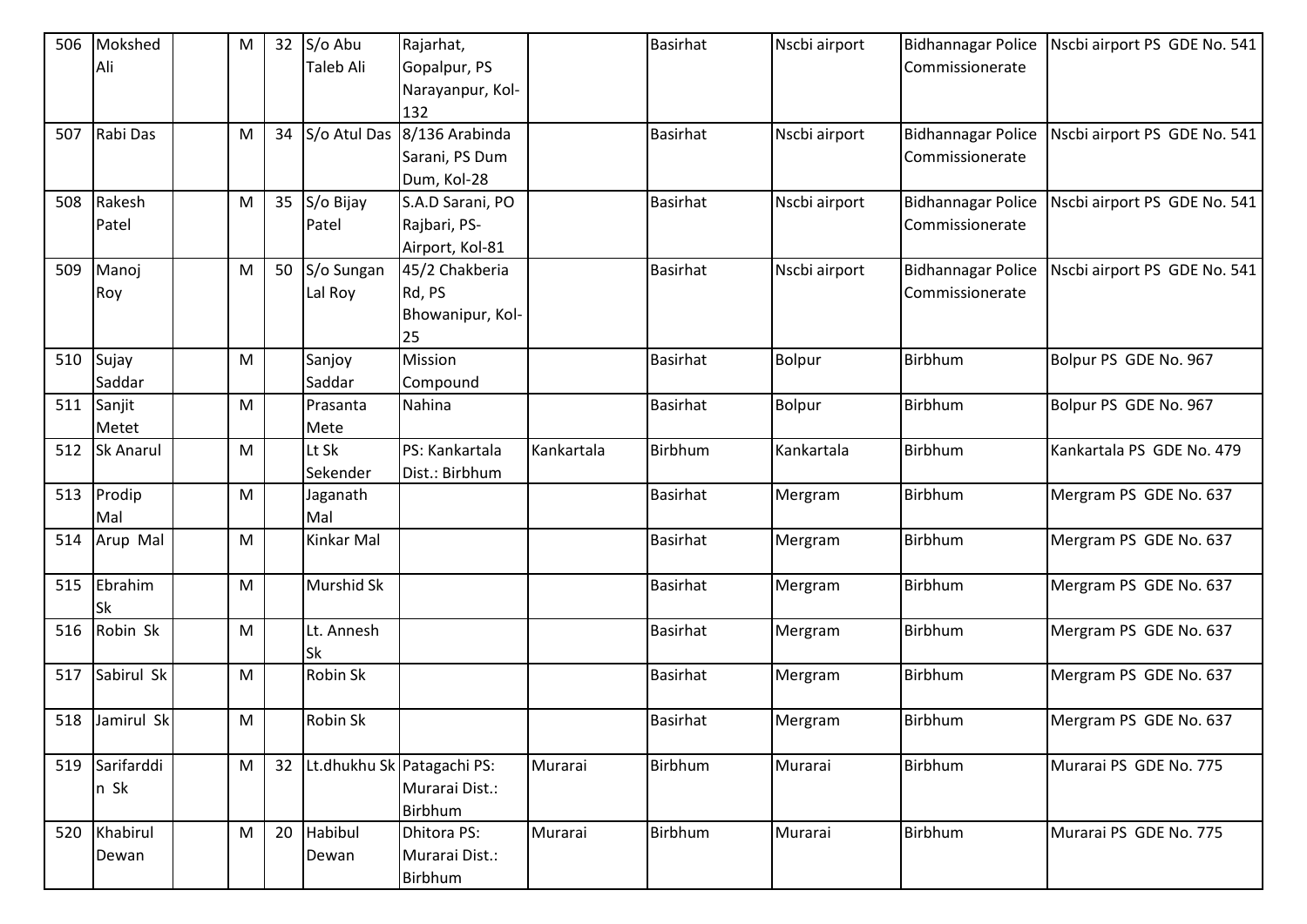| 506 | Mokshed          | M         | 32 | S/o Abu           | Rajarhat,                  |            | <b>Basirhat</b> | Nscbi airport | <b>Bidhannagar Police</b> | Nscbi airport PS GDE No. 541 |
|-----|------------------|-----------|----|-------------------|----------------------------|------------|-----------------|---------------|---------------------------|------------------------------|
|     | Ali              |           |    | Taleb Ali         | Gopalpur, PS               |            |                 |               | Commissionerate           |                              |
|     |                  |           |    |                   | Narayanpur, Kol-           |            |                 |               |                           |                              |
|     |                  |           |    |                   | 132                        |            |                 |               |                           |                              |
| 507 | Rabi Das         | ${\sf M}$ | 34 | S/o Atul Das      | 8/136 Arabinda             |            | <b>Basirhat</b> | Nscbi airport | <b>Bidhannagar Police</b> | Nscbi airport PS GDE No. 541 |
|     |                  |           |    |                   | Sarani, PS Dum             |            |                 |               | Commissionerate           |                              |
|     |                  |           |    |                   | Dum, Kol-28                |            |                 |               |                           |                              |
| 508 | Rakesh           | M         | 35 | S/o Bijay         | S.A.D Sarani, PO           |            | <b>Basirhat</b> | Nscbi airport | <b>Bidhannagar Police</b> | Nscbi airport PS GDE No. 541 |
|     | Patel            |           |    | Patel             | Rajbari, PS-               |            |                 |               | Commissionerate           |                              |
|     |                  |           |    |                   | Airport, Kol-81            |            |                 |               |                           |                              |
| 509 | Manoj            | M         | 50 | S/o Sungan        | 45/2 Chakberia             |            | <b>Basirhat</b> | Nscbi airport | <b>Bidhannagar Police</b> | Nscbi airport PS GDE No. 541 |
|     | Roy              |           |    | Lal Roy           | Rd, PS                     |            |                 |               | Commissionerate           |                              |
|     |                  |           |    |                   | Bhowanipur, Kol-           |            |                 |               |                           |                              |
|     |                  |           |    |                   | 25                         |            |                 |               |                           |                              |
| 510 | Sujay            | ${\sf M}$ |    | Sanjoy            | Mission                    |            | <b>Basirhat</b> | Bolpur        | Birbhum                   | Bolpur PS GDE No. 967        |
|     | Saddar           |           |    | Saddar            | Compound                   |            |                 |               |                           |                              |
| 511 | Sanjit           | M         |    | Prasanta          | Nahina                     |            | <b>Basirhat</b> | Bolpur        | Birbhum                   | Bolpur PS GDE No. 967        |
|     | Metet            |           |    | Mete              |                            |            |                 |               |                           |                              |
| 512 | <b>Sk Anarul</b> | ${\sf M}$ |    | Lt Sk             | PS: Kankartala             | Kankartala | Birbhum         | Kankartala    | Birbhum                   | Kankartala PS GDE No. 479    |
|     |                  |           |    | Sekender          | Dist.: Birbhum             |            |                 |               |                           |                              |
| 513 | Prodip           | M         |    | Jaganath          |                            |            | <b>Basirhat</b> | Mergram       | Birbhum                   | Mergram PS GDE No. 637       |
|     | Mal              |           |    | Mal               |                            |            |                 |               |                           |                              |
| 514 | Arup Mal         | ${\sf M}$ |    | Kinkar Mal        |                            |            | <b>Basirhat</b> | Mergram       | Birbhum                   | Mergram PS GDE No. 637       |
|     |                  |           |    |                   |                            |            |                 |               |                           |                              |
| 515 | Ebrahim          | ${\sf M}$ |    | <b>Murshid Sk</b> |                            |            | <b>Basirhat</b> | Mergram       | Birbhum                   | Mergram PS GDE No. 637       |
|     | Sk               |           |    |                   |                            |            |                 |               |                           |                              |
| 516 | Robin Sk         | M         |    | Lt. Annesh        |                            |            | <b>Basirhat</b> | Mergram       | Birbhum                   | Mergram PS GDE No. 637       |
|     |                  |           |    | <b>Sk</b>         |                            |            |                 |               |                           |                              |
| 517 | Sabirul Sk       | M         |    | Robin Sk          |                            |            | <b>Basirhat</b> | Mergram       | Birbhum                   | Mergram PS GDE No. 637       |
|     |                  |           |    |                   |                            |            |                 |               |                           |                              |
|     | 518 Jamirul Sk   | M         |    | <b>Robin Sk</b>   |                            |            | <b>Basirhat</b> | Mergram       | Birbhum                   | Mergram PS GDE No. 637       |
|     |                  |           |    |                   |                            |            |                 |               |                           |                              |
| 519 | Sarifarddi       | M         | 32 |                   | Lt.dhukhu Sk Patagachi PS: | Murarai    | Birbhum         | Murarai       | Birbhum                   | Murarai PS GDE No. 775       |
|     | n Sk             |           |    |                   | Murarai Dist.:             |            |                 |               |                           |                              |
|     |                  |           |    |                   | Birbhum                    |            |                 |               |                           |                              |
| 520 | Khabirul         | M         | 20 | Habibul           | Dhitora PS:                | Murarai    | Birbhum         | Murarai       | Birbhum                   | Murarai PS GDE No. 775       |
|     | Dewan            |           |    | Dewan             | Murarai Dist.:             |            |                 |               |                           |                              |
|     |                  |           |    |                   | Birbhum                    |            |                 |               |                           |                              |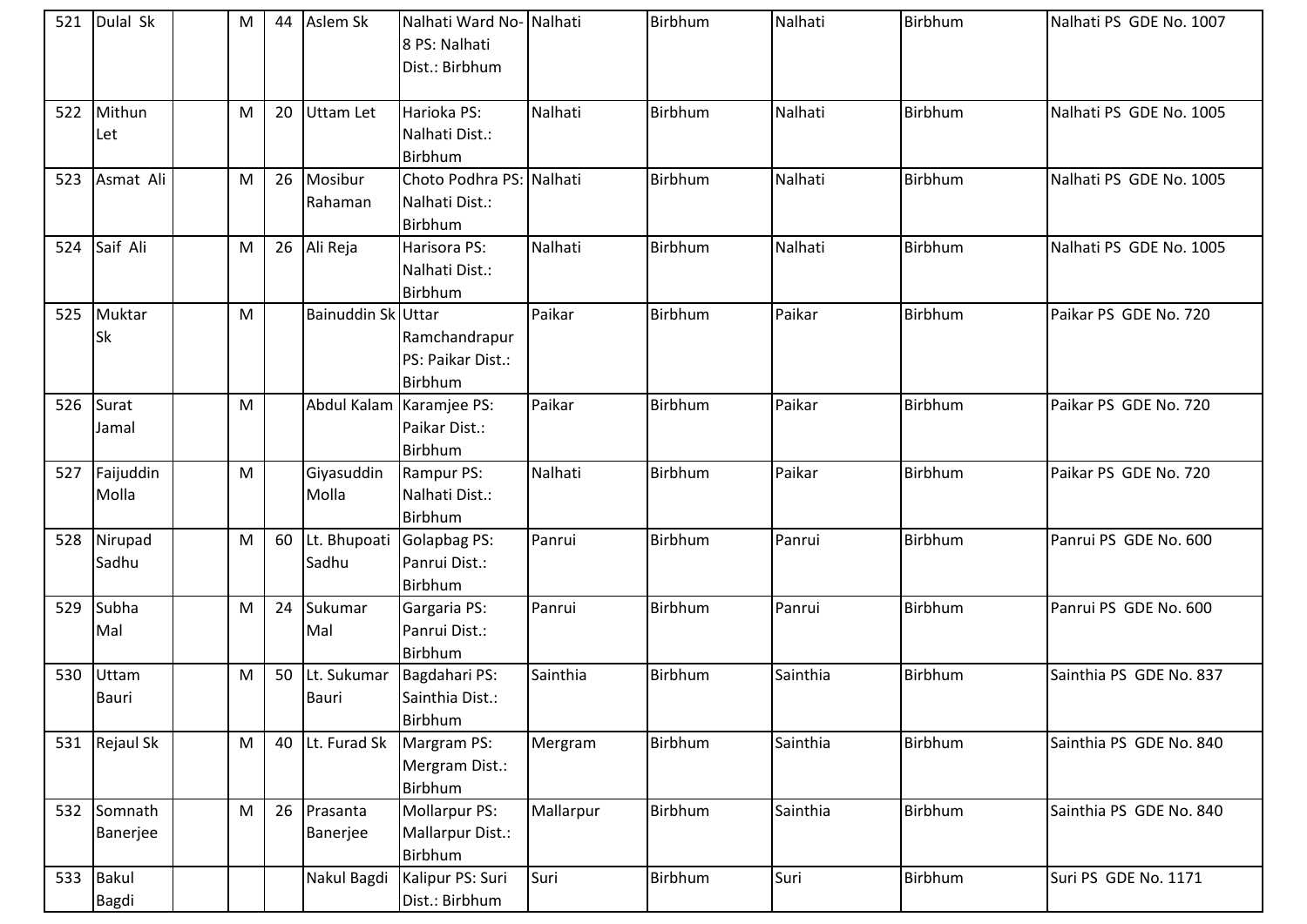| 521 | Dulal Sk              | М | 44 | Aslem Sk              | Nalhati Ward No- Nalhati<br>8 PS: Nalhati<br>Dist.: Birbhum |           | Birbhum        | Nalhati  | <b>Birbhum</b> | Nalhati PS GDE No. 1007 |
|-----|-----------------------|---|----|-----------------------|-------------------------------------------------------------|-----------|----------------|----------|----------------|-------------------------|
| 522 | Mithun<br>Let         | M | 20 | Uttam Let             | Harioka PS:<br>Nalhati Dist.:<br>Birbhum                    | Nalhati   | Birbhum        | Nalhati  | Birbhum        | Nalhati PS GDE No. 1005 |
| 523 | Asmat Ali             | M | 26 | Mosibur<br>Rahaman    | Choto Podhra PS: Nalhati<br>Nalhati Dist.:<br>Birbhum       |           | <b>Birbhum</b> | Nalhati  | Birbhum        | Nalhati PS GDE No. 1005 |
| 524 | Saif Ali              | M | 26 | Ali Reja              | Harisora PS:<br>Nalhati Dist.:<br>Birbhum                   | Nalhati   | Birbhum        | Nalhati  | Birbhum        | Nalhati PS GDE No. 1005 |
| 525 | Muktar<br>Sk          | M |    | Bainuddin Sk Uttar    | Ramchandrapur<br>PS: Paikar Dist.:<br>Birbhum               | Paikar    | Birbhum        | Paikar   | Birbhum        | Paikar PS GDE No. 720   |
|     | 526 Surat<br>Jamal    | M |    |                       | Abdul Kalam   Karamjee PS:<br>Paikar Dist.:<br>Birbhum      | Paikar    | Birbhum        | Paikar   | Birbhum        | Paikar PS GDE No. 720   |
| 527 | Faijuddin<br>Molla    | M |    | Giyasuddin<br>Molla   | Rampur PS:<br>Nalhati Dist.:<br>Birbhum                     | Nalhati   | Birbhum        | Paikar   | Birbhum        | Paikar PS GDE No. 720   |
| 528 | Nirupad<br>Sadhu      | M | 60 | Lt. Bhupoati<br>Sadhu | Golapbag PS:<br>Panrui Dist.:<br>Birbhum                    | Panrui    | <b>Birbhum</b> | Panrui   | Birbhum        | Panrui PS GDE No. 600   |
| 529 | Subha<br>Mal          | M | 24 | Sukumar<br>Mal        | Gargaria PS:<br>Panrui Dist.:<br>Birbhum                    | Panrui    | Birbhum        | Panrui   | Birbhum        | Panrui PS GDE No. 600   |
| 530 | Uttam<br><b>Bauri</b> | M | 50 | Lt. Sukumar<br>Bauri  | Bagdahari PS:<br>Sainthia Dist.:<br><b>Birbhum</b>          | Sainthia  | Birbhum        | Sainthia | Birbhum        | Sainthia PS GDE No. 837 |
| 531 | Rejaul Sk             | M | 40 | Lt. Furad Sk          | Margram PS:<br>Mergram Dist.:<br>Birbhum                    | Mergram   | Birbhum        | Sainthia | Birbhum        | Sainthia PS GDE No. 840 |
| 532 | Somnath<br>Banerjee   | M | 26 | Prasanta<br>Banerjee  | Mollarpur PS:<br>Mallarpur Dist.:<br>Birbhum                | Mallarpur | Birbhum        | Sainthia | Birbhum        | Sainthia PS GDE No. 840 |
| 533 | Bakul<br>Bagdi        |   |    | Nakul Bagdi           | Kalipur PS: Suri<br>Dist.: Birbhum                          | Suri      | Birbhum        | Suri     | Birbhum        | Suri PS GDE No. 1171    |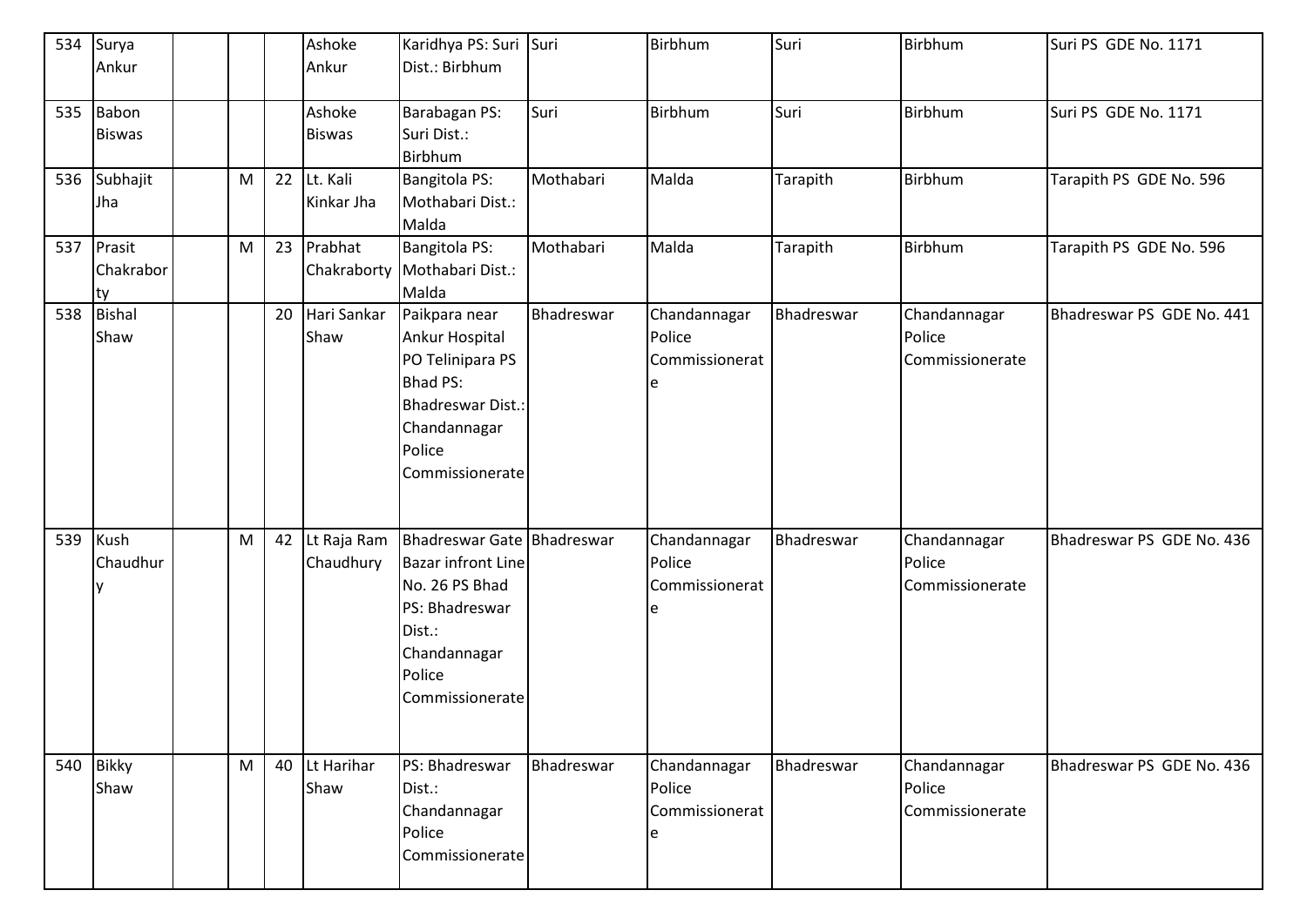|     | 534 Surya<br>Ankur            |           |    | Ashoke<br>Ankur          | Karidhya PS: Suri Suri<br>Dist.: Birbhum                                                                                                           |            | Birbhum                                       | Suri       | Birbhum                                   | Suri PS GDE No. 1171      |
|-----|-------------------------------|-----------|----|--------------------------|----------------------------------------------------------------------------------------------------------------------------------------------------|------------|-----------------------------------------------|------------|-------------------------------------------|---------------------------|
|     | 535 Babon<br><b>Biswas</b>    |           |    | Ashoke<br><b>Biswas</b>  | Barabagan PS:<br>Suri Dist.:<br>Birbhum                                                                                                            | Suri       | Birbhum                                       | Suri       | Birbhum                                   | Suri PS GDE No. 1171      |
|     | 536 Subhajit<br>Jha           | M         | 22 | Lt. Kali<br>Kinkar Jha   | Bangitola PS:<br>Mothabari Dist.:<br>Malda                                                                                                         | Mothabari  | Malda                                         | Tarapith   | Birbhum                                   | Tarapith PS GDE No. 596   |
|     | 537 Prasit<br>Chakrabor<br>ty | ${\sf M}$ | 23 | Prabhat<br>Chakraborty   | Bangitola PS:<br>Mothabari Dist.:<br>Malda                                                                                                         | Mothabari  | Malda                                         | Tarapith   | Birbhum                                   | Tarapith PS GDE No. 596   |
| 538 | Bishal<br>Shaw                |           | 20 | Hari Sankar<br>Shaw      | Paikpara near<br>Ankur Hospital<br>PO Telinipara PS<br><b>Bhad PS:</b><br><b>Bhadreswar Dist.:</b><br>Chandannagar<br>Police<br>Commissionerate    | Bhadreswar | Chandannagar<br>Police<br>Commissionerat      | Bhadreswar | Chandannagar<br>Police<br>Commissionerate | Bhadreswar PS GDE No. 441 |
| 539 | Kush<br>Chaudhur              | ${\sf M}$ | 42 | Lt Raja Ram<br>Chaudhury | Bhadreswar Gate Bhadreswar<br><b>Bazar infront Line</b><br>No. 26 PS Bhad<br>PS: Bhadreswar<br>Dist.:<br>Chandannagar<br>Police<br>Commissionerate |            | Chandannagar<br>Police<br>Commissionerat<br>e | Bhadreswar | Chandannagar<br>Police<br>Commissionerate | Bhadreswar PS GDE No. 436 |
|     | 540 Bikky<br>Shaw             | M         | 40 | Lt Harihar<br>Shaw       | PS: Bhadreswar<br>Dist.:<br>Chandannagar<br>Police<br>Commissionerate                                                                              | Bhadreswar | Chandannagar<br>Police<br>Commissionerat      | Bhadreswar | Chandannagar<br>Police<br>Commissionerate | Bhadreswar PS GDE No. 436 |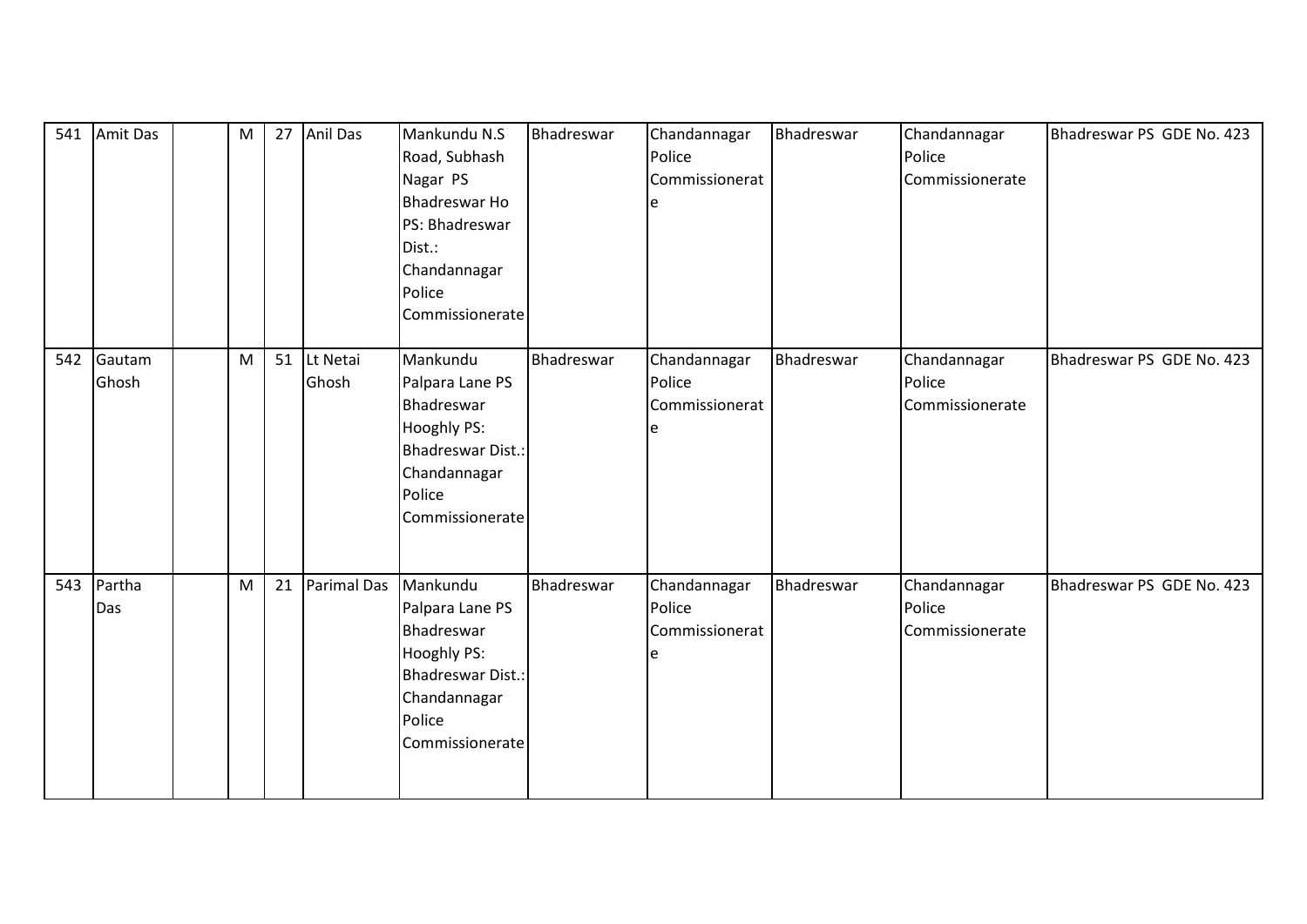| 541 | Amit Das        | M |    | 27 Anil Das          | Mankundu N.S<br>Road, Subhash<br>Nagar PS<br><b>Bhadreswar Ho</b><br>PS: Bhadreswar<br>Dist.:<br>Chandannagar<br>Police<br>Commissionerate | Bhadreswar | Chandannagar<br>Police<br>Commissionerat<br>e | Bhadreswar | Chandannagar<br>Police<br>Commissionerate | Bhadreswar PS GDE No. 423 |
|-----|-----------------|---|----|----------------------|--------------------------------------------------------------------------------------------------------------------------------------------|------------|-----------------------------------------------|------------|-------------------------------------------|---------------------------|
| 542 | Gautam<br>Ghosh | M |    | 51 Lt Netai<br>Ghosh | Mankundu<br>Palpara Lane PS<br>Bhadreswar<br><b>Hooghly PS:</b><br>Bhadreswar Dist.:<br>Chandannagar<br>Police<br>Commissionerate          | Bhadreswar | Chandannagar<br>Police<br>Commissionerat      | Bhadreswar | Chandannagar<br>Police<br>Commissionerate | Bhadreswar PS GDE No. 423 |
| 543 | Partha<br>Das   | M | 21 | Parimal Das          | Mankundu<br>Palpara Lane PS<br>Bhadreswar<br><b>Hooghly PS:</b><br>Bhadreswar Dist.:<br>Chandannagar<br>Police<br>Commissionerate          | Bhadreswar | Chandannagar<br>Police<br>Commissionerat<br>e | Bhadreswar | Chandannagar<br>Police<br>Commissionerate | Bhadreswar PS GDE No. 423 |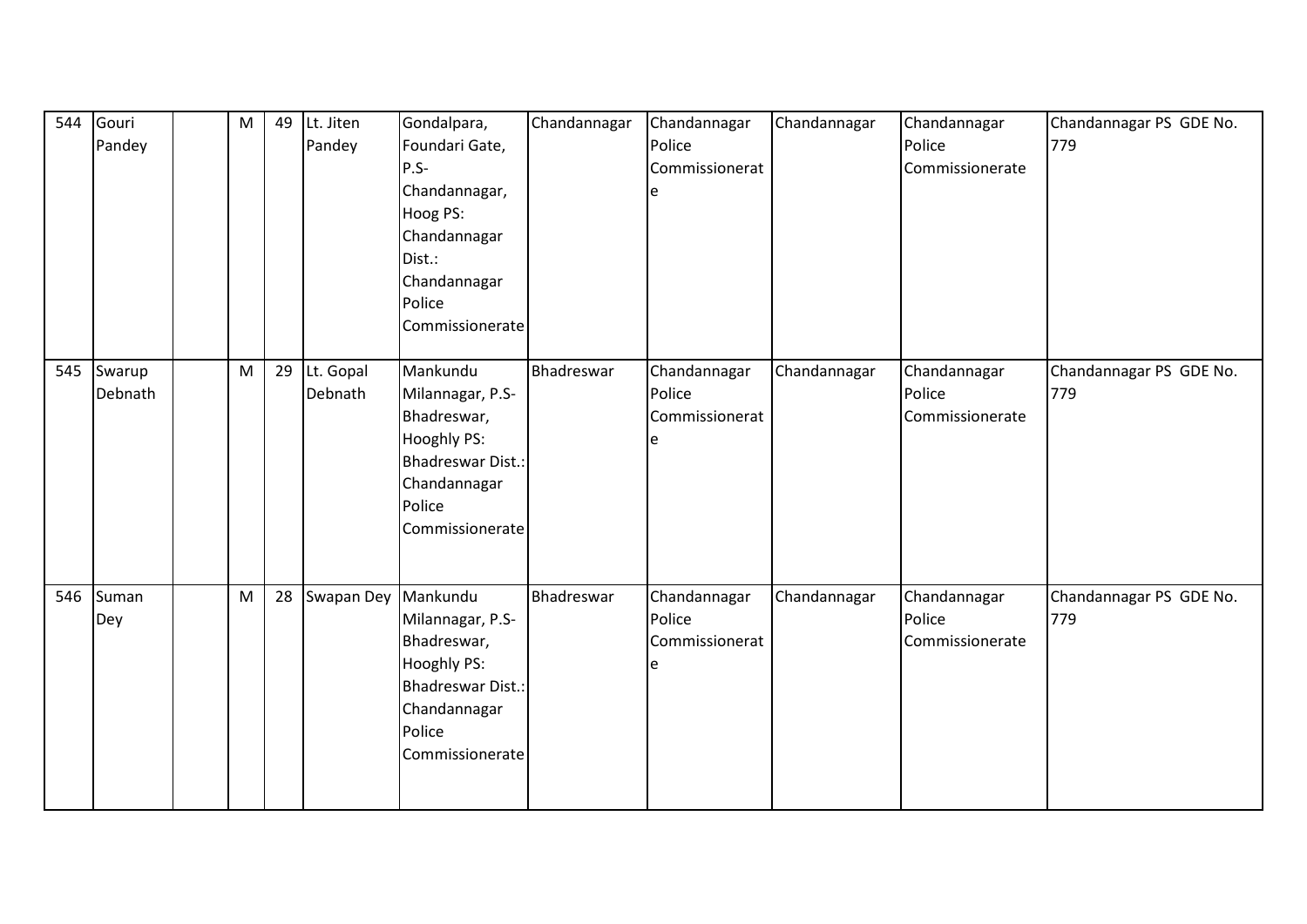| 544 | Gouri<br>Pandey   | ${\sf M}$ | 49 | Lt. Jiten<br>Pandey  | Gondalpara,<br>Foundari Gate,<br>$P.S -$<br>Chandannagar,<br>Hoog PS:<br>Chandannagar<br>Dist.:<br>Chandannagar<br>Police<br>Commissionerate | Chandannagar | Chandannagar<br>Police<br>Commissionerat | Chandannagar | Chandannagar<br>Police<br>Commissionerate | Chandannagar PS GDE No.<br>779 |
|-----|-------------------|-----------|----|----------------------|----------------------------------------------------------------------------------------------------------------------------------------------|--------------|------------------------------------------|--------------|-------------------------------------------|--------------------------------|
| 545 | Swarup<br>Debnath | M         | 29 | Lt. Gopal<br>Debnath | Mankundu<br>Milannagar, P.S-<br>Bhadreswar,<br>Hooghly PS:<br><b>Bhadreswar Dist.:</b><br>Chandannagar<br>Police<br>Commissionerate          | Bhadreswar   | Chandannagar<br>Police<br>Commissionerat | Chandannagar | Chandannagar<br>Police<br>Commissionerate | Chandannagar PS GDE No.<br>779 |
| 546 | Suman<br>Dey      | M         | 28 | Swapan Dey           | Mankundu<br>Milannagar, P.S-<br>Bhadreswar,<br>Hooghly PS:<br><b>Bhadreswar Dist.:</b><br>Chandannagar<br>Police<br>Commissionerate          | Bhadreswar   | Chandannagar<br>Police<br>Commissionerat | Chandannagar | Chandannagar<br>Police<br>Commissionerate | Chandannagar PS GDE No.<br>779 |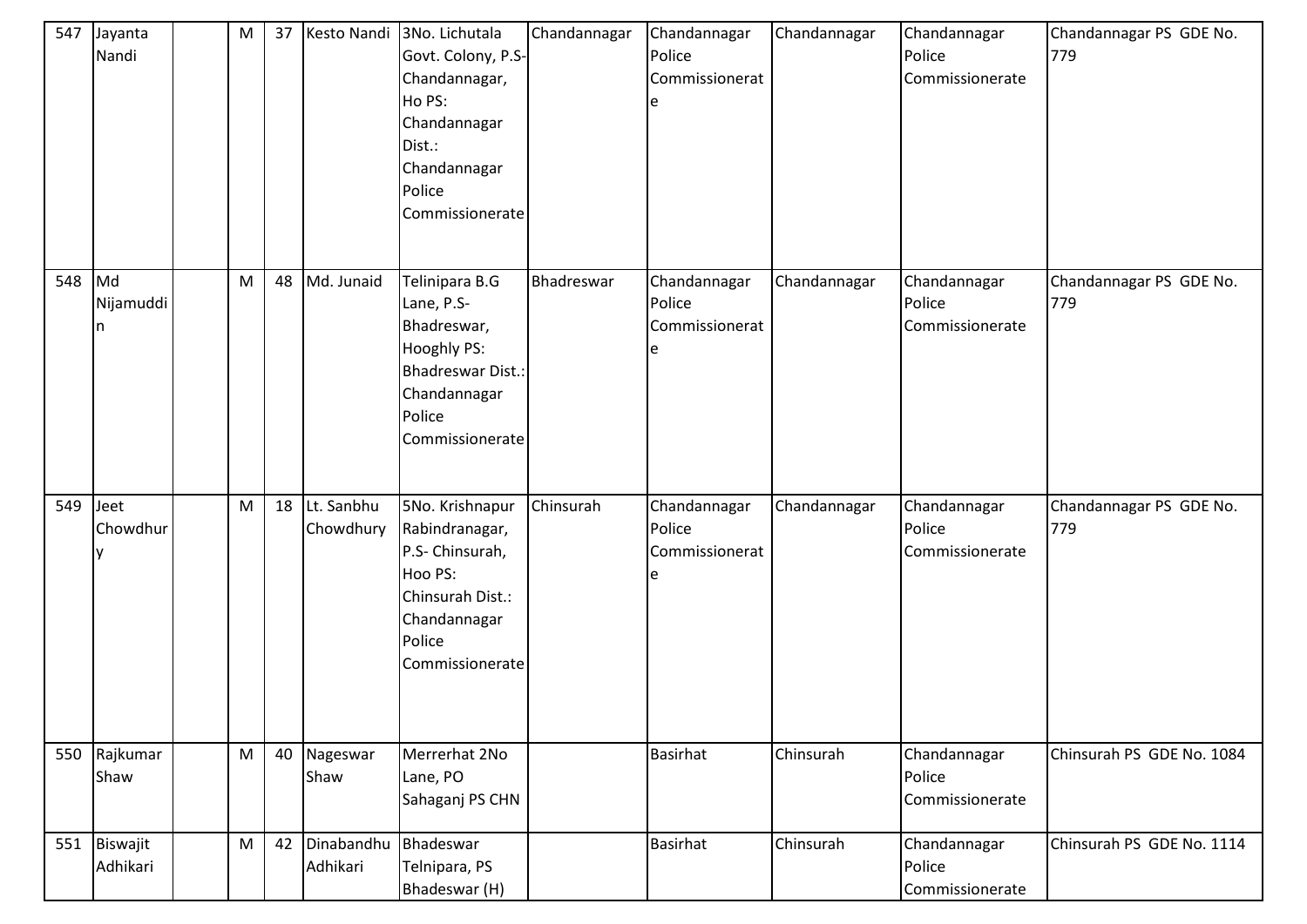| 547    | Jayanta<br>Nandi         | M         | 37 | Kesto Nandi             | 3No. Lichutala<br>Govt. Colony, P.S-<br>Chandannagar,<br>Ho PS:<br>Chandannagar<br>Dist.:<br>Chandannagar<br>Police<br>Commissionerate | Chandannagar | Chandannagar<br>Police<br>Commissionerat<br>e | Chandannagar | Chandannagar<br>Police<br>Commissionerate | Chandannagar PS GDE No.<br>779 |
|--------|--------------------------|-----------|----|-------------------------|----------------------------------------------------------------------------------------------------------------------------------------|--------------|-----------------------------------------------|--------------|-------------------------------------------|--------------------------------|
| 548 Md | Nijamuddi<br>n           | M         | 48 | Md. Junaid              | Telinipara B.G<br>Lane, P.S-<br>Bhadreswar,<br>Hooghly PS:<br><b>Bhadreswar Dist.:</b><br>Chandannagar<br>Police<br>Commissionerate    | Bhadreswar   | Chandannagar<br>Police<br>Commissionerat      | Chandannagar | Chandannagar<br>Police<br>Commissionerate | Chandannagar PS GDE No.<br>779 |
| 549    | Jeet<br>Chowdhur         | M         | 18 | Lt. Sanbhu<br>Chowdhury | 5No. Krishnapur<br>Rabindranagar,<br>P.S- Chinsurah,<br>Hoo PS:<br>Chinsurah Dist.:<br>Chandannagar<br>Police<br>Commissionerate       | Chinsurah    | Chandannagar<br>Police<br>Commissionerat      | Chandannagar | Chandannagar<br>Police<br>Commissionerate | Chandannagar PS GDE No.<br>779 |
|        | 550 Rajkumar<br>Shaw     | ${\sf M}$ | 40 | Nageswar<br>Shaw        | Merrerhat 2No<br>Lane, PO<br>Sahaganj PS CHN                                                                                           |              | <b>Basirhat</b>                               | Chinsurah    | Chandannagar<br>Police<br>Commissionerate | Chinsurah PS GDE No. 1084      |
|        | 551 Biswajit<br>Adhikari | ${\sf M}$ | 42 | Dinabandhu<br>Adhikari  | Bhadeswar<br>Telnipara, PS<br>Bhadeswar (H)                                                                                            |              | <b>Basirhat</b>                               | Chinsurah    | Chandannagar<br>Police<br>Commissionerate | Chinsurah PS GDE No. 1114      |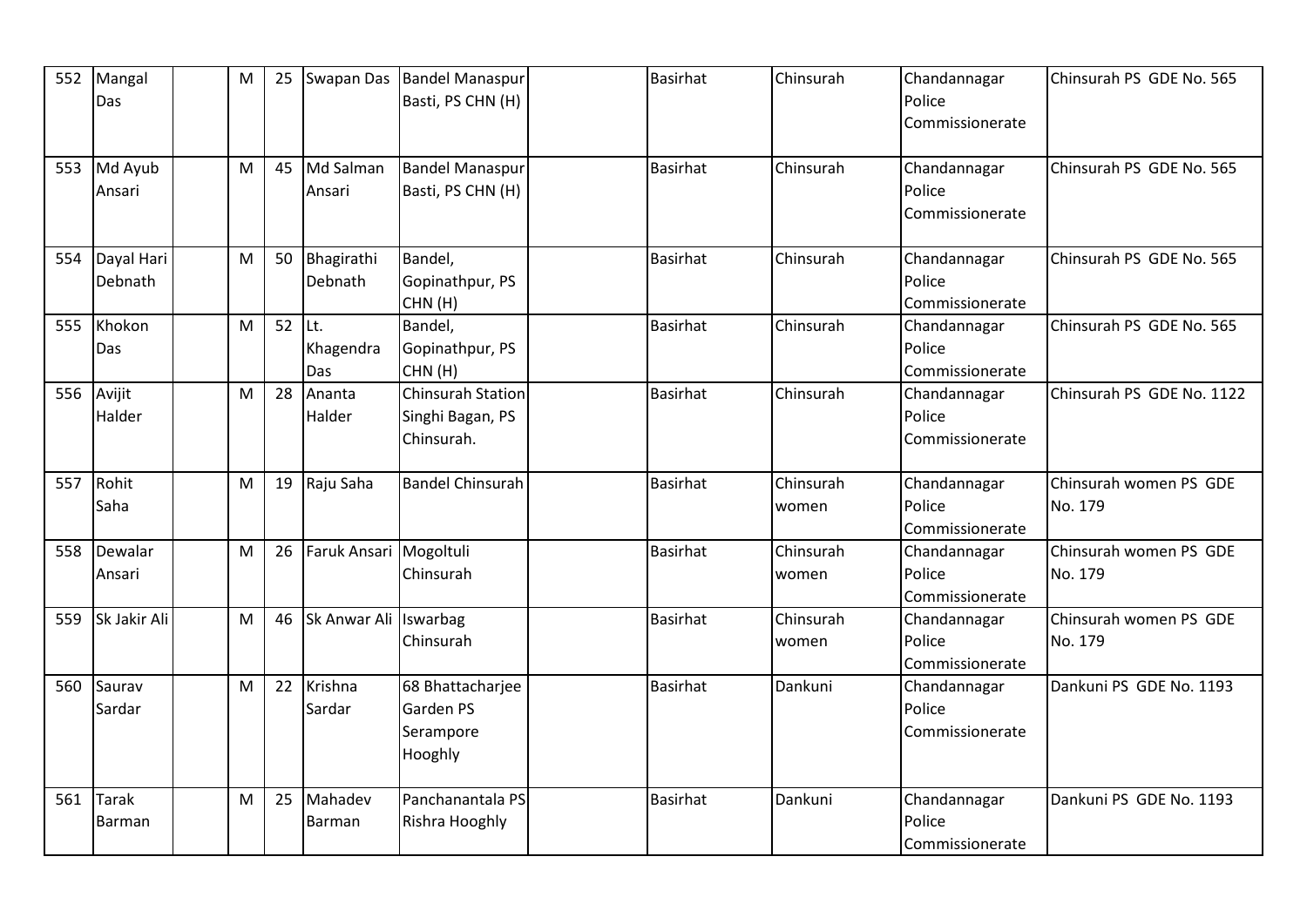| 552 | Mangal<br>Das          | M | 25 | Swapan Das               | <b>Bandel Manaspur</b><br>Basti, PS CHN (H)                | <b>Basirhat</b> | Chinsurah          | Chandannagar<br>Police<br>Commissionerate | Chinsurah PS GDE No. 565          |
|-----|------------------------|---|----|--------------------------|------------------------------------------------------------|-----------------|--------------------|-------------------------------------------|-----------------------------------|
|     | 553 Md Ayub<br>Ansari  | M | 45 | Md Salman<br>Ansari      | <b>Bandel Manaspur</b><br>Basti, PS CHN (H)                | <b>Basirhat</b> | Chinsurah          | Chandannagar<br>Police<br>Commissionerate | Chinsurah PS GDE No. 565          |
| 554 | Dayal Hari<br>Debnath  | M | 50 | Bhagirathi<br>Debnath    | Bandel,<br>Gopinathpur, PS<br>CHN(H)                       | <b>Basirhat</b> | Chinsurah          | Chandannagar<br>Police<br>Commissionerate | Chinsurah PS GDE No. 565          |
| 555 | Khokon<br>Das          | M | 52 | lLt.<br>Khagendra<br>Das | Bandel,<br>Gopinathpur, PS<br>CHN(H)                       | <b>Basirhat</b> | Chinsurah          | Chandannagar<br>Police<br>Commissionerate | Chinsurah PS GDE No. 565          |
| 556 | Avijit<br>Halder       | M | 28 | Ananta<br>Halder         | <b>Chinsurah Station</b><br>Singhi Bagan, PS<br>Chinsurah. | <b>Basirhat</b> | Chinsurah          | Chandannagar<br>Police<br>Commissionerate | Chinsurah PS GDE No. 1122         |
| 557 | Rohit<br>Saha          | M | 19 | Raju Saha                | <b>Bandel Chinsurah</b>                                    | <b>Basirhat</b> | Chinsurah<br>women | Chandannagar<br>Police<br>Commissionerate | Chinsurah women PS GDE<br>No. 179 |
| 558 | Dewalar<br>Ansari      | M | 26 | Faruk Ansari Mogoltuli   | Chinsurah                                                  | <b>Basirhat</b> | Chinsurah<br>women | Chandannagar<br>Police<br>Commissionerate | Chinsurah women PS GDE<br>No. 179 |
| 559 | Sk Jakir Ali           | M | 46 | Sk Anwar Ali             | Iswarbag<br>Chinsurah                                      | <b>Basirhat</b> | Chinsurah<br>women | Chandannagar<br>Police<br>Commissionerate | Chinsurah women PS GDE<br>No. 179 |
| 560 | Saurav<br>Sardar       | M | 22 | Krishna<br>Sardar        | 68 Bhattacharjee<br>Garden PS<br>Serampore<br>Hooghly      | <b>Basirhat</b> | Dankuni            | Chandannagar<br>Police<br>Commissionerate | Dankuni PS GDE No. 1193           |
| 561 | <b>Tarak</b><br>Barman | M | 25 | Mahadev<br><b>Barman</b> | Panchanantala PS<br>Rishra Hooghly                         | <b>Basirhat</b> | Dankuni            | Chandannagar<br>Police<br>Commissionerate | Dankuni PS GDE No. 1193           |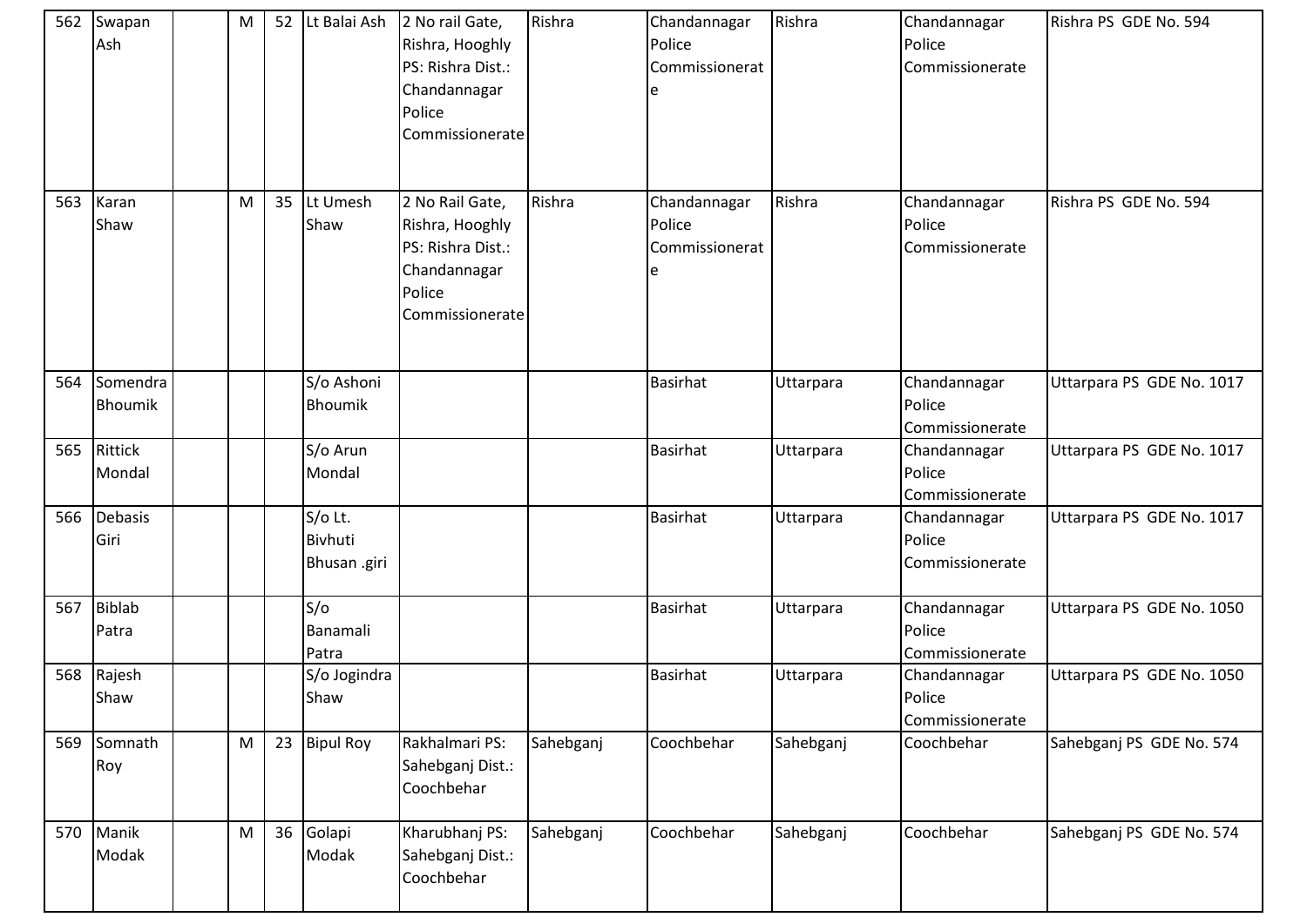|     | 562 Swapan<br>Ash     | M         | 52 | Lt Balai Ash                              | 2 No rail Gate,<br>Rishra, Hooghly<br>PS: Rishra Dist.:<br>Chandannagar<br>Police<br>Commissionerate | Rishra    | Chandannagar<br>Police<br>Commissionerat<br>e | Rishra    | Chandannagar<br>Police<br>Commissionerate | Rishra PS GDE No. 594     |
|-----|-----------------------|-----------|----|-------------------------------------------|------------------------------------------------------------------------------------------------------|-----------|-----------------------------------------------|-----------|-------------------------------------------|---------------------------|
| 563 | Karan<br>Shaw         | M         | 35 | Lt Umesh<br>Shaw                          | 2 No Rail Gate,<br>Rishra, Hooghly<br>PS: Rishra Dist.:<br>Chandannagar<br>Police<br>Commissionerate | Rishra    | Chandannagar<br>Police<br>Commissionerat      | Rishra    | Chandannagar<br>Police<br>Commissionerate | Rishra PS GDE No. 594     |
| 564 | Somendra<br>Bhoumik   |           |    | S/o Ashoni<br><b>Bhoumik</b>              |                                                                                                      |           | <b>Basirhat</b>                               | Uttarpara | Chandannagar<br>Police<br>Commissionerate | Uttarpara PS GDE No. 1017 |
|     | 565 Rittick<br>Mondal |           |    | S/o Arun<br>Mondal                        |                                                                                                      |           | <b>Basirhat</b>                               | Uttarpara | Chandannagar<br>Police<br>Commissionerate | Uttarpara PS GDE No. 1017 |
| 566 | Debasis<br>Giri       |           |    | S/o Lt.<br><b>Bivhuti</b><br>Bhusan .giri |                                                                                                      |           | <b>Basirhat</b>                               | Uttarpara | Chandannagar<br>Police<br>Commissionerate | Uttarpara PS GDE No. 1017 |
|     | 567 Biblab<br>Patra   |           |    | S/O<br>Banamali<br>Patra                  |                                                                                                      |           | <b>Basirhat</b>                               | Uttarpara | Chandannagar<br>Police<br>Commissionerate | Uttarpara PS GDE No. 1050 |
| 568 | Rajesh<br>Shaw        |           |    | S/o Jogindra<br>Shaw                      |                                                                                                      |           | <b>Basirhat</b>                               | Uttarpara | Chandannagar<br>Police<br>Commissionerate | Uttarpara PS GDE No. 1050 |
|     | 569 Somnath<br>Roy    | ${\sf M}$ | 23 | <b>Bipul Roy</b>                          | Rakhalmari PS:<br>Sahebganj Dist.:<br>Coochbehar                                                     | Sahebganj | Coochbehar                                    | Sahebganj | Coochbehar                                | Sahebganj PS GDE No. 574  |
|     | 570 Manik<br>Modak    | ${\sf M}$ |    | 36 Golapi<br>Modak                        | Kharubhanj PS:<br>Sahebganj Dist.:<br>Coochbehar                                                     | Sahebganj | Coochbehar                                    | Sahebganj | Coochbehar                                | Sahebganj PS GDE No. 574  |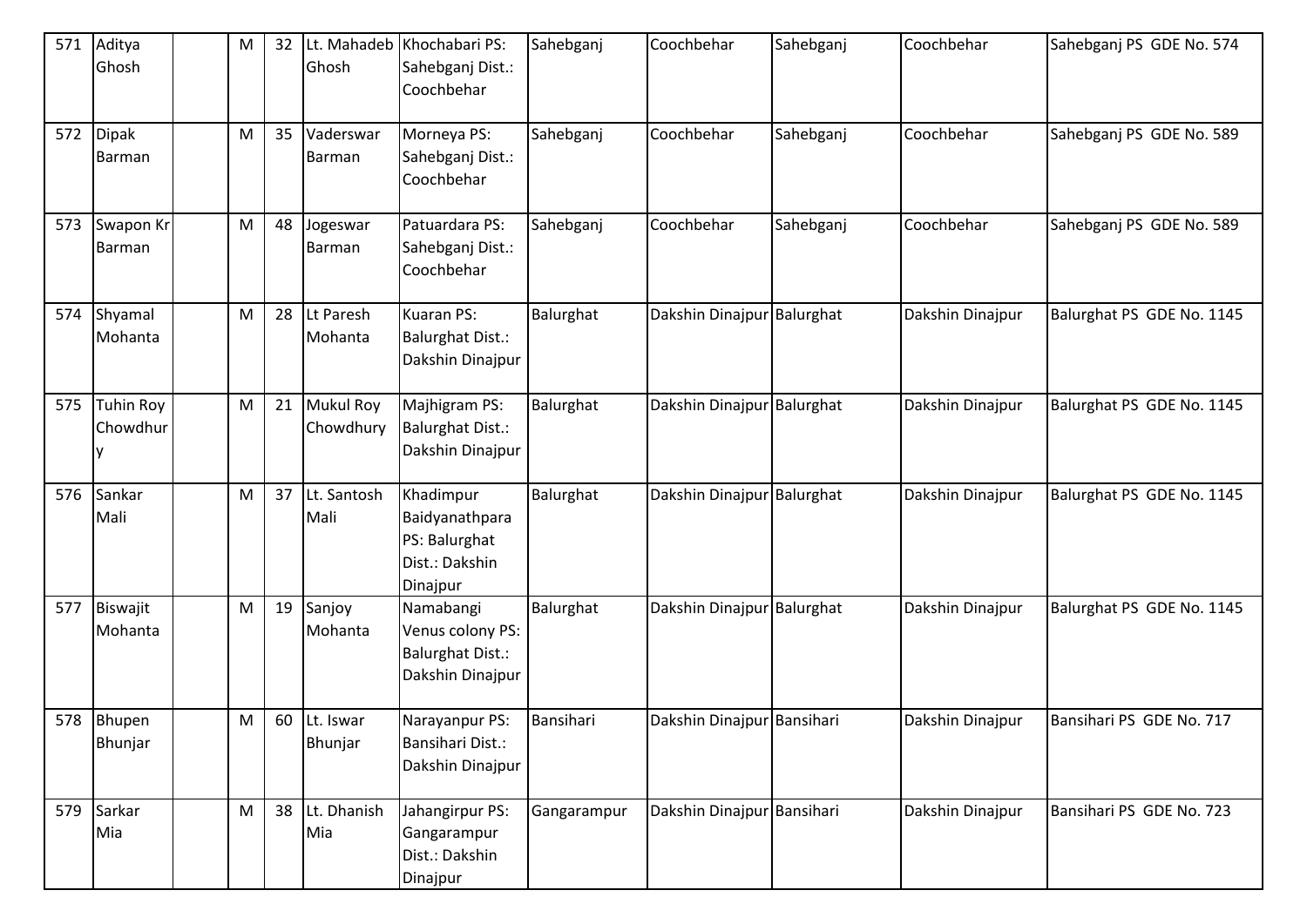| 571 | Aditya<br>Ghosh              | M | 32 | Ghosh                     | Lt. Mahadeb Khochabari PS:<br>Sahebganj Dist.:<br>Coochbehar                 | Sahebganj   | Coochbehar                 | Sahebganj | Coochbehar       | Sahebganj PS GDE No. 574  |
|-----|------------------------------|---|----|---------------------------|------------------------------------------------------------------------------|-------------|----------------------------|-----------|------------------|---------------------------|
|     | 572 Dipak<br>Barman          | M | 35 | Vaderswar<br>Barman       | Morneya PS:<br>Sahebganj Dist.:<br>Coochbehar                                | Sahebganj   | Coochbehar                 | Sahebganj | Coochbehar       | Sahebganj PS GDE No. 589  |
| 573 | Swapon Kr<br>Barman          | M | 48 | Jogeswar<br>Barman        | Patuardara PS:<br>Sahebganj Dist.:<br>Coochbehar                             | Sahebganj   | Coochbehar                 | Sahebganj | Coochbehar       | Sahebganj PS GDE No. 589  |
| 574 | Shyamal<br>Mohanta           | M | 28 | Lt Paresh<br>Mohanta      | Kuaran PS:<br><b>Balurghat Dist.:</b><br>Dakshin Dinajpur                    | Balurghat   | Dakshin Dinajpur Balurghat |           | Dakshin Dinajpur | Balurghat PS GDE No. 1145 |
| 575 | <b>Tuhin Roy</b><br>Chowdhur | M |    | 21 Mukul Roy<br>Chowdhury | Majhigram PS:<br><b>Balurghat Dist.:</b><br>Dakshin Dinajpur                 | Balurghat   | Dakshin Dinajpur Balurghat |           | Dakshin Dinajpur | Balurghat PS GDE No. 1145 |
| 576 | Sankar<br>Mali               | M | 37 | Lt. Santosh<br>Mali       | Khadimpur<br>Baidyanathpara<br>PS: Balurghat<br>Dist.: Dakshin<br>Dinajpur   | Balurghat   | Dakshin Dinajpur Balurghat |           | Dakshin Dinajpur | Balurghat PS GDE No. 1145 |
| 577 | Biswajit<br>Mohanta          | M | 19 | Sanjoy<br>Mohanta         | Namabangi<br>Venus colony PS:<br><b>Balurghat Dist.:</b><br>Dakshin Dinajpur | Balurghat   | Dakshin Dinajpur Balurghat |           | Dakshin Dinajpur | Balurghat PS GDE No. 1145 |
|     | 578 Bhupen<br>Bhunjar        | M |    | 60 Lt. Iswar<br>Bhunjar   | Narayanpur PS:<br>Bansihari Dist.:<br>Dakshin Dinajpur                       | Bansihari   | Dakshin Dinajpur Bansihari |           | Dakshin Dinajpur | Bansihari PS GDE No. 717  |
| 579 | Sarkar<br>Mia                | M | 38 | Lt. Dhanish<br>Mia        | Jahangirpur PS:<br>Gangarampur<br>Dist.: Dakshin<br>Dinajpur                 | Gangarampur | Dakshin Dinajpur Bansihari |           | Dakshin Dinajpur | Bansihari PS GDE No. 723  |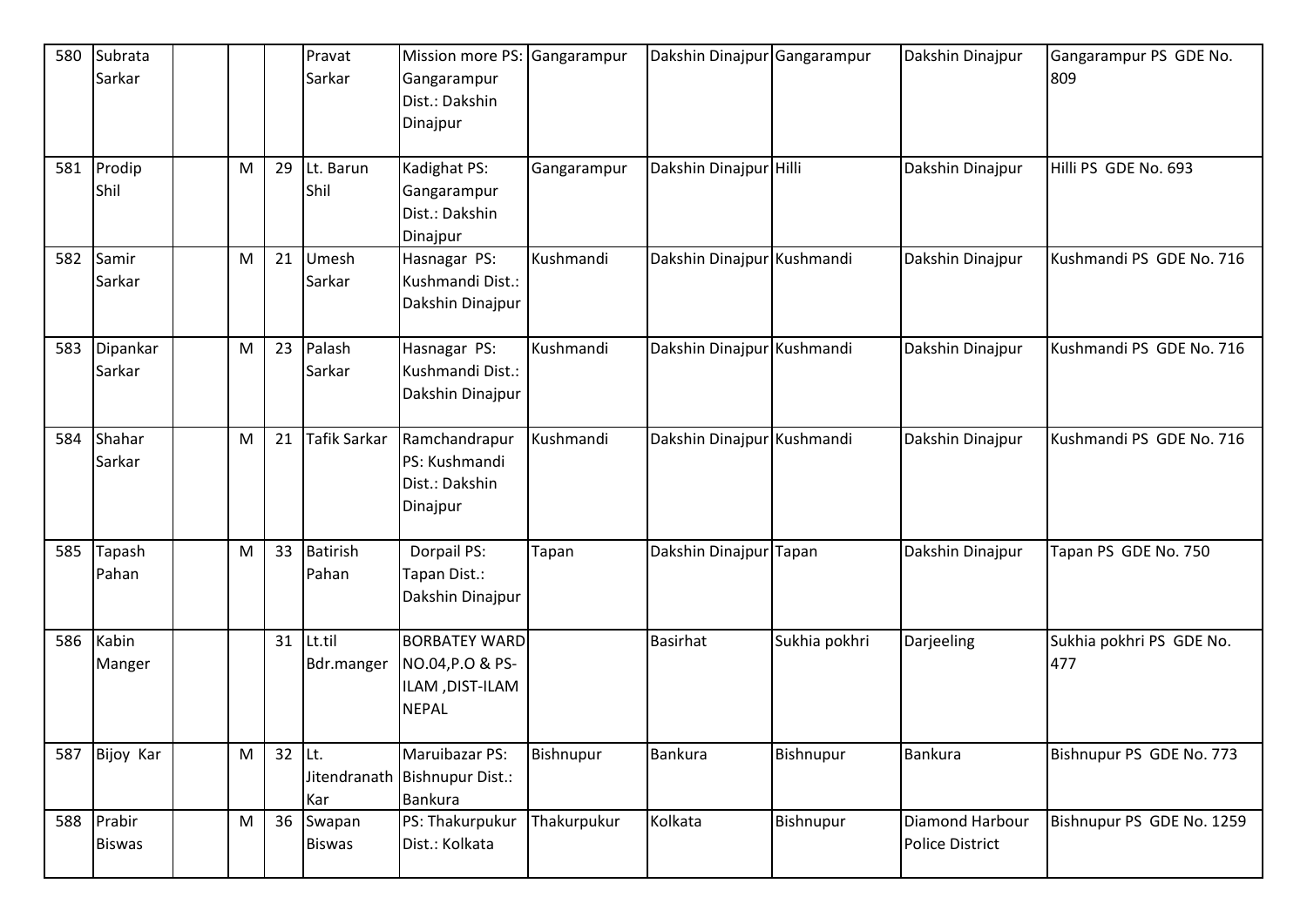| 580 | Subrata<br>Sarkar           |   |          | Pravat<br>Sarkar         | Mission more PS: Gangarampur<br>Gangarampur<br>Dist.: Dakshin<br>Dinajpur   |             | Dakshin Dinajpur           | Gangarampur   | Dakshin Dinajpur                          | Gangarampur PS GDE No.<br>809   |
|-----|-----------------------------|---|----------|--------------------------|-----------------------------------------------------------------------------|-------------|----------------------------|---------------|-------------------------------------------|---------------------------------|
| 581 | Prodip<br>Shil              | M | 29       | Lt. Barun<br>Shil        | Kadighat PS:<br>Gangarampur<br>Dist.: Dakshin<br>Dinajpur                   | Gangarampur | Dakshin Dinajpur           | Hilli         | Dakshin Dinajpur                          | Hilli PS GDE No. 693            |
|     | 582 Samir<br>Sarkar         | M | 21       | Umesh<br>Sarkar          | Hasnagar PS:<br>Kushmandi Dist.:<br>Dakshin Dinajpur                        | Kushmandi   | Dakshin Dinajpur Kushmandi |               | Dakshin Dinajpur                          | Kushmandi PS GDE No. 716        |
| 583 | Dipankar<br>Sarkar          | M | 23       | Palash<br>Sarkar         | Hasnagar PS:<br>Kushmandi Dist.:<br>Dakshin Dinajpur                        | Kushmandi   | Dakshin Dinajpur Kushmandi |               | Dakshin Dinajpur                          | Kushmandi PS GDE No. 716        |
| 584 | Shahar<br>Sarkar            | M | 21       | <b>Tafik Sarkar</b>      | Ramchandrapur<br>PS: Kushmandi<br>Dist.: Dakshin<br>Dinajpur                | Kushmandi   | Dakshin Dinajpur Kushmandi |               | Dakshin Dinajpur                          | Kushmandi PS GDE No. 716        |
|     | 585 Tapash<br>Pahan         | M | 33       | <b>Batirish</b><br>Pahan | Dorpail PS:<br>Tapan Dist.:<br>Dakshin Dinajpur                             | Tapan       | Dakshin Dinajpur Tapan     |               | Dakshin Dinajpur                          | Tapan PS GDE No. 750            |
| 586 | Kabin<br>Manger             |   | 31       | Lt.til<br>Bdr.manger     | <b>BORBATEY WARD</b><br>NO.04, P.O & PS-<br>ILAM, DIST-ILAM<br><b>NEPAL</b> |             | <b>Basirhat</b>            | Sukhia pokhri | Darjeeling                                | Sukhia pokhri PS GDE No.<br>477 |
|     | 587 Bijoy Kar               | M | $32$ Lt. | Kar                      | Maruibazar PS:<br>Jitendranath Bishnupur Dist.:<br>Bankura                  | Bishnupur   | <b>Bankura</b>             | Bishnupur     | <b>Bankura</b>                            | Bishnupur PS GDE No. 773        |
|     | 588 Prabir<br><b>Biswas</b> | M | 36       | Swapan<br><b>Biswas</b>  | PS: Thakurpukur<br>Dist.: Kolkata                                           | Thakurpukur | Kolkata                    | Bishnupur     | Diamond Harbour<br><b>Police District</b> | Bishnupur PS GDE No. 1259       |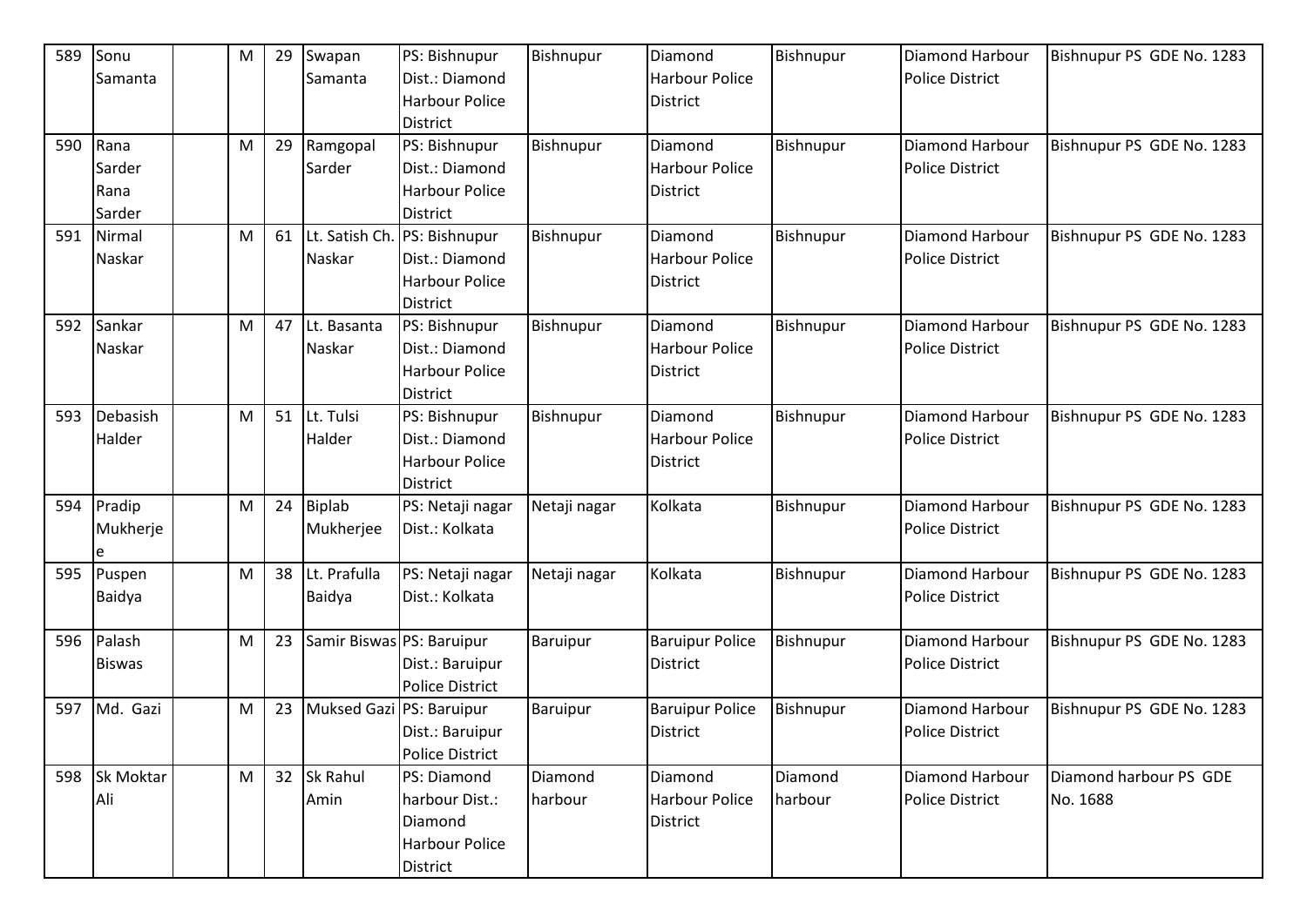| 589 | Sonu          | M | 29 | Swapan                    | PS: Bishnupur          | Bishnupur    | Diamond                | Bishnupur | Diamond Harbour        | Bishnupur PS GDE No. 1283 |
|-----|---------------|---|----|---------------------------|------------------------|--------------|------------------------|-----------|------------------------|---------------------------|
|     | Samanta       |   |    | Samanta                   | Dist.: Diamond         |              | <b>Harbour Police</b>  |           | <b>Police District</b> |                           |
|     |               |   |    |                           | <b>Harbour Police</b>  |              | District               |           |                        |                           |
|     |               |   |    |                           | <b>District</b>        |              |                        |           |                        |                           |
| 590 | Rana          | M | 29 | Ramgopal                  | PS: Bishnupur          | Bishnupur    | Diamond                | Bishnupur | Diamond Harbour        | Bishnupur PS GDE No. 1283 |
|     | Sarder        |   |    | Sarder                    | Dist.: Diamond         |              | Harbour Police         |           | <b>Police District</b> |                           |
|     | Rana          |   |    |                           | <b>Harbour Police</b>  |              | <b>District</b>        |           |                        |                           |
|     | Sarder        |   |    |                           | <b>District</b>        |              |                        |           |                        |                           |
| 591 | Nirmal        | M | 61 | Lt. Satish Ch.            | PS: Bishnupur          | Bishnupur    | Diamond                | Bishnupur | Diamond Harbour        | Bishnupur PS GDE No. 1283 |
|     | Naskar        |   |    | Naskar                    | Dist.: Diamond         |              | <b>Harbour Police</b>  |           | <b>Police District</b> |                           |
|     |               |   |    |                           | <b>Harbour Police</b>  |              | <b>District</b>        |           |                        |                           |
|     |               |   |    |                           | District               |              |                        |           |                        |                           |
| 592 | Sankar        | M | 47 | Lt. Basanta               | PS: Bishnupur          | Bishnupur    | Diamond                | Bishnupur | Diamond Harbour        | Bishnupur PS GDE No. 1283 |
|     | Naskar        |   |    | Naskar                    | Dist.: Diamond         |              | <b>Harbour Police</b>  |           | <b>Police District</b> |                           |
|     |               |   |    |                           | <b>Harbour Police</b>  |              | District               |           |                        |                           |
|     |               |   |    |                           | <b>District</b>        |              |                        |           |                        |                           |
| 593 | Debasish      | M | 51 | Lt. Tulsi                 | PS: Bishnupur          | Bishnupur    | Diamond                | Bishnupur | Diamond Harbour        | Bishnupur PS GDE No. 1283 |
|     | Halder        |   |    | Halder                    | Dist.: Diamond         |              | <b>Harbour Police</b>  |           | <b>Police District</b> |                           |
|     |               |   |    |                           | Harbour Police         |              | <b>District</b>        |           |                        |                           |
|     |               |   |    |                           | <b>District</b>        |              |                        |           |                        |                           |
| 594 | Pradip        | M | 24 | <b>Biplab</b>             | PS: Netaji nagar       | Netaji nagar | Kolkata                | Bishnupur | <b>Diamond Harbour</b> | Bishnupur PS GDE No. 1283 |
|     | Mukherje      |   |    | Mukherjee                 | Dist.: Kolkata         |              |                        |           | <b>Police District</b> |                           |
|     | e             |   |    |                           |                        |              |                        |           |                        |                           |
| 595 | Puspen        | M | 38 | Lt. Prafulla              | PS: Netaji nagar       | Netaji nagar | Kolkata                | Bishnupur | <b>Diamond Harbour</b> | Bishnupur PS GDE No. 1283 |
|     | Baidya        |   |    | Baidya                    | Dist.: Kolkata         |              |                        |           | <b>Police District</b> |                           |
|     |               |   |    |                           |                        |              |                        |           |                        |                           |
| 596 | Palash        | M | 23 | Samir Biswas PS: Baruipur |                        | Baruipur     | <b>Baruipur Police</b> | Bishnupur | Diamond Harbour        | Bishnupur PS GDE No. 1283 |
|     | <b>Biswas</b> |   |    |                           | Dist.: Baruipur        |              | <b>District</b>        |           | <b>Police District</b> |                           |
|     |               |   |    |                           | <b>Police District</b> |              |                        |           |                        |                           |
| 597 | Md. Gazi      | M | 23 | <b>Muksed Gazi</b>        | PS: Baruipur           | Baruipur     | <b>Baruipur Police</b> | Bishnupur | Diamond Harbour        | Bishnupur PS GDE No. 1283 |
|     |               |   |    |                           | Dist.: Baruipur        |              | District               |           | <b>Police District</b> |                           |
|     |               |   |    |                           | <b>Police District</b> |              |                        |           |                        |                           |
|     | 598 Sk Moktar | M | 32 | Sk Rahul                  | PS: Diamond            | Diamond      | Diamond                | Diamond   | Diamond Harbour        | Diamond harbour PS GDE    |
|     | Ali           |   |    | Amin                      | harbour Dist.:         | harbour      | Harbour Police         | harbour   | <b>Police District</b> | No. 1688                  |
|     |               |   |    |                           | Diamond                |              | <b>District</b>        |           |                        |                           |
|     |               |   |    |                           | Harbour Police         |              |                        |           |                        |                           |
|     |               |   |    |                           | District               |              |                        |           |                        |                           |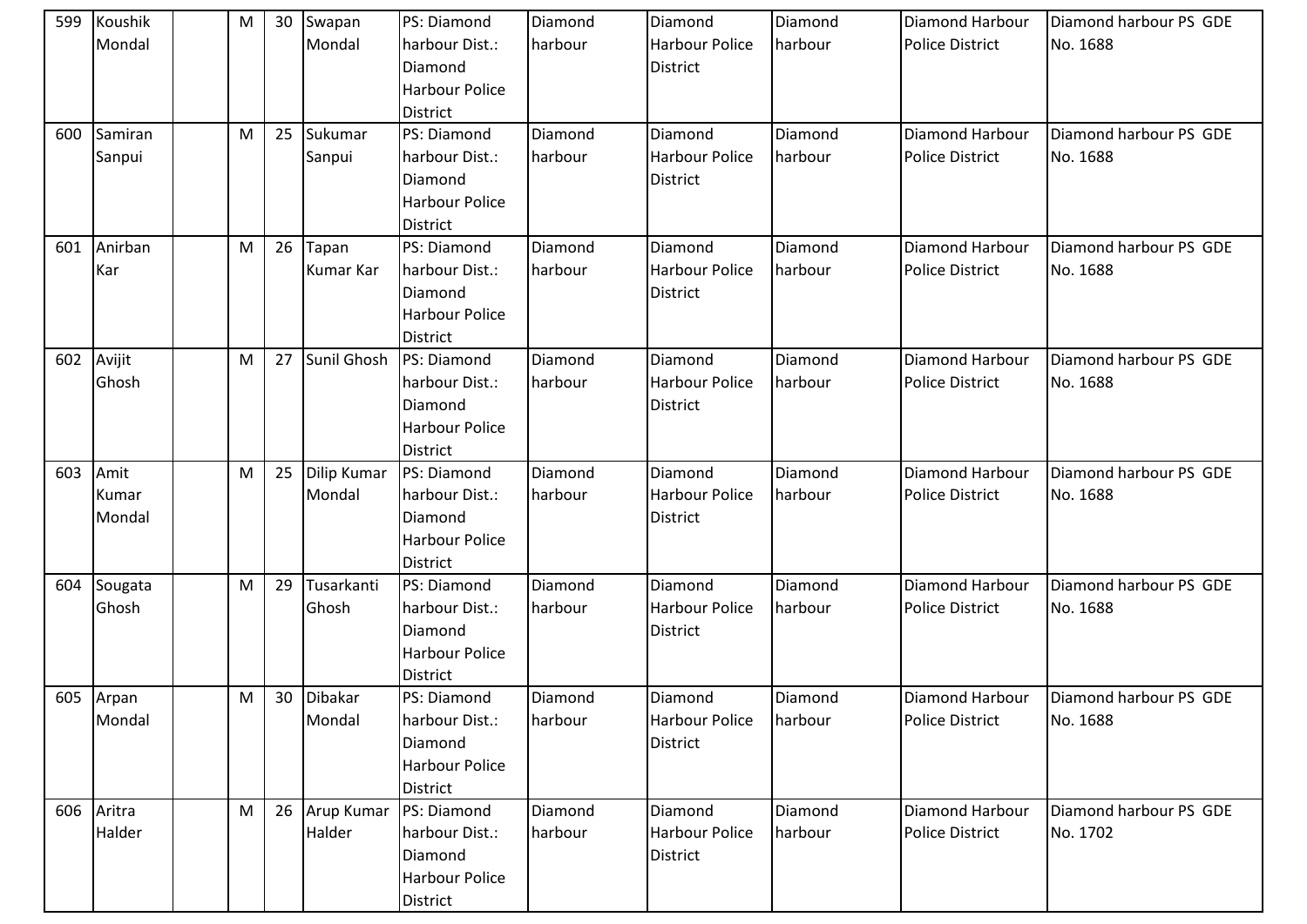| 599 | Koushik   | M | 30 | Swapan        | PS: Diamond           | Diamond | Diamond               | Diamond | <b>Diamond Harbour</b> | Diamond harbour PS GDE |
|-----|-----------|---|----|---------------|-----------------------|---------|-----------------------|---------|------------------------|------------------------|
|     | Mondal    |   |    | Mondal        | harbour Dist.:        | harbour | <b>Harbour Police</b> | harbour | <b>Police District</b> | No. 1688               |
|     |           |   |    |               | Diamond               |         | <b>District</b>       |         |                        |                        |
|     |           |   |    |               | <b>Harbour Police</b> |         |                       |         |                        |                        |
|     |           |   |    |               | <b>District</b>       |         |                       |         |                        |                        |
| 600 | Samiran   | M | 25 | Sukumar       | PS: Diamond           | Diamond | Diamond               | Diamond | <b>Diamond Harbour</b> | Diamond harbour PS GDE |
|     | Sanpui    |   |    | Sanpui        | harbour Dist.:        | harbour | <b>Harbour Police</b> | harbour | <b>Police District</b> | No. 1688               |
|     |           |   |    |               | Diamond               |         | <b>District</b>       |         |                        |                        |
|     |           |   |    |               | <b>Harbour Police</b> |         |                       |         |                        |                        |
|     |           |   |    |               | <b>District</b>       |         |                       |         |                        |                        |
| 601 | Anirban   | M | 26 | Tapan         | PS: Diamond           | Diamond | Diamond               | Diamond | Diamond Harbour        | Diamond harbour PS GDE |
|     | Kar       |   |    | Kumar Kar     | harbour Dist.:        | harbour | <b>Harbour Police</b> | harbour | <b>Police District</b> | No. 1688               |
|     |           |   |    |               | Diamond               |         | <b>District</b>       |         |                        |                        |
|     |           |   |    |               | <b>Harbour Police</b> |         |                       |         |                        |                        |
|     |           |   |    |               | District              |         |                       |         |                        |                        |
| 602 | Avijit    | M | 27 | Sunil Ghosh   | <b>PS: Diamond</b>    | Diamond | Diamond               | Diamond | <b>Diamond Harbour</b> | Diamond harbour PS GDE |
|     | Ghosh     |   |    |               | harbour Dist.:        | harbour | <b>Harbour Police</b> | harbour | <b>Police District</b> | No. 1688               |
|     |           |   |    |               | Diamond               |         | <b>District</b>       |         |                        |                        |
|     |           |   |    |               | Harbour Police        |         |                       |         |                        |                        |
|     |           |   |    |               | District              |         |                       |         |                        |                        |
| 603 | Amit      | M | 25 | Dilip Kumar   | PS: Diamond           | Diamond | Diamond               | Diamond | Diamond Harbour        | Diamond harbour PS GDE |
|     | Kumar     |   |    | Mondal        | harbour Dist.:        | harbour | <b>Harbour Police</b> | harbour | <b>Police District</b> | No. 1688               |
|     | Mondal    |   |    |               | Diamond               |         | <b>District</b>       |         |                        |                        |
|     |           |   |    |               | <b>Harbour Police</b> |         |                       |         |                        |                        |
|     |           |   |    |               | <b>District</b>       |         |                       |         |                        |                        |
| 604 | Sougata   | M | 29 | Tusarkanti    | PS: Diamond           | Diamond | Diamond               | Diamond | Diamond Harbour        | Diamond harbour PS GDE |
|     | Ghosh     |   |    | Ghosh         | harbour Dist.:        | harbour | <b>Harbour Police</b> | harbour | <b>Police District</b> | No. 1688               |
|     |           |   |    |               | Diamond               |         | <b>District</b>       |         |                        |                        |
|     |           |   |    |               | <b>Harbour Police</b> |         |                       |         |                        |                        |
|     |           |   |    |               | <b>District</b>       |         |                       |         |                        |                        |
|     | 605 Arpan | M | 30 | Dibakar       | PS: Diamond           | Diamond | Diamond               | Diamond | <b>Diamond Harbour</b> | Diamond harbour PS GDE |
|     | Mondal    |   |    | Mondal        | harbour Dist.:        | harbour | <b>Harbour Police</b> | harbour | Police District        | No. 1688               |
|     |           |   |    |               | Diamond               |         | <b>District</b>       |         |                        |                        |
|     |           |   |    |               | <b>Harbour Police</b> |         |                       |         |                        |                        |
|     |           |   |    |               | <b>District</b>       |         |                       |         |                        |                        |
| 606 | Aritra    | M |    | 26 Arup Kumar | PS: Diamond           | Diamond | Diamond               | Diamond | Diamond Harbour        | Diamond harbour PS GDE |
|     | Halder    |   |    | Halder        | harbour Dist.:        | harbour | <b>Harbour Police</b> | harbour | <b>Police District</b> | No. 1702               |
|     |           |   |    |               | Diamond               |         | <b>District</b>       |         |                        |                        |
|     |           |   |    |               | <b>Harbour Police</b> |         |                       |         |                        |                        |
|     |           |   |    |               | District              |         |                       |         |                        |                        |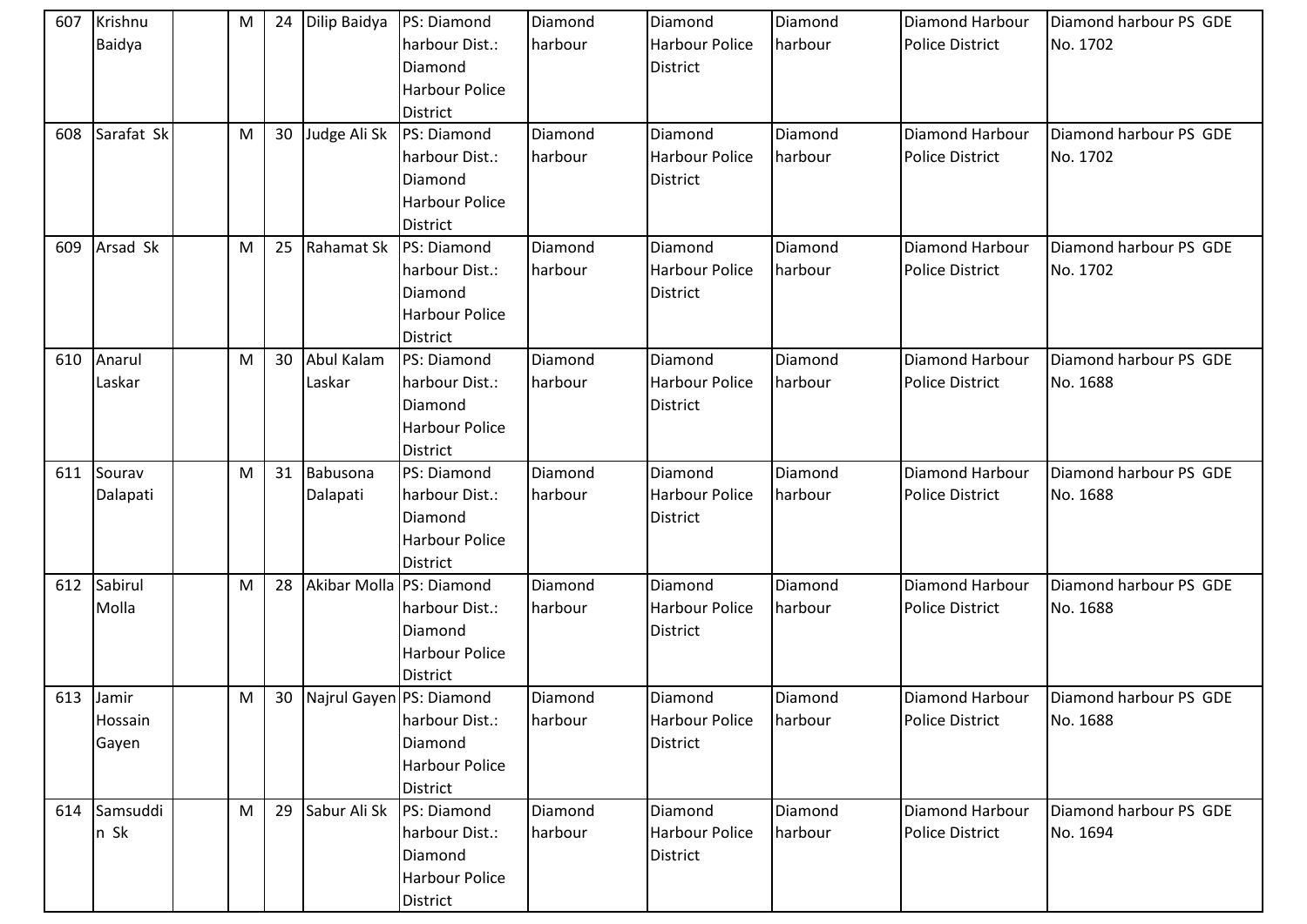| 607 | Krishnu      | M | 24 | Dilip Baidya | PS: Diamond                       | Diamond | Diamond               | Diamond | <b>Diamond Harbour</b> | Diamond harbour PS GDE |
|-----|--------------|---|----|--------------|-----------------------------------|---------|-----------------------|---------|------------------------|------------------------|
|     | Baidya       |   |    |              | harbour Dist.:                    | harbour | <b>Harbour Police</b> | harbour | <b>Police District</b> | No. 1702               |
|     |              |   |    |              | Diamond                           |         | <b>District</b>       |         |                        |                        |
|     |              |   |    |              | <b>Harbour Police</b>             |         |                       |         |                        |                        |
|     |              |   |    |              | <b>District</b>                   |         |                       |         |                        |                        |
| 608 | Sarafat Sk   | M | 30 | Judge Ali Sk | PS: Diamond                       | Diamond | Diamond               | Diamond | <b>Diamond Harbour</b> | Diamond harbour PS GDE |
|     |              |   |    |              | harbour Dist.:                    | harbour | <b>Harbour Police</b> | harbour | <b>Police District</b> | No. 1702               |
|     |              |   |    |              | Diamond                           |         | <b>District</b>       |         |                        |                        |
|     |              |   |    |              | Harbour Police                    |         |                       |         |                        |                        |
|     |              |   |    |              | <b>District</b>                   |         |                       |         |                        |                        |
| 609 | Arsad Sk     | M | 25 | Rahamat Sk   | <b>PS: Diamond</b>                | Diamond | Diamond               | Diamond | Diamond Harbour        | Diamond harbour PS GDE |
|     |              |   |    |              | harbour Dist.:                    | harbour | <b>Harbour Police</b> | harbour | <b>Police District</b> | No. 1702               |
|     |              |   |    |              | Diamond                           |         | <b>District</b>       |         |                        |                        |
|     |              |   |    |              | <b>Harbour Police</b>             |         |                       |         |                        |                        |
|     |              |   |    |              | <b>District</b>                   |         |                       |         |                        |                        |
| 610 | Anarul       | M | 30 | Abul Kalam   | PS: Diamond                       | Diamond | Diamond               | Diamond | <b>Diamond Harbour</b> | Diamond harbour PS GDE |
|     | Laskar       |   |    | Laskar       | harbour Dist.:                    | harbour | <b>Harbour Police</b> | harbour | <b>Police District</b> | No. 1688               |
|     |              |   |    |              | Diamond                           |         | <b>District</b>       |         |                        |                        |
|     |              |   |    |              | <b>Harbour Police</b>             |         |                       |         |                        |                        |
|     |              |   |    |              | District                          |         |                       |         |                        |                        |
| 611 | Sourav       | M | 31 | Babusona     | PS: Diamond                       | Diamond | Diamond               | Diamond | Diamond Harbour        | Diamond harbour PS GDE |
|     | Dalapati     |   |    | Dalapati     | harbour Dist.:                    | harbour | <b>Harbour Police</b> | harbour | <b>Police District</b> | No. 1688               |
|     |              |   |    |              | Diamond                           |         | <b>District</b>       |         |                        |                        |
|     |              |   |    |              | <b>Harbour Police</b>             |         |                       |         |                        |                        |
|     |              |   |    |              | <b>District</b>                   |         |                       |         |                        |                        |
| 612 | Sabirul      | M | 28 |              | Akibar Molla PS: Diamond          | Diamond | Diamond               | Diamond | Diamond Harbour        | Diamond harbour PS GDE |
|     | Molla        |   |    |              | harbour Dist.:                    | harbour | <b>Harbour Police</b> | harbour | <b>Police District</b> | No. 1688               |
|     |              |   |    |              | Diamond                           |         | <b>District</b>       |         |                        |                        |
|     |              |   |    |              | Harbour Police                    |         |                       |         |                        |                        |
|     |              |   |    |              | <b>District</b>                   |         |                       |         |                        |                        |
|     | 613 Jamir    | M |    |              | 30   Najrul Gayen   PS: Diamond   | Diamond | Diamond               | Diamond | <b>Diamond Harbour</b> | Diamond harbour PS GDE |
|     | Hossain      |   |    |              | harbour Dist.:                    | harbour | <b>Harbour Police</b> | harbour | <b>Police District</b> | No. 1688               |
|     |              |   |    |              |                                   |         |                       |         |                        |                        |
|     | Gayen        |   |    |              | Diamond                           |         | <b>District</b>       |         |                        |                        |
|     |              |   |    |              | <b>Harbour Police</b>             |         |                       |         |                        |                        |
|     |              |   |    |              | <b>District</b>                   |         |                       |         |                        |                        |
|     | 614 Samsuddi | M | 29 | Sabur Ali Sk | PS: Diamond                       | Diamond | Diamond               | Diamond | Diamond Harbour        | Diamond harbour PS GDE |
|     | n Sk         |   |    |              | harbour Dist.:                    | harbour | <b>Harbour Police</b> | harbour | <b>Police District</b> | No. 1694               |
|     |              |   |    |              | Diamond                           |         | <b>District</b>       |         |                        |                        |
|     |              |   |    |              | <b>Harbour Police</b><br>District |         |                       |         |                        |                        |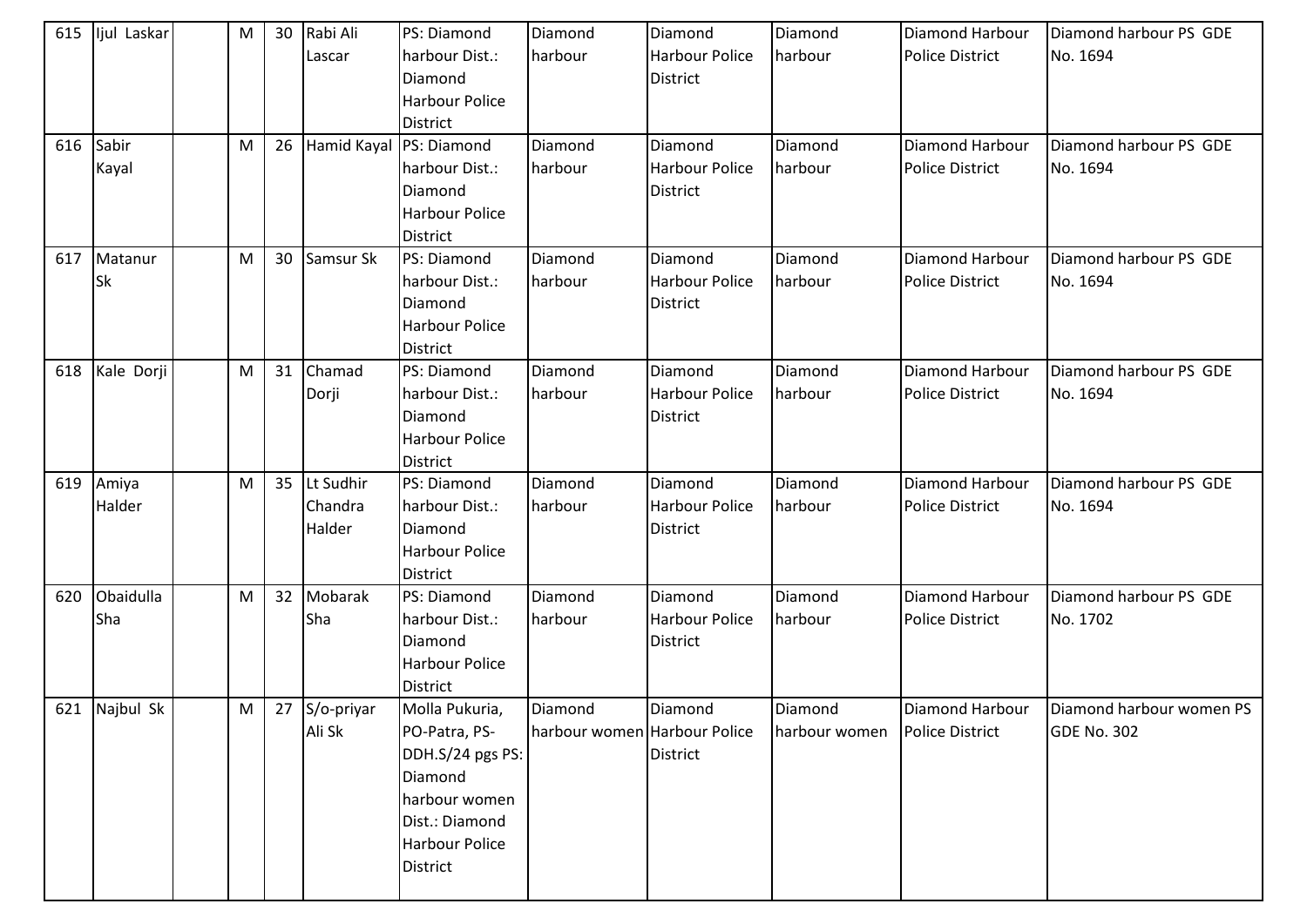| 615<br>616 | lijul Laskar<br>Sabir | M<br>M | 30<br>26 | Rabi Ali<br>Lascar<br>Hamid Kayal | PS: Diamond<br>harbour Dist.:<br>Diamond<br><b>Harbour Police</b><br><b>District</b><br>PS: Diamond                                    | Diamond<br>harbour<br>Diamond           | Diamond<br><b>Harbour Police</b><br><b>District</b><br>Diamond | Diamond<br>harbour<br>Diamond | <b>Diamond Harbour</b><br><b>Police District</b><br>Diamond Harbour | Diamond harbour PS GDE<br>No. 1694<br>Diamond harbour PS GDE |
|------------|-----------------------|--------|----------|-----------------------------------|----------------------------------------------------------------------------------------------------------------------------------------|-----------------------------------------|----------------------------------------------------------------|-------------------------------|---------------------------------------------------------------------|--------------------------------------------------------------|
|            | Kayal                 |        |          |                                   | harbour Dist.:<br>Diamond<br><b>Harbour Police</b><br><b>District</b>                                                                  | harbour                                 | <b>Harbour Police</b><br>District                              | harbour                       | <b>Police District</b>                                              | No. 1694                                                     |
| 617        | Matanur<br><b>Sk</b>  | M      | 30       | Samsur Sk                         | PS: Diamond<br>harbour Dist.:<br>Diamond<br><b>Harbour Police</b><br>District                                                          | Diamond<br>harbour                      | Diamond<br><b>Harbour Police</b><br>District                   | Diamond<br>harbour            | Diamond Harbour<br><b>Police District</b>                           | Diamond harbour PS GDE<br>No. 1694                           |
| 618        | Kale Dorji            | M      | 31       | Chamad<br>Dorji                   | PS: Diamond<br>harbour Dist.:<br>Diamond<br><b>Harbour Police</b><br><b>District</b>                                                   | Diamond<br>harbour                      | Diamond<br><b>Harbour Police</b><br>District                   | Diamond<br>harbour            | Diamond Harbour<br>Police District                                  | Diamond harbour PS GDE<br>No. 1694                           |
|            | 619 Amiya<br>Halder   | M      | 35       | Lt Sudhir<br>Chandra<br>Halder    | PS: Diamond<br>harbour Dist.:<br>Diamond<br>Harbour Police<br><b>District</b>                                                          | Diamond<br>harbour                      | Diamond<br><b>Harbour Police</b><br><b>District</b>            | Diamond<br>harbour            | Diamond Harbour<br><b>Police District</b>                           | Diamond harbour PS GDE<br>No. 1694                           |
| 620        | Obaidulla<br>Sha      | M      | 32       | Mobarak<br>Sha                    | PS: Diamond<br>harbour Dist.:<br>Diamond<br>Harbour Police<br><b>District</b>                                                          | Diamond<br>harbour                      | Diamond<br><b>Harbour Police</b><br><b>District</b>            | Diamond<br>harbour            | Diamond Harbour<br><b>Police District</b>                           | Diamond harbour PS GDE<br>No. 1702                           |
|            | 621 Najbul Sk         | M      |          | 27 S/o-priyar<br>Ali Sk           | Molla Pukuria,<br>PO-Patra, PS-<br>DDH.S/24 pgs PS:<br>Diamond<br>harbour women<br>Dist.: Diamond<br><b>Harbour Police</b><br>District | Diamond<br>harbour women Harbour Police | Diamond<br><b>District</b>                                     | Diamond<br>harbour women      | Diamond Harbour<br><b>Police District</b>                           | Diamond harbour women PS<br><b>GDE No. 302</b>               |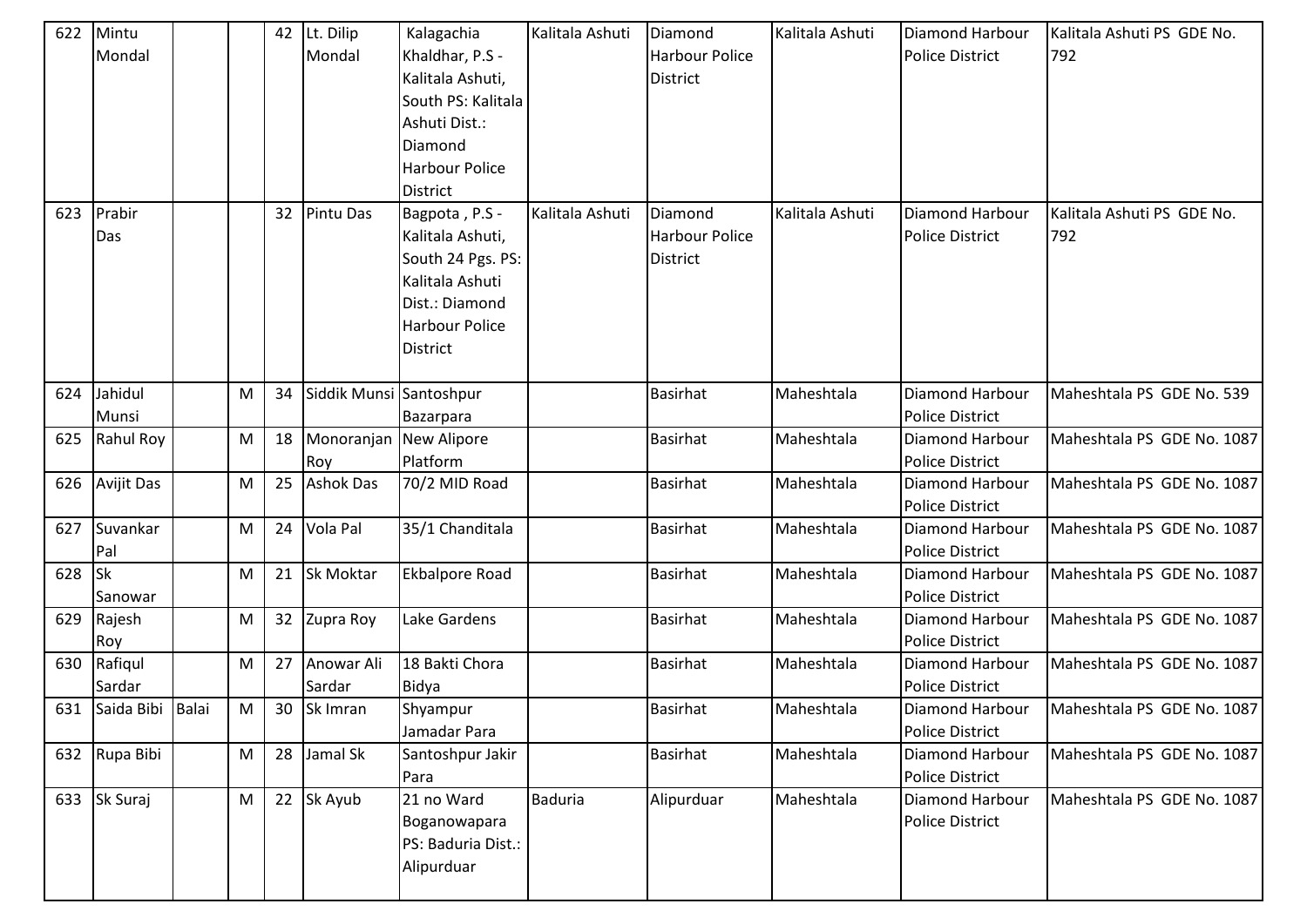| 622 | Mintu                |   | 42 | Lt. Dilip               | Kalagachia            | Kalitala Ashuti | Diamond               | Kalitala Ashuti | <b>Diamond Harbour</b> | Kalitala Ashuti PS GDE No. |
|-----|----------------------|---|----|-------------------------|-----------------------|-----------------|-----------------------|-----------------|------------------------|----------------------------|
|     | Mondal               |   |    | Mondal                  | Khaldhar, P.S -       |                 | <b>Harbour Police</b> |                 | <b>Police District</b> | 792                        |
|     |                      |   |    |                         | Kalitala Ashuti,      |                 | <b>District</b>       |                 |                        |                            |
|     |                      |   |    |                         | South PS: Kalitala    |                 |                       |                 |                        |                            |
|     |                      |   |    |                         | Ashuti Dist.:         |                 |                       |                 |                        |                            |
|     |                      |   |    |                         | Diamond               |                 |                       |                 |                        |                            |
|     |                      |   |    |                         | <b>Harbour Police</b> |                 |                       |                 |                        |                            |
|     |                      |   |    |                         | <b>District</b>       |                 |                       |                 |                        |                            |
| 623 | Prabir               |   | 32 | <b>Pintu Das</b>        | Bagpota, P.S -        | Kalitala Ashuti | Diamond               | Kalitala Ashuti | Diamond Harbour        | Kalitala Ashuti PS GDE No. |
|     | Das                  |   |    |                         | Kalitala Ashuti,      |                 | <b>Harbour Police</b> |                 | <b>Police District</b> | 792                        |
|     |                      |   |    |                         | South 24 Pgs. PS:     |                 | <b>District</b>       |                 |                        |                            |
|     |                      |   |    |                         | Kalitala Ashuti       |                 |                       |                 |                        |                            |
|     |                      |   |    |                         | Dist.: Diamond        |                 |                       |                 |                        |                            |
|     |                      |   |    |                         | <b>Harbour Police</b> |                 |                       |                 |                        |                            |
|     |                      |   |    |                         | District              |                 |                       |                 |                        |                            |
|     |                      |   |    |                         |                       |                 |                       |                 |                        |                            |
| 624 | Jahidul              | M | 34 | Siddik Munsi Santoshpur |                       |                 | <b>Basirhat</b>       | Maheshtala      | Diamond Harbour        | Maheshtala PS GDE No. 539  |
|     | Munsi                |   |    |                         | Bazarpara             |                 |                       |                 | Police District        |                            |
| 625 | Rahul Roy            | M | 18 | Monoranjan New Alipore  |                       |                 | <b>Basirhat</b>       | Maheshtala      | <b>Diamond Harbour</b> | Maheshtala PS GDE No. 1087 |
|     |                      |   |    | Roy                     | Platform              |                 |                       |                 | <b>Police District</b> |                            |
| 626 | <b>Avijit Das</b>    | M | 25 | <b>Ashok Das</b>        | 70/2 MID Road         |                 | <b>Basirhat</b>       | Maheshtala      | <b>Diamond Harbour</b> | Maheshtala PS GDE No. 1087 |
|     |                      |   |    |                         |                       |                 |                       |                 | <b>Police District</b> |                            |
| 627 | Suvankar             | M | 24 | Vola Pal                | 35/1 Chanditala       |                 | <b>Basirhat</b>       | Maheshtala      | Diamond Harbour        | Maheshtala PS GDE No. 1087 |
|     | Pal                  |   |    |                         |                       |                 |                       |                 | <b>Police District</b> |                            |
| 628 | $\mathsf{lsk}$       | M | 21 | Sk Moktar               | <b>Ekbalpore Road</b> |                 | <b>Basirhat</b>       | Maheshtala      | Diamond Harbour        | Maheshtala PS GDE No. 1087 |
|     | Sanowar              |   |    |                         |                       |                 |                       |                 | <b>Police District</b> |                            |
| 629 | Rajesh               | M | 32 | Zupra Roy               | Lake Gardens          |                 | <b>Basirhat</b>       | Maheshtala      | <b>Diamond Harbour</b> | Maheshtala PS GDE No. 1087 |
|     | Roy                  |   |    |                         |                       |                 |                       |                 | <b>Police District</b> |                            |
| 630 | Rafiqul              | M | 27 | Anowar Ali              | 18 Bakti Chora        |                 | <b>Basirhat</b>       | Maheshtala      | Diamond Harbour        | Maheshtala PS GDE No. 1087 |
|     | Sardar               |   |    | Sardar                  | Bidya                 |                 |                       |                 | <b>Police District</b> |                            |
|     | 631 Saida Bibi Balai | M | 30 | Sk Imran                | Shyampur              |                 | <b>Basirhat</b>       | Maheshtala      | Diamond Harbour        | Maheshtala PS GDE No. 1087 |
|     |                      |   |    |                         | Jamadar Para          |                 |                       |                 | <b>Police District</b> |                            |
|     | 632 Rupa Bibi        | M | 28 | Jamal Sk                | Santoshpur Jakir      |                 | <b>Basirhat</b>       | Maheshtala      | Diamond Harbour        | Maheshtala PS GDE No. 1087 |
|     |                      |   |    |                         | Para                  |                 |                       |                 | Police District        |                            |
| 633 | Sk Suraj             | M | 22 | Sk Ayub                 | 21 no Ward            | <b>Baduria</b>  | Alipurduar            | Maheshtala      | Diamond Harbour        | Maheshtala PS GDE No. 1087 |
|     |                      |   |    |                         | Boganowapara          |                 |                       |                 | Police District        |                            |
|     |                      |   |    |                         | PS: Baduria Dist.:    |                 |                       |                 |                        |                            |
|     |                      |   |    |                         | Alipurduar            |                 |                       |                 |                        |                            |
|     |                      |   |    |                         |                       |                 |                       |                 |                        |                            |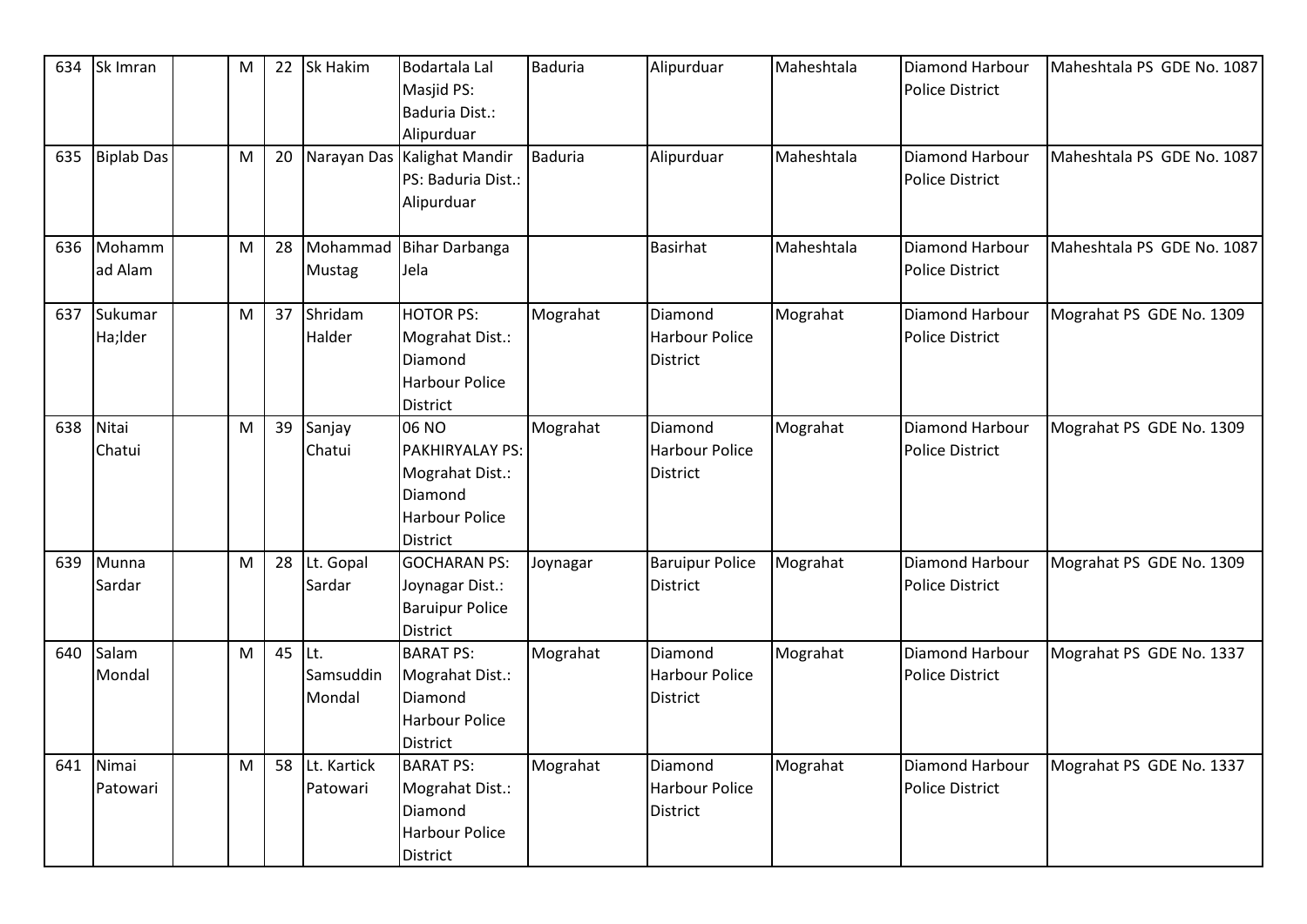| 634 | Sk Imran           | M         | 22 | Sk Hakim                    | <b>Bodartala Lal</b><br>Masjid PS:<br>Baduria Dist.:<br>Alipurduar                          | <b>Baduria</b> | Alipurduar                                          | Maheshtala | Diamond Harbour<br><b>Police District</b> | Maheshtala PS GDE No. 1087 |
|-----|--------------------|-----------|----|-----------------------------|---------------------------------------------------------------------------------------------|----------------|-----------------------------------------------------|------------|-------------------------------------------|----------------------------|
| 635 | <b>Biplab Das</b>  | M         | 20 |                             | Narayan Das Kalighat Mandir<br>PS: Baduria Dist.:<br>Alipurduar                             | <b>Baduria</b> | Alipurduar                                          | Maheshtala | Diamond Harbour<br><b>Police District</b> | Maheshtala PS GDE No. 1087 |
| 636 | Mohamm<br>ad Alam  | M         | 28 | Mohammad<br><b>Mustag</b>   | Bihar Darbanga<br>Jela                                                                      |                | <b>Basirhat</b>                                     | Maheshtala | Diamond Harbour<br>Police District        | Maheshtala PS GDE No. 1087 |
| 637 | Sukumar<br>Ha;Ider | M         | 37 | Shridam<br>Halder           | <b>HOTOR PS:</b><br>Mograhat Dist.:<br>Diamond<br><b>Harbour Police</b><br><b>District</b>  | Mograhat       | Diamond<br><b>Harbour Police</b><br>District        | Mograhat   | Diamond Harbour<br><b>Police District</b> | Mograhat PS GDE No. 1309   |
| 638 | Nitai<br>Chatui    | M         | 39 | Sanjay<br>Chatui            | 06 NO<br>PAKHIRYALAY PS:<br>Mograhat Dist.:<br>Diamond<br><b>Harbour Police</b><br>District | Mograhat       | Diamond<br><b>Harbour Police</b><br><b>District</b> | Mograhat   | Diamond Harbour<br><b>Police District</b> | Mograhat PS GDE No. 1309   |
| 639 | Munna<br>Sardar    | ${\sf M}$ | 28 | Lt. Gopal<br>Sardar         | <b>GOCHARAN PS:</b><br>Joynagar Dist.:<br><b>Baruipur Police</b><br>District                | Joynagar       | <b>Baruipur Police</b><br>District                  | Mograhat   | Diamond Harbour<br><b>Police District</b> | Mograhat PS GDE No. 1309   |
| 640 | Salam<br>Mondal    | M         | 45 | ILt.<br>Samsuddin<br>Mondal | <b>BARAT PS:</b><br>Mograhat Dist.:<br>Diamond<br><b>Harbour Police</b><br>District         | Mograhat       | Diamond<br><b>Harbour Police</b><br><b>District</b> | Mograhat   | Diamond Harbour<br><b>Police District</b> | Mograhat PS GDE No. 1337   |
| 641 | Nimai<br>Patowari  | M         | 58 | Lt. Kartick<br>Patowari     | <b>BARAT PS:</b><br>Mograhat Dist.:<br>Diamond<br><b>Harbour Police</b><br>District         | Mograhat       | Diamond<br>Harbour Police<br><b>District</b>        | Mograhat   | Diamond Harbour<br><b>Police District</b> | Mograhat PS GDE No. 1337   |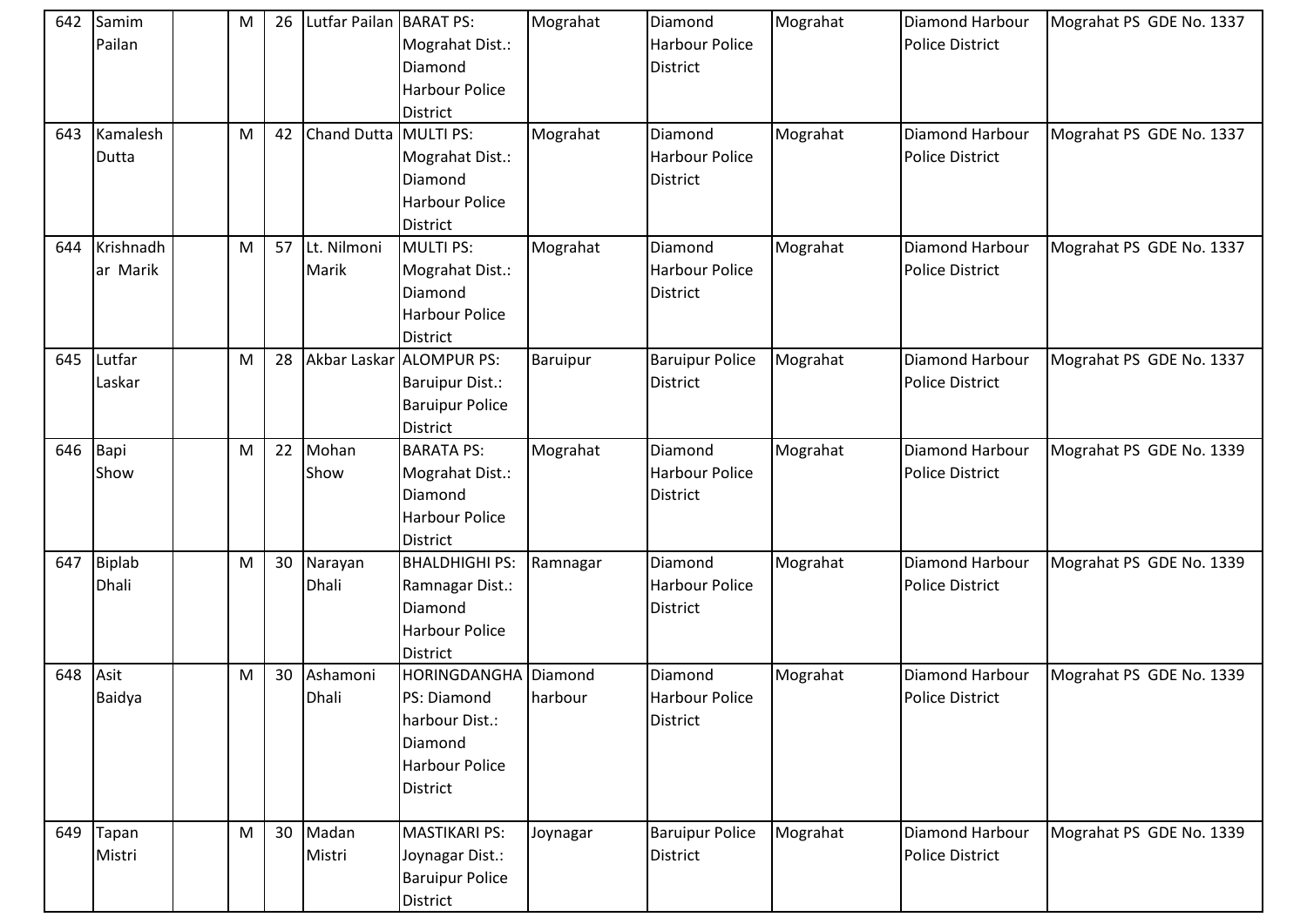| 642<br>643 | Samim<br>Pailan<br>Kamalesh | M<br>M | 26<br>42 | Lutfar Pailan BARAT PS:<br>Chand Dutta MULTI PS: | Mograhat Dist.:<br>Diamond<br><b>Harbour Police</b><br><b>District</b>                               | Mograhat<br>Mograhat | Diamond<br><b>Harbour Police</b><br><b>District</b><br>Diamond | Mograhat<br>Mograhat | Diamond Harbour<br><b>Police District</b><br><b>Diamond Harbour</b> | Mograhat PS GDE No. 1337<br>Mograhat PS GDE No. 1337 |
|------------|-----------------------------|--------|----------|--------------------------------------------------|------------------------------------------------------------------------------------------------------|----------------------|----------------------------------------------------------------|----------------------|---------------------------------------------------------------------|------------------------------------------------------|
|            | Dutta                       |        |          |                                                  | Mograhat Dist.:<br>Diamond<br><b>Harbour Police</b><br><b>District</b>                               |                      | <b>Harbour Police</b><br><b>District</b>                       |                      | <b>Police District</b>                                              |                                                      |
| 644        | Krishnadh<br>ar Marik       | M      | 57       | Lt. Nilmoni<br>Marik                             | <b>MULTI PS:</b><br>Mograhat Dist.:<br>Diamond<br><b>Harbour Police</b><br>District                  | Mograhat             | Diamond<br><b>Harbour Police</b><br><b>District</b>            | Mograhat             | <b>Diamond Harbour</b><br><b>Police District</b>                    | Mograhat PS GDE No. 1337                             |
| 645        | Lutfar<br>Laskar            | M      | 28       |                                                  | Akbar Laskar ALOMPUR PS:<br><b>Baruipur Dist.:</b><br><b>Baruipur Police</b><br><b>District</b>      | <b>Baruipur</b>      | <b>Baruipur Police</b><br><b>District</b>                      | Mograhat             | <b>Diamond Harbour</b><br><b>Police District</b>                    | Mograhat PS GDE No. 1337                             |
| 646 Bapi   | Show                        | M      | 22       | Mohan<br>Show                                    | <b>BARATA PS:</b><br>Mograhat Dist.:<br>Diamond<br>Harbour Police<br><b>District</b>                 | Mograhat             | Diamond<br>Harbour Police<br><b>District</b>                   | Mograhat             | Diamond Harbour<br><b>Police District</b>                           | Mograhat PS GDE No. 1339                             |
| 647        | Biplab<br>Dhali             | M      | 30       | Narayan<br><b>Dhali</b>                          | <b>BHALDHIGHI PS:</b><br>Ramnagar Dist.:<br>Diamond<br><b>Harbour Police</b><br><b>District</b>      | Ramnagar             | Diamond<br><b>Harbour Police</b><br><b>District</b>            | Mograhat             | <b>Diamond Harbour</b><br><b>Police District</b>                    | Mograhat PS GDE No. 1339                             |
| 648        | Asit<br>Baidya              | M      | 30       | Ashamoni<br>Dhali                                | HORINGDANGHA<br>PS: Diamond<br>harbour Dist.:<br>Diamond<br><b>Harbour Police</b><br><b>District</b> | Diamond<br>harbour   | Diamond<br><b>Harbour Police</b><br>District                   | Mograhat             | <b>Diamond Harbour</b><br><b>Police District</b>                    | Mograhat PS GDE No. 1339                             |
|            | 649 Tapan<br>Mistri         | M      | 30       | Madan<br>Mistri                                  | <b>MASTIKARI PS:</b><br>Joynagar Dist.:<br><b>Baruipur Police</b><br>District                        | Joynagar             | <b>Baruipur Police</b><br><b>District</b>                      | Mograhat             | Diamond Harbour<br>Police District                                  | Mograhat PS GDE No. 1339                             |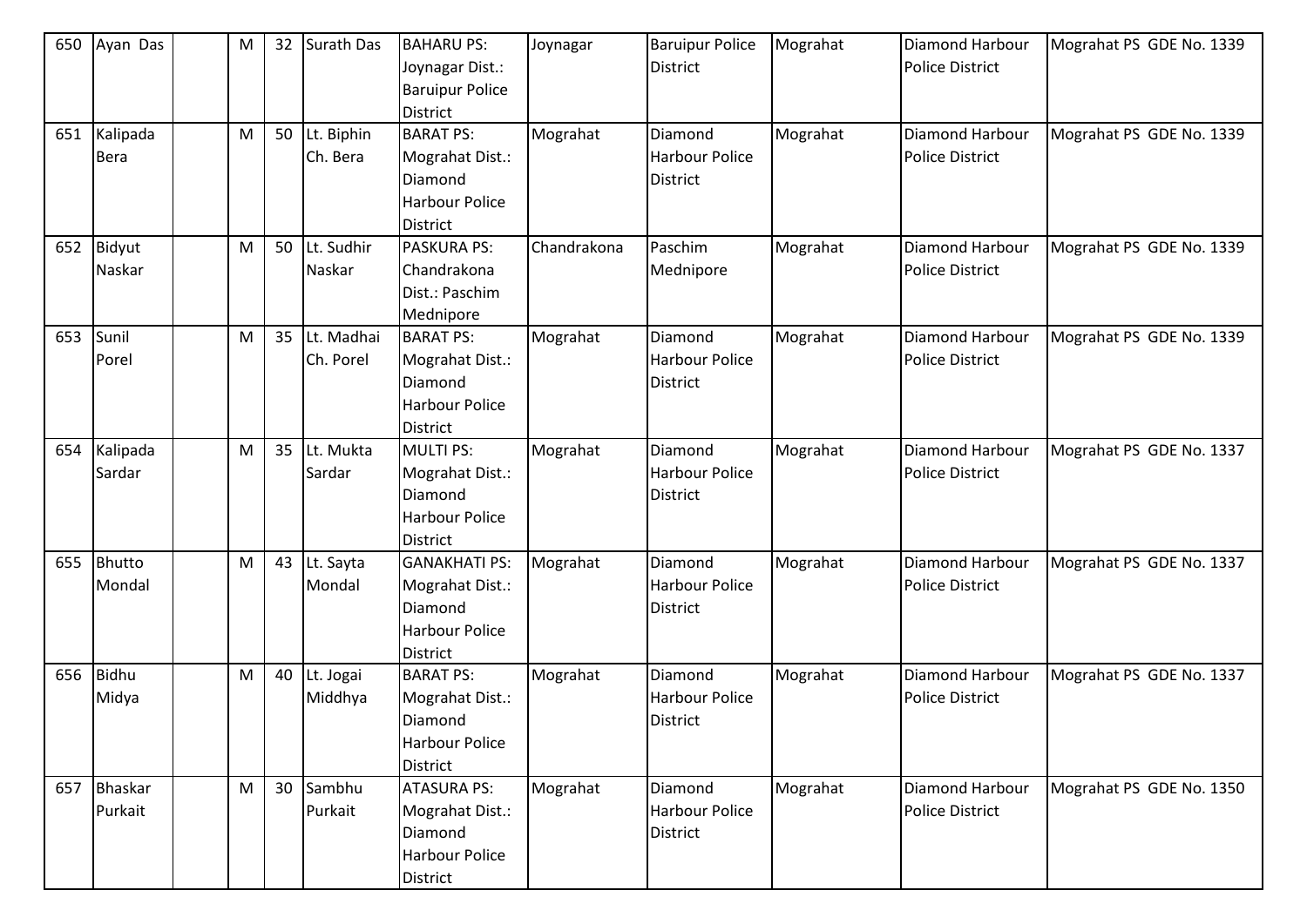| 650 | Ayan Das       | M | 32 | Surath Das    | <b>BAHARU PS:</b>                | Joynagar    | <b>Baruipur Police</b> | Mograhat | Diamond Harbour        | Mograhat PS GDE No. 1339 |
|-----|----------------|---|----|---------------|----------------------------------|-------------|------------------------|----------|------------------------|--------------------------|
|     |                |   |    |               | Joynagar Dist.:                  |             | <b>District</b>        |          | <b>Police District</b> |                          |
|     |                |   |    |               | <b>Baruipur Police</b>           |             |                        |          |                        |                          |
|     |                |   |    |               | <b>District</b>                  |             |                        |          |                        |                          |
| 651 | Kalipada       | M |    | 50 Lt. Biphin | <b>BARAT PS:</b>                 | Mograhat    | Diamond                | Mograhat | Diamond Harbour        | Mograhat PS GDE No. 1339 |
|     | <b>Bera</b>    |   |    | Ch. Bera      | Mograhat Dist.:                  |             | <b>Harbour Police</b>  |          | <b>Police District</b> |                          |
|     |                |   |    |               | Diamond<br><b>Harbour Police</b> |             | <b>District</b>        |          |                        |                          |
|     |                |   |    |               | <b>District</b>                  |             |                        |          |                        |                          |
| 652 | Bidyut         | M | 50 | Lt. Sudhir    | <b>PASKURA PS:</b>               | Chandrakona | Paschim                | Mograhat | Diamond Harbour        | Mograhat PS GDE No. 1339 |
|     | Naskar         |   |    | Naskar        | Chandrakona                      |             | Mednipore              |          | <b>Police District</b> |                          |
|     |                |   |    |               | Dist.: Paschim                   |             |                        |          |                        |                          |
|     |                |   |    |               | Mednipore                        |             |                        |          |                        |                          |
| 653 | Sunil          | M | 35 | Lt. Madhai    | <b>BARAT PS:</b>                 | Mograhat    | Diamond                | Mograhat | Diamond Harbour        | Mograhat PS GDE No. 1339 |
|     | Porel          |   |    | Ch. Porel     | Mograhat Dist.:                  |             | Harbour Police         |          | <b>Police District</b> |                          |
|     |                |   |    |               | Diamond                          |             | <b>District</b>        |          |                        |                          |
|     |                |   |    |               | <b>Harbour Police</b>            |             |                        |          |                        |                          |
|     |                |   |    |               | <b>District</b>                  |             |                        |          |                        |                          |
| 654 | Kalipada       | M | 35 | Lt. Mukta     | <b>MULTI PS:</b>                 | Mograhat    | Diamond                | Mograhat | Diamond Harbour        | Mograhat PS GDE No. 1337 |
|     | Sardar         |   |    | Sardar        | Mograhat Dist.:                  |             | <b>Harbour Police</b>  |          | <b>Police District</b> |                          |
|     |                |   |    |               | Diamond                          |             | District               |          |                        |                          |
|     |                |   |    |               | <b>Harbour Police</b>            |             |                        |          |                        |                          |
|     |                |   |    |               | <b>District</b>                  |             |                        |          |                        |                          |
|     | 655 Bhutto     | M |    | 43 Lt. Sayta  | <b>GANAKHATI PS:</b>             | Mograhat    | Diamond                | Mograhat | Diamond Harbour        | Mograhat PS GDE No. 1337 |
|     | Mondal         |   |    | Mondal        | Mograhat Dist.:                  |             | <b>Harbour Police</b>  |          | <b>Police District</b> |                          |
|     |                |   |    |               | Diamond                          |             | <b>District</b>        |          |                        |                          |
|     |                |   |    |               | <b>Harbour Police</b>            |             |                        |          |                        |                          |
|     |                |   |    |               | <b>District</b>                  |             |                        |          |                        |                          |
|     | 656 Bidhu      | M | 40 | Lt. Jogai     | <b>BARAT PS:</b>                 | Mograhat    | Diamond                | Mograhat | Diamond Harbour        | Mograhat PS GDE No. 1337 |
|     | Midya          |   |    | Middhya       | Mograhat Dist.:                  |             | <b>Harbour Police</b>  |          | <b>Police District</b> |                          |
|     |                |   |    |               | Diamond                          |             | <b>District</b>        |          |                        |                          |
|     |                |   |    |               | <b>Harbour Police</b>            |             |                        |          |                        |                          |
|     |                |   |    |               | District                         |             |                        |          |                        |                          |
| 657 | <b>Bhaskar</b> | M | 30 | Sambhu        | <b>ATASURA PS:</b>               | Mograhat    | Diamond                | Mograhat | Diamond Harbour        | Mograhat PS GDE No. 1350 |
|     | Purkait        |   |    | Purkait       | Mograhat Dist.:                  |             | <b>Harbour Police</b>  |          | Police District        |                          |
|     |                |   |    |               | Diamond                          |             | <b>District</b>        |          |                        |                          |
|     |                |   |    |               | <b>Harbour Police</b>            |             |                        |          |                        |                          |
|     |                |   |    |               | District                         |             |                        |          |                        |                          |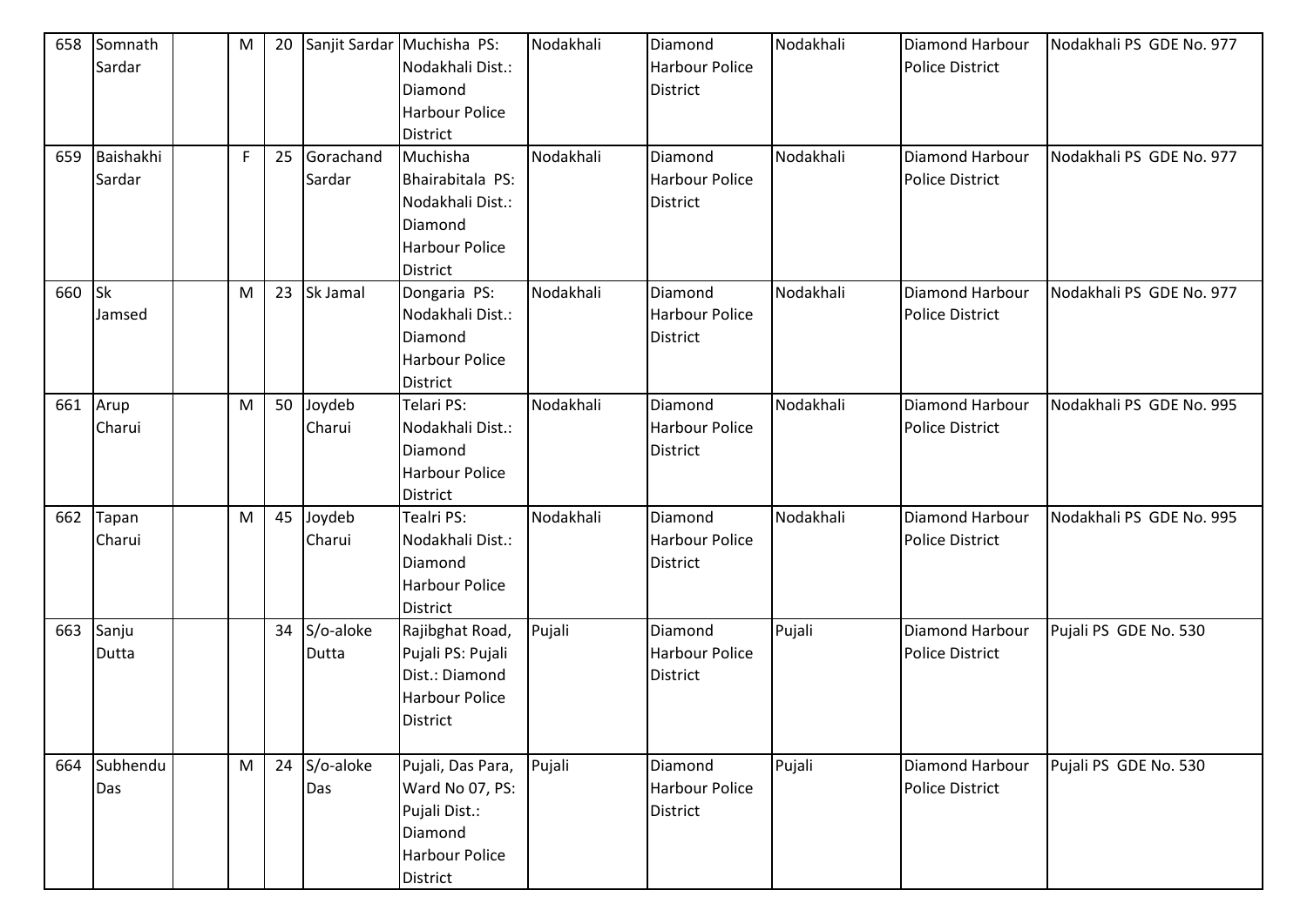| 658 | Somnath<br>Sardar        | M           | 20 |                     | Sanjit Sardar Muchisha PS:<br>Nodakhali Dist.:<br>Diamond<br><b>Harbour Police</b><br><b>District</b> | Nodakhali | Diamond<br><b>Harbour Police</b><br>District        | Nodakhali | Diamond Harbour<br>Police District        | Nodakhali PS GDE No. 977 |
|-----|--------------------------|-------------|----|---------------------|-------------------------------------------------------------------------------------------------------|-----------|-----------------------------------------------------|-----------|-------------------------------------------|--------------------------|
| 659 | Baishakhi<br>Sardar      | $\mathsf F$ | 25 | Gorachand<br>Sardar | Muchisha<br>Bhairabitala PS:<br>Nodakhali Dist.:<br>Diamond<br>Harbour Police<br>District             | Nodakhali | Diamond<br><b>Harbour Police</b><br><b>District</b> | Nodakhali | Diamond Harbour<br><b>Police District</b> | Nodakhali PS GDE No. 977 |
| 660 | S <sub>k</sub><br>Jamsed | M           | 23 | Sk Jamal            | Dongaria PS:<br>Nodakhali Dist.:<br>Diamond<br>Harbour Police<br><b>District</b>                      | Nodakhali | Diamond<br><b>Harbour Police</b><br><b>District</b> | Nodakhali | Diamond Harbour<br><b>Police District</b> | Nodakhali PS GDE No. 977 |
| 661 | Arup<br>Charui           | M           | 50 | Joydeb<br>Charui    | Telari PS:<br>Nodakhali Dist.:<br>Diamond<br><b>Harbour Police</b><br><b>District</b>                 | Nodakhali | Diamond<br><b>Harbour Police</b><br><b>District</b> | Nodakhali | Diamond Harbour<br><b>Police District</b> | Nodakhali PS GDE No. 995 |
| 662 | Tapan<br>Charui          | M           | 45 | Joydeb<br>Charui    | Tealri PS:<br>Nodakhali Dist.:<br>Diamond<br><b>Harbour Police</b><br><b>District</b>                 | Nodakhali | Diamond<br>Harbour Police<br>District               | Nodakhali | Diamond Harbour<br><b>Police District</b> | Nodakhali PS GDE No. 995 |
| 663 | Sanju<br>Dutta           |             | 34 | S/o-aloke<br>Dutta  | Rajibghat Road,<br>Pujali PS: Pujali<br>Dist.: Diamond<br><b>Harbour Police</b><br><b>District</b>    | Pujali    | Diamond<br><b>Harbour Police</b><br>District        | Pujali    | Diamond Harbour<br><b>Police District</b> | Pujali PS GDE No. 530    |
| 664 | Subhendu<br>Das          | M           | 24 | S/o-aloke<br>Das    | Pujali, Das Para,<br>Ward No 07, PS:<br>Pujali Dist.:<br>Diamond<br><b>Harbour Police</b><br>District | Pujali    | Diamond<br><b>Harbour Police</b><br><b>District</b> | Pujali    | Diamond Harbour<br>Police District        | Pujali PS GDE No. 530    |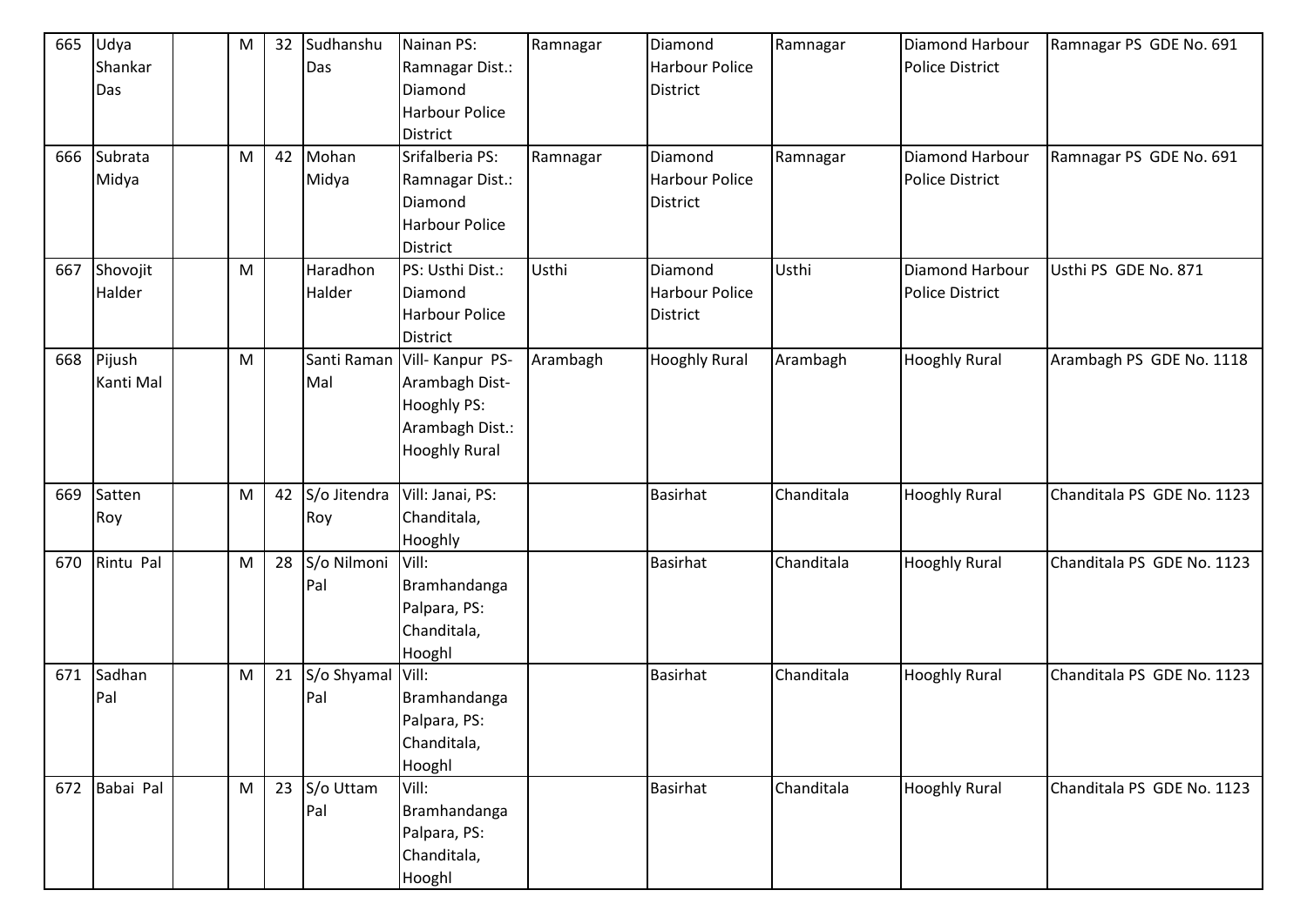| 665 | Udya      | ${\sf M}$ | 32 | Sudhanshu    | Nainan PS:            | Ramnagar | Diamond               | Ramnagar   | Diamond Harbour        | Ramnagar PS GDE No. 691    |
|-----|-----------|-----------|----|--------------|-----------------------|----------|-----------------------|------------|------------------------|----------------------------|
|     | Shankar   |           |    | Das          | Ramnagar Dist.:       |          | <b>Harbour Police</b> |            | <b>Police District</b> |                            |
|     | Das       |           |    |              | Diamond               |          | <b>District</b>       |            |                        |                            |
|     |           |           |    |              | <b>Harbour Police</b> |          |                       |            |                        |                            |
|     |           |           |    |              | <b>District</b>       |          |                       |            |                        |                            |
| 666 | Subrata   | ${\sf M}$ | 42 | Mohan        | Srifalberia PS:       | Ramnagar | Diamond               | Ramnagar   | Diamond Harbour        | Ramnagar PS GDE No. 691    |
|     | Midya     |           |    | Midya        | Ramnagar Dist.:       |          | <b>Harbour Police</b> |            | <b>Police District</b> |                            |
|     |           |           |    |              | Diamond               |          | <b>District</b>       |            |                        |                            |
|     |           |           |    |              | <b>Harbour Police</b> |          |                       |            |                        |                            |
|     |           |           |    |              | <b>District</b>       |          |                       |            |                        |                            |
| 667 | Shovojit  | M         |    | Haradhon     | PS: Usthi Dist.:      | Usthi    | Diamond               | Usthi      | Diamond Harbour        | Usthi PS GDE No. 871       |
|     | Halder    |           |    | Halder       | Diamond               |          | <b>Harbour Police</b> |            | <b>Police District</b> |                            |
|     |           |           |    |              | <b>Harbour Police</b> |          | <b>District</b>       |            |                        |                            |
|     |           |           |    |              | <b>District</b>       |          |                       |            |                        |                            |
| 668 | Pijush    | ${\sf M}$ |    | Santi Raman  | Vill-Kanpur PS-       | Arambagh | <b>Hooghly Rural</b>  | Arambagh   | <b>Hooghly Rural</b>   | Arambagh PS GDE No. 1118   |
|     | Kanti Mal |           |    | Mal          | Arambagh Dist-        |          |                       |            |                        |                            |
|     |           |           |    |              | Hooghly PS:           |          |                       |            |                        |                            |
|     |           |           |    |              | Arambagh Dist.:       |          |                       |            |                        |                            |
|     |           |           |    |              | <b>Hooghly Rural</b>  |          |                       |            |                        |                            |
|     |           |           |    |              |                       |          |                       |            |                        |                            |
| 669 | Satten    | ${\sf M}$ | 42 | S/o Jitendra | Vill: Janai, PS:      |          | <b>Basirhat</b>       | Chanditala | <b>Hooghly Rural</b>   | Chanditala PS GDE No. 1123 |
|     | Roy       |           |    | Roy          | Chanditala,           |          |                       |            |                        |                            |
|     |           |           |    |              | Hooghly               |          |                       |            |                        |                            |
| 670 | Rintu Pal | ${\sf M}$ | 28 | S/o Nilmoni  | Vill:                 |          | <b>Basirhat</b>       | Chanditala | <b>Hooghly Rural</b>   | Chanditala PS GDE No. 1123 |
|     |           |           |    | Pal          | Bramhandanga          |          |                       |            |                        |                            |
|     |           |           |    |              | Palpara, PS:          |          |                       |            |                        |                            |
|     |           |           |    |              | Chanditala,           |          |                       |            |                        |                            |
|     |           |           |    |              | Hooghl                |          |                       |            |                        |                            |
| 671 | Sadhan    | ${\sf M}$ | 21 | S/o Shyamal  | Vill:                 |          | <b>Basirhat</b>       | Chanditala | <b>Hooghly Rural</b>   | Chanditala PS GDE No. 1123 |
|     | Pal       |           |    | Pal          | Bramhandanga          |          |                       |            |                        |                            |
|     |           |           |    |              | Palpara, PS:          |          |                       |            |                        |                            |
|     |           |           |    |              | Chanditala,           |          |                       |            |                        |                            |
|     |           |           |    |              | Hooghl                |          |                       |            |                        |                            |
| 672 | Babai Pal | M         | 23 | S/o Uttam    | Vill:                 |          | <b>Basirhat</b>       | Chanditala | <b>Hooghly Rural</b>   | Chanditala PS GDE No. 1123 |
|     |           |           |    | Pal          | Bramhandanga          |          |                       |            |                        |                            |
|     |           |           |    |              | Palpara, PS:          |          |                       |            |                        |                            |
|     |           |           |    |              | Chanditala,           |          |                       |            |                        |                            |
|     |           |           |    |              | Hooghl                |          |                       |            |                        |                            |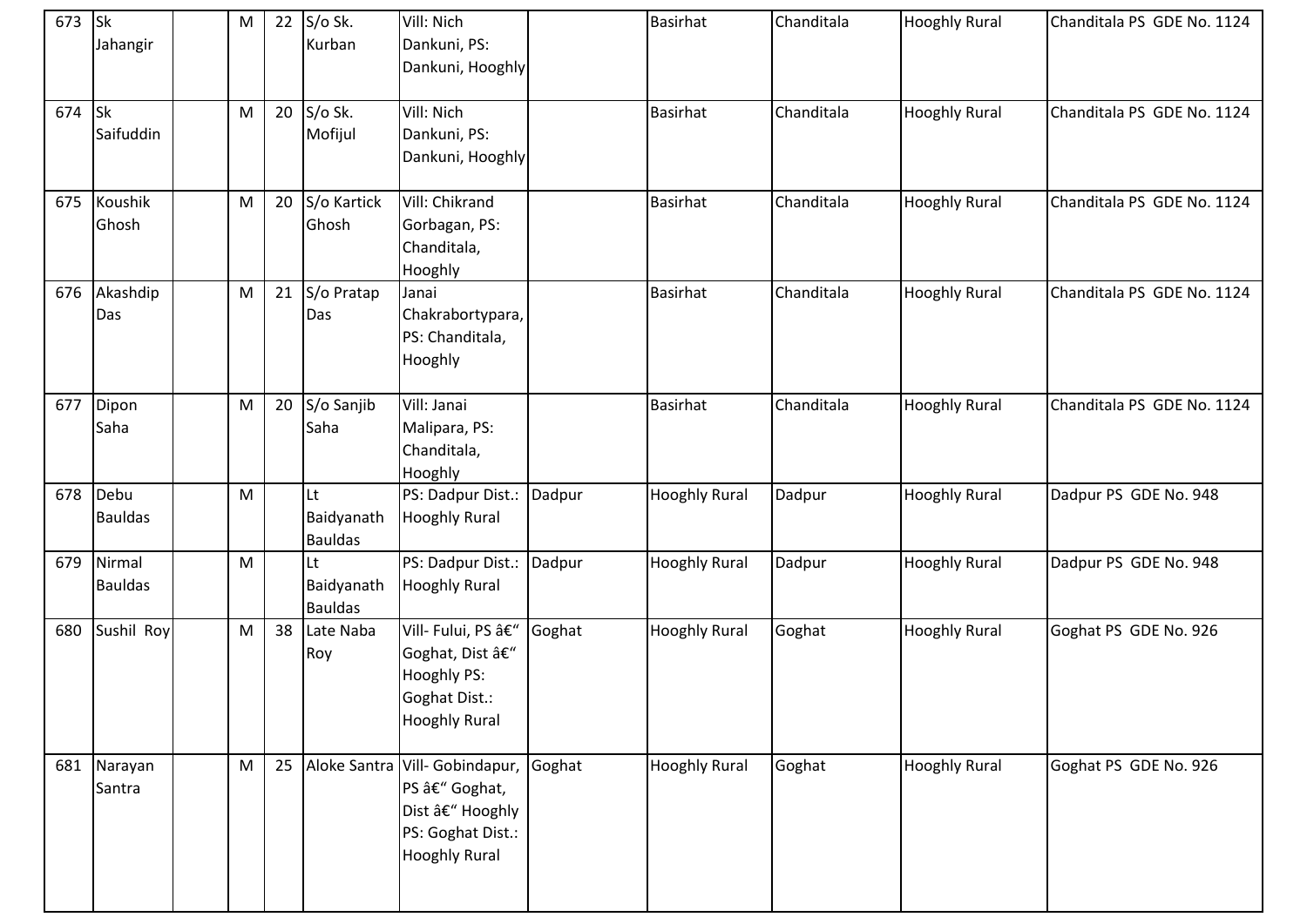| 673 | s<br>Jahangir                       | M         | 22 | S/o Sk.<br>Kurban                  | Vill: Nich<br>Dankuni, PS:<br>Dankuni, Hooghly                                                                |        | <b>Basirhat</b>      | Chanditala | <b>Hooghly Rural</b> | Chanditala PS GDE No. 1124 |
|-----|-------------------------------------|-----------|----|------------------------------------|---------------------------------------------------------------------------------------------------------------|--------|----------------------|------------|----------------------|----------------------------|
| 674 | $\mathsf{S}\mathsf{k}$<br>Saifuddin | M         | 20 | S/o Sk.<br>Mofijul                 | Vill: Nich<br>Dankuni, PS:<br>Dankuni, Hooghly                                                                |        | <b>Basirhat</b>      | Chanditala | <b>Hooghly Rural</b> | Chanditala PS GDE No. 1124 |
| 675 | Koushik<br>Ghosh                    | M         | 20 | S/o Kartick<br>Ghosh               | Vill: Chikrand<br>Gorbagan, PS:<br>Chanditala,<br>Hooghly                                                     |        | <b>Basirhat</b>      | Chanditala | <b>Hooghly Rural</b> | Chanditala PS GDE No. 1124 |
| 676 | Akashdip<br>Das                     | ${\sf M}$ | 21 | S/o Pratap<br>Das                  | Janai<br>Chakrabortypara,<br>PS: Chanditala,<br>Hooghly                                                       |        | <b>Basirhat</b>      | Chanditala | <b>Hooghly Rural</b> | Chanditala PS GDE No. 1124 |
| 677 | Dipon<br>Saha                       | M         | 20 | S/o Sanjib<br>Saha                 | Vill: Janai<br>Malipara, PS:<br>Chanditala,<br>Hooghly                                                        |        | <b>Basirhat</b>      | Chanditala | <b>Hooghly Rural</b> | Chanditala PS GDE No. 1124 |
|     | 678 Debu<br><b>Bauldas</b>          | M         |    | Lt<br>Baidyanath<br><b>Bauldas</b> | PS: Dadpur Dist.:<br><b>Hooghly Rural</b>                                                                     | Dadpur | <b>Hooghly Rural</b> | Dadpur     | <b>Hooghly Rural</b> | Dadpur PS GDE No. 948      |
| 679 | Nirmal<br><b>Bauldas</b>            | M         |    | Lt<br>Baidyanath<br><b>Bauldas</b> | PS: Dadpur Dist.:<br><b>Hooghly Rural</b>                                                                     | Dadpur | <b>Hooghly Rural</b> | Dadpur     | <b>Hooghly Rural</b> | Dadpur PS GDE No. 948      |
| 680 | Sushil Roy                          | M         | 38 | Late Naba<br>Roy                   | Vill- Fului, PS –<br>Goghat, Dist –<br>Hooghly PS:<br>Goghat Dist.:<br><b>Hooghly Rural</b>                   | Goghat | <b>Hooghly Rural</b> | Goghat     | <b>Hooghly Rural</b> | Goghat PS GDE No. 926      |
| 681 | Narayan<br>Santra                   | M         | 25 |                                    | Aloke Santra Vill- Gobindapur,<br>PS – Goghat,<br>Dist – Hooghly<br>PS: Goghat Dist.:<br><b>Hooghly Rural</b> | Goghat | <b>Hooghly Rural</b> | Goghat     | <b>Hooghly Rural</b> | Goghat PS GDE No. 926      |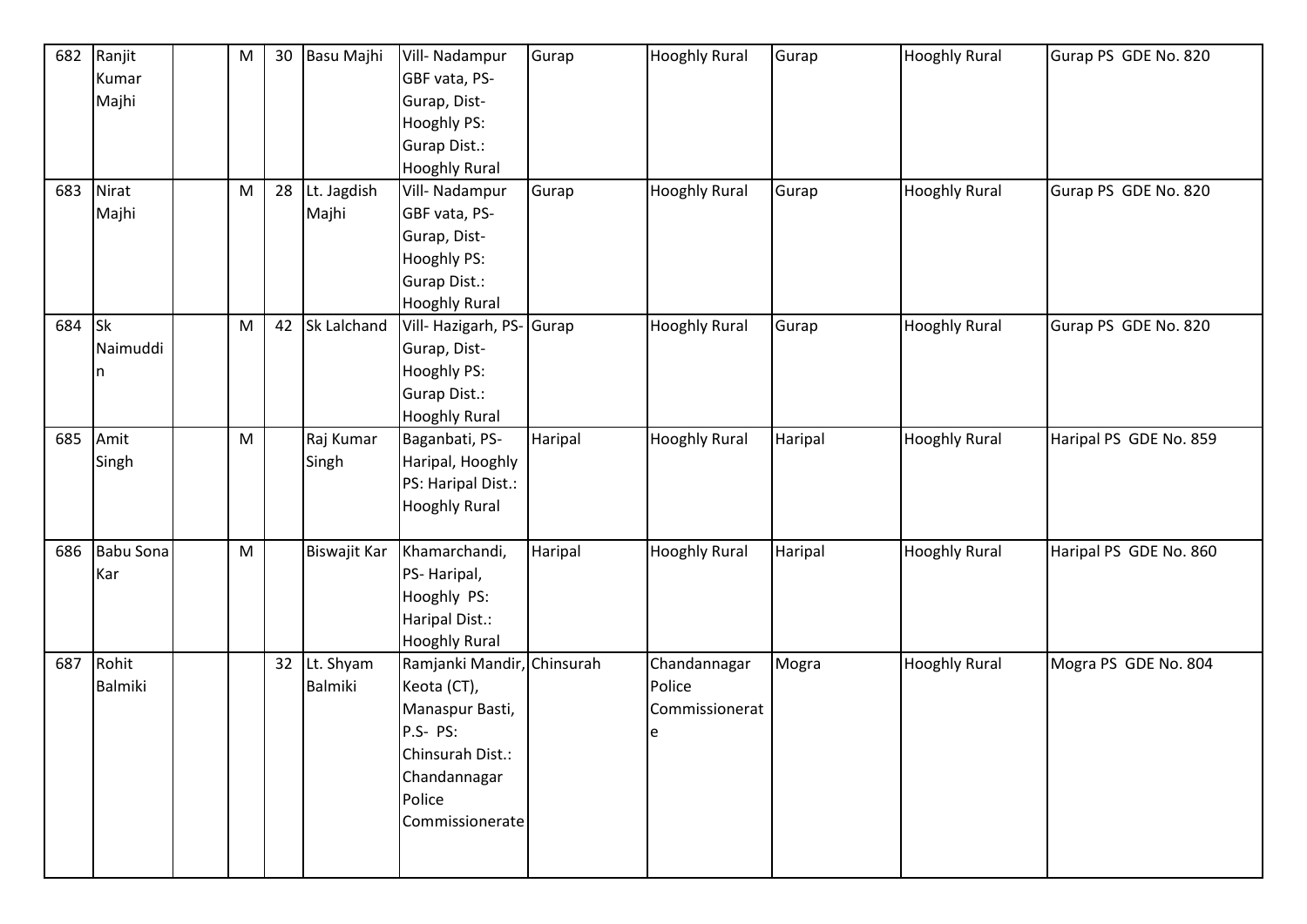| 682<br>683 | Ranjit<br>Kumar<br>Majhi<br>Nirat<br>Majhi | ${\sf M}$<br>${\sf M}$ | 30<br>28 | Basu Majhi<br>Lt. Jagdish<br>Majhi | Vill- Nadampur<br>GBF vata, PS-<br>Gurap, Dist-<br>Hooghly PS:<br>Gurap Dist.:<br><b>Hooghly Rural</b><br>Vill- Nadampur<br>GBF vata, PS-<br>Gurap, Dist-<br>Hooghly PS: | Gurap<br>Gurap | <b>Hooghly Rural</b><br><b>Hooghly Rural</b>  | Gurap<br>Gurap | <b>Hooghly Rural</b><br><b>Hooghly Rural</b> | Gurap PS GDE No. 820<br>Gurap PS GDE No. 820 |
|------------|--------------------------------------------|------------------------|----------|------------------------------------|--------------------------------------------------------------------------------------------------------------------------------------------------------------------------|----------------|-----------------------------------------------|----------------|----------------------------------------------|----------------------------------------------|
|            |                                            |                        |          |                                    | <b>Gurap Dist.:</b><br><b>Hooghly Rural</b>                                                                                                                              |                |                                               |                |                                              |                                              |
| 684        | <b>Sk</b><br>Naimuddi<br>In                | ${\sf M}$              | 42       | Sk Lalchand                        | Vill- Hazigarh, PS- Gurap<br>Gurap, Dist-<br>Hooghly PS:<br>Gurap Dist.:<br><b>Hooghly Rural</b>                                                                         |                | <b>Hooghly Rural</b>                          | Gurap          | <b>Hooghly Rural</b>                         | Gurap PS GDE No. 820                         |
| 685        | Amit<br>Singh                              | ${\sf M}$              |          | Raj Kumar<br>Singh                 | Baganbati, PS-<br>Haripal, Hooghly<br>PS: Haripal Dist.:<br><b>Hooghly Rural</b>                                                                                         | Haripal        | <b>Hooghly Rural</b>                          | Haripal        | <b>Hooghly Rural</b>                         | Haripal PS GDE No. 859                       |
| 686        | Babu Sona<br>Kar                           | ${\sf M}$              |          | Biswajit Kar                       | Khamarchandi,<br>PS-Haripal,<br>Hooghly PS:<br>Haripal Dist.:<br><b>Hooghly Rural</b>                                                                                    | Haripal        | <b>Hooghly Rural</b>                          | Haripal        | <b>Hooghly Rural</b>                         | Haripal PS GDE No. 860                       |
| 687        | Rohit<br>Balmiki                           |                        |          | 32 Lt. Shyam<br>Balmiki            | Ramjanki Mandir, Chinsurah<br>Keota (CT),<br>Manaspur Basti,<br>P.S- PS:<br>Chinsurah Dist.:<br>Chandannagar<br>Police<br>Commissionerate                                |                | Chandannagar<br>Police<br>Commissionerat<br>e | Mogra          | <b>Hooghly Rural</b>                         | Mogra PS GDE No. 804                         |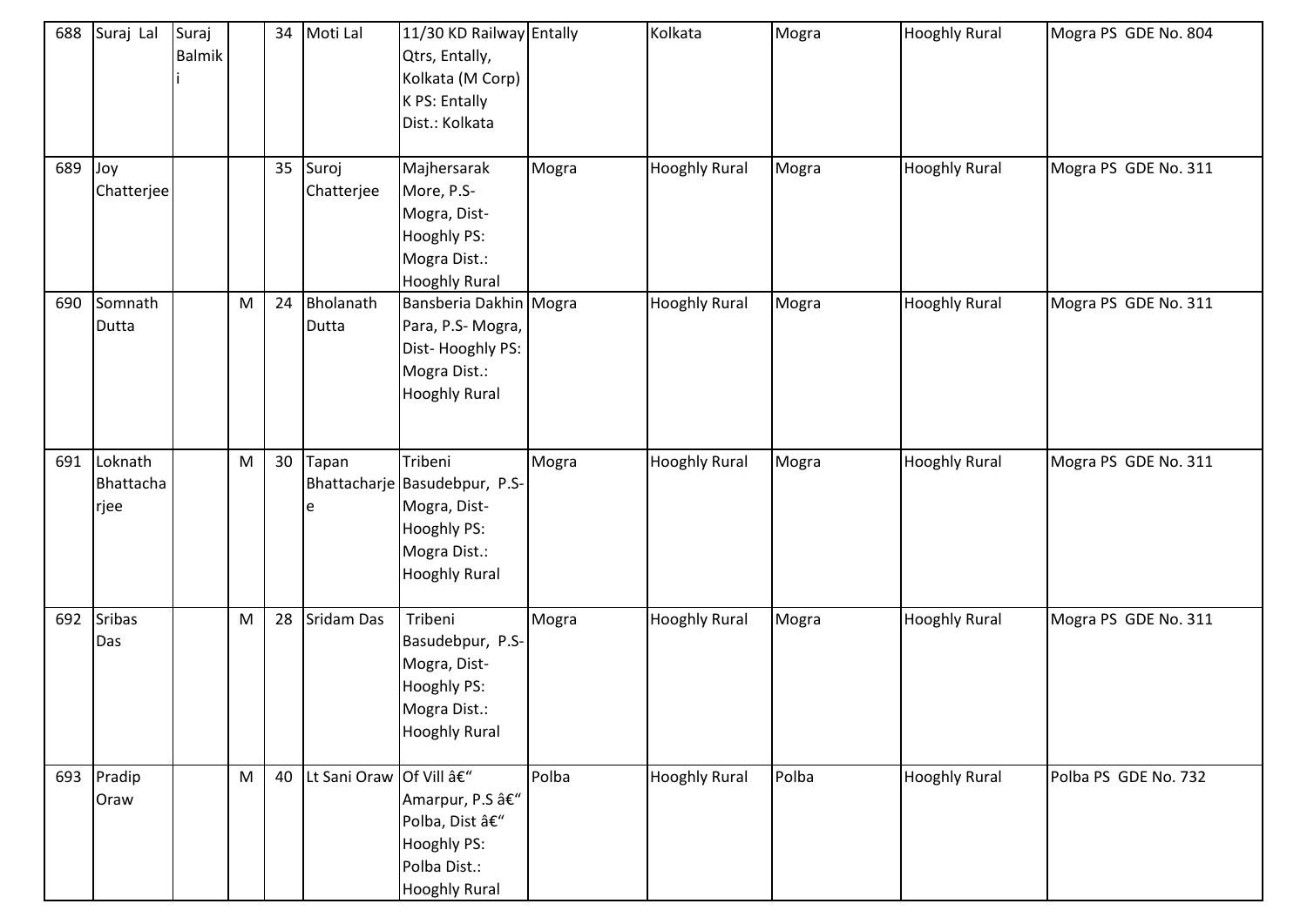| 688 | Suraj Lal                    | Suraj<br>Balmik |                                                                                                            | 34 | Moti Lal               | 11/30 KD Railway Entally<br>Qtrs, Entally,<br>Kolkata (M Corp)<br>K PS: Entally<br>Dist.: Kolkata               |       | Kolkata              | Mogra | <b>Hooghly Rural</b> | Mogra PS GDE No. 804 |
|-----|------------------------------|-----------------|------------------------------------------------------------------------------------------------------------|----|------------------------|-----------------------------------------------------------------------------------------------------------------|-------|----------------------|-------|----------------------|----------------------|
| 689 | Joy<br>Chatterjee            |                 |                                                                                                            | 35 | Suroj<br>Chatterjee    | Majhersarak<br>More, P.S-<br>Mogra, Dist-<br>Hooghly PS:<br>Mogra Dist.:<br><b>Hooghly Rural</b>                | Mogra | <b>Hooghly Rural</b> | Mogra | <b>Hooghly Rural</b> | Mogra PS GDE No. 311 |
| 690 | Somnath<br>Dutta             |                 | M                                                                                                          | 24 | Bholanath<br>Dutta     | Bansberia Dakhin Mogra<br>Para, P.S- Mogra,<br>Dist-Hooghly PS:<br>Mogra Dist.:<br><b>Hooghly Rural</b>         |       | <b>Hooghly Rural</b> | Mogra | <b>Hooghly Rural</b> | Mogra PS GDE No. 311 |
| 691 | Loknath<br>Bhattacha<br>rjee |                 | ${\sf M}$                                                                                                  | 30 | Tapan<br>e             | Tribeni<br>Bhattacharje Basudebpur, P.S-<br>Mogra, Dist-<br>Hooghly PS:<br>Mogra Dist.:<br><b>Hooghly Rural</b> | Mogra | <b>Hooghly Rural</b> | Mogra | <b>Hooghly Rural</b> | Mogra PS GDE No. 311 |
| 692 | <b>Sribas</b><br>Das         |                 | ${\sf M}$                                                                                                  | 28 | Sridam Das             | Tribeni<br>Basudebpur, P.S-<br>Mogra, Dist-<br>Hooghly PS:<br>Mogra Dist.:<br><b>Hooghly Rural</b>              | Mogra | <b>Hooghly Rural</b> | Mogra | <b>Hooghly Rural</b> | Mogra PS GDE No. 311 |
| 693 | Pradip<br>Oraw               |                 | $\mathsf{M}% _{T}=\mathsf{M}_{T}\!\left( a,b\right) ,\ \mathsf{M}_{T}=\mathsf{M}_{T}\!\left( a,b\right) ,$ | 40 | Lt Sani Oraw Of Vill – | Amarpur, P.S –<br>Polba, Dist –<br><b>Hooghly PS:</b><br>Polba Dist.:<br><b>Hooghly Rural</b>                   | Polba | <b>Hooghly Rural</b> | Polba | <b>Hooghly Rural</b> | Polba PS GDE No. 732 |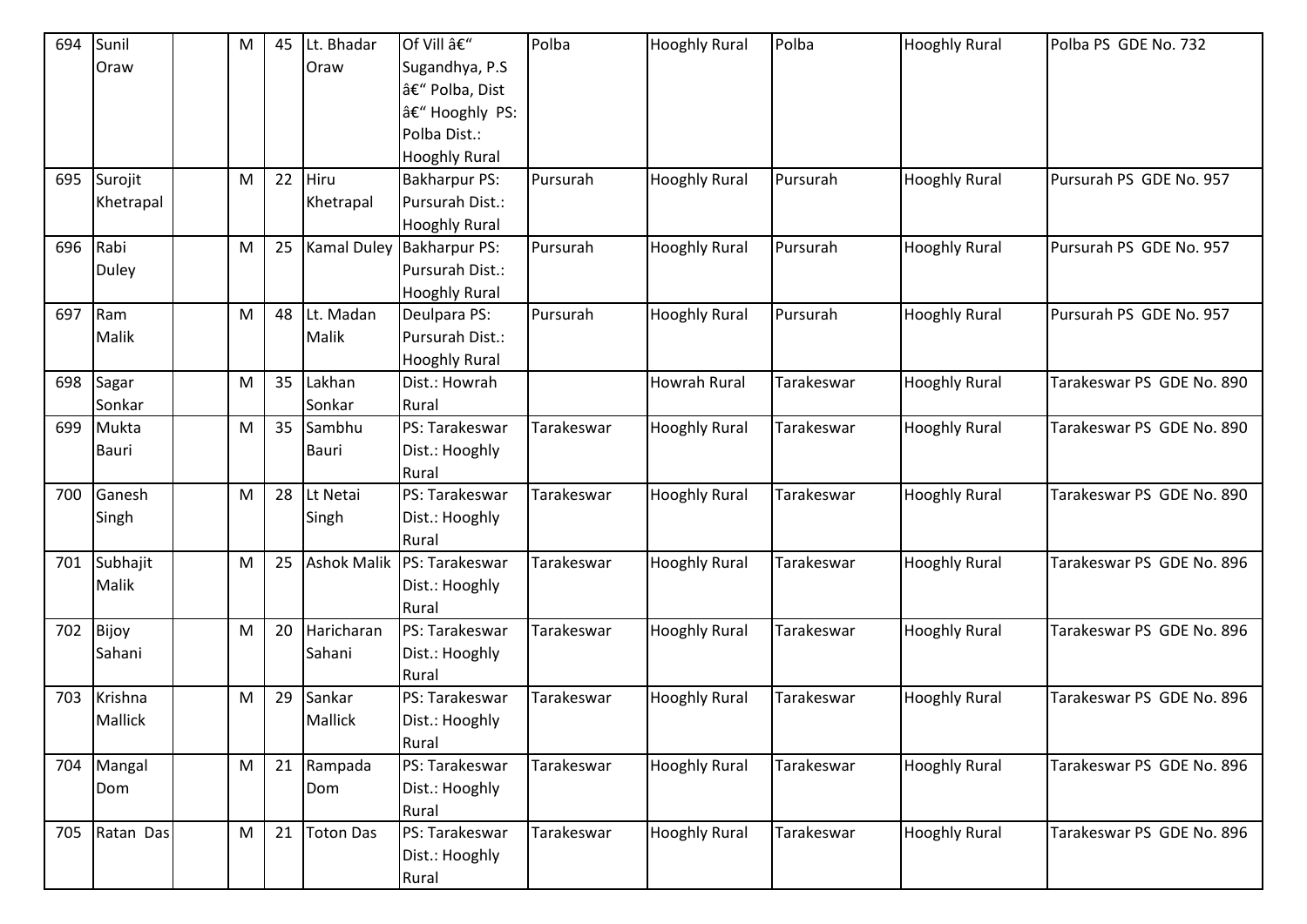| 694 | Sunil          | M | 45 | Lt. Bhadar         | Of Vill –            | Polba      | <b>Hooghly Rural</b> | Polba      | <b>Hooghly Rural</b> | Polba PS GDE No. 732      |
|-----|----------------|---|----|--------------------|----------------------|------------|----------------------|------------|----------------------|---------------------------|
|     | Oraw           |   |    | Oraw               | Sugandhya, P.S       |            |                      |            |                      |                           |
|     |                |   |    |                    | – Polba, Dist        |            |                      |            |                      |                           |
|     |                |   |    |                    | – Hooghly PS:        |            |                      |            |                      |                           |
|     |                |   |    |                    | Polba Dist.:         |            |                      |            |                      |                           |
|     |                |   |    |                    | <b>Hooghly Rural</b> |            |                      |            |                      |                           |
| 695 | Surojit        | M | 22 | Hiru               | <b>Bakharpur PS:</b> | Pursurah   | <b>Hooghly Rural</b> | Pursurah   | <b>Hooghly Rural</b> | Pursurah PS GDE No. 957   |
|     | Khetrapal      |   |    | Khetrapal          | Pursurah Dist.:      |            |                      |            |                      |                           |
|     |                |   |    |                    | <b>Hooghly Rural</b> |            |                      |            |                      |                           |
| 696 | Rabi           | M | 25 | <b>Kamal Duley</b> | <b>Bakharpur PS:</b> | Pursurah   | <b>Hooghly Rural</b> | Pursurah   | <b>Hooghly Rural</b> | Pursurah PS GDE No. 957   |
|     | <b>Duley</b>   |   |    |                    | Pursurah Dist.:      |            |                      |            |                      |                           |
|     |                |   |    |                    | <b>Hooghly Rural</b> |            |                      |            |                      |                           |
| 697 | Ram            | M | 48 | Lt. Madan          | Deulpara PS:         | Pursurah   | <b>Hooghly Rural</b> | Pursurah   | <b>Hooghly Rural</b> | Pursurah PS GDE No. 957   |
|     | Malik          |   |    | Malik              | Pursurah Dist.:      |            |                      |            |                      |                           |
|     |                |   |    |                    | <b>Hooghly Rural</b> |            |                      |            |                      |                           |
| 698 | Sagar          | M | 35 | Lakhan             | Dist.: Howrah        |            | <b>Howrah Rural</b>  | Tarakeswar | <b>Hooghly Rural</b> | Tarakeswar PS GDE No. 890 |
|     | Sonkar         |   |    | Sonkar             | Rural                |            |                      |            |                      |                           |
| 699 | Mukta          | M | 35 | Sambhu             | PS: Tarakeswar       | Tarakeswar | <b>Hooghly Rural</b> | Tarakeswar | <b>Hooghly Rural</b> | Tarakeswar PS GDE No. 890 |
|     | <b>Bauri</b>   |   |    | Bauri              | Dist.: Hooghly       |            |                      |            |                      |                           |
|     |                |   |    |                    | Rural                |            |                      |            |                      |                           |
| 700 | Ganesh         | M | 28 | Lt Netai           | PS: Tarakeswar       | Tarakeswar | <b>Hooghly Rural</b> | Tarakeswar | <b>Hooghly Rural</b> | Tarakeswar PS GDE No. 890 |
|     | Singh          |   |    | Singh              | Dist.: Hooghly       |            |                      |            |                      |                           |
|     |                |   |    |                    | Rural                |            |                      |            |                      |                           |
| 701 | Subhajit       | M | 25 | <b>Ashok Malik</b> | PS: Tarakeswar       | Tarakeswar | <b>Hooghly Rural</b> | Tarakeswar | <b>Hooghly Rural</b> | Tarakeswar PS GDE No. 896 |
|     | Malik          |   |    |                    | Dist.: Hooghly       |            |                      |            |                      |                           |
|     |                |   |    |                    | Rural                |            |                      |            |                      |                           |
| 702 | Bijoy          | M | 20 | Haricharan         | PS: Tarakeswar       | Tarakeswar | <b>Hooghly Rural</b> | Tarakeswar | <b>Hooghly Rural</b> | Tarakeswar PS GDE No. 896 |
|     | Sahani         |   |    | Sahani             | Dist.: Hooghly       |            |                      |            |                      |                           |
|     |                |   |    |                    | Rural                |            |                      |            |                      |                           |
| 703 | Krishna        | M | 29 | Sankar             | PS: Tarakeswar       | Tarakeswar | <b>Hooghly Rural</b> | Tarakeswar | <b>Hooghly Rural</b> | Tarakeswar PS GDE No. 896 |
|     | <b>Mallick</b> |   |    | Mallick            | Dist.: Hooghly       |            |                      |            |                      |                           |
|     |                |   |    |                    | Rural                |            |                      |            |                      |                           |
| 704 | Mangal         | M |    | 21 Rampada         | PS: Tarakeswar       | Tarakeswar | <b>Hooghly Rural</b> | Tarakeswar | <b>Hooghly Rural</b> | Tarakeswar PS GDE No. 896 |
|     | Dom            |   |    | Dom                | Dist.: Hooghly       |            |                      |            |                      |                           |
|     |                |   |    |                    | Rural                |            |                      |            |                      |                           |
| 705 | Ratan Das      | M | 21 | <b>Toton Das</b>   | PS: Tarakeswar       | Tarakeswar | <b>Hooghly Rural</b> | Tarakeswar | <b>Hooghly Rural</b> | Tarakeswar PS GDE No. 896 |
|     |                |   |    |                    | Dist.: Hooghly       |            |                      |            |                      |                           |
|     |                |   |    |                    | Rural                |            |                      |            |                      |                           |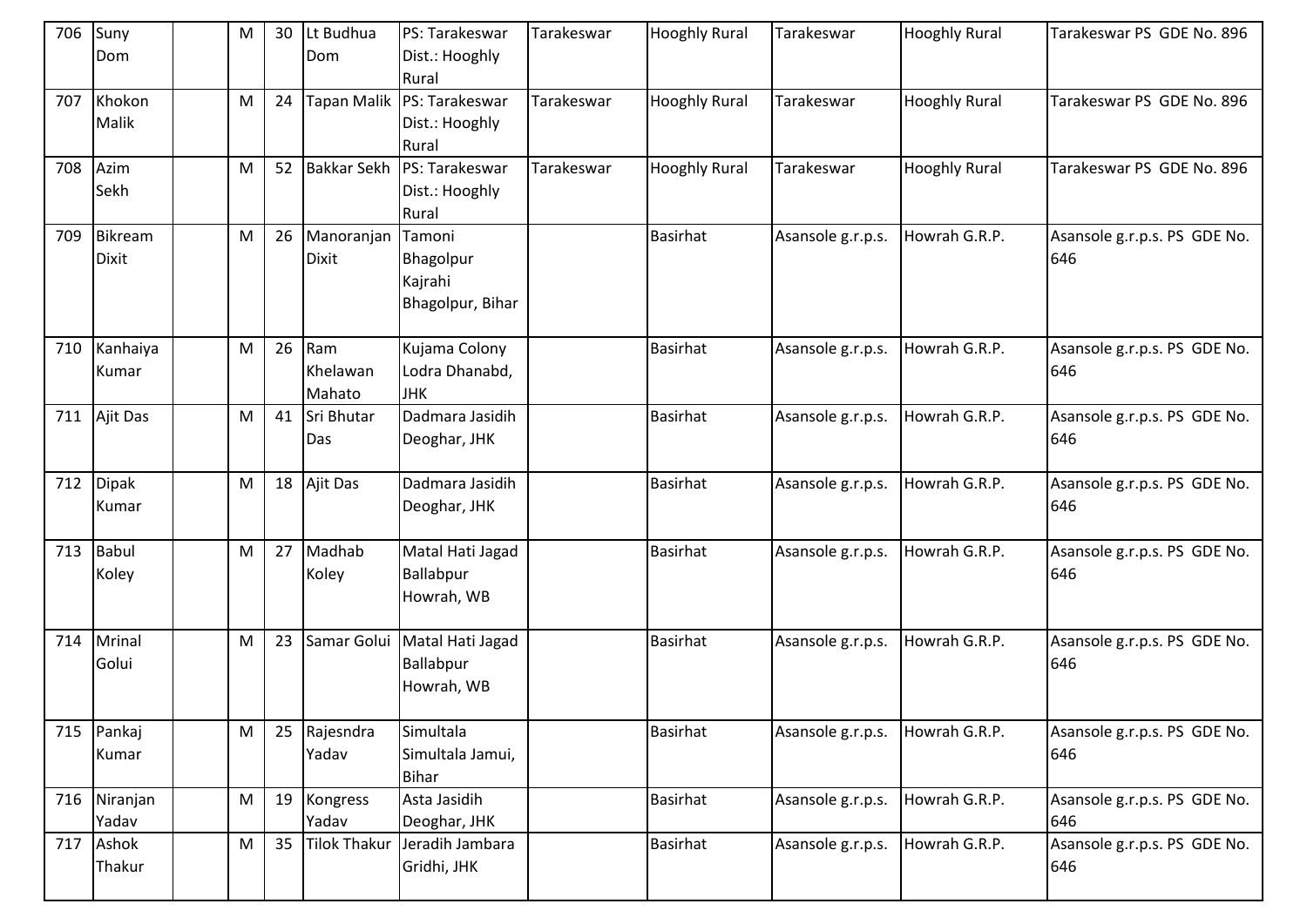| 706 | Suny<br>Dom  | M         | 30 | Lt Budhua<br>Dom    | PS: Tarakeswar<br>Dist.: Hooghly | Tarakeswar | <b>Hooghly Rural</b> | Tarakeswar        | <b>Hooghly Rural</b> | Tarakeswar PS GDE No. 896    |
|-----|--------------|-----------|----|---------------------|----------------------------------|------------|----------------------|-------------------|----------------------|------------------------------|
|     |              |           |    |                     | Rural                            |            |                      |                   |                      |                              |
| 707 | Khokon       | M         | 24 |                     | Tapan Malik   PS: Tarakeswar     | Tarakeswar | <b>Hooghly Rural</b> | Tarakeswar        | <b>Hooghly Rural</b> | Tarakeswar PS GDE No. 896    |
|     | Malik        |           |    |                     | Dist.: Hooghly                   |            |                      |                   |                      |                              |
|     |              |           |    |                     | Rural                            |            |                      |                   |                      |                              |
| 708 | Azim         | M         | 52 | <b>Bakkar Sekh</b>  | PS: Tarakeswar                   | Tarakeswar | <b>Hooghly Rural</b> | Tarakeswar        | <b>Hooghly Rural</b> | Tarakeswar PS GDE No. 896    |
|     | Sekh         |           |    |                     | Dist.: Hooghly                   |            |                      |                   |                      |                              |
|     |              |           |    |                     | Rural                            |            |                      |                   |                      |                              |
| 709 | Bikream      | M         | 26 | Manoranjan          | Tamoni                           |            | <b>Basirhat</b>      | Asansole g.r.p.s. | Howrah G.R.P.        | Asansole g.r.p.s. PS GDE No. |
|     | <b>Dixit</b> |           |    | <b>Dixit</b>        | Bhagolpur                        |            |                      |                   |                      | 646                          |
|     |              |           |    |                     | Kajrahi                          |            |                      |                   |                      |                              |
|     |              |           |    |                     | Bhagolpur, Bihar                 |            |                      |                   |                      |                              |
| 710 | Kanhaiya     | ${\sf M}$ | 26 | Ram                 | Kujama Colony                    |            | <b>Basirhat</b>      | Asansole g.r.p.s. | Howrah G.R.P.        | Asansole g.r.p.s. PS GDE No. |
|     | Kumar        |           |    | Khelawan            | Lodra Dhanabd,                   |            |                      |                   |                      | 646                          |
|     |              |           |    | Mahato              | <b>JHK</b>                       |            |                      |                   |                      |                              |
| 711 | Ajit Das     | M         | 41 | Sri Bhutar          | Dadmara Jasidih                  |            | <b>Basirhat</b>      | Asansole g.r.p.s. | Howrah G.R.P.        | Asansole g.r.p.s. PS GDE No. |
|     |              |           |    | Das                 | Deoghar, JHK                     |            |                      |                   |                      | 646                          |
|     |              |           |    |                     |                                  |            |                      |                   |                      |                              |
| 712 | Dipak        | ${\sf M}$ | 18 | Ajit Das            | Dadmara Jasidih                  |            | <b>Basirhat</b>      | Asansole g.r.p.s. | Howrah G.R.P.        | Asansole g.r.p.s. PS GDE No. |
|     | Kumar        |           |    |                     | Deoghar, JHK                     |            |                      |                   |                      | 646                          |
| 713 | Babul        | M         | 27 | Madhab              | Matal Hati Jagad                 |            | <b>Basirhat</b>      | Asansole g.r.p.s. | Howrah G.R.P.        | Asansole g.r.p.s. PS GDE No. |
|     | Koley        |           |    | Koley               | Ballabpur                        |            |                      |                   |                      | 646                          |
|     |              |           |    |                     | Howrah, WB                       |            |                      |                   |                      |                              |
|     |              |           |    |                     |                                  |            |                      |                   |                      |                              |
| 714 | Mrinal       | ${\sf M}$ | 23 | Samar Golui         | Matal Hati Jagad                 |            | <b>Basirhat</b>      | Asansole g.r.p.s. | Howrah G.R.P.        | Asansole g.r.p.s. PS GDE No. |
|     | Golui        |           |    |                     | Ballabpur                        |            |                      |                   |                      | 646                          |
|     |              |           |    |                     | Howrah, WB                       |            |                      |                   |                      |                              |
|     |              |           |    |                     |                                  |            |                      |                   |                      |                              |
| 715 | Pankaj       | M         | 25 | Rajesndra           | Simultala                        |            | <b>Basirhat</b>      | Asansole g.r.p.s. | Howrah G.R.P.        | Asansole g.r.p.s. PS GDE No. |
|     | Kumar        |           |    | Yadav               | Simultala Jamui,                 |            |                      |                   |                      | 646                          |
|     |              |           |    |                     | <b>Bihar</b>                     |            |                      |                   |                      |                              |
|     | 716 Niranjan | ${\sf M}$ | 19 | Kongress            | Asta Jasidih                     |            | <b>Basirhat</b>      | Asansole g.r.p.s. | Howrah G.R.P.        | Asansole g.r.p.s. PS GDE No. |
|     | Yadav        |           |    | Yadav               | Deoghar, JHK                     |            |                      |                   |                      | 646                          |
| 717 | Ashok        | ${\sf M}$ | 35 | <b>Tilok Thakur</b> | Jeradih Jambara                  |            | <b>Basirhat</b>      | Asansole g.r.p.s. | Howrah G.R.P.        | Asansole g.r.p.s. PS GDE No. |
|     | Thakur       |           |    |                     | Gridhi, JHK                      |            |                      |                   |                      | 646                          |
|     |              |           |    |                     |                                  |            |                      |                   |                      |                              |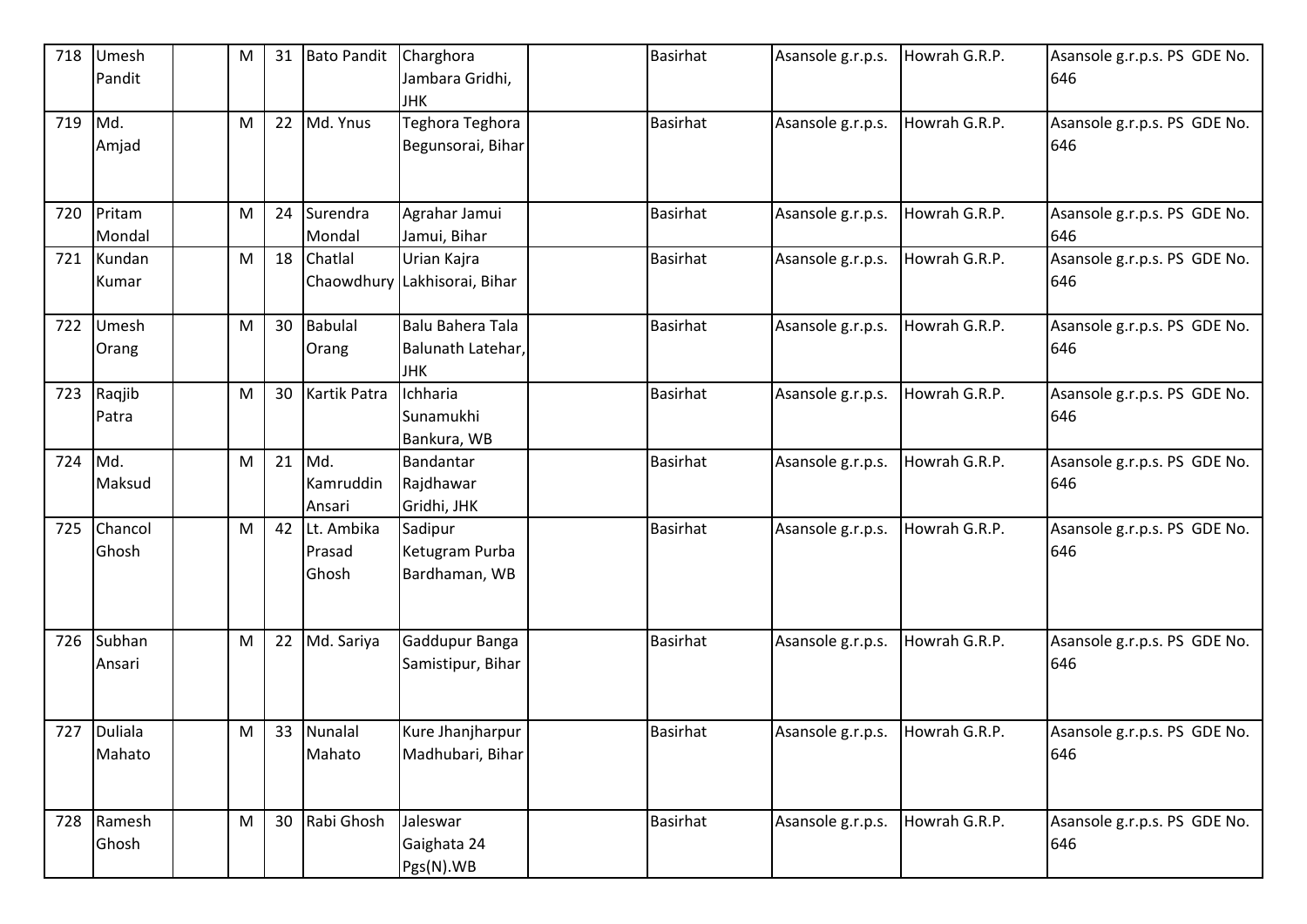| 718 | Umesh<br>Pandit       | M         | 31 | <b>Bato Pandit</b>            | Charghora<br>Jambara Gridhi,<br><b>JHK</b>          | <b>Basirhat</b> | Asansole g.r.p.s. | Howrah G.R.P. | Asansole g.r.p.s. PS GDE No.<br>646 |
|-----|-----------------------|-----------|----|-------------------------------|-----------------------------------------------------|-----------------|-------------------|---------------|-------------------------------------|
| 719 | Md.<br>Amjad          | ${\sf M}$ | 22 | Md. Ynus                      | Teghora Teghora<br>Begunsorai, Bihar                | <b>Basirhat</b> | Asansole g.r.p.s. | Howrah G.R.P. | Asansole g.r.p.s. PS GDE No.<br>646 |
| 720 | Pritam<br>Mondal      | M         | 24 | Surendra<br>Mondal            | Agrahar Jamui<br>Jamui, Bihar                       | <b>Basirhat</b> | Asansole g.r.p.s. | Howrah G.R.P. | Asansole g.r.p.s. PS GDE No.<br>646 |
| 721 | Kundan<br>Kumar       | M         | 18 | Chatlal                       | Urian Kajra<br>Chaowdhury Lakhisorai, Bihar         | <b>Basirhat</b> | Asansole g.r.p.s. | Howrah G.R.P. | Asansole g.r.p.s. PS GDE No.<br>646 |
| 722 | Umesh<br>Orang        | M         | 30 | <b>Babulal</b><br>Orang       | Balu Bahera Tala<br>Balunath Latehar,<br><b>JHK</b> | <b>Basirhat</b> | Asansole g.r.p.s. | Howrah G.R.P. | Asansole g.r.p.s. PS GDE No.<br>646 |
| 723 | Raqjib<br>Patra       | M         | 30 | Kartik Patra                  | Ichharia<br>Sunamukhi<br>Bankura, WB                | <b>Basirhat</b> | Asansole g.r.p.s. | Howrah G.R.P. | Asansole g.r.p.s. PS GDE No.<br>646 |
| 724 | Md.<br>Maksud         | M         | 21 | Md.<br>Kamruddin<br>Ansari    | Bandantar<br>Rajdhawar<br>Gridhi, JHK               | <b>Basirhat</b> | Asansole g.r.p.s. | Howrah G.R.P. | Asansole g.r.p.s. PS GDE No.<br>646 |
| 725 | Chancol<br>Ghosh      | M         | 42 | Lt. Ambika<br>Prasad<br>Ghosh | Sadipur<br>Ketugram Purba<br>Bardhaman, WB          | <b>Basirhat</b> | Asansole g.r.p.s. | Howrah G.R.P. | Asansole g.r.p.s. PS GDE No.<br>646 |
| 726 | Subhan<br>Ansari      | M         | 22 | Md. Sariya                    | Gaddupur Banga<br>Samistipur, Bihar                 | <b>Basirhat</b> | Asansole g.r.p.s. | Howrah G.R.P. | Asansole g.r.p.s. PS GDE No.<br>646 |
|     | 727 Duliala<br>Mahato | M         |    | 33 Nunalal<br>Mahato          | Kure Jhanjharpur<br>Madhubari, Bihar                | <b>Basirhat</b> | Asansole g.r.p.s. | Howrah G.R.P. | Asansole g.r.p.s. PS GDE No.<br>646 |
| 728 | Ramesh<br>Ghosh       | M         | 30 | Rabi Ghosh                    | Jaleswar<br>Gaighata 24<br>Pgs(N).WB                | <b>Basirhat</b> | Asansole g.r.p.s. | Howrah G.R.P. | Asansole g.r.p.s. PS GDE No.<br>646 |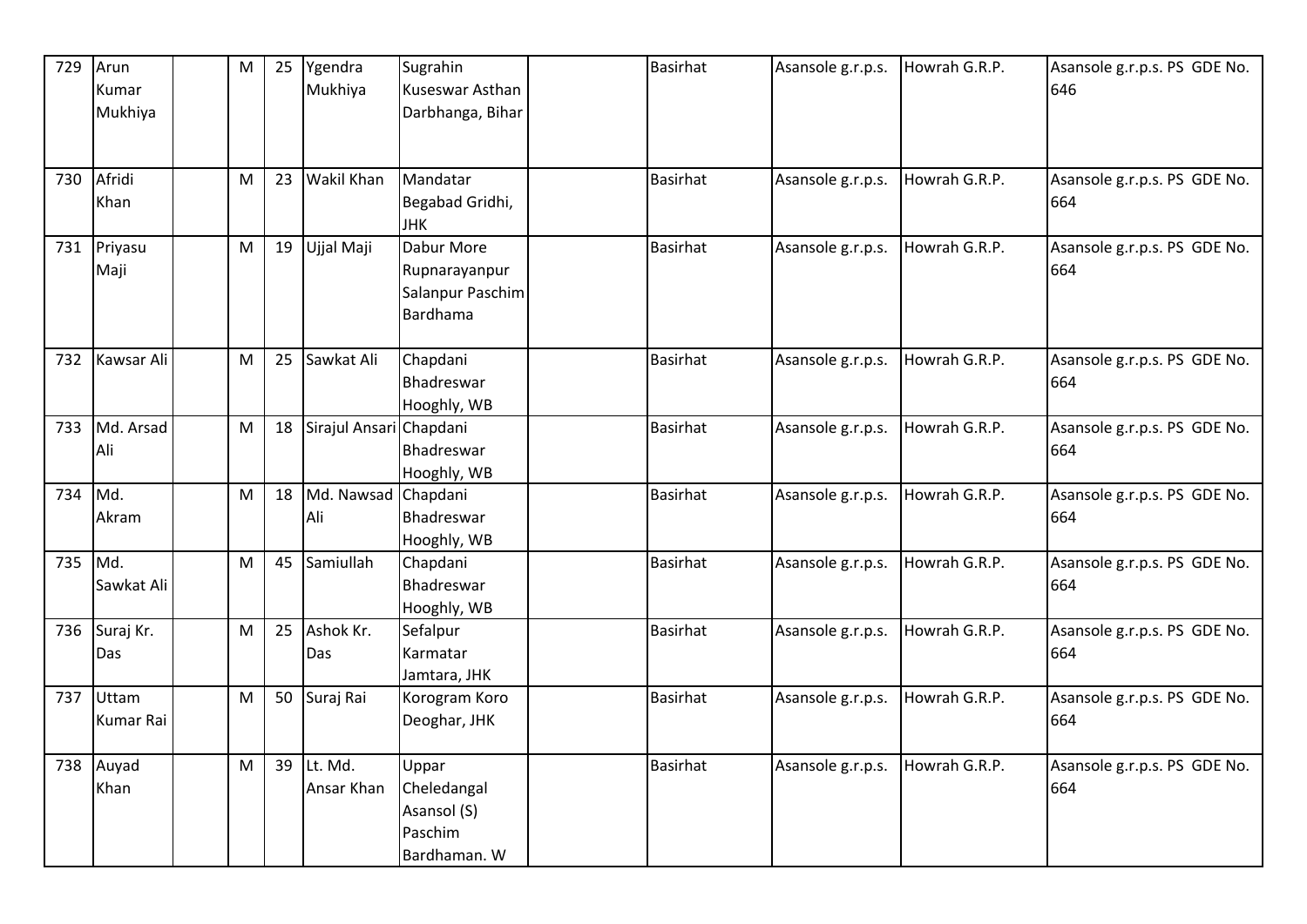| 729     | Arun<br>Kumar        | $\mathsf{M}% _{T}=\mathsf{M}_{T}\!\left( a,b\right) ,\ \mathsf{M}_{T}=\mathsf{M}_{T}\!\left( a,b\right) ,$ | 25 | Ygendra<br>Mukhiya      | Sugrahin<br>Kuseswar Asthan                                    | <b>Basirhat</b> | Asansole g.r.p.s. | Howrah G.R.P. | Asansole g.r.p.s. PS GDE No.<br>646 |
|---------|----------------------|------------------------------------------------------------------------------------------------------------|----|-------------------------|----------------------------------------------------------------|-----------------|-------------------|---------------|-------------------------------------|
|         | Mukhiya              |                                                                                                            |    |                         | Darbhanga, Bihar                                               |                 |                   |               |                                     |
| 730     | Afridi<br>Khan       | M                                                                                                          | 23 | <b>Wakil Khan</b>       | Mandatar<br>Begabad Gridhi,<br><b>JHK</b>                      | <b>Basirhat</b> | Asansole g.r.p.s. | Howrah G.R.P. | Asansole g.r.p.s. PS GDE No.<br>664 |
|         | 731 Priyasu<br>Maji  | M                                                                                                          | 19 | Ujjal Maji              | Dabur More<br>Rupnarayanpur<br>Salanpur Paschim<br>Bardhama    | <b>Basirhat</b> | Asansole g.r.p.s. | Howrah G.R.P. | Asansole g.r.p.s. PS GDE No.<br>664 |
| 732     | Kawsar Ali           | M                                                                                                          | 25 | Sawkat Ali              | Chapdani<br>Bhadreswar<br>Hooghly, WB                          | <b>Basirhat</b> | Asansole g.r.p.s. | Howrah G.R.P. | Asansole g.r.p.s. PS GDE No.<br>664 |
| 733     | Md. Arsad<br>Ali     | M                                                                                                          | 18 | Sirajul Ansari Chapdani | Bhadreswar<br>Hooghly, WB                                      | <b>Basirhat</b> | Asansole g.r.p.s. | Howrah G.R.P. | Asansole g.r.p.s. PS GDE No.<br>664 |
| 734     | Md.<br>Akram         | M                                                                                                          | 18 | Md. Nawsad<br>Ali       | Chapdani<br>Bhadreswar<br>Hooghly, WB                          | <b>Basirhat</b> | Asansole g.r.p.s. | Howrah G.R.P. | Asansole g.r.p.s. PS GDE No.<br>664 |
| 735 Md. | Sawkat Ali           | M                                                                                                          | 45 | Samiullah               | Chapdani<br>Bhadreswar<br>Hooghly, WB                          | <b>Basirhat</b> | Asansole g.r.p.s. | Howrah G.R.P. | Asansole g.r.p.s. PS GDE No.<br>664 |
|         | 736 Suraj Kr.<br>Das | M                                                                                                          | 25 | Ashok Kr.<br>Das        | Sefalpur<br>Karmatar<br>Jamtara, JHK                           | <b>Basirhat</b> | Asansole g.r.p.s. | Howrah G.R.P. | Asansole g.r.p.s. PS GDE No.<br>664 |
| 737     | Uttam<br>Kumar Rai   | M                                                                                                          | 50 | Suraj Rai               | Korogram Koro<br>Deoghar, JHK                                  | <b>Basirhat</b> | Asansole g.r.p.s. | Howrah G.R.P. | Asansole g.r.p.s. PS GDE No.<br>664 |
|         | 738 Auyad<br>Khan    | M                                                                                                          | 39 | Lt. Md.<br>Ansar Khan   | Uppar<br>Cheledangal<br>Asansol (S)<br>Paschim<br>Bardhaman. W | <b>Basirhat</b> | Asansole g.r.p.s. | Howrah G.R.P. | Asansole g.r.p.s. PS GDE No.<br>664 |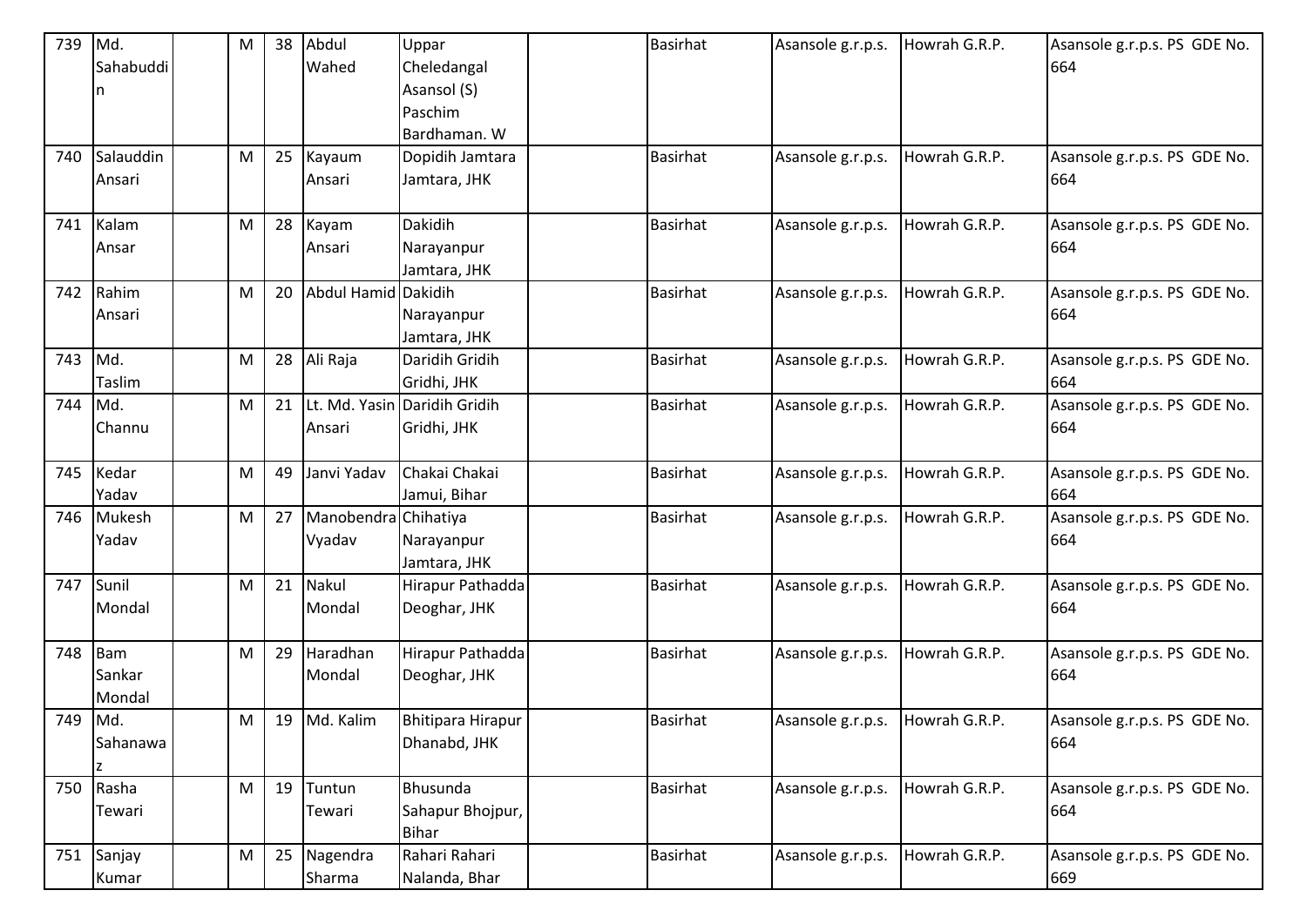| 739     | Md.             | M         | 38 | Abdul                | Uppar                        | <b>Basirhat</b> | Asansole g.r.p.s. | Howrah G.R.P. | Asansole g.r.p.s. PS GDE No. |
|---------|-----------------|-----------|----|----------------------|------------------------------|-----------------|-------------------|---------------|------------------------------|
|         | Sahabuddi       |           |    | Wahed                | Cheledangal                  |                 |                   |               | 664                          |
|         | n               |           |    |                      | Asansol (S)                  |                 |                   |               |                              |
|         |                 |           |    |                      | Paschim                      |                 |                   |               |                              |
|         |                 |           |    |                      | Bardhaman. W                 |                 |                   |               |                              |
| 740     | Salauddin       | M         | 25 | Kayaum               | Dopidih Jamtara              | <b>Basirhat</b> | Asansole g.r.p.s. | Howrah G.R.P. | Asansole g.r.p.s. PS GDE No. |
|         | Ansari          |           |    | Ansari               | Jamtara, JHK                 |                 |                   |               | 664                          |
|         |                 |           |    |                      |                              |                 |                   |               |                              |
| 741     | Kalam           | M         | 28 | Kayam                | Dakidih                      | <b>Basirhat</b> | Asansole g.r.p.s. | Howrah G.R.P. | Asansole g.r.p.s. PS GDE No. |
|         | Ansar           |           |    | Ansari               | Narayanpur                   |                 |                   |               | 664                          |
|         |                 |           |    |                      | Jamtara, JHK                 |                 |                   |               |                              |
| 742     | Rahim           | M         | 20 | Abdul Hamid Dakidih  |                              | <b>Basirhat</b> | Asansole g.r.p.s. | Howrah G.R.P. | Asansole g.r.p.s. PS GDE No. |
|         | Ansari          |           |    |                      | Narayanpur                   |                 |                   |               | 664                          |
|         |                 |           |    |                      | Jamtara, JHK                 |                 |                   |               |                              |
| 743     | Md.             | M         | 28 | Ali Raja             | Daridih Gridih               | <b>Basirhat</b> | Asansole g.r.p.s. | Howrah G.R.P. | Asansole g.r.p.s. PS GDE No. |
|         | Taslim          |           |    |                      | Gridhi, JHK                  |                 |                   |               | 664                          |
| 744     | $\mathsf{M}$ d. | M         | 21 |                      | Lt. Md. Yasin Daridih Gridih | <b>Basirhat</b> | Asansole g.r.p.s. | Howrah G.R.P. | Asansole g.r.p.s. PS GDE No. |
|         | Channu          |           |    | Ansari               | Gridhi, JHK                  |                 |                   |               | 664                          |
|         |                 |           |    |                      |                              |                 |                   |               |                              |
| 745     | Kedar           | M         | 49 | Janvi Yadav          | Chakai Chakai                | <b>Basirhat</b> | Asansole g.r.p.s. | Howrah G.R.P. | Asansole g.r.p.s. PS GDE No. |
|         | Yadav           |           |    |                      | Jamui, Bihar                 |                 |                   |               | 664                          |
| 746     | Mukesh          | M         | 27 | Manobendra Chihatiya |                              | <b>Basirhat</b> | Asansole g.r.p.s. | Howrah G.R.P. | Asansole g.r.p.s. PS GDE No. |
|         | Yadav           |           |    | Vyadav               | Narayanpur                   |                 |                   |               | 664                          |
|         |                 |           |    |                      | Jamtara, JHK                 |                 |                   |               |                              |
| 747     | Sunil           | M         | 21 | Nakul                | Hirapur Pathadda             | <b>Basirhat</b> | Asansole g.r.p.s. | Howrah G.R.P. | Asansole g.r.p.s. PS GDE No. |
|         | Mondal          |           |    | Mondal               | Deoghar, JHK                 |                 |                   |               | 664                          |
|         |                 |           |    |                      |                              |                 |                   |               |                              |
| 748     | Bam             | M         | 29 | Haradhan             | Hirapur Pathadda             | <b>Basirhat</b> | Asansole g.r.p.s. | Howrah G.R.P. | Asansole g.r.p.s. PS GDE No. |
|         | Sankar          |           |    | Mondal               | Deoghar, JHK                 |                 |                   |               | 664                          |
|         | Mondal          |           |    |                      |                              |                 |                   |               |                              |
| 749 Md. |                 | M         |    | 19 Md. Kalim         | <b>Bhitipara Hirapur</b>     | <b>Basirhat</b> | Asansole g.r.p.s. | Howrah G.R.P. | Asansole g.r.p.s. PS GDE No. |
|         | Sahanawa        |           |    |                      | Dhanabd, JHK                 |                 |                   |               | 664                          |
|         |                 |           |    |                      |                              |                 |                   |               |                              |
| 750     | Rasha           | M         | 19 | Tuntun               | Bhusunda                     | <b>Basirhat</b> | Asansole g.r.p.s. | Howrah G.R.P. | Asansole g.r.p.s. PS GDE No. |
|         | Tewari          |           |    | Tewari               | Sahapur Bhojpur,             |                 |                   |               | 664                          |
|         |                 |           |    |                      | <b>Bihar</b>                 |                 |                   |               |                              |
| 751     | Sanjay          | ${\sf M}$ | 25 | Nagendra             | Rahari Rahari                | <b>Basirhat</b> | Asansole g.r.p.s. | Howrah G.R.P. | Asansole g.r.p.s. PS GDE No. |
|         | Kumar           |           |    | Sharma               | Nalanda, Bhar                |                 |                   |               | 669                          |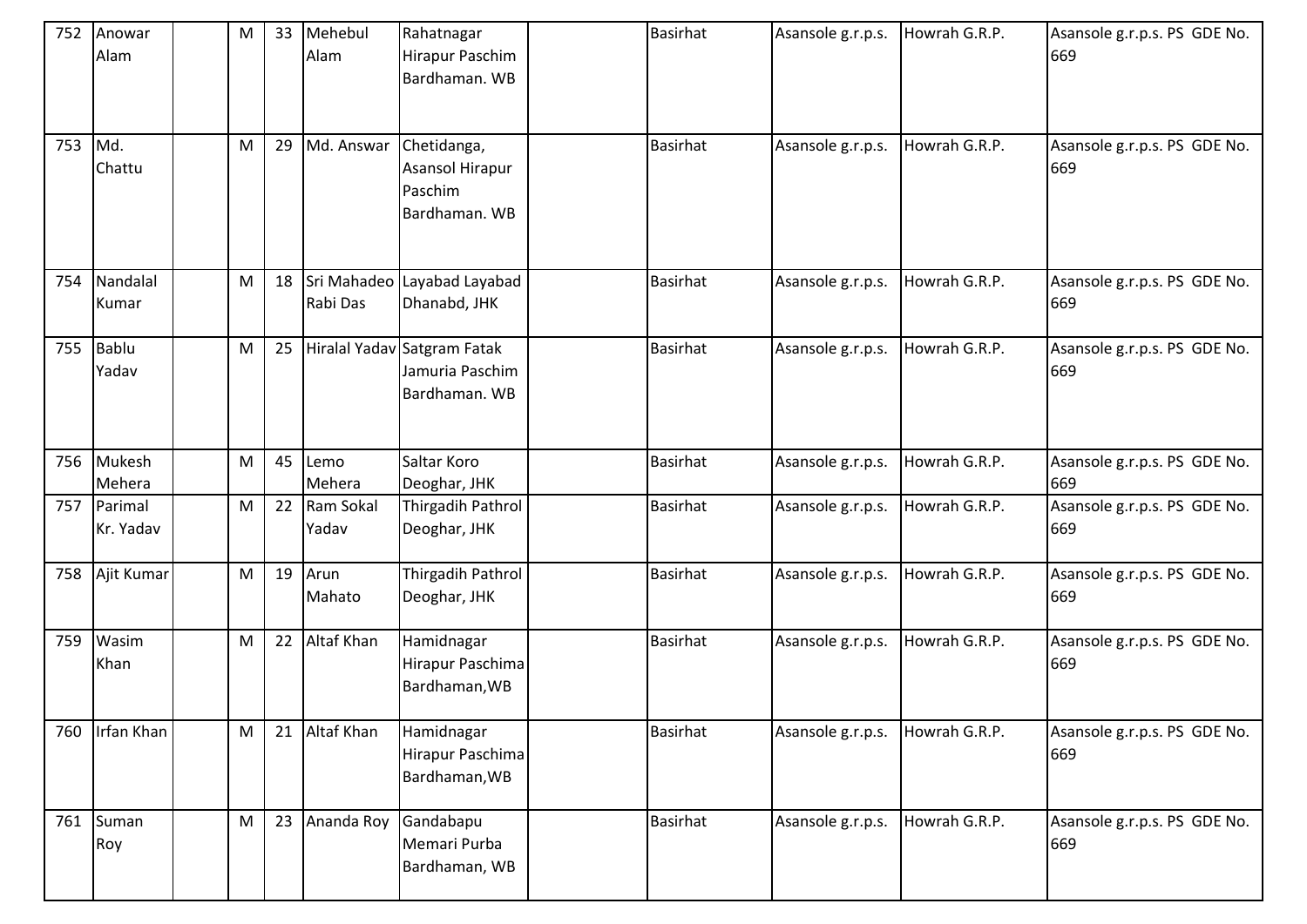| 752 | Anowar<br>Alam       | M | 33 | Mehebul<br>Alam    | Rahatnagar<br>Hirapur Paschim<br>Bardhaman. WB                  | <b>Basirhat</b> | Asansole g.r.p.s. | Howrah G.R.P. | Asansole g.r.p.s. PS GDE No.<br>669 |
|-----|----------------------|---|----|--------------------|-----------------------------------------------------------------|-----------------|-------------------|---------------|-------------------------------------|
| 753 | Md.<br>Chattu        | M | 29 | Md. Answar         | Chetidanga,<br>Asansol Hirapur<br>Paschim<br>Bardhaman. WB      | <b>Basirhat</b> | Asansole g.r.p.s. | Howrah G.R.P. | Asansole g.r.p.s. PS GDE No.<br>669 |
| 754 | Nandalal<br>Kumar    | M | 18 | Rabi Das           | Sri Mahadeo Layabad Layabad<br>Dhanabd, JHK                     | <b>Basirhat</b> | Asansole g.r.p.s. | Howrah G.R.P. | Asansole g.r.p.s. PS GDE No.<br>669 |
| 755 | Bablu<br>Yadav       | M | 25 |                    | Hiralal Yadav Satgram Fatak<br>Jamuria Paschim<br>Bardhaman. WB | <b>Basirhat</b> | Asansole g.r.p.s. | Howrah G.R.P. | Asansole g.r.p.s. PS GDE No.<br>669 |
| 756 | Mukesh<br>Mehera     | M | 45 | Lemo<br>Mehera     | Saltar Koro<br>Deoghar, JHK                                     | <b>Basirhat</b> | Asansole g.r.p.s. | Howrah G.R.P. | Asansole g.r.p.s. PS GDE No.<br>669 |
| 757 | Parimal<br>Kr. Yadav | M | 22 | Ram Sokal<br>Yadav | Thirgadih Pathrol<br>Deoghar, JHK                               | <b>Basirhat</b> | Asansole g.r.p.s. | Howrah G.R.P. | Asansole g.r.p.s. PS GDE No.<br>669 |
| 758 | Ajit Kumar           | M | 19 | Arun<br>Mahato     | Thirgadih Pathrol<br>Deoghar, JHK                               | <b>Basirhat</b> | Asansole g.r.p.s. | Howrah G.R.P. | Asansole g.r.p.s. PS GDE No.<br>669 |
| 759 | Wasim<br>Khan        | M | 22 | Altaf Khan         | Hamidnagar<br>Hirapur Paschima<br>Bardhaman, WB                 | <b>Basirhat</b> | Asansole g.r.p.s. | Howrah G.R.P. | Asansole g.r.p.s. PS GDE No.<br>669 |
| 760 | Irfan Khan           | M | 21 | Altaf Khan         | Hamidnagar<br>Hirapur Paschima<br>Bardhaman, WB                 | <b>Basirhat</b> | Asansole g.r.p.s. | Howrah G.R.P. | Asansole g.r.p.s. PS GDE No.<br>669 |
| 761 | Suman<br>Roy         | M | 23 | Ananda Roy         | Gandabapu<br>Memari Purba<br>Bardhaman, WB                      | <b>Basirhat</b> | Asansole g.r.p.s. | Howrah G.R.P. | Asansole g.r.p.s. PS GDE No.<br>669 |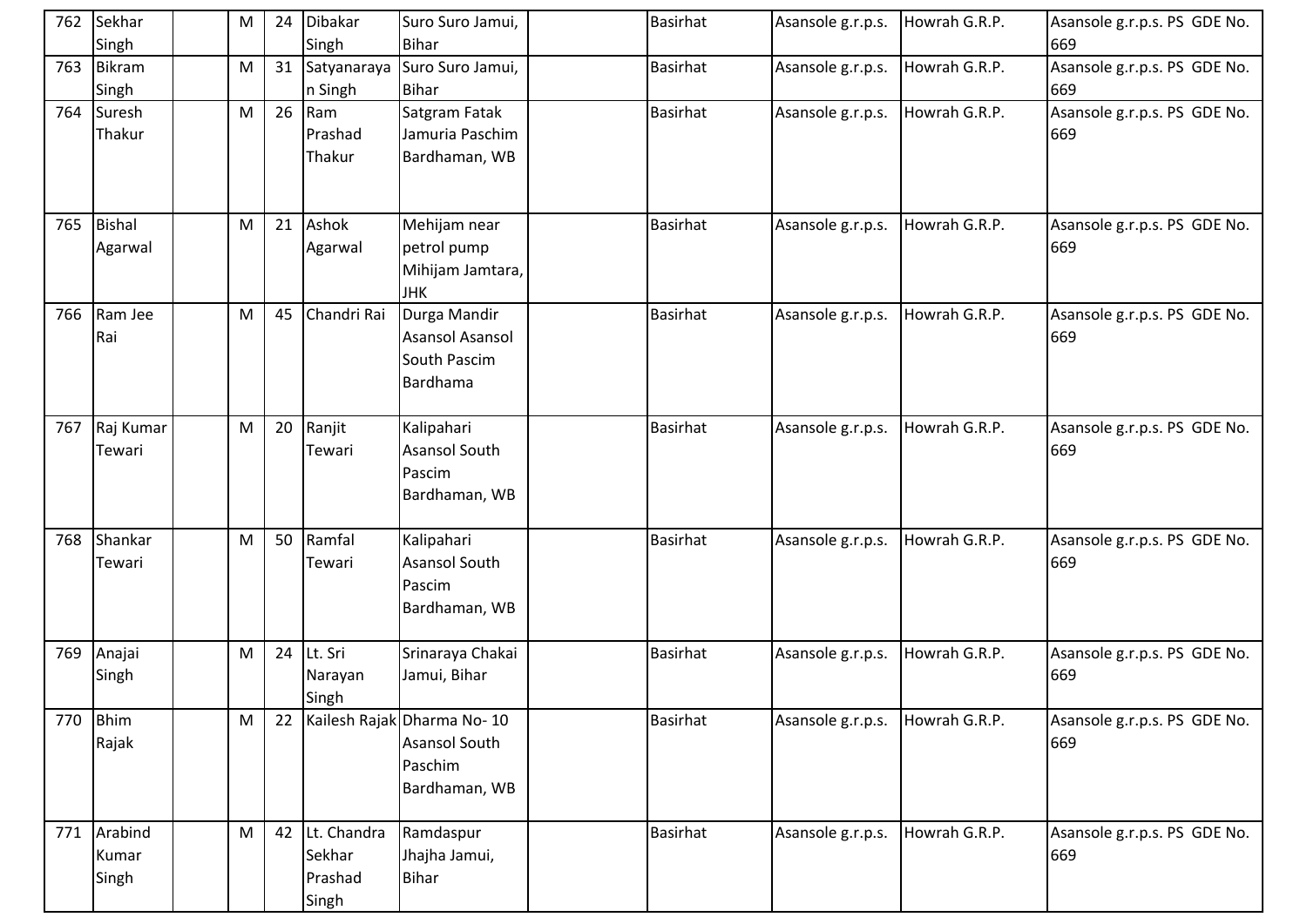|     | 762 Sekhar<br>Singh | M | 24 | Dibakar<br>Singh | Suro Suro Jamui,<br><b>Bihar</b> | <b>Basirhat</b> | Asansole g.r.p.s. | Howrah G.R.P. | Asansole g.r.p.s. PS GDE No.<br>669 |
|-----|---------------------|---|----|------------------|----------------------------------|-----------------|-------------------|---------------|-------------------------------------|
|     | 763 Bikram          | M | 31 | Satyanaraya      | Suro Suro Jamui,                 | <b>Basirhat</b> | Asansole g.r.p.s. | Howrah G.R.P. | Asansole g.r.p.s. PS GDE No.        |
|     | Singh               |   |    | n Singh          | <b>Bihar</b>                     |                 |                   |               | 669                                 |
|     | 764 Suresh          | M | 26 | Ram              | Satgram Fatak                    | <b>Basirhat</b> | Asansole g.r.p.s. | Howrah G.R.P. | Asansole g.r.p.s. PS GDE No.        |
|     | Thakur              |   |    | Prashad          | Jamuria Paschim                  |                 |                   |               | 669                                 |
|     |                     |   |    | Thakur           | Bardhaman, WB                    |                 |                   |               |                                     |
|     |                     |   |    |                  |                                  |                 |                   |               |                                     |
|     | 765 Bishal          | M | 21 | Ashok            | Mehijam near                     | <b>Basirhat</b> | Asansole g.r.p.s. | Howrah G.R.P. | Asansole g.r.p.s. PS GDE No.        |
|     | Agarwal             |   |    | Agarwal          | petrol pump                      |                 |                   |               | 669                                 |
|     |                     |   |    |                  | Mihijam Jamtara,                 |                 |                   |               |                                     |
|     |                     |   |    |                  | <b>JHK</b>                       |                 |                   |               |                                     |
| 766 | Ram Jee             | M | 45 | Chandri Rai      | Durga Mandir                     | <b>Basirhat</b> | Asansole g.r.p.s. | Howrah G.R.P. | Asansole g.r.p.s. PS GDE No.        |
|     | Rai                 |   |    |                  | Asansol Asansol                  |                 |                   |               | 669                                 |
|     |                     |   |    |                  | South Pascim                     |                 |                   |               |                                     |
|     |                     |   |    |                  | Bardhama                         |                 |                   |               |                                     |
|     | 767 Raj Kumar       | M | 20 | Ranjit           | Kalipahari                       | <b>Basirhat</b> | Asansole g.r.p.s. | Howrah G.R.P. | Asansole g.r.p.s. PS GDE No.        |
|     | Tewari              |   |    | Tewari           | Asansol South                    |                 |                   |               | 669                                 |
|     |                     |   |    |                  | Pascim                           |                 |                   |               |                                     |
|     |                     |   |    |                  | Bardhaman, WB                    |                 |                   |               |                                     |
| 768 | Shankar             | M | 50 | Ramfal           | Kalipahari                       | <b>Basirhat</b> | Asansole g.r.p.s. | Howrah G.R.P. | Asansole g.r.p.s. PS GDE No.        |
|     | Tewari              |   |    | Tewari           | Asansol South                    |                 |                   |               | 669                                 |
|     |                     |   |    |                  | Pascim                           |                 |                   |               |                                     |
|     |                     |   |    |                  | Bardhaman, WB                    |                 |                   |               |                                     |
|     |                     |   |    |                  |                                  |                 |                   |               |                                     |
|     | 769 Anajai          | M | 24 | Lt. Sri          | Srinaraya Chakai                 | <b>Basirhat</b> | Asansole g.r.p.s. | Howrah G.R.P. | Asansole g.r.p.s. PS GDE No.        |
|     | Singh               |   |    | Narayan          | Jamui, Bihar                     |                 |                   |               | 669                                 |
|     |                     |   |    | Singh            |                                  |                 |                   |               |                                     |
|     | 770 Bhim            | M | 22 |                  | Kailesh Rajak Dharma No-10       | <b>Basirhat</b> | Asansole g.r.p.s. | Howrah G.R.P. | Asansole g.r.p.s. PS GDE No.        |
|     | Rajak               |   |    |                  | <b>Asansol South</b>             |                 |                   |               | 669                                 |
|     |                     |   |    |                  | Paschim                          |                 |                   |               |                                     |
|     |                     |   |    |                  | Bardhaman, WB                    |                 |                   |               |                                     |
|     | 771 Arabind         | M | 42 | Lt. Chandra      | Ramdaspur                        | <b>Basirhat</b> | Asansole g.r.p.s. | Howrah G.R.P. | Asansole g.r.p.s. PS GDE No.        |
|     | Kumar               |   |    | Sekhar           | Jhajha Jamui,                    |                 |                   |               | 669                                 |
|     | Singh               |   |    | Prashad          | Bihar                            |                 |                   |               |                                     |
|     |                     |   |    | Singh            |                                  |                 |                   |               |                                     |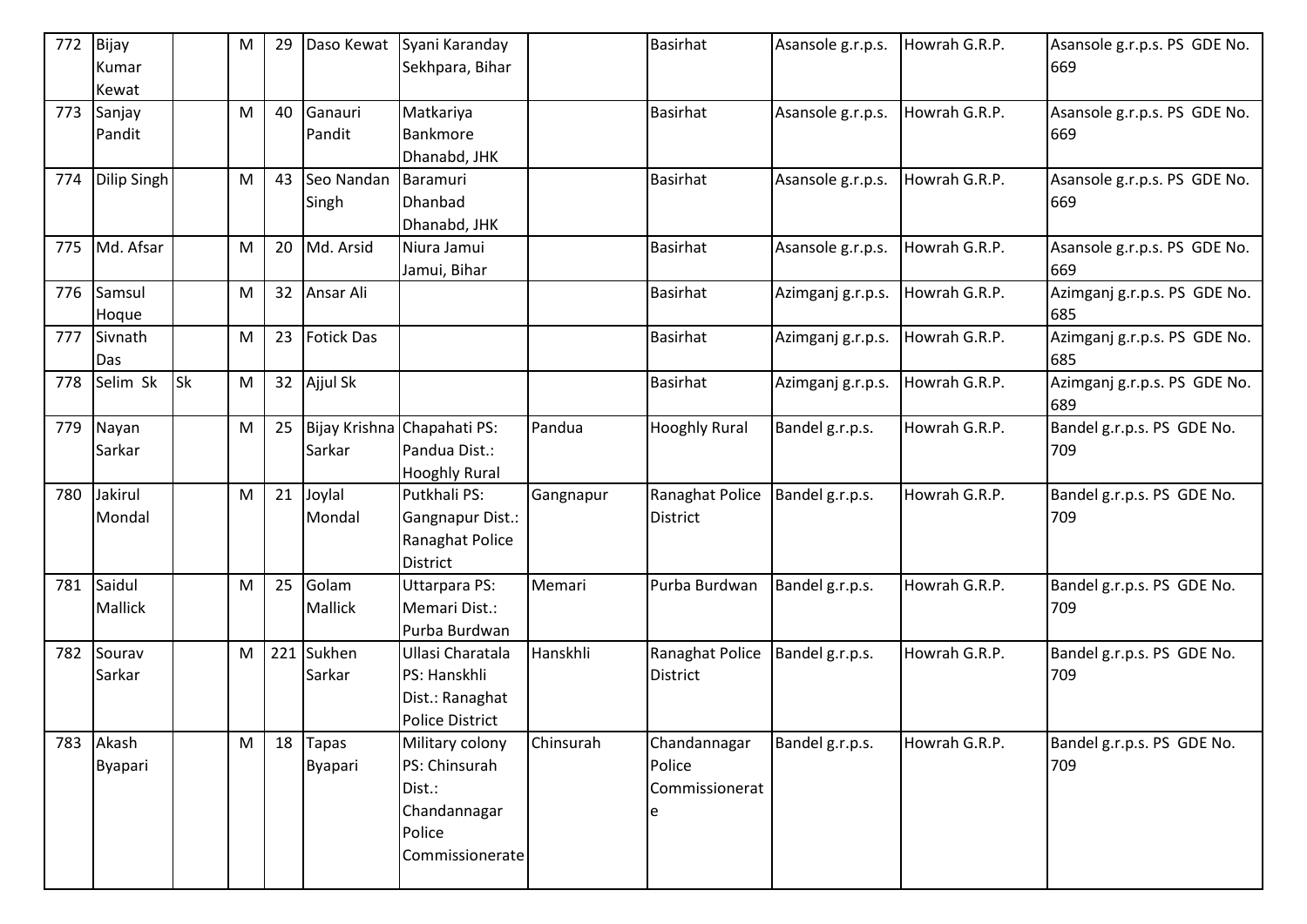| 772 | Bijay<br>Kumar          |           | ${\sf M}$ | 29  | Daso Kewat                     | Syani Karanday<br>Sekhpara, Bihar                                                       |           | <b>Basirhat</b>                          | Asansole g.r.p.s. | Howrah G.R.P. | Asansole g.r.p.s. PS GDE No.<br>669 |
|-----|-------------------------|-----------|-----------|-----|--------------------------------|-----------------------------------------------------------------------------------------|-----------|------------------------------------------|-------------------|---------------|-------------------------------------|
|     | Kewat                   |           |           |     |                                |                                                                                         |           |                                          |                   |               |                                     |
| 773 | Sanjay<br>Pandit        |           | ${\sf M}$ | 40  | Ganauri<br>Pandit              | Matkariya<br>Bankmore<br>Dhanabd, JHK                                                   |           | <b>Basirhat</b>                          | Asansole g.r.p.s. | Howrah G.R.P. | Asansole g.r.p.s. PS GDE No.<br>669 |
| 774 | Dilip Singh             |           | M         | 43  | Seo Nandan<br>Singh            | Baramuri<br>Dhanbad<br>Dhanabd, JHK                                                     |           | <b>Basirhat</b>                          | Asansole g.r.p.s. | Howrah G.R.P. | Asansole g.r.p.s. PS GDE No.<br>669 |
| 775 | Md. Afsar               |           | ${\sf M}$ | 20  | Md. Arsid                      | Niura Jamui<br>Jamui, Bihar                                                             |           | <b>Basirhat</b>                          | Asansole g.r.p.s. | Howrah G.R.P. | Asansole g.r.p.s. PS GDE No.<br>669 |
| 776 | Samsul<br>Hoque         |           | M         | 32  | Ansar Ali                      |                                                                                         |           | <b>Basirhat</b>                          | Azimganj g.r.p.s. | Howrah G.R.P. | Azimganj g.r.p.s. PS GDE No.<br>685 |
| 777 | Sivnath<br>Das          |           | ${\sf M}$ | 23  | <b>Fotick Das</b>              |                                                                                         |           | <b>Basirhat</b>                          | Azimganj g.r.p.s. | Howrah G.R.P. | Azimganj g.r.p.s. PS GDE No.<br>685 |
| 778 | Selim Sk                | <b>Sk</b> | ${\sf M}$ | 32  | Ajjul Sk                       |                                                                                         |           | <b>Basirhat</b>                          | Azimganj g.r.p.s. | Howrah G.R.P. | Azimganj g.r.p.s. PS GDE No.<br>689 |
| 779 | Nayan<br>Sarkar         |           | ${\sf M}$ | 25  | Sarkar                         | Bijay Krishna Chapahati PS:<br>Pandua Dist.:<br><b>Hooghly Rural</b>                    | Pandua    | <b>Hooghly Rural</b>                     | Bandel g.r.p.s.   | Howrah G.R.P. | Bandel g.r.p.s. PS GDE No.<br>709   |
| 780 | Jakirul<br>Mondal       |           | M         | 21  | Joylal<br>Mondal               | Putkhali PS:<br>Gangnapur Dist.:<br>Ranaghat Police<br>District                         | Gangnapur | Ranaghat Police<br>District              | Bandel g.r.p.s.   | Howrah G.R.P. | Bandel g.r.p.s. PS GDE No.<br>709   |
| 781 | Saidul<br>Mallick       |           | ${\sf M}$ | 25  | Golam<br>Mallick               | Uttarpara PS:<br>Memari Dist.:<br>Purba Burdwan                                         | Memari    | Purba Burdwan                            | Bandel g.r.p.s.   | Howrah G.R.P. | Bandel g.r.p.s. PS GDE No.<br>709   |
| 782 | Sourav<br>Sarkar        |           | M         | 221 | Sukhen<br>Sarkar               | Ullasi Charatala<br>PS: Hanskhli<br>Dist.: Ranaghat<br><b>Police District</b>           | Hanskhli  | Ranaghat Police<br>District              | Bandel g.r.p.s.   | Howrah G.R.P. | Bandel g.r.p.s. PS GDE No.<br>709   |
| 783 | Akash<br><b>Byapari</b> |           | M         | 18  | <b>Tapas</b><br><b>Byapari</b> | Military colony<br>PS: Chinsurah<br>Dist.:<br>Chandannagar<br>Police<br>Commissionerate | Chinsurah | Chandannagar<br>Police<br>Commissionerat | Bandel g.r.p.s.   | Howrah G.R.P. | Bandel g.r.p.s. PS GDE No.<br>709   |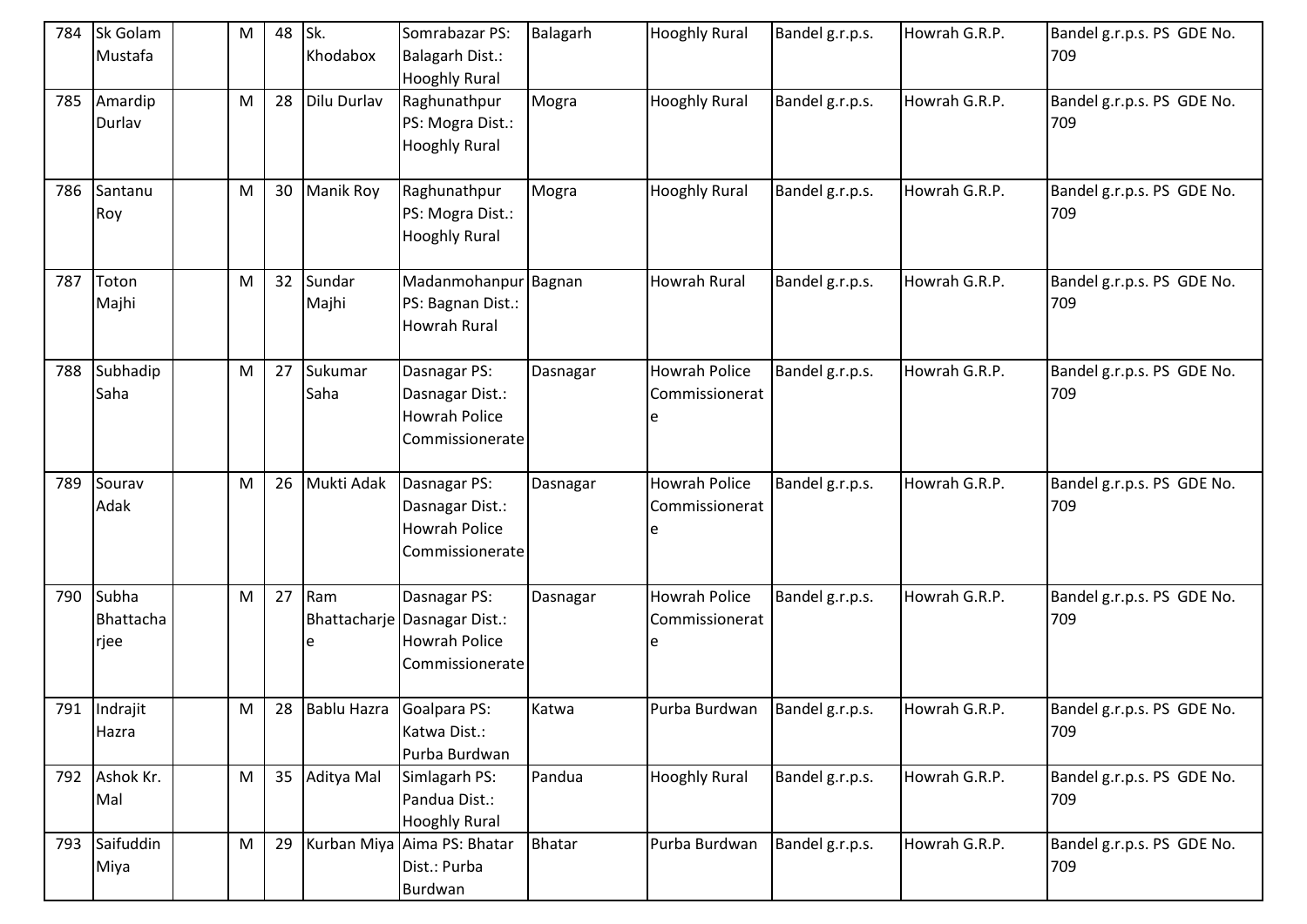| 784 | Sk Golam<br>Mustafa        | M | 48 | Sk.<br>Khodabox  | Somrabazar PS:<br><b>Balagarh Dist.:</b><br><b>Hooghly Rural</b>                        | Balagarh      | <b>Hooghly Rural</b>                        | Bandel g.r.p.s. | Howrah G.R.P. | Bandel g.r.p.s. PS GDE No.<br>709 |
|-----|----------------------------|---|----|------------------|-----------------------------------------------------------------------------------------|---------------|---------------------------------------------|-----------------|---------------|-----------------------------------|
| 785 | Amardip<br>Durlav          | M | 28 | Dilu Durlav      | Raghunathpur<br>PS: Mogra Dist.:<br><b>Hooghly Rural</b>                                | Mogra         | <b>Hooghly Rural</b>                        | Bandel g.r.p.s. | Howrah G.R.P. | Bandel g.r.p.s. PS GDE No.<br>709 |
| 786 | Santanu<br>Roy             | M | 30 | <b>Manik Roy</b> | Raghunathpur<br>PS: Mogra Dist.:<br><b>Hooghly Rural</b>                                | Mogra         | <b>Hooghly Rural</b>                        | Bandel g.r.p.s. | Howrah G.R.P. | Bandel g.r.p.s. PS GDE No.<br>709 |
| 787 | Toton<br>Majhi             | M | 32 | Sundar<br>Majhi  | Madanmohanpur Bagnan<br>PS: Bagnan Dist.:<br>Howrah Rural                               |               | <b>Howrah Rural</b>                         | Bandel g.r.p.s. | Howrah G.R.P. | Bandel g.r.p.s. PS GDE No.<br>709 |
| 788 | Subhadip<br>Saha           | M | 27 | Sukumar<br>Saha  | Dasnagar PS:<br>Dasnagar Dist.:<br><b>Howrah Police</b><br>Commissionerate              | Dasnagar      | <b>Howrah Police</b><br>Commissionerat<br>e | Bandel g.r.p.s. | Howrah G.R.P. | Bandel g.r.p.s. PS GDE No.<br>709 |
| 789 | Sourav<br>Adak             | M |    | 26 Mukti Adak    | Dasnagar PS:<br>Dasnagar Dist.:<br><b>Howrah Police</b><br>Commissionerate              | Dasnagar      | Howrah Police<br>Commissionerat<br>e        | Bandel g.r.p.s. | Howrah G.R.P. | Bandel g.r.p.s. PS GDE No.<br>709 |
| 790 | Subha<br>Bhattacha<br>rjee | M | 27 | Ram<br>e         | Dasnagar PS:<br>Bhattacharje Dasnagar Dist.:<br><b>Howrah Police</b><br>Commissionerate | Dasnagar      | <b>Howrah Police</b><br>Commissionerat<br>e | Bandel g.r.p.s. | Howrah G.R.P. | Bandel g.r.p.s. PS GDE No.<br>709 |
|     | 791   Indrajit<br>Hazra    | M |    | 28 Bablu Hazra   | Goalpara PS:<br>Katwa Dist.:<br>Purba Burdwan                                           | Katwa         | Purba Burdwan                               | Bandel g.r.p.s. | Howrah G.R.P. | Bandel g.r.p.s. PS GDE No.<br>709 |
|     | 792 Ashok Kr.<br>Mal       | M |    | 35 Aditya Mal    | Simlagarh PS:<br>Pandua Dist.:<br><b>Hooghly Rural</b>                                  | Pandua        | <b>Hooghly Rural</b>                        | Bandel g.r.p.s. | Howrah G.R.P. | Bandel g.r.p.s. PS GDE No.<br>709 |
|     | 793 Saifuddin<br>Miya      | M | 29 |                  | Kurban Miya Aima PS: Bhatar<br>Dist.: Purba<br>Burdwan                                  | <b>Bhatar</b> | Purba Burdwan                               | Bandel g.r.p.s. | Howrah G.R.P. | Bandel g.r.p.s. PS GDE No.<br>709 |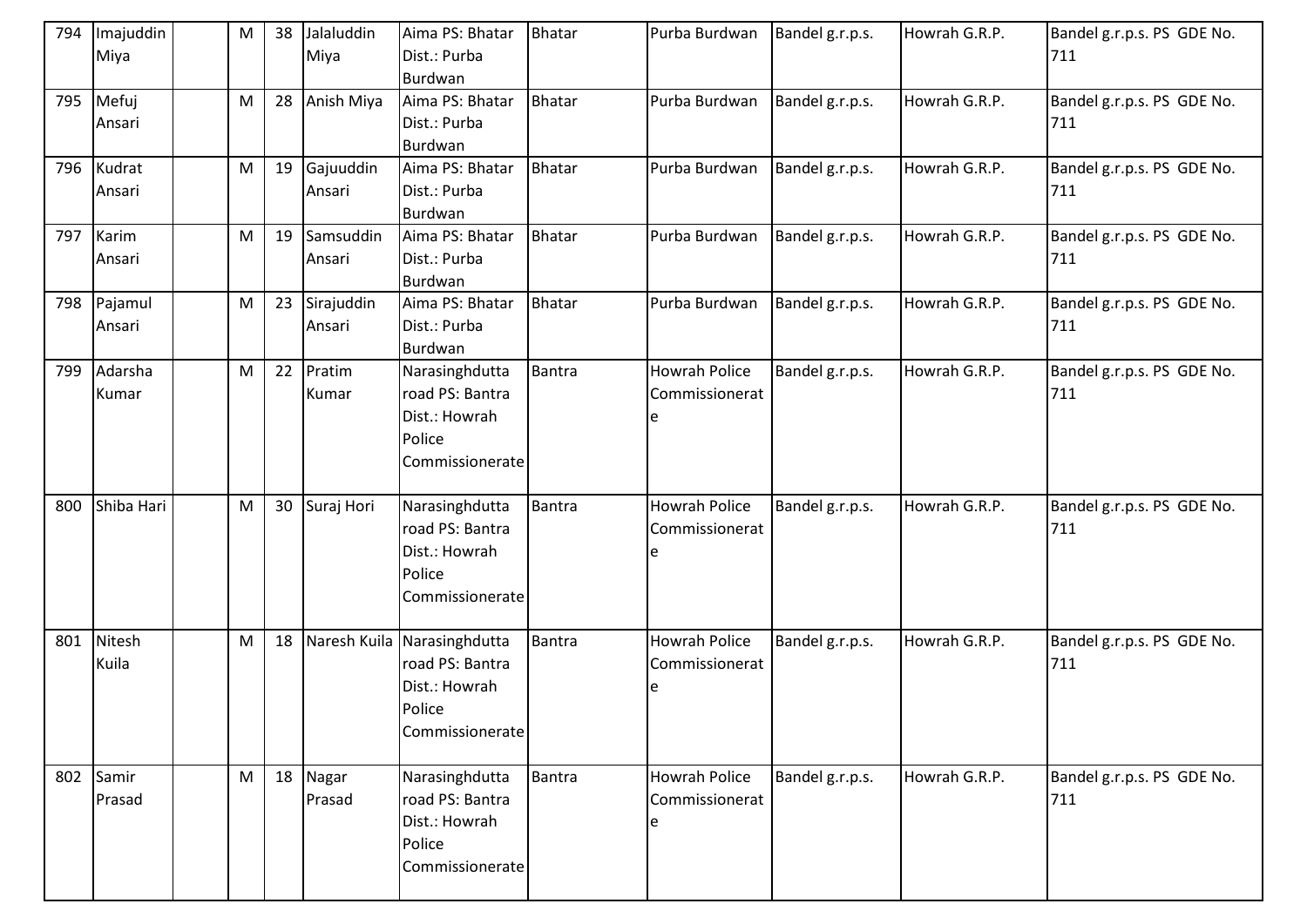| 794 | Imajuddin<br>Miya    | M         | 38 | Jalaluddin<br>Miya   | Aima PS: Bhatar<br>Dist.: Purba<br>Burdwan                                                   | <b>Bhatar</b> | Purba Burdwan                               | Bandel g.r.p.s. | Howrah G.R.P. | Bandel g.r.p.s. PS GDE No.<br>711 |
|-----|----------------------|-----------|----|----------------------|----------------------------------------------------------------------------------------------|---------------|---------------------------------------------|-----------------|---------------|-----------------------------------|
|     | 795 Mefuj<br>Ansari  | M         | 28 | Anish Miya           | Aima PS: Bhatar<br>Dist.: Purba<br>Burdwan                                                   | Bhatar        | Purba Burdwan                               | Bandel g.r.p.s. | Howrah G.R.P. | Bandel g.r.p.s. PS GDE No.<br>711 |
|     | 796 Kudrat<br>Ansari | M         | 19 | Gajuuddin<br>Ansari  | Aima PS: Bhatar<br>Dist.: Purba<br>Burdwan                                                   | Bhatar        | Purba Burdwan                               | Bandel g.r.p.s. | Howrah G.R.P. | Bandel g.r.p.s. PS GDE No.<br>711 |
| 797 | Karim<br>Ansari      | M         | 19 | Samsuddin<br>Ansari  | Aima PS: Bhatar<br>Dist.: Purba<br>Burdwan                                                   | <b>Bhatar</b> | Purba Burdwan                               | Bandel g.r.p.s. | Howrah G.R.P. | Bandel g.r.p.s. PS GDE No.<br>711 |
| 798 | Pajamul<br>Ansari    | M         | 23 | Sirajuddin<br>Ansari | Aima PS: Bhatar<br>Dist.: Purba<br>Burdwan                                                   | <b>Bhatar</b> | Purba Burdwan                               | Bandel g.r.p.s. | Howrah G.R.P. | Bandel g.r.p.s. PS GDE No.<br>711 |
| 799 | Adarsha<br>Kumar     | ${\sf M}$ | 22 | Pratim<br>Kumar      | Narasinghdutta<br>road PS: Bantra<br>Dist.: Howrah<br>Police<br>Commissionerate              | Bantra        | <b>Howrah Police</b><br>Commissionerat      | Bandel g.r.p.s. | Howrah G.R.P. | Bandel g.r.p.s. PS GDE No.<br>711 |
| 800 | Shiba Hari           | M         | 30 | Suraj Hori           | Narasinghdutta<br>road PS: Bantra<br>Dist.: Howrah<br>Police<br>Commissionerate              | Bantra        | <b>Howrah Police</b><br>Commissionerat      | Bandel g.r.p.s. | Howrah G.R.P. | Bandel g.r.p.s. PS GDE No.<br>711 |
| 801 | Nitesh<br>Kuila      | ${\sf M}$ | 18 |                      | Naresh Kuila Narasinghdutta<br>road PS: Bantra<br>Dist.: Howrah<br>Police<br>Commissionerate | Bantra        | <b>Howrah Police</b><br>Commissionerat<br>e | Bandel g.r.p.s. | Howrah G.R.P. | Bandel g.r.p.s. PS GDE No.<br>711 |
|     | 802 Samir<br>Prasad  | M         |    | 18 Nagar<br>Prasad   | Narasinghdutta<br>road PS: Bantra<br>Dist.: Howrah<br>Police<br>Commissionerate              | Bantra        | Howrah Police<br>Commissionerat             | Bandel g.r.p.s. | Howrah G.R.P. | Bandel g.r.p.s. PS GDE No.<br>711 |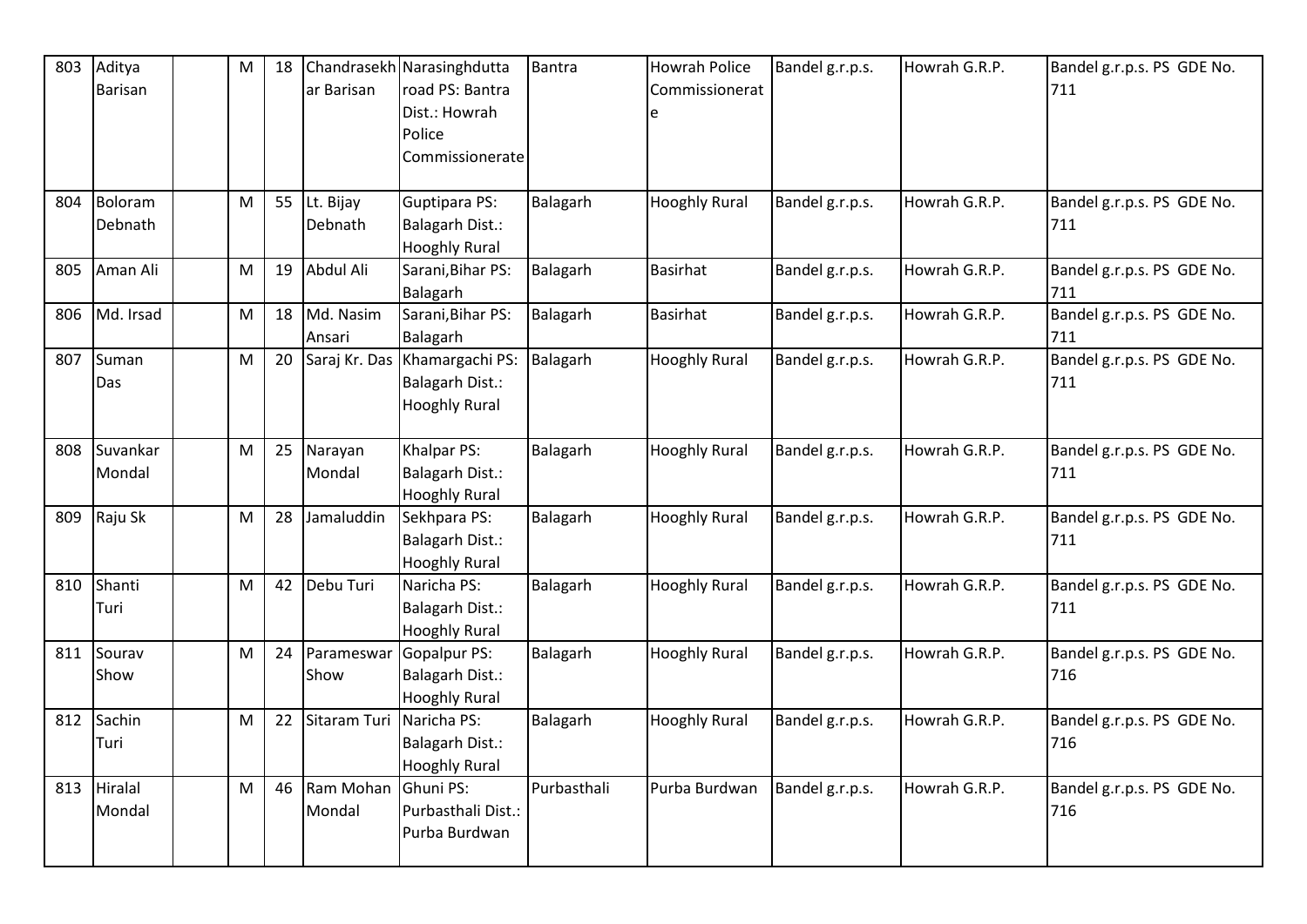| 803 | Aditya      | $\mathsf{M}% _{T}=\mathsf{M}_{T}\!\left( a,b\right) ,\ \mathsf{M}_{T}=\mathsf{M}_{T}$ | 18 |               | Chandrasekh Narasinghdutta | <b>Bantra</b> | <b>Howrah Police</b> | Bandel g.r.p.s. | Howrah G.R.P. | Bandel g.r.p.s. PS GDE No. |
|-----|-------------|---------------------------------------------------------------------------------------|----|---------------|----------------------------|---------------|----------------------|-----------------|---------------|----------------------------|
|     | Barisan     |                                                                                       |    | ar Barisan    | road PS: Bantra            |               | Commissionerat       |                 |               | 711                        |
|     |             |                                                                                       |    |               | Dist.: Howrah              |               | e                    |                 |               |                            |
|     |             |                                                                                       |    |               | Police                     |               |                      |                 |               |                            |
|     |             |                                                                                       |    |               | Commissionerate            |               |                      |                 |               |                            |
|     |             |                                                                                       |    |               |                            |               |                      |                 |               |                            |
| 804 | Boloram     | M                                                                                     | 55 | Lt. Bijay     | Guptipara PS:              | Balagarh      | <b>Hooghly Rural</b> | Bandel g.r.p.s. | Howrah G.R.P. | Bandel g.r.p.s. PS GDE No. |
|     | Debnath     |                                                                                       |    | Debnath       | <b>Balagarh Dist.:</b>     |               |                      |                 |               | 711                        |
|     |             |                                                                                       |    |               | <b>Hooghly Rural</b>       |               |                      |                 |               |                            |
| 805 | Aman Ali    | M                                                                                     | 19 | Abdul Ali     | Sarani, Bihar PS:          | Balagarh      | <b>Basirhat</b>      | Bandel g.r.p.s. | Howrah G.R.P. | Bandel g.r.p.s. PS GDE No. |
|     |             |                                                                                       |    |               | Balagarh                   |               |                      |                 |               | 711                        |
| 806 | Md. Irsad   | M                                                                                     | 18 | Md. Nasim     | Sarani, Bihar PS:          | Balagarh      | <b>Basirhat</b>      | Bandel g.r.p.s. | Howrah G.R.P. | Bandel g.r.p.s. PS GDE No. |
|     |             |                                                                                       |    | Ansari        | Balagarh                   |               |                      |                 |               | 711                        |
| 807 | Suman       | M                                                                                     | 20 | Saraj Kr. Das | Khamargachi PS:            | Balagarh      | <b>Hooghly Rural</b> | Bandel g.r.p.s. | Howrah G.R.P. | Bandel g.r.p.s. PS GDE No. |
|     | Das         |                                                                                       |    |               | <b>Balagarh Dist.:</b>     |               |                      |                 |               | 711                        |
|     |             |                                                                                       |    |               | <b>Hooghly Rural</b>       |               |                      |                 |               |                            |
|     |             |                                                                                       |    |               |                            |               |                      |                 |               |                            |
| 808 | Suvankar    | M                                                                                     | 25 | Narayan       | Khalpar PS:                | Balagarh      | <b>Hooghly Rural</b> | Bandel g.r.p.s. | Howrah G.R.P. | Bandel g.r.p.s. PS GDE No. |
|     | Mondal      |                                                                                       |    | Mondal        | <b>Balagarh Dist.:</b>     |               |                      |                 |               | 711                        |
|     |             |                                                                                       |    |               | <b>Hooghly Rural</b>       |               |                      |                 |               |                            |
|     | 809 Raju Sk | M                                                                                     | 28 | Jamaluddin    | Sekhpara PS:               | Balagarh      | <b>Hooghly Rural</b> | Bandel g.r.p.s. | Howrah G.R.P. | Bandel g.r.p.s. PS GDE No. |
|     |             |                                                                                       |    |               | <b>Balagarh Dist.:</b>     |               |                      |                 |               | 711                        |
|     |             |                                                                                       |    |               | <b>Hooghly Rural</b>       |               |                      |                 |               |                            |
|     | 810 Shanti  | M                                                                                     | 42 | Debu Turi     | Naricha PS:                | Balagarh      | <b>Hooghly Rural</b> | Bandel g.r.p.s. | Howrah G.R.P. | Bandel g.r.p.s. PS GDE No. |
|     | Turi        |                                                                                       |    |               | <b>Balagarh Dist.:</b>     |               |                      |                 |               | 711                        |
|     |             |                                                                                       |    |               | <b>Hooghly Rural</b>       |               |                      |                 |               |                            |
| 811 | Sourav      | M                                                                                     | 24 | Parameswar    | Gopalpur PS:               | Balagarh      | <b>Hooghly Rural</b> | Bandel g.r.p.s. | Howrah G.R.P. | Bandel g.r.p.s. PS GDE No. |
|     | Show        |                                                                                       |    | <b>Show</b>   | <b>Balagarh Dist.:</b>     |               |                      |                 |               | 716                        |
|     |             |                                                                                       |    |               | <b>Hooghly Rural</b>       |               |                      |                 |               |                            |
|     | 812 Sachin  | M                                                                                     | 22 | Sitaram Turi  | Naricha PS:                | Balagarh      | <b>Hooghly Rural</b> | Bandel g.r.p.s. | Howrah G.R.P. | Bandel g.r.p.s. PS GDE No. |
|     | Turi        |                                                                                       |    |               | <b>Balagarh Dist.:</b>     |               |                      |                 |               | 716                        |
|     |             |                                                                                       |    |               | <b>Hooghly Rural</b>       |               |                      |                 |               |                            |
|     | 813 Hiralal | M                                                                                     | 46 | Ram Mohan     | Ghuni PS:                  | Purbasthali   | Purba Burdwan        | Bandel g.r.p.s. | Howrah G.R.P. | Bandel g.r.p.s. PS GDE No. |
|     | Mondal      |                                                                                       |    | Mondal        | Purbasthali Dist.:         |               |                      |                 |               | 716                        |
|     |             |                                                                                       |    |               | Purba Burdwan              |               |                      |                 |               |                            |
|     |             |                                                                                       |    |               |                            |               |                      |                 |               |                            |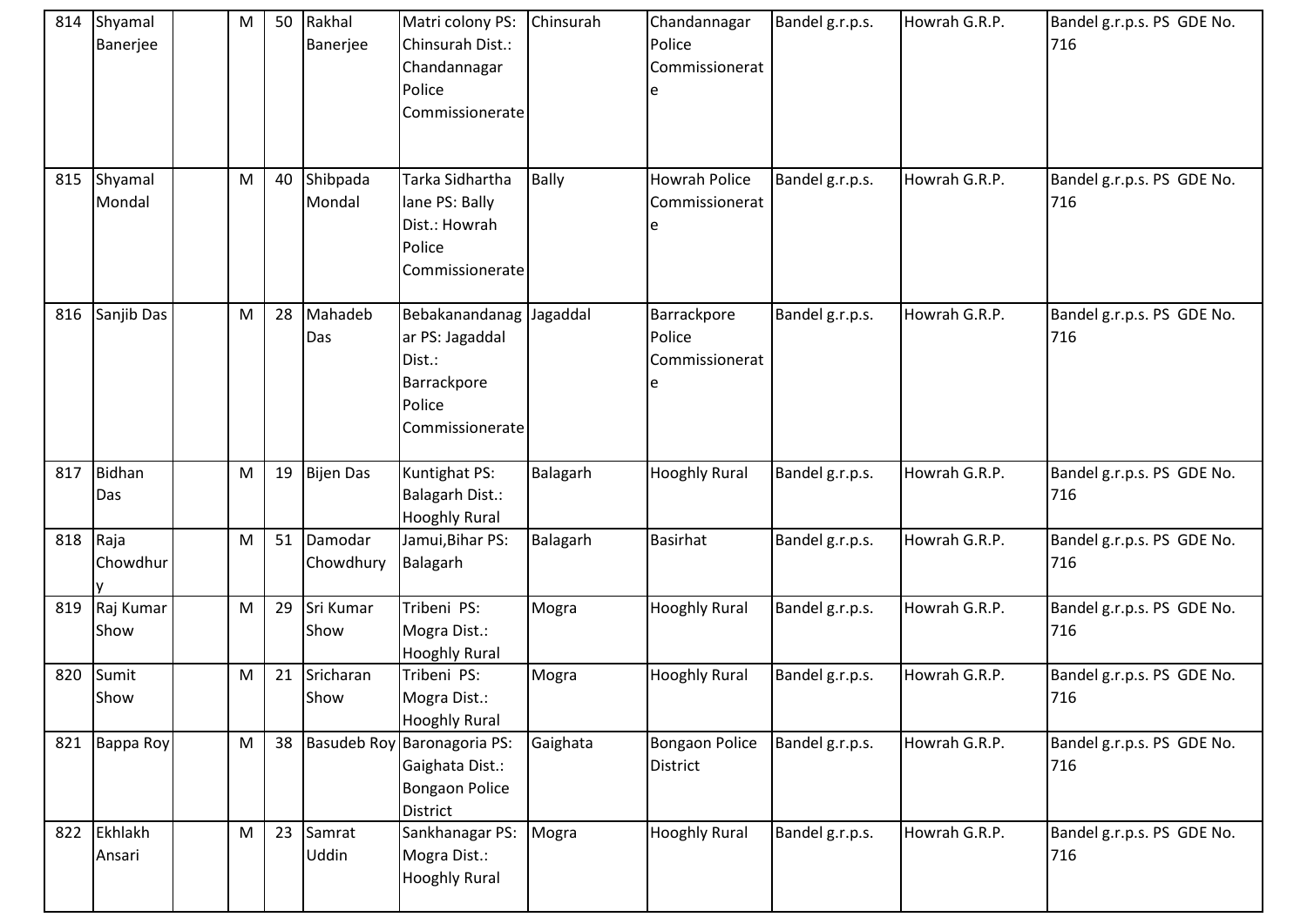| 814 | Shyamal<br>Banerjee | M         | 50 | Rakhal<br>Banerjee   | Matri colony PS:<br>Chinsurah Dist.:<br>Chandannagar<br>Police<br>Commissionerate                | Chinsurah    | Chandannagar<br>Police<br>Commissionerat    | Bandel g.r.p.s. | Howrah G.R.P. | Bandel g.r.p.s. PS GDE No.<br>716 |
|-----|---------------------|-----------|----|----------------------|--------------------------------------------------------------------------------------------------|--------------|---------------------------------------------|-----------------|---------------|-----------------------------------|
| 815 | Shyamal<br>Mondal   | M         | 40 | Shibpada<br>Mondal   | Tarka Sidhartha<br>lane PS: Bally<br>Dist.: Howrah<br>Police<br>Commissionerate                  | <b>Bally</b> | <b>Howrah Police</b><br>Commissionerat<br>e | Bandel g.r.p.s. | Howrah G.R.P. | Bandel g.r.p.s. PS GDE No.<br>716 |
| 816 | Sanjib Das          | M         | 28 | Mahadeb<br>Das       | Bebakanandanag Jagaddal<br>ar PS: Jagaddal<br>Dist.:<br>Barrackpore<br>Police<br>Commissionerate |              | Barrackpore<br>Police<br>Commissionerat     | Bandel g.r.p.s. | Howrah G.R.P. | Bandel g.r.p.s. PS GDE No.<br>716 |
| 817 | Bidhan<br>Das       | M         | 19 | <b>Bijen Das</b>     | Kuntighat PS:<br><b>Balagarh Dist.:</b><br><b>Hooghly Rural</b>                                  | Balagarh     | <b>Hooghly Rural</b>                        | Bandel g.r.p.s. | Howrah G.R.P. | Bandel g.r.p.s. PS GDE No.<br>716 |
| 818 | Raja<br>Chowdhur    | ${\sf M}$ | 51 | Damodar<br>Chowdhury | Jamui, Bihar PS:<br>Balagarh                                                                     | Balagarh     | <b>Basirhat</b>                             | Bandel g.r.p.s. | Howrah G.R.P. | Bandel g.r.p.s. PS GDE No.<br>716 |
| 819 | Raj Kumar<br>Show   | M         | 29 | Sri Kumar<br>Show    | Tribeni PS:<br>Mogra Dist.:<br><b>Hooghly Rural</b>                                              | Mogra        | <b>Hooghly Rural</b>                        | Bandel g.r.p.s. | Howrah G.R.P. | Bandel g.r.p.s. PS GDE No.<br>716 |
| 820 | Sumit<br>Show       | ${\sf M}$ | 21 | Sricharan<br>Show    | Tribeni PS:<br>Mogra Dist.:<br><b>Hooghly Rural</b>                                              | Mogra        | <b>Hooghly Rural</b>                        | Bandel g.r.p.s. | Howrah G.R.P. | Bandel g.r.p.s. PS GDE No.<br>716 |
| 821 | Bappa Roy           | M         | 38 |                      | Basudeb Roy Baronagoria PS:<br>Gaighata Dist.:<br><b>Bongaon Police</b><br><b>District</b>       | Gaighata     | Bongaon Police<br><b>District</b>           | Bandel g.r.p.s. | Howrah G.R.P. | Bandel g.r.p.s. PS GDE No.<br>716 |
| 822 | Ekhlakh<br>Ansari   | M         | 23 | Samrat<br>Uddin      | Sankhanagar PS:<br>Mogra Dist.:<br><b>Hooghly Rural</b>                                          | Mogra        | <b>Hooghly Rural</b>                        | Bandel g.r.p.s. | Howrah G.R.P. | Bandel g.r.p.s. PS GDE No.<br>716 |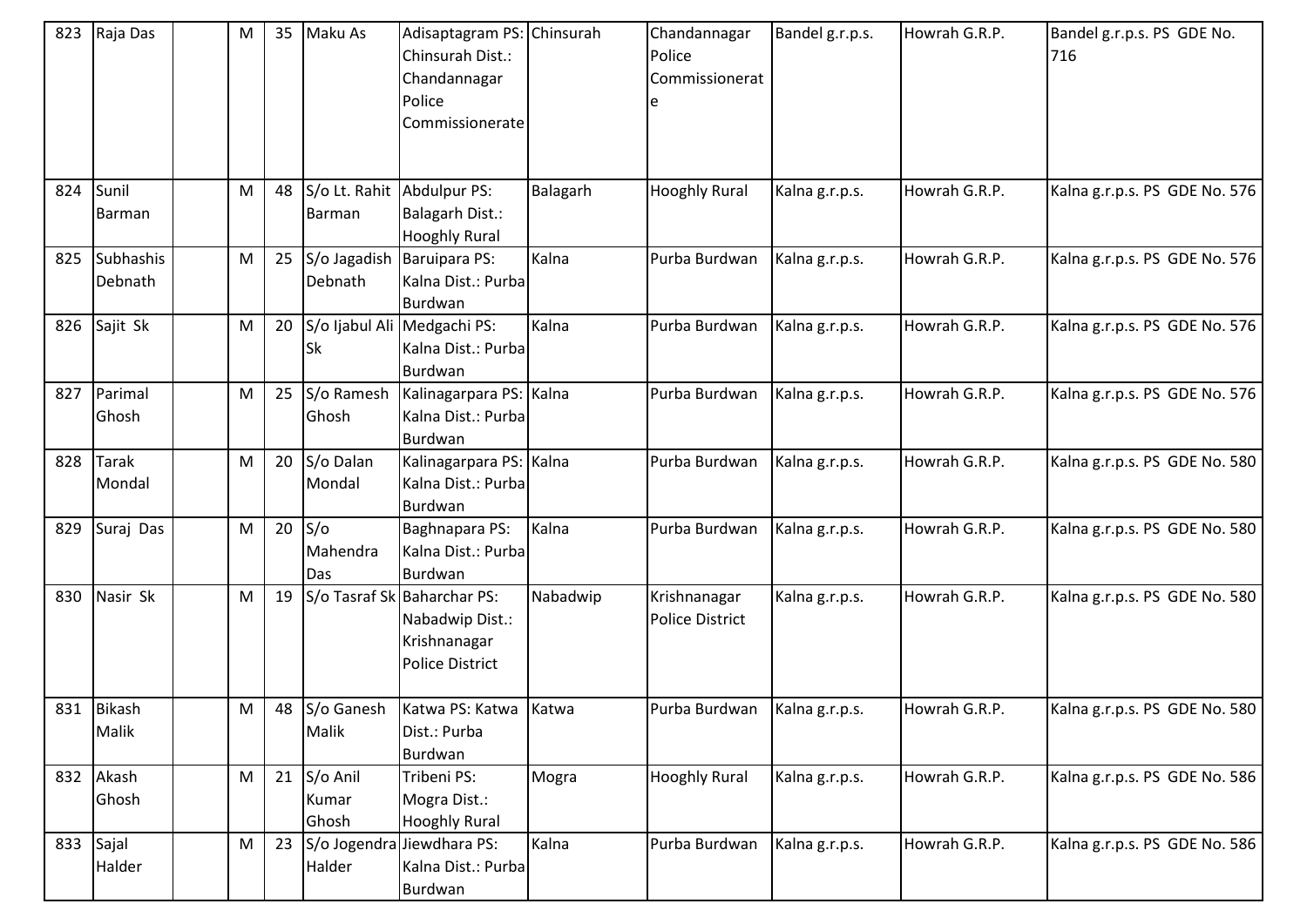| 823 | Raja Das                 | M | 35 | Maku As                              | Adisaptagram PS: Chinsurah<br>Chinsurah Dist.:<br>Chandannagar<br>Police<br>Commissionerate |          | Chandannagar<br>Police<br>Commissionerat | Bandel g.r.p.s. | Howrah G.R.P. | Bandel g.r.p.s. PS GDE No.<br>716 |
|-----|--------------------------|---|----|--------------------------------------|---------------------------------------------------------------------------------------------|----------|------------------------------------------|-----------------|---------------|-----------------------------------|
| 824 | Sunil<br>Barman          | M | 48 | S/o Lt. Rahit Abdulpur PS:<br>Barman | <b>Balagarh Dist.:</b><br><b>Hooghly Rural</b>                                              | Balagarh | <b>Hooghly Rural</b>                     | Kalna g.r.p.s.  | Howrah G.R.P. | Kalna g.r.p.s. PS GDE No. 576     |
|     | 825 Subhashis<br>Debnath | M | 25 | S/o Jagadish<br>Debnath              | Baruipara PS:<br>Kalna Dist.: Purba<br>Burdwan                                              | Kalna    | Purba Burdwan                            | Kalna g.r.p.s.  | Howrah G.R.P. | Kalna g.r.p.s. PS GDE No. 576     |
|     | 826 Sajit Sk             | M | 20 | <b>Sk</b>                            | S/o Ijabul Ali Medgachi PS:<br>Kalna Dist.: Purba<br>Burdwan                                | Kalna    | Purba Burdwan                            | Kalna g.r.p.s.  | Howrah G.R.P. | Kalna g.r.p.s. PS GDE No. 576     |
|     | 827 Parimal<br>Ghosh     | M | 25 | S/o Ramesh<br>Ghosh                  | Kalinagarpara PS: Kalna<br>Kalna Dist.: Purba<br>Burdwan                                    |          | Purba Burdwan                            | Kalna g.r.p.s.  | Howrah G.R.P. | Kalna g.r.p.s. PS GDE No. 576     |
|     | 828 Tarak<br>Mondal      | M | 20 | S/o Dalan<br>Mondal                  | Kalinagarpara PS: Kalna<br>Kalna Dist.: Purba<br>Burdwan                                    |          | Purba Burdwan                            | Kalna g.r.p.s.  | Howrah G.R.P. | Kalna g.r.p.s. PS GDE No. 580     |
| 829 | Suraj Das                | M | 20 | $S/\sigma$<br>Mahendra<br>Das        | Baghnapara PS:<br>Kalna Dist.: Purba<br>Burdwan                                             | Kalna    | Purba Burdwan                            | Kalna g.r.p.s.  | Howrah G.R.P. | Kalna g.r.p.s. PS GDE No. 580     |
| 830 | Nasir Sk                 | M | 19 |                                      | S/o Tasraf Sk Baharchar PS:<br>Nabadwip Dist.:<br>Krishnanagar<br><b>Police District</b>    | Nabadwip | Krishnanagar<br>Police District          | Kalna g.r.p.s.  | Howrah G.R.P. | Kalna g.r.p.s. PS GDE No. 580     |
|     | 831 Bikash<br>Malik      | M |    | 48 S/o Ganesh<br>Malik               | Katwa PS: Katwa Katwa<br>Dist.: Purba<br>Burdwan                                            |          | Purba Burdwan                            | Kalna g.r.p.s.  | Howrah G.R.P. | Kalna g.r.p.s. PS GDE No. 580     |
|     | 832 Akash<br>Ghosh       | M | 21 | S/o Anil<br>Kumar<br>Ghosh           | Tribeni PS:<br>Mogra Dist.:<br><b>Hooghly Rural</b>                                         | Mogra    | <b>Hooghly Rural</b>                     | Kalna g.r.p.s.  | Howrah G.R.P. | Kalna g.r.p.s. PS GDE No. 586     |
|     | 833 Sajal<br>Halder      | M | 23 | Halder                               | S/o Jogendra Jiewdhara PS:<br>Kalna Dist.: Purba<br>Burdwan                                 | Kalna    | Purba Burdwan                            | Kalna g.r.p.s.  | Howrah G.R.P. | Kalna g.r.p.s. PS GDE No. 586     |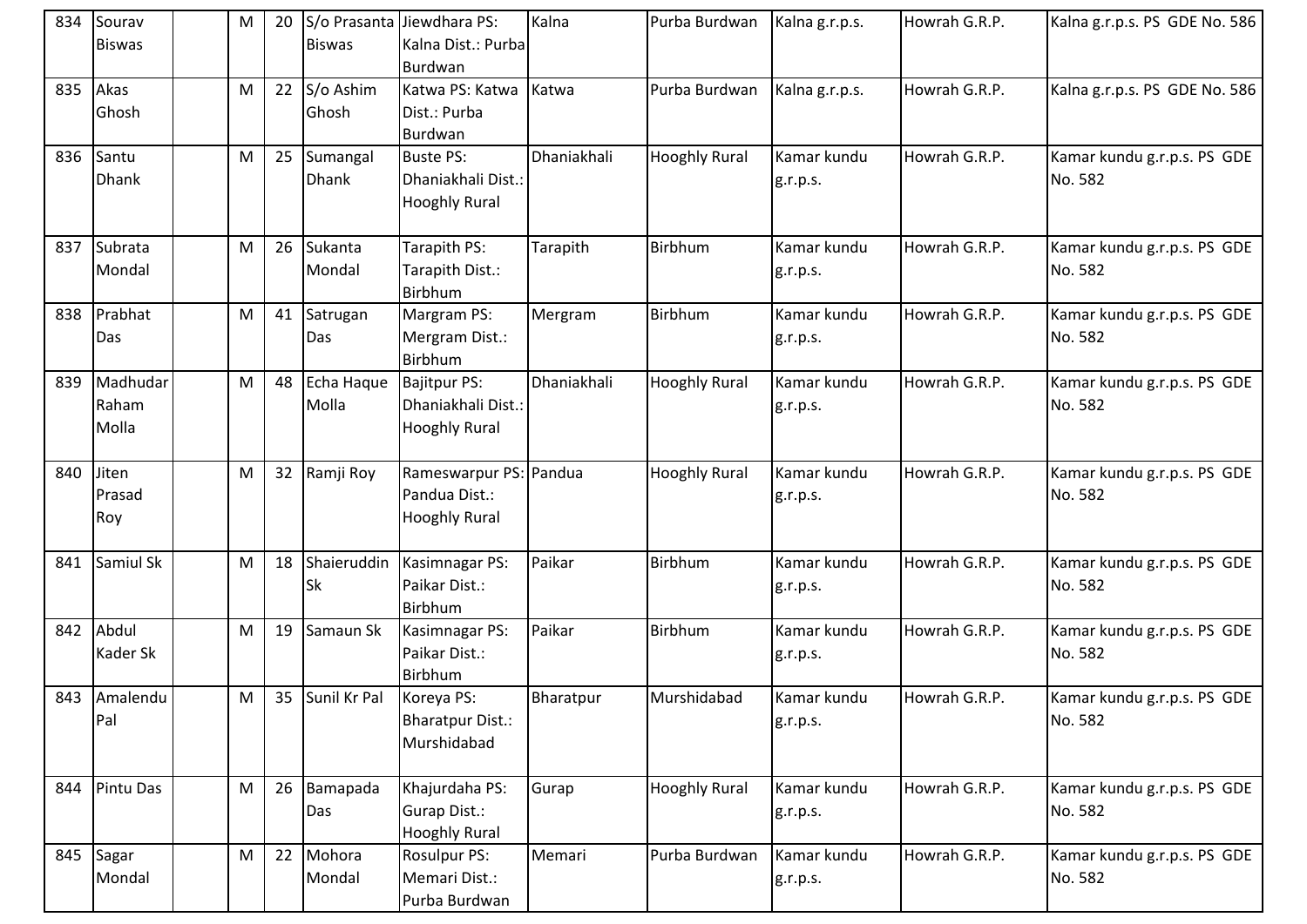| 834 | Sourav<br><b>Biswas</b>    | M | 20 | <b>Biswas</b>            | S/o Prasanta Jiewdhara PS:<br>Kalna Dist.: Purba<br>Burdwan       | Kalna       | Purba Burdwan        | Kalna g.r.p.s.          | Howrah G.R.P. | Kalna g.r.p.s. PS GDE No. 586          |
|-----|----------------------------|---|----|--------------------------|-------------------------------------------------------------------|-------------|----------------------|-------------------------|---------------|----------------------------------------|
| 835 | Akas<br>Ghosh              | M | 22 | S/o Ashim<br>Ghosh       | Katwa PS: Katwa<br>Dist.: Purba<br>Burdwan                        | Katwa       | Purba Burdwan        | Kalna g.r.p.s.          | Howrah G.R.P. | Kalna g.r.p.s. PS GDE No. 586          |
| 836 | Santu<br><b>Dhank</b>      | M | 25 | Sumangal<br><b>Dhank</b> | <b>Buste PS:</b><br>Dhaniakhali Dist.:<br><b>Hooghly Rural</b>    | Dhaniakhali | <b>Hooghly Rural</b> | Kamar kundu<br>g.r.p.s. | Howrah G.R.P. | Kamar kundu g.r.p.s. PS GDE<br>No. 582 |
| 837 | Subrata<br>Mondal          | M | 26 | Sukanta<br>Mondal        | Tarapith PS:<br>Tarapith Dist.:<br>Birbhum                        | Tarapith    | Birbhum              | Kamar kundu<br>g.r.p.s. | Howrah G.R.P. | Kamar kundu g.r.p.s. PS GDE<br>No. 582 |
| 838 | Prabhat<br>Das             | M | 41 | Satrugan<br>Das          | Margram PS:<br>Mergram Dist.:<br>Birbhum                          | Mergram     | <b>Birbhum</b>       | Kamar kundu<br>g.r.p.s. | Howrah G.R.P. | Kamar kundu g.r.p.s. PS GDE<br>No. 582 |
| 839 | Madhudar<br>Raham<br>Molla | M | 48 | Echa Haque<br>Molla      | <b>Bajitpur PS:</b><br>Dhaniakhali Dist.:<br><b>Hooghly Rural</b> | Dhaniakhali | <b>Hooghly Rural</b> | Kamar kundu<br>g.r.p.s. | Howrah G.R.P. | Kamar kundu g.r.p.s. PS GDE<br>No. 582 |
| 840 | Jiten<br>Prasad<br>Roy     | M | 32 | Ramji Roy                | Rameswarpur PS: Pandua<br>Pandua Dist.:<br><b>Hooghly Rural</b>   |             | <b>Hooghly Rural</b> | Kamar kundu<br>g.r.p.s. | Howrah G.R.P. | Kamar kundu g.r.p.s. PS GDE<br>No. 582 |
| 841 | Samiul Sk                  | M | 18 | Shaieruddin<br>Sk        | Kasimnagar PS:<br>Paikar Dist.:<br>Birbhum                        | Paikar      | Birbhum              | Kamar kundu<br>g.r.p.s. | Howrah G.R.P. | Kamar kundu g.r.p.s. PS GDE<br>No. 582 |
| 842 | Abdul<br>Kader Sk          | M | 19 | Samaun Sk                | Kasimnagar PS:<br>Paikar Dist.:<br>Birbhum                        | Paikar      | Birbhum              | Kamar kundu<br>g.r.p.s. | Howrah G.R.P. | Kamar kundu g.r.p.s. PS GDE<br>No. 582 |
|     | 843 Amalendu<br>Pal        | M |    | 35 Sunil Kr Pal          | Koreya PS:<br><b>Bharatpur Dist.:</b><br>Murshidabad              | Bharatpur   | Murshidabad          | Kamar kundu<br>g.r.p.s. | Howrah G.R.P. | Kamar kundu g.r.p.s. PS GDE<br>No. 582 |
| 844 | Pintu Das                  | M | 26 | Bamapada<br>Das          | Khajurdaha PS:<br>Gurap Dist.:<br><b>Hooghly Rural</b>            | Gurap       | <b>Hooghly Rural</b> | Kamar kundu<br>g.r.p.s. | Howrah G.R.P. | Kamar kundu g.r.p.s. PS GDE<br>No. 582 |
|     | 845 Sagar<br>Mondal        | M | 22 | Mohora<br>Mondal         | Rosulpur PS:<br>Memari Dist.:<br>Purba Burdwan                    | Memari      | Purba Burdwan        | Kamar kundu<br>g.r.p.s. | Howrah G.R.P. | Kamar kundu g.r.p.s. PS GDE<br>No. 582 |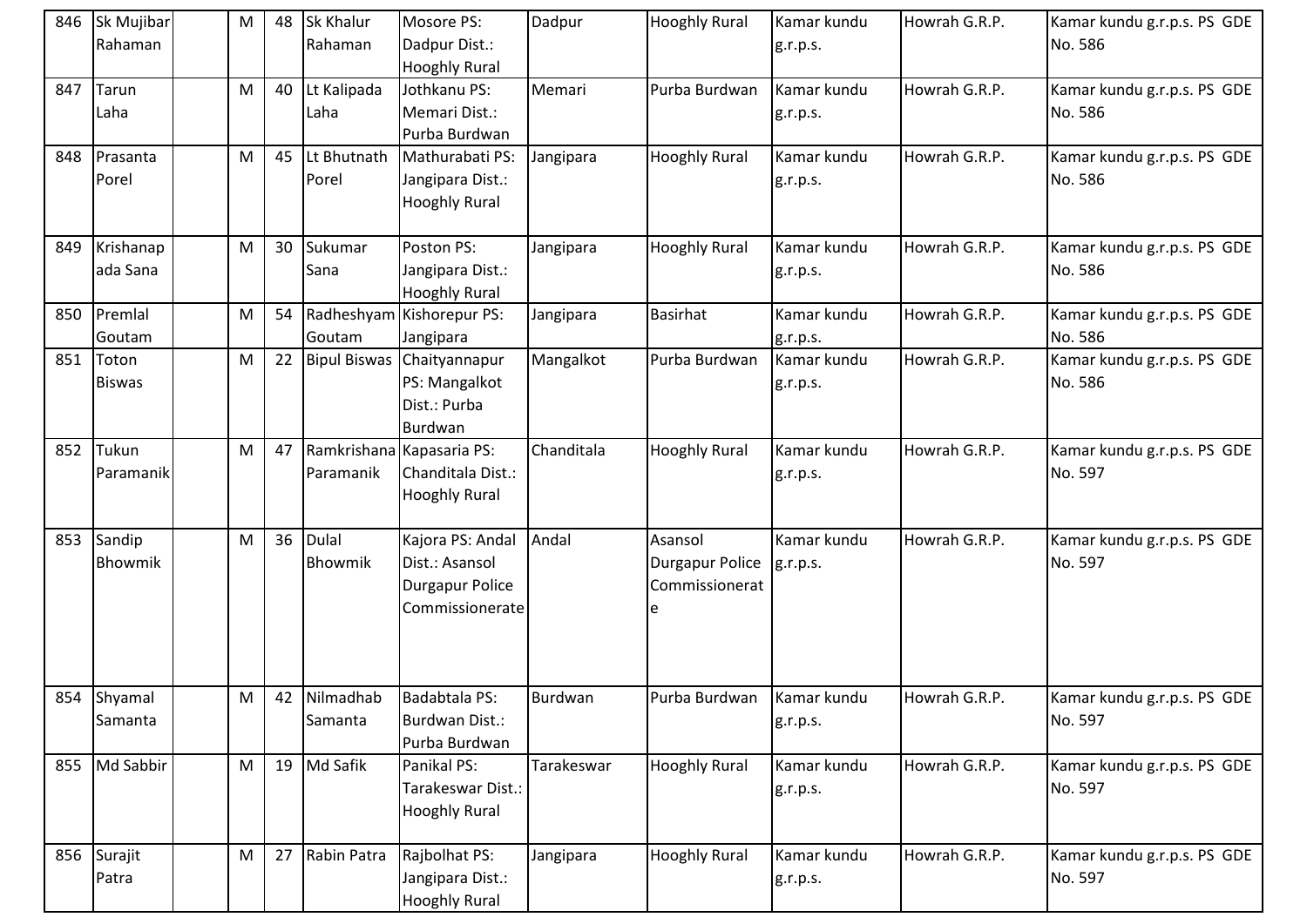|     | 846 Sk Mujibar<br>Rahaman | M | 48 | Sk Khalur<br>Rahaman    | Mosore PS:<br>Dadpur Dist.:<br><b>Hooghly Rural</b>                             | Dadpur     | <b>Hooghly Rural</b>                                     | Kamar kundu<br>g.r.p.s. | Howrah G.R.P. | Kamar kundu g.r.p.s. PS GDE<br>No. 586 |
|-----|---------------------------|---|----|-------------------------|---------------------------------------------------------------------------------|------------|----------------------------------------------------------|-------------------------|---------------|----------------------------------------|
| 847 | Tarun<br>Laha             | M | 40 | Lt Kalipada<br>Laha     | Jothkanu PS:<br>Memari Dist.:<br>Purba Burdwan                                  | Memari     | Purba Burdwan                                            | Kamar kundu<br>g.r.p.s. | Howrah G.R.P. | Kamar kundu g.r.p.s. PS GDE<br>No. 586 |
|     | 848 Prasanta<br>Porel     | M | 45 | Lt Bhutnath<br>Porel    | Mathurabati PS:<br>Jangipara Dist.:<br><b>Hooghly Rural</b>                     | Jangipara  | <b>Hooghly Rural</b>                                     | Kamar kundu<br>g.r.p.s. | Howrah G.R.P. | Kamar kundu g.r.p.s. PS GDE<br>No. 586 |
| 849 | Krishanap<br>ada Sana     | M | 30 | Sukumar<br>Sana         | Poston PS:<br>Jangipara Dist.:<br><b>Hooghly Rural</b>                          | Jangipara  | <b>Hooghly Rural</b>                                     | Kamar kundu<br>g.r.p.s. | Howrah G.R.P. | Kamar kundu g.r.p.s. PS GDE<br>No. 586 |
| 850 | Premlal<br>Goutam         | M | 54 | Goutam                  | Radheshyam Kishorepur PS:<br>Jangipara                                          | Jangipara  | Basirhat                                                 | Kamar kundu<br>g.r.p.s. | Howrah G.R.P. | Kamar kundu g.r.p.s. PS GDE<br>No. 586 |
| 851 | Toton<br><b>Biswas</b>    | M | 22 | <b>Bipul Biswas</b>     | Chaityannapur<br>PS: Mangalkot<br>Dist.: Purba<br>Burdwan                       | Mangalkot  | Purba Burdwan                                            | Kamar kundu<br>g.r.p.s. | Howrah G.R.P. | Kamar kundu g.r.p.s. PS GDE<br>No. 586 |
| 852 | Tukun<br>Paramanik        | M | 47 | Paramanik               | Ramkrishana Kapasaria PS:<br>Chanditala Dist.:<br><b>Hooghly Rural</b>          | Chanditala | <b>Hooghly Rural</b>                                     | Kamar kundu<br>g.r.p.s. | Howrah G.R.P. | Kamar kundu g.r.p.s. PS GDE<br>No. 597 |
|     | 853 Sandip<br>Bhowmik     | M | 36 | <b>Dulal</b><br>Bhowmik | Kajora PS: Andal<br>Dist.: Asansol<br><b>Durgapur Police</b><br>Commissionerate | Andal      | Asansol<br><b>Durgapur Police</b><br>Commissionerat<br>e | Kamar kundu<br>g.r.p.s. | Howrah G.R.P. | Kamar kundu g.r.p.s. PS GDE<br>No. 597 |
|     | 854 Shyamal<br>Samanta    | M | 42 | Nilmadhab<br>Samanta    | Badabtala PS:<br>Burdwan Dist.:<br>Purba Burdwan                                | Burdwan    | Purba Burdwan                                            | Kamar kundu<br>g.r.p.s. | Howrah G.R.P. | Kamar kundu g.r.p.s. PS GDE<br>No. 597 |
|     | 855 Md Sabbir             | M | 19 | Md Safik                | Panikal PS:<br>Tarakeswar Dist.:<br><b>Hooghly Rural</b>                        | Tarakeswar | <b>Hooghly Rural</b>                                     | Kamar kundu<br>g.r.p.s. | Howrah G.R.P. | Kamar kundu g.r.p.s. PS GDE<br>No. 597 |
|     | 856 Surajit<br>Patra      | M | 27 | Rabin Patra             | Rajbolhat PS:<br>Jangipara Dist.:<br><b>Hooghly Rural</b>                       | Jangipara  | <b>Hooghly Rural</b>                                     | Kamar kundu<br>g.r.p.s. | Howrah G.R.P. | Kamar kundu g.r.p.s. PS GDE<br>No. 597 |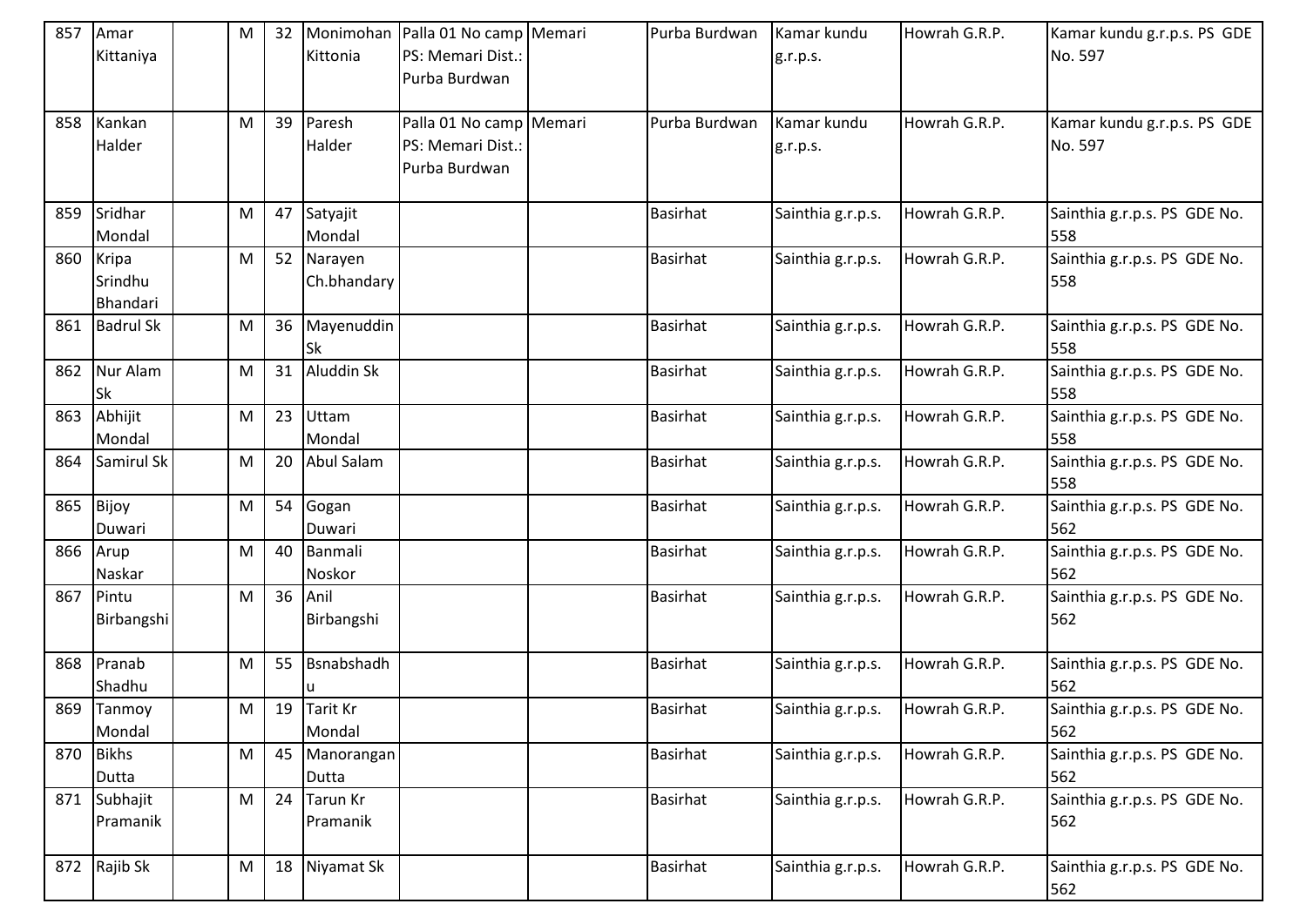| 857 | Amar<br>Kittaniya            | M | 32 | Kittonia                  | Monimohan Palla 01 No camp Memari<br>PS: Memari Dist.:<br>Purba Burdwan | Purba Burdwan   | Kamar kundu<br>g.r.p.s. | Howrah G.R.P. | Kamar kundu g.r.p.s. PS GDE<br>No. 597 |
|-----|------------------------------|---|----|---------------------------|-------------------------------------------------------------------------|-----------------|-------------------------|---------------|----------------------------------------|
| 858 | Kankan<br>Halder             | M | 39 | Paresh<br>Halder          | Palla 01 No camp Memari<br>PS: Memari Dist.:<br>Purba Burdwan           | Purba Burdwan   | Kamar kundu<br>g.r.p.s. | Howrah G.R.P. | Kamar kundu g.r.p.s. PS GDE<br>No. 597 |
| 859 | Sridhar<br>Mondal            | M | 47 | Satyajit<br>Mondal        |                                                                         | <b>Basirhat</b> | Sainthia g.r.p.s.       | Howrah G.R.P. | Sainthia g.r.p.s. PS GDE No.<br>558    |
| 860 | Kripa<br>Srindhu<br>Bhandari | M | 52 | Narayen<br>Ch.bhandary    |                                                                         | <b>Basirhat</b> | Sainthia g.r.p.s.       | Howrah G.R.P. | Sainthia g.r.p.s. PS GDE No.<br>558    |
| 861 | <b>Badrul Sk</b>             | M | 36 | Mayenuddin<br>lSk         |                                                                         | <b>Basirhat</b> | Sainthia g.r.p.s.       | Howrah G.R.P. | Sainthia g.r.p.s. PS GDE No.<br>558    |
| 862 | Nur Alam<br><b>Sk</b>        | M | 31 | Aluddin Sk                |                                                                         | <b>Basirhat</b> | Sainthia g.r.p.s.       | Howrah G.R.P. | Sainthia g.r.p.s. PS GDE No.<br>558    |
| 863 | Abhijit<br>Mondal            | M | 23 | <b>Uttam</b><br>Mondal    |                                                                         | <b>Basirhat</b> | Sainthia g.r.p.s.       | Howrah G.R.P. | Sainthia g.r.p.s. PS GDE No.<br>558    |
| 864 | Samirul Sk                   | M | 20 | Abul Salam                |                                                                         | <b>Basirhat</b> | Sainthia g.r.p.s.       | Howrah G.R.P. | Sainthia g.r.p.s. PS GDE No.<br>558    |
| 865 | Bijoy<br>Duwari              | M | 54 | Gogan<br>Duwari           |                                                                         | <b>Basirhat</b> | Sainthia g.r.p.s.       | Howrah G.R.P. | Sainthia g.r.p.s. PS GDE No.<br>562    |
| 866 | Arup<br>Naskar               | M | 40 | Banmali<br>Noskor         |                                                                         | <b>Basirhat</b> | Sainthia g.r.p.s.       | Howrah G.R.P. | Sainthia g.r.p.s. PS GDE No.<br>562    |
| 867 | Pintu<br>Birbangshi          | M | 36 | Anil<br>Birbangshi        |                                                                         | <b>Basirhat</b> | Sainthia g.r.p.s.       | Howrah G.R.P. | Sainthia g.r.p.s. PS GDE No.<br>562    |
| 868 | Pranab<br>Shadhu             | M | 55 | Bsnabshadh                |                                                                         | <b>Basirhat</b> | Sainthia g.r.p.s.       | Howrah G.R.P. | Sainthia g.r.p.s. PS GDE No.<br>562    |
| 869 | Tanmoy<br>Mondal             | M | 19 | <b>Tarit Kr</b><br>Mondal |                                                                         | <b>Basirhat</b> | Sainthia g.r.p.s.       | Howrah G.R.P. | Sainthia g.r.p.s. PS GDE No.<br>562    |
| 870 | <b>Bikhs</b><br>Dutta        | M | 45 | Manorangan<br>Dutta       |                                                                         | <b>Basirhat</b> | Sainthia g.r.p.s.       | Howrah G.R.P. | Sainthia g.r.p.s. PS GDE No.<br>562    |
| 871 | Subhajit<br>Pramanik         | M | 24 | Tarun Kr<br>Pramanik      |                                                                         | <b>Basirhat</b> | Sainthia g.r.p.s.       | Howrah G.R.P. | Sainthia g.r.p.s. PS GDE No.<br>562    |
|     | 872 Rajib Sk                 | M | 18 | Niyamat Sk                |                                                                         | <b>Basirhat</b> | Sainthia g.r.p.s.       | Howrah G.R.P. | Sainthia g.r.p.s. PS GDE No.<br>562    |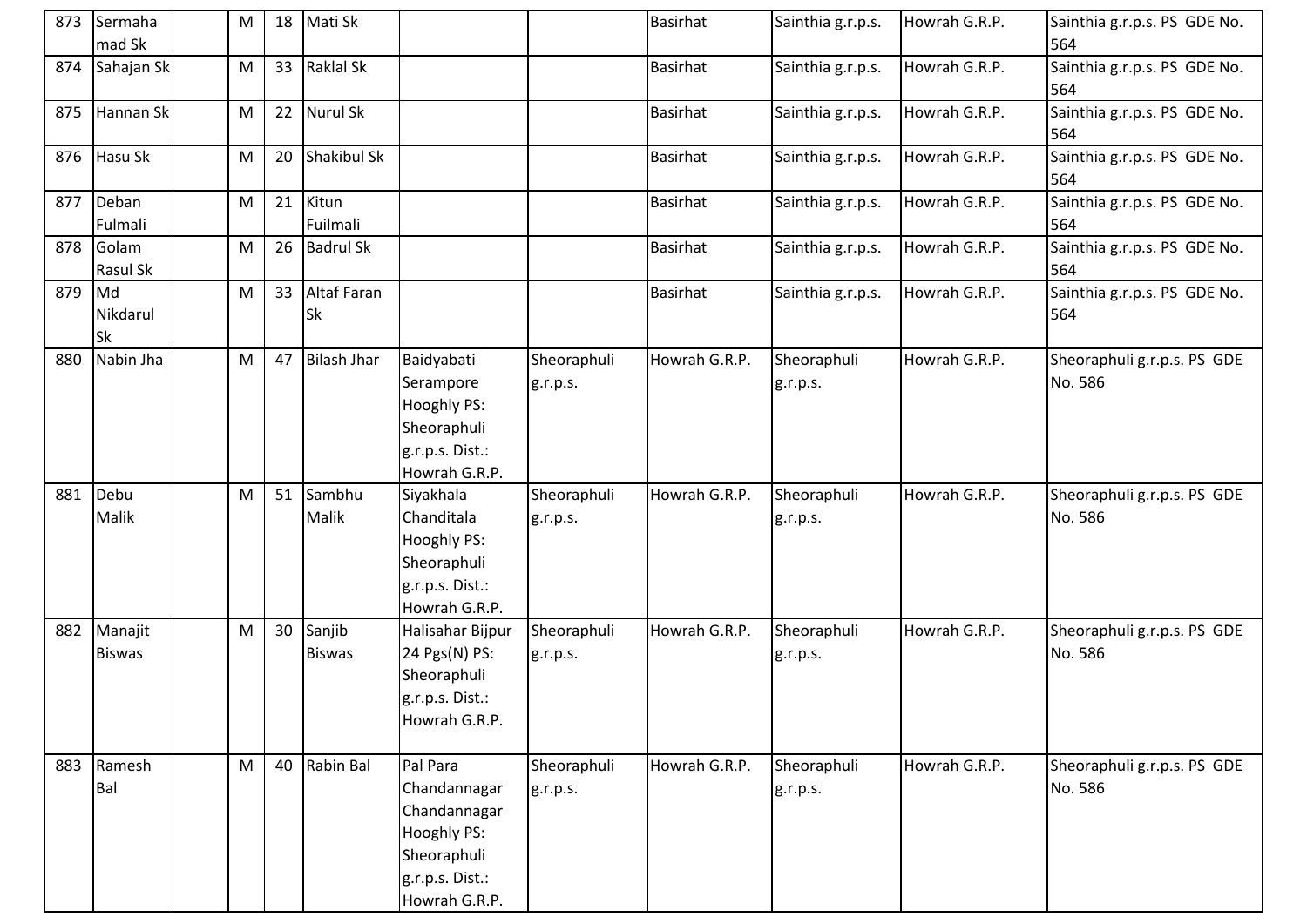| 873 | Sermaha<br>mad Sk           | M | 18 | Mati Sk                  |                                                                                                            |                         | <b>Basirhat</b> | Sainthia g.r.p.s.       | Howrah G.R.P. | Sainthia g.r.p.s. PS GDE No.<br>564    |
|-----|-----------------------------|---|----|--------------------------|------------------------------------------------------------------------------------------------------------|-------------------------|-----------------|-------------------------|---------------|----------------------------------------|
| 874 | Sahajan Sk                  | M | 33 | <b>Raklal Sk</b>         |                                                                                                            |                         | <b>Basirhat</b> | Sainthia g.r.p.s.       | Howrah G.R.P. | Sainthia g.r.p.s. PS GDE No.<br>564    |
| 875 | Hannan Sk                   | M | 22 | Nurul Sk                 |                                                                                                            |                         | <b>Basirhat</b> | Sainthia g.r.p.s.       | Howrah G.R.P. | Sainthia g.r.p.s. PS GDE No.<br>564    |
|     | 876 Hasu Sk                 | M | 20 | Shakibul Sk              |                                                                                                            |                         | <b>Basirhat</b> | Sainthia g.r.p.s.       | Howrah G.R.P. | Sainthia g.r.p.s. PS GDE No.<br>564    |
| 877 | Deban<br>Fulmali            | M | 21 | Kitun<br>Fuilmali        |                                                                                                            |                         | Basirhat        | Sainthia g.r.p.s.       | Howrah G.R.P. | Sainthia g.r.p.s. PS GDE No.<br>564    |
| 878 | Golam<br>Rasul Sk           | M | 26 | <b>Badrul Sk</b>         |                                                                                                            |                         | <b>Basirhat</b> | Sainthia g.r.p.s.       | Howrah G.R.P. | Sainthia g.r.p.s. PS GDE No.<br>564    |
| 879 | Md<br>Nikdarul<br><b>Sk</b> | M | 33 | Altaf Faran<br><b>Sk</b> |                                                                                                            |                         | <b>Basirhat</b> | Sainthia g.r.p.s.       | Howrah G.R.P. | Sainthia g.r.p.s. PS GDE No.<br>564    |
| 880 | Nabin Jha                   | M | 47 | <b>Bilash Jhar</b>       | Baidyabati<br>Serampore<br>Hooghly PS:<br>Sheoraphuli<br>g.r.p.s. Dist.:<br>Howrah G.R.P.                  | Sheoraphuli<br>g.r.p.s. | Howrah G.R.P.   | Sheoraphuli<br>g.r.p.s. | Howrah G.R.P. | Sheoraphuli g.r.p.s. PS GDE<br>No. 586 |
| 881 | Debu<br>Malik               | M |    | 51 Sambhu<br>Malik       | Siyakhala<br>Chanditala<br>Hooghly PS:<br>Sheoraphuli<br>g.r.p.s. Dist.:<br>Howrah G.R.P.                  | Sheoraphuli<br>g.r.p.s. | Howrah G.R.P.   | Sheoraphuli<br>g.r.p.s. | Howrah G.R.P. | Sheoraphuli g.r.p.s. PS GDE<br>No. 586 |
| 882 | Manajit<br><b>Biswas</b>    | M | 30 | Sanjib<br><b>Biswas</b>  | Halisahar Bijpur<br>24 Pgs(N) PS:<br>Sheoraphuli<br>g.r.p.s. Dist.:<br>Howrah G.R.P.                       | Sheoraphuli<br>g.r.p.s. | Howrah G.R.P.   | Sheoraphuli<br>g.r.p.s. | Howrah G.R.P. | Sheoraphuli g.r.p.s. PS GDE<br>No. 586 |
| 883 | Ramesh<br>Bal               | M | 40 | Rabin Bal                | Pal Para<br>Chandannagar<br>Chandannagar<br>Hooghly PS:<br>Sheoraphuli<br>g.r.p.s. Dist.:<br>Howrah G.R.P. | Sheoraphuli<br>g.r.p.s. | Howrah G.R.P.   | Sheoraphuli<br>g.r.p.s. | Howrah G.R.P. | Sheoraphuli g.r.p.s. PS GDE<br>No. 586 |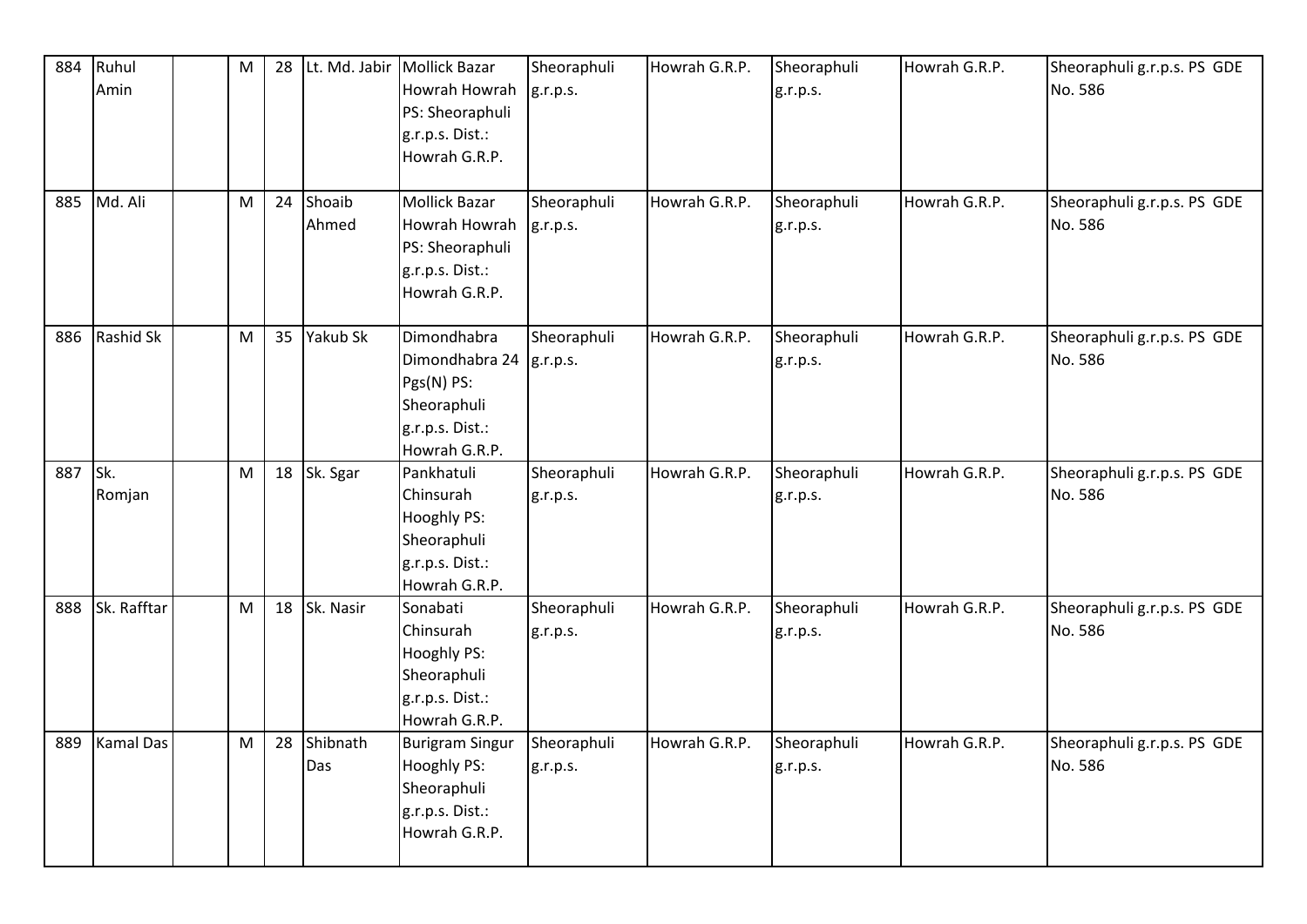| 884 | Ruhul            | ${\sf M}$ | 28 |             | Lt. Md. Jabir   Mollick Bazar | Sheoraphuli | Howrah G.R.P. | Sheoraphuli | Howrah G.R.P. | Sheoraphuli g.r.p.s. PS GDE |
|-----|------------------|-----------|----|-------------|-------------------------------|-------------|---------------|-------------|---------------|-----------------------------|
|     | Amin             |           |    |             | Howrah Howrah                 | g.r.p.s.    |               | g.r.p.s.    |               | No. 586                     |
|     |                  |           |    |             | PS: Sheoraphuli               |             |               |             |               |                             |
|     |                  |           |    |             | g.r.p.s. Dist.:               |             |               |             |               |                             |
|     |                  |           |    |             | Howrah G.R.P.                 |             |               |             |               |                             |
|     |                  |           |    |             |                               |             |               |             |               |                             |
| 885 | Md. Ali          | M         | 24 | Shoaib      | <b>Mollick Bazar</b>          | Sheoraphuli | Howrah G.R.P. | Sheoraphuli | Howrah G.R.P. | Sheoraphuli g.r.p.s. PS GDE |
|     |                  |           |    | Ahmed       | Howrah Howrah                 | g.r.p.s.    |               | g.r.p.s.    |               | No. 586                     |
|     |                  |           |    |             | PS: Sheoraphuli               |             |               |             |               |                             |
|     |                  |           |    |             | g.r.p.s. Dist.:               |             |               |             |               |                             |
|     |                  |           |    |             | Howrah G.R.P.                 |             |               |             |               |                             |
|     |                  |           |    |             |                               |             |               |             |               |                             |
| 886 | Rashid Sk        | M         | 35 | Yakub Sk    | Dimondhabra                   | Sheoraphuli | Howrah G.R.P. | Sheoraphuli | Howrah G.R.P. | Sheoraphuli g.r.p.s. PS GDE |
|     |                  |           |    |             | Dimondhabra 24                | g.r.p.s.    |               | g.r.p.s.    |               | No. 586                     |
|     |                  |           |    |             | Pgs(N) PS:                    |             |               |             |               |                             |
|     |                  |           |    |             | Sheoraphuli                   |             |               |             |               |                             |
|     |                  |           |    |             | g.r.p.s. Dist.:               |             |               |             |               |                             |
|     |                  |           |    |             | Howrah G.R.P.                 |             |               |             |               |                             |
| 887 | Sk.              | M         |    | 18 Sk. Sgar | Pankhatuli                    | Sheoraphuli | Howrah G.R.P. | Sheoraphuli | Howrah G.R.P. | Sheoraphuli g.r.p.s. PS GDE |
|     | Romjan           |           |    |             | Chinsurah                     | g.r.p.s.    |               | g.r.p.s.    |               | No. 586                     |
|     |                  |           |    |             | Hooghly PS:                   |             |               |             |               |                             |
|     |                  |           |    |             | Sheoraphuli                   |             |               |             |               |                             |
|     |                  |           |    |             | g.r.p.s. Dist.:               |             |               |             |               |                             |
|     |                  |           |    |             | Howrah G.R.P.                 |             |               |             |               |                             |
| 888 | Sk. Rafftar      | M         | 18 | Sk. Nasir   | Sonabati                      | Sheoraphuli | Howrah G.R.P. | Sheoraphuli | Howrah G.R.P. | Sheoraphuli g.r.p.s. PS GDE |
|     |                  |           |    |             | Chinsurah                     | g.r.p.s.    |               | g.r.p.s.    |               | No. 586                     |
|     |                  |           |    |             | Hooghly PS:                   |             |               |             |               |                             |
|     |                  |           |    |             | Sheoraphuli                   |             |               |             |               |                             |
|     |                  |           |    |             | g.r.p.s. Dist.:               |             |               |             |               |                             |
|     |                  |           |    |             | Howrah G.R.P.                 |             |               |             |               |                             |
| 889 | <b>Kamal Das</b> | M         | 28 | Shibnath    | <b>Burigram Singur</b>        | Sheoraphuli | Howrah G.R.P. | Sheoraphuli | Howrah G.R.P. | Sheoraphuli g.r.p.s. PS GDE |
|     |                  |           |    | Das         | Hooghly PS:                   | g.r.p.s.    |               | g.r.p.s.    |               | No. 586                     |
|     |                  |           |    |             | Sheoraphuli                   |             |               |             |               |                             |
|     |                  |           |    |             | g.r.p.s. Dist.:               |             |               |             |               |                             |
|     |                  |           |    |             | Howrah G.R.P.                 |             |               |             |               |                             |
|     |                  |           |    |             |                               |             |               |             |               |                             |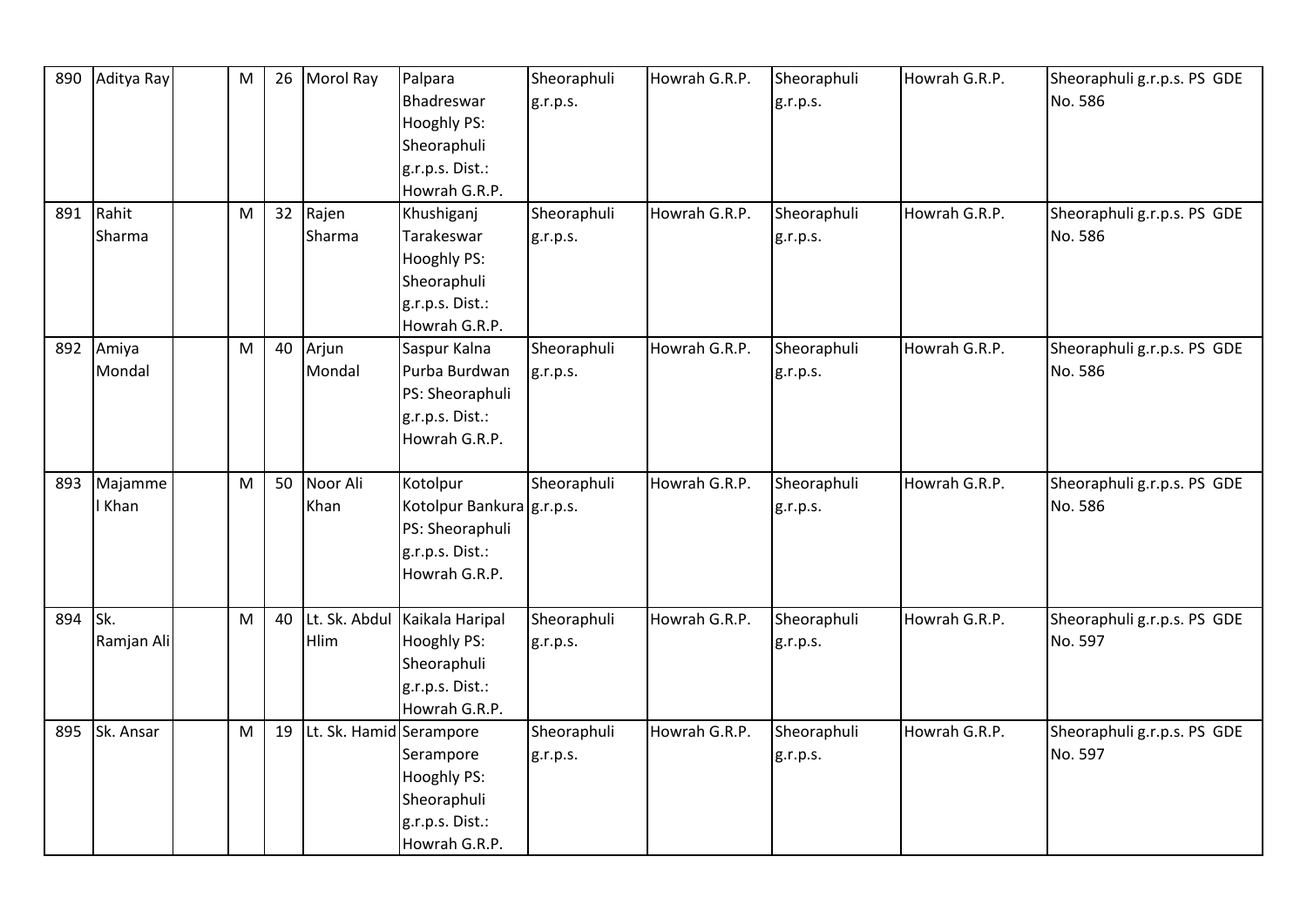| 890 | Aditya Ray | M | 26 | Morol Ray               | Palpara<br>Bhadreswar     | Sheoraphuli<br>g.r.p.s. | Howrah G.R.P. | Sheoraphuli<br>g.r.p.s. | Howrah G.R.P. | Sheoraphuli g.r.p.s. PS GDE<br>No. 586 |
|-----|------------|---|----|-------------------------|---------------------------|-------------------------|---------------|-------------------------|---------------|----------------------------------------|
|     |            |   |    |                         | <b>Hooghly PS:</b>        |                         |               |                         |               |                                        |
|     |            |   |    |                         | Sheoraphuli               |                         |               |                         |               |                                        |
|     |            |   |    |                         | g.r.p.s. Dist.:           |                         |               |                         |               |                                        |
|     |            |   |    |                         | Howrah G.R.P.             |                         |               |                         |               |                                        |
| 891 | Rahit      | M | 32 | Rajen                   | Khushiganj                | Sheoraphuli             | Howrah G.R.P. | Sheoraphuli             | Howrah G.R.P. | Sheoraphuli g.r.p.s. PS GDE            |
|     | Sharma     |   |    | Sharma                  | Tarakeswar                | g.r.p.s.                |               | g.r.p.s.                |               | No. 586                                |
|     |            |   |    |                         | Hooghly PS:               |                         |               |                         |               |                                        |
|     |            |   |    |                         | Sheoraphuli               |                         |               |                         |               |                                        |
|     |            |   |    |                         | g.r.p.s. Dist.:           |                         |               |                         |               |                                        |
|     |            |   |    |                         | Howrah G.R.P.             |                         |               |                         |               |                                        |
| 892 | Amiya      | M | 40 | Arjun                   | Saspur Kalna              | Sheoraphuli             | Howrah G.R.P. | Sheoraphuli             | Howrah G.R.P. | Sheoraphuli g.r.p.s. PS GDE            |
|     | Mondal     |   |    | Mondal                  | Purba Burdwan             | g.r.p.s.                |               | g.r.p.s.                |               | No. 586                                |
|     |            |   |    |                         | PS: Sheoraphuli           |                         |               |                         |               |                                        |
|     |            |   |    |                         | g.r.p.s. Dist.:           |                         |               |                         |               |                                        |
|     |            |   |    |                         | Howrah G.R.P.             |                         |               |                         |               |                                        |
|     |            |   |    |                         |                           |                         |               |                         |               |                                        |
| 893 | Majamme    | M | 50 | Noor Ali                | Kotolpur                  | Sheoraphuli             | Howrah G.R.P. | Sheoraphuli             | Howrah G.R.P. | Sheoraphuli g.r.p.s. PS GDE            |
|     | I Khan     |   |    | Khan                    | Kotolpur Bankura g.r.p.s. |                         |               | g.r.p.s.                |               | No. 586                                |
|     |            |   |    |                         | PS: Sheoraphuli           |                         |               |                         |               |                                        |
|     |            |   |    |                         | g.r.p.s. Dist.:           |                         |               |                         |               |                                        |
|     |            |   |    |                         | Howrah G.R.P.             |                         |               |                         |               |                                        |
|     |            |   |    |                         |                           |                         |               |                         |               |                                        |
| 894 | Sk.        | M | 40 | Lt. Sk. Abdul           | Kaikala Haripal           | Sheoraphuli             | Howrah G.R.P. | Sheoraphuli             | Howrah G.R.P. | Sheoraphuli g.r.p.s. PS GDE            |
|     | Ramjan Ali |   |    | Hlim                    | Hooghly PS:               | g.r.p.s.                |               | g.r.p.s.                |               | No. 597                                |
|     |            |   |    |                         | Sheoraphuli               |                         |               |                         |               |                                        |
|     |            |   |    |                         | g.r.p.s. Dist.:           |                         |               |                         |               |                                        |
|     |            |   |    |                         | Howrah G.R.P.             |                         |               |                         |               |                                        |
| 895 | Sk. Ansar  | M | 19 | Lt. Sk. Hamid Serampore |                           | Sheoraphuli             | Howrah G.R.P. | Sheoraphuli             | Howrah G.R.P. | Sheoraphuli g.r.p.s. PS GDE            |
|     |            |   |    |                         | Serampore                 | g.r.p.s.                |               | g.r.p.s.                |               | No. 597                                |
|     |            |   |    |                         | <b>Hooghly PS:</b>        |                         |               |                         |               |                                        |
|     |            |   |    |                         | Sheoraphuli               |                         |               |                         |               |                                        |
|     |            |   |    |                         | g.r.p.s. Dist.:           |                         |               |                         |               |                                        |
|     |            |   |    |                         | Howrah G.R.P.             |                         |               |                         |               |                                        |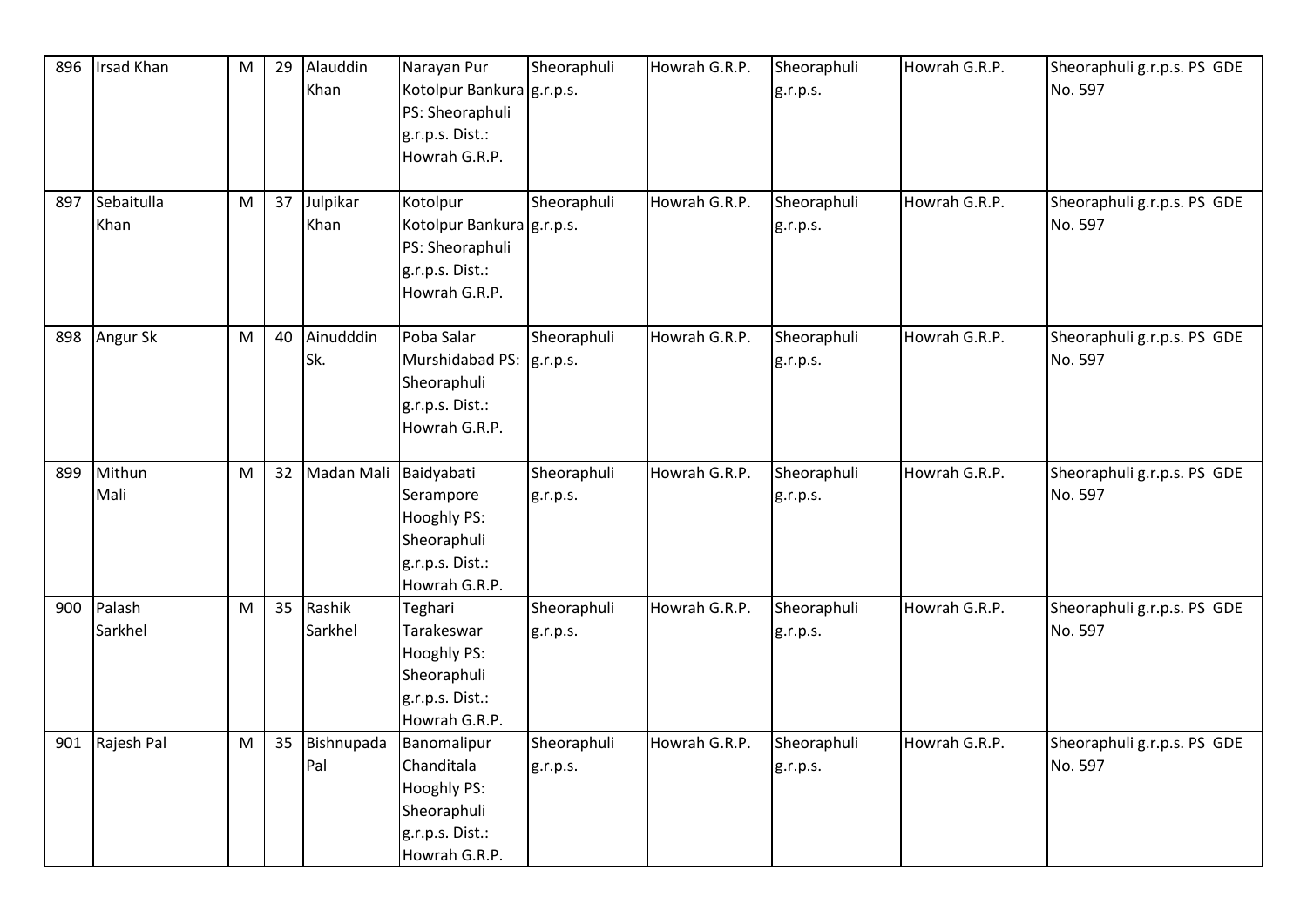| 896 | Irsad Khan | ${\sf M}$ | 29 | Alauddin   | Narayan Pur                        | Sheoraphuli | Howrah G.R.P. | Sheoraphuli | Howrah G.R.P. | Sheoraphuli g.r.p.s. PS GDE |
|-----|------------|-----------|----|------------|------------------------------------|-------------|---------------|-------------|---------------|-----------------------------|
|     |            |           |    | Khan       | Kotolpur Bankura g.r.p.s.          |             |               | g.r.p.s.    |               | No. 597                     |
|     |            |           |    |            | PS: Sheoraphuli                    |             |               |             |               |                             |
|     |            |           |    |            | g.r.p.s. Dist.:                    |             |               |             |               |                             |
|     |            |           |    |            | Howrah G.R.P.                      |             |               |             |               |                             |
|     |            |           |    |            |                                    |             |               |             |               |                             |
| 897 | Sebaitulla | M         | 37 | Julpikar   | Kotolpur                           | Sheoraphuli | Howrah G.R.P. | Sheoraphuli | Howrah G.R.P. | Sheoraphuli g.r.p.s. PS GDE |
|     | Khan       |           |    | Khan       | Kotolpur Bankura g.r.p.s.          |             |               | g.r.p.s.    |               | No. 597                     |
|     |            |           |    |            | PS: Sheoraphuli<br>g.r.p.s. Dist.: |             |               |             |               |                             |
|     |            |           |    |            | Howrah G.R.P.                      |             |               |             |               |                             |
|     |            |           |    |            |                                    |             |               |             |               |                             |
| 898 | Angur Sk   | M         | 40 | Ainudddin  | Poba Salar                         | Sheoraphuli | Howrah G.R.P. | Sheoraphuli | Howrah G.R.P. | Sheoraphuli g.r.p.s. PS GDE |
|     |            |           |    | Sk.        | Murshidabad PS:  g.r.p.s.          |             |               | g.r.p.s.    |               | No. 597                     |
|     |            |           |    |            | Sheoraphuli                        |             |               |             |               |                             |
|     |            |           |    |            | g.r.p.s. Dist.:                    |             |               |             |               |                             |
|     |            |           |    |            | Howrah G.R.P.                      |             |               |             |               |                             |
| 899 | Mithun     | ${\sf M}$ | 32 | Madan Mali | Baidyabati                         | Sheoraphuli | Howrah G.R.P. | Sheoraphuli | Howrah G.R.P. | Sheoraphuli g.r.p.s. PS GDE |
|     | Mali       |           |    |            | Serampore                          | g.r.p.s.    |               | g.r.p.s.    |               | No. 597                     |
|     |            |           |    |            | Hooghly PS:                        |             |               |             |               |                             |
|     |            |           |    |            | Sheoraphuli                        |             |               |             |               |                             |
|     |            |           |    |            | g.r.p.s. Dist.:                    |             |               |             |               |                             |
|     |            |           |    |            | Howrah G.R.P.                      |             |               |             |               |                             |
| 900 | Palash     | M         | 35 | Rashik     | Teghari                            | Sheoraphuli | Howrah G.R.P. | Sheoraphuli | Howrah G.R.P. | Sheoraphuli g.r.p.s. PS GDE |
|     | Sarkhel    |           |    | Sarkhel    | Tarakeswar                         | g.r.p.s.    |               | g.r.p.s.    |               | No. 597                     |
|     |            |           |    |            | Hooghly PS:                        |             |               |             |               |                             |
|     |            |           |    |            | Sheoraphuli                        |             |               |             |               |                             |
|     |            |           |    |            | g.r.p.s. Dist.:                    |             |               |             |               |                             |
|     |            |           |    |            | Howrah G.R.P.                      |             |               |             |               |                             |
| 901 | Rajesh Pal | M         | 35 | Bishnupada | Banomalipur                        | Sheoraphuli | Howrah G.R.P. | Sheoraphuli | Howrah G.R.P. | Sheoraphuli g.r.p.s. PS GDE |
|     |            |           |    | Pal        | Chanditala                         | g.r.p.s.    |               | g.r.p.s.    |               | No. 597                     |
|     |            |           |    |            | <b>Hooghly PS:</b>                 |             |               |             |               |                             |
|     |            |           |    |            | Sheoraphuli                        |             |               |             |               |                             |
|     |            |           |    |            | g.r.p.s. Dist.:                    |             |               |             |               |                             |
|     |            |           |    |            | Howrah G.R.P.                      |             |               |             |               |                             |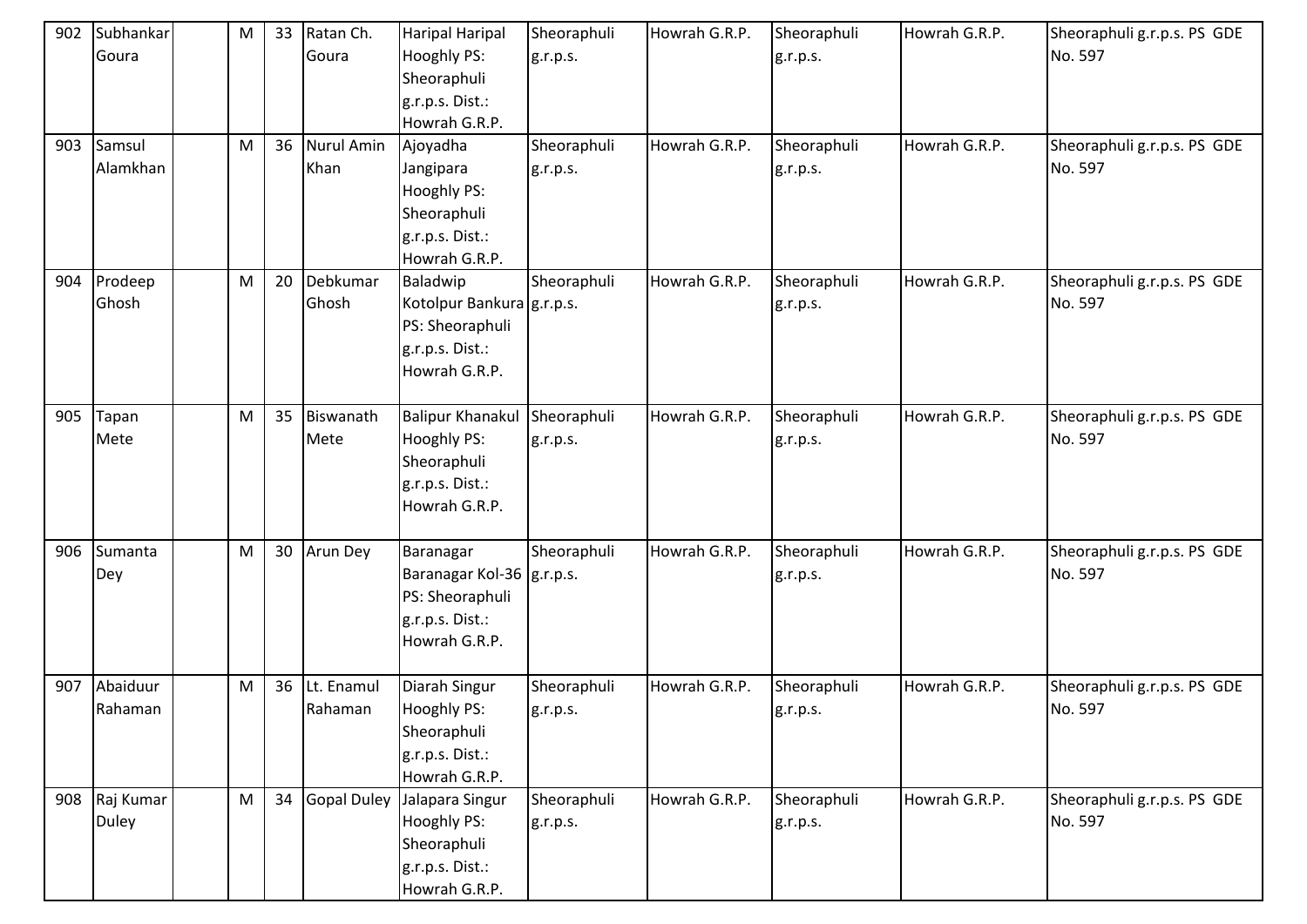| 902<br>903 | Subhankar<br>Goura<br>Samsul<br>Alamkhan | M<br>${\sf M}$ | 33<br>36 | Ratan Ch.<br>Goura<br>Nurul Amin<br>Khan | <b>Haripal Haripal</b><br><b>Hooghly PS:</b><br>Sheoraphuli<br>g.r.p.s. Dist.:<br>Howrah G.R.P.<br>Ajoyadha<br>Jangipara<br>Hooghly PS:<br>Sheoraphuli<br>g.r.p.s. Dist.: | Sheoraphuli<br>g.r.p.s.<br>Sheoraphuli<br>g.r.p.s. | Howrah G.R.P.<br>Howrah G.R.P. | Sheoraphuli<br>g.r.p.s.<br>Sheoraphuli<br>g.r.p.s. | Howrah G.R.P.<br>Howrah G.R.P. | Sheoraphuli g.r.p.s. PS GDE<br>No. 597<br>Sheoraphuli g.r.p.s. PS GDE<br>No. 597 |
|------------|------------------------------------------|----------------|----------|------------------------------------------|---------------------------------------------------------------------------------------------------------------------------------------------------------------------------|----------------------------------------------------|--------------------------------|----------------------------------------------------|--------------------------------|----------------------------------------------------------------------------------|
| 904        | Prodeep<br>Ghosh                         | M              | 20       | Debkumar<br>Ghosh                        | Howrah G.R.P.<br>Baladwip<br>Kotolpur Bankura g.r.p.s.<br>PS: Sheoraphuli<br>g.r.p.s. Dist.:<br>Howrah G.R.P.                                                             | Sheoraphuli                                        | Howrah G.R.P.                  | Sheoraphuli<br>g.r.p.s.                            | Howrah G.R.P.                  | Sheoraphuli g.r.p.s. PS GDE<br>No. 597                                           |
| 905        | Tapan<br>Mete                            | M              | 35       | Biswanath<br>Mete                        | <b>Balipur Khanakul</b><br>Hooghly PS:<br>Sheoraphuli<br>g.r.p.s. Dist.:<br>Howrah G.R.P.                                                                                 | Sheoraphuli<br>g.r.p.s.                            | Howrah G.R.P.                  | Sheoraphuli<br>g.r.p.s.                            | Howrah G.R.P.                  | Sheoraphuli g.r.p.s. PS GDE<br>No. 597                                           |
| 906        | Sumanta<br>Dey                           | M              | 30       | Arun Dey                                 | Baranagar<br>Baranagar Kol-36   g.r.p.s.<br>PS: Sheoraphuli<br>g.r.p.s. Dist.:<br>Howrah G.R.P.                                                                           | Sheoraphuli                                        | Howrah G.R.P.                  | Sheoraphuli<br>g.r.p.s.                            | Howrah G.R.P.                  | Sheoraphuli g.r.p.s. PS GDE<br>No. 597                                           |
| 907        | Abaiduur<br>Rahaman                      | M              | 36       | Lt. Enamul<br>Rahaman                    | Diarah Singur<br>Hooghly PS:<br>Sheoraphuli<br>g.r.p.s. Dist.:<br>Howrah G.R.P.                                                                                           | Sheoraphuli<br>g.r.p.s.                            | Howrah G.R.P.                  | Sheoraphuli<br>g.r.p.s.                            | Howrah G.R.P.                  | Sheoraphuli g.r.p.s. PS GDE<br>No. 597                                           |
| 908        | Raj Kumar<br><b>Duley</b>                | ${\sf M}$      | 34       | <b>Gopal Duley</b>                       | Jalapara Singur<br>Hooghly PS:<br>Sheoraphuli<br>g.r.p.s. Dist.:<br>Howrah G.R.P.                                                                                         | Sheoraphuli<br>g.r.p.s.                            | Howrah G.R.P.                  | Sheoraphuli<br>g.r.p.s.                            | Howrah G.R.P.                  | Sheoraphuli g.r.p.s. PS GDE<br>No. 597                                           |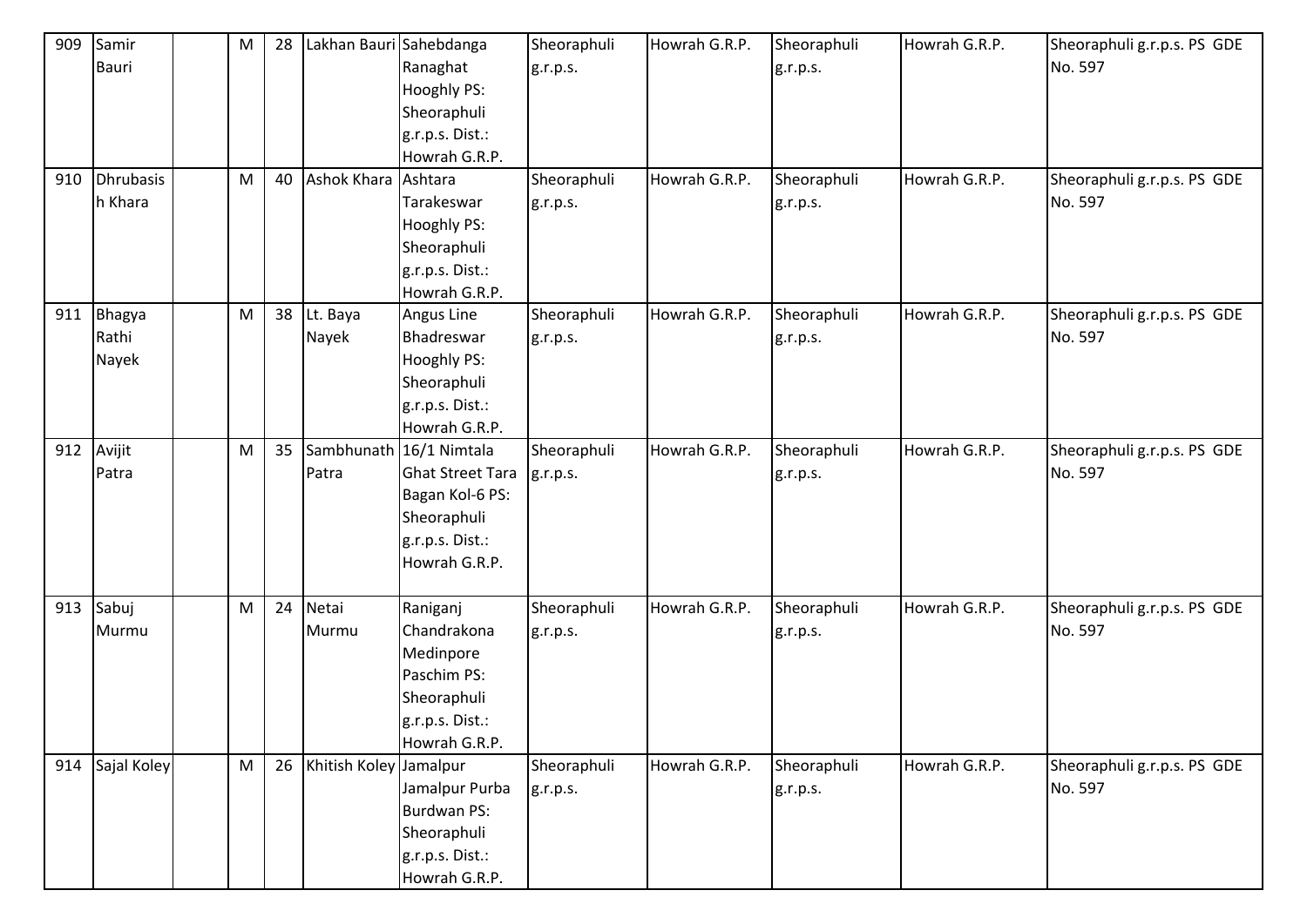| 909 | Samir       | M         | 28 | Lakhan Bauri Sahebdanga |                         | Sheoraphuli | Howrah G.R.P. | Sheoraphuli | Howrah G.R.P. | Sheoraphuli g.r.p.s. PS GDE |
|-----|-------------|-----------|----|-------------------------|-------------------------|-------------|---------------|-------------|---------------|-----------------------------|
|     | Bauri       |           |    |                         | Ranaghat                | g.r.p.s.    |               | g.r.p.s.    |               | No. 597                     |
|     |             |           |    |                         | Hooghly PS:             |             |               |             |               |                             |
|     |             |           |    |                         | Sheoraphuli             |             |               |             |               |                             |
|     |             |           |    |                         | g.r.p.s. Dist.:         |             |               |             |               |                             |
|     |             |           |    |                         | Howrah G.R.P.           |             |               |             |               |                             |
| 910 | Dhrubasis   | M         | 40 | Ashok Khara             | Ashtara                 | Sheoraphuli | Howrah G.R.P. | Sheoraphuli | Howrah G.R.P. | Sheoraphuli g.r.p.s. PS GDE |
|     | h Khara     |           |    |                         | Tarakeswar              | g.r.p.s.    |               | g.r.p.s.    |               | No. 597                     |
|     |             |           |    |                         | Hooghly PS:             |             |               |             |               |                             |
|     |             |           |    |                         | Sheoraphuli             |             |               |             |               |                             |
|     |             |           |    |                         | g.r.p.s. Dist.:         |             |               |             |               |                             |
|     |             |           |    |                         | Howrah G.R.P.           |             |               |             |               |                             |
| 911 | Bhagya      | M         | 38 | Lt. Baya                | Angus Line              | Sheoraphuli | Howrah G.R.P. | Sheoraphuli | Howrah G.R.P. | Sheoraphuli g.r.p.s. PS GDE |
|     | Rathi       |           |    | Nayek                   | Bhadreswar              | g.r.p.s.    |               | g.r.p.s.    |               | No. 597                     |
|     | Nayek       |           |    |                         | <b>Hooghly PS:</b>      |             |               |             |               |                             |
|     |             |           |    |                         | Sheoraphuli             |             |               |             |               |                             |
|     |             |           |    |                         | g.r.p.s. Dist.:         |             |               |             |               |                             |
|     |             |           |    |                         | Howrah G.R.P.           |             |               |             |               |                             |
| 912 | Avijit      | M         | 35 |                         | Sambhunath 16/1 Nimtala | Sheoraphuli | Howrah G.R.P. | Sheoraphuli | Howrah G.R.P. | Sheoraphuli g.r.p.s. PS GDE |
|     | Patra       |           |    | Patra                   | <b>Ghat Street Tara</b> | g.r.p.s.    |               | g.r.p.s.    |               | No. 597                     |
|     |             |           |    |                         | Bagan Kol-6 PS:         |             |               |             |               |                             |
|     |             |           |    |                         | Sheoraphuli             |             |               |             |               |                             |
|     |             |           |    |                         | g.r.p.s. Dist.:         |             |               |             |               |                             |
|     |             |           |    |                         | Howrah G.R.P.           |             |               |             |               |                             |
|     |             |           |    |                         |                         |             |               |             |               |                             |
| 913 | Sabuj       | M         | 24 | Netai                   | Raniganj                | Sheoraphuli | Howrah G.R.P. | Sheoraphuli | Howrah G.R.P. | Sheoraphuli g.r.p.s. PS GDE |
|     | Murmu       |           |    | Murmu                   | Chandrakona             | g.r.p.s.    |               | g.r.p.s.    |               | No. 597                     |
|     |             |           |    |                         | Medinpore               |             |               |             |               |                             |
|     |             |           |    |                         | Paschim PS:             |             |               |             |               |                             |
|     |             |           |    |                         | Sheoraphuli             |             |               |             |               |                             |
|     |             |           |    |                         | g.r.p.s. Dist.:         |             |               |             |               |                             |
|     |             |           |    |                         | Howrah G.R.P.           |             |               |             |               |                             |
| 914 | Sajal Koley | ${\sf M}$ | 26 | Khitish Koley Jamalpur  |                         | Sheoraphuli | Howrah G.R.P. | Sheoraphuli | Howrah G.R.P. | Sheoraphuli g.r.p.s. PS GDE |
|     |             |           |    |                         | Jamalpur Purba          | g.r.p.s.    |               | g.r.p.s.    |               | No. 597                     |
|     |             |           |    |                         | <b>Burdwan PS:</b>      |             |               |             |               |                             |
|     |             |           |    |                         | Sheoraphuli             |             |               |             |               |                             |
|     |             |           |    |                         | g.r.p.s. Dist.:         |             |               |             |               |                             |
|     |             |           |    |                         | Howrah G.R.P.           |             |               |             |               |                             |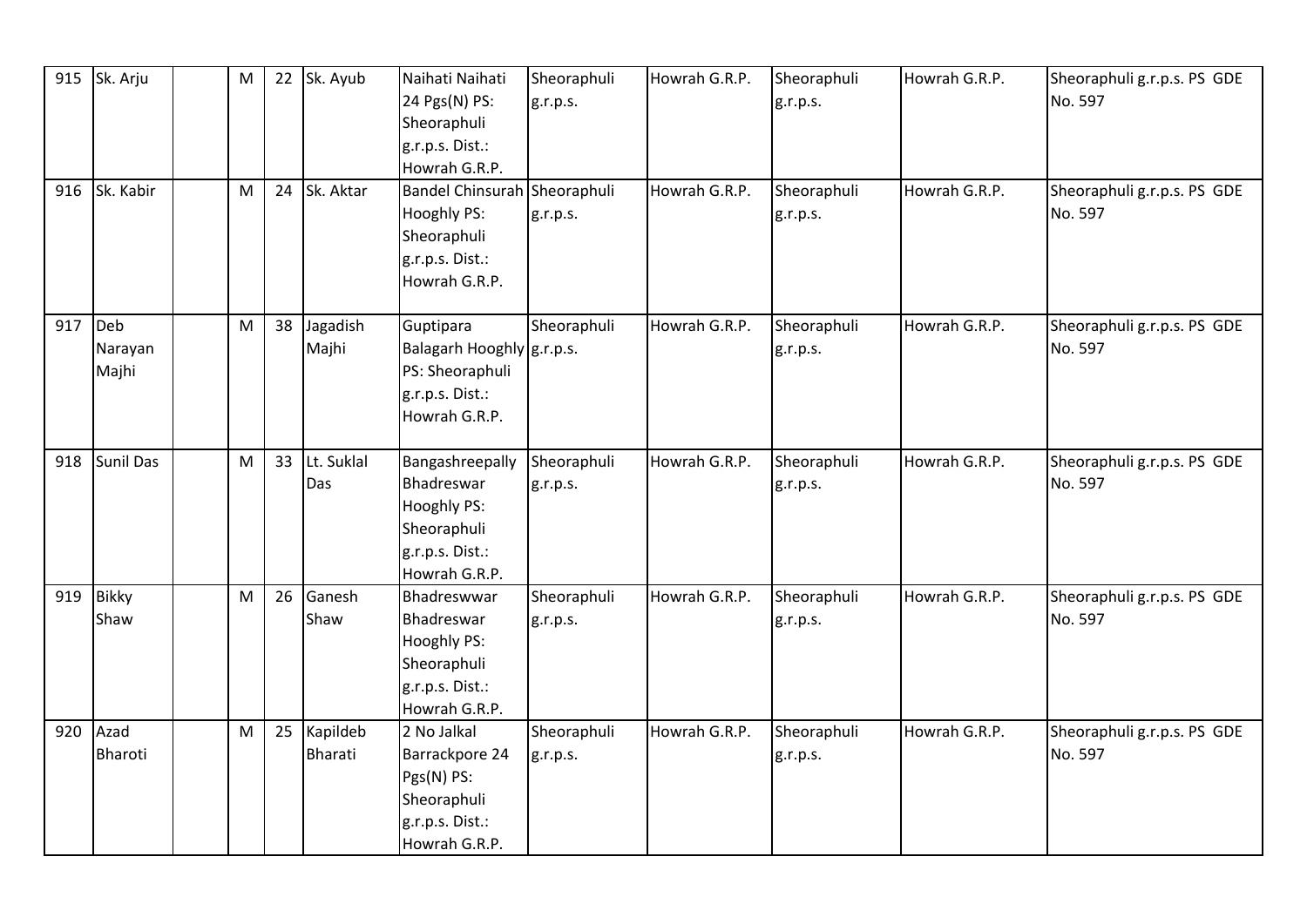|     | 915 Sk. Arju                | M |    | 22 Sk. Ayub                | Naihati Naihati<br>24 Pgs(N) PS:<br>Sheoraphuli<br>g.r.p.s. Dist.:<br>Howrah G.R.P.                   | Sheoraphuli<br>g.r.p.s. | Howrah G.R.P. | Sheoraphuli<br>g.r.p.s. | Howrah G.R.P. | Sheoraphuli g.r.p.s. PS GDE<br>No. 597 |
|-----|-----------------------------|---|----|----------------------------|-------------------------------------------------------------------------------------------------------|-------------------------|---------------|-------------------------|---------------|----------------------------------------|
|     | 916 Sk. Kabir               | M | 24 | Sk. Aktar                  | Bandel Chinsurah Sheoraphuli<br><b>Hooghly PS:</b><br>Sheoraphuli<br>g.r.p.s. Dist.:<br>Howrah G.R.P. | g.r.p.s.                | Howrah G.R.P. | Sheoraphuli<br>g.r.p.s. | Howrah G.R.P. | Sheoraphuli g.r.p.s. PS GDE<br>No. 597 |
|     | 917 Deb<br>Narayan<br>Majhi | M | 38 | Jagadish<br>Majhi          | Guptipara<br>Balagarh Hooghly g.r.p.s.<br>PS: Sheoraphuli<br>g.r.p.s. Dist.:<br>Howrah G.R.P.         | Sheoraphuli             | Howrah G.R.P. | Sheoraphuli<br>g.r.p.s. | Howrah G.R.P. | Sheoraphuli g.r.p.s. PS GDE<br>No. 597 |
|     | 918 Sunil Das               | M | 33 | Lt. Suklal<br>Das          | Bangashreepally<br>Bhadreswar<br>Hooghly PS:<br>Sheoraphuli<br>g.r.p.s. Dist.:<br>Howrah G.R.P.       | Sheoraphuli<br>g.r.p.s. | Howrah G.R.P. | Sheoraphuli<br>g.r.p.s. | Howrah G.R.P. | Sheoraphuli g.r.p.s. PS GDE<br>No. 597 |
| 919 | <b>Bikky</b><br>Shaw        | M | 26 | Ganesh<br>Shaw             | Bhadreswwar<br>Bhadreswar<br>Hooghly PS:<br>Sheoraphuli<br>g.r.p.s. Dist.:<br>Howrah G.R.P.           | Sheoraphuli<br>g.r.p.s. | Howrah G.R.P. | Sheoraphuli<br>g.r.p.s. | Howrah G.R.P. | Sheoraphuli g.r.p.s. PS GDE<br>No. 597 |
| 920 | Azad<br>Bharoti             | M | 25 | Kapildeb<br><b>Bharati</b> | 2 No Jalkal<br>Barrackpore 24<br>Pgs(N) PS:<br>Sheoraphuli<br>g.r.p.s. Dist.:<br>Howrah G.R.P.        | Sheoraphuli<br>g.r.p.s. | Howrah G.R.P. | Sheoraphuli<br>g.r.p.s. | Howrah G.R.P. | Sheoraphuli g.r.p.s. PS GDE<br>No. 597 |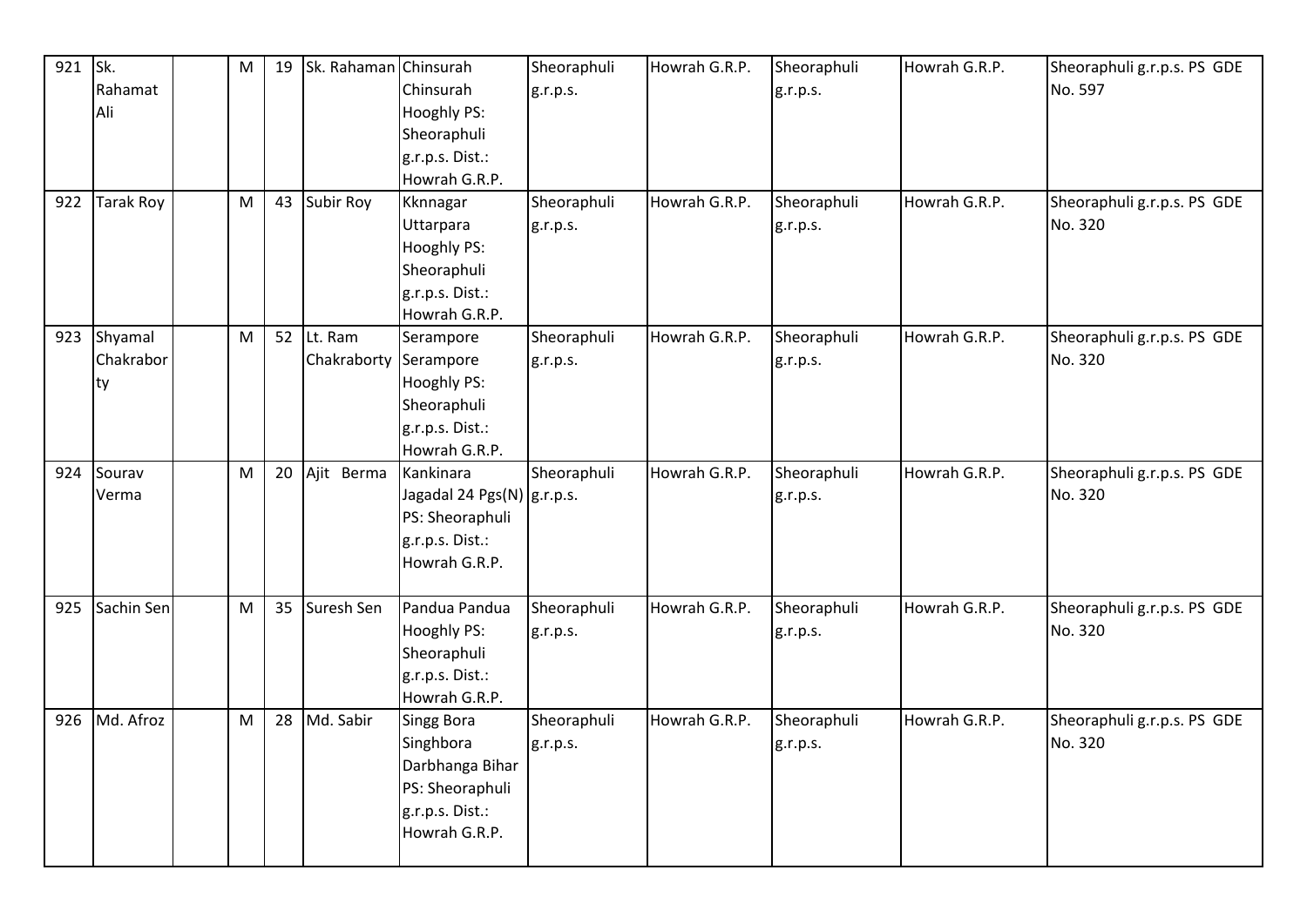| 921 | Sk.              | M | 19 | Sk. Rahaman Chinsurah |                              | Sheoraphuli | Howrah G.R.P. | Sheoraphuli | Howrah G.R.P. | Sheoraphuli g.r.p.s. PS GDE |
|-----|------------------|---|----|-----------------------|------------------------------|-------------|---------------|-------------|---------------|-----------------------------|
|     | Rahamat          |   |    |                       | Chinsurah                    | g.r.p.s.    |               | g.r.p.s.    |               | No. 597                     |
|     | Ali              |   |    |                       | <b>Hooghly PS:</b>           |             |               |             |               |                             |
|     |                  |   |    |                       | Sheoraphuli                  |             |               |             |               |                             |
|     |                  |   |    |                       | g.r.p.s. Dist.:              |             |               |             |               |                             |
|     |                  |   |    |                       | Howrah G.R.P.                |             |               |             |               |                             |
| 922 | <b>Tarak Roy</b> | M | 43 | Subir Roy             | Kknnagar                     | Sheoraphuli | Howrah G.R.P. | Sheoraphuli | Howrah G.R.P. | Sheoraphuli g.r.p.s. PS GDE |
|     |                  |   |    |                       | Uttarpara                    | g.r.p.s.    |               | g.r.p.s.    |               | No. 320                     |
|     |                  |   |    |                       | Hooghly PS:                  |             |               |             |               |                             |
|     |                  |   |    |                       | Sheoraphuli                  |             |               |             |               |                             |
|     |                  |   |    |                       | g.r.p.s. Dist.:              |             |               |             |               |                             |
|     |                  |   |    |                       | Howrah G.R.P.                |             |               |             |               |                             |
| 923 | Shyamal          | M | 52 | Lt. Ram               | Serampore                    | Sheoraphuli | Howrah G.R.P. | Sheoraphuli | Howrah G.R.P. | Sheoraphuli g.r.p.s. PS GDE |
|     | Chakrabor        |   |    | Chakraborty           | Serampore                    | g.r.p.s.    |               | g.r.p.s.    |               | No. 320                     |
|     | ty               |   |    |                       | Hooghly PS:                  |             |               |             |               |                             |
|     |                  |   |    |                       | Sheoraphuli                  |             |               |             |               |                             |
|     |                  |   |    |                       | g.r.p.s. Dist.:              |             |               |             |               |                             |
|     |                  |   |    |                       | Howrah G.R.P.                |             |               |             |               |                             |
| 924 | Sourav           | M | 20 | Ajit Berma            | Kankinara                    | Sheoraphuli | Howrah G.R.P. | Sheoraphuli | Howrah G.R.P. | Sheoraphuli g.r.p.s. PS GDE |
|     | Verma            |   |    |                       | Jagadal 24 Pgs(N) $g.r.p.s.$ |             |               | g.r.p.s.    |               | No. 320                     |
|     |                  |   |    |                       | PS: Sheoraphuli              |             |               |             |               |                             |
|     |                  |   |    |                       | g.r.p.s. Dist.:              |             |               |             |               |                             |
|     |                  |   |    |                       | Howrah G.R.P.                |             |               |             |               |                             |
|     |                  |   |    |                       |                              |             |               |             |               |                             |
| 925 | Sachin Sen       | M | 35 | Suresh Sen            | Pandua Pandua                | Sheoraphuli | Howrah G.R.P. | Sheoraphuli | Howrah G.R.P. | Sheoraphuli g.r.p.s. PS GDE |
|     |                  |   |    |                       | Hooghly PS:                  | g.r.p.s.    |               | g.r.p.s.    |               | No. 320                     |
|     |                  |   |    |                       | Sheoraphuli                  |             |               |             |               |                             |
|     |                  |   |    |                       | g.r.p.s. Dist.:              |             |               |             |               |                             |
|     |                  |   |    |                       | Howrah G.R.P.                |             |               |             |               |                             |
| 926 | Md. Afroz        | M | 28 | Md. Sabir             | <b>Singg Bora</b>            | Sheoraphuli | Howrah G.R.P. | Sheoraphuli | Howrah G.R.P. | Sheoraphuli g.r.p.s. PS GDE |
|     |                  |   |    |                       | Singhbora                    | g.r.p.s.    |               | g.r.p.s.    |               | No. 320                     |
|     |                  |   |    |                       | Darbhanga Bihar              |             |               |             |               |                             |
|     |                  |   |    |                       | PS: Sheoraphuli              |             |               |             |               |                             |
|     |                  |   |    |                       | g.r.p.s. Dist.:              |             |               |             |               |                             |
|     |                  |   |    |                       | Howrah G.R.P.                |             |               |             |               |                             |
|     |                  |   |    |                       |                              |             |               |             |               |                             |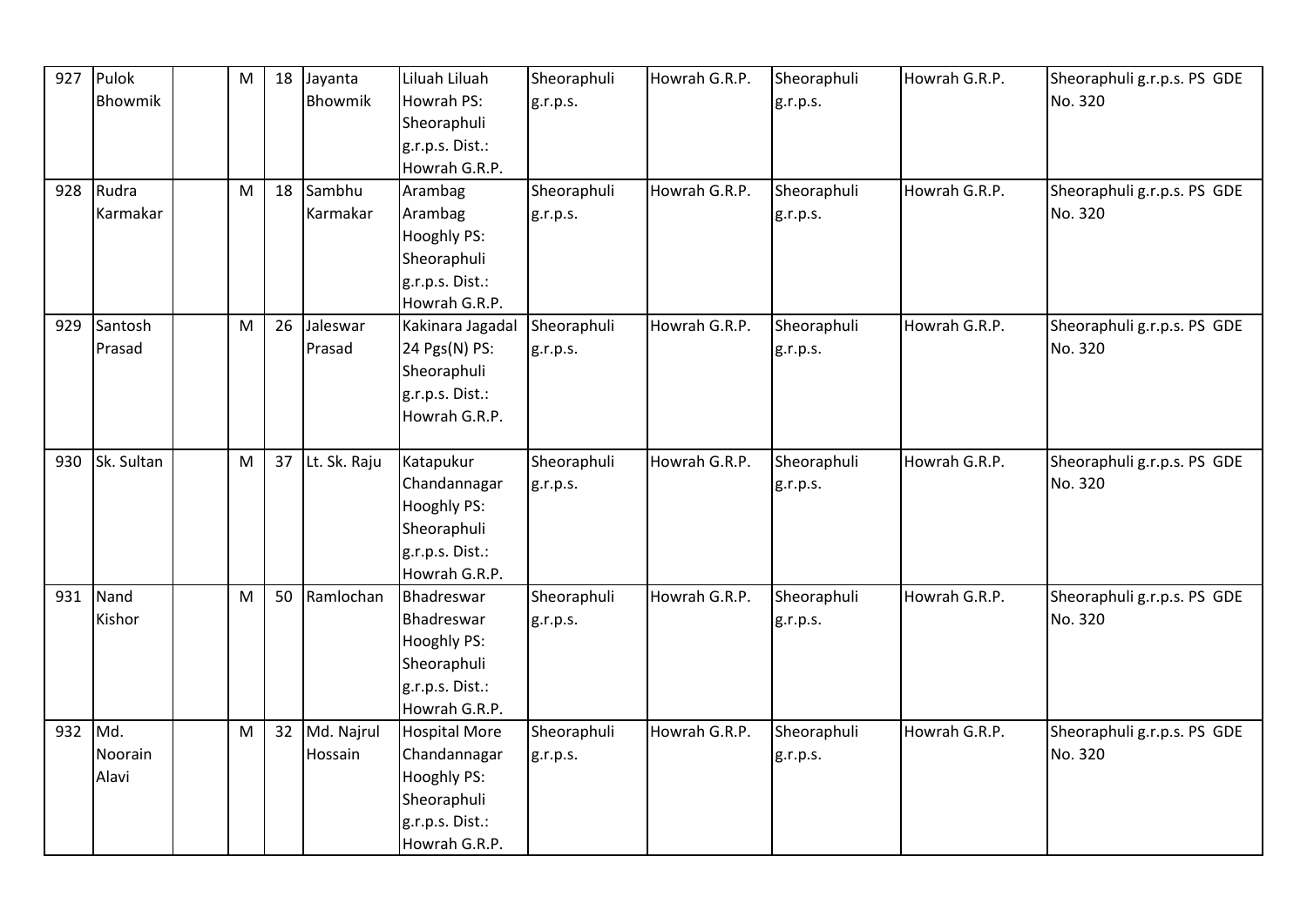| 927 | Pulok      | M | 18 | Jayanta      | Liluah Liluah                    | Sheoraphuli | Howrah G.R.P. | Sheoraphuli | Howrah G.R.P. | Sheoraphuli g.r.p.s. PS GDE |
|-----|------------|---|----|--------------|----------------------------------|-------------|---------------|-------------|---------------|-----------------------------|
|     | Bhowmik    |   |    | Bhowmik      | Howrah PS:                       | g.r.p.s.    |               | g.r.p.s.    |               | No. 320                     |
|     |            |   |    |              | Sheoraphuli                      |             |               |             |               |                             |
|     |            |   |    |              | g.r.p.s. Dist.:                  |             |               |             |               |                             |
|     |            |   |    |              | Howrah G.R.P.                    |             |               |             |               |                             |
| 928 | Rudra      | M | 18 | Sambhu       | Arambag                          | Sheoraphuli | Howrah G.R.P. | Sheoraphuli | Howrah G.R.P. | Sheoraphuli g.r.p.s. PS GDE |
|     | Karmakar   |   |    | Karmakar     | Arambag                          | g.r.p.s.    |               | g.r.p.s.    |               | No. 320                     |
|     |            |   |    |              | <b>Hooghly PS:</b>               |             |               |             |               |                             |
|     |            |   |    |              | Sheoraphuli                      |             |               |             |               |                             |
|     |            |   |    |              | g.r.p.s. Dist.:                  |             |               |             |               |                             |
|     |            |   |    |              | Howrah G.R.P.                    |             |               |             |               |                             |
| 929 | Santosh    | M | 26 | Jaleswar     | Kakinara Jagadal                 | Sheoraphuli | Howrah G.R.P. | Sheoraphuli | Howrah G.R.P. | Sheoraphuli g.r.p.s. PS GDE |
|     | Prasad     |   |    | Prasad       | 24 Pgs(N) PS:                    | g.r.p.s.    |               | g.r.p.s.    |               | No. 320                     |
|     |            |   |    |              | Sheoraphuli                      |             |               |             |               |                             |
|     |            |   |    |              | g.r.p.s. Dist.:                  |             |               |             |               |                             |
|     |            |   |    |              | Howrah G.R.P.                    |             |               |             |               |                             |
|     |            |   |    |              |                                  |             |               |             |               |                             |
| 930 | Sk. Sultan | M | 37 | Lt. Sk. Raju | Katapukur                        | Sheoraphuli | Howrah G.R.P. | Sheoraphuli | Howrah G.R.P. | Sheoraphuli g.r.p.s. PS GDE |
|     |            |   |    |              | Chandannagar                     | g.r.p.s.    |               | g.r.p.s.    |               | No. 320                     |
|     |            |   |    |              | <b>Hooghly PS:</b>               |             |               |             |               |                             |
|     |            |   |    |              | Sheoraphuli                      |             |               |             |               |                             |
|     |            |   |    |              | g.r.p.s. Dist.:<br>Howrah G.R.P. |             |               |             |               |                             |
| 931 | Nand       | M | 50 | Ramlochan    | Bhadreswar                       | Sheoraphuli | Howrah G.R.P. | Sheoraphuli | Howrah G.R.P. | Sheoraphuli g.r.p.s. PS GDE |
|     | Kishor     |   |    |              | Bhadreswar                       | g.r.p.s.    |               | g.r.p.s.    |               | No. 320                     |
|     |            |   |    |              | Hooghly PS:                      |             |               |             |               |                             |
|     |            |   |    |              | Sheoraphuli                      |             |               |             |               |                             |
|     |            |   |    |              | g.r.p.s. Dist.:                  |             |               |             |               |                             |
|     |            |   |    |              | Howrah G.R.P.                    |             |               |             |               |                             |
| 932 | Md.        | M | 32 | Md. Najrul   | <b>Hospital More</b>             | Sheoraphuli | Howrah G.R.P. | Sheoraphuli | Howrah G.R.P. | Sheoraphuli g.r.p.s. PS GDE |
|     | Noorain    |   |    | Hossain      | Chandannagar                     | g.r.p.s.    |               | g.r.p.s.    |               | No. 320                     |
|     | Alavi      |   |    |              | Hooghly PS:                      |             |               |             |               |                             |
|     |            |   |    |              | Sheoraphuli                      |             |               |             |               |                             |
|     |            |   |    |              | g.r.p.s. Dist.:                  |             |               |             |               |                             |
|     |            |   |    |              | Howrah G.R.P.                    |             |               |             |               |                             |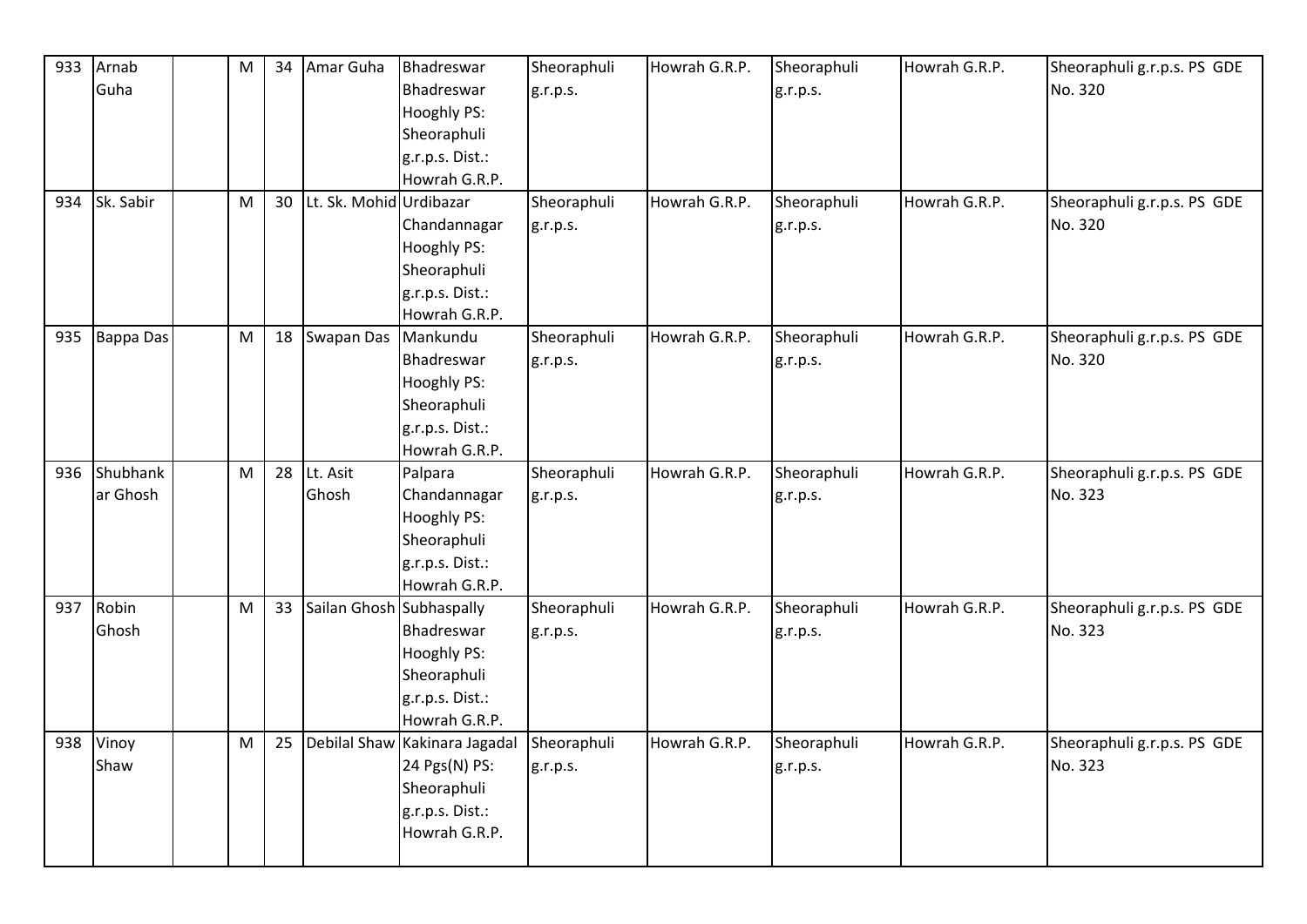| 933 | Arnab            | M | 34 | Amar Guha                | Bhadreswar                    | Sheoraphuli | Howrah G.R.P. | Sheoraphuli | Howrah G.R.P. | Sheoraphuli g.r.p.s. PS GDE |
|-----|------------------|---|----|--------------------------|-------------------------------|-------------|---------------|-------------|---------------|-----------------------------|
|     | Guha             |   |    |                          | Bhadreswar                    | g.r.p.s.    |               | g.r.p.s.    |               | No. 320                     |
|     |                  |   |    |                          | Hooghly PS:                   |             |               |             |               |                             |
|     |                  |   |    |                          | Sheoraphuli                   |             |               |             |               |                             |
|     |                  |   |    |                          | g.r.p.s. Dist.:               |             |               |             |               |                             |
|     |                  |   |    |                          | Howrah G.R.P.                 |             |               |             |               |                             |
|     | 934 Sk. Sabir    | M | 30 | Lt. Sk. Mohid Urdibazar  |                               | Sheoraphuli | Howrah G.R.P. | Sheoraphuli | Howrah G.R.P. | Sheoraphuli g.r.p.s. PS GDE |
|     |                  |   |    |                          | Chandannagar                  | g.r.p.s.    |               | g.r.p.s.    |               | No. 320                     |
|     |                  |   |    |                          | <b>Hooghly PS:</b>            |             |               |             |               |                             |
|     |                  |   |    |                          | Sheoraphuli                   |             |               |             |               |                             |
|     |                  |   |    |                          | g.r.p.s. Dist.:               |             |               |             |               |                             |
|     |                  |   |    |                          | Howrah G.R.P.                 |             |               |             |               |                             |
| 935 | <b>Bappa Das</b> | M | 18 | <b>Swapan Das</b>        | Mankundu                      | Sheoraphuli | Howrah G.R.P. | Sheoraphuli | Howrah G.R.P. | Sheoraphuli g.r.p.s. PS GDE |
|     |                  |   |    |                          | Bhadreswar                    | g.r.p.s.    |               | g.r.p.s.    |               | No. 320                     |
|     |                  |   |    |                          | Hooghly PS:                   |             |               |             |               |                             |
|     |                  |   |    |                          | Sheoraphuli                   |             |               |             |               |                             |
|     |                  |   |    |                          | g.r.p.s. Dist.:               |             |               |             |               |                             |
|     |                  |   |    |                          | Howrah G.R.P.                 |             |               |             |               |                             |
|     | 936 Shubhank     | M | 28 | Lt. Asit                 | Palpara                       | Sheoraphuli | Howrah G.R.P. | Sheoraphuli | Howrah G.R.P. | Sheoraphuli g.r.p.s. PS GDE |
|     | ar Ghosh         |   |    | Ghosh                    | Chandannagar                  | g.r.p.s.    |               | g.r.p.s.    |               | No. 323                     |
|     |                  |   |    |                          | <b>Hooghly PS:</b>            |             |               |             |               |                             |
|     |                  |   |    |                          | Sheoraphuli                   |             |               |             |               |                             |
|     |                  |   |    |                          | g.r.p.s. Dist.:               |             |               |             |               |                             |
|     |                  |   |    |                          | Howrah G.R.P.                 |             |               |             |               |                             |
| 937 | Robin            | M | 33 | Sailan Ghosh Subhaspally |                               | Sheoraphuli | Howrah G.R.P. | Sheoraphuli | Howrah G.R.P. | Sheoraphuli g.r.p.s. PS GDE |
|     | Ghosh            |   |    |                          | Bhadreswar                    | g.r.p.s.    |               | g.r.p.s.    |               | No. 323                     |
|     |                  |   |    |                          | Hooghly PS:                   |             |               |             |               |                             |
|     |                  |   |    |                          | Sheoraphuli                   |             |               |             |               |                             |
|     |                  |   |    |                          | g.r.p.s. Dist.:               |             |               |             |               |                             |
|     |                  |   |    |                          | Howrah G.R.P.                 |             |               |             |               |                             |
|     | 938 Vinoy        | M | 25 |                          | Debilal Shaw Kakinara Jagadal | Sheoraphuli | Howrah G.R.P. | Sheoraphuli | Howrah G.R.P. | Sheoraphuli g.r.p.s. PS GDE |
|     | Shaw             |   |    |                          | 24 Pgs(N) PS:                 | g.r.p.s.    |               | g.r.p.s.    |               | No. 323                     |
|     |                  |   |    |                          | Sheoraphuli                   |             |               |             |               |                             |
|     |                  |   |    |                          | g.r.p.s. Dist.:               |             |               |             |               |                             |
|     |                  |   |    |                          | Howrah G.R.P.                 |             |               |             |               |                             |
|     |                  |   |    |                          |                               |             |               |             |               |                             |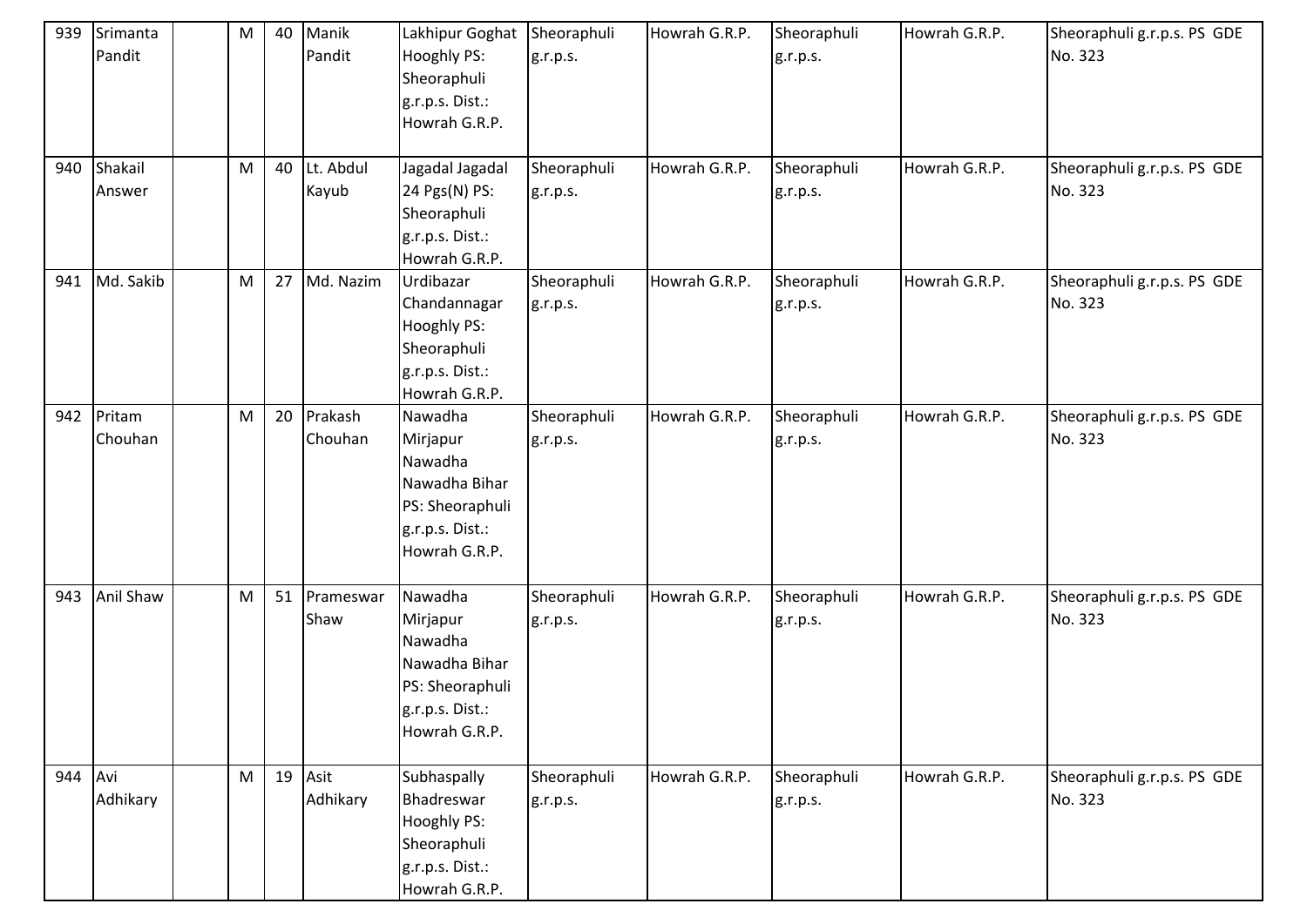| 939     | Srimanta<br>Pandit | M         | 40 | Manik<br>Pandit      | Lakhipur Goghat<br>Hooghly PS:<br>Sheoraphuli<br>g.r.p.s. Dist.:<br>Howrah G.R.P.                      | Sheoraphuli<br>g.r.p.s. | Howrah G.R.P. | Sheoraphuli<br>g.r.p.s. | Howrah G.R.P. | Sheoraphuli g.r.p.s. PS GDE<br>No. 323 |
|---------|--------------------|-----------|----|----------------------|--------------------------------------------------------------------------------------------------------|-------------------------|---------------|-------------------------|---------------|----------------------------------------|
| 940     | Shakail<br>Answer  | M         | 40 | Lt. Abdul<br>Kayub   | Jagadal Jagadal<br>24 Pgs(N) PS:<br>Sheoraphuli<br>g.r.p.s. Dist.:<br>Howrah G.R.P.                    | Sheoraphuli<br>g.r.p.s. | Howrah G.R.P. | Sheoraphuli<br>g.r.p.s. | Howrah G.R.P. | Sheoraphuli g.r.p.s. PS GDE<br>No. 323 |
| 941     | Md. Sakib          | M         | 27 | Md. Nazim            | Urdibazar<br>Chandannagar<br>Hooghly PS:<br>Sheoraphuli<br>g.r.p.s. Dist.:<br>Howrah G.R.P.            | Sheoraphuli<br>g.r.p.s. | Howrah G.R.P. | Sheoraphuli<br>g.r.p.s. | Howrah G.R.P. | Sheoraphuli g.r.p.s. PS GDE<br>No. 323 |
| 942     | Pritam<br>Chouhan  | M         | 20 | Prakash<br>Chouhan   | Nawadha<br>Mirjapur<br>Nawadha<br>Nawadha Bihar<br>PS: Sheoraphuli<br>g.r.p.s. Dist.:<br>Howrah G.R.P. | Sheoraphuli<br>g.r.p.s. | Howrah G.R.P. | Sheoraphuli<br>g.r.p.s. | Howrah G.R.P. | Sheoraphuli g.r.p.s. PS GDE<br>No. 323 |
| 943     | <b>Anil Shaw</b>   | M         |    | 51 Prameswar<br>Shaw | Nawadha<br>Mirjapur<br>Nawadha<br>Nawadha Bihar<br>PS: Sheoraphuli<br>g.r.p.s. Dist.:<br>Howrah G.R.P. | Sheoraphuli<br>g.r.p.s. | Howrah G.R.P. | Sheoraphuli<br>g.r.p.s. | Howrah G.R.P. | Sheoraphuli g.r.p.s. PS GDE<br>No. 323 |
| 944 Avi | Adhikary           | ${\sf M}$ | 19 | Asit<br>Adhikary     | Subhaspally<br>Bhadreswar<br><b>Hooghly PS:</b><br>Sheoraphuli<br>g.r.p.s. Dist.:<br>Howrah G.R.P.     | Sheoraphuli<br>g.r.p.s. | Howrah G.R.P. | Sheoraphuli<br>g.r.p.s. | Howrah G.R.P. | Sheoraphuli g.r.p.s. PS GDE<br>No. 323 |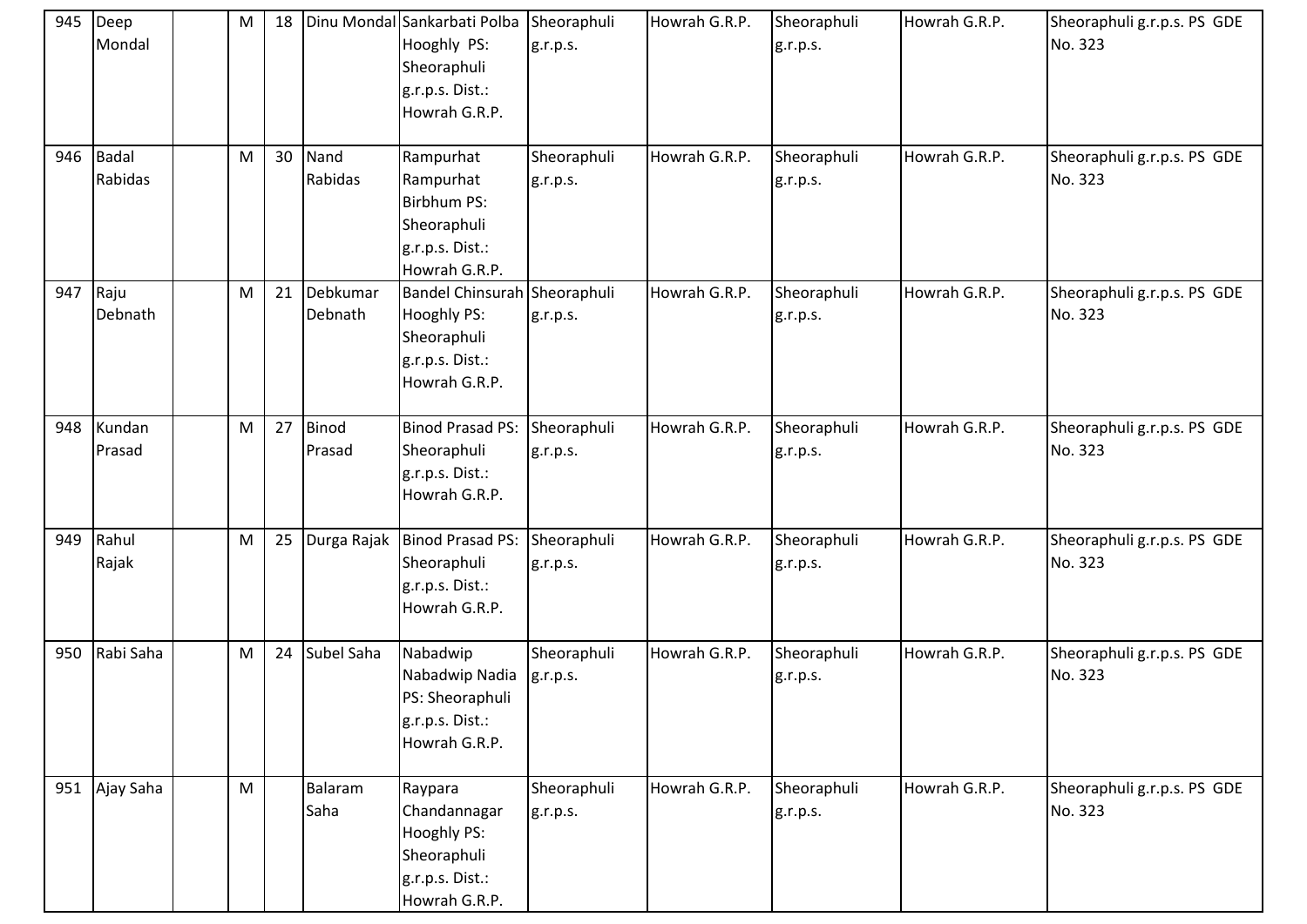|     | 945 Deep<br>Mondal   | M         | 18 |                     | Dinu Mondal Sankarbati Polba Sheoraphuli<br>Hooghly PS:<br>Sheoraphuli<br>g.r.p.s. Dist.:<br>Howrah G.R.P. | g.r.p.s.                | Howrah G.R.P. | Sheoraphuli<br>g.r.p.s. | Howrah G.R.P. | Sheoraphuli g.r.p.s. PS GDE<br>No. 323 |
|-----|----------------------|-----------|----|---------------------|------------------------------------------------------------------------------------------------------------|-------------------------|---------------|-------------------------|---------------|----------------------------------------|
|     | 946 Badal<br>Rabidas | M         | 30 | Nand<br>Rabidas     | Rampurhat<br>Rampurhat<br><b>Birbhum PS:</b><br>Sheoraphuli<br>g.r.p.s. Dist.:<br>Howrah G.R.P.            | Sheoraphuli<br>g.r.p.s. | Howrah G.R.P. | Sheoraphuli<br>g.r.p.s. | Howrah G.R.P. | Sheoraphuli g.r.p.s. PS GDE<br>No. 323 |
| 947 | Raju<br>Debnath      | ${\sf M}$ | 21 | Debkumar<br>Debnath | Bandel Chinsurah Sheoraphuli<br><b>Hooghly PS:</b><br>Sheoraphuli<br>g.r.p.s. Dist.:<br>Howrah G.R.P.      | g.r.p.s.                | Howrah G.R.P. | Sheoraphuli<br>g.r.p.s. | Howrah G.R.P. | Sheoraphuli g.r.p.s. PS GDE<br>No. 323 |
| 948 | Kundan<br>Prasad     | ${\sf M}$ | 27 | Binod<br>Prasad     | <b>Binod Prasad PS:</b><br>Sheoraphuli<br>g.r.p.s. Dist.:<br>Howrah G.R.P.                                 | Sheoraphuli<br>g.r.p.s. | Howrah G.R.P. | Sheoraphuli<br>g.r.p.s. | Howrah G.R.P. | Sheoraphuli g.r.p.s. PS GDE<br>No. 323 |
| 949 | Rahul<br>Rajak       | M         | 25 | Durga Rajak         | Binod Prasad PS:<br>Sheoraphuli<br>g.r.p.s. Dist.:<br>Howrah G.R.P.                                        | Sheoraphuli<br>g.r.p.s. | Howrah G.R.P. | Sheoraphuli<br>g.r.p.s. | Howrah G.R.P. | Sheoraphuli g.r.p.s. PS GDE<br>No. 323 |
| 950 | Rabi Saha            | M         | 24 | Subel Saha          | Nabadwip<br>Nabadwip Nadia<br>PS: Sheoraphuli<br>g.r.p.s. Dist.:<br>Howrah G.R.P.                          | Sheoraphuli<br>g.r.p.s. | Howrah G.R.P. | Sheoraphuli<br>g.r.p.s. | Howrah G.R.P. | Sheoraphuli g.r.p.s. PS GDE<br>No. 323 |
| 951 | Ajay Saha            | M         |    | Balaram<br>Saha     | Raypara<br>Chandannagar<br>Hooghly PS:<br>Sheoraphuli<br>g.r.p.s. Dist.:<br>Howrah G.R.P.                  | Sheoraphuli<br>g.r.p.s. | Howrah G.R.P. | Sheoraphuli<br>g.r.p.s. | Howrah G.R.P. | Sheoraphuli g.r.p.s. PS GDE<br>No. 323 |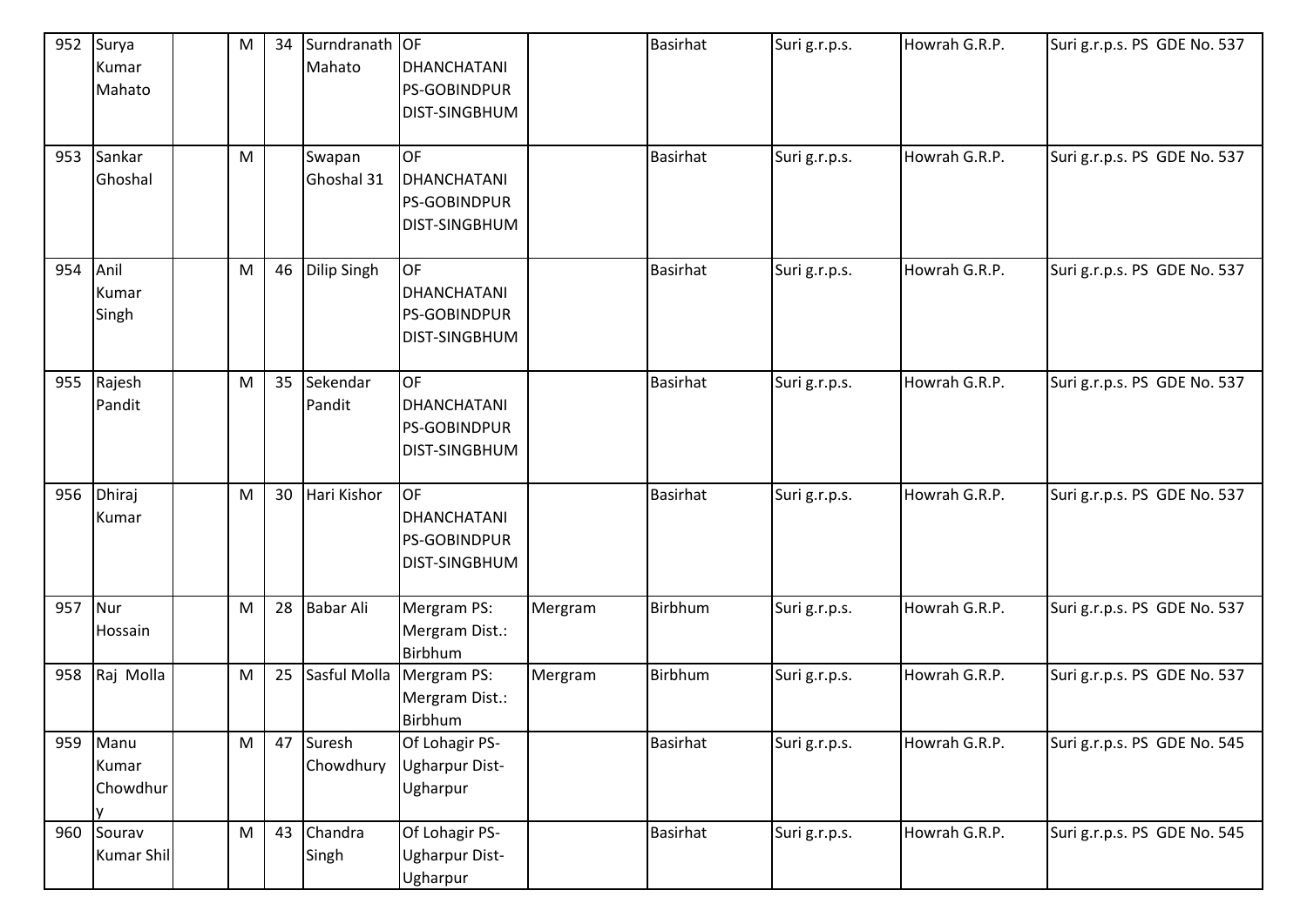| 952     | Surya         | M | 34 | Surndranath OF   |                       |         | <b>Basirhat</b> | Suri g.r.p.s. | Howrah G.R.P. | Suri g.r.p.s. PS GDE No. 537 |
|---------|---------------|---|----|------------------|-----------------------|---------|-----------------|---------------|---------------|------------------------------|
|         | Kumar         |   |    | Mahato           | <b>DHANCHATANI</b>    |         |                 |               |               |                              |
|         | Mahato        |   |    |                  | <b>PS-GOBINDPUR</b>   |         |                 |               |               |                              |
|         |               |   |    |                  | <b>DIST-SINGBHUM</b>  |         |                 |               |               |                              |
|         |               |   |    |                  |                       |         |                 |               |               |                              |
|         | 953 Sankar    | M |    | Swapan           | <b>OF</b>             |         | Basirhat        | Suri g.r.p.s. | Howrah G.R.P. | Suri g.r.p.s. PS GDE No. 537 |
|         | Ghoshal       |   |    | Ghoshal 31       | <b>DHANCHATANI</b>    |         |                 |               |               |                              |
|         |               |   |    |                  | <b>PS-GOBINDPUR</b>   |         |                 |               |               |                              |
|         |               |   |    |                  | <b>DIST-SINGBHUM</b>  |         |                 |               |               |                              |
|         |               |   |    |                  |                       |         |                 |               |               |                              |
| 954     | Anil          | M |    | 46 Dilip Singh   | <b>OF</b>             |         | <b>Basirhat</b> | Suri g.r.p.s. | Howrah G.R.P. | Suri g.r.p.s. PS GDE No. 537 |
|         | Kumar         |   |    |                  | <b>DHANCHATANI</b>    |         |                 |               |               |                              |
|         | Singh         |   |    |                  | <b>PS-GOBINDPUR</b>   |         |                 |               |               |                              |
|         |               |   |    |                  | <b>DIST-SINGBHUM</b>  |         |                 |               |               |                              |
|         |               |   |    |                  |                       |         |                 |               |               |                              |
|         | 955 Rajesh    | M | 35 | <b>Sekendar</b>  | <b>OF</b>             |         | <b>Basirhat</b> | Suri g.r.p.s. | Howrah G.R.P. | Suri g.r.p.s. PS GDE No. 537 |
|         | Pandit        |   |    | Pandit           | <b>DHANCHATANI</b>    |         |                 |               |               |                              |
|         |               |   |    |                  | <b>PS-GOBINDPUR</b>   |         |                 |               |               |                              |
|         |               |   |    |                  | <b>DIST-SINGBHUM</b>  |         |                 |               |               |                              |
|         |               |   |    |                  |                       |         |                 |               |               |                              |
|         | 956 Dhiraj    | M | 30 | Hari Kishor      | OF                    |         | <b>Basirhat</b> | Suri g.r.p.s. | Howrah G.R.P. | Suri g.r.p.s. PS GDE No. 537 |
|         | Kumar         |   |    |                  | <b>DHANCHATANI</b>    |         |                 |               |               |                              |
|         |               |   |    |                  | <b>PS-GOBINDPUR</b>   |         |                 |               |               |                              |
|         |               |   |    |                  | <b>DIST-SINGBHUM</b>  |         |                 |               |               |                              |
|         |               |   |    |                  |                       |         |                 |               |               |                              |
| 957 Nur |               | M | 28 | <b>Babar Ali</b> | Mergram PS:           | Mergram | Birbhum         | Suri g.r.p.s. | Howrah G.R.P. | Suri g.r.p.s. PS GDE No. 537 |
|         | Hossain       |   |    |                  | Mergram Dist.:        |         |                 |               |               |                              |
|         |               |   |    |                  | Birbhum               |         |                 |               |               |                              |
|         | 958 Raj Molla | M | 25 | Sasful Molla     | Mergram PS:           | Mergram | Birbhum         | Suri g.r.p.s. | Howrah G.R.P. | Suri g.r.p.s. PS GDE No. 537 |
|         |               |   |    |                  | Mergram Dist.:        |         |                 |               |               |                              |
|         |               |   |    |                  | Birbhum               |         |                 |               |               |                              |
| 959     | Manu          | M | 47 | Suresh           | Of Lohagir PS-        |         | <b>Basirhat</b> | Suri g.r.p.s. | Howrah G.R.P. | Suri g.r.p.s. PS GDE No. 545 |
|         | Kumar         |   |    | Chowdhury        | <b>Ugharpur Dist-</b> |         |                 |               |               |                              |
|         | Chowdhur      |   |    |                  | Ugharpur              |         |                 |               |               |                              |
|         | v             |   |    |                  |                       |         |                 |               |               |                              |
|         | 960 Sourav    | M | 43 | Chandra          | Of Lohagir PS-        |         | <b>Basirhat</b> | Suri g.r.p.s. | Howrah G.R.P. | Suri g.r.p.s. PS GDE No. 545 |
|         | Kumar Shil    |   |    | Singh            | <b>Ugharpur Dist-</b> |         |                 |               |               |                              |
|         |               |   |    |                  | Ugharpur              |         |                 |               |               |                              |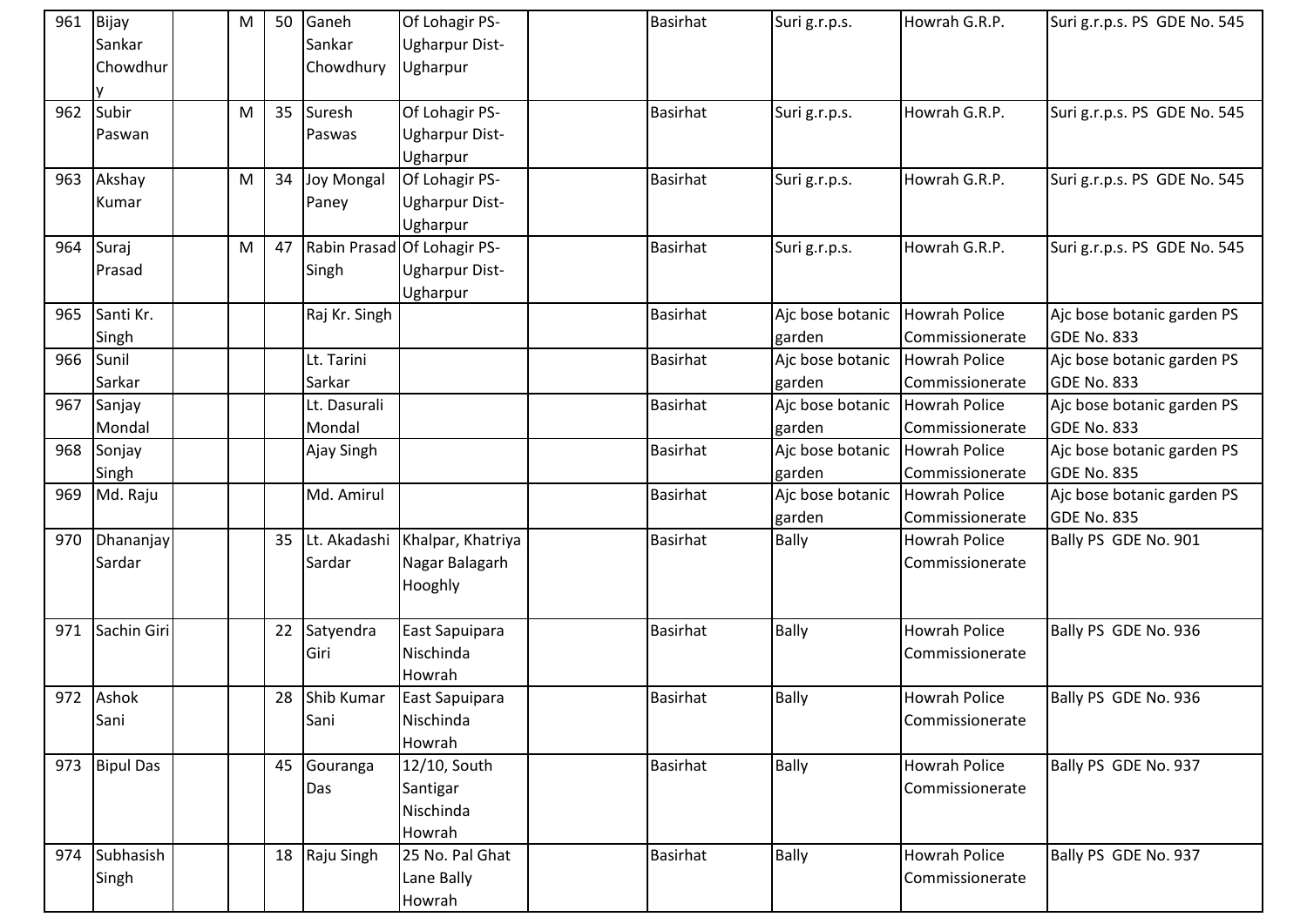| 961 | Bijay<br>Sankar<br>Chowdhur | M | 50 | Ganeh<br>Sankar<br>Chowdhury | Of Lohagir PS-<br><b>Ugharpur Dist-</b><br>Ugharpur              | <b>Basirhat</b> | Suri g.r.p.s.              | Howrah G.R.P.                           | Suri g.r.p.s. PS GDE No. 545              |
|-----|-----------------------------|---|----|------------------------------|------------------------------------------------------------------|-----------------|----------------------------|-----------------------------------------|-------------------------------------------|
| 962 | Subir<br>Paswan             | M | 35 | Suresh<br>Paswas             | Of Lohagir PS-<br><b>Ugharpur Dist-</b><br>Ugharpur              | <b>Basirhat</b> | Suri g.r.p.s.              | Howrah G.R.P.                           | Suri g.r.p.s. PS GDE No. 545              |
| 963 | Akshay<br>Kumar             | M | 34 | Joy Mongal<br>Paney          | Of Lohagir PS-<br><b>Ugharpur Dist-</b><br>Ugharpur              | Basirhat        | Suri g.r.p.s.              | Howrah G.R.P.                           | Suri g.r.p.s. PS GDE No. 545              |
| 964 | Suraj<br>Prasad             | M | 47 | Singh                        | Rabin Prasad Of Lohagir PS-<br><b>Ugharpur Dist-</b><br>Ugharpur | <b>Basirhat</b> | Suri g.r.p.s.              | Howrah G.R.P.                           | Suri g.r.p.s. PS GDE No. 545              |
| 965 | Santi Kr.<br>Singh          |   |    | Raj Kr. Singh                |                                                                  | <b>Basirhat</b> | Ajc bose botanic<br>garden | <b>Howrah Police</b><br>Commissionerate | Ajc bose botanic garden PS<br>GDE No. 833 |
| 966 | Sunil<br>Sarkar             |   |    | Lt. Tarini<br>Sarkar         |                                                                  | <b>Basirhat</b> | Ajc bose botanic<br>garden | <b>Howrah Police</b><br>Commissionerate | Ajc bose botanic garden PS<br>GDE No. 833 |
| 967 | Sanjay<br>Mondal            |   |    | Lt. Dasurali<br>Mondal       |                                                                  | <b>Basirhat</b> | Ajc bose botanic<br>garden | <b>Howrah Police</b><br>Commissionerate | Ajc bose botanic garden PS<br>GDE No. 833 |
| 968 | Sonjay<br>Singh             |   |    | Ajay Singh                   |                                                                  | <b>Basirhat</b> | Aic bose botanic<br>garden | <b>Howrah Police</b><br>Commissionerate | Ajc bose botanic garden PS<br>GDE No. 835 |
| 969 | Md. Raju                    |   |    | Md. Amirul                   |                                                                  | <b>Basirhat</b> | Ajc bose botanic<br>garden | <b>Howrah Police</b><br>Commissionerate | Ajc bose botanic garden PS<br>GDE No. 835 |
| 970 | Dhananjay<br>Sardar         |   | 35 | Lt. Akadashi<br>Sardar       | Khalpar, Khatriya<br>Nagar Balagarh<br>Hooghly                   | <b>Basirhat</b> | Bally                      | Howrah Police<br>Commissionerate        | Bally PS GDE No. 901                      |
| 971 | Sachin Giri                 |   | 22 | Satyendra<br>Giri            | East Sapuipara<br>Nischinda<br>Howrah                            | <b>Basirhat</b> | Bally                      | <b>Howrah Police</b><br>Commissionerate | Bally PS GDE No. 936                      |
|     | 972 Ashok<br>Sani           |   | 28 | Shib Kumar<br>Sani           | East Sapuipara<br>Nischinda<br>Howrah                            | <b>Basirhat</b> | Bally                      | Howrah Police<br>Commissionerate        | Bally PS GDE No. 936                      |
| 973 | <b>Bipul Das</b>            |   | 45 | Gouranga<br>Das              | 12/10, South<br>Santigar<br>Nischinda<br>Howrah                  | <b>Basirhat</b> | <b>Bally</b>               | <b>Howrah Police</b><br>Commissionerate | Bally PS GDE No. 937                      |
| 974 | Subhasish<br>Singh          |   | 18 | Raju Singh                   | 25 No. Pal Ghat<br>Lane Bally<br>Howrah                          | <b>Basirhat</b> | Bally                      | <b>Howrah Police</b><br>Commissionerate | Bally PS GDE No. 937                      |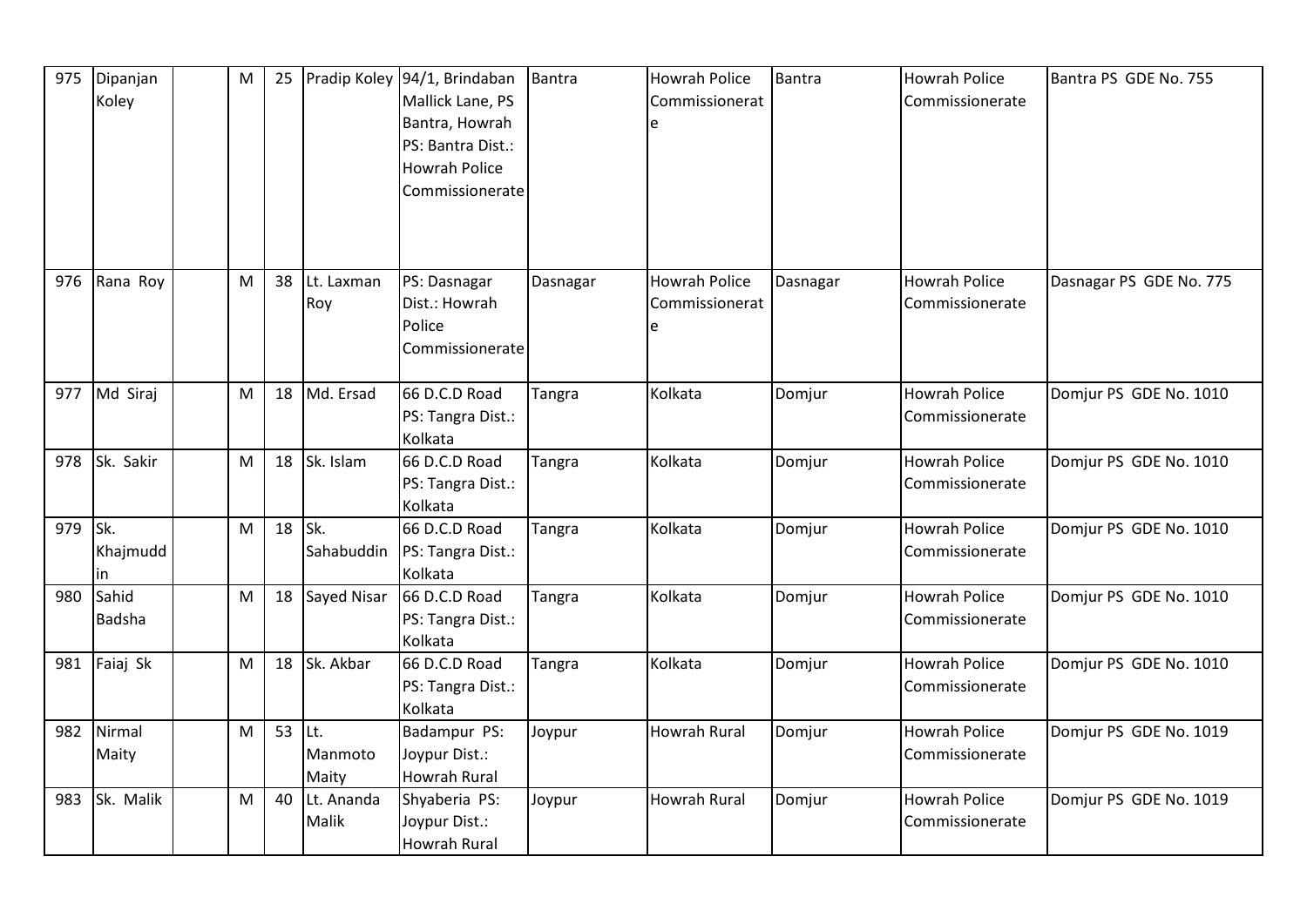| 975 | Dipanjan<br>Koley       | M | 25 |                          | Pradip Koley 94/1, Brindaban<br>Mallick Lane, PS<br>Bantra, Howrah<br>PS: Bantra Dist.:<br><b>Howrah Police</b><br>Commissionerate | Bantra        | Howrah Police<br>Commissionerat      | <b>Bantra</b> | <b>Howrah Police</b><br>Commissionerate | Bantra PS GDE No. 755   |
|-----|-------------------------|---|----|--------------------------|------------------------------------------------------------------------------------------------------------------------------------|---------------|--------------------------------------|---------------|-----------------------------------------|-------------------------|
| 976 | Rana Roy                | M | 38 | Lt. Laxman<br>Roy        | PS: Dasnagar<br>Dist.: Howrah<br>Police<br>Commissionerate                                                                         | Dasnagar      | Howrah Police<br>Commissionerat<br>e | Dasnagar      | <b>Howrah Police</b><br>Commissionerate | Dasnagar PS GDE No. 775 |
| 977 | Md Siraj                | M | 18 | Md. Ersad                | 66 D.C.D Road<br>PS: Tangra Dist.:<br>Kolkata                                                                                      | Tangra        | Kolkata                              | Domjur        | <b>Howrah Police</b><br>Commissionerate | Domjur PS GDE No. 1010  |
| 978 | Sk. Sakir               | M | 18 | Sk. Islam                | 66 D.C.D Road<br>PS: Tangra Dist.:<br>Kolkata                                                                                      | Tangra        | Kolkata                              | Domjur        | <b>Howrah Police</b><br>Commissionerate | Domjur PS GDE No. 1010  |
| 979 | Isk.<br>Khajmudd<br>lin | M | 18 | Sk.<br>Sahabuddin        | 66 D.C.D Road<br>PS: Tangra Dist.:<br>Kolkata                                                                                      | Tangra        | Kolkata                              | Domjur        | <b>Howrah Police</b><br>Commissionerate | Domjur PS GDE No. 1010  |
| 980 | Sahid<br>Badsha         | M | 18 | Sayed Nisar              | 66 D.C.D Road<br>PS: Tangra Dist.:<br>Kolkata                                                                                      | <b>Tangra</b> | Kolkata                              | Domjur        | <b>Howrah Police</b><br>Commissionerate | Domjur PS GDE No. 1010  |
| 981 | Faiaj Sk                | M | 18 | Sk. Akbar                | 66 D.C.D Road<br>PS: Tangra Dist.:<br>Kolkata                                                                                      | Tangra        | Kolkata                              | Domjur        | <b>Howrah Police</b><br>Commissionerate | Domjur PS GDE No. 1010  |
| 982 | Nirmal<br>Maity         | M | 53 | ILt.<br>Manmoto<br>Maity | Badampur PS:<br>Joypur Dist.:<br><b>Howrah Rural</b>                                                                               | Joypur        | Howrah Rural                         | Domjur        | <b>Howrah Police</b><br>Commissionerate | Domjur PS GDE No. 1019  |
| 983 | Sk. Malik               | M | 40 | Lt. Ananda<br>Malik      | Shyaberia PS:<br>Joypur Dist.:<br><b>Howrah Rural</b>                                                                              | Joypur        | Howrah Rural                         | Domjur        | <b>Howrah Police</b><br>Commissionerate | Domjur PS GDE No. 1019  |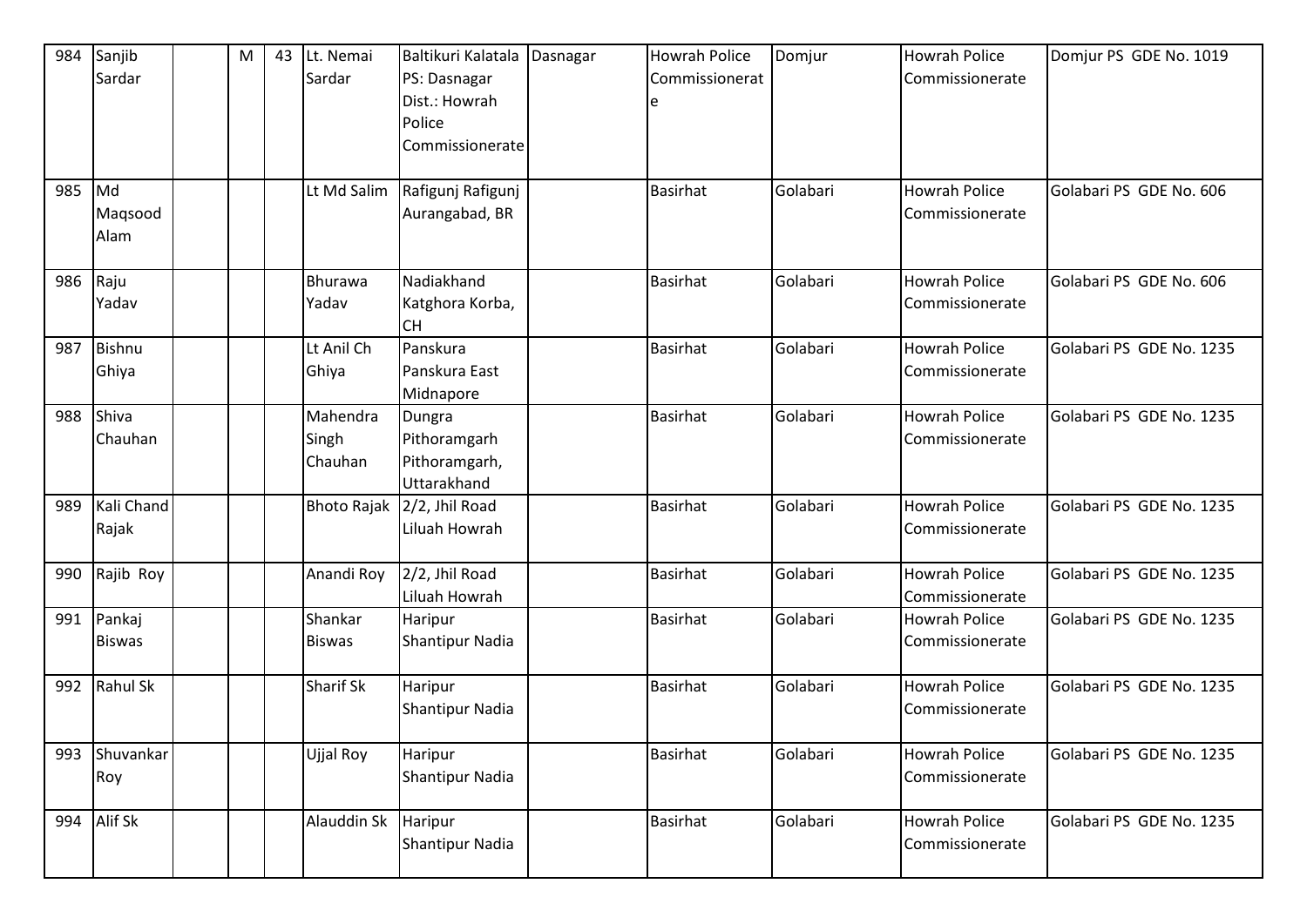| 984 | Sanjib<br>Sardar | M | 43 | Lt. Nemai<br>Sardar | Baltikuri Kalatala<br>PS: Dasnagar | Dasnagar | Howrah Police<br>Commissionerat | Domjur   | <b>Howrah Police</b><br>Commissionerate | Domjur PS GDE No. 1019   |
|-----|------------------|---|----|---------------------|------------------------------------|----------|---------------------------------|----------|-----------------------------------------|--------------------------|
|     |                  |   |    |                     | Dist.: Howrah                      |          |                                 |          |                                         |                          |
|     |                  |   |    |                     | Police                             |          |                                 |          |                                         |                          |
|     |                  |   |    |                     | Commissionerate                    |          |                                 |          |                                         |                          |
| 985 | $\blacksquare$   |   |    | Lt Md Salim         | Rafigunj Rafigunj                  |          | <b>Basirhat</b>                 | Golabari | <b>Howrah Police</b>                    | Golabari PS GDE No. 606  |
|     | Magsood          |   |    |                     | Aurangabad, BR                     |          |                                 |          | Commissionerate                         |                          |
|     | Alam             |   |    |                     |                                    |          |                                 |          |                                         |                          |
| 986 | Raju             |   |    | Bhurawa             | Nadiakhand                         |          | <b>Basirhat</b>                 | Golabari | <b>Howrah Police</b>                    | Golabari PS GDE No. 606  |
|     | Yadav            |   |    | Yadav               | Katghora Korba,<br><b>CH</b>       |          |                                 |          | Commissionerate                         |                          |
| 987 | Bishnu           |   |    | Lt Anil Ch          | Panskura                           |          | <b>Basirhat</b>                 | Golabari | <b>Howrah Police</b>                    | Golabari PS GDE No. 1235 |
|     | Ghiya            |   |    | Ghiya               | Panskura East                      |          |                                 |          | Commissionerate                         |                          |
|     |                  |   |    |                     | Midnapore                          |          |                                 |          |                                         |                          |
| 988 | Shiva            |   |    | Mahendra            | Dungra                             |          | <b>Basirhat</b>                 | Golabari | <b>Howrah Police</b>                    | Golabari PS GDE No. 1235 |
|     | Chauhan          |   |    | Singh               | Pithoramgarh                       |          |                                 |          | Commissionerate                         |                          |
|     |                  |   |    | Chauhan             | Pithoramgarh,                      |          |                                 |          |                                         |                          |
|     |                  |   |    |                     | Uttarakhand                        |          |                                 |          |                                         |                          |
| 989 | Kali Chand       |   |    | <b>Bhoto Rajak</b>  | 2/2, Jhil Road                     |          | <b>Basirhat</b>                 | Golabari | <b>Howrah Police</b>                    | Golabari PS GDE No. 1235 |
|     | Rajak            |   |    |                     | Liluah Howrah                      |          |                                 |          | Commissionerate                         |                          |
| 990 | Rajib Roy        |   |    | Anandi Roy          | 2/2, Jhil Road                     |          | <b>Basirhat</b>                 | Golabari | <b>Howrah Police</b>                    | Golabari PS GDE No. 1235 |
|     |                  |   |    |                     | Liluah Howrah                      |          |                                 |          | Commissionerate                         |                          |
| 991 | Pankaj           |   |    | Shankar             | Haripur                            |          | <b>Basirhat</b>                 | Golabari | <b>Howrah Police</b>                    | Golabari PS GDE No. 1235 |
|     | <b>Biswas</b>    |   |    | <b>Biswas</b>       | <b>Shantipur Nadia</b>             |          |                                 |          | Commissionerate                         |                          |
| 992 | Rahul Sk         |   |    | <b>Sharif Sk</b>    | Haripur                            |          | <b>Basirhat</b>                 | Golabari | <b>Howrah Police</b>                    | Golabari PS GDE No. 1235 |
|     |                  |   |    |                     | Shantipur Nadia                    |          |                                 |          | Commissionerate                         |                          |
| 993 | Shuvankar        |   |    | Ujjal Roy           | Haripur                            |          | Basirhat                        | Golabari | <b>Howrah Police</b>                    | Golabari PS GDE No. 1235 |
|     | Roy              |   |    |                     | Shantipur Nadia                    |          |                                 |          | Commissionerate                         |                          |
| 994 | Alif Sk          |   |    | Alauddin Sk         | Haripur                            |          | Basirhat                        | Golabari | <b>Howrah Police</b>                    | Golabari PS GDE No. 1235 |
|     |                  |   |    |                     | <b>Shantipur Nadia</b>             |          |                                 |          | Commissionerate                         |                          |
|     |                  |   |    |                     |                                    |          |                                 |          |                                         |                          |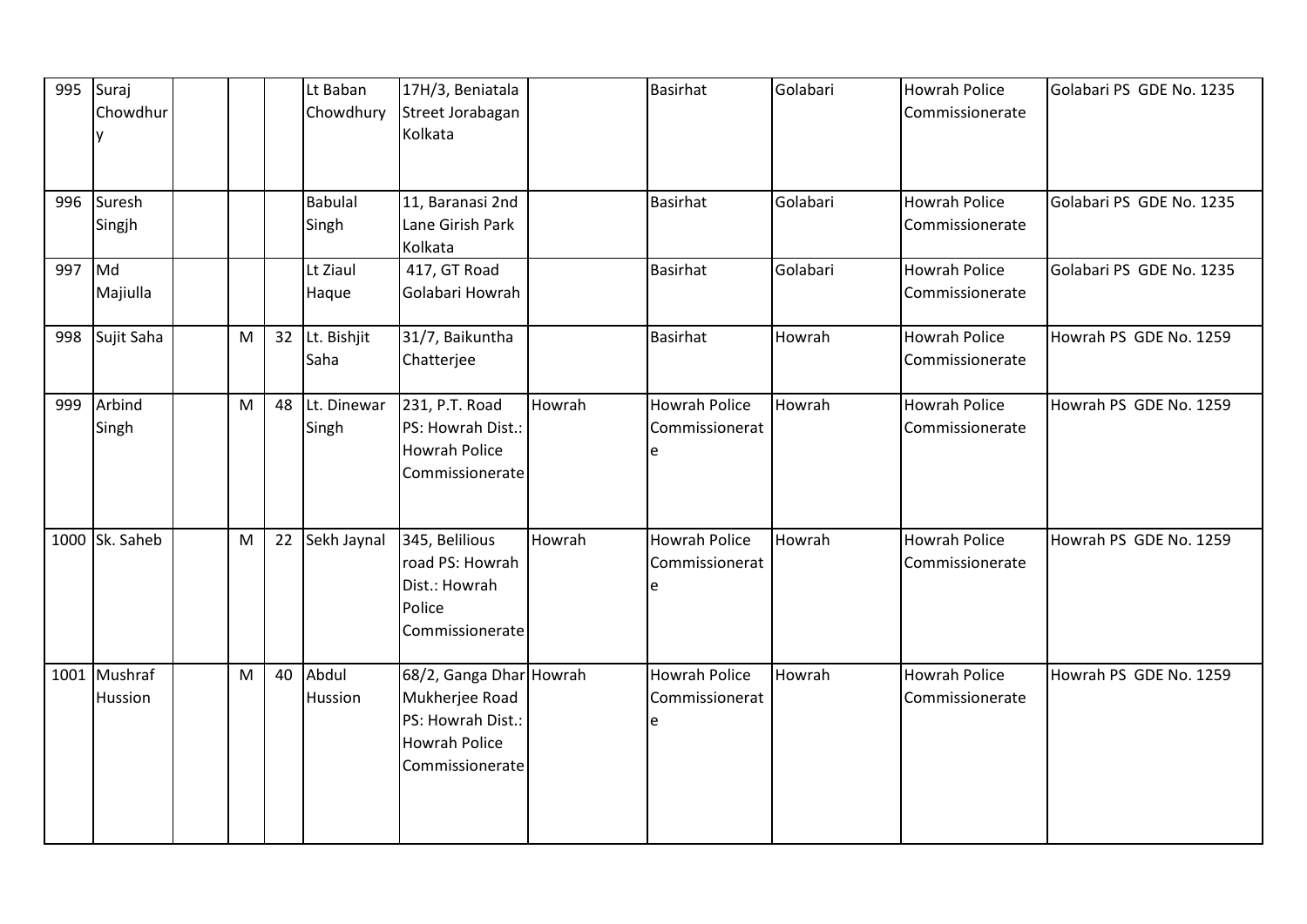|        | 995 Suraj<br>Chowdhur<br>y |   |    | Lt Baban<br>Chowdhury   | 17H/3, Beniatala<br>Street Jorabagan<br>Kolkata                                                           |        | <b>Basirhat</b>                             | Golabari | <b>Howrah Police</b><br>Commissionerate | Golabari PS GDE No. 1235 |
|--------|----------------------------|---|----|-------------------------|-----------------------------------------------------------------------------------------------------------|--------|---------------------------------------------|----------|-----------------------------------------|--------------------------|
|        | 996 Suresh<br>Singjh       |   |    | <b>Babulal</b><br>Singh | 11, Baranasi 2nd<br>Lane Girish Park<br>Kolkata                                                           |        | <b>Basirhat</b>                             | Golabari | <b>Howrah Police</b><br>Commissionerate | Golabari PS GDE No. 1235 |
| 997 Md | Majiulla                   |   |    | Lt Ziaul<br>Haque       | 417, GT Road<br>Golabari Howrah                                                                           |        | <b>Basirhat</b>                             | Golabari | <b>Howrah Police</b><br>Commissionerate | Golabari PS GDE No. 1235 |
| 998    | Sujit Saha                 | M | 32 | Lt. Bishjit<br>Saha     | 31/7, Baikuntha<br>Chatterjee                                                                             |        | <b>Basirhat</b>                             | Howrah   | <b>Howrah Police</b><br>Commissionerate | Howrah PS GDE No. 1259   |
| 999    | Arbind<br>Singh            | M | 48 | Lt. Dinewar<br>Singh    | 231, P.T. Road<br>PS: Howrah Dist.:<br>Howrah Police<br>Commissionerate                                   | Howrah | <b>Howrah Police</b><br>Commissionerat<br>e | Howrah   | <b>Howrah Police</b><br>Commissionerate | Howrah PS GDE No. 1259   |
|        | 1000 Sk. Saheb             | M |    | 22 Sekh Jaynal          | 345, Belilious<br>road PS: Howrah<br>Dist.: Howrah<br>Police<br>Commissionerate                           | Howrah | <b>Howrah Police</b><br>Commissionerat<br>e | Howrah   | <b>Howrah Police</b><br>Commissionerate | Howrah PS GDE No. 1259   |
|        | 1001 Mushraf<br>Hussion    | M | 40 | Abdul<br>Hussion        | 68/2, Ganga Dhar Howrah<br>Mukherjee Road<br>PS: Howrah Dist.:<br><b>Howrah Police</b><br>Commissionerate |        | Howrah Police<br>Commissionerat<br>e        | Howrah   | <b>Howrah Police</b><br>Commissionerate | Howrah PS GDE No. 1259   |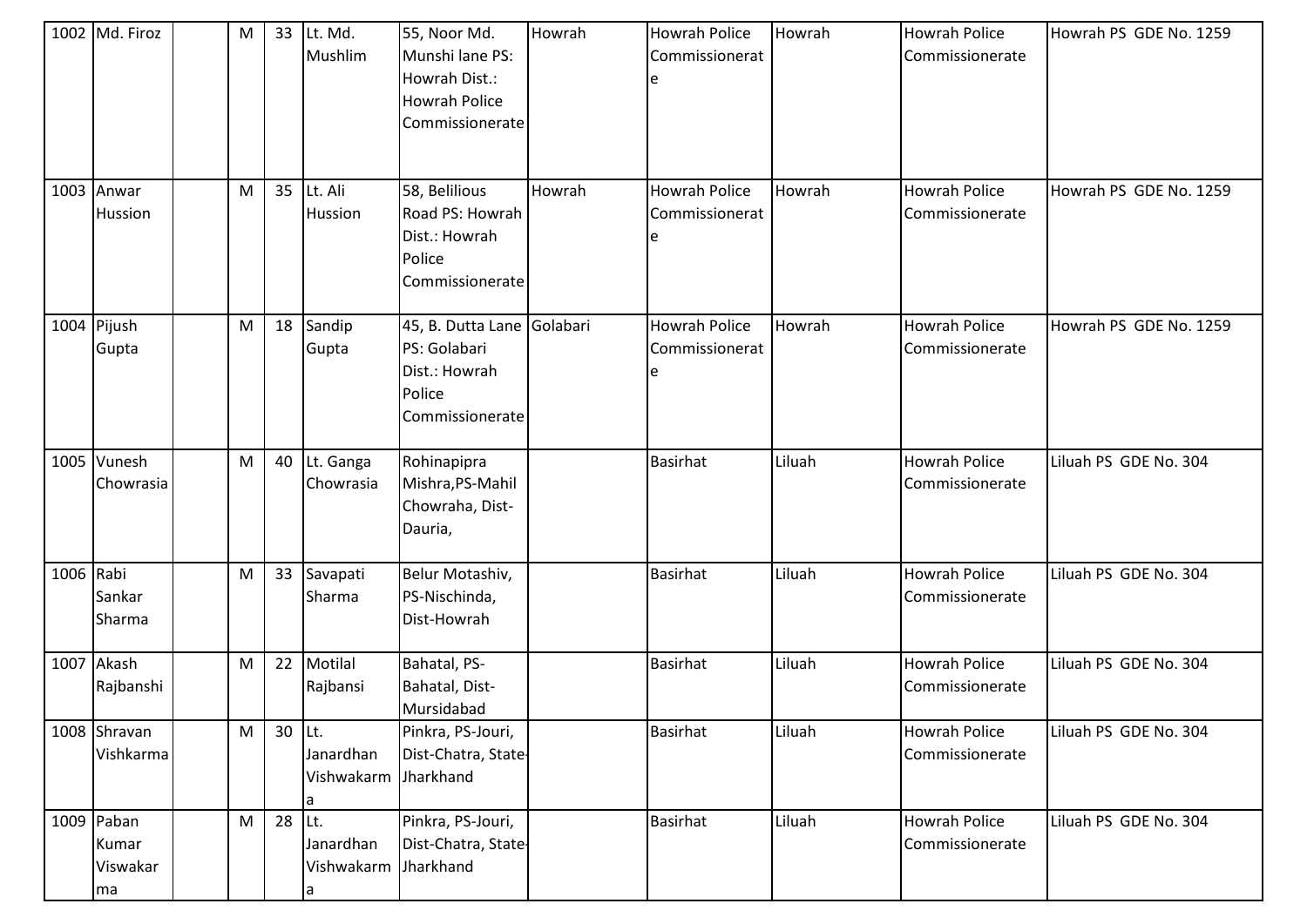|           | 1002 Md. Firoz                        | M | 33     | Lt. Md.<br>Mushlim                  | 55, Noor Md.<br>Munshi lane PS:<br>Howrah Dist.:<br><b>Howrah Police</b><br>Commissionerate | Howrah | <b>Howrah Police</b><br>Commissionerat | Howrah | <b>Howrah Police</b><br>Commissionerate | Howrah PS GDE No. 1259 |
|-----------|---------------------------------------|---|--------|-------------------------------------|---------------------------------------------------------------------------------------------|--------|----------------------------------------|--------|-----------------------------------------|------------------------|
|           | 1003 Anwar<br>Hussion                 | M | 35     | Lt. Ali<br>Hussion                  | 58, Belilious<br>Road PS: Howrah<br>Dist.: Howrah<br>Police<br>Commissionerate              | Howrah | Howrah Police<br>Commissionerat        | Howrah | <b>Howrah Police</b><br>Commissionerate | Howrah PS GDE No. 1259 |
|           | 1004 Pijush<br>Gupta                  | M | 18     | Sandip<br>Gupta                     | 45, B. Dutta Lane Golabari<br>PS: Golabari<br>Dist.: Howrah<br>Police<br>Commissionerate    |        | <b>Howrah Police</b><br>Commissionerat | Howrah | <b>Howrah Police</b><br>Commissionerate | Howrah PS GDE No. 1259 |
|           | 1005 Vunesh<br>Chowrasia              | M | 40     | Lt. Ganga<br>Chowrasia              | Rohinapipra<br>Mishra, PS-Mahil<br>Chowraha, Dist-<br>Dauria,                               |        | <b>Basirhat</b>                        | Liluah | <b>Howrah Police</b><br>Commissionerate | Liluah PS GDE No. 304  |
| 1006 Rabi | Sankar<br>Sharma                      | M | 33     | Savapati<br>Sharma                  | Belur Motashiv,<br>PS-Nischinda,<br>Dist-Howrah                                             |        | <b>Basirhat</b>                        | Liluah | <b>Howrah Police</b><br>Commissionerate | Liluah PS GDE No. 304  |
|           | 1007 Akash<br>Rajbanshi               | M | 22     | Motilal<br>Rajbansi                 | Bahatal, PS-<br>Bahatal, Dist-<br>Mursidabad                                                |        | <b>Basirhat</b>                        | Liluah | <b>Howrah Police</b><br>Commissionerate | Liluah PS GDE No. 304  |
|           | 1008 Shravan<br>Vishkarma             | M | 30 Lt. | Janardhan<br>Vishwakarm<br>l a      | Pinkra, PS-Jouri,<br>Dist-Chatra, State-<br>Jharkhand                                       |        | <b>Basirhat</b>                        | Liluah | Howrah Police<br>Commissionerate        | Liluah PS GDE No. 304  |
|           | 1009 Paban<br>Kumar<br>Viswakar<br>ma | M | 28     | Lt.<br>Janardhan<br>Vishwakarm<br>a | Pinkra, PS-Jouri,<br>Dist-Chatra, State-<br>Jharkhand                                       |        | <b>Basirhat</b>                        | Liluah | <b>Howrah Police</b><br>Commissionerate | Liluah PS GDE No. 304  |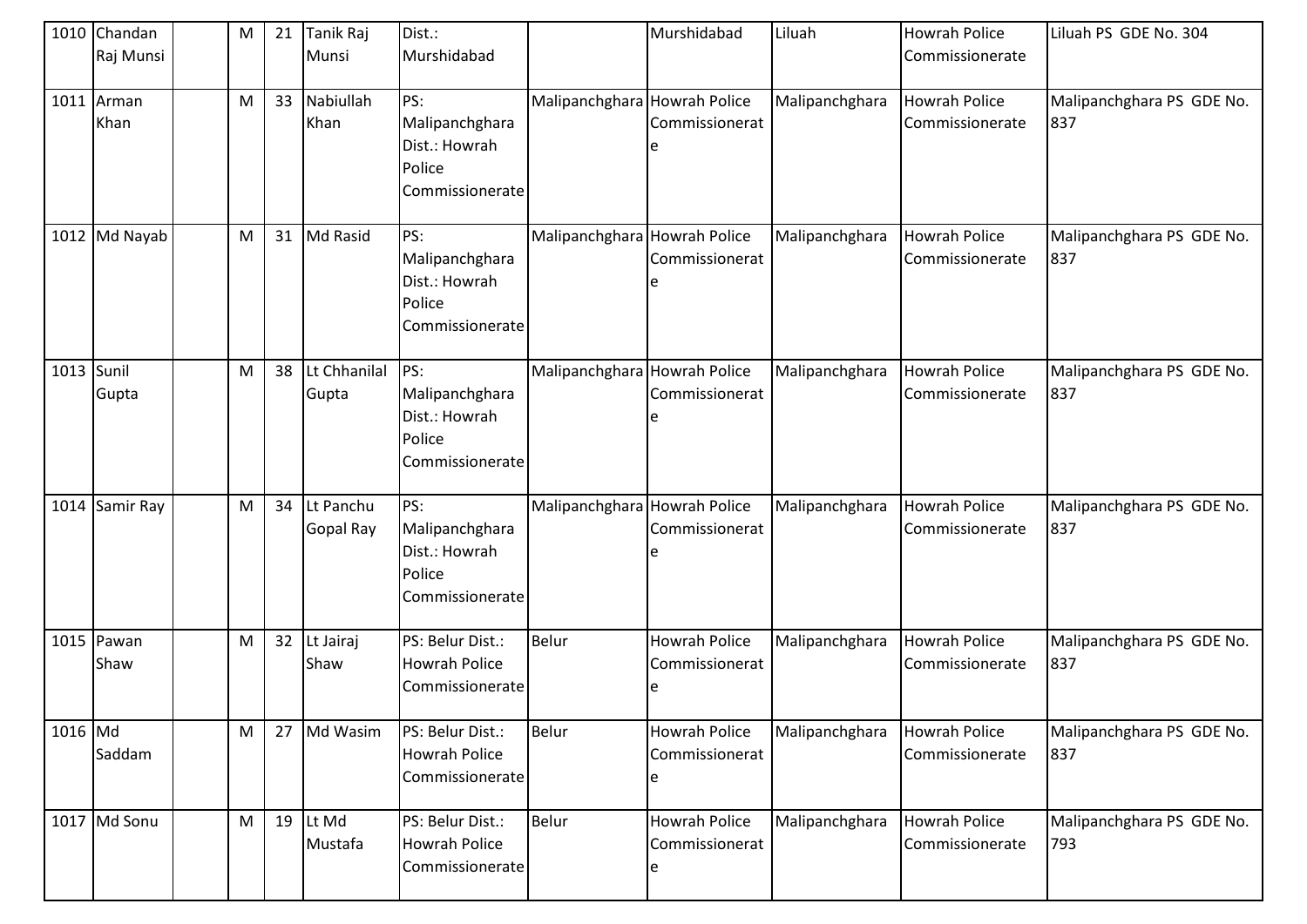|            | 1010 Chandan<br>Raj Munsi | M         | 21 | Tanik Raj<br>Munsi     | Dist.:<br>Murshidabad                                               |                              | Murshidabad                                 | Liluah         | <b>Howrah Police</b><br>Commissionerate | Liluah PS GDE No. 304            |
|------------|---------------------------|-----------|----|------------------------|---------------------------------------------------------------------|------------------------------|---------------------------------------------|----------------|-----------------------------------------|----------------------------------|
|            | 1011 Arman<br>Khan        | M         | 33 | Nabiullah<br>Khan      | PS:<br>Malipanchghara<br>Dist.: Howrah<br>Police<br>Commissionerate | Malipanchghara Howrah Police | Commissionerat                              | Malipanchghara | <b>Howrah Police</b><br>Commissionerate | Malipanchghara PS GDE No.<br>837 |
|            | 1012 Md Nayab             | M         | 31 | Md Rasid               | PS:<br>Malipanchghara<br>Dist.: Howrah<br>Police<br>Commissionerate | Malipanchghara Howrah Police | Commissionerat                              | Malipanchghara | <b>Howrah Police</b><br>Commissionerate | Malipanchghara PS GDE No.<br>837 |
| 1013 Sunil | Gupta                     | M         | 38 | Lt Chhanilal<br>Gupta  | PS:<br>Malipanchghara<br>Dist.: Howrah<br>Police<br>Commissionerate | Malipanchghara Howrah Police | Commissionerat                              | Malipanchghara | <b>Howrah Police</b><br>Commissionerate | Malipanchghara PS GDE No.<br>837 |
|            | 1014 Samir Ray            | M         | 34 | Lt Panchu<br>Gopal Ray | PS:<br>Malipanchghara<br>Dist.: Howrah<br>Police<br>Commissionerate | Malipanchghara Howrah Police | Commissionerat                              | Malipanchghara | <b>Howrah Police</b><br>Commissionerate | Malipanchghara PS GDE No.<br>837 |
|            | 1015 Pawan<br>Shaw        | ${\sf M}$ | 32 | Lt Jairaj<br>Shaw      | PS: Belur Dist.:<br><b>Howrah Police</b><br>Commissionerate         | Belur                        | <b>Howrah Police</b><br>Commissionerat      | Malipanchghara | <b>Howrah Police</b><br>Commissionerate | Malipanchghara PS GDE No.<br>837 |
| 1016 Md    | Saddam                    | M         | 27 | Md Wasim               | PS: Belur Dist.:<br><b>Howrah Police</b><br>Commissionerate         | Belur                        | <b>Howrah Police</b><br>Commissionerat<br>e | Malipanchghara | <b>Howrah Police</b><br>Commissionerate | Malipanchghara PS GDE No.<br>837 |
|            | 1017 Md Sonu              | M         |    | 19 $lt$ Md<br>Mustafa  | PS: Belur Dist.:<br><b>Howrah Police</b><br>Commissionerate         | Belur                        | <b>Howrah Police</b><br>Commissionerat      | Malipanchghara | <b>Howrah Police</b><br>Commissionerate | Malipanchghara PS GDE No.<br>793 |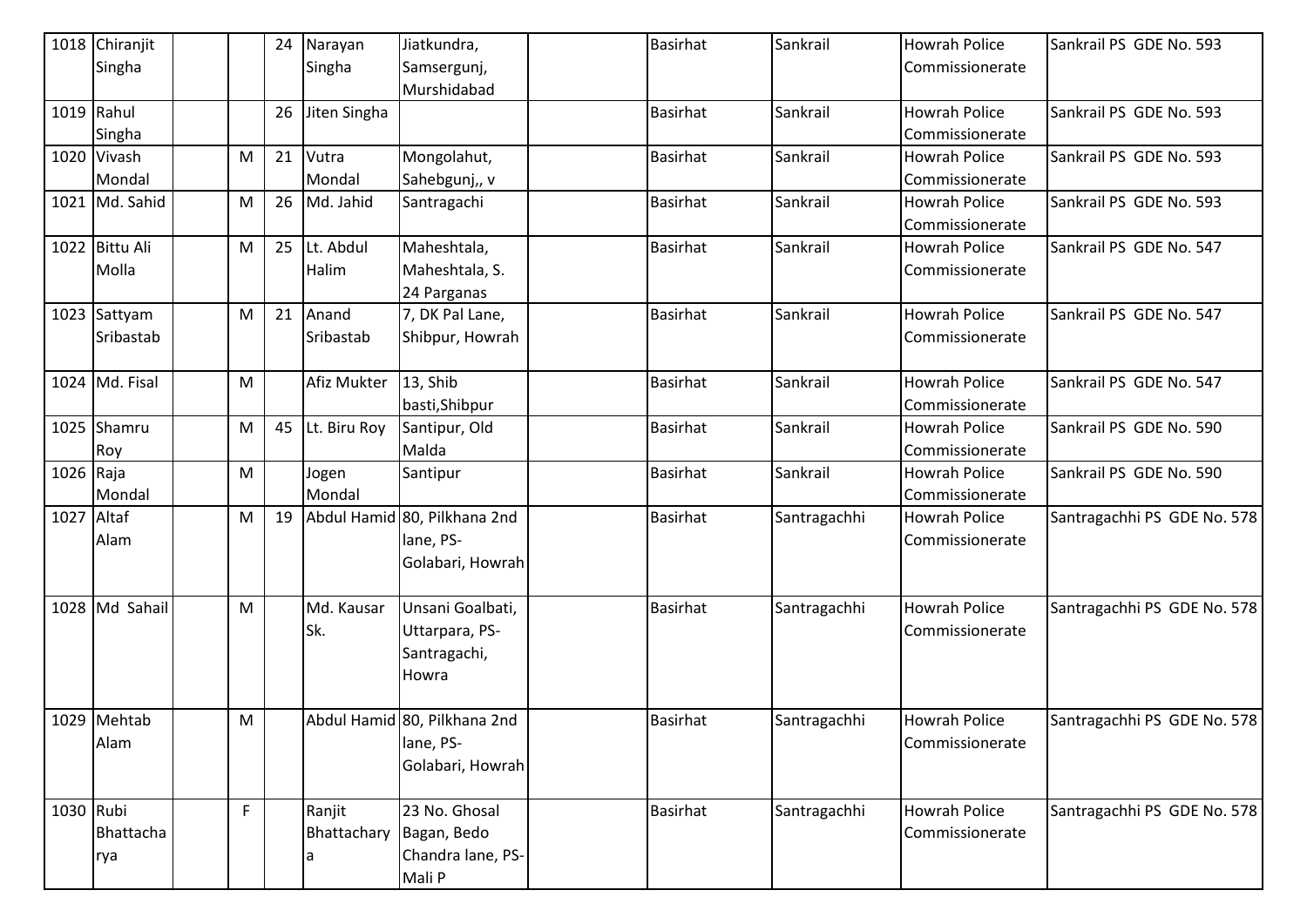|            | 1018 Chiranjit |   | 24 | Narayan      | Jiatkundra,                  | Basirhat        | Sankrail     | <b>Howrah Police</b> | Sankrail PS GDE No. 593     |
|------------|----------------|---|----|--------------|------------------------------|-----------------|--------------|----------------------|-----------------------------|
|            | Singha         |   |    | Singha       | Samsergunj,                  |                 |              | Commissionerate      |                             |
|            |                |   |    |              | Murshidabad                  |                 |              |                      |                             |
|            | 1019 Rahul     |   | 26 | Jiten Singha |                              | <b>Basirhat</b> | Sankrail     | <b>Howrah Police</b> | Sankrail PS GDE No. 593     |
|            | Singha         |   |    |              |                              |                 |              | Commissionerate      |                             |
|            | 1020 Vivash    | M | 21 | Vutra        | Mongolahut,                  | <b>Basirhat</b> | Sankrail     | <b>Howrah Police</b> | Sankrail PS GDE No. 593     |
|            | Mondal         |   |    | Mondal       | Sahebgunj,, v                |                 |              | Commissionerate      |                             |
|            | 1021 Md. Sahid | M | 26 | Md. Jahid    | Santragachi                  | <b>Basirhat</b> | Sankrail     | <b>Howrah Police</b> | Sankrail PS GDE No. 593     |
|            |                |   |    |              |                              |                 |              | Commissionerate      |                             |
|            | 1022 Bittu Ali | M | 25 | Lt. Abdul    | Maheshtala,                  | <b>Basirhat</b> | Sankrail     | <b>Howrah Police</b> | Sankrail PS GDE No. 547     |
|            | Molla          |   |    | Halim        | Maheshtala, S.               |                 |              | Commissionerate      |                             |
|            |                |   |    |              | 24 Parganas                  |                 |              |                      |                             |
|            | 1023 Sattyam   | M | 21 | Anand        | 7, DK Pal Lane,              | <b>Basirhat</b> | Sankrail     | <b>Howrah Police</b> | Sankrail PS GDE No. 547     |
|            | Sribastab      |   |    | Sribastab    | Shibpur, Howrah              |                 |              | Commissionerate      |                             |
|            |                |   |    |              |                              |                 |              |                      |                             |
|            | 1024 Md. Fisal | M |    | Afiz Mukter  | 13, Shib                     | <b>Basirhat</b> | Sankrail     | <b>Howrah Police</b> | Sankrail PS GDE No. 547     |
|            |                |   |    |              | basti, Shibpur               |                 |              | Commissionerate      |                             |
|            | 1025 Shamru    | M | 45 | Lt. Biru Roy | Santipur, Old                | <b>Basirhat</b> | Sankrail     | <b>Howrah Police</b> | Sankrail PS GDE No. 590     |
|            | Roy            |   |    |              | Malda                        |                 |              | Commissionerate      |                             |
| 1026 Raja  |                | M |    | Jogen        | Santipur                     | <b>Basirhat</b> | Sankrail     | <b>Howrah Police</b> | Sankrail PS GDE No. 590     |
|            | Mondal         |   |    | Mondal       |                              |                 |              | Commissionerate      |                             |
| 1027 Altaf |                | M | 19 |              | Abdul Hamid 80, Pilkhana 2nd | <b>Basirhat</b> | Santragachhi | Howrah Police        | Santragachhi PS GDE No. 578 |
|            | Alam           |   |    |              | lane, PS-                    |                 |              | Commissionerate      |                             |
|            |                |   |    |              | Golabari, Howrah             |                 |              |                      |                             |
|            |                |   |    |              |                              |                 |              |                      |                             |
|            | 1028 Md Sahail | M |    | Md. Kausar   | Unsani Goalbati,             | <b>Basirhat</b> | Santragachhi | <b>Howrah Police</b> | Santragachhi PS GDE No. 578 |
|            |                |   |    | Sk.          | Uttarpara, PS-               |                 |              | Commissionerate      |                             |
|            |                |   |    |              | Santragachi,                 |                 |              |                      |                             |
|            |                |   |    |              | Howra                        |                 |              |                      |                             |
|            |                |   |    |              |                              |                 |              |                      |                             |
|            | 1029 Mehtab    | M |    |              | Abdul Hamid 80, Pilkhana 2nd | <b>Basirhat</b> | Santragachhi | Howrah Police        | Santragachhi PS GDE No. 578 |
|            | Alam           |   |    |              | lane, PS-                    |                 |              | Commissionerate      |                             |
|            |                |   |    |              | Golabari, Howrah             |                 |              |                      |                             |
| 1030 Rubi  |                | F |    |              | 23 No. Ghosal                | <b>Basirhat</b> |              | <b>Howrah Police</b> |                             |
|            |                |   |    | Ranjit       |                              |                 | Santragachhi |                      | Santragachhi PS GDE No. 578 |
|            | Bhattacha      |   |    | Bhattachary  | Bagan, Bedo                  |                 |              | Commissionerate      |                             |
|            | rya            |   |    |              | Chandra lane, PS-            |                 |              |                      |                             |
|            |                |   |    |              | Mali P                       |                 |              |                      |                             |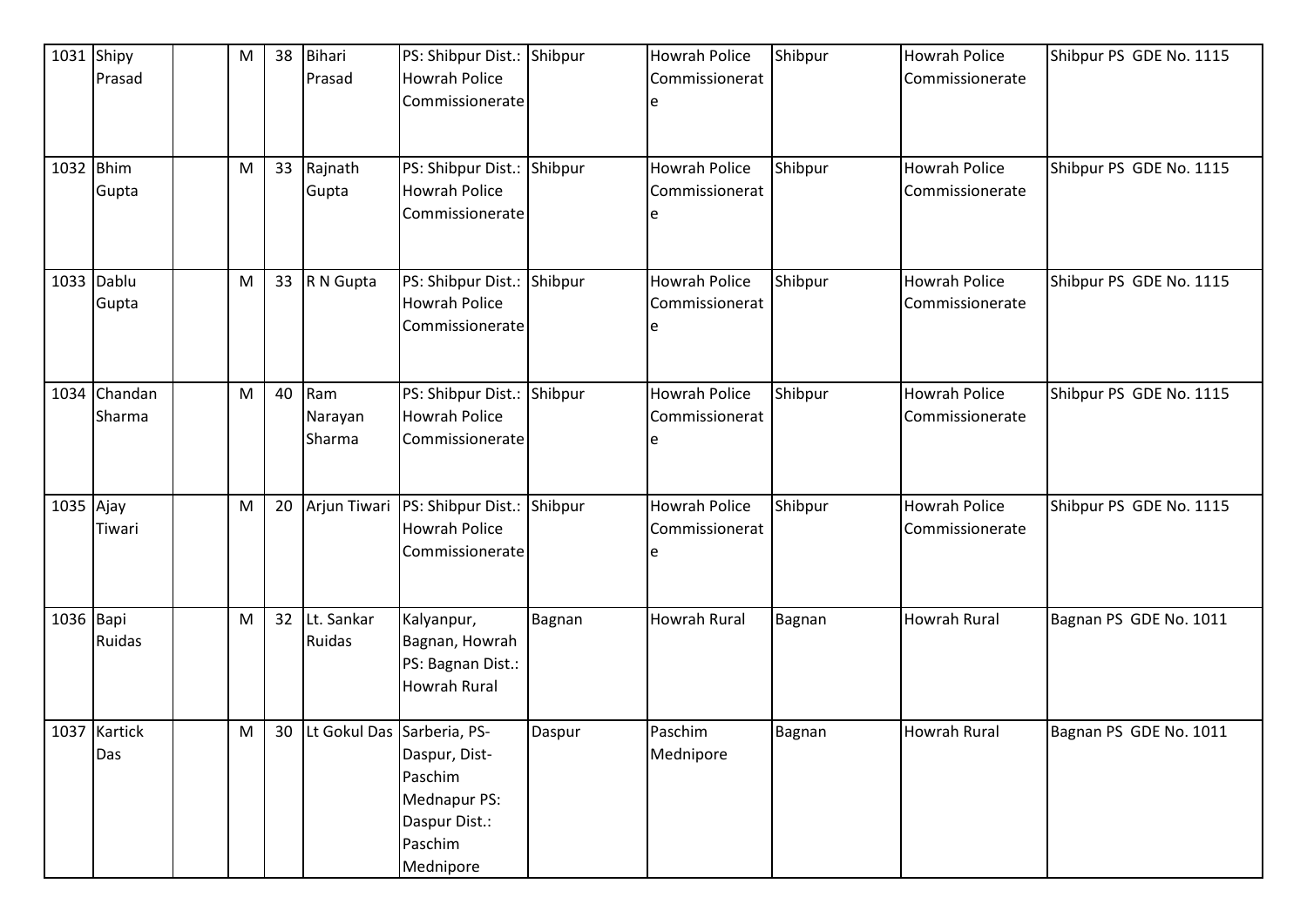| 1031      | Shipy<br>Prasad        | ${\sf M}$ | 38 | <b>Bihari</b><br>Prasad       | PS: Shibpur Dist.: Shibpur<br><b>Howrah Police</b><br>Commissionerate             |        | <b>Howrah Police</b><br>Commissionerat | Shibpur       | <b>Howrah Police</b><br>Commissionerate | Shibpur PS GDE No. 1115 |
|-----------|------------------------|-----------|----|-------------------------------|-----------------------------------------------------------------------------------|--------|----------------------------------------|---------------|-----------------------------------------|-------------------------|
|           | 1032 Bhim<br>Gupta     | ${\sf M}$ | 33 | Rajnath<br>Gupta              | PS: Shibpur Dist.: Shibpur<br><b>Howrah Police</b><br>Commissionerate             |        | <b>Howrah Police</b><br>Commissionerat | Shibpur       | <b>Howrah Police</b><br>Commissionerate | Shibpur PS GDE No. 1115 |
|           | 1033 Dablu<br>Gupta    | M         | 33 | R N Gupta                     | PS: Shibpur Dist.: Shibpur<br><b>Howrah Police</b><br>Commissionerate             |        | Howrah Police<br>Commissionerat        | Shibpur       | <b>Howrah Police</b><br>Commissionerate | Shibpur PS GDE No. 1115 |
|           | 1034 Chandan<br>Sharma | M         | 40 | Ram<br>Narayan<br>Sharma      | PS: Shibpur Dist.: Shibpur<br><b>Howrah Police</b><br>Commissionerate             |        | Howrah Police<br>Commissionerat        | Shibpur       | <b>Howrah Police</b><br>Commissionerate | Shibpur PS GDE No. 1115 |
| 1035 Ajay | Tiwari                 | M         | 20 | Arjun Tiwari                  | PS: Shibpur Dist.: Shibpur<br><b>Howrah Police</b><br>Commissionerate             |        | <b>Howrah Police</b><br>Commissionerat | Shibpur       | <b>Howrah Police</b><br>Commissionerate | Shibpur PS GDE No. 1115 |
| 1036 Bapi | Ruidas                 | M         | 32 | Lt. Sankar<br><b>Ruidas</b>   | Kalyanpur,<br>Bagnan, Howrah<br>PS: Bagnan Dist.:<br><b>Howrah Rural</b>          | Bagnan | Howrah Rural                           | <b>Bagnan</b> | <b>Howrah Rural</b>                     | Bagnan PS GDE No. 1011  |
|           | 1037 Kartick<br>Das    | M         |    | 30 Lt Gokul Das Sarberia, PS- | Daspur, Dist-<br>Paschim<br>Mednapur PS:<br>Daspur Dist.:<br>Paschim<br>Mednipore | Daspur | Paschim<br>Mednipore                   | Bagnan        | <b>Howrah Rural</b>                     | Bagnan PS GDE No. 1011  |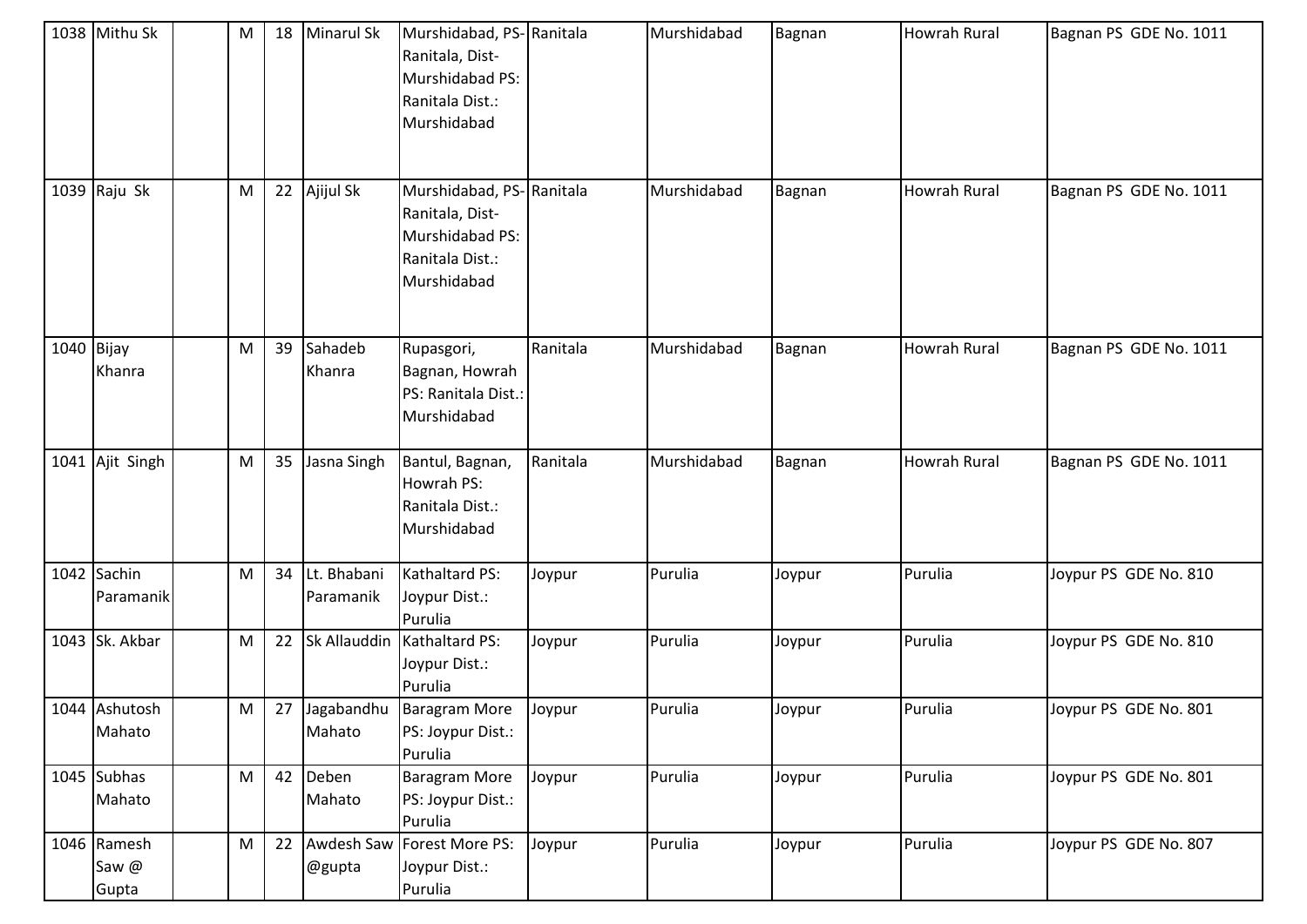|            | 1038 Mithu Sk                 | M         | 18 | <b>Minarul Sk</b>        | Murshidabad, PS- Ranitala<br>Ranitala, Dist-<br>Murshidabad PS:<br>Ranitala Dist.:<br>Murshidabad |          | Murshidabad | Bagnan | Howrah Rural        | Bagnan PS GDE No. 1011 |
|------------|-------------------------------|-----------|----|--------------------------|---------------------------------------------------------------------------------------------------|----------|-------------|--------|---------------------|------------------------|
|            | 1039 $Raju Sk$                | M         | 22 | Ajijul Sk                | Murshidabad, PS-Ranitala<br>Ranitala, Dist-<br>Murshidabad PS:<br>Ranitala Dist.:<br>Murshidabad  |          | Murshidabad | Bagnan | Howrah Rural        | Bagnan PS GDE No. 1011 |
| 1040 Bijay | Khanra                        | M         | 39 | Sahadeb<br>Khanra        | Rupasgori,<br>Bagnan, Howrah<br>PS: Ranitala Dist.:<br>Murshidabad                                | Ranitala | Murshidabad | Bagnan | <b>Howrah Rural</b> | Bagnan PS GDE No. 1011 |
|            | 1041 Ajit Singh               | M         | 35 | Jasna Singh              | Bantul, Bagnan,<br>Howrah PS:<br>Ranitala Dist.:<br>Murshidabad                                   | Ranitala | Murshidabad | Bagnan | Howrah Rural        | Bagnan PS GDE No. 1011 |
|            | 1042 Sachin<br>Paramanik      | M         | 34 | Lt. Bhabani<br>Paramanik | Kathaltard PS:<br>Joypur Dist.:<br>Purulia                                                        | Joypur   | Purulia     | Joypur | Purulia             | Joypur PS GDE No. 810  |
|            | 1043 Sk. Akbar                | ${\sf M}$ | 22 | Sk Allauddin             | Kathaltard PS:<br>Joypur Dist.:<br>Purulia                                                        | Joypur   | Purulia     | Joypur | Purulia             | Joypur PS GDE No. 810  |
|            | 1044 Ashutosh<br>Mahato       | M         |    | Mahato                   | 27 Jagabandhu Baragram More<br>PS: Joypur Dist.:<br>Purulia                                       | Joypur   | Purulia     | Joypur | Purulia             | Joypur PS GDE No. 801  |
|            | $1045$ Subhas<br>Mahato       | M         | 42 | Deben<br>Mahato          | <b>Baragram More</b><br>PS: Joypur Dist.:<br>Purulia                                              | Joypur   | Purulia     | Joypur | Purulia             | Joypur PS GDE No. 801  |
|            | 1046 Ramesh<br>Saw @<br>Gupta | M         | 22 | Awdesh Saw<br>@gupta     | Forest More PS:<br>Joypur Dist.:<br>Purulia                                                       | Joypur   | Purulia     | Joypur | Purulia             | Joypur PS GDE No. 807  |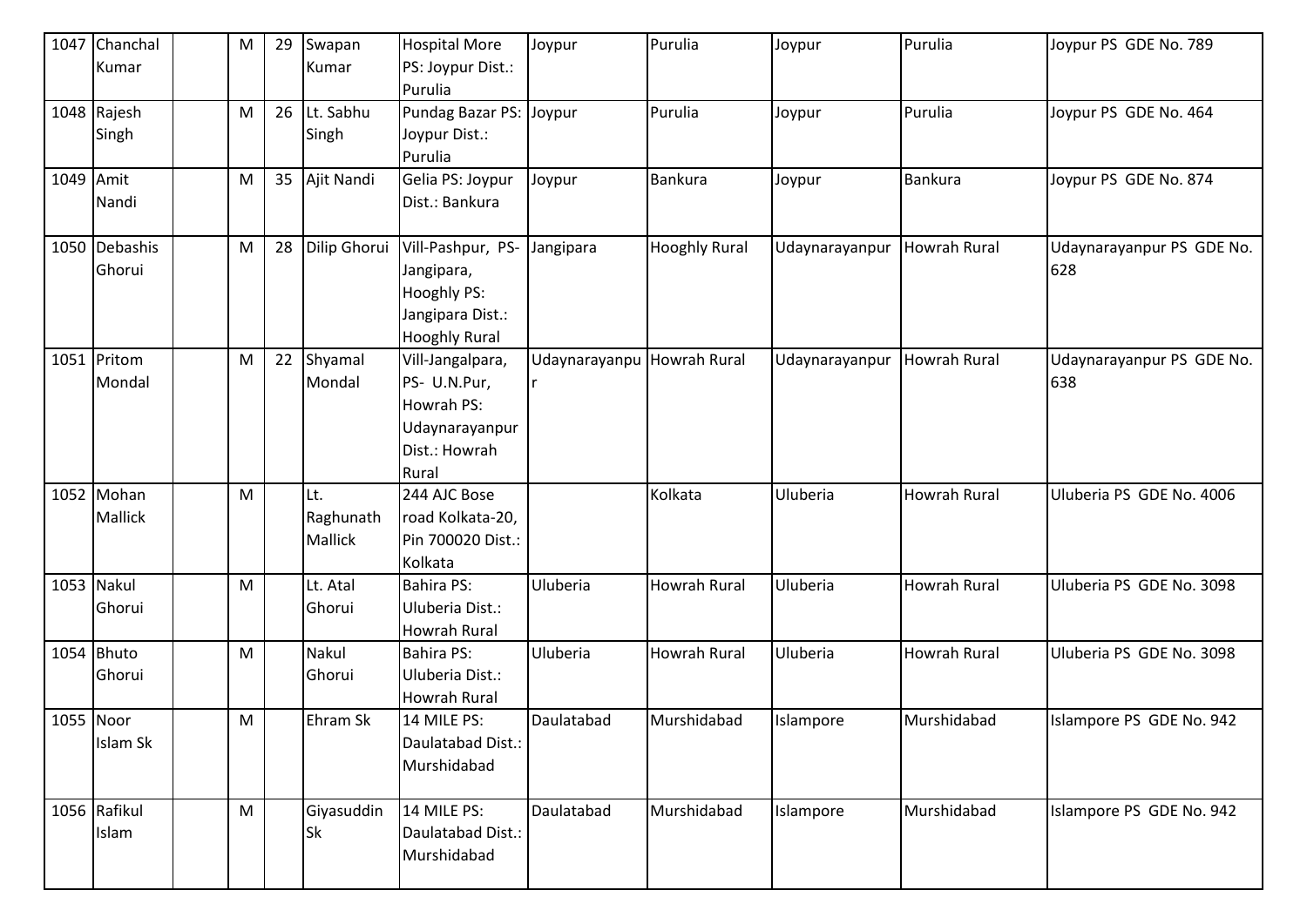| 1047      | Chanchal      | ${\sf M}$ | 29 | Swapan         | <b>Hospital More</b>    | Joypur                     | Purulia              | Joypur         | Purulia             | Joypur PS GDE No. 789     |
|-----------|---------------|-----------|----|----------------|-------------------------|----------------------------|----------------------|----------------|---------------------|---------------------------|
|           | Kumar         |           |    | Kumar          | PS: Joypur Dist.:       |                            |                      |                |                     |                           |
|           |               |           |    |                | Purulia                 |                            |                      |                |                     |                           |
|           | 1048 Rajesh   | M         | 26 | Lt. Sabhu      | Pundag Bazar PS: Joypur |                            | Purulia              | Joypur         | Purulia             | Joypur PS GDE No. 464     |
|           | Singh         |           |    | Singh          | Joypur Dist.:           |                            |                      |                |                     |                           |
|           |               |           |    |                | Purulia                 |                            |                      |                |                     |                           |
| 1049 Amit |               | M         | 35 | Ajit Nandi     | Gelia PS: Joypur        | Joypur                     | <b>Bankura</b>       | Joypur         | <b>Bankura</b>      | Joypur PS GDE No. 874     |
|           | Nandi         |           |    |                | Dist.: Bankura          |                            |                      |                |                     |                           |
|           |               |           |    |                |                         |                            |                      |                |                     |                           |
|           | 1050 Debashis | ${\sf M}$ | 28 | Dilip Ghorui   | Vill-Pashpur, PS-       | Jangipara                  | <b>Hooghly Rural</b> | Udaynarayanpur | <b>Howrah Rural</b> | Udaynarayanpur PS GDE No. |
|           | Ghorui        |           |    |                | Jangipara,              |                            |                      |                |                     | 628                       |
|           |               |           |    |                | Hooghly PS:             |                            |                      |                |                     |                           |
|           |               |           |    |                | Jangipara Dist.:        |                            |                      |                |                     |                           |
|           |               |           |    |                | <b>Hooghly Rural</b>    |                            |                      |                |                     |                           |
|           | 1051 Pritom   | ${\sf M}$ | 22 | Shyamal        | Vill-Jangalpara,        | Udaynarayanpu Howrah Rural |                      | Udaynarayanpur | <b>Howrah Rural</b> | Udaynarayanpur PS GDE No. |
|           | Mondal        |           |    | Mondal         | PS- U.N.Pur,            |                            |                      |                |                     | 638                       |
|           |               |           |    |                | Howrah PS:              |                            |                      |                |                     |                           |
|           |               |           |    |                | Udaynarayanpur          |                            |                      |                |                     |                           |
|           |               |           |    |                | Dist.: Howrah           |                            |                      |                |                     |                           |
|           |               |           |    |                | Rural                   |                            |                      |                |                     |                           |
|           | 1052 Mohan    | M         |    | Lt.            | 244 AJC Bose            |                            | Kolkata              | Uluberia       | <b>Howrah Rural</b> | Uluberia PS GDE No. 4006  |
|           | Mallick       |           |    | Raghunath      | road Kolkata-20,        |                            |                      |                |                     |                           |
|           |               |           |    | <b>Mallick</b> | Pin 700020 Dist.:       |                            |                      |                |                     |                           |
|           |               |           |    |                | Kolkata                 |                            |                      |                |                     |                           |
|           | 1053 Nakul    | M         |    | Lt. Atal       | <b>Bahira PS:</b>       | Uluberia                   | Howrah Rural         | Uluberia       | <b>Howrah Rural</b> | Uluberia PS GDE No. 3098  |
|           | Ghorui        |           |    | Ghorui         | Uluberia Dist.:         |                            |                      |                |                     |                           |
|           |               |           |    |                | <b>Howrah Rural</b>     |                            |                      |                |                     |                           |
|           | 1054 Bhuto    | ${\sf M}$ |    | Nakul          | <b>Bahira PS:</b>       | Uluberia                   | Howrah Rural         | Uluberia       | <b>Howrah Rural</b> | Uluberia PS GDE No. 3098  |
|           | Ghorui        |           |    | Ghorui         | Uluberia Dist.:         |                            |                      |                |                     |                           |
|           |               |           |    |                | <b>Howrah Rural</b>     |                            |                      |                |                     |                           |
| 1055 Noor |               | M         |    | Ehram Sk       | 14 MILE PS:             | Daulatabad                 | Murshidabad          | Islampore      | Murshidabad         | Islampore PS GDE No. 942  |
|           | Islam Sk      |           |    |                | Daulatabad Dist.:       |                            |                      |                |                     |                           |
|           |               |           |    |                | Murshidabad             |                            |                      |                |                     |                           |
|           |               |           |    |                |                         |                            |                      |                |                     |                           |
|           | 1056 Rafikul  | ${\sf M}$ |    | Giyasuddin     | 14 MILE PS:             | Daulatabad                 | Murshidabad          | Islampore      | Murshidabad         | Islampore PS GDE No. 942  |
|           | Islam         |           |    | <b>Sk</b>      | Daulatabad Dist.:       |                            |                      |                |                     |                           |
|           |               |           |    |                | Murshidabad             |                            |                      |                |                     |                           |
|           |               |           |    |                |                         |                            |                      |                |                     |                           |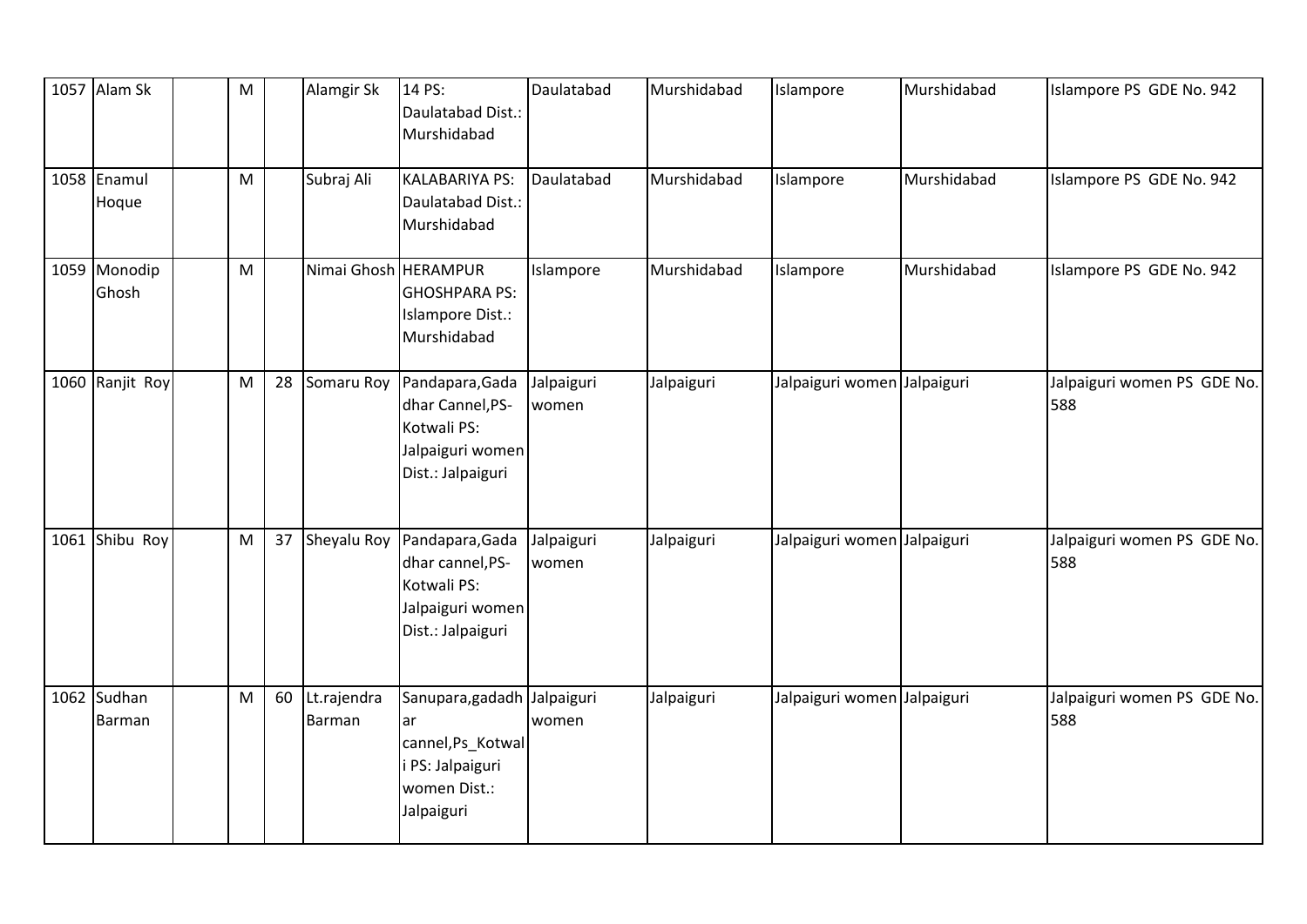| 1057 Alam Sk          | M |    | Alamgir Sk               | 14 PS:<br>Daulatabad Dist.:<br>Murshidabad                                                              | Daulatabad          | Murshidabad | Islampore                   | Murshidabad | Islampore PS GDE No. 942           |
|-----------------------|---|----|--------------------------|---------------------------------------------------------------------------------------------------------|---------------------|-------------|-----------------------------|-------------|------------------------------------|
| 1058 Enamul<br>Hoque  | M |    | Subraj Ali               | <b>KALABARIYA PS:</b><br>Daulatabad Dist.:<br>Murshidabad                                               | Daulatabad          | Murshidabad | Islampore                   | Murshidabad | Islampore PS GDE No. 942           |
| 1059 Monodip<br>Ghosh | M |    | Nimai Ghosh HERAMPUR     | <b>GHOSHPARA PS:</b><br>Islampore Dist.:<br>Murshidabad                                                 | Islampore           | Murshidabad | Islampore                   | Murshidabad | Islampore PS GDE No. 942           |
| 1060 Ranjit Roy       | M | 28 | Somaru Roy               | Pandapara, Gada<br>dhar Cannel, PS-<br>Kotwali PS:<br>Jalpaiguri women<br>Dist.: Jalpaiguri             | Jalpaiguri<br>women | Jalpaiguri  | Jalpaiguri women Jalpaiguri |             | Jalpaiguri women PS GDE No.<br>588 |
| 1061 Shibu Roy        | M |    | 37 Sheyalu Roy           | Pandapara, Gada<br>dhar cannel, PS-<br>Kotwali PS:<br>Jalpaiguri women<br>Dist.: Jalpaiguri             | Jalpaiguri<br>women | Jalpaiguri  | Jalpaiguri women Jalpaiguri |             | Jalpaiguri women PS GDE No.<br>588 |
| 1062 Sudhan<br>Barman | M |    | 60 Lt.rajendra<br>Barman | Sanupara, gadadh Jalpaiguri<br>lar<br>cannel, Ps_Kotwal<br>PS: Jalpaiguri<br>women Dist.:<br>Jalpaiguri | women               | Jalpaiguri  | Jalpaiguri women Jalpaiguri |             | Jalpaiguri women PS GDE No.<br>588 |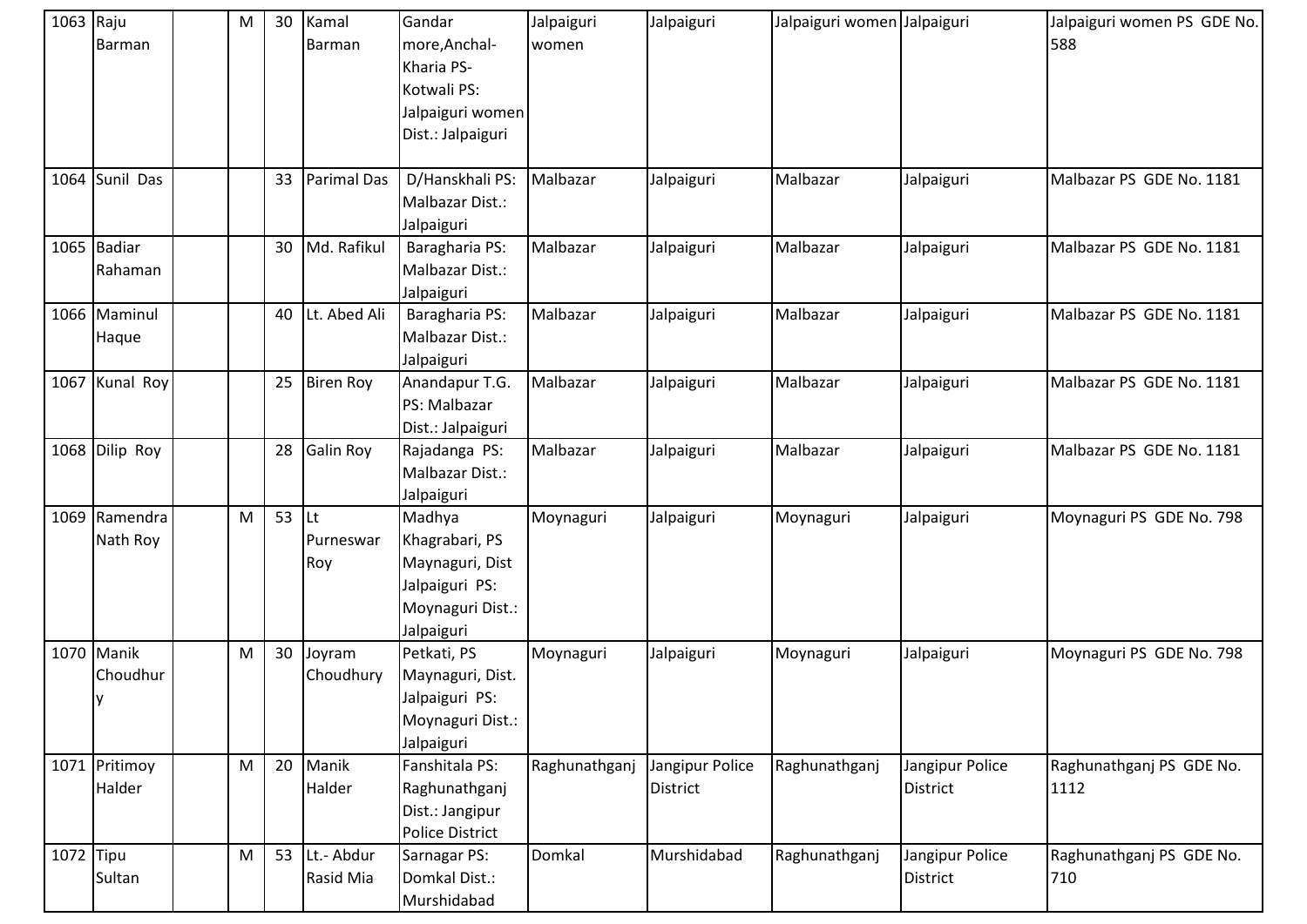| 1063 Raju |                | M         | 30 | Kamal              | Gandar                 | Jalpaiguri    | Jalpaiguri      | Jalpaiguri women Jalpaiguri |                 | Jalpaiguri women PS GDE No. |
|-----------|----------------|-----------|----|--------------------|------------------------|---------------|-----------------|-----------------------------|-----------------|-----------------------------|
|           | Barman         |           |    | Barman             | more, Anchal-          | women         |                 |                             |                 | 588                         |
|           |                |           |    |                    | Kharia PS-             |               |                 |                             |                 |                             |
|           |                |           |    |                    | Kotwali PS:            |               |                 |                             |                 |                             |
|           |                |           |    |                    | Jalpaiguri women       |               |                 |                             |                 |                             |
|           |                |           |    |                    | Dist.: Jalpaiguri      |               |                 |                             |                 |                             |
|           |                |           |    |                    |                        |               |                 |                             |                 |                             |
|           | 1064 Sunil Das |           | 33 | <b>Parimal Das</b> | D/Hanskhali PS:        | Malbazar      | Jalpaiguri      | Malbazar                    | Jalpaiguri      | Malbazar PS GDE No. 1181    |
|           |                |           |    |                    | Malbazar Dist.:        |               |                 |                             |                 |                             |
|           |                |           |    |                    | Jalpaiguri             |               |                 |                             |                 |                             |
|           | 1065 Badiar    |           | 30 | Md. Rafikul        | Baragharia PS:         | Malbazar      | Jalpaiguri      | Malbazar                    | Jalpaiguri      | Malbazar PS GDE No. 1181    |
|           | Rahaman        |           |    |                    | Malbazar Dist.:        |               |                 |                             |                 |                             |
|           |                |           |    |                    | Jalpaiguri             |               |                 |                             |                 |                             |
|           | 1066 Maminul   |           | 40 | Lt. Abed Ali       | Baragharia PS:         | Malbazar      | Jalpaiguri      | Malbazar                    | Jalpaiguri      | Malbazar PS GDE No. 1181    |
|           | Haque          |           |    |                    | Malbazar Dist.:        |               |                 |                             |                 |                             |
|           |                |           |    |                    | Jalpaiguri             |               |                 |                             |                 |                             |
|           | 1067 Kunal Roy |           | 25 | <b>Biren Roy</b>   | Anandapur T.G.         | Malbazar      | Jalpaiguri      | Malbazar                    | Jalpaiguri      | Malbazar PS GDE No. 1181    |
|           |                |           |    |                    | PS: Malbazar           |               |                 |                             |                 |                             |
|           |                |           |    |                    | Dist.: Jalpaiguri      |               |                 |                             |                 |                             |
|           | 1068 Dilip Roy |           | 28 | <b>Galin Roy</b>   | Rajadanga PS:          | Malbazar      | Jalpaiguri      | Malbazar                    | Jalpaiguri      | Malbazar PS GDE No. 1181    |
|           |                |           |    |                    | Malbazar Dist.:        |               |                 |                             |                 |                             |
|           |                |           |    |                    | Jalpaiguri             |               |                 |                             |                 |                             |
|           | 1069 Ramendra  | ${\sf M}$ | 53 | lLt                | Madhya                 | Moynaguri     | Jalpaiguri      | Moynaguri                   | Jalpaiguri      | Moynaguri PS GDE No. 798    |
|           | Nath Roy       |           |    | Purneswar          | Khagrabari, PS         |               |                 |                             |                 |                             |
|           |                |           |    | Roy                | Maynaguri, Dist        |               |                 |                             |                 |                             |
|           |                |           |    |                    | Jalpaiguri PS:         |               |                 |                             |                 |                             |
|           |                |           |    |                    | Moynaguri Dist.:       |               |                 |                             |                 |                             |
|           |                |           |    |                    | Jalpaiguri             |               |                 |                             |                 |                             |
|           | 1070 Manik     | M         | 30 | Joyram             | Petkati, PS            | Moynaguri     | Jalpaiguri      | Moynaguri                   | Jalpaiguri      | Moynaguri PS GDE No. 798    |
|           | Choudhur       |           |    | Choudhury          | Maynaguri, Dist.       |               |                 |                             |                 |                             |
|           | Iу             |           |    |                    | Jalpaiguri PS:         |               |                 |                             |                 |                             |
|           |                |           |    |                    | Moynaguri Dist.:       |               |                 |                             |                 |                             |
|           |                |           |    |                    | Jalpaiguri             |               |                 |                             |                 |                             |
|           | 1071 Pritimoy  | ${\sf M}$ | 20 | Manik              | Fanshitala PS:         | Raghunathganj | Jangipur Police | Raghunathganj               | Jangipur Police | Raghunathganj PS GDE No.    |
|           | Halder         |           |    | Halder             | Raghunathganj          |               | <b>District</b> |                             | District        | 1112                        |
|           |                |           |    |                    | Dist.: Jangipur        |               |                 |                             |                 |                             |
|           |                |           |    |                    | <b>Police District</b> |               |                 |                             |                 |                             |
| 1072 Tipu |                | M         | 53 | Lt.- Abdur         | Sarnagar PS:           | Domkal        | Murshidabad     | Raghunathganj               | Jangipur Police | Raghunathganj PS GDE No.    |
|           | Sultan         |           |    | Rasid Mia          | Domkal Dist.:          |               |                 |                             | District        | 710                         |
|           |                |           |    |                    | Murshidabad            |               |                 |                             |                 |                             |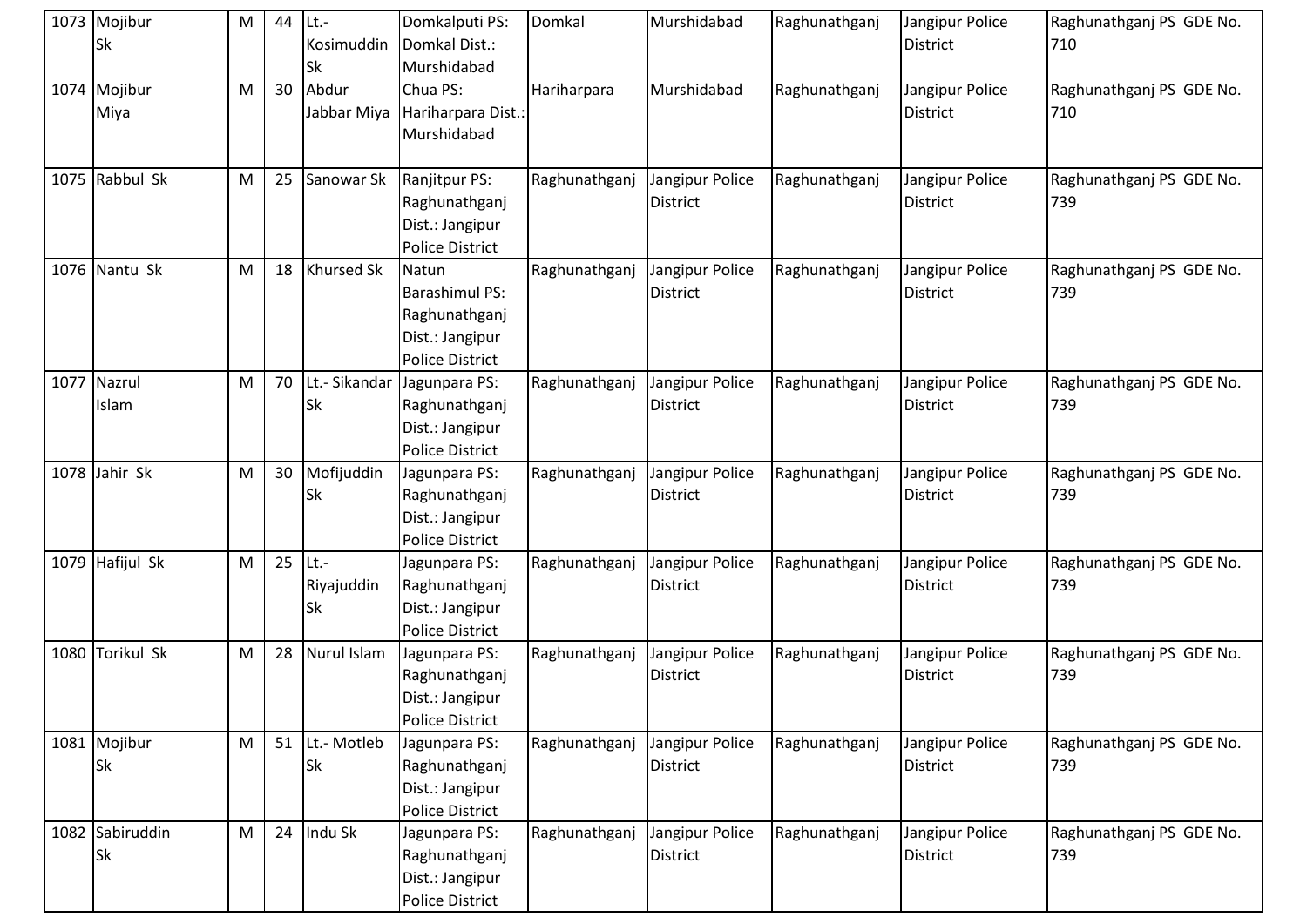| 1073 Mojibur<br><b>Sk</b>    | M | 44 | $ $ Lt.-<br>Kosimuddin<br>Sk | Domkalputi PS:<br>Domkal Dist.:<br>Murshidabad                                               | Domkal        | Murshidabad                        | Raghunathganj | Jangipur Police<br>District | Raghunathganj PS GDE No.<br>710 |
|------------------------------|---|----|------------------------------|----------------------------------------------------------------------------------------------|---------------|------------------------------------|---------------|-----------------------------|---------------------------------|
| 1074 Mojibur<br>Miya         | M | 30 | Abdur<br>Jabbar Miya         | Chua PS:<br>Hariharpara Dist.:<br>Murshidabad                                                | Hariharpara   | Murshidabad                        | Raghunathganj | Jangipur Police<br>District | Raghunathganj PS GDE No.<br>710 |
| 1075 Rabbul Sk               | M | 25 | Sanowar Sk                   | Ranjitpur PS:<br>Raghunathganj<br>Dist.: Jangipur<br><b>Police District</b>                  | Raghunathganj | Jangipur Police<br><b>District</b> | Raghunathganj | Jangipur Police<br>District | Raghunathganj PS GDE No.<br>739 |
| 1076 Nantu Sk                | M | 18 | <b>Khursed Sk</b>            | Natun<br><b>Barashimul PS:</b><br>Raghunathganj<br>Dist.: Jangipur<br><b>Police District</b> | Raghunathganj | Jangipur Police<br><b>District</b> | Raghunathganj | Jangipur Police<br>District | Raghunathganj PS GDE No.<br>739 |
| 1077 Nazrul<br>Islam         | M | 70 | Lt.- Sikandar<br>Sk          | Jagunpara PS:<br>Raghunathganj<br>Dist.: Jangipur<br><b>Police District</b>                  | Raghunathganj | Jangipur Police<br><b>District</b> | Raghunathganj | Jangipur Police<br>District | Raghunathganj PS GDE No.<br>739 |
| 1078 Jahir Sk                | M | 30 | Mofijuddin<br>Sk             | Jagunpara PS:<br>Raghunathganj<br>Dist.: Jangipur<br><b>Police District</b>                  | Raghunathganj | Jangipur Police<br><b>District</b> | Raghunathganj | Jangipur Police<br>District | Raghunathganj PS GDE No.<br>739 |
| 1079 Hafijul Sk              | M | 25 | $Lt$ .-<br>Riyajuddin<br>Sk  | Jagunpara PS:<br>Raghunathganj<br>Dist.: Jangipur<br><b>Police District</b>                  | Raghunathganj | Jangipur Police<br><b>District</b> | Raghunathganj | Jangipur Police<br>District | Raghunathganj PS GDE No.<br>739 |
| 1080 Torikul Sk              | M | 28 | <b>Nurul Islam</b>           | Jagunpara PS:<br>Raghunathganj<br>Dist.: Jangipur<br><b>Police District</b>                  | Raghunathganj | Jangipur Police<br><b>District</b> | Raghunathganj | Jangipur Police<br>District | Raghunathganj PS GDE No.<br>739 |
| 1081 Mojibur<br><b>Sk</b>    | M | 51 | Lt.- Motleb<br>Sk            | Jagunpara PS:<br>Raghunathganj<br>Dist.: Jangipur<br><b>Police District</b>                  | Raghunathganj | Jangipur Police<br><b>District</b> | Raghunathganj | Jangipur Police<br>District | Raghunathganj PS GDE No.<br>739 |
| 1082 Sabiruddin<br><b>Sk</b> | M | 24 | Indu Sk                      | Jagunpara PS:<br>Raghunathganj<br>Dist.: Jangipur<br><b>Police District</b>                  | Raghunathganj | Jangipur Police<br>District        | Raghunathganj | Jangipur Police<br>District | Raghunathganj PS GDE No.<br>739 |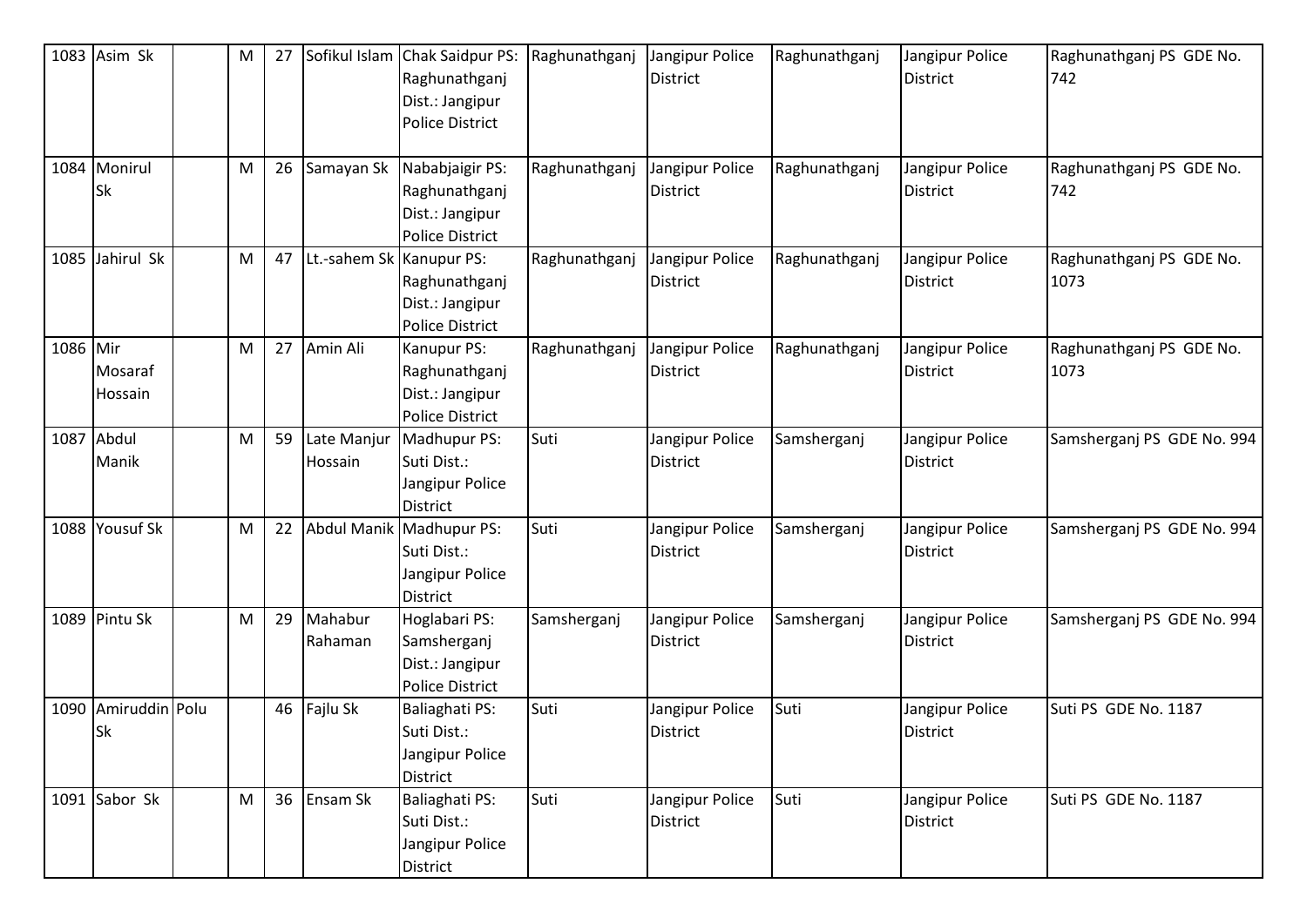|          | 1083 Asim Sk                     | M | 27 |                          | Sofikul Islam Chak Saidpur PS:<br>Raghunathganj<br>Dist.: Jangipur<br><b>Police District</b> | Raghunathganj | Jangipur Police<br><b>District</b> | Raghunathganj | Jangipur Police<br><b>District</b> | Raghunathganj PS GDE No.<br>742  |
|----------|----------------------------------|---|----|--------------------------|----------------------------------------------------------------------------------------------|---------------|------------------------------------|---------------|------------------------------------|----------------------------------|
|          | 1084 Monirul<br><b>Sk</b>        | M | 26 | Samayan Sk               | Nababjaigir PS:<br>Raghunathganj<br>Dist.: Jangipur<br><b>Police District</b>                | Raghunathganj | Jangipur Police<br><b>District</b> | Raghunathganj | Jangipur Police<br><b>District</b> | Raghunathganj PS GDE No.<br>742  |
|          | 1085 Jahirul Sk                  | M | 47 | Lt.-sahem Sk Kanupur PS: | Raghunathganj<br>Dist.: Jangipur<br><b>Police District</b>                                   | Raghunathganj | Jangipur Police<br><b>District</b> | Raghunathganj | Jangipur Police<br><b>District</b> | Raghunathganj PS GDE No.<br>1073 |
| 1086 Mir | Mosaraf<br>Hossain               | M | 27 | Amin Ali                 | Kanupur PS:<br>Raghunathganj<br>Dist.: Jangipur<br><b>Police District</b>                    | Raghunathganj | Jangipur Police<br><b>District</b> | Raghunathganj | Jangipur Police<br><b>District</b> | Raghunathganj PS GDE No.<br>1073 |
|          | 1087 Abdul<br>Manik              | M | 59 | Late Manjur<br>Hossain   | Madhupur PS:<br>Suti Dist.:<br>Jangipur Police<br><b>District</b>                            | Suti          | Jangipur Police<br><b>District</b> | Samsherganj   | Jangipur Police<br><b>District</b> | Samsherganj PS GDE No. 994       |
|          | 1088 Yousuf Sk                   | M | 22 |                          | Abdul Manik Madhupur PS:<br>Suti Dist.:<br>Jangipur Police<br><b>District</b>                | Suti          | Jangipur Police<br><b>District</b> | Samsherganj   | Jangipur Police<br><b>District</b> | Samsherganj PS GDE No. 994       |
|          | 1089 Pintu Sk                    | M | 29 | Mahabur<br>Rahaman       | Hoglabari PS:<br>Samsherganj<br>Dist.: Jangipur<br><b>Police District</b>                    | Samsherganj   | Jangipur Police<br><b>District</b> | Samsherganj   | Jangipur Police<br><b>District</b> | Samsherganj PS GDE No. 994       |
|          | 1090 Amiruddin Polu<br><b>Sk</b> |   |    | 46 Fajlu Sk              | <b>Baliaghati PS:</b><br>Suti Dist.:<br>Jangipur Police<br>District                          | Suti          | Jangipur Police<br>District        | Suti          | Jangipur Police<br><b>District</b> | Suti PS GDE No. 1187             |
|          | 1091 Sabor Sk                    | M |    | 36 Ensam Sk              | Baliaghati PS:<br>Suti Dist.:<br>Jangipur Police<br>District                                 | Suti          | Jangipur Police<br><b>District</b> | Suti          | Jangipur Police<br><b>District</b> | Suti PS GDE No. 1187             |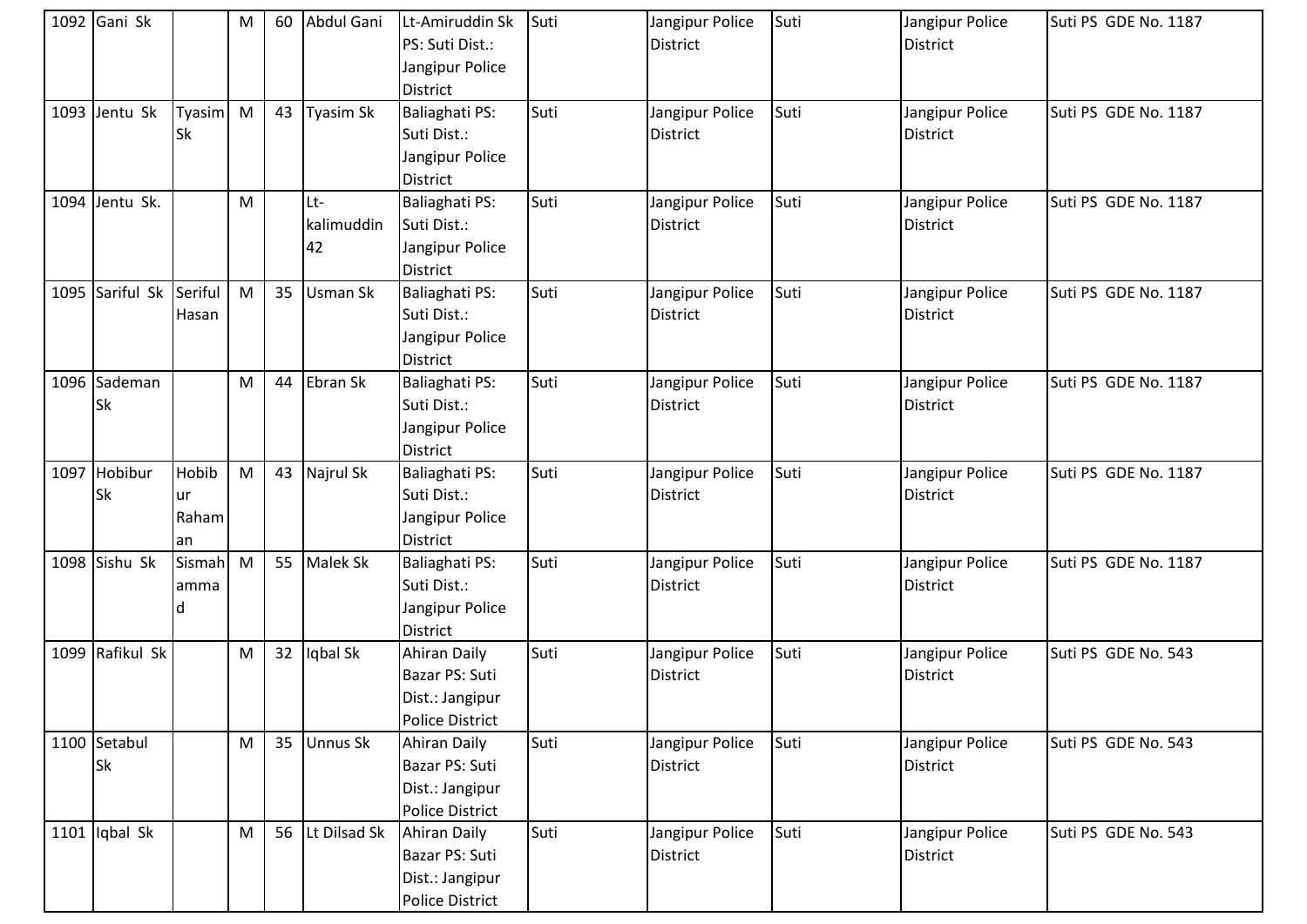| 1092 Gani Sk              |                            | М            |    | 60 Abdul Gani           | Lt-Amiruddin Sk<br>PS: Suti Dist.:<br>Jangipur Police<br><b>District</b>           | Suti | Jangipur Police<br><b>District</b> | Suti | Jangipur Police<br><b>District</b> | Suti PS GDE No. 1187 |
|---------------------------|----------------------------|--------------|----|-------------------------|------------------------------------------------------------------------------------|------|------------------------------------|------|------------------------------------|----------------------|
| 1093 Jentu Sk             | Tyasim M<br><b>Sk</b>      |              | 43 | Tyasim Sk               | <b>Baliaghati PS:</b><br>Suti Dist.:<br>Jangipur Police<br><b>District</b>         | Suti | Jangipur Police<br><b>District</b> | Suti | Jangipur Police<br><b>District</b> | Suti PS GDE No. 1187 |
| 1094 Jentu Sk.            |                            | M            |    | Lt-<br>kalimuddin<br>42 | Baliaghati PS:<br>Suti Dist.:<br>Jangipur Police<br><b>District</b>                | Suti | Jangipur Police<br><b>District</b> | Suti | Jangipur Police<br><b>District</b> | Suti PS GDE No. 1187 |
| 1095 Sariful Sk Seriful   | Hasan                      | M            |    | 35 Usman Sk             | Baliaghati PS:<br>Suti Dist.:<br>Jangipur Police<br><b>District</b>                | Suti | Jangipur Police<br><b>District</b> | Suti | Jangipur Police<br><b>District</b> | Suti PS GDE No. 1187 |
| 1096 Sademan<br><b>Sk</b> |                            | M            | 44 | Ebran Sk                | Baliaghati PS:<br>Suti Dist.:<br>Jangipur Police<br>District                       | Suti | Jangipur Police<br><b>District</b> | Suti | Jangipur Police<br><b>District</b> | Suti PS GDE No. 1187 |
| 1097 Hobibur<br><b>Sk</b> | Hobib<br>ur<br>Raham<br>an | $\mathsf{M}$ | 43 | Najrul Sk               | Baliaghati PS:<br>Suti Dist.:<br>Jangipur Police<br><b>District</b>                | Suti | Jangipur Police<br><b>District</b> | Suti | Jangipur Police<br><b>District</b> | Suti PS GDE No. 1187 |
| 1098 Sishu Sk             | Sismah<br>amma<br>d        | M            |    | 55 Malek Sk             | Baliaghati PS:<br>Suti Dist.:<br>Jangipur Police<br><b>District</b>                | Suti | Jangipur Police<br><b>District</b> | Suti | Jangipur Police<br><b>District</b> | Suti PS GDE No. 1187 |
| 1099 Rafikul Sk           |                            | M            |    | 32 lqbal Sk             | Ahiran Daily<br>Bazar PS: Suti<br>Dist.: Jangipur<br><b>Police District</b>        | Suti | Jangipur Police<br><b>District</b> | Suti | Jangipur Police<br>District        | Suti PS GDE No. 543  |
| 1100 Setabul<br><b>Sk</b> |                            | M            |    | 35 Unnus Sk             | Ahiran Daily<br>Bazar PS: Suti<br>Dist.: Jangipur<br><b>Police District</b>        | Suti | Jangipur Police<br><b>District</b> | Suti | Jangipur Police<br>District        | Suti PS GDE No. 543  |
| 1101 $ $ Iqbal Sk         |                            | M            |    | 56 Lt Dilsad Sk         | <b>Ahiran Daily</b><br>Bazar PS: Suti<br>Dist.: Jangipur<br><b>Police District</b> | Suti | Jangipur Police<br><b>District</b> | Suti | Jangipur Police<br><b>District</b> | Suti PS GDE No. 543  |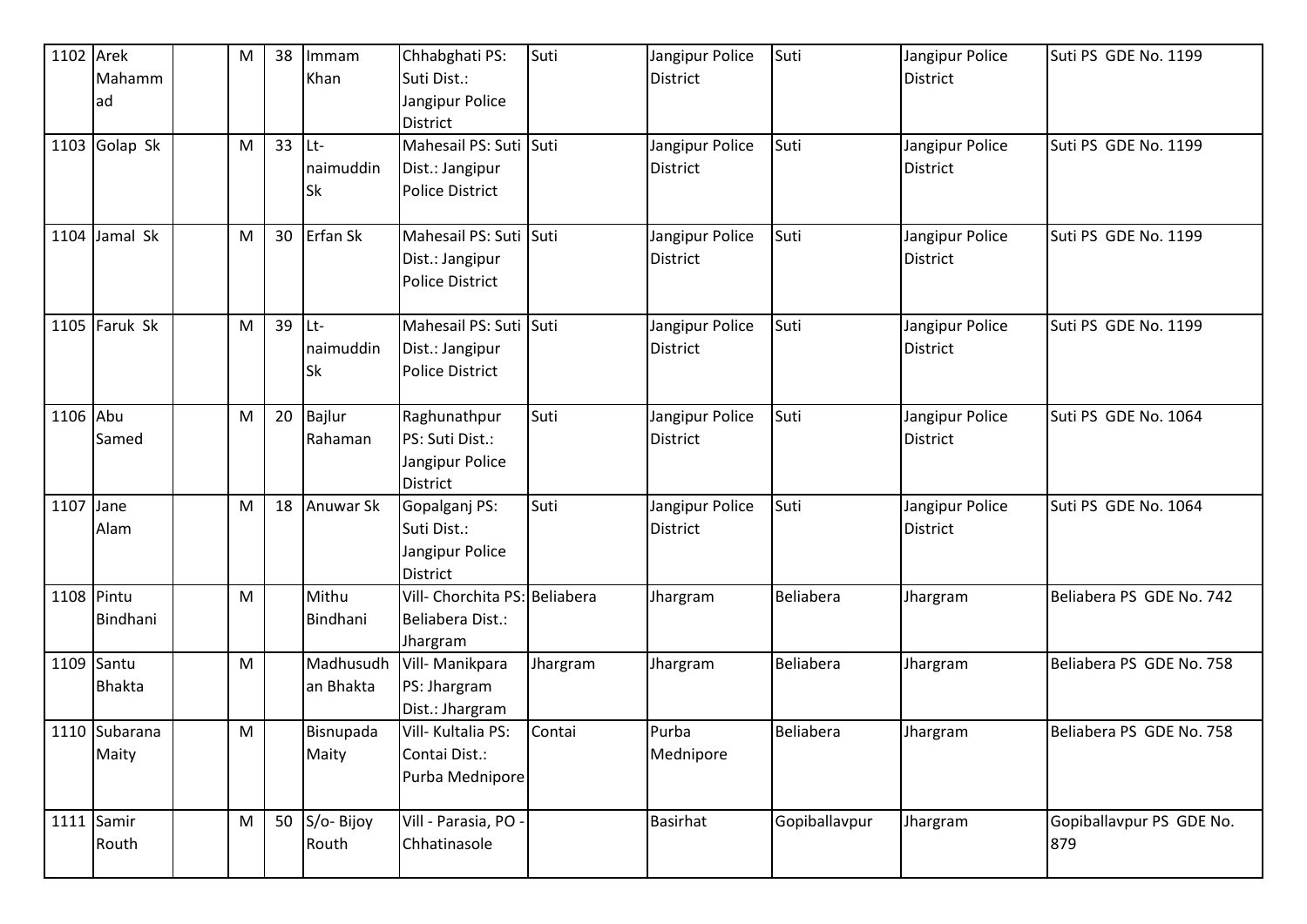| 1102 Arek  |                 | M | 38 | Immam     | Chhabghati PS:                | Suti     | Jangipur Police | Suti          | Jangipur Police | Suti PS GDE No. 1199     |
|------------|-----------------|---|----|-----------|-------------------------------|----------|-----------------|---------------|-----------------|--------------------------|
|            | Mahamm          |   |    | Khan      | Suti Dist.:                   |          | <b>District</b> |               | <b>District</b> |                          |
|            | lad             |   |    |           | Jangipur Police               |          |                 |               |                 |                          |
|            |                 |   |    |           | <b>District</b>               |          |                 |               |                 |                          |
|            | $1103$ Golap Sk | M | 33 | ILt-      | Mahesail PS: Suti Suti        |          | Jangipur Police | Suti          | Jangipur Police | Suti PS GDE No. 1199     |
|            |                 |   |    | naimuddin | Dist.: Jangipur               |          | District        |               | <b>District</b> |                          |
|            |                 |   |    | <b>Sk</b> | <b>Police District</b>        |          |                 |               |                 |                          |
|            |                 |   |    |           |                               |          |                 |               |                 |                          |
|            | 1104 Jamal Sk   | M | 30 | Erfan Sk  | Mahesail PS: Suti             | Suti     | Jangipur Police | Suti          | Jangipur Police | Suti PS GDE No. 1199     |
|            |                 |   |    |           | Dist.: Jangipur               |          | <b>District</b> |               | <b>District</b> |                          |
|            |                 |   |    |           | <b>Police District</b>        |          |                 |               |                 |                          |
|            | 1105 Faruk Sk   | M | 39 | Lt-       | Mahesail PS: Suti Suti        |          | Jangipur Police | Suti          | Jangipur Police | Suti PS GDE No. 1199     |
|            |                 |   |    | naimuddin | Dist.: Jangipur               |          | <b>District</b> |               | <b>District</b> |                          |
|            |                 |   |    | <b>Sk</b> | <b>Police District</b>        |          |                 |               |                 |                          |
|            |                 |   |    |           |                               |          |                 |               |                 |                          |
| 1106 Abu   |                 | M | 20 | Bajlur    | Raghunathpur                  | Suti     | Jangipur Police | Suti          | Jangipur Police | Suti PS GDE No. 1064     |
|            | Samed           |   |    | Rahaman   | PS: Suti Dist.:               |          | <b>District</b> |               | <b>District</b> |                          |
|            |                 |   |    |           | Jangipur Police               |          |                 |               |                 |                          |
|            |                 |   |    |           | <b>District</b>               |          |                 |               |                 |                          |
| 1107 Jane  |                 | M | 18 | Anuwar Sk | Gopalganj PS:                 | Suti     | Jangipur Police | Suti          | Jangipur Police | Suti PS GDE No. 1064     |
|            | Alam            |   |    |           | Suti Dist.:                   |          | <b>District</b> |               | <b>District</b> |                          |
|            |                 |   |    |           | Jangipur Police               |          |                 |               |                 |                          |
|            |                 |   |    |           | <b>District</b>               |          |                 |               |                 |                          |
| 1108 Pintu |                 | M |    | Mithu     | Vill- Chorchita PS: Beliabera |          | Jhargram        | Beliabera     | Jhargram        | Beliabera PS GDE No. 742 |
|            | Bindhani        |   |    | Bindhani  | Beliabera Dist.:              |          |                 |               |                 |                          |
|            |                 |   |    |           | Jhargram                      |          |                 |               |                 |                          |
|            | 1109 Santu      | M |    | Madhusudh | Vill- Manikpara               | Jhargram | Jhargram        | Beliabera     | Jhargram        | Beliabera PS GDE No. 758 |
|            | <b>Bhakta</b>   |   |    | an Bhakta | PS: Jhargram                  |          |                 |               |                 |                          |
|            |                 |   |    |           | Dist.: Jhargram               |          |                 |               |                 |                          |
|            | 1110 Subarana   | M |    | Bisnupada | Vill- Kultalia PS:            | Contai   | Purba           | Beliabera     | Jhargram        | Beliabera PS GDE No. 758 |
|            | Maity           |   |    | Maity     | Contai Dist.:                 |          | Mednipore       |               |                 |                          |
|            |                 |   |    |           | Purba Mednipore               |          |                 |               |                 |                          |
|            | 1111 Samir      | M | 50 | S/o-Bijoy | Vill - Parasia, PO -          |          | Basirhat        | Gopiballavpur | Jhargram        | Gopiballavpur PS GDE No. |
|            | Routh           |   |    | Routh     | Chhatinasole                  |          |                 |               |                 | 879                      |
|            |                 |   |    |           |                               |          |                 |               |                 |                          |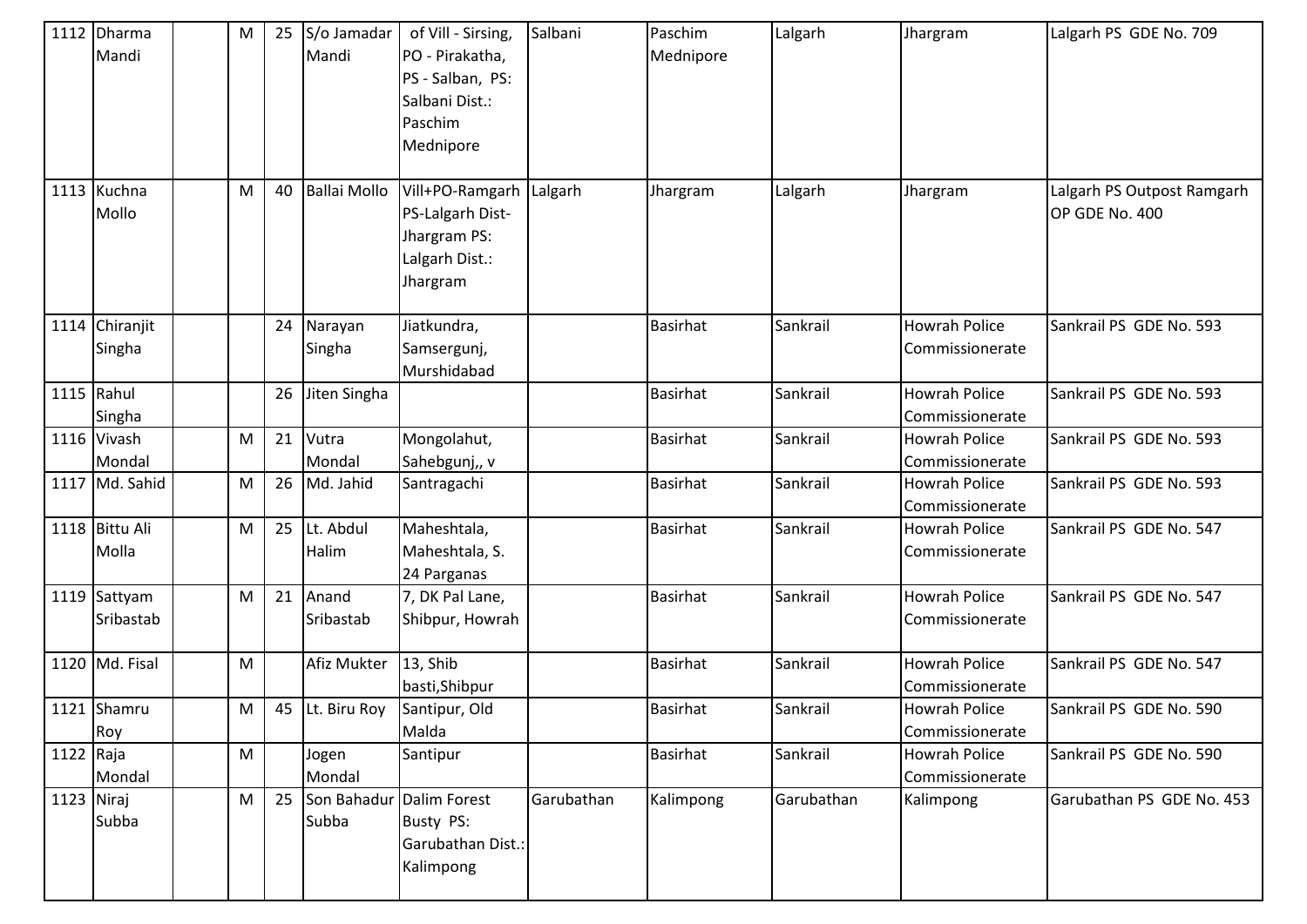|            | 1112 Dharma<br>Mandi      | ${\sf M}$ | 25 | S/o Jamadar<br>Mandi          | of Vill - Sirsing,<br>PO - Pirakatha,<br>PS - Salban, PS:<br>Salbani Dist.:<br>Paschim<br>Mednipore | Salbani    | Paschim<br>Mednipore | Lalgarh    | Jhargram                                | Lalgarh PS GDE No. 709                       |
|------------|---------------------------|-----------|----|-------------------------------|-----------------------------------------------------------------------------------------------------|------------|----------------------|------------|-----------------------------------------|----------------------------------------------|
|            | 1113 Kuchna<br>Mollo      | M         | 40 | <b>Ballai Mollo</b>           | Vill+PO-Ramgarh<br>PS-Lalgarh Dist-<br>Jhargram PS:<br>Lalgarh Dist.:<br>Jhargram                   | Lalgarh    | Jhargram             | Lalgarh    | Jhargram                                | Lalgarh PS Outpost Ramgarh<br>OP GDE No. 400 |
|            | 1114 Chiranjit<br>Singha  |           | 24 | Narayan<br>Singha             | Jiatkundra,<br>Samsergunj,<br>Murshidabad                                                           |            | <b>Basirhat</b>      | Sankrail   | <b>Howrah Police</b><br>Commissionerate | Sankrail PS GDE No. 593                      |
| 1115 Rahul | Singha                    |           | 26 | Jiten Singha                  |                                                                                                     |            | <b>Basirhat</b>      | Sankrail   | <b>Howrah Police</b><br>Commissionerate | Sankrail PS GDE No. 593                      |
|            | 1116 Vivash<br>Mondal     | M         | 21 | Vutra<br>Mondal               | Mongolahut,<br>Sahebgunj,, v                                                                        |            | <b>Basirhat</b>      | Sankrail   | <b>Howrah Police</b><br>Commissionerate | Sankrail PS GDE No. 593                      |
|            | 1117 Md. Sahid            | M         | 26 | Md. Jahid                     | Santragachi                                                                                         |            | <b>Basirhat</b>      | Sankrail   | <b>Howrah Police</b><br>Commissionerate | Sankrail PS GDE No. 593                      |
|            | 1118 Bittu Ali<br>Molla   | ${\sf M}$ | 25 | Lt. Abdul<br>Halim            | Maheshtala,<br>Maheshtala, S.<br>24 Parganas                                                        |            | <b>Basirhat</b>      | Sankrail   | <b>Howrah Police</b><br>Commissionerate | Sankrail PS GDE No. 547                      |
|            | 1119 Sattyam<br>Sribastab | M         | 21 | Anand<br>Sribastab            | 7, DK Pal Lane,<br>Shibpur, Howrah                                                                  |            | <b>Basirhat</b>      | Sankrail   | <b>Howrah Police</b><br>Commissionerate | Sankrail PS GDE No. 547                      |
|            | 1120 Md. Fisal            | M         |    | Afiz Mukter                   | 13, Shib<br>basti, Shibpur                                                                          |            | <b>Basirhat</b>      | Sankrail   | <b>Howrah Police</b><br>Commissionerate | Sankrail PS GDE No. 547                      |
|            | 1121 Shamru<br>Roy        | M         |    | 45 Lt. Biru Roy Santipur, Old | Malda                                                                                               |            | Basirhat             | Sankrail   | <b>Howrah Police</b><br>Commissionerate | Sankrail PS GDE No. 590                      |
| 1122 Raja  | Mondal                    | M         |    | Jogen<br>Mondal               | Santipur                                                                                            |            | <b>Basirhat</b>      | Sankrail   | <b>Howrah Police</b><br>Commissionerate | Sankrail PS GDE No. 590                      |
| 1123 Niraj | Subba                     | M         | 25 | Son Bahadur<br>Subba          | Dalim Forest<br>Busty PS:<br>Garubathan Dist.:<br>Kalimpong                                         | Garubathan | Kalimpong            | Garubathan | Kalimpong                               | Garubathan PS GDE No. 453                    |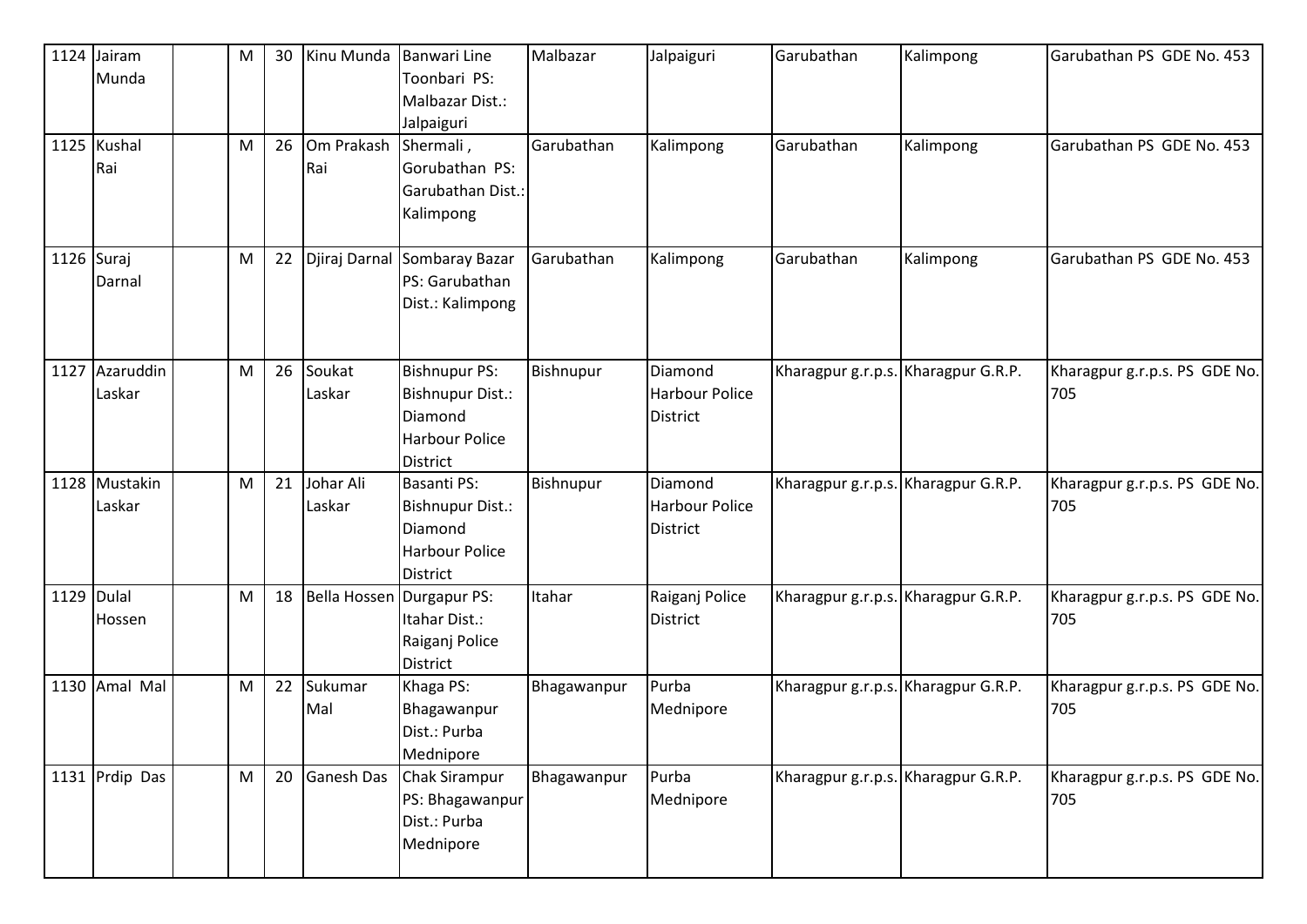|            | 1124 Jairam<br>Munda    | M | 30 | Kinu Munda          | <b>Banwari Line</b><br>Toonbari PS:                                                                    | Malbazar    | Jalpaiguri                                          | Garubathan                          | Kalimpong | Garubathan PS GDE No. 453            |
|------------|-------------------------|---|----|---------------------|--------------------------------------------------------------------------------------------------------|-------------|-----------------------------------------------------|-------------------------------------|-----------|--------------------------------------|
|            |                         |   |    |                     | Malbazar Dist.:<br>Jalpaiguri                                                                          |             |                                                     |                                     |           |                                      |
|            | 1125 Kushal<br>Rai      | M | 26 | Om Prakash<br>Rai   | Shermali,<br>Gorubathan PS:<br>Garubathan Dist.:<br>Kalimpong                                          | Garubathan  | Kalimpong                                           | Garubathan                          | Kalimpong | Garubathan PS GDE No. 453            |
| 1126 Suraj | Darnal                  | M | 22 | Djiraj Darnal       | Sombaray Bazar<br>PS: Garubathan<br>Dist.: Kalimpong                                                   | Garubathan  | Kalimpong                                           | Garubathan                          | Kalimpong | Garubathan PS GDE No. 453            |
| 1127       | Azaruddin<br>Laskar     | M | 26 | Soukat<br>Laskar    | <b>Bishnupur PS:</b><br><b>Bishnupur Dist.:</b><br>Diamond<br><b>Harbour Police</b><br><b>District</b> | Bishnupur   | Diamond<br><b>Harbour Police</b><br><b>District</b> | Kharagpur g.r.p.s. Kharagpur G.R.P. |           | Kharagpur g.r.p.s. PS GDE No.<br>705 |
|            | 1128 Mustakin<br>Laskar | M | 21 | Johar Ali<br>Laskar | Basanti PS:<br>Bishnupur Dist.:<br>Diamond<br><b>Harbour Police</b><br><b>District</b>                 | Bishnupur   | <b>Diamond</b><br>Harbour Police<br><b>District</b> | Kharagpur g.r.p.s. Kharagpur G.R.P. |           | Kharagpur g.r.p.s. PS GDE No.<br>705 |
| 1129 Dulal | Hossen                  | M | 18 | <b>Bella Hossen</b> | Durgapur PS:<br>Itahar Dist.:<br>Raiganj Police<br><b>District</b>                                     | Itahar      | Raiganj Police<br><b>District</b>                   | Kharagpur g.r.p.s. Kharagpur G.R.P. |           | Kharagpur g.r.p.s. PS GDE No.<br>705 |
|            | 1130 Amal Mal           | M | 22 | Sukumar<br>Mal      | Khaga PS:<br>Bhagawanpur<br>Dist.: Purba<br>Mednipore                                                  | Bhagawanpur | Purba<br>Mednipore                                  | Kharagpur g.r.p.s. Kharagpur G.R.P. |           | Kharagpur g.r.p.s. PS GDE No.<br>705 |
|            | 1131 Prdip Das          | M | 20 | Ganesh Das          | Chak Sirampur<br>PS: Bhagawanpur<br>Dist.: Purba<br>Mednipore                                          | Bhagawanpur | Purba<br>Mednipore                                  | Kharagpur g.r.p.s. Kharagpur G.R.P. |           | Kharagpur g.r.p.s. PS GDE No.<br>705 |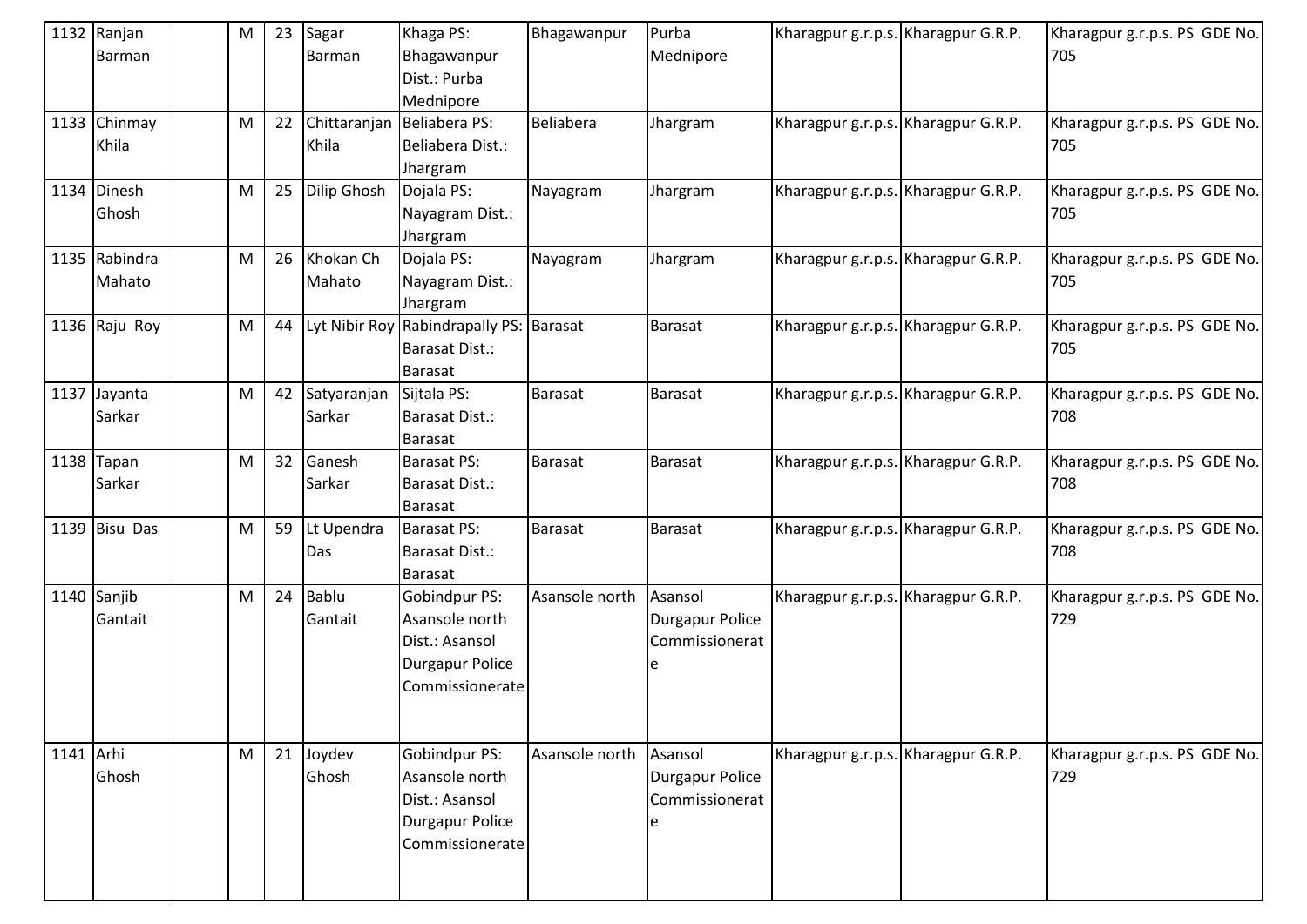|           | 1132 Ranjan<br>Barman   | M         | 23 | Sagar<br>Barman         | Khaga PS:<br>Bhagawanpur<br>Dist.: Purba<br>Mednipore                                          | Bhagawanpur    | Purba<br>Mednipore                           | Kharagpur g.r.p.s. Kharagpur G.R.P. | Kharagpur g.r.p.s. PS GDE No.<br>705 |
|-----------|-------------------------|-----------|----|-------------------------|------------------------------------------------------------------------------------------------|----------------|----------------------------------------------|-------------------------------------|--------------------------------------|
|           | 1133 Chinmay<br>Khila   | M         | 22 | Chittaranjan<br>Khila   | Beliabera PS:<br>Beliabera Dist.:<br>Jhargram                                                  | Beliabera      | Jhargram                                     | Kharagpur g.r.p.s. Kharagpur G.R.P. | Kharagpur g.r.p.s. PS GDE No.<br>705 |
|           | 1134 Dinesh<br>Ghosh    | M         | 25 | <b>Dilip Ghosh</b>      | Dojala PS:<br>Nayagram Dist.:<br>Jhargram                                                      | Nayagram       | Jhargram                                     | Kharagpur g.r.p.s. Kharagpur G.R.P. | Kharagpur g.r.p.s. PS GDE No.<br>705 |
|           | 1135 Rabindra<br>Mahato | M         | 26 | Khokan Ch<br>Mahato     | Dojala PS:<br>Nayagram Dist.:<br>Jhargram                                                      | Nayagram       | Jhargram                                     | Kharagpur g.r.p.s. Kharagpur G.R.P. | Kharagpur g.r.p.s. PS GDE No.<br>705 |
|           | 1136 Raju Roy           | ${\sf M}$ | 44 |                         | Lyt Nibir Roy Rabindrapally PS: Barasat<br>Barasat Dist.:<br>Barasat                           |                | Barasat                                      | Kharagpur g.r.p.s. Kharagpur G.R.P. | Kharagpur g.r.p.s. PS GDE No.<br>705 |
|           | 1137 Jayanta<br>Sarkar  | M         | 42 | Satyaranjan<br>Sarkar   | Sijtala PS:<br>Barasat Dist.:<br>Barasat                                                       | Barasat        | <b>Barasat</b>                               | Kharagpur g.r.p.s. Kharagpur G.R.P. | Kharagpur g.r.p.s. PS GDE No.<br>708 |
|           | 1138 $Tapan$<br>Sarkar  | M         | 32 | Ganesh<br>Sarkar        | Barasat PS:<br><b>Barasat Dist.:</b><br>Barasat                                                | Barasat        | <b>Barasat</b>                               | Kharagpur g.r.p.s. Kharagpur G.R.P. | Kharagpur g.r.p.s. PS GDE No.<br>708 |
|           | 1139 Bisu Das           | ${\sf M}$ | 59 | Lt Upendra<br>Das       | <b>Barasat PS:</b><br><b>Barasat Dist.:</b><br><b>Barasat</b>                                  | Barasat        | <b>Barasat</b>                               | Kharagpur g.r.p.s. Kharagpur G.R.P. | Kharagpur g.r.p.s. PS GDE No.<br>708 |
|           | 1140 Sanjib<br>Gantait  | M         | 24 | <b>Bablu</b><br>Gantait | Gobindpur PS:<br>Asansole north<br>Dist.: Asansol<br><b>Durgapur Police</b><br>Commissionerate | Asansole north | Asansol<br>Durgapur Police<br>Commissionerat | Kharagpur g.r.p.s. Kharagpur G.R.P. | Kharagpur g.r.p.s. PS GDE No.<br>729 |
| 1141 Arhi | Ghosh                   | M         | 21 | Joydev<br>Ghosh         | Gobindpur PS:<br>Asansole north<br>Dist.: Asansol<br><b>Durgapur Police</b><br>Commissionerate | Asansole north | Asansol<br>Durgapur Police<br>Commissionerat | Kharagpur g.r.p.s. Kharagpur G.R.P. | Kharagpur g.r.p.s. PS GDE No.<br>729 |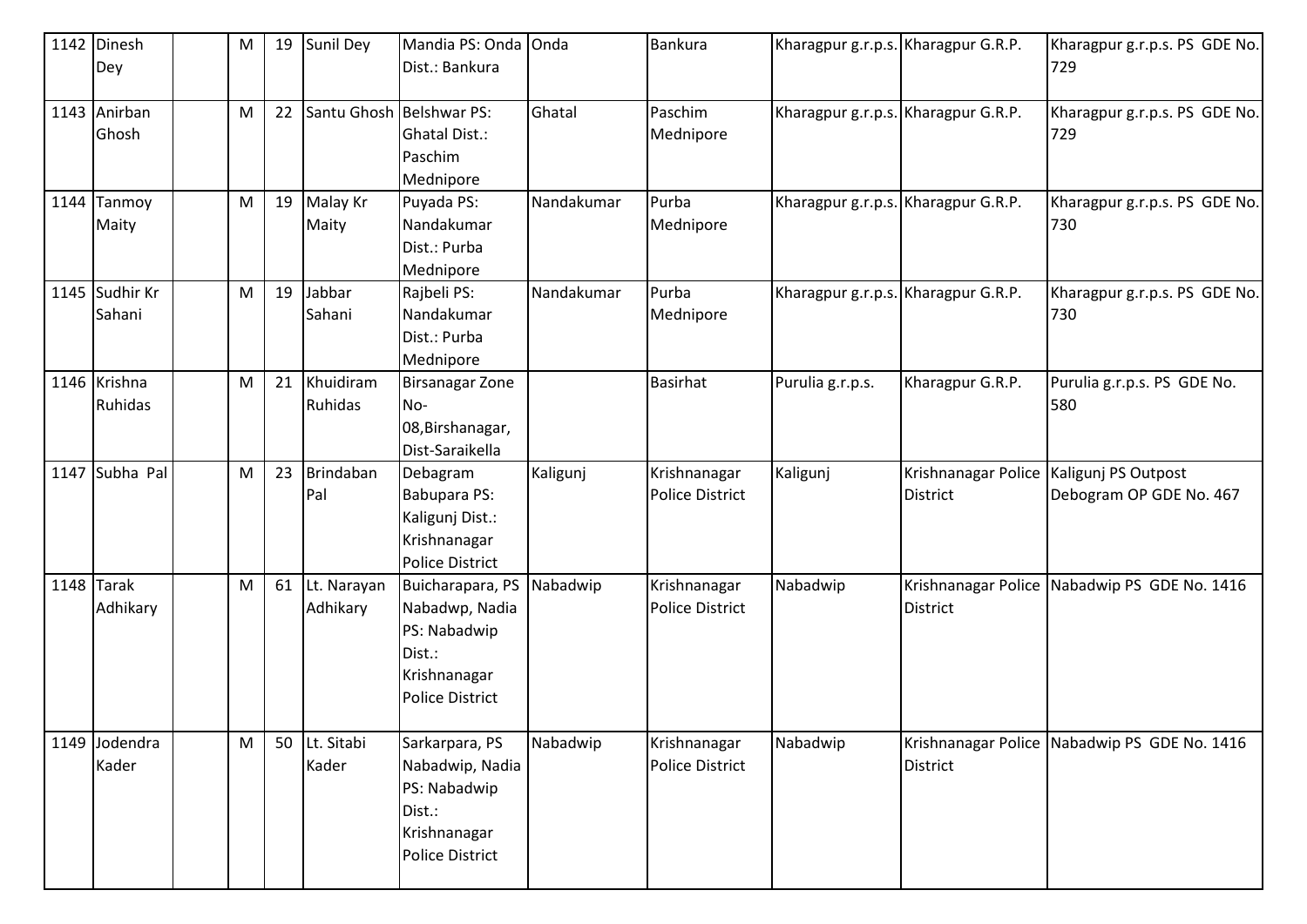| 1142 Dinesh              | M         | 19 | Sunil Dey                | Mandia PS: Onda Onda<br>Dist.: Bankura                                                                 |            | <b>Bankura</b>                  | Kharagpur g.r.p.s. Kharagpur G.R.P. |                                        | Kharagpur g.r.p.s. PS GDE No.                  |
|--------------------------|-----------|----|--------------------------|--------------------------------------------------------------------------------------------------------|------------|---------------------------------|-------------------------------------|----------------------------------------|------------------------------------------------|
| Dey                      |           |    |                          |                                                                                                        |            |                                 |                                     |                                        | 729                                            |
| 1143 Anirban<br>Ghosh    | M         | 22 | Santu Ghosh Belshwar PS: | <b>Ghatal Dist.:</b><br>Paschim<br>Mednipore                                                           | Ghatal     | Paschim<br>Mednipore            | Kharagpur g.r.p.s. Kharagpur G.R.P. |                                        | Kharagpur g.r.p.s. PS GDE No.<br>729           |
| 1144 Tanmoy<br>Maity     | ${\sf M}$ | 19 | Malay Kr<br>Maity        | Puyada PS:<br>Nandakumar<br>Dist.: Purba<br>Mednipore                                                  | Nandakumar | Purba<br>Mednipore              | Kharagpur g.r.p.s. Kharagpur G.R.P. |                                        | Kharagpur g.r.p.s. PS GDE No.<br>730           |
| 1145 Sudhir Kr<br>Sahani | M         | 19 | Jabbar<br>Sahani         | Rajbeli PS:<br>Nandakumar<br>Dist.: Purba<br>Mednipore                                                 | Nandakumar | Purba<br>Mednipore              | Kharagpur g.r.p.s. Kharagpur G.R.P. |                                        | Kharagpur g.r.p.s. PS GDE No.<br>730           |
| 1146 Krishna<br>Ruhidas  | M         | 21 | Khuidiram<br>Ruhidas     | <b>Birsanagar Zone</b><br>No-<br>08, Birshanagar,<br>Dist-Saraikella                                   |            | <b>Basirhat</b>                 | Purulia g.r.p.s.                    | Kharagpur G.R.P.                       | Purulia g.r.p.s. PS GDE No.<br>580             |
| 1147 Subha Pal           | M         | 23 | Brindaban<br>Pal         | Debagram<br>Babupara PS:<br>Kaligunj Dist.:<br>Krishnanagar<br><b>Police District</b>                  | Kaligunj   | Krishnanagar<br>Police District | Kaligunj                            | Krishnanagar Police<br><b>District</b> | Kaligunj PS Outpost<br>Debogram OP GDE No. 467 |
| $1148$ Tarak<br>Adhikary | ${\sf M}$ | 61 | Lt. Narayan<br>Adhikary  | Buicharapara, PS<br>Nabadwp, Nadia<br>PS: Nabadwip<br>Dist.:<br>Krishnanagar<br><b>Police District</b> | Nabadwip   | Krishnanagar<br>Police District | Nabadwip                            | <b>District</b>                        | Krishnanagar Police Nabadwip PS GDE No. 1416   |
| 1149 Jodendra<br>Kader   | ${\sf M}$ | 50 | Lt. Sitabi<br>Kader      | Sarkarpara, PS<br>Nabadwip, Nadia<br>PS: Nabadwip<br>Dist.:<br>Krishnanagar<br><b>Police District</b>  | Nabadwip   | Krishnanagar<br>Police District | Nabadwip                            | <b>District</b>                        | Krishnanagar Police Nabadwip PS GDE No. 1416   |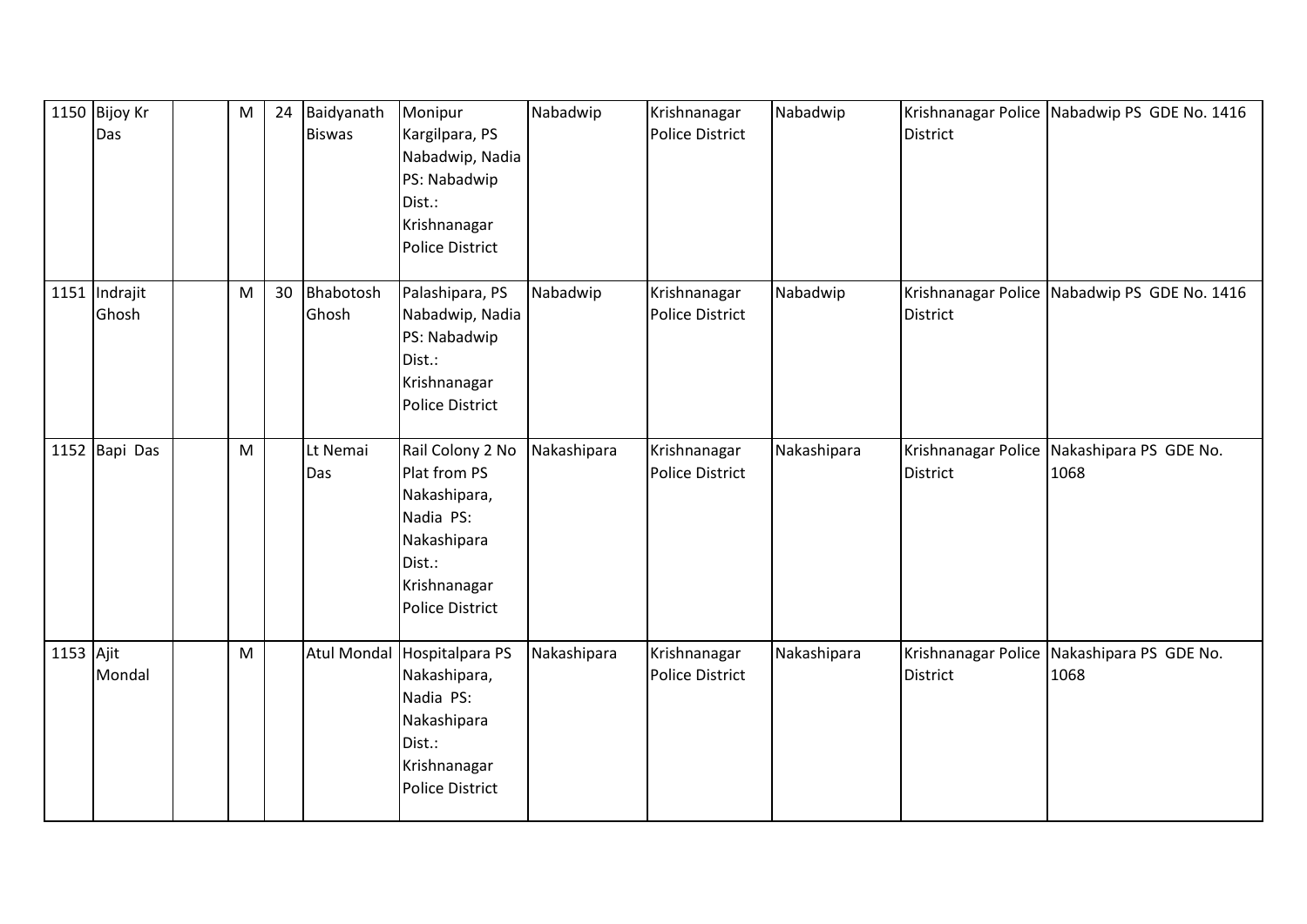|           | 1150 Bijoy Kr<br>Das   | ${\sf M}$ | 24 | Baidyanath<br><b>Biswas</b> | Monipur<br>Kargilpara, PS<br>Nabadwip, Nadia<br>PS: Nabadwip<br>Dist.:<br>Krishnanagar<br><b>Police District</b>                 | Nabadwip    | Krishnanagar<br>Police District        | Nabadwip    | District        | Krishnanagar Police Nabadwip PS GDE No. 1416       |
|-----------|------------------------|-----------|----|-----------------------------|----------------------------------------------------------------------------------------------------------------------------------|-------------|----------------------------------------|-------------|-----------------|----------------------------------------------------|
|           | 1151 Indrajit<br>Ghosh | M         | 30 | Bhabotosh<br>Ghosh          | Palashipara, PS<br>Nabadwip, Nadia<br>PS: Nabadwip<br>Dist.:<br>Krishnanagar<br><b>Police District</b>                           | Nabadwip    | Krishnanagar<br>Police District        | Nabadwip    | <b>District</b> | Krishnanagar Police Nabadwip PS GDE No. 1416       |
|           | 1152 Bapi Das          | ${\sf M}$ |    | Lt Nemai<br>Das             | Rail Colony 2 No<br>Plat from PS<br>Nakashipara,<br>Nadia PS:<br>Nakashipara<br>Dist.:<br>Krishnanagar<br><b>Police District</b> | Nakashipara | Krishnanagar<br><b>Police District</b> | Nakashipara | <b>District</b> | Krishnanagar Police Nakashipara PS GDE No.<br>1068 |
| 1153 Ajit | Mondal                 | M         |    | <b>Atul Mondal</b>          | Hospitalpara PS<br>Nakashipara,<br>Nadia PS:<br>Nakashipara<br>Dist.:<br>Krishnanagar<br><b>Police District</b>                  | Nakashipara | Krishnanagar<br><b>Police District</b> | Nakashipara | <b>District</b> | Krishnanagar Police Nakashipara PS GDE No.<br>1068 |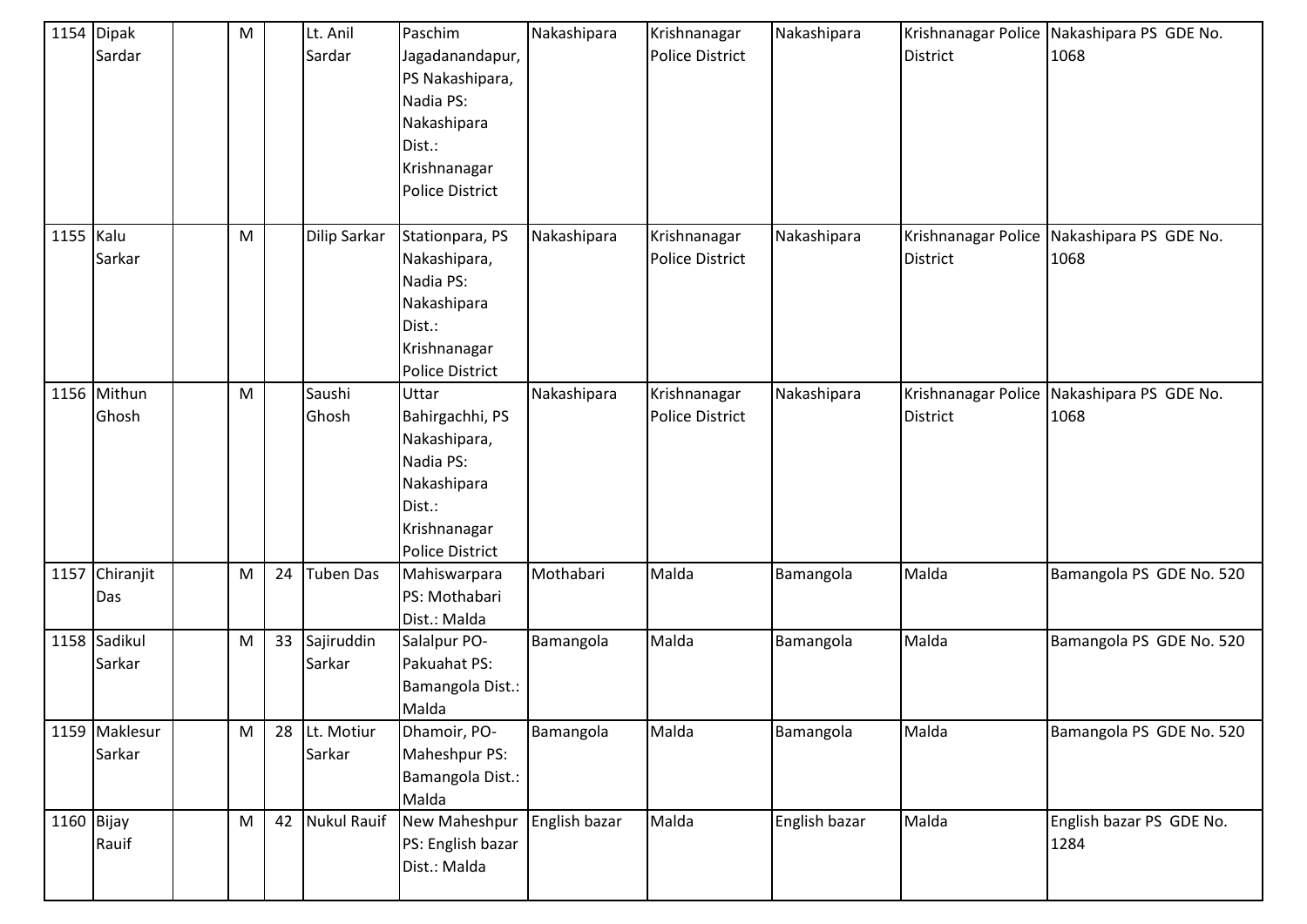|            | 1154 Dipak     | M |    | Lt. Anil           | Paschim                | Nakashipara   | Krishnanagar           | Nakashipara   |                     | Krishnanagar Police Nakashipara PS GDE No. |
|------------|----------------|---|----|--------------------|------------------------|---------------|------------------------|---------------|---------------------|--------------------------------------------|
|            | Sardar         |   |    | Sardar             | Jagadanandapur,        |               | <b>Police District</b> |               | <b>District</b>     | 1068                                       |
|            |                |   |    |                    | PS Nakashipara,        |               |                        |               |                     |                                            |
|            |                |   |    |                    | Nadia PS:              |               |                        |               |                     |                                            |
|            |                |   |    |                    | Nakashipara            |               |                        |               |                     |                                            |
|            |                |   |    |                    | Dist.:                 |               |                        |               |                     |                                            |
|            |                |   |    |                    | Krishnanagar           |               |                        |               |                     |                                            |
|            |                |   |    |                    | <b>Police District</b> |               |                        |               |                     |                                            |
|            |                |   |    |                    |                        |               |                        |               |                     |                                            |
| 1155 Kalu  |                | M |    | Dilip Sarkar       | Stationpara, PS        | Nakashipara   | Krishnanagar           | Nakashipara   |                     | Krishnanagar Police Nakashipara PS GDE No. |
|            | Sarkar         |   |    |                    | Nakashipara,           |               | <b>Police District</b> |               | <b>District</b>     | 1068                                       |
|            |                |   |    |                    | Nadia PS:              |               |                        |               |                     |                                            |
|            |                |   |    |                    | Nakashipara            |               |                        |               |                     |                                            |
|            |                |   |    |                    | Dist.:                 |               |                        |               |                     |                                            |
|            |                |   |    |                    | Krishnanagar           |               |                        |               |                     |                                            |
|            |                |   |    |                    | <b>Police District</b> |               |                        |               |                     |                                            |
|            | 1156 Mithun    | M |    | Saushi             | Uttar                  | Nakashipara   | Krishnanagar           | Nakashipara   | Krishnanagar Police | Nakashipara PS GDE No.                     |
|            | Ghosh          |   |    | Ghosh              | Bahirgachhi, PS        |               | <b>Police District</b> |               | <b>District</b>     | 1068                                       |
|            |                |   |    |                    | Nakashipara,           |               |                        |               |                     |                                            |
|            |                |   |    |                    | Nadia PS:              |               |                        |               |                     |                                            |
|            |                |   |    |                    | Nakashipara            |               |                        |               |                     |                                            |
|            |                |   |    |                    | Dist.:                 |               |                        |               |                     |                                            |
|            |                |   |    |                    | Krishnanagar           |               |                        |               |                     |                                            |
|            |                |   |    |                    | <b>Police District</b> |               |                        |               |                     |                                            |
|            | 1157 Chiranjit | M | 24 | <b>Tuben Das</b>   | Mahiswarpara           | Mothabari     | Malda                  | Bamangola     | Malda               | Bamangola PS GDE No. 520                   |
|            | Das            |   |    |                    | PS: Mothabari          |               |                        |               |                     |                                            |
|            |                |   |    |                    | Dist.: Malda           |               |                        |               |                     |                                            |
|            | 1158 Sadikul   | M | 33 | Sajiruddin         | Salalpur PO-           | Bamangola     | Malda                  | Bamangola     | Malda               | Bamangola PS GDE No. 520                   |
|            | Sarkar         |   |    | Sarkar             | Pakuahat PS:           |               |                        |               |                     |                                            |
|            |                |   |    |                    | Bamangola Dist.:       |               |                        |               |                     |                                            |
|            |                |   |    |                    | Malda                  |               |                        |               |                     |                                            |
|            | 1159 Maklesur  | M | 28 | Lt. Motiur         | Dhamoir, PO-           | Bamangola     | Malda                  | Bamangola     | Malda               | Bamangola PS GDE No. 520                   |
|            | Sarkar         |   |    | Sarkar             | Maheshpur PS:          |               |                        |               |                     |                                            |
|            |                |   |    |                    | Bamangola Dist.:       |               |                        |               |                     |                                            |
|            |                |   |    |                    | Malda                  |               |                        |               |                     |                                            |
| 1160 Bijay |                | M | 42 | <b>Nukul Rauif</b> | New Maheshpur          | English bazar | Malda                  | English bazar | Malda               | English bazar PS GDE No.                   |
|            | Rauif          |   |    |                    | PS: English bazar      |               |                        |               |                     | 1284                                       |
|            |                |   |    |                    | Dist.: Malda           |               |                        |               |                     |                                            |
|            |                |   |    |                    |                        |               |                        |               |                     |                                            |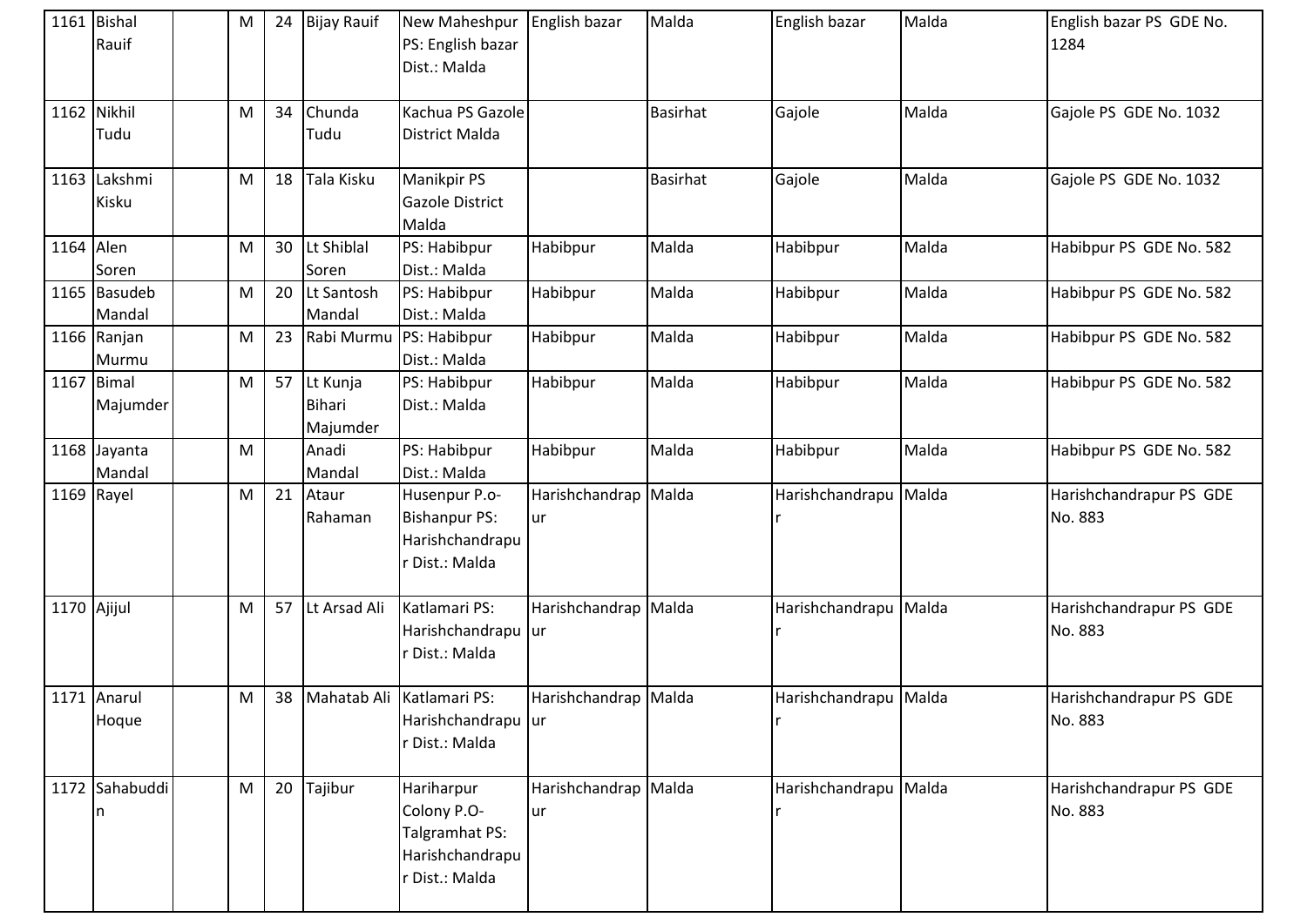|             | 1161 Bishal<br>Rauif     | M | 24 | <b>Bijay Rauif</b>             | New Maheshpur<br>PS: English bazar<br>Dist.: Malda                               | English bazar              | Malda           | English bazar         | Malda | English bazar PS GDE No.<br>1284   |
|-------------|--------------------------|---|----|--------------------------------|----------------------------------------------------------------------------------|----------------------------|-----------------|-----------------------|-------|------------------------------------|
|             | 1162 Nikhil<br>Tudu      | M | 34 | Chunda<br>Tudu                 | Kachua PS Gazole<br><b>District Malda</b>                                        |                            | <b>Basirhat</b> | Gajole                | Malda | Gajole PS GDE No. 1032             |
|             | 1163 Lakshmi<br>Kisku    | M | 18 | Tala Kisku                     | <b>Manikpir PS</b><br><b>Gazole District</b><br>Malda                            |                            | <b>Basirhat</b> | Gajole                | Malda | Gajole PS GDE No. 1032             |
| 1164 Alen   | Soren                    | M | 30 | Lt Shiblal<br>Soren            | PS: Habibpur<br>Dist.: Malda                                                     | Habibpur                   | Malda           | Habibpur              | Malda | Habibpur PS GDE No. 582            |
|             | 1165 Basudeb<br>Mandal   | M | 20 | Lt Santosh<br>Mandal           | PS: Habibpur<br>Dist.: Malda                                                     | Habibpur                   | Malda           | Habibpur              | Malda | Habibpur PS GDE No. 582            |
|             | 1166 Ranjan<br>Murmu     | M | 23 | Rabi Murmu                     | PS: Habibpur<br>Dist.: Malda                                                     | Habibpur                   | Malda           | Habibpur              | Malda | Habibpur PS GDE No. 582            |
|             | $1167$ Bimal<br>Majumder | M | 57 | Lt Kunja<br>Bihari<br>Majumder | PS: Habibpur<br>Dist.: Malda                                                     | Habibpur                   | Malda           | Habibpur              | Malda | Habibpur PS GDE No. 582            |
|             | 1168 Jayanta<br>Mandal   | M |    | Anadi<br>Mandal                | PS: Habibpur<br>Dist.: Malda                                                     | Habibpur                   | Malda           | Habibpur              | Malda | Habibpur PS GDE No. 582            |
|             | 1169 Rayel               | M | 21 | Ataur<br>Rahaman               | Husenpur P.o-<br><b>Bishanpur PS:</b><br>Harishchandrapu<br>r Dist.: Malda       | Harishchandrap Malda<br>ur |                 | Harishchandrapu       | Malda | Harishchandrapur PS GDE<br>No. 883 |
| 1170 Ajijul |                          | M | 57 | Lt Arsad Ali                   | Katlamari PS:<br>Harishchandrapu ur<br>r Dist.: Malda                            | Harishchandrap Malda       |                 | Harishchandrapu Malda |       | Harishchandrapur PS GDE<br>No. 883 |
|             | 1171 Anarul<br>Hoque     | M | 38 |                                | Mahatab Ali Katlamari PS:<br>Harishchandrapu ur<br>r Dist.: Malda                | Harishchandrap Malda       |                 | Harishchandrapu Malda |       | Harishchandrapur PS GDE<br>No. 883 |
|             | 1172 Sahabuddi<br>n      | M | 20 | Tajibur                        | Hariharpur<br>Colony P.O-<br>Talgramhat PS:<br>Harishchandrapu<br>r Dist.: Malda | Harishchandrap Malda<br>ur |                 | Harishchandrapu       | Malda | Harishchandrapur PS GDE<br>No. 883 |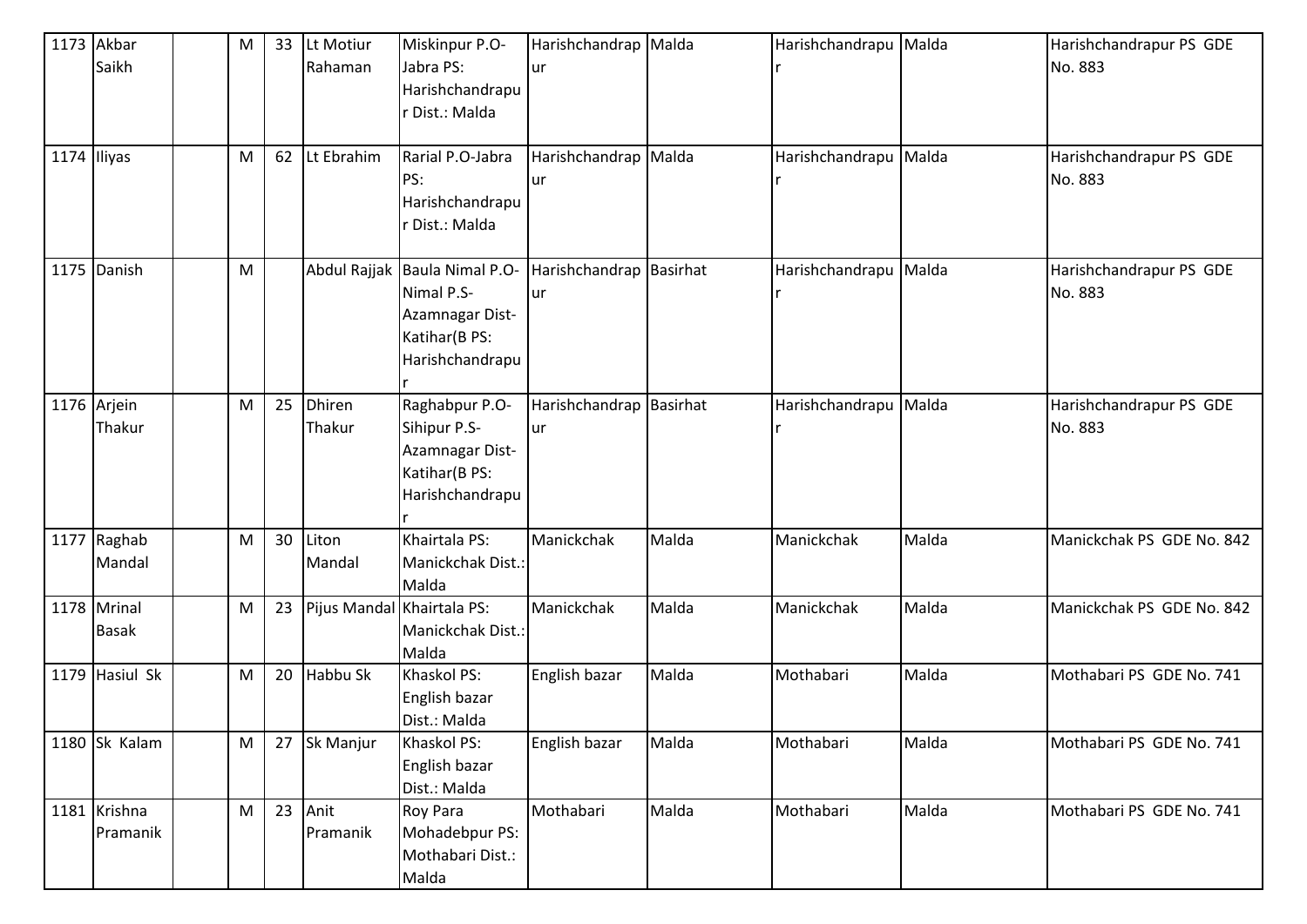| 1174 Iliyas | 1173 Akbar<br>Saikh         | M<br>M | 33<br>62 | Lt Motiur<br>Rahaman<br>Lt Ebrahim | Miskinpur P.O-<br>Jabra PS:<br>Harishchandrapu<br>r Dist.: Malda<br>Rarial P.O-Jabra               | Harishchandrap Malda<br>ur<br>Harishchandrap Malda |       | Harishchandrapu Malda<br>Harishchandrapu Malda |       | Harishchandrapur PS GDE<br>No. 883<br>Harishchandrapur PS GDE |
|-------------|-----------------------------|--------|----------|------------------------------------|----------------------------------------------------------------------------------------------------|----------------------------------------------------|-------|------------------------------------------------|-------|---------------------------------------------------------------|
|             |                             |        |          |                                    | PS:<br>Harishchandrapu<br>r Dist.: Malda                                                           | ur                                                 |       |                                                |       | No. 883                                                       |
|             | 1175 Danish                 | M      |          |                                    | Abdul Rajjak Baula Nimal P.O-<br>Nimal P.S-<br>Azamnagar Dist-<br>Katihar(B PS:<br>Harishchandrapu | Harishchandrap Basirhat<br>ur                      |       | Harishchandrapu Malda                          |       | Harishchandrapur PS GDE<br>No. 883                            |
|             | 1176 Arjein<br>Thakur       | M      | 25       | Dhiren<br>Thakur                   | Raghabpur P.O-<br>Sihipur P.S-<br>Azamnagar Dist-<br>Katihar(B PS:<br>Harishchandrapu              | Harishchandrap Basirhat<br>ur                      |       | Harishchandrapu Malda                          |       | Harishchandrapur PS GDE<br>No. 883                            |
|             | 1177 Raghab<br>Mandal       | M      | 30       | Liton<br>Mandal                    | Khairtala PS:<br>Manickchak Dist.:<br>Malda                                                        | Manickchak                                         | Malda | Manickchak                                     | Malda | Manickchak PS GDE No. 842                                     |
|             | 1178 Mrinal<br><b>Basak</b> | M      | 23       | Pijus Mandal Khairtala PS:         | Manickchak Dist.:<br>Malda                                                                         | Manickchak                                         | Malda | Manickchak                                     | Malda | Manickchak PS GDE No. 842                                     |
|             | 1179 Hasiul Sk              | M      | 20       | Habbu Sk                           | Khaskol PS:<br>English bazar<br>Dist.: Malda                                                       | English bazar                                      | Malda | Mothabari                                      | Malda | Mothabari PS GDE No. 741                                      |
|             | 1180 Sk Kalam               | M      |          | 27 Sk Manjur                       | Khaskol PS:<br>English bazar<br>Dist.: Malda                                                       | English bazar                                      | Malda | Mothabari                                      | Malda | Mothabari PS GDE No. 741                                      |
|             | 1181 Krishna<br>Pramanik    | M      | 23       | Anit<br>Pramanik                   | Roy Para<br>Mohadebpur PS:<br>Mothabari Dist.:<br>Malda                                            | Mothabari                                          | Malda | Mothabari                                      | Malda | Mothabari PS GDE No. 741                                      |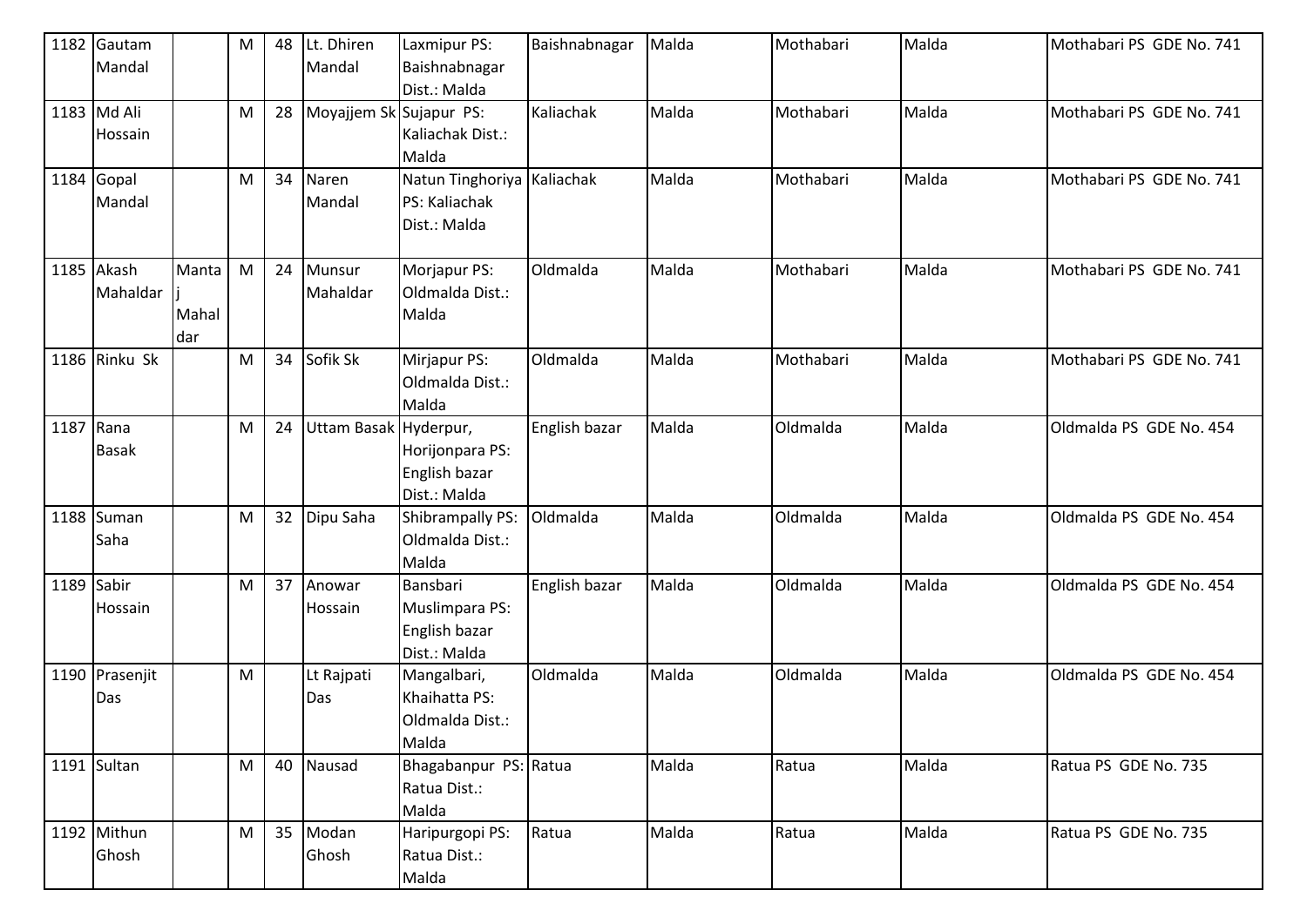|            | 1182 Gautam<br>Mandal  |                       | M         | 48 | Lt. Dhiren<br>Mandal    | Laxmipur PS:<br>Baishnabnagar<br>Dist.: Malda               | Baishnabnagar | Malda | Mothabari | Malda | Mothabari PS GDE No. 741 |
|------------|------------------------|-----------------------|-----------|----|-------------------------|-------------------------------------------------------------|---------------|-------|-----------|-------|--------------------------|
|            | 1183 Md Ali<br>Hossain |                       | M         | 28 | Moyajjem Sk Sujapur PS: | Kaliachak Dist.:<br>Malda                                   | Kaliachak     | Malda | Mothabari | Malda | Mothabari PS GDE No. 741 |
| 1184 Gopal | Mandal                 |                       | M         | 34 | Naren<br>Mandal         | Natun Tinghoriya Kaliachak<br>PS: Kaliachak<br>Dist.: Malda |               | Malda | Mothabari | Malda | Mothabari PS GDE No. 741 |
|            | 1185 Akash<br>Mahaldar | Manta<br>Mahal<br>dar | M         | 24 | Munsur<br>Mahaldar      | Morjapur PS:<br>Oldmalda Dist.:<br>Malda                    | Oldmalda      | Malda | Mothabari | Malda | Mothabari PS GDE No. 741 |
|            | 1186 Rinku Sk          |                       | ${\sf M}$ | 34 | Sofik Sk                | Mirjapur PS:<br>Oldmalda Dist.:<br>Malda                    | Oldmalda      | Malda | Mothabari | Malda | Mothabari PS GDE No. 741 |
| 1187 Rana  | <b>Basak</b>           |                       | ${\sf M}$ | 24 | Uttam Basak Hyderpur,   | Horijonpara PS:<br>English bazar<br>Dist.: Malda            | English bazar | Malda | Oldmalda  | Malda | Oldmalda PS GDE No. 454  |
|            | 1188 Suman<br>Saha     |                       | ${\sf M}$ | 32 | Dipu Saha               | Shibrampally PS:<br>Oldmalda Dist.:<br>Malda                | Oldmalda      | Malda | Oldmalda  | Malda | Oldmalda PS GDE No. 454  |
| 1189 Sabir | Hossain                |                       | ${\sf M}$ | 37 | Anowar<br>Hossain       | Bansbari<br>Muslimpara PS:<br>English bazar<br>Dist.: Malda | English bazar | Malda | Oldmalda  | Malda | Oldmalda PS GDE No. 454  |
|            | 1190 Prasenjit<br>Das  |                       | M         |    | Lt Rajpati<br>Das       | Mangalbari,<br>Khaihatta PS:<br>Oldmalda Dist.:<br>Malda    | Oldmalda      | Malda | Oldmalda  | Malda | Oldmalda PS GDE No. 454  |
|            | 1191 Sultan            |                       | M         | 40 | Nausad                  | Bhagabanpur PS: Ratua<br>Ratua Dist.:<br>Malda              |               | Malda | Ratua     | Malda | Ratua PS GDE No. 735     |
|            | 1192 Mithun<br>Ghosh   |                       | ${\sf M}$ | 35 | Modan<br>Ghosh          | Haripurgopi PS:<br>Ratua Dist.:<br>Malda                    | Ratua         | Malda | Ratua     | Malda | Ratua PS GDE No. 735     |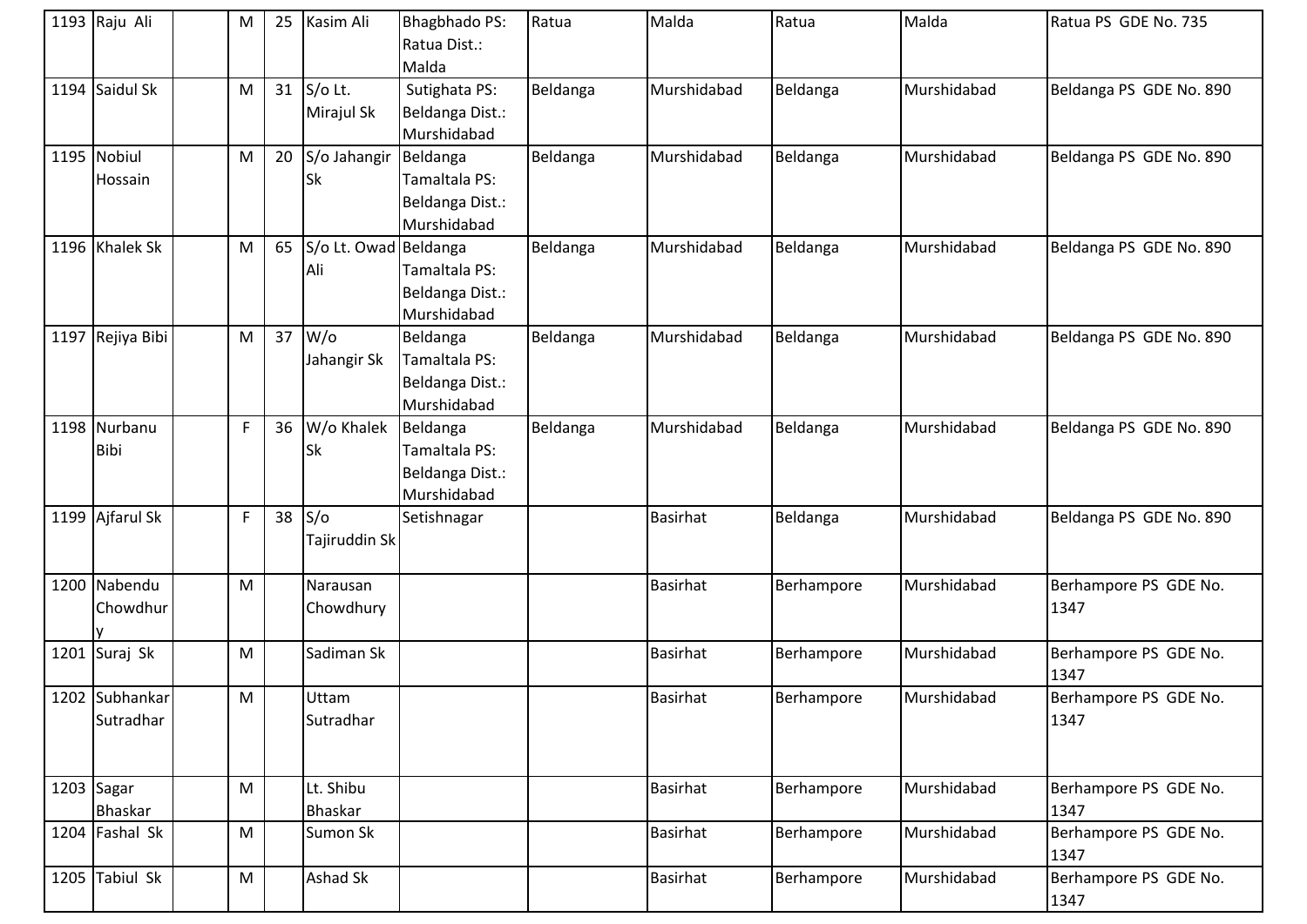| 1193 Raju Ali               | M         | 25 | Kasim Ali                    | <b>Bhagbhado PS:</b><br>Ratua Dist.:<br>Malda               | Ratua    | Malda           | Ratua      | Malda       | Ratua PS GDE No. 735          |
|-----------------------------|-----------|----|------------------------------|-------------------------------------------------------------|----------|-----------------|------------|-------------|-------------------------------|
| 1194 Saidul Sk              | M         |    | 31 $S$ /o Lt.<br>Mirajul Sk  | Sutighata PS:<br>Beldanga Dist.:<br>Murshidabad             | Beldanga | Murshidabad     | Beldanga   | Murshidabad | Beldanga PS GDE No. 890       |
| 1195 Nobiul<br>Hossain      | M         | 20 | S/o Jahangir<br><b>Sk</b>    | Beldanga<br>Tamaltala PS:<br>Beldanga Dist.:<br>Murshidabad | Beldanga | Murshidabad     | Beldanga   | Murshidabad | Beldanga PS GDE No. 890       |
| 1196 Khalek Sk              | M         | 65 | S/o Lt. Owad Beldanga<br>Ali | Tamaltala PS:<br>Beldanga Dist.:<br>Murshidabad             | Beldanga | Murshidabad     | Beldanga   | Murshidabad | Beldanga PS GDE No. 890       |
| 1197 Rejiya Bibi            | M         | 37 | $W$ /o<br>Jahangir Sk        | Beldanga<br>Tamaltala PS:<br>Beldanga Dist.:<br>Murshidabad | Beldanga | Murshidabad     | Beldanga   | Murshidabad | Beldanga PS GDE No. 890       |
| 1198 Nurbanu<br><b>Bibi</b> | F         | 36 | W/o Khalek<br><b>Sk</b>      | Beldanga<br>Tamaltala PS:<br>Beldanga Dist.:<br>Murshidabad | Beldanga | Murshidabad     | Beldanga   | Murshidabad | Beldanga PS GDE No. 890       |
| 1199 Ajfarul Sk             | F         | 38 | S/O<br>Tajiruddin Sk         | Setishnagar                                                 |          | <b>Basirhat</b> | Beldanga   | Murshidabad | Beldanga PS GDE No. 890       |
| 1200 Nabendu<br>Chowdhur    | M         |    | Narausan<br>Chowdhury        |                                                             |          | <b>Basirhat</b> | Berhampore | Murshidabad | Berhampore PS GDE No.<br>1347 |
| 1201 Suraj Sk               | M         |    | Sadiman Sk                   |                                                             |          | <b>Basirhat</b> | Berhampore | Murshidabad | Berhampore PS GDE No.<br>1347 |
| 1202 Subhankar<br>Sutradhar | M         |    | Uttam<br>Sutradhar           |                                                             |          | <b>Basirhat</b> | Berhampore | Murshidabad | Berhampore PS GDE No.<br>1347 |
| $1203$ Sagar<br>Bhaskar     | M         |    | Lt. Shibu<br><b>Bhaskar</b>  |                                                             |          | <b>Basirhat</b> | Berhampore | Murshidabad | Berhampore PS GDE No.<br>1347 |
| 1204 Fashal Sk              | ${\sf M}$ |    | Sumon Sk                     |                                                             |          | <b>Basirhat</b> | Berhampore | Murshidabad | Berhampore PS GDE No.<br>1347 |
| 1205 Tabiul Sk              | M         |    | Ashad Sk                     |                                                             |          | <b>Basirhat</b> | Berhampore | Murshidabad | Berhampore PS GDE No.<br>1347 |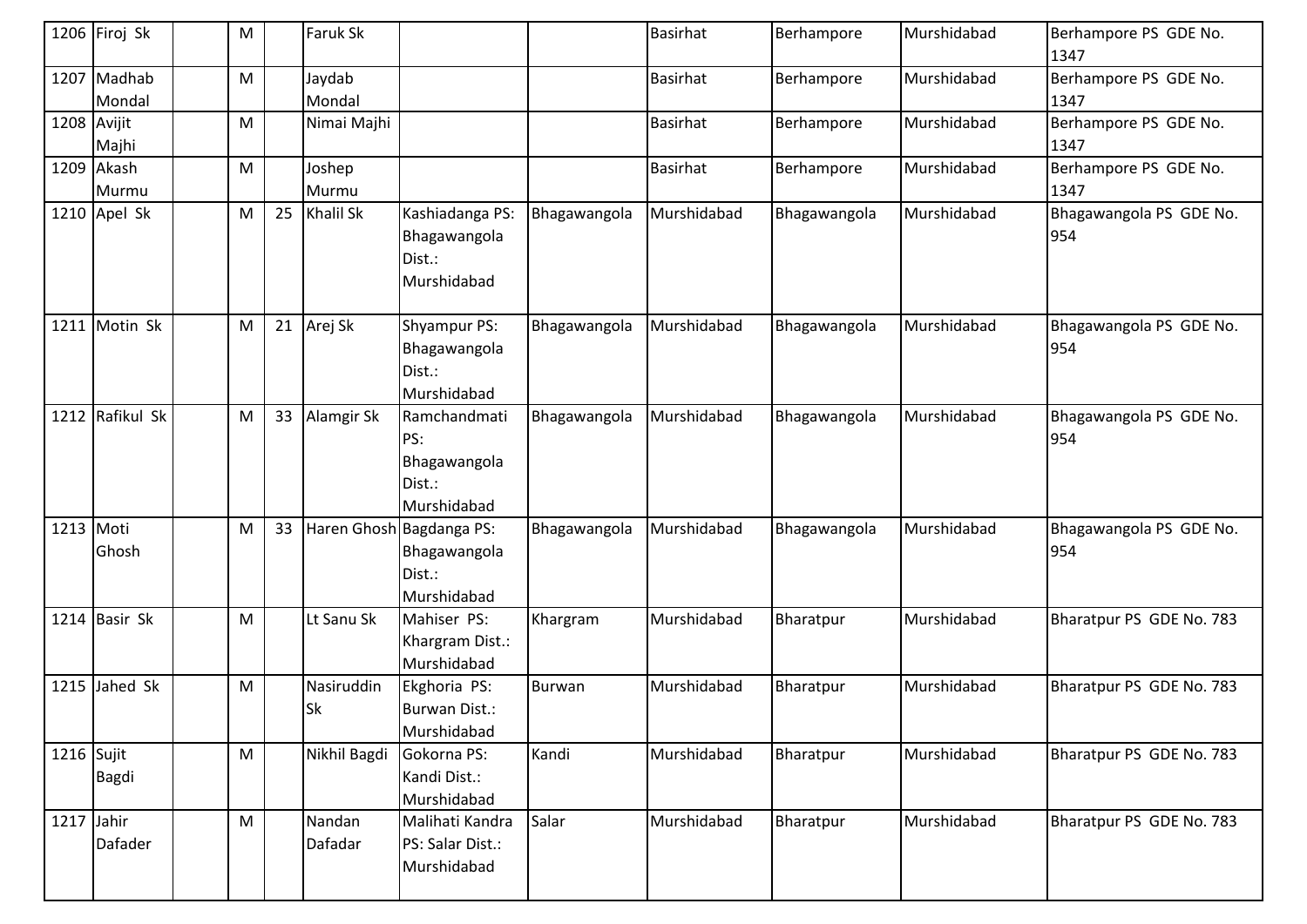|              | 1206 Firoj Sk         | M |    | Faruk Sk                |                                                                   |              | <b>Basirhat</b> | Berhampore   | Murshidabad | Berhampore PS GDE No.<br>1347  |
|--------------|-----------------------|---|----|-------------------------|-------------------------------------------------------------------|--------------|-----------------|--------------|-------------|--------------------------------|
|              | 1207 Madhab<br>Mondal | M |    | Jaydab<br>Mondal        |                                                                   |              | <b>Basirhat</b> | Berhampore   | Murshidabad | Berhampore PS GDE No.<br>1347  |
| 1208 Avijit  | Majhi                 | M |    | Nimai Majhi             |                                                                   |              | <b>Basirhat</b> | Berhampore   | Murshidabad | Berhampore PS GDE No.<br>1347  |
|              | 1209 Akash<br>Murmu   | M |    | Joshep<br>Murmu         |                                                                   |              | <b>Basirhat</b> | Berhampore   | Murshidabad | Berhampore PS GDE No.<br>1347  |
|              | 1210 Apel Sk          | M | 25 | <b>Khalil Sk</b>        | Kashiadanga PS:<br>Bhagawangola<br>Dist.:<br>Murshidabad          | Bhagawangola | Murshidabad     | Bhagawangola | Murshidabad | Bhagawangola PS GDE No.<br>954 |
| 1211         | Motin Sk              | M | 21 | Arej Sk                 | Shyampur PS:<br>Bhagawangola<br>Dist.:<br>Murshidabad             | Bhagawangola | Murshidabad     | Bhagawangola | Murshidabad | Bhagawangola PS GDE No.<br>954 |
| 1212         | Rafikul Sk            | M | 33 | Alamgir Sk              | Ramchandmati<br>PS:<br>Bhagawangola<br>Dist.:<br>Murshidabad      | Bhagawangola | Murshidabad     | Bhagawangola | Murshidabad | Bhagawangola PS GDE No.<br>954 |
| 1213 Moti    | Ghosh                 | M | 33 |                         | Haren Ghosh Bagdanga PS:<br>Bhagawangola<br>Dist.:<br>Murshidabad | Bhagawangola | Murshidabad     | Bhagawangola | Murshidabad | Bhagawangola PS GDE No.<br>954 |
|              | 1214 Basir Sk         | M |    | Lt Sanu Sk              | Mahiser PS:<br>Khargram Dist.:<br>Murshidabad                     | Khargram     | Murshidabad     | Bharatpur    | Murshidabad | Bharatpur PS GDE No. 783       |
|              | 1215 Jahed Sk         | M |    | Nasiruddin<br><b>Sk</b> | Ekghoria PS:<br>Burwan Dist.:<br>Murshidabad                      | Burwan       | Murshidabad     | Bharatpur    | Murshidabad | Bharatpur PS GDE No. 783       |
| $1216$ Sujit | Bagdi                 | M |    | Nikhil Bagdi            | Gokorna PS:<br>Kandi Dist.:<br>Murshidabad                        | Kandi        | Murshidabad     | Bharatpur    | Murshidabad | Bharatpur PS GDE No. 783       |
| 1217 Jahir   | Dafader               | M |    | Nandan<br>Dafadar       | Malihati Kandra<br>PS: Salar Dist.:<br>Murshidabad                | Salar        | Murshidabad     | Bharatpur    | Murshidabad | Bharatpur PS GDE No. 783       |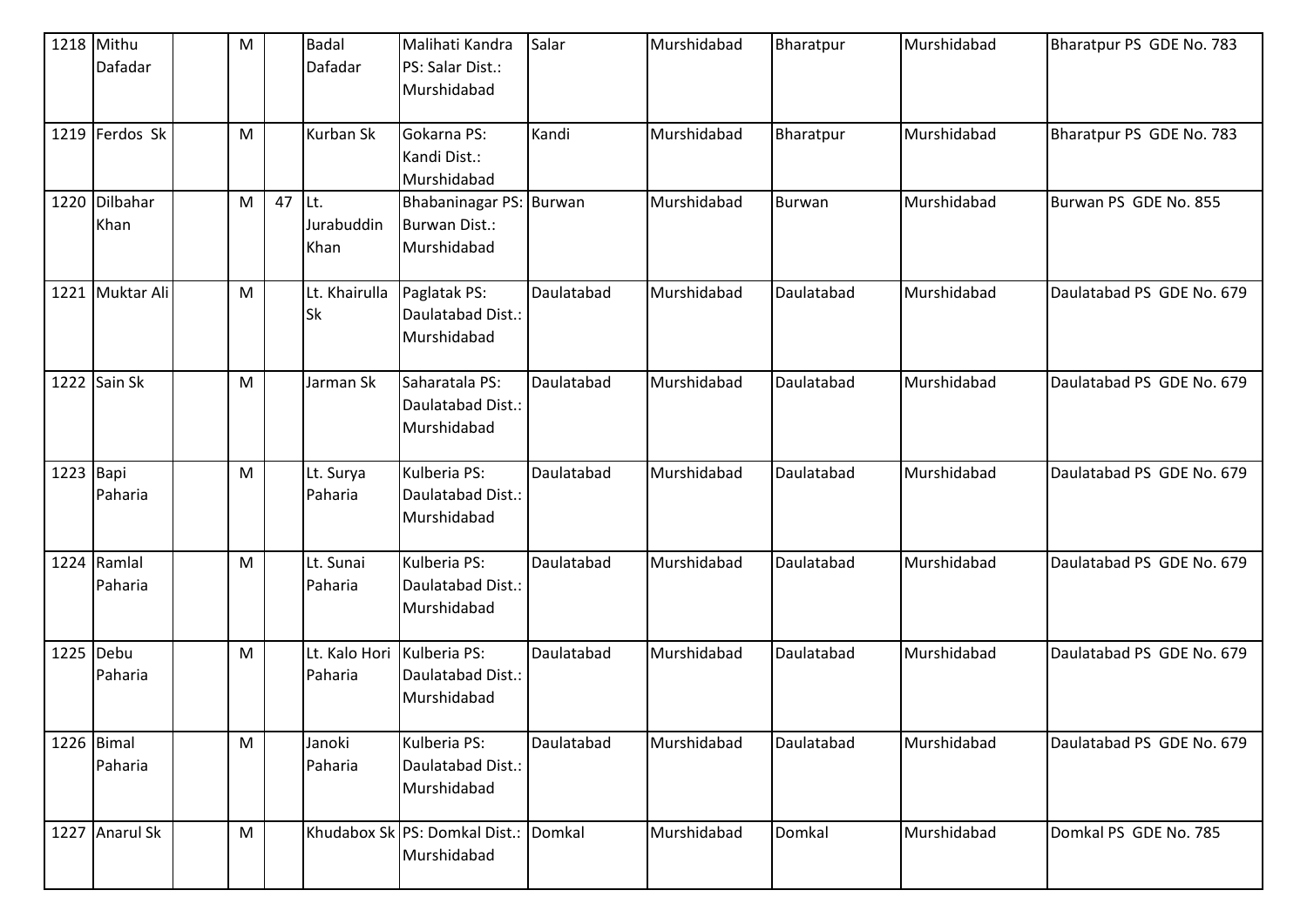|             | 1218 Mithu<br>Dafadar  | M         |    | <b>Badal</b><br>Dafadar    | Malihati Kandra<br>PS: Salar Dist.:<br>Murshidabad      | Salar      | Murshidabad | Bharatpur     | Murshidabad | Bharatpur PS GDE No. 783  |
|-------------|------------------------|-----------|----|----------------------------|---------------------------------------------------------|------------|-------------|---------------|-------------|---------------------------|
|             | 1219 Ferdos Sk         | M         |    | Kurban Sk                  | Gokarna PS:<br>Kandi Dist.:<br>Murshidabad              | Kandi      | Murshidabad | Bharatpur     | Murshidabad | Bharatpur PS GDE No. 783  |
|             | 1220 Dilbahar<br>Khan  | M         | 47 | ILt.<br>Jurabuddin<br>Khan | Bhabaninagar PS: Burwan<br>Burwan Dist.:<br>Murshidabad |            | Murshidabad | <b>Burwan</b> | Murshidabad | Burwan PS GDE No. 855     |
|             | 1221 Muktar Ali        | M         |    | Lt. Khairulla<br><b>Sk</b> | Paglatak PS:<br>Daulatabad Dist.:<br>Murshidabad        | Daulatabad | Murshidabad | Daulatabad    | Murshidabad | Daulatabad PS GDE No. 679 |
|             | 1222 Sain Sk           | M         |    | Jarman Sk                  | Saharatala PS:<br>Daulatabad Dist.:<br>Murshidabad      | Daulatabad | Murshidabad | Daulatabad    | Murshidabad | Daulatabad PS GDE No. 679 |
| $1223$ Bapi | Paharia                | M         |    | Lt. Surya<br>Paharia       | Kulberia PS:<br>Daulatabad Dist.:<br>Murshidabad        | Daulatabad | Murshidabad | Daulatabad    | Murshidabad | Daulatabad PS GDE No. 679 |
|             | 1224 Ramlal<br>Paharia | ${\sf M}$ |    | Lt. Sunai<br>Paharia       | Kulberia PS:<br>Daulatabad Dist.:<br>Murshidabad        | Daulatabad | Murshidabad | Daulatabad    | Murshidabad | Daulatabad PS GDE No. 679 |
| 1225 Debu   | Paharia                | M         |    | Lt. Kalo Hori<br>Paharia   | Kulberia PS:<br>Daulatabad Dist.:<br>Murshidabad        | Daulatabad | Murshidabad | Daulatabad    | Murshidabad | Daulatabad PS GDE No. 679 |
|             | 1226 Bimal<br>Paharia  | M         |    | Janoki<br>Paharia          | Kulberia PS:<br>Daulatabad Dist.:<br>Murshidabad        | Daulatabad | Murshidabad | Daulatabad    | Murshidabad | Daulatabad PS GDE No. 679 |
|             | 1227 Anarul Sk         | ${\sf M}$ |    |                            | Khudabox Sk PS: Domkal Dist.:<br>Murshidabad            | Domkal     | Murshidabad | Domkal        | Murshidabad | Domkal PS GDE No. 785     |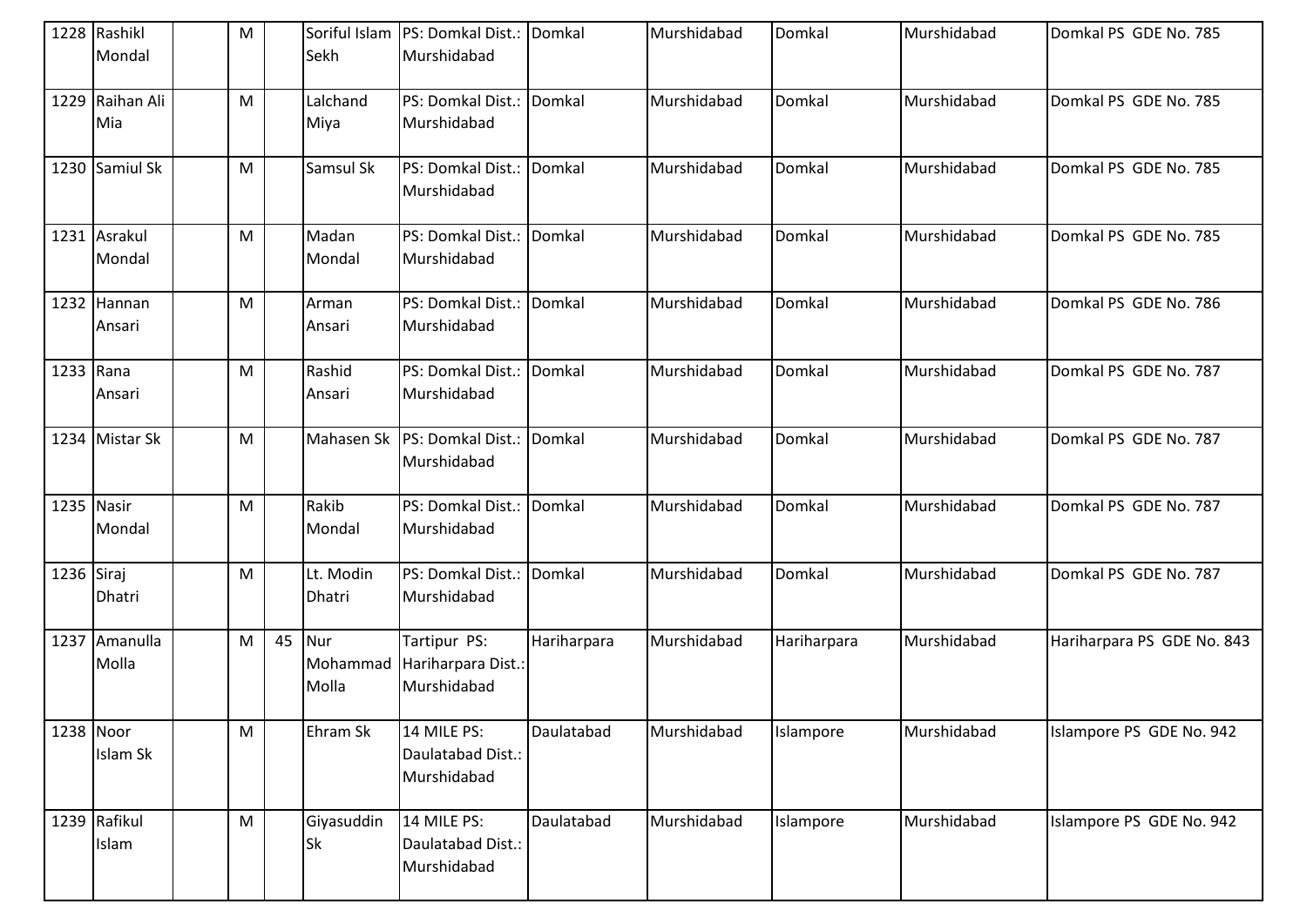|            | 1228 Rashikl<br>Mondal | M         |    | Sekh                     | Soriful Islam   PS: Domkal Dist.: Domkal<br>Murshidabad |             | Murshidabad | Domkal      | Murshidabad | Domkal PS GDE No. 785      |
|------------|------------------------|-----------|----|--------------------------|---------------------------------------------------------|-------------|-------------|-------------|-------------|----------------------------|
|            | 1229 Raihan Ali<br>Mia | M         |    | Lalchand<br>Miya         | PS: Domkal Dist.:<br>Murshidabad                        | Domkal      | Murshidabad | Domkal      | Murshidabad | Domkal PS GDE No. 785      |
|            | 1230 Samiul Sk         | M         |    | Samsul Sk                | PS: Domkal Dist.: Domkal<br>Murshidabad                 |             | Murshidabad | Domkal      | Murshidabad | Domkal PS GDE No. 785      |
|            | 1231 Asrakul<br>Mondal | M         |    | Madan<br>Mondal          | PS: Domkal Dist.:<br>Murshidabad                        | Domkal      | Murshidabad | Domkal      | Murshidabad | Domkal PS GDE No. 785      |
|            | 1232 Hannan<br>Ansari  | M         |    | Arman<br>Ansari          | PS: Domkal Dist.:<br>Murshidabad                        | Domkal      | Murshidabad | Domkal      | Murshidabad | Domkal PS GDE No. 786      |
| 1233 Rana  | Ansari                 | ${\sf M}$ |    | Rashid<br>Ansari         | PS: Domkal Dist.:<br>Murshidabad                        | Domkal      | Murshidabad | Domkal      | Murshidabad | Domkal PS GDE No. 787      |
|            | 1234 Mistar Sk         | M         |    |                          | Mahasen Sk   PS: Domkal Dist.:<br>Murshidabad           | Domkal      | Murshidabad | Domkal      | Murshidabad | Domkal PS GDE No. 787      |
| 1235 Nasir | Mondal                 | M         |    | Rakib<br>Mondal          | PS: Domkal Dist.:<br>Murshidabad                        | Domkal      | Murshidabad | Domkal      | Murshidabad | Domkal PS GDE No. 787      |
| 1236 Siraj | Dhatri                 | M         |    | Lt. Modin<br>Dhatri      | PS: Domkal Dist.:<br>Murshidabad                        | Domkal      | Murshidabad | Domkal      | Murshidabad | Domkal PS GDE No. 787      |
|            | 1237 Amanulla<br>Molla | M         | 45 | Nur<br>Mohammad<br>Molla | Tartipur PS:<br>Hariharpara Dist.:<br>Murshidabad       | Hariharpara | Murshidabad | Hariharpara | Murshidabad | Hariharpara PS GDE No. 843 |
| 1238 Noor  | Islam Sk               | M         |    | Ehram Sk                 | 14 MILE PS:<br>Daulatabad Dist.:<br>Murshidabad         | Daulatabad  | Murshidabad | Islampore   | Murshidabad | Islampore PS GDE No. 942   |
|            | 1239 Rafikul<br>Islam  | M         |    | Giyasuddin<br><b>Sk</b>  | 14 MILE PS:<br>Daulatabad Dist.:<br>Murshidabad         | Daulatabad  | Murshidabad | Islampore   | Murshidabad | Islampore PS GDE No. 942   |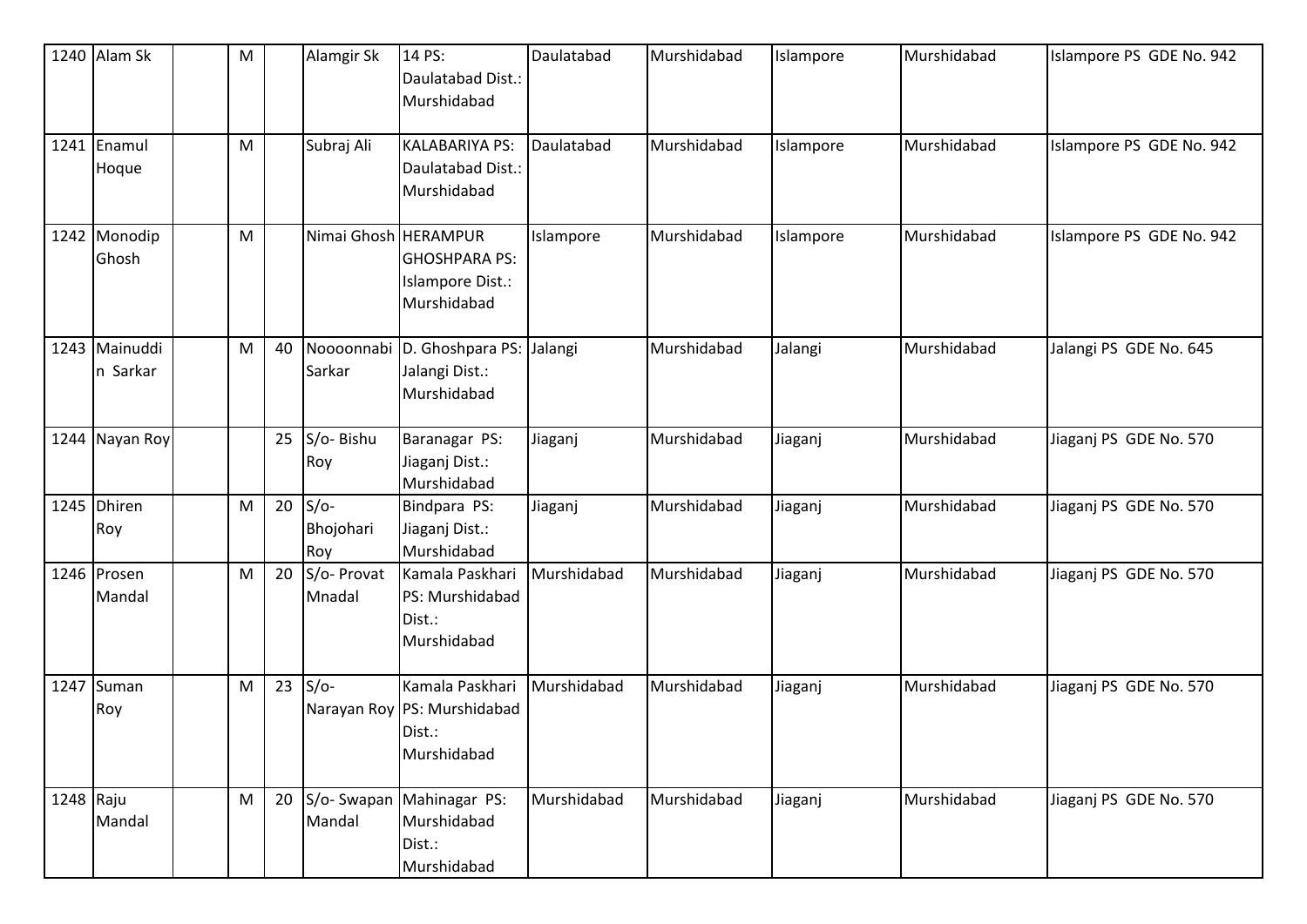|             | 1240 Alam Sk              | ${\sf M}$ |    | Alamgir Sk                 | 14 PS:<br>Daulatabad Dist.:<br>Murshidabad                              | Daulatabad  | Murshidabad | Islampore | Murshidabad | Islampore PS GDE No. 942 |
|-------------|---------------------------|-----------|----|----------------------------|-------------------------------------------------------------------------|-------------|-------------|-----------|-------------|--------------------------|
| 1241        | Enamul<br>Hoque           | M         |    | Subraj Ali                 | <b>KALABARIYA PS:</b><br>Daulatabad Dist.:<br>Murshidabad               | Daulatabad  | Murshidabad | Islampore | Murshidabad | Islampore PS GDE No. 942 |
|             | 1242 Monodip<br>Ghosh     | M         |    | Nimai Ghosh HERAMPUR       | <b>GHOSHPARA PS:</b><br>Islampore Dist.:<br>Murshidabad                 | Islampore   | Murshidabad | Islampore | Murshidabad | Islampore PS GDE No. 942 |
|             | 1243 Mainuddi<br>n Sarkar | M         | 40 | Sarkar                     | Noooonnabi D. Ghoshpara PS: Jalangi<br>Jalangi Dist.:<br>Murshidabad    |             | Murshidabad | Jalangi   | Murshidabad | Jalangi PS GDE No. 645   |
|             | 1244 Nayan Roy            |           | 25 | S/o-Bishu<br>Roy           | Baranagar PS:<br>Jiaganj Dist.:<br>Murshidabad                          | Jiaganj     | Murshidabad | Jiaganj   | Murshidabad | Jiaganj PS GDE No. 570   |
|             | 1245 Dhiren<br>Roy        | M         | 20 | $S/O-$<br>Bhojohari<br>Roy | Bindpara PS:<br>Jiaganj Dist.:<br>Murshidabad                           | Jiaganj     | Murshidabad | Jiaganj   | Murshidabad | Jiaganj PS GDE No. 570   |
|             | 1246 Prosen<br>Mandal     | M         | 20 | S/o- Provat<br>Mnadal      | Kamala Paskhari<br>PS: Murshidabad<br>Dist.:<br>Murshidabad             | Murshidabad | Murshidabad | Jiaganj   | Murshidabad | Jiaganj PS GDE No. 570   |
|             | 1247 Suman<br>Roy         | M         | 23 | $S/O-$                     | Kamala Paskhari<br>Narayan Roy PS: Murshidabad<br>Dist.:<br>Murshidabad | Murshidabad | Murshidabad | Jiaganj   | Murshidabad | Jiaganj PS GDE No. 570   |
| $1248$ Raju | Mandal                    | M         | 20 | S/o-Swapan<br>Mandal       | Mahinagar PS:<br>Murshidabad<br>Dist.:<br>Murshidabad                   | Murshidabad | Murshidabad | Jiaganj   | Murshidabad | Jiaganj PS GDE No. 570   |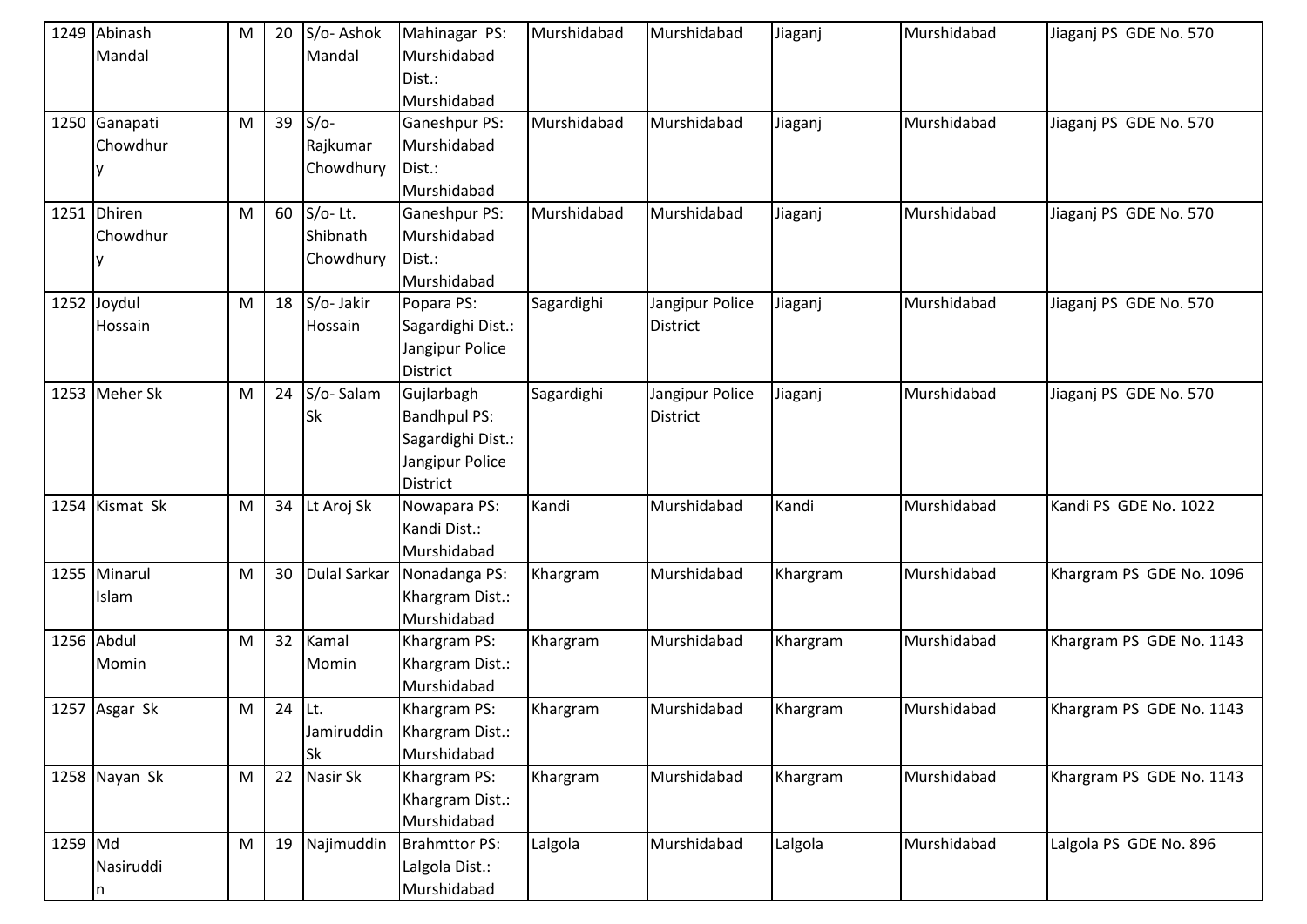|         | 1249 Abinash<br>Mandal    | M         | 20       | S/o-Ashok<br>Mandal                | Mahinagar PS:<br>Murshidabad<br>Dist.:<br>Murshidabad                                        | Murshidabad | Murshidabad                        | Jiaganj  | Murshidabad | Jiaganj PS GDE No. 570   |
|---------|---------------------------|-----------|----------|------------------------------------|----------------------------------------------------------------------------------------------|-------------|------------------------------------|----------|-------------|--------------------------|
|         | 1250 Ganapati<br>Chowdhur | M         | 39       | $S/O-$<br>Rajkumar<br>Chowdhury    | <b>Ganeshpur PS:</b><br>Murshidabad<br>Dist.:<br>Murshidabad                                 | Murshidabad | Murshidabad                        | Jiaganj  | Murshidabad | Jiaganj PS GDE No. 570   |
|         | 1251 Dhiren<br>Chowdhur   | M         | 60       | $S/O-Lt.$<br>Shibnath<br>Chowdhury | Ganeshpur PS:<br>Murshidabad<br>Dist.:<br>Murshidabad                                        | Murshidabad | Murshidabad                        | Jiaganj  | Murshidabad | Jiaganj PS GDE No. 570   |
|         | 1252 Joydul<br>Hossain    | M         | 18       | S/o-Jakir<br>Hossain               | Popara PS:<br>Sagardighi Dist.:<br>Jangipur Police<br><b>District</b>                        | Sagardighi  | Jangipur Police<br><b>District</b> | Jiaganj  | Murshidabad | Jiaganj PS GDE No. 570   |
|         | 1253 Meher Sk             | M         | 24       | S/o-Salam<br><b>Sk</b>             | Gujlarbagh<br><b>Bandhpul PS:</b><br>Sagardighi Dist.:<br>Jangipur Police<br><b>District</b> | Sagardighi  | Jangipur Police<br><b>District</b> | Jiaganj  | Murshidabad | Jiaganj PS GDE No. 570   |
|         | 1254 Kismat Sk            | M         | 34       | Lt Aroj Sk                         | Nowapara PS:<br>Kandi Dist.:<br>Murshidabad                                                  | Kandi       | Murshidabad                        | Kandi    | Murshidabad | Kandi PS GDE No. 1022    |
|         | 1255 Minarul<br>Islam     | M         | 30       | <b>Dulal Sarkar</b>                | Nonadanga PS:<br>Khargram Dist.:<br>Murshidabad                                              | Khargram    | Murshidabad                        | Khargram | Murshidabad | Khargram PS GDE No. 1096 |
|         | 1256 Abdul<br>Momin       | M         | 32       | Kamal<br>Momin                     | Khargram PS:<br>Khargram Dist.:<br>Murshidabad                                               | Khargram    | Murshidabad                        | Khargram | Murshidabad | Khargram PS GDE No. 1143 |
|         | 1257 Asgar Sk             | M         | $24$ Lt. | Jamiruddin<br>Sk                   | Khargram PS:<br>Khargram Dist.:<br>Murshidabad                                               | Khargram    | Murshidabad                        | Khargram | Murshidabad | Khargram PS GDE No. 1143 |
|         | 1258 Nayan Sk             | M         | 22       | Nasir Sk                           | Khargram PS:<br>Khargram Dist.:<br>Murshidabad                                               | Khargram    | Murshidabad                        | Khargram | Murshidabad | Khargram PS GDE No. 1143 |
| 1259 Md | Nasiruddi<br>n            | ${\sf M}$ | 19       | Najimuddin                         | <b>Brahmttor PS:</b><br>Lalgola Dist.:<br>Murshidabad                                        | Lalgola     | Murshidabad                        | Lalgola  | Murshidabad | Lalgola PS GDE No. 896   |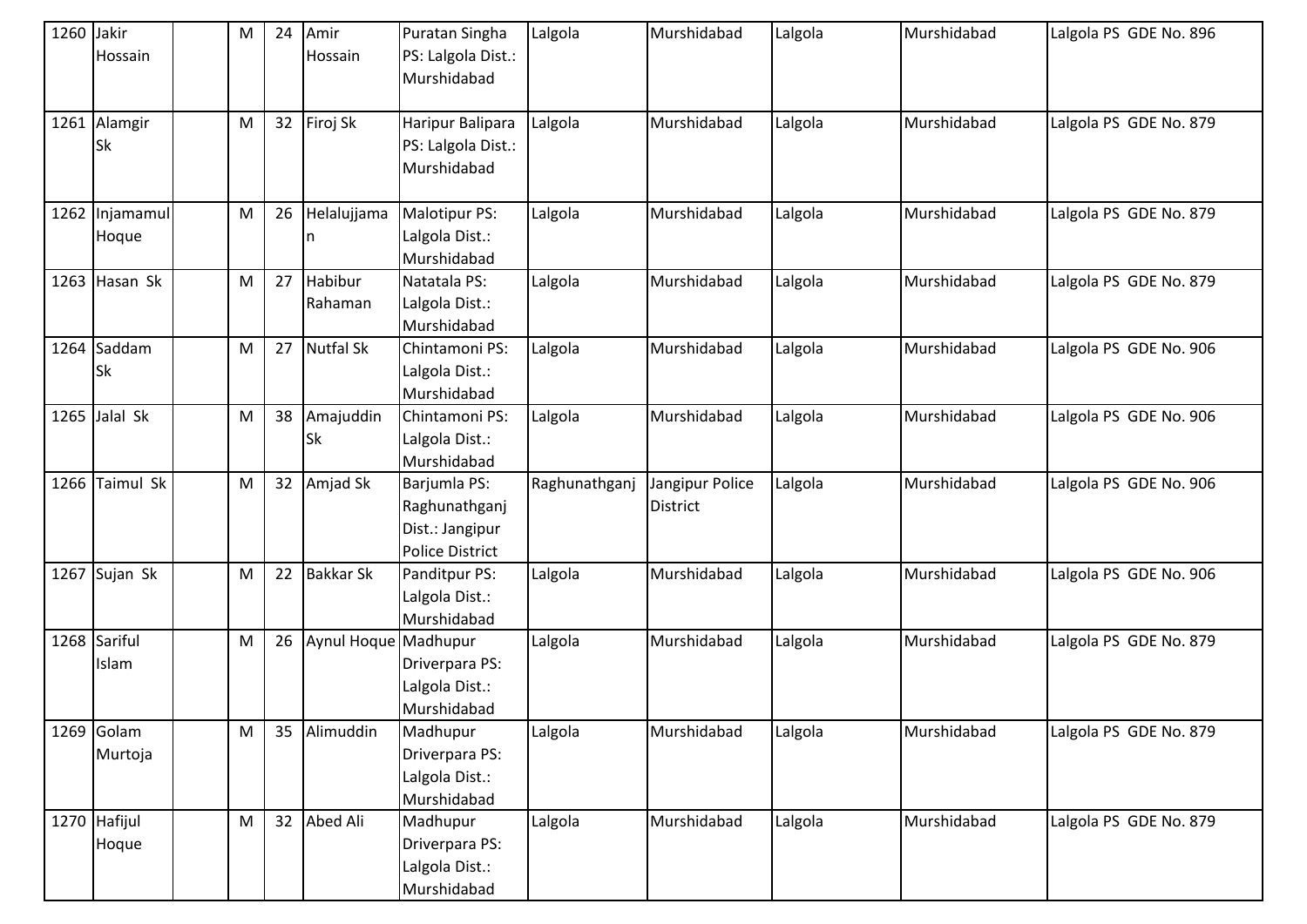| 1260 Jakir | Hossain                   | M         | 24 | Amir<br>Hossain        | Puratan Singha<br>PS: Lalgola Dist.:<br>Murshidabad                        | Lalgola       | Murshidabad                        | Lalgola | Murshidabad | Lalgola PS GDE No. 896 |
|------------|---------------------------|-----------|----|------------------------|----------------------------------------------------------------------------|---------------|------------------------------------|---------|-------------|------------------------|
|            | 1261 Alamgir<br><b>Sk</b> | ${\sf M}$ | 32 | Firoj Sk               | Haripur Balipara<br>PS: Lalgola Dist.:<br>Murshidabad                      | Lalgola       | Murshidabad                        | Lalgola | Murshidabad | Lalgola PS GDE No. 879 |
|            | 1262 Injamamul<br>Hoque   | M         | 26 | Helalujjama            | Malotipur PS:<br>Lalgola Dist.:<br>Murshidabad                             | Lalgola       | Murshidabad                        | Lalgola | Murshidabad | Lalgola PS GDE No. 879 |
|            | 1263 Hasan Sk             | M         | 27 | Habibur<br>Rahaman     | Natatala PS:<br>Lalgola Dist.:<br>Murshidabad                              | Lalgola       | Murshidabad                        | Lalgola | Murshidabad | Lalgola PS GDE No. 879 |
|            | 1264 Saddam<br><b>Sk</b>  | ${\sf M}$ | 27 | <b>Nutfal Sk</b>       | Chintamoni PS:<br>Lalgola Dist.:<br>Murshidabad                            | Lalgola       | Murshidabad                        | Lalgola | Murshidabad | Lalgola PS GDE No. 906 |
|            | $1265$ Jalal Sk           | ${\sf M}$ | 38 | Amajuddin<br><b>Sk</b> | Chintamoni PS:<br>Lalgola Dist.:<br>Murshidabad                            | Lalgola       | Murshidabad                        | Lalgola | Murshidabad | Lalgola PS GDE No. 906 |
|            | 1266 Taimul Sk            | M         | 32 | Amjad Sk               | Barjumla PS:<br>Raghunathganj<br>Dist.: Jangipur<br><b>Police District</b> | Raghunathganj | Jangipur Police<br><b>District</b> | Lalgola | Murshidabad | Lalgola PS GDE No. 906 |
|            | 1267 Sujan Sk             | M         | 22 | <b>Bakkar Sk</b>       | Panditpur PS:<br>Lalgola Dist.:<br>Murshidabad                             | Lalgola       | Murshidabad                        | Lalgola | Murshidabad | Lalgola PS GDE No. 906 |
|            | 1268 Sariful<br>Islam     | ${\sf M}$ | 26 | Aynul Hoque Madhupur   | Driverpara PS:<br>Lalgola Dist.:<br>Murshidabad                            | Lalgola       | Murshidabad                        | Lalgola | Murshidabad | Lalgola PS GDE No. 879 |
|            | 1269 Golam<br>Murtoja     | M         | 35 | Alimuddin              | Madhupur<br>Driverpara PS:<br>Lalgola Dist.:<br>Murshidabad                | Lalgola       | Murshidabad                        | Lalgola | Murshidabad | Lalgola PS GDE No. 879 |
|            | 1270 Hafijul<br>Hoque     | M         | 32 | Abed Ali               | Madhupur<br>Driverpara PS:<br>Lalgola Dist.:<br>Murshidabad                | Lalgola       | Murshidabad                        | Lalgola | Murshidabad | Lalgola PS GDE No. 879 |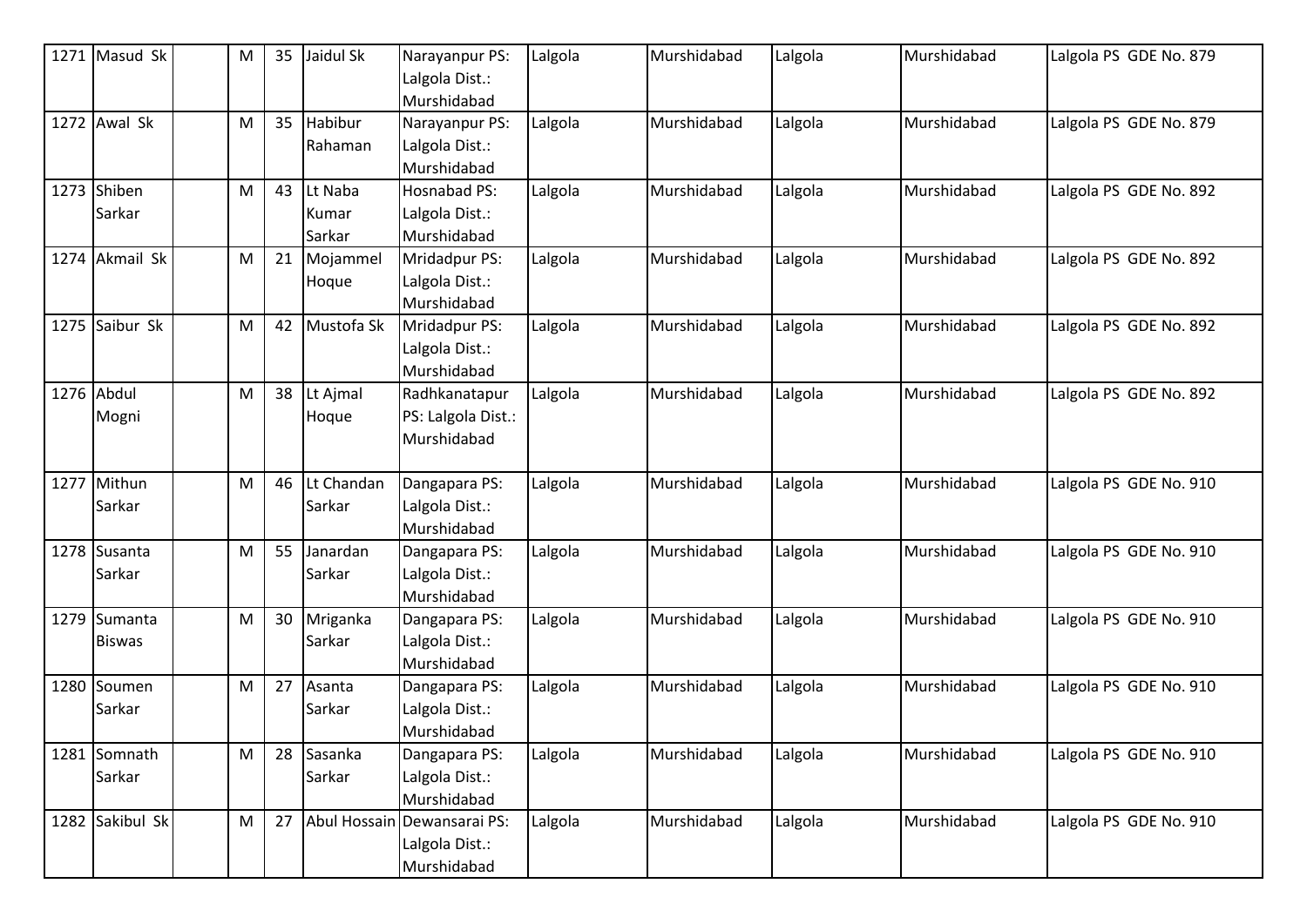| 1271 Masud Sk   | M | 35 | Jaidul Sk  | Narayanpur PS:              | Lalgola | Murshidabad | Lalgola | Murshidabad | Lalgola PS GDE No. 879 |
|-----------------|---|----|------------|-----------------------------|---------|-------------|---------|-------------|------------------------|
|                 |   |    |            | Lalgola Dist.:              |         |             |         |             |                        |
|                 |   |    |            | Murshidabad                 |         |             |         |             |                        |
| 1272 Awal Sk    | M | 35 | Habibur    | Narayanpur PS:              | Lalgola | Murshidabad | Lalgola | Murshidabad | Lalgola PS GDE No. 879 |
|                 |   |    | Rahaman    | Lalgola Dist.:              |         |             |         |             |                        |
|                 |   |    |            | Murshidabad                 |         |             |         |             |                        |
| 1273 Shiben     | M | 43 | Lt Naba    | <b>Hosnabad PS:</b>         | Lalgola | Murshidabad | Lalgola | Murshidabad | Lalgola PS GDE No. 892 |
| Sarkar          |   |    | Kumar      | Lalgola Dist.:              |         |             |         |             |                        |
|                 |   |    | Sarkar     | Murshidabad                 |         |             |         |             |                        |
| 1274 Akmail Sk  | M | 21 | Mojammel   | Mridadpur PS:               | Lalgola | Murshidabad | Lalgola | Murshidabad | Lalgola PS GDE No. 892 |
|                 |   |    | Hoque      | Lalgola Dist.:              |         |             |         |             |                        |
|                 |   |    |            | Murshidabad                 |         |             |         |             |                        |
| 1275 Saibur Sk  | M | 42 | Mustofa Sk | Mridadpur PS:               | Lalgola | Murshidabad | Lalgola | Murshidabad | Lalgola PS GDE No. 892 |
|                 |   |    |            | Lalgola Dist.:              |         |             |         |             |                        |
|                 |   |    |            | Murshidabad                 |         |             |         |             |                        |
| 1276 Abdul      | M | 38 | Lt Ajmal   | Radhkanatapur               | Lalgola | Murshidabad | Lalgola | Murshidabad | Lalgola PS GDE No. 892 |
| Mogni           |   |    | Hoque      | PS: Lalgola Dist.:          |         |             |         |             |                        |
|                 |   |    |            | Murshidabad                 |         |             |         |             |                        |
|                 |   |    |            |                             |         |             |         |             |                        |
| 1277 Mithun     | M | 46 | Lt Chandan | Dangapara PS:               | Lalgola | Murshidabad | Lalgola | Murshidabad | Lalgola PS GDE No. 910 |
| Sarkar          |   |    | Sarkar     | Lalgola Dist.:              |         |             |         |             |                        |
|                 |   |    |            | Murshidabad                 |         |             |         |             |                        |
| 1278 Susanta    | M | 55 | Janardan   | Dangapara PS:               | Lalgola | Murshidabad | Lalgola | Murshidabad | Lalgola PS GDE No. 910 |
| Sarkar          |   |    | Sarkar     | Lalgola Dist.:              |         |             |         |             |                        |
|                 |   |    |            | Murshidabad                 |         |             |         |             |                        |
| 1279 Sumanta    | M | 30 | Mriganka   | Dangapara PS:               | Lalgola | Murshidabad | Lalgola | Murshidabad | Lalgola PS GDE No. 910 |
| <b>Biswas</b>   |   |    | Sarkar     | Lalgola Dist.:              |         |             |         |             |                        |
|                 |   |    |            | Murshidabad                 |         |             |         |             |                        |
| 1280 Soumen     | M | 27 | Asanta     | Dangapara PS:               | Lalgola | Murshidabad | Lalgola | Murshidabad | Lalgola PS GDE No. 910 |
| Sarkar          |   |    | Sarkar     | Lalgola Dist.:              |         |             |         |             |                        |
|                 |   |    |            | Murshidabad                 |         |             |         |             |                        |
| 1281 Somnath    | M | 28 | Sasanka    | Dangapara PS:               | Lalgola | Murshidabad | Lalgola | Murshidabad | Lalgola PS GDE No. 910 |
| Sarkar          |   |    | Sarkar     | Lalgola Dist.:              |         |             |         |             |                        |
|                 |   |    |            | Murshidabad                 |         |             |         |             |                        |
| 1282 Sakibul Sk | M | 27 |            | Abul Hossain Dewansarai PS: | Lalgola | Murshidabad | Lalgola | Murshidabad | Lalgola PS GDE No. 910 |
|                 |   |    |            | Lalgola Dist.:              |         |             |         |             |                        |
|                 |   |    |            | Murshidabad                 |         |             |         |             |                        |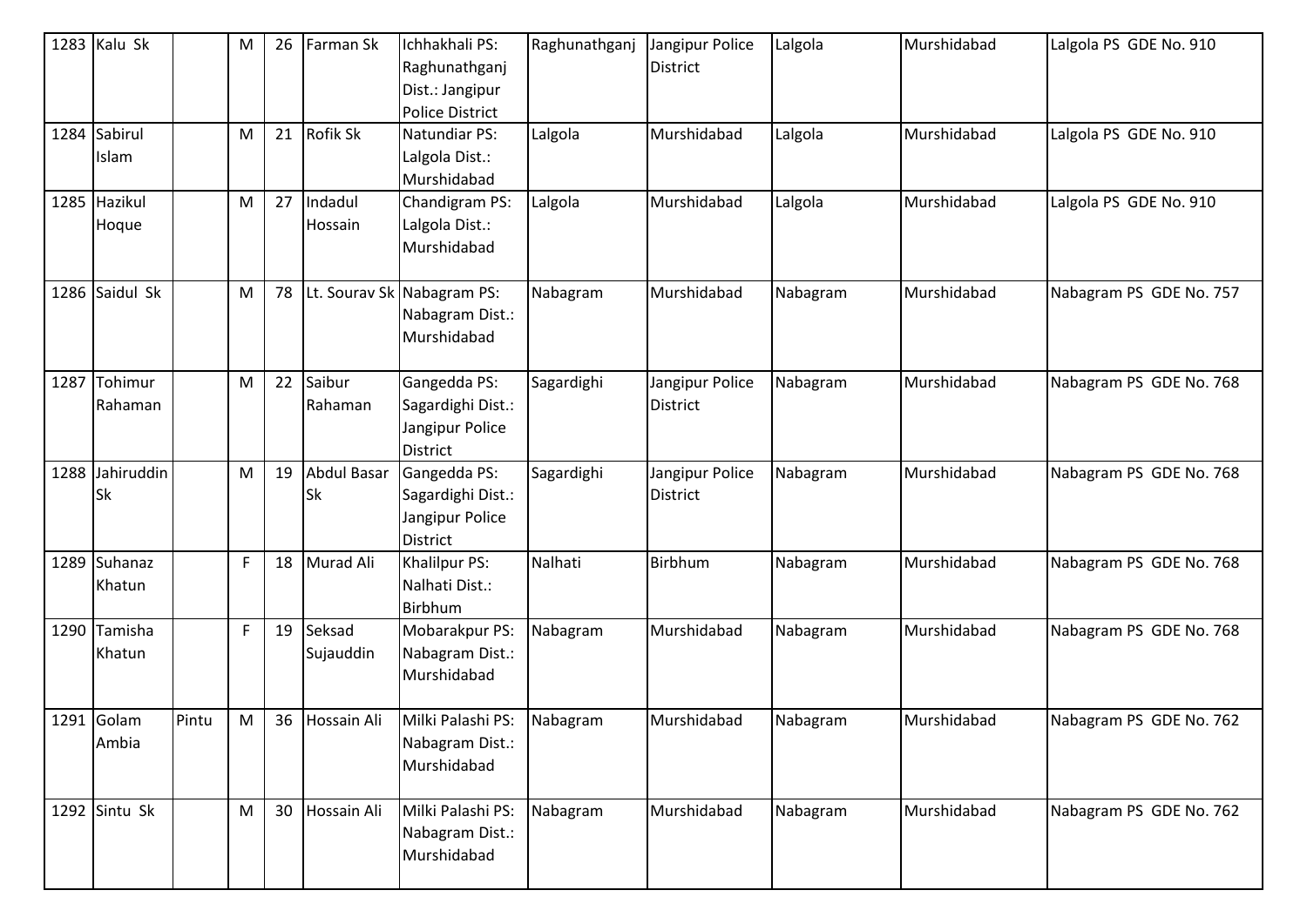| 1283 Kalu Sk                 |       | M           | 26 | Farman Sk                | Ichhakhali PS:<br>Raghunathganj<br>Dist.: Jangipur<br><b>Police District</b> | Raghunathganj | Jangipur Police<br>District        | Lalgola  | Murshidabad | Lalgola PS GDE No. 910  |
|------------------------------|-------|-------------|----|--------------------------|------------------------------------------------------------------------------|---------------|------------------------------------|----------|-------------|-------------------------|
| 1284 Sabirul<br>Islam        |       | M           | 21 | <b>Rofik Sk</b>          | Natundiar PS:<br>Lalgola Dist.:<br>Murshidabad                               | Lalgola       | Murshidabad                        | Lalgola  | Murshidabad | Lalgola PS GDE No. 910  |
| 1285 Hazikul<br>Hoque        |       | M           | 27 | Indadul<br>Hossain       | Chandigram PS:<br>Lalgola Dist.:<br>Murshidabad                              | Lalgola       | Murshidabad                        | Lalgola  | Murshidabad | Lalgola PS GDE No. 910  |
| 1286 Saidul Sk               |       | M           | 78 |                          | Lt. Sourav Sk Nabagram PS:<br>Nabagram Dist.:<br>Murshidabad                 | Nabagram      | Murshidabad                        | Nabagram | Murshidabad | Nabagram PS GDE No. 757 |
| 1287 Tohimur<br>Rahaman      |       | M           | 22 | Saibur<br>Rahaman        | Gangedda PS:<br>Sagardighi Dist.:<br>Jangipur Police<br><b>District</b>      | Sagardighi    | Jangipur Police<br><b>District</b> | Nabagram | Murshidabad | Nabagram PS GDE No. 768 |
| 1288 Jahiruddin<br><b>Sk</b> |       | M           | 19 | Abdul Basar<br><b>Sk</b> | Gangedda PS:<br>Sagardighi Dist.:<br>Jangipur Police<br><b>District</b>      | Sagardighi    | Jangipur Police<br>District        | Nabagram | Murshidabad | Nabagram PS GDE No. 768 |
| 1289 Suhanaz<br>Khatun       |       | $\mathsf F$ | 18 | Murad Ali                | Khalilpur PS:<br>Nalhati Dist.:<br>Birbhum                                   | Nalhati       | Birbhum                            | Nabagram | Murshidabad | Nabagram PS GDE No. 768 |
| 1290 Tamisha<br>Khatun       |       | F           | 19 | Seksad<br>Sujauddin      | Mobarakpur PS:<br>Nabagram Dist.:<br>Murshidabad                             | Nabagram      | Murshidabad                        | Nabagram | Murshidabad | Nabagram PS GDE No. 768 |
| 1291 Golam<br>Ambia          | Pintu | M           | 36 | Hossain Ali              | Milki Palashi PS:<br>Nabagram Dist.:<br>Murshidabad                          | Nabagram      | Murshidabad                        | Nabagram | Murshidabad | Nabagram PS GDE No. 762 |
| 1292 Sintu Sk                |       | M           | 30 | Hossain Ali              | Milki Palashi PS:<br>Nabagram Dist.:<br>Murshidabad                          | Nabagram      | Murshidabad                        | Nabagram | Murshidabad | Nabagram PS GDE No. 762 |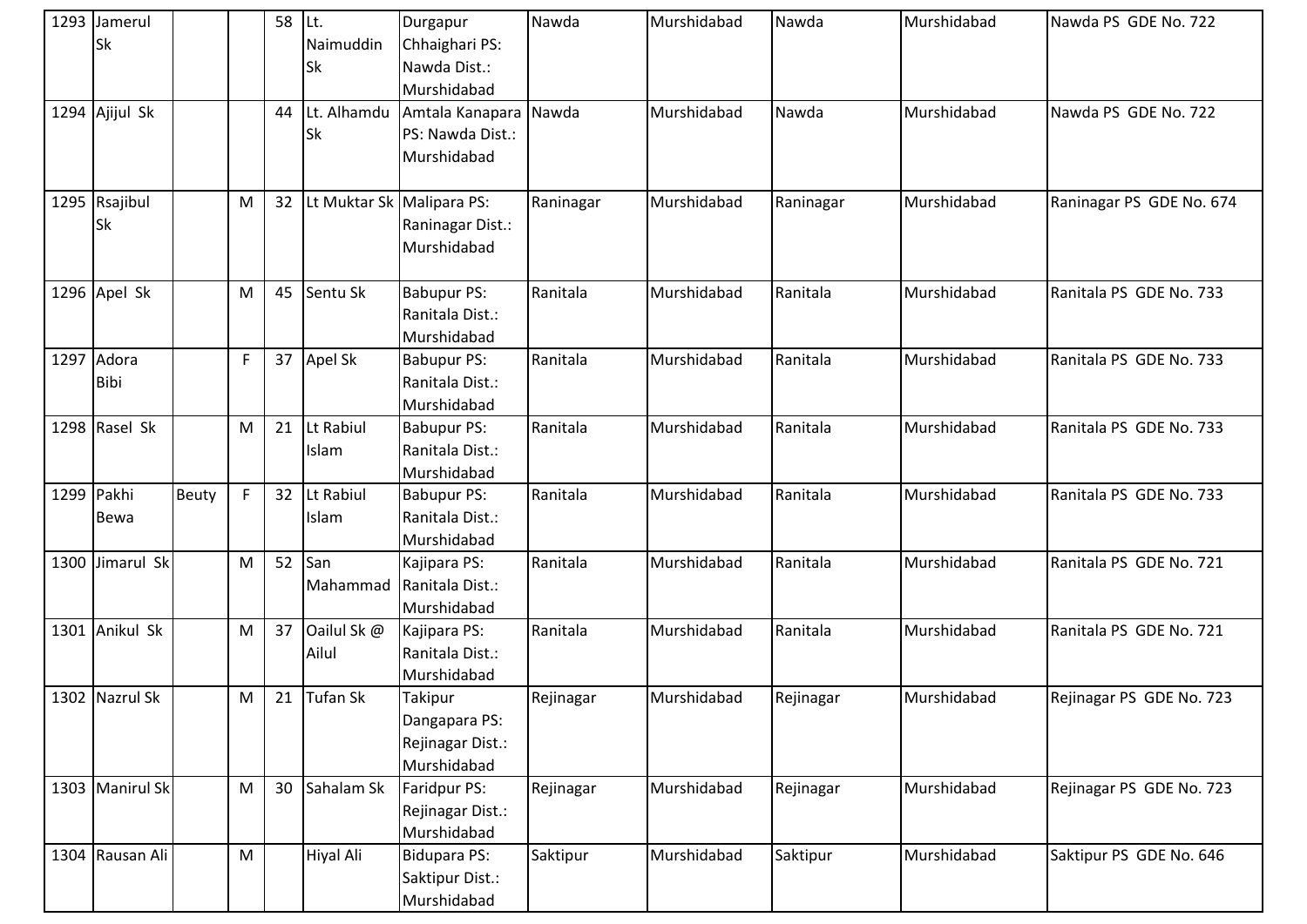| 1293 Jamerul<br><b>Sk</b>  |              |             | 58 | ILt.<br>Naimuddin<br><b>Sk</b> | Durgapur<br>Chhaighari PS:<br>Nawda Dist.:<br>Murshidabad   | Nawda     | Murshidabad | Nawda     | Murshidabad | Nawda PS GDE No. 722     |
|----------------------------|--------------|-------------|----|--------------------------------|-------------------------------------------------------------|-----------|-------------|-----------|-------------|--------------------------|
| 1294 Ajijul Sk             |              |             | 44 | Lt. Alhamdu<br><b>Sk</b>       | Amtala Kanapara Nawda<br>PS: Nawda Dist.:<br>Murshidabad    |           | Murshidabad | Nawda     | Murshidabad | Nawda PS GDE No. 722     |
| 1295 Rsajibul<br><b>Sk</b> |              | M           | 32 | Lt Muktar Sk Malipara PS:      | Raninagar Dist.:<br>Murshidabad                             | Raninagar | Murshidabad | Raninagar | Murshidabad | Raninagar PS GDE No. 674 |
| 1296 Apel Sk               |              | M           | 45 | Sentu Sk                       | <b>Babupur PS:</b><br>Ranitala Dist.:<br>Murshidabad        | Ranitala  | Murshidabad | Ranitala  | Murshidabad | Ranitala PS GDE No. 733  |
| 1297 Adora<br><b>Bibi</b>  |              | F           | 37 | Apel Sk                        | <b>Babupur PS:</b><br>Ranitala Dist.:<br>Murshidabad        | Ranitala  | Murshidabad | Ranitala  | Murshidabad | Ranitala PS GDE No. 733  |
| 1298 Rasel Sk              |              | M           | 21 | Lt Rabiul<br>Islam             | <b>Babupur PS:</b><br>Ranitala Dist.:<br>Murshidabad        | Ranitala  | Murshidabad | Ranitala  | Murshidabad | Ranitala PS GDE No. 733  |
| 1299 Pakhi<br><b>Bewa</b>  | <b>Beuty</b> | $\mathsf F$ | 32 | Lt Rabiul<br>Islam             | <b>Babupur PS:</b><br>Ranitala Dist.:<br>Murshidabad        | Ranitala  | Murshidabad | Ranitala  | Murshidabad | Ranitala PS GDE No. 733  |
| 1300 Jimarul Sk            |              | ${\sf M}$   | 52 | San<br>Mahammad                | Kajipara PS:<br>Ranitala Dist.:<br>Murshidabad              | Ranitala  | Murshidabad | Ranitala  | Murshidabad | Ranitala PS GDE No. 721  |
| 1301 Anikul Sk             |              | M           | 37 | Oailul Sk @<br>Ailul           | Kajipara PS:<br>Ranitala Dist.:<br>Murshidabad              | Ranitala  | Murshidabad | Ranitala  | Murshidabad | Ranitala PS GDE No. 721  |
| 1302 Nazrul Sk             |              | ${\sf M}$   | 21 | Tufan Sk                       | Takipur<br>Dangapara PS:<br>Rejinagar Dist.:<br>Murshidabad | Rejinagar | Murshidabad | Rejinagar | Murshidabad | Rejinagar PS GDE No. 723 |
| 1303 Manirul Sk            |              | M           | 30 | Sahalam Sk                     | Faridpur PS:<br>Rejinagar Dist.:<br>Murshidabad             | Rejinagar | Murshidabad | Rejinagar | Murshidabad | Rejinagar PS GDE No. 723 |
| 1304 Rausan Ali            |              | ${\sf M}$   |    | Hiyal Ali                      | <b>Bidupara PS:</b><br>Saktipur Dist.:<br>Murshidabad       | Saktipur  | Murshidabad | Saktipur  | Murshidabad | Saktipur PS GDE No. 646  |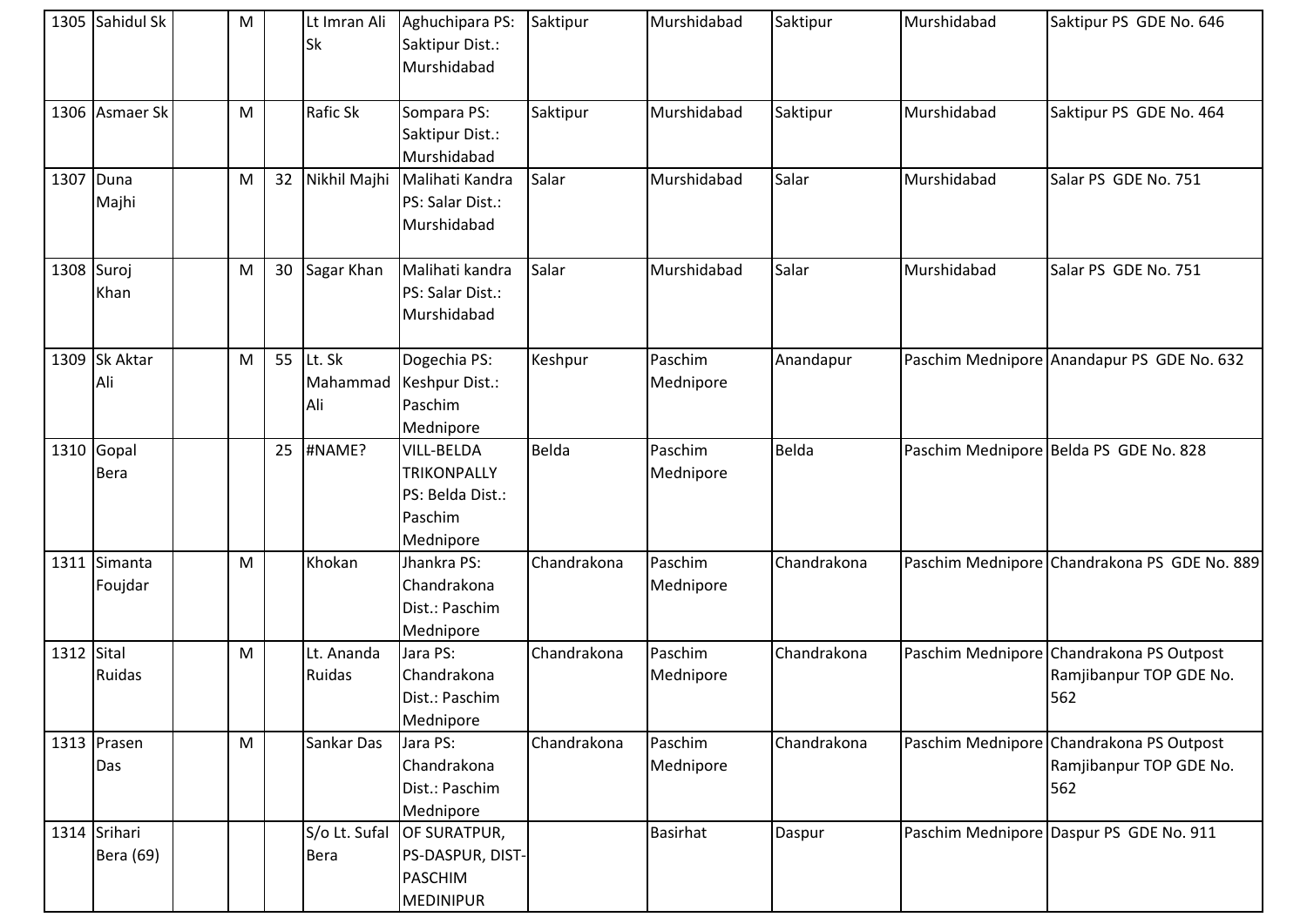|            | 1305 Sahidul Sk             | M |    | Lt Imran Ali<br><b>Sk</b>    | Aghuchipara PS:<br>Saktipur Dist.:<br>Murshidabad                                   | Saktipur    | Murshidabad          | Saktipur    | Murshidabad | Saktipur PS GDE No. 646                                                    |
|------------|-----------------------------|---|----|------------------------------|-------------------------------------------------------------------------------------|-------------|----------------------|-------------|-------------|----------------------------------------------------------------------------|
|            | 1306 Asmaer Sk              | M |    | Rafic Sk                     | Sompara PS:<br>Saktipur Dist.:<br>Murshidabad                                       | Saktipur    | Murshidabad          | Saktipur    | Murshidabad | Saktipur PS GDE No. 464                                                    |
|            | 1307 Duna<br>Majhi          | M | 32 | Nikhil Majhi                 | Malihati Kandra<br>PS: Salar Dist.:<br>Murshidabad                                  | Salar       | Murshidabad          | Salar       | Murshidabad | Salar PS GDE No. 751                                                       |
|            | 1308 Suroj<br>Khan          | M | 30 | Sagar Khan                   | Malihati kandra<br>PS: Salar Dist.:<br>Murshidabad                                  | Salar       | Murshidabad          | Salar       | Murshidabad | Salar PS GDE No. 751                                                       |
|            | 1309 Sk Aktar<br>Ali        | M | 55 | Lt. Sk<br>Mahammad<br>Ali    | Dogechia PS:<br>Keshpur Dist.:<br>Paschim<br>Mednipore                              | Keshpur     | Paschim<br>Mednipore | Anandapur   |             | Paschim Mednipore Anandapur PS GDE No. 632                                 |
|            | $1310$ Gopal<br><b>Bera</b> |   | 25 | #NAME?                       | <b>VILL-BELDA</b><br><b>TRIKONPALLY</b><br>PS: Belda Dist.:<br>Paschim<br>Mednipore | Belda       | Paschim<br>Mednipore | Belda       |             | Paschim Mednipore Belda PS GDE No. 828                                     |
|            | 1311 Simanta<br>Foujdar     | M |    | Khokan                       | Jhankra PS:<br>Chandrakona<br>Dist.: Paschim<br>Mednipore                           | Chandrakona | Paschim<br>Mednipore | Chandrakona |             | Paschim Mednipore Chandrakona PS GDE No. 889                               |
| 1312 Sital | Ruidas                      | M |    | Lt. Ananda<br>Ruidas         | Jara PS:<br>Chandrakona<br>Dist.: Paschim<br>Mednipore                              | Chandrakona | Paschim<br>Mednipore | Chandrakona |             | Paschim Mednipore Chandrakona PS Outpost<br>Ramjibanpur TOP GDE No.<br>562 |
|            | 1313 Prasen<br>Das          | M |    | Sankar Das                   | Jara PS:<br>Chandrakona<br>Dist.: Paschim<br>Mednipore                              | Chandrakona | Paschim<br>Mednipore | Chandrakona |             | Paschim Mednipore Chandrakona PS Outpost<br>Ramjibanpur TOP GDE No.<br>562 |
|            | 1314 Srihari<br>Bera (69)   |   |    | S/o Lt. Sufal<br><b>Bera</b> | OF SURATPUR,<br>PS-DASPUR, DIST-<br><b>PASCHIM</b><br>MEDINIPUR                     |             | <b>Basirhat</b>      | Daspur      |             | Paschim Mednipore Daspur PS GDE No. 911                                    |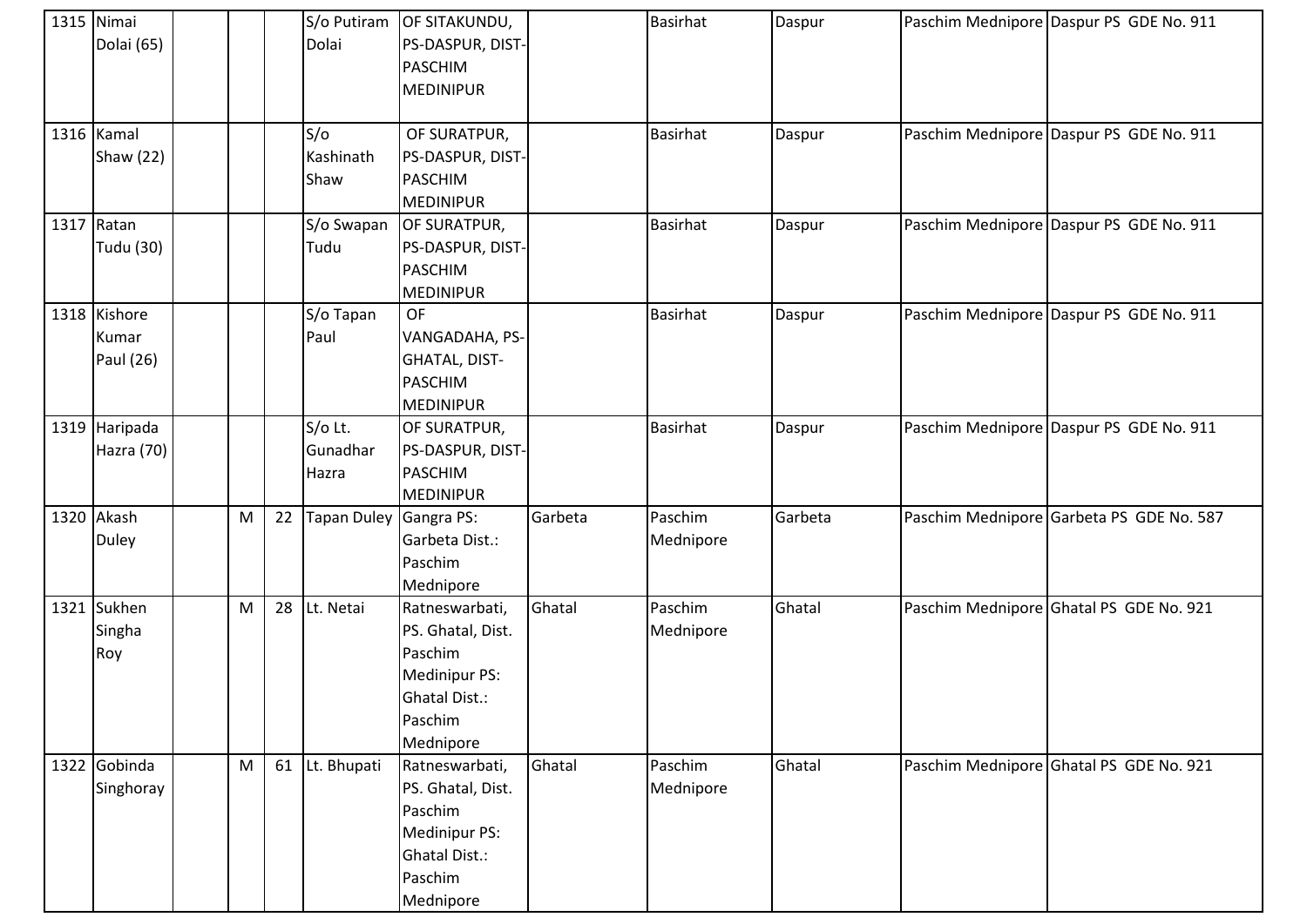| 1315 Nimai<br>Dolai (65)           |   |    | Dolai                        | S/o Putiram OF SITAKUNDU,<br>PS-DASPUR, DIST-<br><b>PASCHIM</b><br><b>MEDINIPUR</b>                             |         | <b>Basirhat</b>      | Daspur  | Paschim Mednipore Daspur PS GDE No. 911  |
|------------------------------------|---|----|------------------------------|-----------------------------------------------------------------------------------------------------------------|---------|----------------------|---------|------------------------------------------|
| 1316 Kamal<br>Shaw (22)            |   |    | S/O<br>Kashinath<br>Shaw     | OF SURATPUR,<br>PS-DASPUR, DIST-<br><b>PASCHIM</b><br><b>MEDINIPUR</b>                                          |         | <b>Basirhat</b>      | Daspur  | Paschim Mednipore Daspur PS GDE No. 911  |
| $1317$ Ratan<br>Tudu (30)          |   |    | S/o Swapan<br>Tudu           | OF SURATPUR,<br>PS-DASPUR, DIST-<br><b>PASCHIM</b><br><b>MEDINIPUR</b>                                          |         | Basirhat             | Daspur  | Paschim Mednipore Daspur PS GDE No. 911  |
| 1318 Kishore<br>Kumar<br>Paul (26) |   |    | S/o Tapan<br>Paul            | <b>OF</b><br>VANGADAHA, PS-<br>GHATAL, DIST-<br><b>PASCHIM</b><br><b>MEDINIPUR</b>                              |         | <b>Basirhat</b>      | Daspur  | Paschim Mednipore Daspur PS GDE No. 911  |
| 1319 Haripada<br>Hazra (70)        |   |    | S/o Lt.<br>Gunadhar<br>Hazra | OF SURATPUR,<br>PS-DASPUR, DIST-<br><b>PASCHIM</b><br><b>MEDINIPUR</b>                                          |         | <b>Basirhat</b>      | Daspur  | Paschim Mednipore Daspur PS GDE No. 911  |
| 1320 Akash<br><b>Duley</b>         | M | 22 | Tapan Duley                  | Gangra PS:<br>Garbeta Dist.:<br>Paschim<br>Mednipore                                                            | Garbeta | Paschim<br>Mednipore | Garbeta | Paschim Mednipore Garbeta PS GDE No. 587 |
| 1321 Sukhen<br>Singha<br>Roy       | M | 28 | Lt. Netai                    | Ratneswarbati,<br>PS. Ghatal, Dist.<br>Paschim<br>Medinipur PS:<br><b>Ghatal Dist.:</b><br>Paschim<br>Mednipore | Ghatal  | Paschim<br>Mednipore | Ghatal  | Paschim Mednipore Ghatal PS GDE No. 921  |
| 1322 Gobinda<br>Singhoray          | M | 61 | Lt. Bhupati                  | Ratneswarbati,<br>PS. Ghatal, Dist.<br>Paschim<br>Medinipur PS:<br><b>Ghatal Dist.:</b><br>Paschim<br>Mednipore | Ghatal  | Paschim<br>Mednipore | Ghatal  | Paschim Mednipore Ghatal PS GDE No. 921  |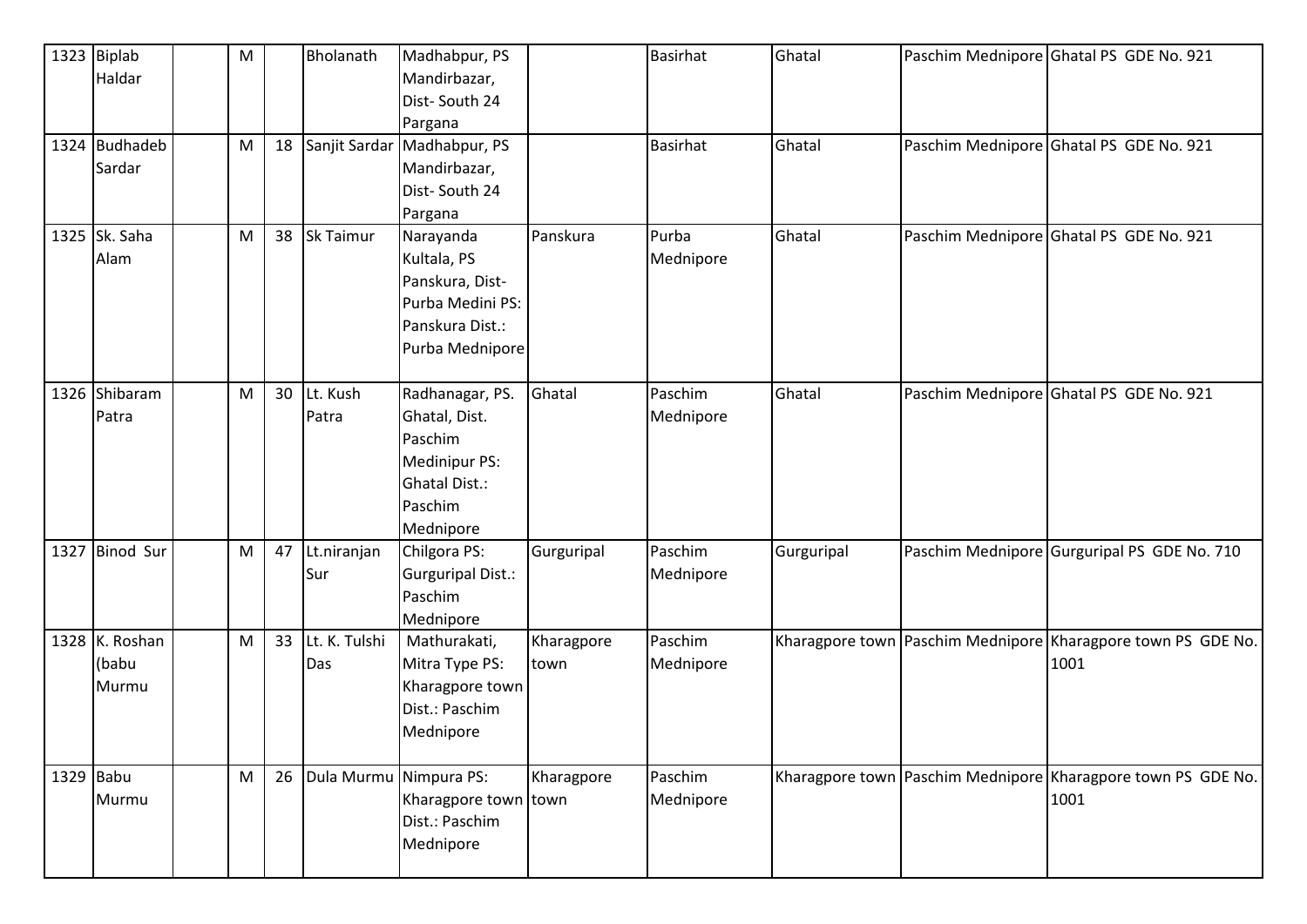|             | 1323 Biplab<br>Haldar            | M |    | Bholanath                     | Madhabpur, PS<br>Mandirbazar,<br>Dist-South 24<br>Pargana                                                    |                    | <b>Basirhat</b>      | Ghatal     | Paschim Mednipore Ghatal PS GDE No. 921                              |
|-------------|----------------------------------|---|----|-------------------------------|--------------------------------------------------------------------------------------------------------------|--------------------|----------------------|------------|----------------------------------------------------------------------|
|             | 1324 Budhadeb<br>Sardar          | M |    |                               | 18 Sanjit Sardar Madhabpur, PS<br>Mandirbazar,<br>Dist-South 24<br>Pargana                                   |                    | <b>Basirhat</b>      | Ghatal     | Paschim Mednipore Ghatal PS GDE No. 921                              |
|             | 1325 Sk. Saha<br>Alam            | M | 38 | Sk Taimur                     | Narayanda<br>Kultala, PS<br>Panskura, Dist-<br>Purba Medini PS:<br>Panskura Dist.:<br>Purba Mednipore        | Panskura           | Purba<br>Mednipore   | Ghatal     | Paschim Mednipore Ghatal PS GDE No. 921                              |
|             | 1326 Shibaram<br>Patra           | M | 30 | Lt. Kush<br>Patra             | Radhanagar, PS.<br>Ghatal, Dist.<br>Paschim<br>Medinipur PS:<br><b>Ghatal Dist.:</b><br>Paschim<br>Mednipore | Ghatal             | Paschim<br>Mednipore | Ghatal     | Paschim Mednipore Ghatal PS GDE No. 921                              |
|             | 1327 Binod Sur                   | M | 47 | Lt.niranjan<br>Sur            | Chilgora PS:<br><b>Gurguripal Dist.:</b><br>Paschim<br>Mednipore                                             | Gurguripal         | Paschim<br>Mednipore | Gurguripal | Paschim Mednipore Gurguripal PS GDE No. 710                          |
|             | 1328 K. Roshan<br>(babu<br>Murmu | M | 33 | Lt. K. Tulshi<br>Das          | Mathurakati,<br>Mitra Type PS:<br>Kharagpore town<br>Dist.: Paschim<br>Mednipore                             | Kharagpore<br>town | Paschim<br>Mednipore |            | Kharagpore town Paschim Mednipore Kharagpore town PS GDE No.<br>1001 |
| $1329$ Babu | Murmu                            | M |    | 26   Dula Murmu   Nimpura PS: | Kharagpore town town<br>Dist.: Paschim<br>Mednipore                                                          | Kharagpore         | Paschim<br>Mednipore |            | Kharagpore town Paschim Mednipore Kharagpore town PS GDE No.<br>1001 |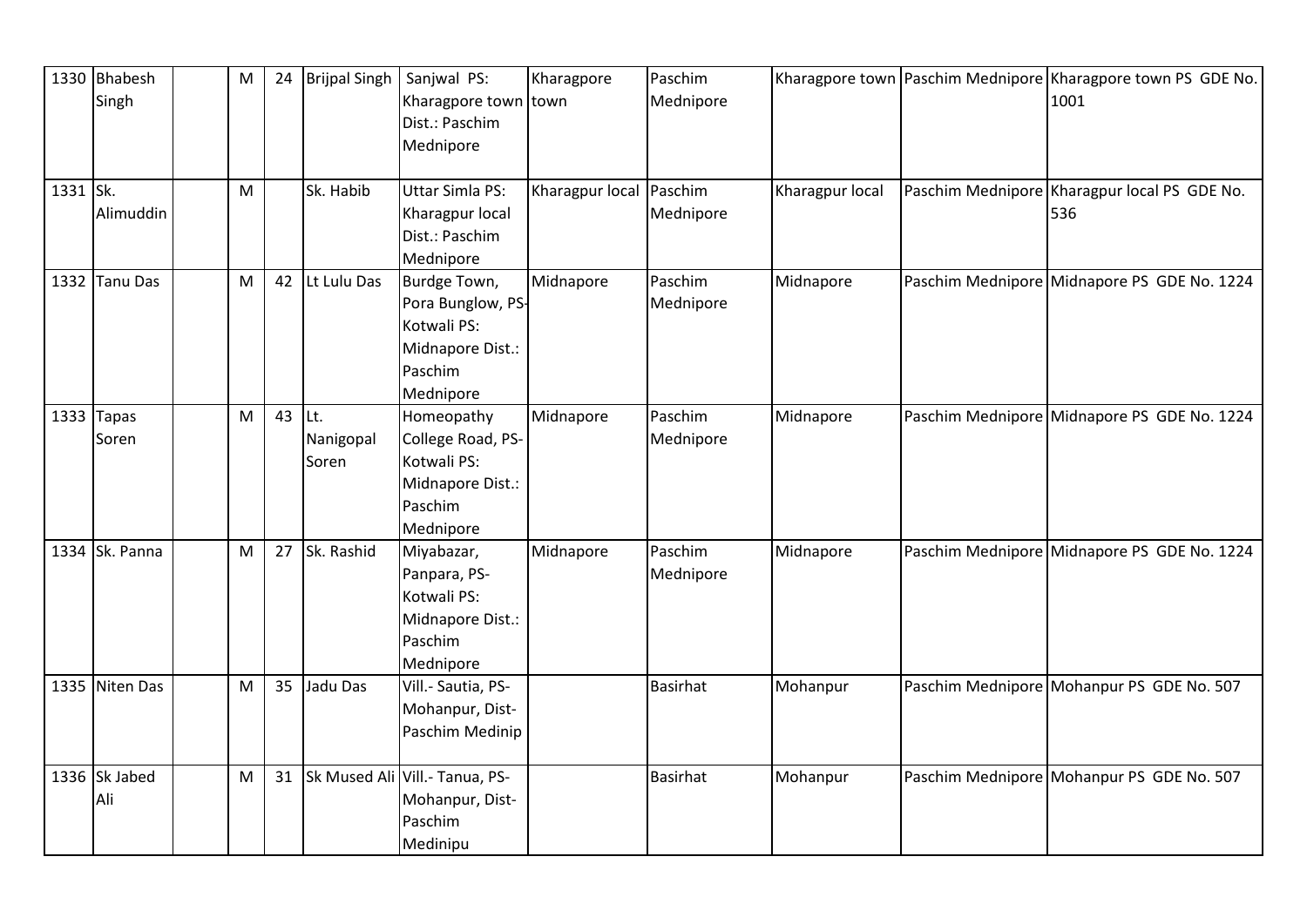|          | 1330 Bhabesh<br>Singh | M |        | 24 Brijpal Singh   | Sanjwal PS:<br>Kharagpore town town<br>Dist.: Paschim<br>Mednipore                           | Kharagpore              | Paschim<br>Mednipore |                 | Kharagpore town Paschim Mednipore Kharagpore town PS GDE No.<br>1001 |
|----------|-----------------------|---|--------|--------------------|----------------------------------------------------------------------------------------------|-------------------------|----------------------|-----------------|----------------------------------------------------------------------|
| 1331 Sk. | Alimuddin             | M |        | Sk. Habib          | Uttar Simla PS:<br>Kharagpur local<br>Dist.: Paschim<br>Mednipore                            | Kharagpur local Paschim | Mednipore            | Kharagpur local | Paschim Mednipore Kharagpur local PS GDE No.<br>536                  |
|          | 1332 Tanu Das         | M |        | 42 Lt Lulu Das     | Burdge Town,<br>Pora Bunglow, PS-<br>Kotwali PS:<br>Midnapore Dist.:<br>Paschim<br>Mednipore | Midnapore               | Paschim<br>Mednipore | Midnapore       | Paschim Mednipore Midnapore PS GDE No. 1224                          |
|          | 1333 $Tapas$<br>Soren | M | 43 Lt. | Nanigopal<br>Soren | Homeopathy<br>College Road, PS-<br>Kotwali PS:<br>Midnapore Dist.:<br>Paschim<br>Mednipore   | Midnapore               | Paschim<br>Mednipore | Midnapore       | Paschim Mednipore Midnapore PS GDE No. 1224                          |
|          | 1334 Sk. Panna        | M | 27     | Sk. Rashid         | Miyabazar,<br>Panpara, PS-<br>Kotwali PS:<br>Midnapore Dist.:<br>Paschim<br>Mednipore        | Midnapore               | Paschim<br>Mednipore | Midnapore       | Paschim Mednipore Midnapore PS GDE No. 1224                          |
|          | 1335 Niten Das        | M |        | 35 Jadu Das        | Vill.- Sautia, PS-<br>Mohanpur, Dist-<br>Paschim Medinip                                     |                         | <b>Basirhat</b>      | Mohanpur        | Paschim Mednipore Mohanpur PS GDE No. 507                            |
|          | 1336 Sk Jabed<br>Ali  | M |        |                    | 31 Sk Mused Ali Vill.- Tanua, PS-<br>Mohanpur, Dist-<br>Paschim<br>Medinipu                  |                         | <b>Basirhat</b>      | Mohanpur        | Paschim Mednipore Mohanpur PS GDE No. 507                            |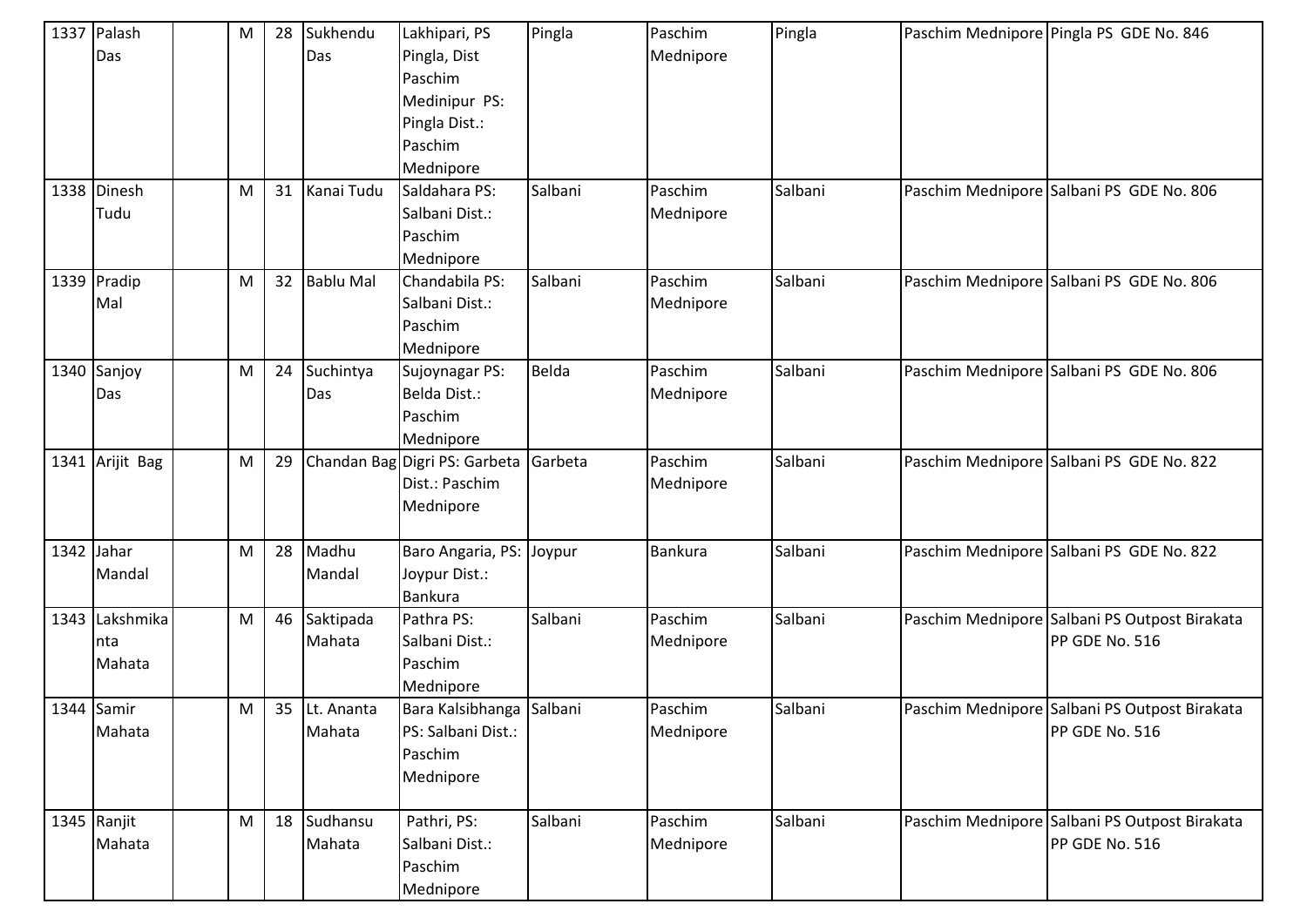|              | 1337 Palash<br>Das               | M | 28 | Sukhendu<br>Das         | Lakhipari, PS<br>Pingla, Dist<br>Paschim<br>Medinipur PS:<br>Pingla Dist.:<br>Paschim<br>Mednipore | Pingla  | Paschim<br>Mednipore | Pingla  | Paschim Mednipore Pingla PS GDE No. 846                         |
|--------------|----------------------------------|---|----|-------------------------|----------------------------------------------------------------------------------------------------|---------|----------------------|---------|-----------------------------------------------------------------|
|              | 1338 Dinesh<br>Tudu              | M | 31 | Kanai Tudu              | Saldahara PS:<br>Salbani Dist.:<br>Paschim<br>Mednipore                                            | Salbani | Paschim<br>Mednipore | Salbani | Paschim Mednipore Salbani PS GDE No. 806                        |
|              | 1339 Pradip<br>Mal               | M | 32 | <b>Bablu Mal</b>        | Chandabila PS:<br>Salbani Dist.:<br>Paschim<br>Mednipore                                           | Salbani | Paschim<br>Mednipore | Salbani | Paschim Mednipore Salbani PS GDE No. 806                        |
|              | 1340 Sanjoy<br>Das               | M | 24 | Suchintya<br>Das        | Sujoynagar PS:<br>Belda Dist.:<br>Paschim<br>Mednipore                                             | Belda   | Paschim<br>Mednipore | Salbani | Paschim Mednipore Salbani PS GDE No. 806                        |
|              | 1341 Arijit Bag                  | M | 29 |                         | Chandan Bag Digri PS: Garbeta<br>Dist.: Paschim<br>Mednipore                                       | Garbeta | Paschim<br>Mednipore | Salbani | Paschim Mednipore Salbani PS GDE No. 822                        |
| $1342$ Jahar | Mandal                           | M | 28 | Madhu<br>Mandal         | Baro Angaria, PS:<br>Joypur Dist.:<br><b>Bankura</b>                                               | Joypur  | Bankura              | Salbani | Paschim Mednipore Salbani PS GDE No. 822                        |
|              | 1343 Lakshmika<br>Inta<br>Mahata | M | 46 | Saktipada<br>Mahata     | Pathra PS:<br>Salbani Dist.:<br>Paschim<br>Mednipore                                               | Salbani | Paschim<br>Mednipore | Salbani | Paschim Mednipore Salbani PS Outpost Birakata<br>PP GDE No. 516 |
|              | 1344 Samir<br>Mahata             | M |    | 35 Lt. Ananta<br>Mahata | Bara Kalsibhanga Salbani<br>PS: Salbani Dist.:<br>Paschim<br>Mednipore                             |         | Paschim<br>Mednipore | Salbani | Paschim Mednipore Salbani PS Outpost Birakata<br>PP GDE No. 516 |
|              | 1345 Ranjit<br>Mahata            | M | 18 | Sudhansu<br>Mahata      | Pathri, PS:<br>Salbani Dist.:<br>Paschim<br>Mednipore                                              | Salbani | Paschim<br>Mednipore | Salbani | Paschim Mednipore Salbani PS Outpost Birakata<br>PP GDE No. 516 |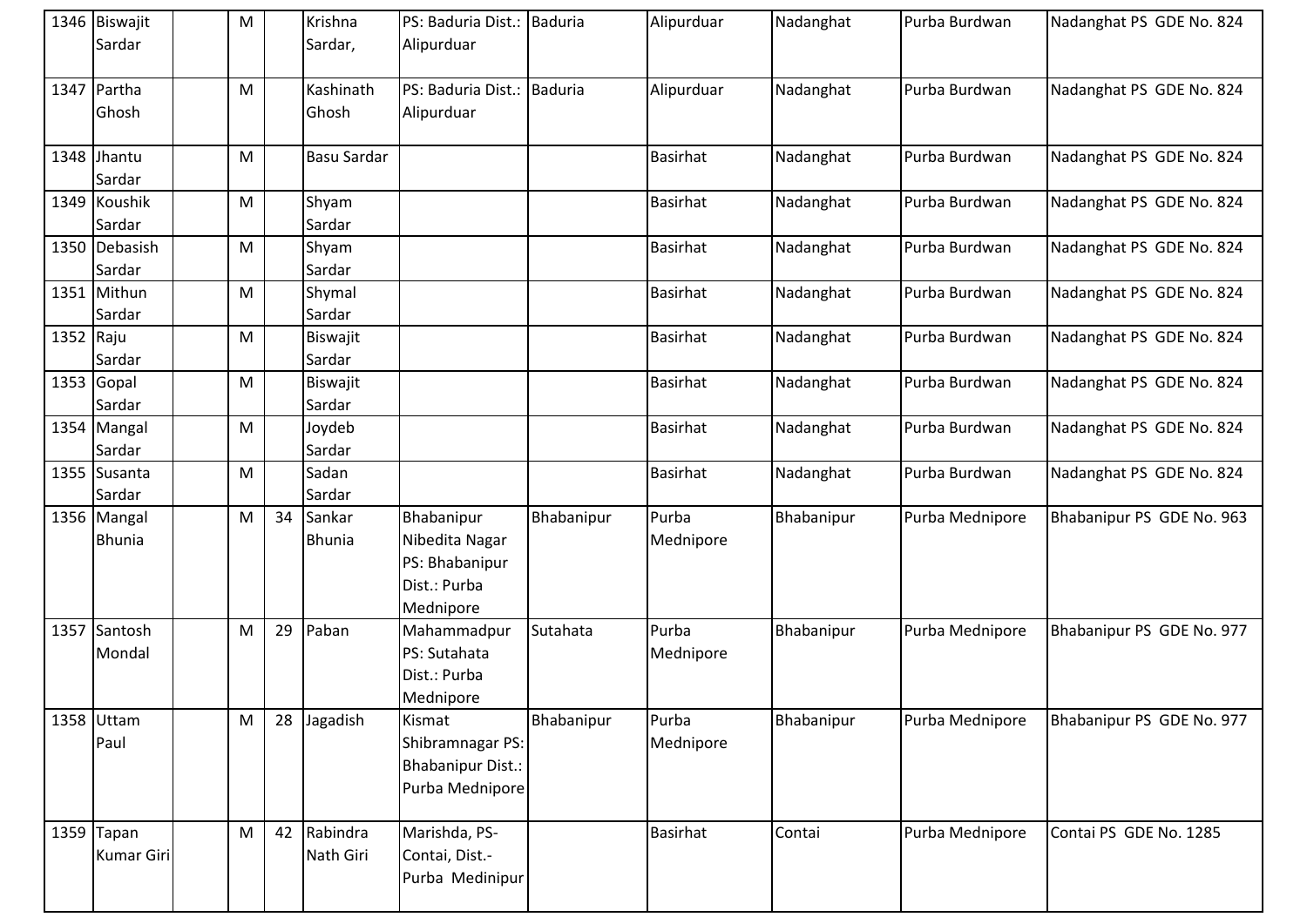|           | 1346 Biswajit     | M |    | Krishna            | PS: Baduria Dist.: Baduria |                | Alipurduar      | Nadanghat  | Purba Burdwan   | Nadanghat PS GDE No. 824  |
|-----------|-------------------|---|----|--------------------|----------------------------|----------------|-----------------|------------|-----------------|---------------------------|
|           | Sardar            |   |    | Sardar,            | Alipurduar                 |                |                 |            |                 |                           |
|           |                   |   |    |                    |                            |                |                 |            |                 |                           |
|           | 1347 Partha       | M |    | Kashinath          | PS: Baduria Dist.:         | <b>Baduria</b> | Alipurduar      | Nadanghat  | Purba Burdwan   | Nadanghat PS GDE No. 824  |
|           | Ghosh             |   |    | Ghosh              | Alipurduar                 |                |                 |            |                 |                           |
|           |                   |   |    |                    |                            |                |                 |            |                 |                           |
|           | 1348 Jhantu       | M |    | <b>Basu Sardar</b> |                            |                | <b>Basirhat</b> | Nadanghat  | Purba Burdwan   | Nadanghat PS GDE No. 824  |
|           | Sardar            |   |    |                    |                            |                |                 |            |                 |                           |
|           | 1349 Koushik      | M |    | Shyam              |                            |                | <b>Basirhat</b> | Nadanghat  | Purba Burdwan   | Nadanghat PS GDE No. 824  |
|           | Sardar            |   |    | Sardar             |                            |                |                 |            |                 |                           |
|           | 1350 Debasish     | M |    | Shyam              |                            |                | <b>Basirhat</b> | Nadanghat  | Purba Burdwan   | Nadanghat PS GDE No. 824  |
|           | Sardar            |   |    | Sardar             |                            |                |                 |            |                 |                           |
|           | 1351 Mithun       | M |    | Shymal             |                            |                | <b>Basirhat</b> | Nadanghat  | Purba Burdwan   | Nadanghat PS GDE No. 824  |
|           | Sardar            |   |    | Sardar             |                            |                |                 |            |                 |                           |
| 1352 Raju |                   | M |    | Biswajit           |                            |                | <b>Basirhat</b> | Nadanghat  | Purba Burdwan   | Nadanghat PS GDE No. 824  |
|           | Sardar            |   |    | Sardar             |                            |                |                 |            |                 |                           |
|           | 1353 Gopal        | M |    | Biswajit           |                            |                | <b>Basirhat</b> | Nadanghat  | Purba Burdwan   | Nadanghat PS GDE No. 824  |
|           | Sardar            |   |    | Sardar             |                            |                |                 |            |                 |                           |
|           | 1354 Mangal       | M |    | Joydeb             |                            |                | <b>Basirhat</b> | Nadanghat  | Purba Burdwan   | Nadanghat PS GDE No. 824  |
|           | Sardar            |   |    | Sardar             |                            |                |                 |            |                 |                           |
|           | 1355 Susanta      | M |    | Sadan              |                            |                | <b>Basirhat</b> | Nadanghat  | Purba Burdwan   | Nadanghat PS GDE No. 824  |
|           | Sardar            |   |    | Sardar             |                            |                |                 |            |                 |                           |
|           | 1356 Mangal       | M | 34 | Sankar             | Bhabanipur                 | Bhabanipur     | Purba           | Bhabanipur | Purba Mednipore | Bhabanipur PS GDE No. 963 |
|           | <b>Bhunia</b>     |   |    | Bhunia             | Nibedita Nagar             |                | Mednipore       |            |                 |                           |
|           |                   |   |    |                    | PS: Bhabanipur             |                |                 |            |                 |                           |
|           |                   |   |    |                    | Dist.: Purba               |                |                 |            |                 |                           |
|           |                   |   |    |                    | Mednipore                  |                |                 |            |                 |                           |
|           | 1357 Santosh      | M | 29 | Paban              | Mahammadpur                | Sutahata       | Purba           | Bhabanipur | Purba Mednipore | Bhabanipur PS GDE No. 977 |
|           | Mondal            |   |    |                    | PS: Sutahata               |                | Mednipore       |            |                 |                           |
|           |                   |   |    |                    | Dist.: Purba               |                |                 |            |                 |                           |
|           |                   |   |    |                    | Mednipore                  |                |                 |            |                 |                           |
|           | 1358 Uttam        | M | 28 | Jagadish           | Kismat                     | Bhabanipur     | Purba           | Bhabanipur | Purba Mednipore | Bhabanipur PS GDE No. 977 |
|           | Paul              |   |    |                    | Shibramnagar PS:           |                | Mednipore       |            |                 |                           |
|           |                   |   |    |                    | <b>Bhabanipur Dist.:</b>   |                |                 |            |                 |                           |
|           |                   |   |    |                    | Purba Mednipore            |                |                 |            |                 |                           |
|           |                   |   |    |                    |                            |                |                 |            |                 |                           |
|           | 1359 Tapan        | M | 42 | Rabindra           | Marishda, PS-              |                | <b>Basirhat</b> | Contai     | Purba Mednipore | Contai PS GDE No. 1285    |
|           | <b>Kumar Giri</b> |   |    | Nath Giri          | Contai, Dist.-             |                |                 |            |                 |                           |
|           |                   |   |    |                    | Purba Medinipur            |                |                 |            |                 |                           |
|           |                   |   |    |                    |                            |                |                 |            |                 |                           |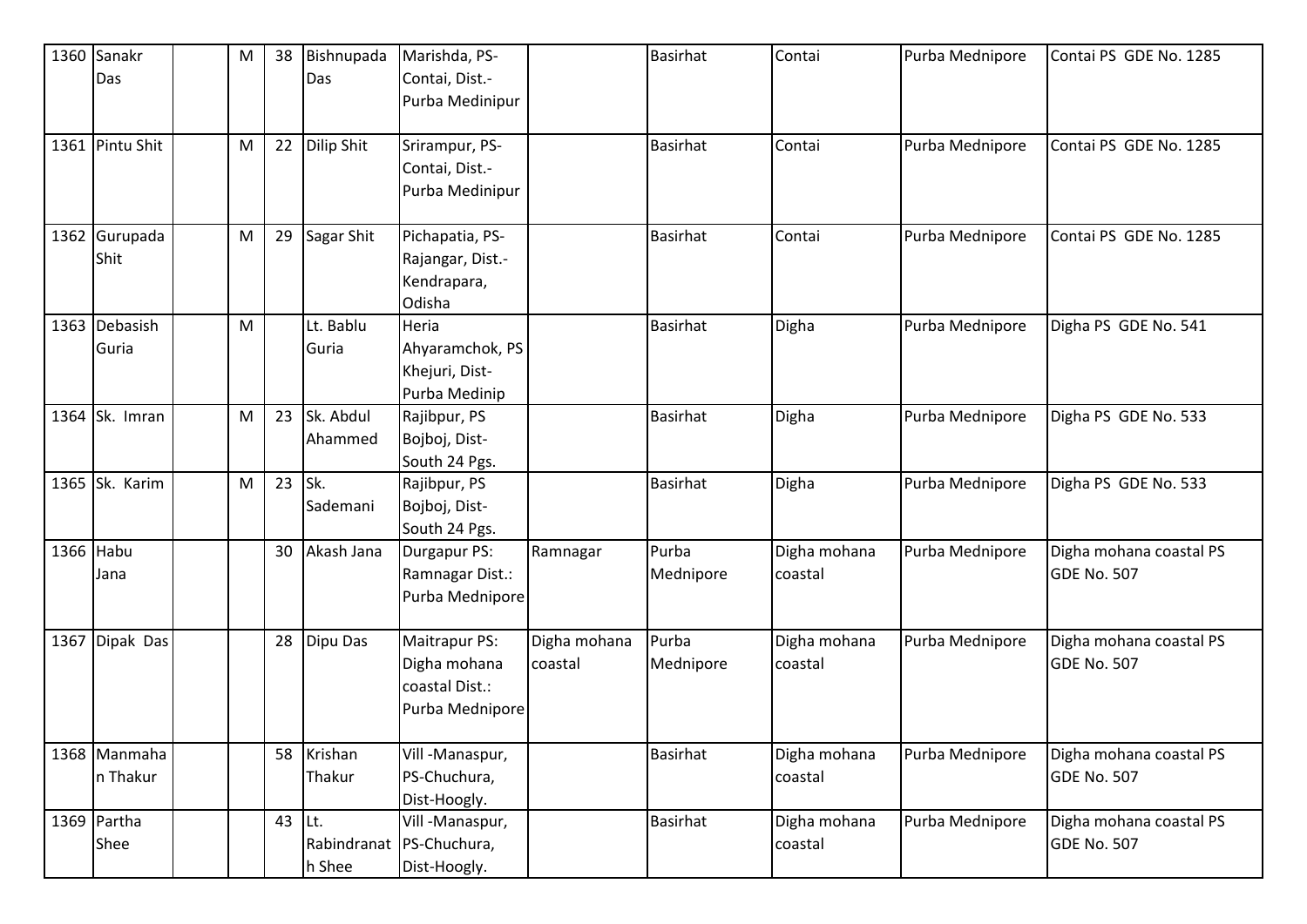|           | 1360 Sanakr     | M         | 38 | Bishnupada    | Marishda, PS-            |              | <b>Basirhat</b> | Contai       | Purba Mednipore | Contai PS GDE No. 1285  |
|-----------|-----------------|-----------|----|---------------|--------------------------|--------------|-----------------|--------------|-----------------|-------------------------|
|           | Das             |           |    | Das           | Contai, Dist.-           |              |                 |              |                 |                         |
|           |                 |           |    |               | Purba Medinipur          |              |                 |              |                 |                         |
|           |                 |           |    |               |                          |              |                 |              |                 |                         |
|           | 1361 Pintu Shit | M         |    | 22 Dilip Shit | Srirampur, PS-           |              | <b>Basirhat</b> | Contai       | Purba Mednipore | Contai PS GDE No. 1285  |
|           |                 |           |    |               | Contai, Dist.-           |              |                 |              |                 |                         |
|           |                 |           |    |               | Purba Medinipur          |              |                 |              |                 |                         |
|           |                 |           |    |               |                          |              |                 |              |                 |                         |
|           | 1362 Gurupada   | ${\sf M}$ | 29 | Sagar Shit    | Pichapatia, PS-          |              | <b>Basirhat</b> | Contai       | Purba Mednipore | Contai PS GDE No. 1285  |
|           | Shit            |           |    |               | Rajangar, Dist.-         |              |                 |              |                 |                         |
|           |                 |           |    |               | Kendrapara,              |              |                 |              |                 |                         |
|           |                 |           |    |               | Odisha                   |              |                 |              |                 |                         |
|           | 1363 Debasish   | ${\sf M}$ |    | Lt. Bablu     | Heria                    |              | <b>Basirhat</b> | Digha        | Purba Mednipore | Digha PS GDE No. 541    |
|           | Guria           |           |    | Guria         | Ahyaramchok, PS          |              |                 |              |                 |                         |
|           |                 |           |    |               | Khejuri, Dist-           |              |                 |              |                 |                         |
|           |                 |           |    |               | Purba Medinip            |              |                 |              |                 |                         |
|           | 1364 Sk. Imran  | M         | 23 | Sk. Abdul     | Rajibpur, PS             |              | <b>Basirhat</b> | Digha        | Purba Mednipore | Digha PS GDE No. 533    |
|           |                 |           |    | Ahammed       | Bojboj, Dist-            |              |                 |              |                 |                         |
|           |                 |           |    |               | South 24 Pgs.            |              |                 |              |                 |                         |
|           | 1365 Sk. Karim  | M         | 23 | Isk.          | Rajibpur, PS             |              | <b>Basirhat</b> | Digha        | Purba Mednipore | Digha PS GDE No. 533    |
|           |                 |           |    | Sademani      | Bojboj, Dist-            |              |                 |              |                 |                         |
|           |                 |           |    |               | South 24 Pgs.            |              |                 |              |                 |                         |
| 1366 Habu |                 |           | 30 | Akash Jana    | Durgapur PS:             | Ramnagar     | Purba           | Digha mohana | Purba Mednipore | Digha mohana coastal PS |
|           | Jana            |           |    |               | Ramnagar Dist.:          |              | Mednipore       | coastal      |                 | <b>GDE No. 507</b>      |
|           |                 |           |    |               | Purba Mednipore          |              |                 |              |                 |                         |
|           |                 |           |    |               |                          |              |                 |              |                 |                         |
|           | 1367 Dipak Das  |           | 28 | Dipu Das      | Maitrapur PS:            | Digha mohana | Purba           | Digha mohana | Purba Mednipore | Digha mohana coastal PS |
|           |                 |           |    |               | Digha mohana             | coastal      | Mednipore       | coastal      |                 | <b>GDE No. 507</b>      |
|           |                 |           |    |               | coastal Dist.:           |              |                 |              |                 |                         |
|           |                 |           |    |               | Purba Mednipore          |              |                 |              |                 |                         |
|           |                 |           |    |               |                          |              |                 |              |                 |                         |
|           | 1368 Manmaha    |           |    | 58 Krishan    | Vill-Manaspur,           |              | <b>Basirhat</b> | Digha mohana | Purba Mednipore | Digha mohana coastal PS |
|           | n Thakur        |           |    | Thakur        | PS-Chuchura,             |              |                 | coastal      |                 | <b>GDE No. 507</b>      |
|           |                 |           |    |               | Dist-Hoogly.             |              |                 |              |                 |                         |
|           | 1369 Partha     |           | 43 | $ $ Lt.       | Vill-Manaspur,           |              | <b>Basirhat</b> | Digha mohana | Purba Mednipore | Digha mohana coastal PS |
|           | Shee            |           |    |               | Rabindranat PS-Chuchura, |              |                 | coastal      |                 | <b>GDE No. 507</b>      |
|           |                 |           |    | h Shee        | Dist-Hoogly.             |              |                 |              |                 |                         |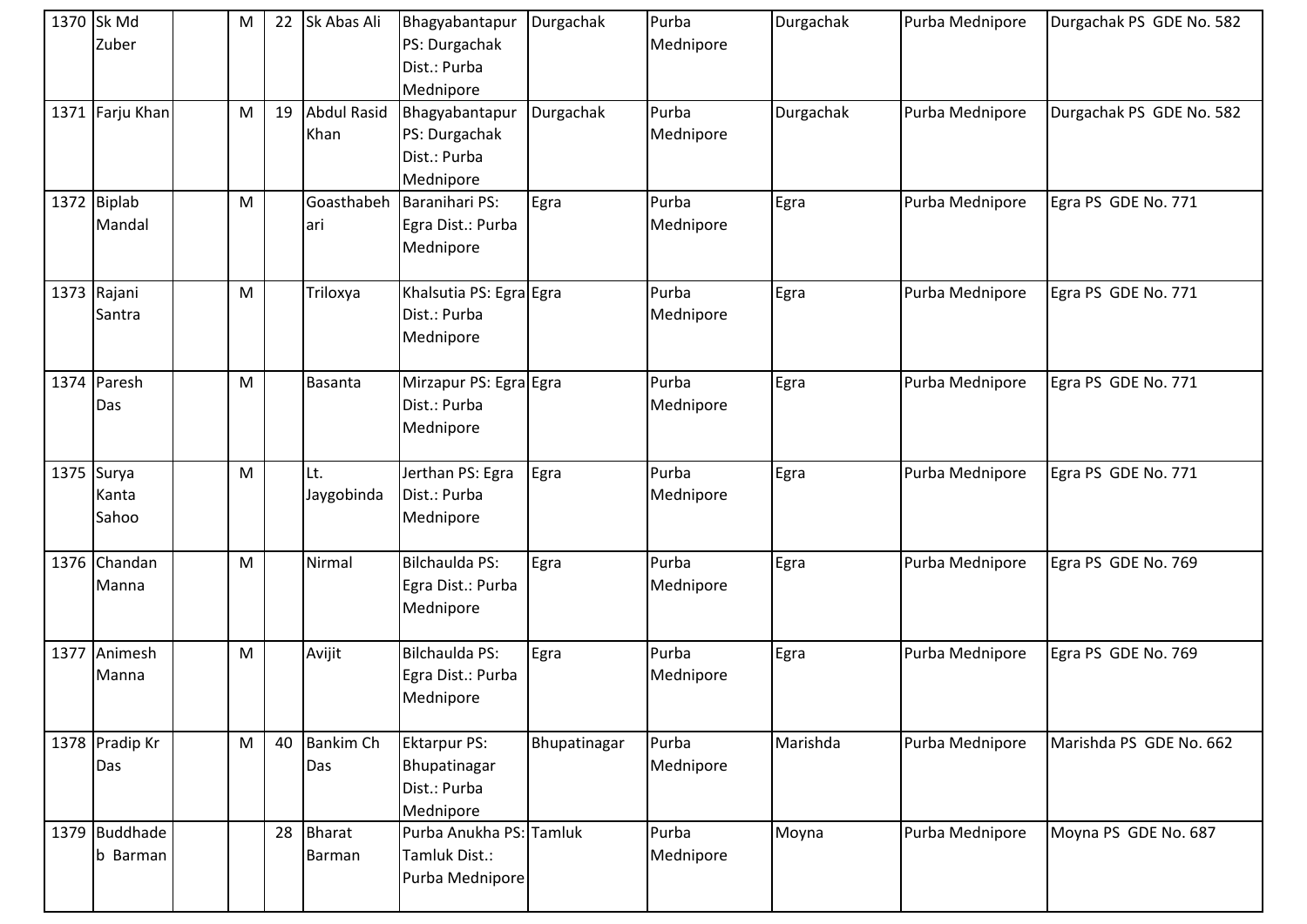| 1370 Sk Md<br>Zuber            | M | 22 | Sk Abas Ali             | Bhagyabantapur<br>PS: Durgachak<br>Dist.: Purba<br>Mednipore     | Durgachak    | Purba<br>Mednipore | Durgachak | Purba Mednipore | Durgachak PS GDE No. 582 |
|--------------------------------|---|----|-------------------------|------------------------------------------------------------------|--------------|--------------------|-----------|-----------------|--------------------------|
| 1371 Farju Khan                | M | 19 | Abdul Rasid<br>Khan     | Bhagyabantapur<br>PS: Durgachak<br>Dist.: Purba<br>Mednipore     | Durgachak    | Purba<br>Mednipore | Durgachak | Purba Mednipore | Durgachak PS GDE No. 582 |
| 1372 Biplab<br>Mandal          | M |    | Goasthabeh<br>lari      | Baranihari PS:<br>Egra Dist.: Purba<br>Mednipore                 | Egra         | Purba<br>Mednipore | Egra      | Purba Mednipore | Egra PS GDE No. 771      |
| 1373 Rajani<br>Santra          | M |    | Triloxya                | Khalsutia PS: Egra Egra<br>Dist.: Purba<br>Mednipore             |              | Purba<br>Mednipore | Egra      | Purba Mednipore | Egra PS GDE No. 771      |
| 1374 Paresh<br>Das             | M |    | Basanta                 | Mirzapur PS: Egra Egra<br>Dist.: Purba<br>Mednipore              |              | Purba<br>Mednipore | Egra      | Purba Mednipore | Egra PS GDE No. 771      |
| $1375$ Surya<br>Kanta<br>Sahoo | M |    | Lt.<br>Jaygobinda       | Jerthan PS: Egra<br>Dist.: Purba<br>Mednipore                    | Egra         | Purba<br>Mednipore | Egra      | Purba Mednipore | Egra PS GDE No. 771      |
| 1376 Chandan<br>Manna          | M |    | Nirmal                  | Bilchaulda PS:<br>Egra Dist.: Purba<br>Mednipore                 | Egra         | Purba<br>Mednipore | Egra      | Purba Mednipore | Egra PS GDE No. 769      |
| 1377 Animesh<br>Manna          | M |    | Avijit                  | <b>Bilchaulda PS:</b><br>Egra Dist.: Purba<br>Mednipore          | Egra         | Purba<br>Mednipore | Egra      | Purba Mednipore | Egra PS GDE No. 769      |
| 1378 Pradip Kr<br>Das          | M | 40 | <b>Bankim Ch</b><br>Das | <b>Ektarpur PS:</b><br>Bhupatinagar<br>Dist.: Purba<br>Mednipore | Bhupatinagar | Purba<br>Mednipore | Marishda  | Purba Mednipore | Marishda PS GDE No. 662  |
| 1379 Buddhade<br>b Barman      |   | 28 | <b>Bharat</b><br>Barman | Purba Anukha PS: Tamluk<br>Tamluk Dist.:<br>Purba Mednipore      |              | Purba<br>Mednipore | Moyna     | Purba Mednipore | Moyna PS GDE No. 687     |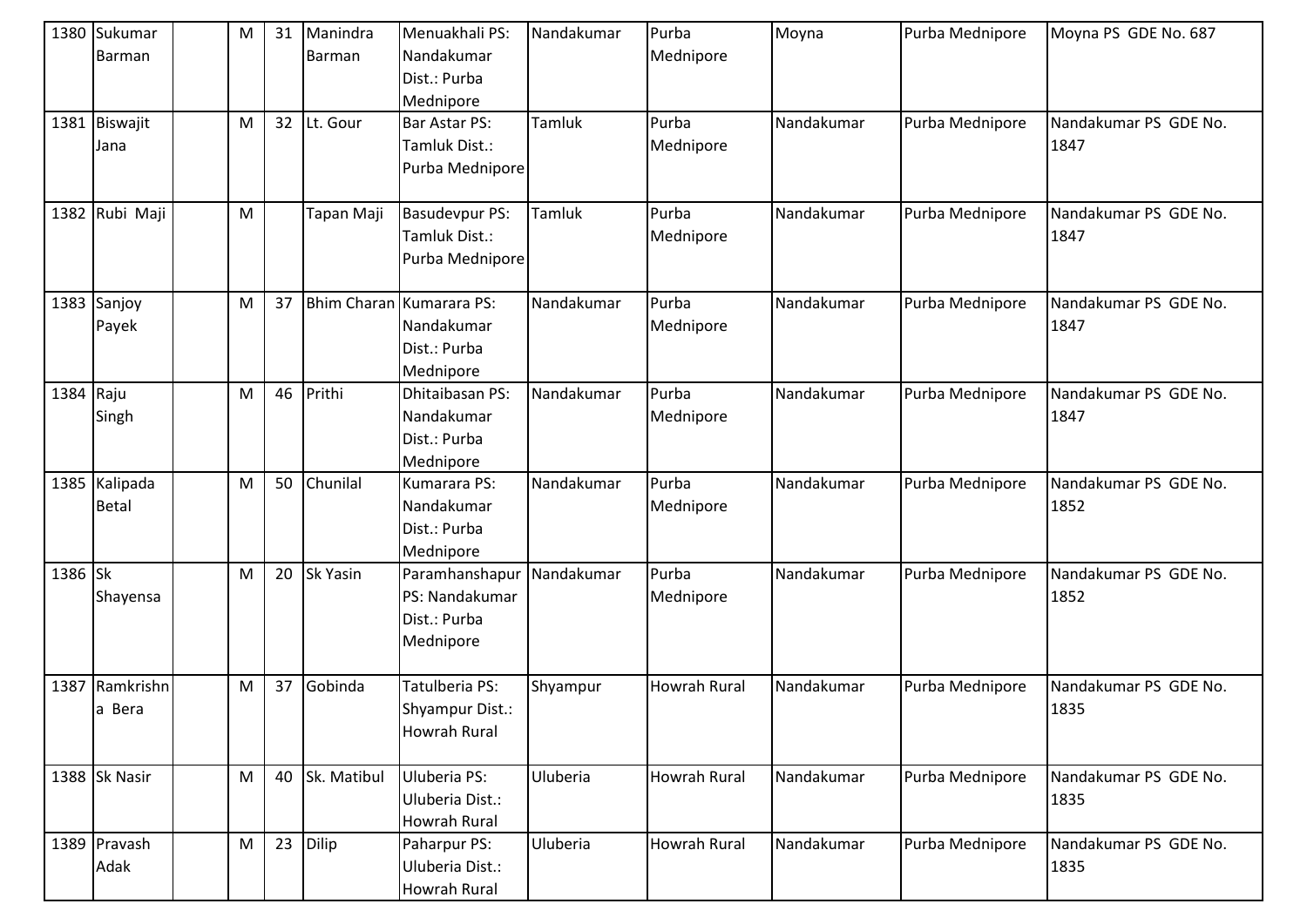|           | 1380 Sukumar<br>Barman        | M | 31 | Manindra<br>Barman | Menuakhali PS:<br>Nandakumar<br>Dist.: Purba<br>Mednipore           | Nandakumar | Purba<br>Mednipore  | Moyna      | Purba Mednipore | Moyna PS GDE No. 687          |
|-----------|-------------------------------|---|----|--------------------|---------------------------------------------------------------------|------------|---------------------|------------|-----------------|-------------------------------|
|           | 1381 Biswajit<br>Jana         | M | 32 | Lt. Gour           | Bar Astar PS:<br>Tamluk Dist.:<br>Purba Mednipore                   | Tamluk     | Purba<br>Mednipore  | Nandakumar | Purba Mednipore | Nandakumar PS GDE No.<br>1847 |
|           | 1382 Rubi Maji                | M |    | Tapan Maji         | <b>Basudevpur PS:</b><br>Tamluk Dist.:<br>Purba Mednipore           | Tamluk     | Purba<br>Mednipore  | Nandakumar | Purba Mednipore | Nandakumar PS GDE No.<br>1847 |
|           | 1383 Sanjoy<br>Payek          | M | 37 |                    | Bhim Charan Kumarara PS:<br>Nandakumar<br>Dist.: Purba<br>Mednipore | Nandakumar | Purba<br>Mednipore  | Nandakumar | Purba Mednipore | Nandakumar PS GDE No.<br>1847 |
| 1384 Raju | Singh                         | M | 46 | Prithi             | Dhitaibasan PS:<br>Nandakumar<br>Dist.: Purba<br>Mednipore          | Nandakumar | Purba<br>Mednipore  | Nandakumar | Purba Mednipore | Nandakumar PS GDE No.<br>1847 |
|           | 1385 Kalipada<br><b>Betal</b> | M | 50 | Chunilal           | Kumarara PS:<br>Nandakumar<br>Dist.: Purba<br>Mednipore             | Nandakumar | Purba<br>Mednipore  | Nandakumar | Purba Mednipore | Nandakumar PS GDE No.<br>1852 |
| 1386 Sk   | Shayensa                      | M | 20 | <b>Sk Yasin</b>    | Paramhanshapur<br>PS: Nandakumar<br>Dist.: Purba<br>Mednipore       | Nandakumar | Purba<br>Mednipore  | Nandakumar | Purba Mednipore | Nandakumar PS GDE No.<br>1852 |
|           | 1387 Ramkrishn<br>a Bera      | M | 37 | Gobinda            | Tatulberia PS:<br>Shyampur Dist.:<br>Howrah Rural                   | Shyampur   | <b>Howrah Rural</b> | Nandakumar | Purba Mednipore | Nandakumar PS GDE No.<br>1835 |
|           | 1388 Sk Nasir                 | M | 40 | Sk. Matibul        | Uluberia PS:<br>Uluberia Dist.:<br>Howrah Rural                     | Uluberia   | Howrah Rural        | Nandakumar | Purba Mednipore | Nandakumar PS GDE No.<br>1835 |
|           | 1389 Pravash<br>Adak          | M | 23 | Dilip              | Paharpur PS:<br>Uluberia Dist.:<br>Howrah Rural                     | Uluberia   | Howrah Rural        | Nandakumar | Purba Mednipore | Nandakumar PS GDE No.<br>1835 |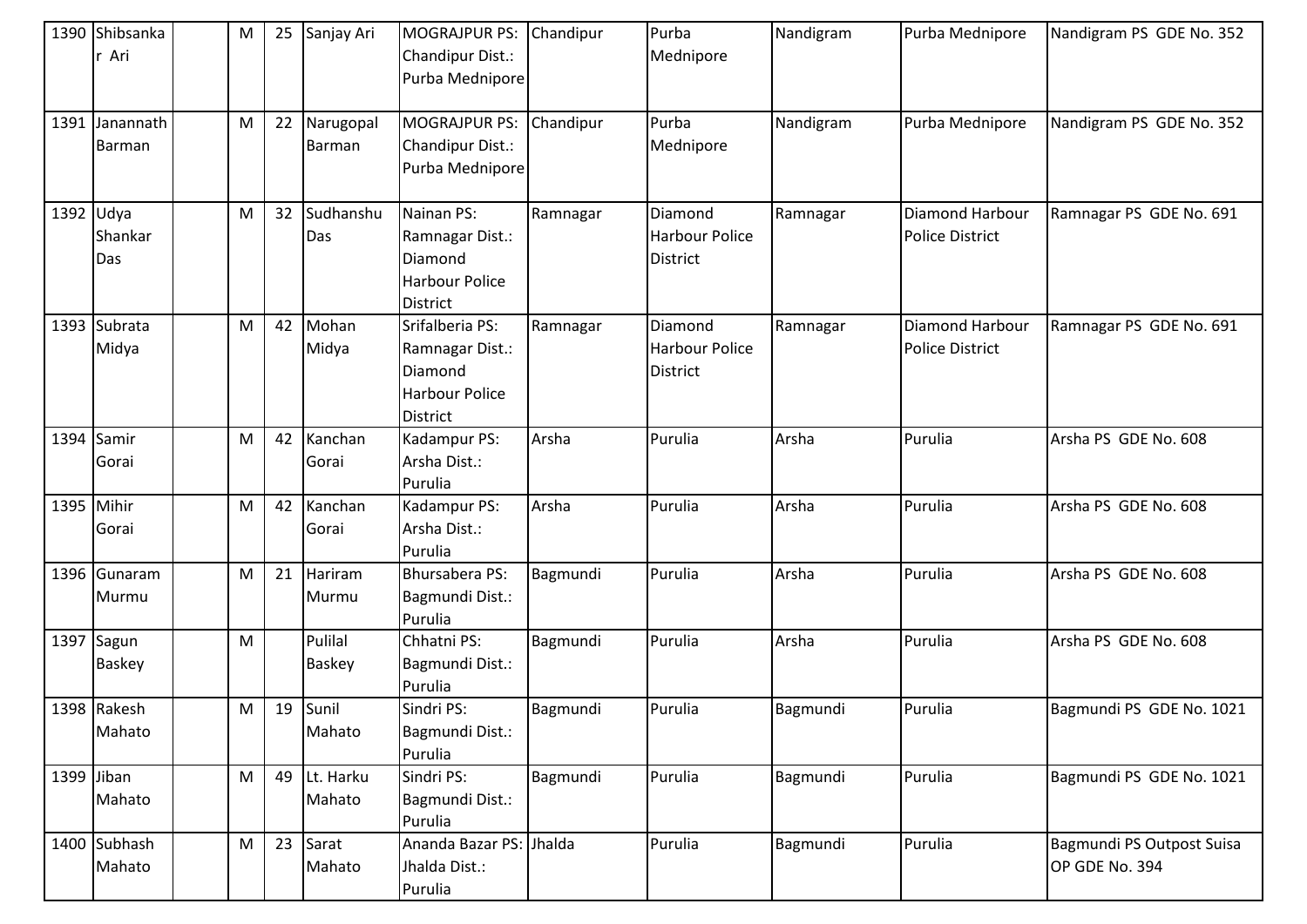|            | 1390 Shibsanka<br>r Ari     | M | 25 | Sanjay Ari                 | <b>MOGRAJPUR PS:</b><br>Chandipur Dist.:<br>Purba Mednipore                               | Chandipur | Purba<br>Mednipore                                  | Nandigram | Purba Mednipore                           | Nandigram PS GDE No. 352                    |
|------------|-----------------------------|---|----|----------------------------|-------------------------------------------------------------------------------------------|-----------|-----------------------------------------------------|-----------|-------------------------------------------|---------------------------------------------|
|            | 1391 Janannath<br>Barman    | M | 22 | Narugopal<br><b>Barman</b> | <b>MOGRAJPUR PS:</b><br>Chandipur Dist.:<br>Purba Mednipore                               | Chandipur | Purba<br>Mednipore                                  | Nandigram | Purba Mednipore                           | Nandigram PS GDE No. 352                    |
| 1392 Udya  | Shankar<br>Das              | M | 32 | Sudhanshu<br>Das           | Nainan PS:<br>Ramnagar Dist.:<br>Diamond<br><b>Harbour Police</b><br><b>District</b>      | Ramnagar  | Diamond<br><b>Harbour Police</b><br><b>District</b> | Ramnagar  | Diamond Harbour<br><b>Police District</b> | Ramnagar PS GDE No. 691                     |
|            | 1393 Subrata<br>Midya       | M | 42 | Mohan<br>Midya             | Srifalberia PS:<br>Ramnagar Dist.:<br>Diamond<br><b>Harbour Police</b><br><b>District</b> | Ramnagar  | Diamond<br><b>Harbour Police</b><br>District        | Ramnagar  | Diamond Harbour<br><b>Police District</b> | Ramnagar PS GDE No. 691                     |
|            | 1394 Samir<br>Gorai         | M | 42 | Kanchan<br>Gorai           | Kadampur PS:<br>Arsha Dist.:<br>Purulia                                                   | Arsha     | Purulia                                             | Arsha     | Purulia                                   | Arsha PS GDE No. 608                        |
| 1395 Mihir | Gorai                       | M | 42 | Kanchan<br>Gorai           | Kadampur PS:<br>Arsha Dist.:<br>Purulia                                                   | Arsha     | Purulia                                             | Arsha     | Purulia                                   | Arsha PS GDE No. 608                        |
|            | 1396 Gunaram<br>Murmu       | M | 21 | Hariram<br>Murmu           | <b>Bhursabera PS:</b><br>Bagmundi Dist.:<br>Purulia                                       | Bagmundi  | Purulia                                             | Arsha     | Purulia                                   | Arsha PS GDE No. 608                        |
|            | 1397 Sagun<br><b>Baskey</b> | M |    | Pulilal<br><b>Baskey</b>   | Chhatni PS:<br>Bagmundi Dist.:<br>Purulia                                                 | Bagmundi  | Purulia                                             | Arsha     | Purulia                                   | Arsha PS GDE No. 608                        |
|            | 1398 Rakesh<br>Mahato       | M | 19 | Sunil<br>Mahato            | Sindri PS:<br>Bagmundi Dist.:<br>Purulia                                                  | Bagmundi  | Purulia                                             | Bagmundi  | Purulia                                   | Bagmundi PS GDE No. 1021                    |
| 1399 Jiban | Mahato                      | M | 49 | Lt. Harku<br>Mahato        | Sindri PS:<br>Bagmundi Dist.:<br>Purulia                                                  | Bagmundi  | Purulia                                             | Bagmundi  | Purulia                                   | Bagmundi PS GDE No. 1021                    |
|            | 1400 Subhash<br>Mahato      | M | 23 | Sarat<br>Mahato            | Ananda Bazar PS: Jhalda<br>Jhalda Dist.:<br>Purulia                                       |           | Purulia                                             | Bagmundi  | Purulia                                   | Bagmundi PS Outpost Suisa<br>OP GDE No. 394 |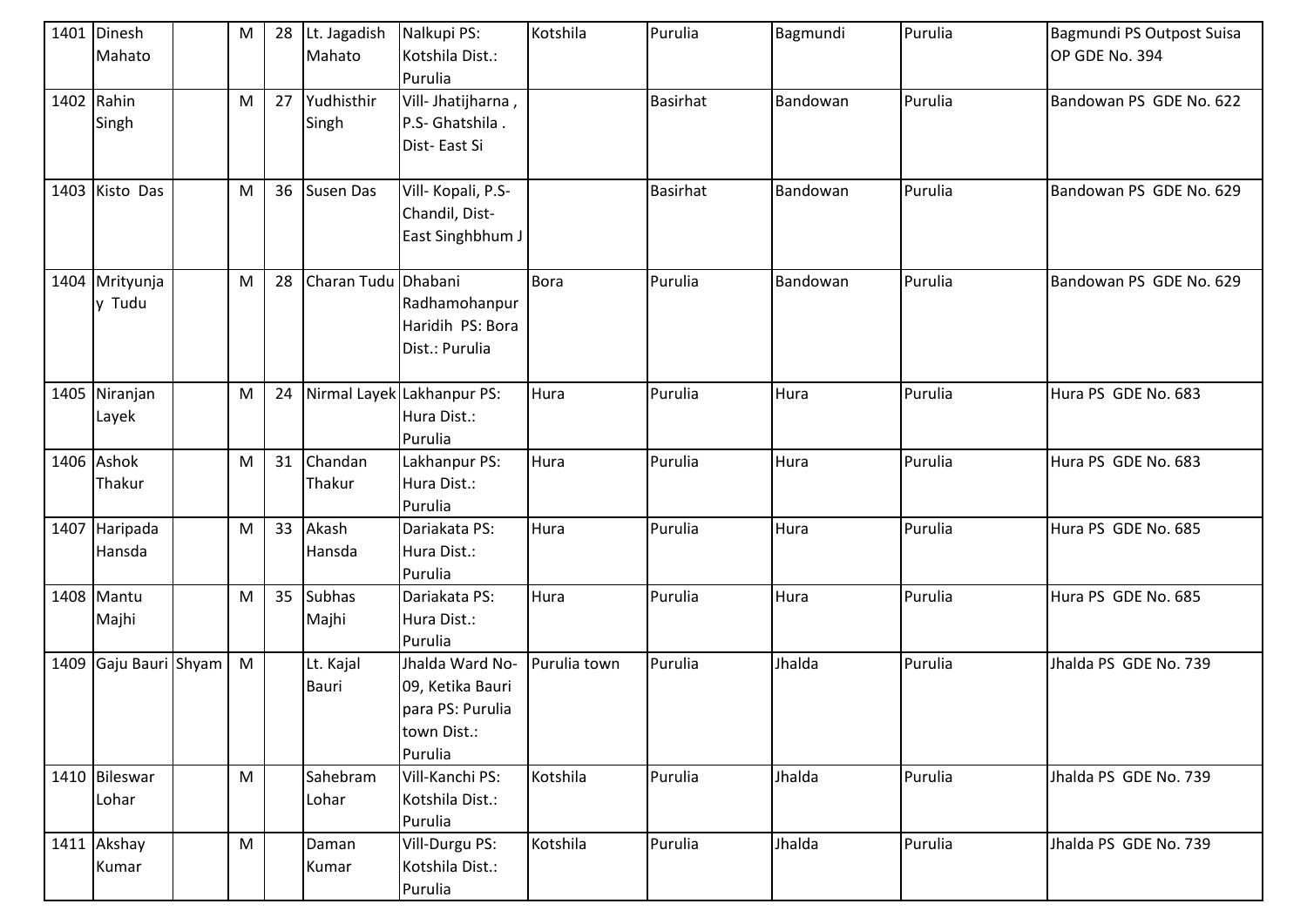| 1401 | Dinesh<br>Mahato         | M         | 28 | Lt. Jagadish<br>Mahato | Nalkupi PS:<br>Kotshila Dist.:<br>Purulia                                         | Kotshila     | Purulia         | Bagmundi | Purulia | Bagmundi PS Outpost Suisa<br>OP GDE No. 394 |
|------|--------------------------|-----------|----|------------------------|-----------------------------------------------------------------------------------|--------------|-----------------|----------|---------|---------------------------------------------|
| 1402 | Rahin<br>Singh           | ${\sf M}$ | 27 | Yudhisthir<br>Singh    | Vill- Jhatijharna,<br>P.S- Ghatshila.<br>Dist-East Si                             |              | <b>Basirhat</b> | Bandowan | Purulia | Bandowan PS GDE No. 622                     |
|      | 1403 Kisto Das           | M         | 36 | Susen Das              | Vill-Kopali, P.S-<br>Chandil, Dist-<br>East Singhbhum J                           |              | <b>Basirhat</b> | Bandowan | Purulia | Bandowan PS GDE No. 629                     |
|      | 1404 Mrityunja<br>y Tudu | M         | 28 | Charan Tudu Dhabani    | Radhamohanpur<br>Haridih PS: Bora<br>Dist.: Purulia                               | Bora         | Purulia         | Bandowan | Purulia | Bandowan PS GDE No. 629                     |
|      | 1405 Niranjan<br>Layek   | M         | 24 |                        | Nirmal Layek Lakhanpur PS:<br>Hura Dist.:<br>Purulia                              | Hura         | Purulia         | Hura     | Purulia | Hura PS GDE No. 683                         |
|      | 1406 Ashok<br>Thakur     | M         | 31 | Chandan<br>Thakur      | Lakhanpur PS:<br>Hura Dist.:<br>Purulia                                           | Hura         | Purulia         | Hura     | Purulia | Hura PS GDE No. 683                         |
| 1407 | Haripada<br>Hansda       | M         | 33 | Akash<br>Hansda        | Dariakata PS:<br>Hura Dist.:<br>Purulia                                           | Hura         | Purulia         | Hura     | Purulia | Hura PS GDE No. 685                         |
|      | 1408 Mantu<br>Majhi      | M         | 35 | Subhas<br>Majhi        | Dariakata PS:<br>Hura Dist.:<br>Purulia                                           | Hura         | Purulia         | Hura     | Purulia | Hura PS GDE No. 685                         |
|      | 1409 Gaju Bauri Shyam    | M         |    | Lt. Kajal<br>Bauri     | Jhalda Ward No-<br>09, Ketika Bauri<br>para PS: Purulia<br>town Dist.:<br>Purulia | Purulia town | Purulia         | Jhalda   | Purulia | Jhalda PS GDE No. 739                       |
|      | 1410 Bileswar<br>Lohar   | M         |    | Sahebram<br>Lohar      | Vill-Kanchi PS:<br>Kotshila Dist.:<br>Purulia                                     | Kotshila     | Purulia         | Jhalda   | Purulia | Jhalda PS GDE No. 739                       |
|      | 1411 Akshay<br>Kumar     | M         |    | Daman<br>Kumar         | Vill-Durgu PS:<br>Kotshila Dist.:<br>Purulia                                      | Kotshila     | Purulia         | Jhalda   | Purulia | Jhalda PS GDE No. 739                       |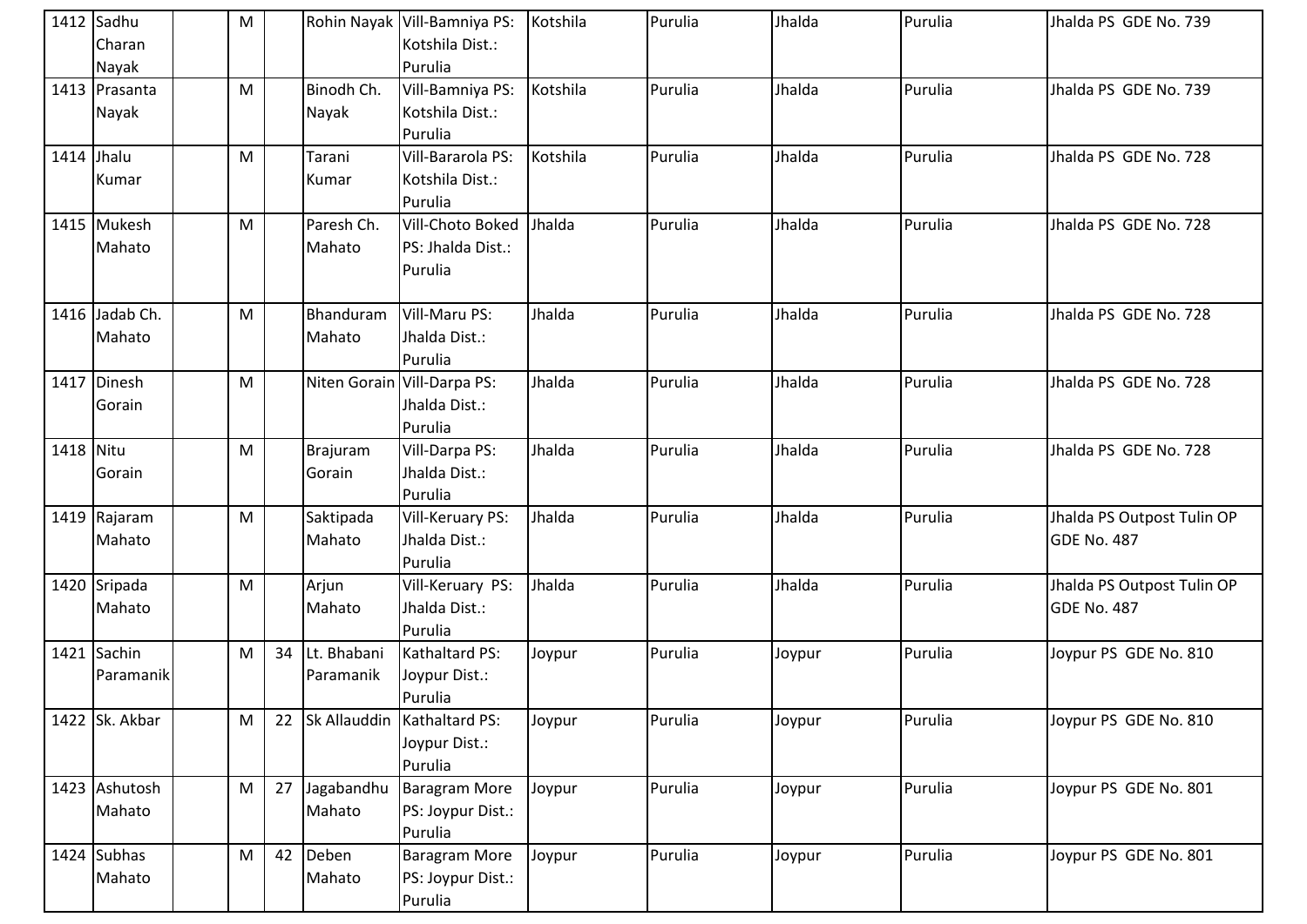|           | 1412 Sadhu     | ${\sf M}$ |    |             | Rohin Nayak Vill-Bamniya PS:  | Kotshila | Purulia | Jhalda | Purulia | Jhalda PS GDE No. 739      |
|-----------|----------------|-----------|----|-------------|-------------------------------|----------|---------|--------|---------|----------------------------|
|           | Charan         |           |    |             | Kotshila Dist.:               |          |         |        |         |                            |
|           | Nayak          |           |    |             | Purulia                       |          |         |        |         |                            |
|           | 1413 Prasanta  | ${\sf M}$ |    | Binodh Ch.  | Vill-Bamniya PS:              | Kotshila | Purulia | Jhalda | Purulia | Jhalda PS GDE No. 739      |
|           | Nayak          |           |    | Nayak       | Kotshila Dist.:               |          |         |        |         |                            |
|           |                |           |    |             | Purulia                       |          |         |        |         |                            |
|           | 1414 Jhalu     | M         |    | Tarani      | Vill-Bararola PS:             | Kotshila | Purulia | Jhalda | Purulia | Jhalda PS GDE No. 728      |
|           | Kumar          |           |    | Kumar       | Kotshila Dist.:               |          |         |        |         |                            |
|           |                |           |    |             | Purulia                       |          |         |        |         |                            |
|           | 1415 Mukesh    | M         |    | Paresh Ch.  | Vill-Choto Boked              | Jhalda   | Purulia | Jhalda | Purulia | Jhalda PS GDE No. 728      |
|           | Mahato         |           |    | Mahato      | PS: Jhalda Dist.:             |          |         |        |         |                            |
|           |                |           |    |             | Purulia                       |          |         |        |         |                            |
|           |                |           |    |             |                               |          |         |        |         |                            |
|           | 1416 Jadab Ch. | ${\sf M}$ |    | Bhanduram   | Vill-Maru PS:                 | Jhalda   | Purulia | Jhalda | Purulia | Jhalda PS GDE No. 728      |
|           | Mahato         |           |    | Mahato      | Jhalda Dist.:                 |          |         |        |         |                            |
|           |                |           |    |             | Purulia                       |          |         |        |         |                            |
|           | 1417 Dinesh    | M         |    |             | Niten Gorain Vill-Darpa PS:   | Jhalda   | Purulia | Jhalda | Purulia | Jhalda PS GDE No. 728      |
|           | Gorain         |           |    |             | Jhalda Dist.:                 |          |         |        |         |                            |
|           |                |           |    |             | Purulia                       |          |         |        |         |                            |
| 1418 Nitu |                | ${\sf M}$ |    | Brajuram    | Vill-Darpa PS:                | Jhalda   | Purulia | Jhalda | Purulia | Jhalda PS GDE No. 728      |
|           | Gorain         |           |    | Gorain      | Jhalda Dist.:                 |          |         |        |         |                            |
|           |                |           |    |             | Purulia                       |          |         |        |         |                            |
|           | 1419 Rajaram   | ${\sf M}$ |    | Saktipada   | Vill-Keruary PS:              | Jhalda   | Purulia | Jhalda | Purulia | Jhalda PS Outpost Tulin OP |
|           | Mahato         |           |    | Mahato      | Jhalda Dist.:                 |          |         |        |         | GDE No. 487                |
|           |                |           |    |             | Purulia                       |          |         |        |         |                            |
|           | 1420 Sripada   | M         |    | Arjun       | Vill-Keruary PS:              | Jhalda   | Purulia | Jhalda | Purulia | Jhalda PS Outpost Tulin OP |
|           | Mahato         |           |    | Mahato      | Jhalda Dist.:                 |          |         |        |         | GDE No. 487                |
|           |                |           |    |             | Purulia                       |          |         |        |         |                            |
|           | 1421 Sachin    | M         | 34 | Lt. Bhabani | Kathaltard PS:                | Joypur   | Purulia | Joypur | Purulia | Joypur PS GDE No. 810      |
|           | Paramanik      |           |    | Paramanik   | Joypur Dist.:                 |          |         |        |         |                            |
|           |                |           |    |             | Purulia                       |          |         |        |         |                            |
|           | 1422 Sk. Akbar | M         | 22 |             | Sk Allauddin   Kathaltard PS: | Joypur   | Purulia | Joypur | Purulia | Joypur PS GDE No. 810      |
|           |                |           |    |             | Joypur Dist.:                 |          |         |        |         |                            |
|           |                |           |    |             | Purulia                       |          |         |        |         |                            |
|           | 1423 Ashutosh  | M         | 27 | Jagabandhu  | <b>Baragram More</b>          | Joypur   | Purulia | Joypur | Purulia | Joypur PS GDE No. 801      |
|           | Mahato         |           |    | Mahato      | PS: Joypur Dist.:             |          |         |        |         |                            |
|           |                |           |    |             | Purulia                       |          |         |        |         |                            |
|           | $1424$ Subhas  | M         | 42 | Deben       | <b>Baragram More</b>          | Joypur   | Purulia | Joypur | Purulia | Joypur PS GDE No. 801      |
|           | Mahato         |           |    | Mahato      | PS: Joypur Dist.:             |          |         |        |         |                            |
|           |                |           |    |             | Purulia                       |          |         |        |         |                            |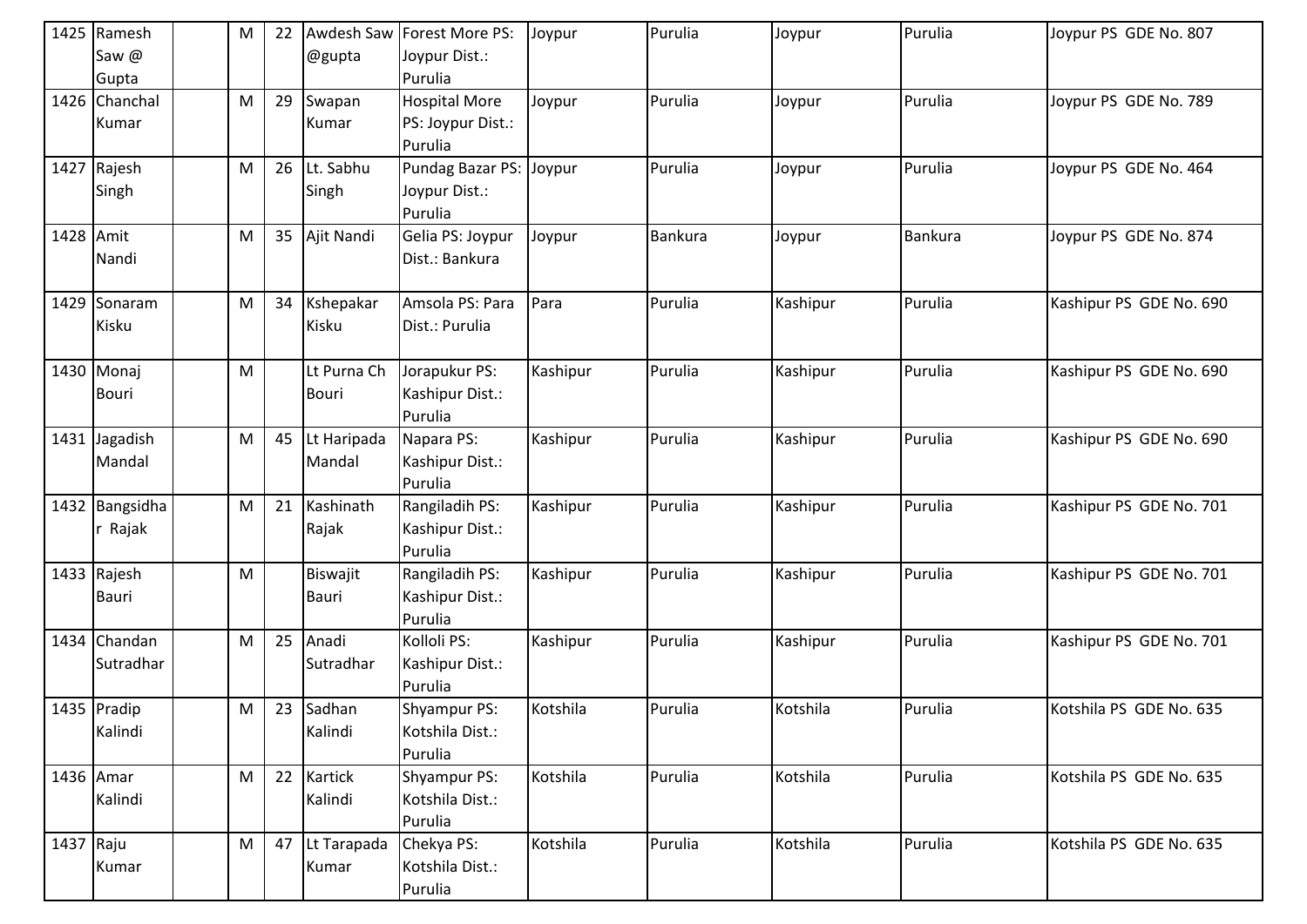|           | 1425 Ramesh    | M | 22 |              | Awdesh Saw Forest More PS: | Joypur   | Purulia | Joypur   | Purulia        | Joypur PS GDE No. 807   |
|-----------|----------------|---|----|--------------|----------------------------|----------|---------|----------|----------------|-------------------------|
|           | Saw @          |   |    | @gupta       | Joypur Dist.:              |          |         |          |                |                         |
|           | Gupta          |   |    |              | Purulia                    |          |         |          |                |                         |
|           | 1426 Chanchal  | M | 29 | Swapan       | <b>Hospital More</b>       | Joypur   | Purulia | Joypur   | Purulia        | Joypur PS GDE No. 789   |
|           | Kumar          |   |    | Kumar        | PS: Joypur Dist.:          |          |         |          |                |                         |
|           |                |   |    |              | Purulia                    |          |         |          |                |                         |
|           | 1427 Rajesh    | M | 26 | Lt. Sabhu    | Pundag Bazar PS: Joypur    |          | Purulia | Joypur   | Purulia        | Joypur PS GDE No. 464   |
|           | Singh          |   |    | Singh        | Joypur Dist.:              |          |         |          |                |                         |
|           |                |   |    |              | Purulia                    |          |         |          |                |                         |
| 1428 Amit |                | M | 35 | Ajit Nandi   | Gelia PS: Joypur           | Joypur   | Bankura | Joypur   | <b>Bankura</b> | Joypur PS GDE No. 874   |
|           | Nandi          |   |    |              | Dist.: Bankura             |          |         |          |                |                         |
|           |                |   |    |              |                            |          |         |          |                |                         |
|           | 1429 Sonaram   | M | 34 | Kshepakar    | Amsola PS: Para            | Para     | Purulia | Kashipur | Purulia        | Kashipur PS GDE No. 690 |
|           | Kisku          |   |    | Kisku        | Dist.: Purulia             |          |         |          |                |                         |
|           |                |   |    |              |                            |          |         |          |                |                         |
|           | 1430 Monaj     | M |    | Lt Purna Ch  | Jorapukur PS:              | Kashipur | Purulia | Kashipur | Purulia        | Kashipur PS GDE No. 690 |
|           | Bouri          |   |    | <b>Bouri</b> | Kashipur Dist.:            |          |         |          |                |                         |
|           |                |   |    |              | Purulia                    |          |         |          |                |                         |
|           | 1431 Jagadish  | M | 45 | Lt Haripada  | Napara PS:                 | Kashipur | Purulia | Kashipur | Purulia        | Kashipur PS GDE No. 690 |
|           | Mandal         |   |    | Mandal       | Kashipur Dist.:            |          |         |          |                |                         |
|           |                |   |    |              | Purulia                    |          |         |          |                |                         |
|           | 1432 Bangsidha | M | 21 | Kashinath    | Rangiladih PS:             | Kashipur | Purulia | Kashipur | Purulia        | Kashipur PS GDE No. 701 |
|           | r Rajak        |   |    | Rajak        | Kashipur Dist.:            |          |         |          |                |                         |
|           |                |   |    |              | Purulia                    |          |         |          |                |                         |
|           | 1433 Rajesh    | M |    | Biswajit     | Rangiladih PS:             | Kashipur | Purulia | Kashipur | Purulia        | Kashipur PS GDE No. 701 |
|           | Bauri          |   |    | Bauri        | Kashipur Dist.:            |          |         |          |                |                         |
|           |                |   |    |              | Purulia                    |          |         |          |                |                         |
|           | 1434 Chandan   | M | 25 | Anadi        | Kolloli PS:                | Kashipur | Purulia | Kashipur | Purulia        | Kashipur PS GDE No. 701 |
|           | Sutradhar      |   |    | Sutradhar    | Kashipur Dist.:            |          |         |          |                |                         |
|           |                |   |    |              | Purulia                    |          |         |          |                |                         |
|           | 1435 Pradip    | M | 23 | Sadhan       | Shyampur PS:               | Kotshila | Purulia | Kotshila | Purulia        | Kotshila PS GDE No. 635 |
|           | Kalindi        |   |    | Kalindi      | Kotshila Dist.:            |          |         |          |                |                         |
|           |                |   |    |              | Purulia                    |          |         |          |                |                         |
|           | 1436 Amar      | M | 22 | Kartick      | Shyampur PS:               | Kotshila | Purulia | Kotshila | Purulia        | Kotshila PS GDE No. 635 |
|           | Kalindi        |   |    | Kalindi      | Kotshila Dist.:            |          |         |          |                |                         |
|           |                |   |    |              | Purulia                    |          |         |          |                |                         |
| 1437 Raju |                | M | 47 | Lt Tarapada  | Chekya PS:                 | Kotshila | Purulia | Kotshila | Purulia        | Kotshila PS GDE No. 635 |
|           | Kumar          |   |    | Kumar        | Kotshila Dist.:            |          |         |          |                |                         |
|           |                |   |    |              | Purulia                    |          |         |          |                |                         |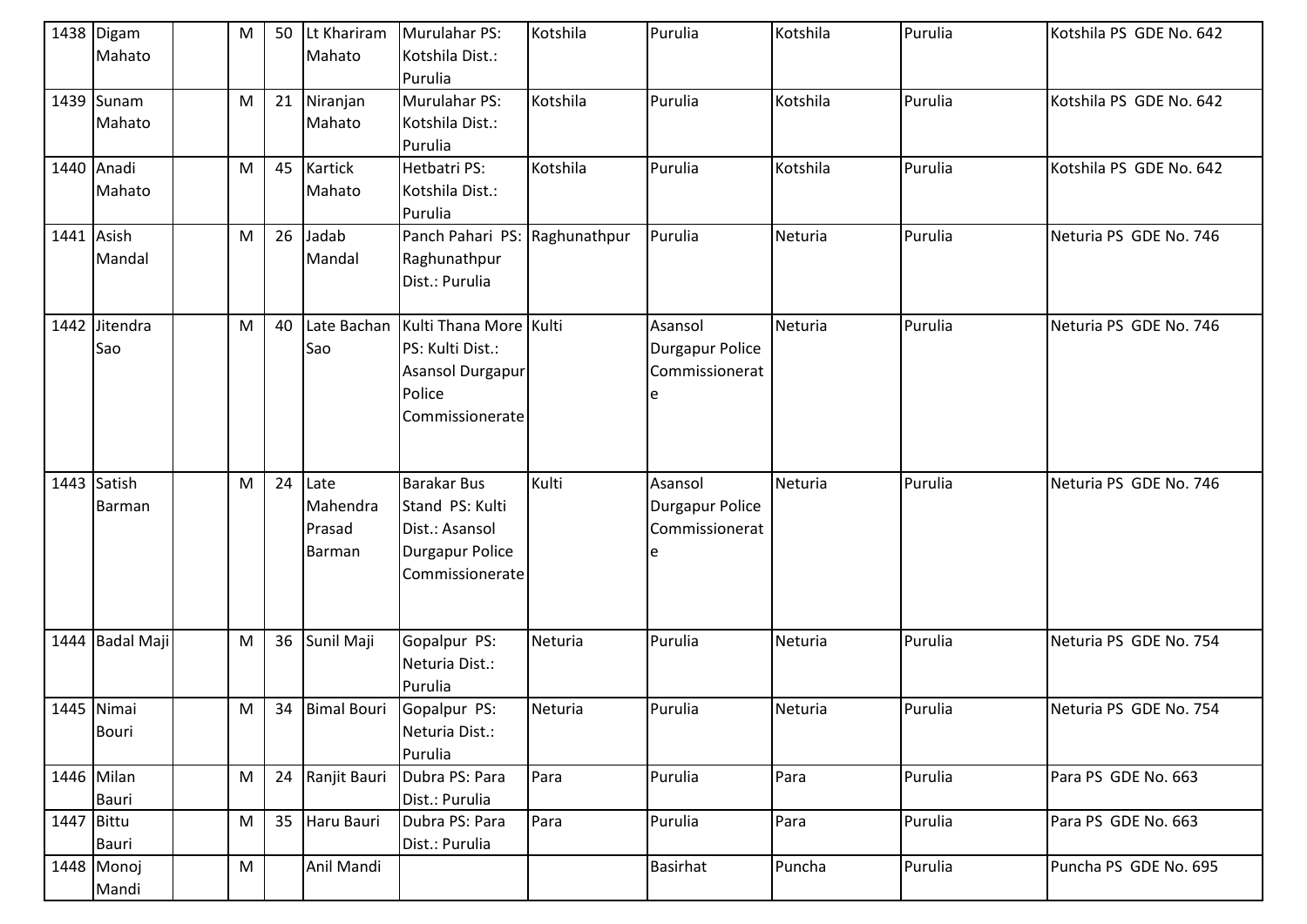|            | 1438 Digam<br>Mahato       | M         | 50 | Lt Khariram<br>Mahato                | Murulahar PS:<br>Kotshila Dist.:<br>Purulia                                                          | Kotshila     | Purulia                                             | Kotshila | Purulia | Kotshila PS GDE No. 642 |
|------------|----------------------------|-----------|----|--------------------------------------|------------------------------------------------------------------------------------------------------|--------------|-----------------------------------------------------|----------|---------|-------------------------|
|            | 1439 Sunam<br>Mahato       | ${\sf M}$ | 21 | Niranjan<br>Mahato                   | Murulahar PS:<br>Kotshila Dist.:<br>Purulia                                                          | Kotshila     | Purulia                                             | Kotshila | Purulia | Kotshila PS GDE No. 642 |
|            | 1440 Anadi<br>Mahato       | M         | 45 | <b>Kartick</b><br>Mahato             | Hetbatri PS:<br>Kotshila Dist.:<br>Purulia                                                           | Kotshila     | Purulia                                             | Kotshila | Purulia | Kotshila PS GDE No. 642 |
| 1441 Asish | Mandal                     | M         | 26 | Jadab<br>Mandal                      | Panch Pahari PS:<br>Raghunathpur<br>Dist.: Purulia                                                   | Raghunathpur | Purulia                                             | Neturia  | Purulia | Neturia PS GDE No. 746  |
|            | 1442 Jitendra<br>Sao       | M         | 40 | Late Bachan<br>Sao                   | Kulti Thana More Kulti<br>PS: Kulti Dist.:<br>Asansol Durgapur<br>Police<br>Commissionerate          |              | Asansol<br><b>Durgapur Police</b><br>Commissionerat | Neturia  | Purulia | Neturia PS GDE No. 746  |
|            | 1443 Satish<br>Barman      | ${\sf M}$ | 24 | Late<br>Mahendra<br>Prasad<br>Barman | <b>Barakar Bus</b><br>Stand PS: Kulti<br>Dist.: Asansol<br><b>Durgapur Police</b><br>Commissionerate | Kulti        | Asansol<br><b>Durgapur Police</b><br>Commissionerat | Neturia  | Purulia | Neturia PS GDE No. 746  |
|            | 1444 Badal Maji            | ${\sf M}$ | 36 | Sunil Maji                           | Gopalpur PS:<br>Neturia Dist.:<br>Purulia                                                            | Neturia      | Purulia                                             | Neturia  | Purulia | Neturia PS GDE No. 754  |
|            | 1445 Nimai<br><b>Bouri</b> | M         |    | 34 Bimal Bouri                       | Gopalpur PS:<br>Neturia Dist.:<br>Purulia                                                            | Neturia      | Purulia                                             | Neturia  | Purulia | Neturia PS GDE No. 754  |
|            | 1446 Milan<br>Bauri        | ${\sf M}$ | 24 | Ranjit Bauri                         | Dubra PS: Para<br>Dist.: Purulia                                                                     | Para         | Purulia                                             | Para     | Purulia | Para PS GDE No. 663     |
| 1447 Bittu | Bauri                      | M         | 35 | Haru Bauri                           | Dubra PS: Para<br>Dist.: Purulia                                                                     | Para         | Purulia                                             | Para     | Purulia | Para PS GDE No. 663     |
|            | 1448 Monoj<br>Mandi        | M         |    | Anil Mandi                           |                                                                                                      |              | <b>Basirhat</b>                                     | Puncha   | Purulia | Puncha PS GDE No. 695   |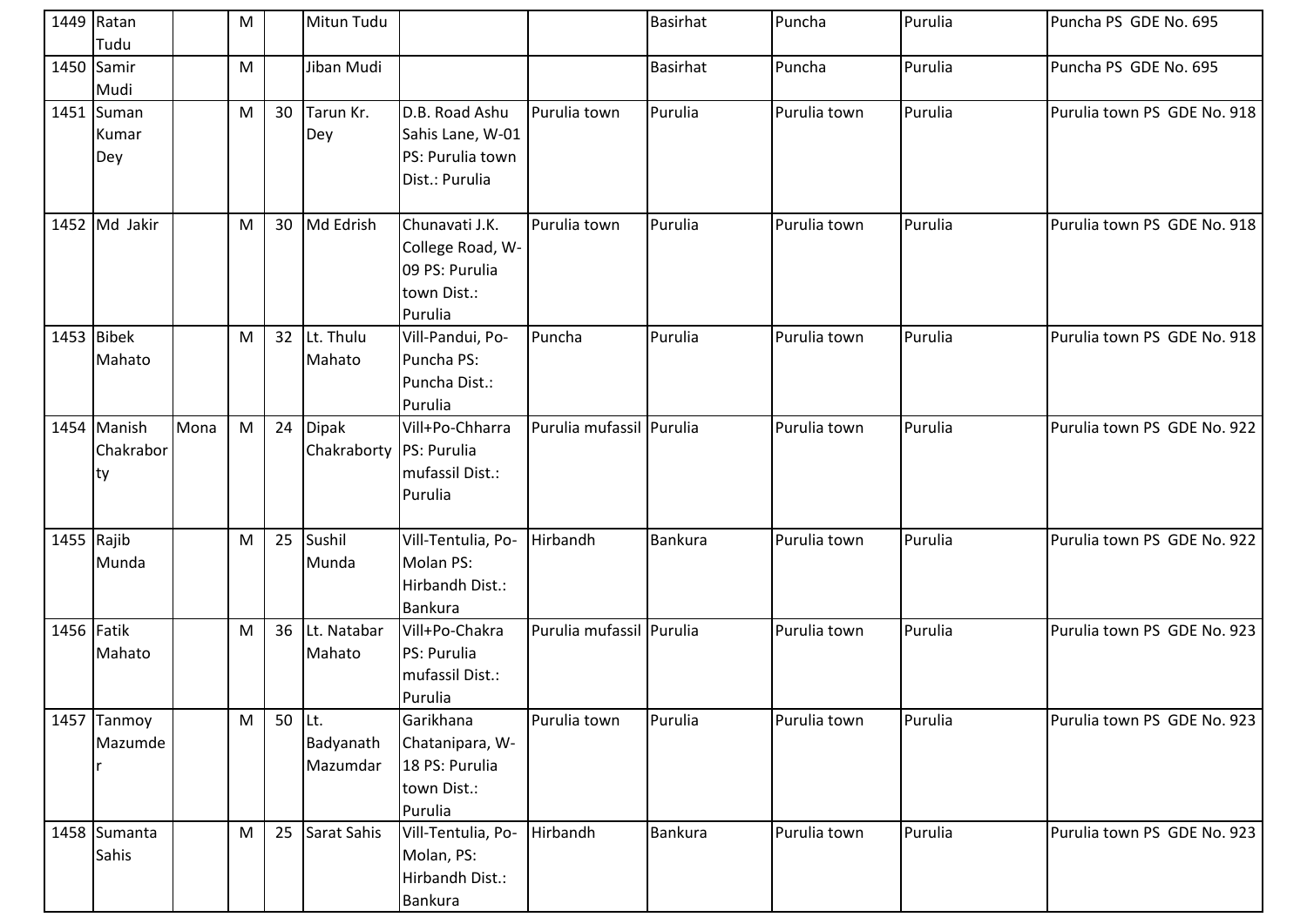|            | 1449 Ratan<br>Tudu              |      | M |        | Mitun Tudu                              |                                                                                |                          | <b>Basirhat</b> | Puncha       | Purulia | Puncha PS GDE No. 695       |
|------------|---------------------------------|------|---|--------|-----------------------------------------|--------------------------------------------------------------------------------|--------------------------|-----------------|--------------|---------|-----------------------------|
|            | 1450 Samir<br>Mudi              |      | M |        | Jiban Mudi                              |                                                                                |                          | <b>Basirhat</b> | Puncha       | Purulia | Puncha PS GDE No. 695       |
|            | 1451 Suman<br>Kumar<br>Dey      |      | M | 30     | Tarun Kr.<br>Dey                        | D.B. Road Ashu<br>Sahis Lane, W-01<br>PS: Purulia town<br>Dist.: Purulia       | Purulia town             | Purulia         | Purulia town | Purulia | Purulia town PS GDE No. 918 |
|            | 1452 Md Jakir                   |      | M | 30     | Md Edrish                               | Chunavati J.K.<br>College Road, W-<br>09 PS: Purulia<br>town Dist.:<br>Purulia | Purulia town             | Purulia         | Purulia town | Purulia | Purulia town PS GDE No. 918 |
|            | 1453 Bibek<br>Mahato            |      | M | 32     | Lt. Thulu<br>Mahato                     | Vill-Pandui, Po-<br>Puncha PS:<br>Puncha Dist.:<br>Purulia                     | Puncha                   | Purulia         | Purulia town | Purulia | Purulia town PS GDE No. 918 |
|            | 1454 Manish<br>Chakrabor<br> ty | Mona | M | 24     | <b>Dipak</b><br>Chakraborty PS: Purulia | Vill+Po-Chharra<br>mufassil Dist.:<br>Purulia                                  | Purulia mufassil Purulia |                 | Purulia town | Purulia | Purulia town PS GDE No. 922 |
| 1455 Rajib | Munda                           |      | M | 25     | Sushil<br>Munda                         | Vill-Tentulia, Po-<br>Molan PS:<br>Hirbandh Dist.:<br>Bankura                  | Hirbandh                 | Bankura         | Purulia town | Purulia | Purulia town PS GDE No. 922 |
| 1456 Fatik | Mahato                          |      | M | 36     | Lt. Natabar<br>Mahato                   | Vill+Po-Chakra<br>PS: Purulia<br>mufassil Dist.:<br>Purulia                    | Purulia mufassil Purulia |                 | Purulia town | Purulia | Purulia town PS GDE No. 923 |
|            | 1457 Tanmoy<br>Mazumde          |      | M | 50 Lt. | Badyanath<br>Mazumdar                   | Garikhana<br>Chatanipara, W-<br>18 PS: Purulia<br>town Dist.:<br>Purulia       | Purulia town             | Purulia         | Purulia town | Purulia | Purulia town PS GDE No. 923 |
|            | 1458 Sumanta<br>Sahis           |      | M | 25     | <b>Sarat Sahis</b>                      | Vill-Tentulia, Po-<br>Molan, PS:<br>Hirbandh Dist.:<br>Bankura                 | Hirbandh                 | <b>Bankura</b>  | Purulia town | Purulia | Purulia town PS GDE No. 923 |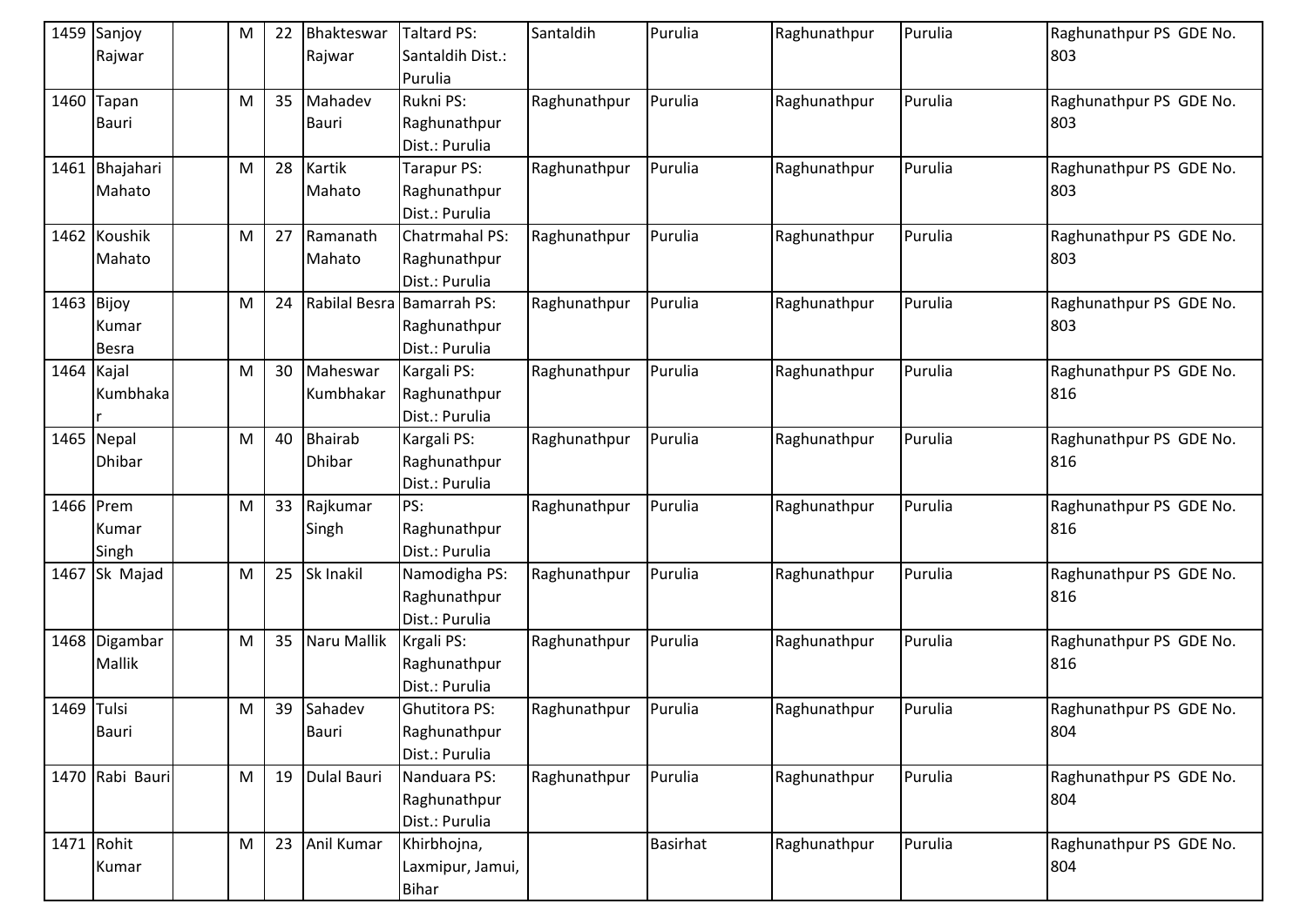|              | 1459 Sanjoy<br>Rajwar | ${\sf M}$ | 22 | Bhakteswar<br>Rajwar | <b>Taltard PS:</b><br>Santaldih Dist.: | Santaldih    | Purulia         | Raghunathpur | Purulia | Raghunathpur PS GDE No.<br>803 |
|--------------|-----------------------|-----------|----|----------------------|----------------------------------------|--------------|-----------------|--------------|---------|--------------------------------|
|              |                       |           |    |                      | Purulia                                |              |                 |              |         |                                |
|              | 1460 Tapan            | ${\sf M}$ | 35 | Mahadev              | Rukni PS:                              | Raghunathpur | Purulia         | Raghunathpur | Purulia | Raghunathpur PS GDE No.        |
|              | <b>Bauri</b>          |           |    | Bauri                | Raghunathpur                           |              |                 |              |         | 803                            |
|              |                       |           |    |                      | Dist.: Purulia                         |              |                 |              |         |                                |
|              | 1461 Bhajahari        | M         | 28 | Kartik               | Tarapur PS:                            | Raghunathpur | Purulia         | Raghunathpur | Purulia | Raghunathpur PS GDE No.        |
|              | Mahato                |           |    | Mahato               | Raghunathpur                           |              |                 |              |         | 803                            |
|              |                       |           |    |                      | Dist.: Purulia                         |              |                 |              |         |                                |
|              | 1462 Koushik          | M         | 27 | Ramanath             | Chatrmahal PS:                         | Raghunathpur | Purulia         | Raghunathpur | Purulia | Raghunathpur PS GDE No.        |
|              | Mahato                |           |    | Mahato               | Raghunathpur                           |              |                 |              |         | 803                            |
|              |                       |           |    |                      | Dist.: Purulia                         |              |                 |              |         |                                |
| $1463$ Bijoy |                       | ${\sf M}$ | 24 |                      | Rabilal Besra Bamarrah PS:             | Raghunathpur | Purulia         | Raghunathpur | Purulia | Raghunathpur PS GDE No.        |
|              | Kumar                 |           |    |                      | Raghunathpur                           |              |                 |              |         | 803                            |
|              | Besra                 |           |    |                      | Dist.: Purulia                         |              |                 |              |         |                                |
| 1464 Kajal   |                       | ${\sf M}$ | 30 | Maheswar             | Kargali PS:                            | Raghunathpur | Purulia         | Raghunathpur | Purulia | Raghunathpur PS GDE No.        |
|              | Kumbhaka              |           |    | Kumbhakar            | Raghunathpur                           |              |                 |              |         | 816                            |
|              |                       |           |    |                      | Dist.: Purulia                         |              |                 |              |         |                                |
|              | 1465 Nepal            | ${\sf M}$ | 40 | <b>Bhairab</b>       | Kargali PS:                            | Raghunathpur | Purulia         | Raghunathpur | Purulia | Raghunathpur PS GDE No.        |
|              | Dhibar                |           |    | <b>Dhibar</b>        | Raghunathpur                           |              |                 |              |         | 816                            |
|              |                       |           |    |                      | Dist.: Purulia                         |              |                 |              |         |                                |
| 1466 Prem    |                       | ${\sf M}$ | 33 | Rajkumar             | PS:                                    | Raghunathpur | Purulia         | Raghunathpur | Purulia | Raghunathpur PS GDE No.        |
|              | Kumar                 |           |    | Singh                | Raghunathpur                           |              |                 |              |         | 816                            |
|              | Singh                 |           |    |                      | Dist.: Purulia                         |              |                 |              |         |                                |
|              | 1467 Sk Majad         | M         | 25 | Sk Inakil            | Namodigha PS:                          | Raghunathpur | Purulia         | Raghunathpur | Purulia | Raghunathpur PS GDE No.        |
|              |                       |           |    |                      | Raghunathpur                           |              |                 |              |         | 816                            |
|              |                       |           |    |                      | Dist.: Purulia                         |              |                 |              |         |                                |
|              | 1468 Digambar         | ${\sf M}$ | 35 | Naru Mallik          | Krgali PS:                             | Raghunathpur | Purulia         | Raghunathpur | Purulia | Raghunathpur PS GDE No.        |
|              | <b>Mallik</b>         |           |    |                      | Raghunathpur                           |              |                 |              |         | 816                            |
|              |                       |           |    |                      | Dist.: Purulia                         |              |                 |              |         |                                |
| 1469 Tulsi   |                       | M         | 39 | Sahadev              | Ghutitora PS:                          | Raghunathpur | Purulia         | Raghunathpur | Purulia | Raghunathpur PS GDE No.        |
|              | Bauri                 |           |    | Bauri                | Raghunathpur                           |              |                 |              |         | 804                            |
|              |                       |           |    |                      | Dist.: Purulia                         |              |                 |              |         |                                |
|              | 1470 Rabi Bauri       | M         | 19 | Dulal Bauri          | Nanduara PS:                           | Raghunathpur | Purulia         | Raghunathpur | Purulia | Raghunathpur PS GDE No.        |
|              |                       |           |    |                      | Raghunathpur                           |              |                 |              |         | 804                            |
|              |                       |           |    |                      | Dist.: Purulia                         |              |                 |              |         |                                |
| 1471 Rohit   |                       | ${\sf M}$ | 23 | Anil Kumar           | Khirbhojna,                            |              | <b>Basirhat</b> | Raghunathpur | Purulia | Raghunathpur PS GDE No.        |
|              | Kumar                 |           |    |                      | Laxmipur, Jamui,                       |              |                 |              |         | 804                            |
|              |                       |           |    |                      | <b>Bihar</b>                           |              |                 |              |         |                                |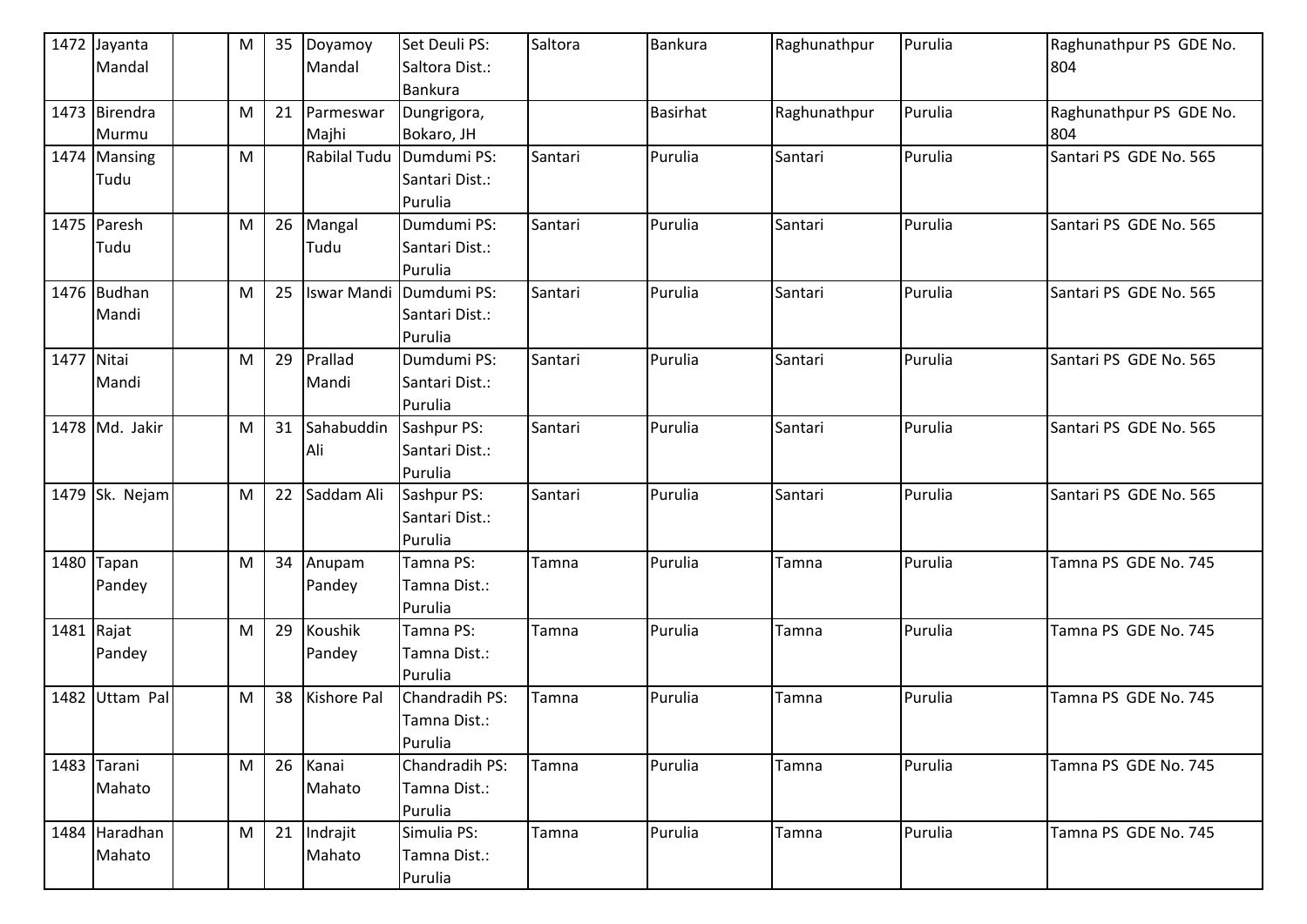|            | 1472 Jayanta   | M         | 35 | Doyamoy             | Set Deuli PS:  | Saltora | Bankura         | Raghunathpur | Purulia | Raghunathpur PS GDE No. |
|------------|----------------|-----------|----|---------------------|----------------|---------|-----------------|--------------|---------|-------------------------|
|            | Mandal         |           |    | Mandal              | Saltora Dist.: |         |                 |              |         | 804                     |
|            |                |           |    |                     | Bankura        |         |                 |              |         |                         |
|            | 1473 Birendra  | M         | 21 | Parmeswar           | Dungrigora,    |         | <b>Basirhat</b> | Raghunathpur | Purulia | Raghunathpur PS GDE No. |
|            | Murmu          |           |    | Majhi               | Bokaro, JH     |         |                 |              |         | 804                     |
|            | 1474 Mansing   | M         |    | <b>Rabilal Tudu</b> | Dumdumi PS:    | Santari | Purulia         | Santari      | Purulia | Santari PS GDE No. 565  |
|            | Tudu           |           |    |                     | Santari Dist.: |         |                 |              |         |                         |
|            |                |           |    |                     | Purulia        |         |                 |              |         |                         |
|            | 1475 Paresh    | M         | 26 | Mangal              | Dumdumi PS:    | Santari | Purulia         | Santari      | Purulia | Santari PS GDE No. 565  |
|            | Tudu           |           |    | Tudu                | Santari Dist.: |         |                 |              |         |                         |
|            |                |           |    |                     | Purulia        |         |                 |              |         |                         |
|            | 1476 Budhan    | M         | 25 | <b>Iswar Mandi</b>  | Dumdumi PS:    | Santari | Purulia         | Santari      | Purulia | Santari PS GDE No. 565  |
|            | Mandi          |           |    |                     | Santari Dist.: |         |                 |              |         |                         |
|            |                |           |    |                     | Purulia        |         |                 |              |         |                         |
| 1477 Nitai |                | ${\sf M}$ | 29 | Prallad             | Dumdumi PS:    | Santari | Purulia         | Santari      | Purulia | Santari PS GDE No. 565  |
|            | Mandi          |           |    | Mandi               | Santari Dist.: |         |                 |              |         |                         |
|            |                |           |    |                     | Purulia        |         |                 |              |         |                         |
|            | 1478 Md. Jakir | ${\sf M}$ | 31 | Sahabuddin          | Sashpur PS:    | Santari | Purulia         | Santari      | Purulia | Santari PS GDE No. 565  |
|            |                |           |    | Ali                 | Santari Dist.: |         |                 |              |         |                         |
|            |                |           |    |                     | Purulia        |         |                 |              |         |                         |
|            | 1479 Sk. Nejam | M         | 22 | Saddam Ali          | Sashpur PS:    | Santari | Purulia         | Santari      | Purulia | Santari PS GDE No. 565  |
|            |                |           |    |                     | Santari Dist.: |         |                 |              |         |                         |
|            |                |           |    |                     | Purulia        |         |                 |              |         |                         |
|            | 1480 Tapan     | M         | 34 | Anupam              | Tamna PS:      | Tamna   | Purulia         | Tamna        | Purulia | Tamna PS GDE No. 745    |
|            | Pandey         |           |    | Pandey              | Tamna Dist.:   |         |                 |              |         |                         |
|            |                |           |    |                     | Purulia        |         |                 |              |         |                         |
|            | 1481 Rajat     | M         | 29 | Koushik             | Tamna PS:      | Tamna   | Purulia         | Tamna        | Purulia | Tamna PS GDE No. 745    |
|            | Pandey         |           |    | Pandey              | Tamna Dist.:   |         |                 |              |         |                         |
|            |                |           |    |                     | Purulia        |         |                 |              |         |                         |
| 1482       | Uttam Pal      | ${\sf M}$ | 38 | <b>Kishore Pal</b>  | Chandradih PS: | Tamna   | Purulia         | Tamna        | Purulia | Tamna PS GDE No. 745    |
|            |                |           |    |                     | Tamna Dist.:   |         |                 |              |         |                         |
|            |                |           |    |                     | Purulia        |         |                 |              |         |                         |
|            | 1483 Tarani    | M         | 26 | Kanai               | Chandradih PS: | Tamna   | Purulia         | Tamna        | Purulia | Tamna PS GDE No. 745    |
|            | Mahato         |           |    | Mahato              | Tamna Dist.:   |         |                 |              |         |                         |
|            |                |           |    |                     | Purulia        |         |                 |              |         |                         |
|            | 1484 Haradhan  | ${\sf M}$ | 21 | Indrajit            | Simulia PS:    | Tamna   | Purulia         | Tamna        | Purulia | Tamna PS GDE No. 745    |
|            | Mahato         |           |    | Mahato              | Tamna Dist.:   |         |                 |              |         |                         |
|            |                |           |    |                     | Purulia        |         |                 |              |         |                         |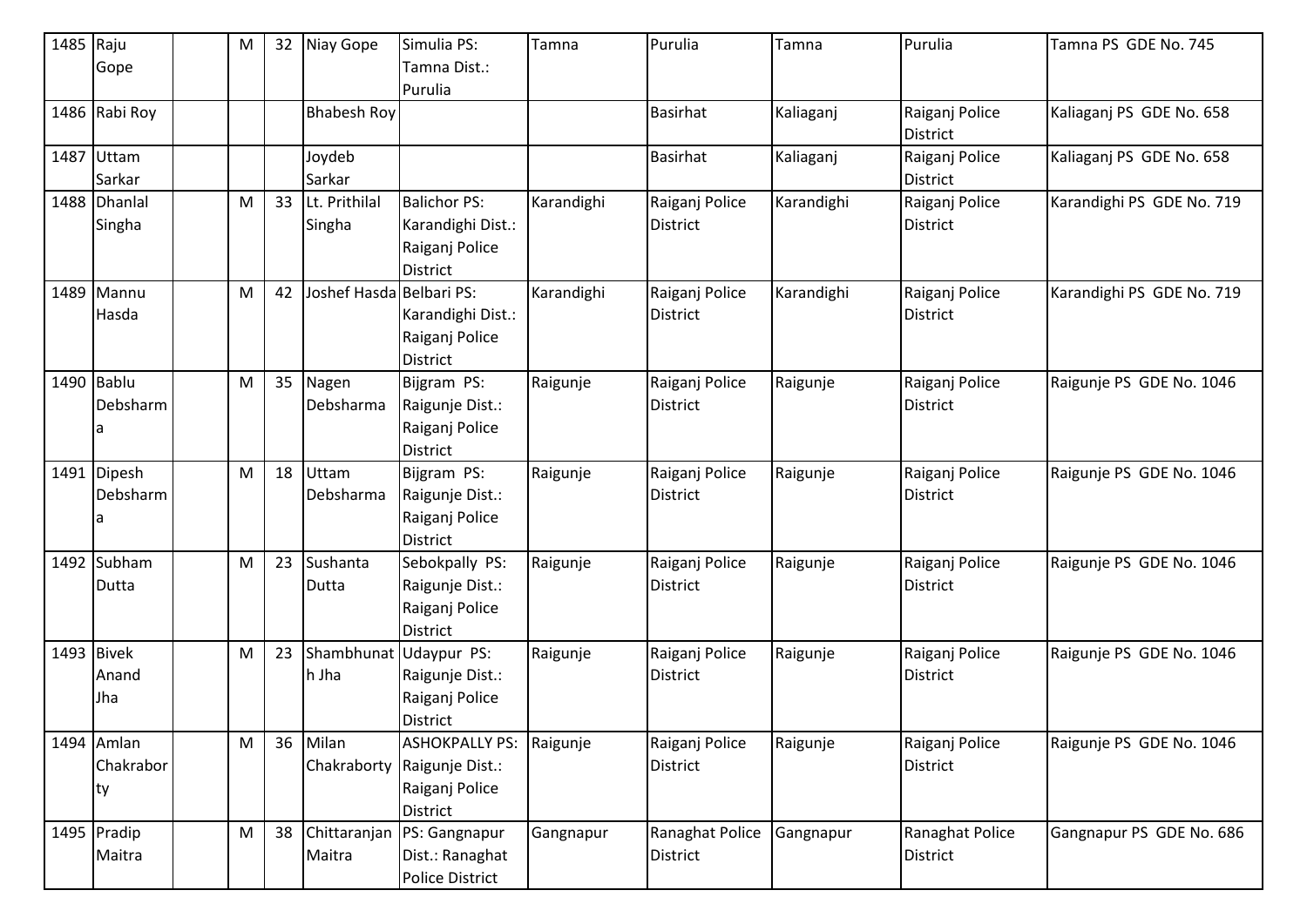| 1485 Raju  |               | M         | 32 | Niay Gope                | Simulia PS:                 | Tamna      | Purulia         | Tamna      | Purulia                           | Tamna PS GDE No. 745      |
|------------|---------------|-----------|----|--------------------------|-----------------------------|------------|-----------------|------------|-----------------------------------|---------------------------|
|            | Gope          |           |    |                          | Tamna Dist.:                |            |                 |            |                                   |                           |
|            |               |           |    |                          | Purulia                     |            |                 |            |                                   |                           |
|            | 1486 Rabi Roy |           |    | <b>Bhabesh Roy</b>       |                             |            | <b>Basirhat</b> | Kaliaganj  | Raiganj Police<br><b>District</b> | Kaliaganj PS GDE No. 658  |
|            | 1487 Uttam    |           |    | Joydeb                   |                             |            | <b>Basirhat</b> | Kaliaganj  | Raiganj Police                    | Kaliaganj PS GDE No. 658  |
|            | Sarkar        |           |    | Sarkar                   |                             |            |                 |            | <b>District</b>                   |                           |
|            | 1488 Dhanlal  | M         | 33 | Lt. Prithilal            | <b>Balichor PS:</b>         | Karandighi | Raiganj Police  | Karandighi | Raiganj Police                    | Karandighi PS GDE No. 719 |
|            | Singha        |           |    | Singha                   | Karandighi Dist.:           |            | <b>District</b> |            | <b>District</b>                   |                           |
|            |               |           |    |                          | Raiganj Police              |            |                 |            |                                   |                           |
|            |               |           |    |                          | <b>District</b>             |            |                 |            |                                   |                           |
|            | 1489 Mannu    | M         | 42 | Joshef Hasda Belbari PS: |                             | Karandighi | Raiganj Police  | Karandighi | Raiganj Police                    | Karandighi PS GDE No. 719 |
|            | Hasda         |           |    |                          | Karandighi Dist.:           |            | <b>District</b> |            | <b>District</b>                   |                           |
|            |               |           |    |                          | Raiganj Police              |            |                 |            |                                   |                           |
|            |               |           |    |                          | <b>District</b>             |            |                 |            |                                   |                           |
| 1490 Bablu |               | M         | 35 | Nagen                    | Bijgram PS:                 | Raigunje   | Raiganj Police  | Raigunje   | Raiganj Police                    | Raigunje PS GDE No. 1046  |
|            | Debsharm      |           |    | Debsharma                | Raigunje Dist.:             |            | <b>District</b> |            | District                          |                           |
|            |               |           |    |                          | Raiganj Police              |            |                 |            |                                   |                           |
|            |               |           |    |                          | District                    |            |                 |            |                                   |                           |
|            | 1491 Dipesh   | M         | 18 | Uttam                    | Bijgram PS:                 | Raigunje   | Raiganj Police  | Raigunje   | Raiganj Police                    | Raigunje PS GDE No. 1046  |
|            | Debsharm      |           |    | Debsharma                | Raigunje Dist.:             |            | District        |            | <b>District</b>                   |                           |
|            |               |           |    |                          | Raiganj Police              |            |                 |            |                                   |                           |
|            |               |           |    |                          | District                    |            |                 |            |                                   |                           |
|            | 1492 Subham   | M         | 23 | Sushanta                 | Sebokpally PS:              | Raigunje   | Raiganj Police  | Raigunje   | Raiganj Police                    | Raigunje PS GDE No. 1046  |
|            | Dutta         |           |    | Dutta                    | Raigunje Dist.:             |            | <b>District</b> |            | <b>District</b>                   |                           |
|            |               |           |    |                          | Raiganj Police              |            |                 |            |                                   |                           |
|            |               |           |    |                          | District                    |            |                 |            |                                   |                           |
| 1493 Bivek |               | M         | 23 | Shambhunat Udaypur PS:   |                             | Raigunje   | Raiganj Police  | Raigunje   | Raiganj Police                    | Raigunje PS GDE No. 1046  |
|            | Anand         |           |    | h Jha                    | Raigunje Dist.:             |            | <b>District</b> |            | District                          |                           |
|            | Jha           |           |    |                          | Raiganj Police              |            |                 |            |                                   |                           |
|            |               |           |    |                          | <b>District</b>             |            |                 |            |                                   |                           |
|            | 1494 Amlan    | M         | 36 | Milan                    | <b>ASHOKPALLY PS:</b>       | Raigunje   | Raiganj Police  | Raigunje   | Raiganj Police                    | Raigunje PS GDE No. 1046  |
|            | Chakrabor     |           |    |                          | Chakraborty Raigunje Dist.: |            | <b>District</b> |            | <b>District</b>                   |                           |
|            | ty            |           |    |                          | Raiganj Police              |            |                 |            |                                   |                           |
|            |               |           |    |                          | District                    |            |                 |            |                                   |                           |
|            | 1495 Pradip   | ${\sf M}$ | 38 | Chittaranjan             | PS: Gangnapur               | Gangnapur  | Ranaghat Police | Gangnapur  | Ranaghat Police                   | Gangnapur PS GDE No. 686  |
|            | Maitra        |           |    | Maitra                   | Dist.: Ranaghat             |            | <b>District</b> |            | <b>District</b>                   |                           |
|            |               |           |    |                          | <b>Police District</b>      |            |                 |            |                                   |                           |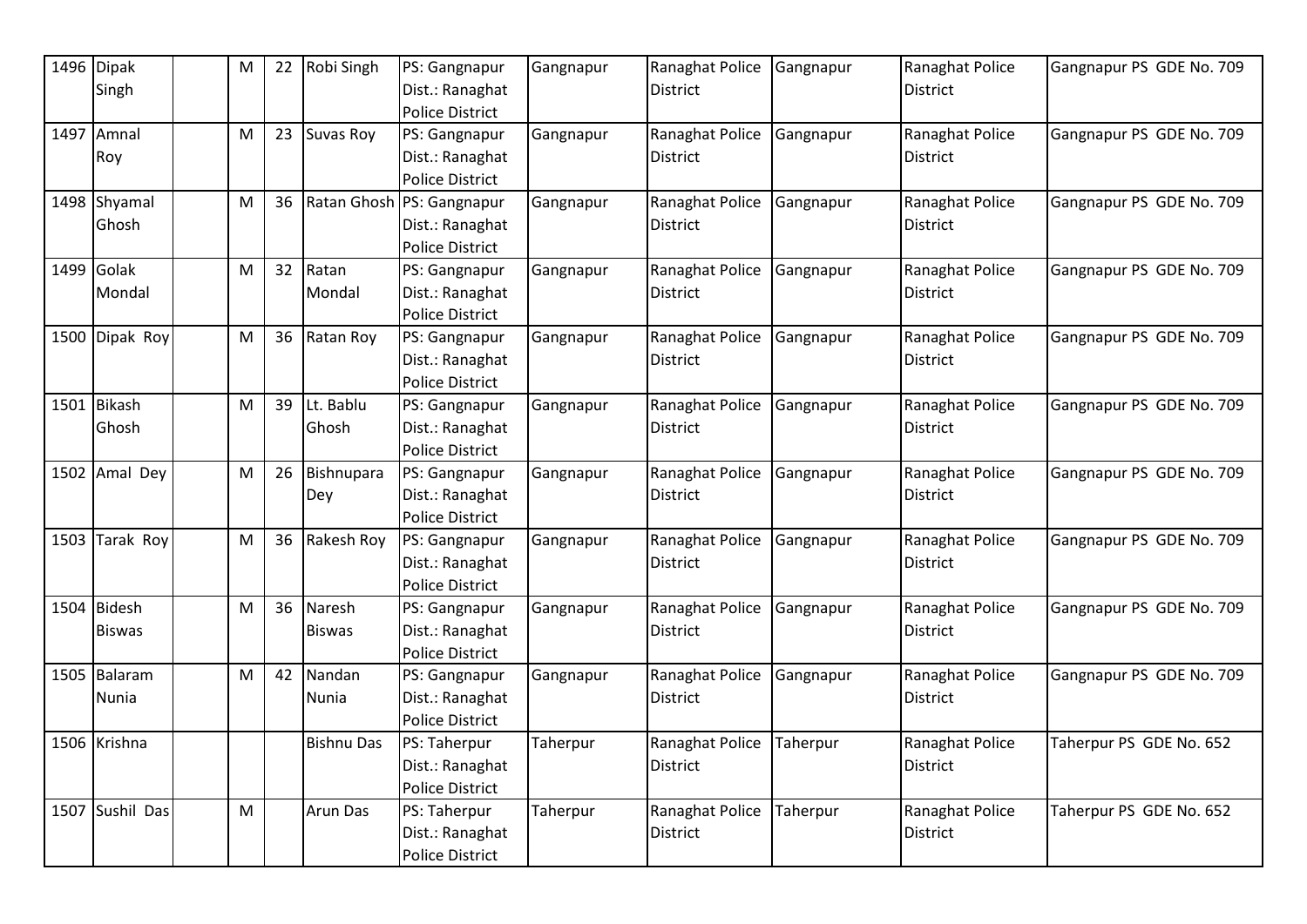| 1496 Dipak      | M | 22 | Robi Singh        | PS: Gangnapur          | Gangnapur | Ranaghat Police | Gangnapur | Ranaghat Police | Gangnapur PS GDE No. 709 |
|-----------------|---|----|-------------------|------------------------|-----------|-----------------|-----------|-----------------|--------------------------|
| Singh           |   |    |                   | Dist.: Ranaghat        |           | <b>District</b> |           | <b>District</b> |                          |
|                 |   |    |                   | <b>Police District</b> |           |                 |           |                 |                          |
| 1497 Amnal      | M | 23 | Suvas Roy         | PS: Gangnapur          | Gangnapur | Ranaghat Police | Gangnapur | Ranaghat Police | Gangnapur PS GDE No. 709 |
| Roy             |   |    |                   | Dist.: Ranaghat        |           | <b>District</b> |           | <b>District</b> |                          |
|                 |   |    |                   | Police District        |           |                 |           |                 |                          |
| 1498 Shyamal    | M | 36 | Ratan Ghosh       | PS: Gangnapur          | Gangnapur | Ranaghat Police | Gangnapur | Ranaghat Police | Gangnapur PS GDE No. 709 |
| Ghosh           |   |    |                   | Dist.: Ranaghat        |           | <b>District</b> |           | <b>District</b> |                          |
|                 |   |    |                   | <b>Police District</b> |           |                 |           |                 |                          |
| 1499 Golak      | M | 32 | Ratan             | PS: Gangnapur          | Gangnapur | Ranaghat Police | Gangnapur | Ranaghat Police | Gangnapur PS GDE No. 709 |
| Mondal          |   |    | Mondal            | Dist.: Ranaghat        |           | <b>District</b> |           | District        |                          |
|                 |   |    |                   | <b>Police District</b> |           |                 |           |                 |                          |
| 1500 Dipak Roy  | M | 36 | Ratan Roy         | PS: Gangnapur          | Gangnapur | Ranaghat Police | Gangnapur | Ranaghat Police | Gangnapur PS GDE No. 709 |
|                 |   |    |                   | Dist.: Ranaghat        |           | <b>District</b> |           | <b>District</b> |                          |
|                 |   |    |                   | <b>Police District</b> |           |                 |           |                 |                          |
| 1501 Bikash     | M | 39 | Lt. Bablu         | PS: Gangnapur          | Gangnapur | Ranaghat Police | Gangnapur | Ranaghat Police | Gangnapur PS GDE No. 709 |
| Ghosh           |   |    | Ghosh             | Dist.: Ranaghat        |           | <b>District</b> |           | <b>District</b> |                          |
|                 |   |    |                   | <b>Police District</b> |           |                 |           |                 |                          |
| 1502 Amal Dey   | M | 26 | Bishnupara        | PS: Gangnapur          | Gangnapur | Ranaghat Police | Gangnapur | Ranaghat Police | Gangnapur PS GDE No. 709 |
|                 |   |    | Dey               | Dist.: Ranaghat        |           | <b>District</b> |           | <b>District</b> |                          |
|                 |   |    |                   | Police District        |           |                 |           |                 |                          |
| 1503 Tarak Roy  | M | 36 | Rakesh Roy        | PS: Gangnapur          | Gangnapur | Ranaghat Police | Gangnapur | Ranaghat Police | Gangnapur PS GDE No. 709 |
|                 |   |    |                   | Dist.: Ranaghat        |           | <b>District</b> |           | District        |                          |
|                 |   |    |                   | <b>Police District</b> |           |                 |           |                 |                          |
| 1504 Bidesh     | M | 36 | Naresh            | PS: Gangnapur          | Gangnapur | Ranaghat Police | Gangnapur | Ranaghat Police | Gangnapur PS GDE No. 709 |
| <b>Biswas</b>   |   |    | <b>Biswas</b>     | Dist.: Ranaghat        |           | <b>District</b> |           | <b>District</b> |                          |
|                 |   |    |                   | <b>Police District</b> |           |                 |           |                 |                          |
| 1505 Balaram    | M | 42 | Nandan            | PS: Gangnapur          | Gangnapur | Ranaghat Police | Gangnapur | Ranaghat Police | Gangnapur PS GDE No. 709 |
| Nunia           |   |    | Nunia             | Dist.: Ranaghat        |           | <b>District</b> |           | <b>District</b> |                          |
|                 |   |    |                   | <b>Police District</b> |           |                 |           |                 |                          |
| 1506 Krishna    |   |    | <b>Bishnu Das</b> | PS: Taherpur           | Taherpur  | Ranaghat Police | Taherpur  | Ranaghat Police | Taherpur PS GDE No. 652  |
|                 |   |    |                   | Dist.: Ranaghat        |           | <b>District</b> |           | <b>District</b> |                          |
|                 |   |    |                   | <b>Police District</b> |           |                 |           |                 |                          |
| 1507 Sushil Das | M |    | <b>Arun Das</b>   | PS: Taherpur           | Taherpur  | Ranaghat Police | Taherpur  | Ranaghat Police | Taherpur PS GDE No. 652  |
|                 |   |    |                   | Dist.: Ranaghat        |           | <b>District</b> |           | District        |                          |
|                 |   |    |                   | <b>Police District</b> |           |                 |           |                 |                          |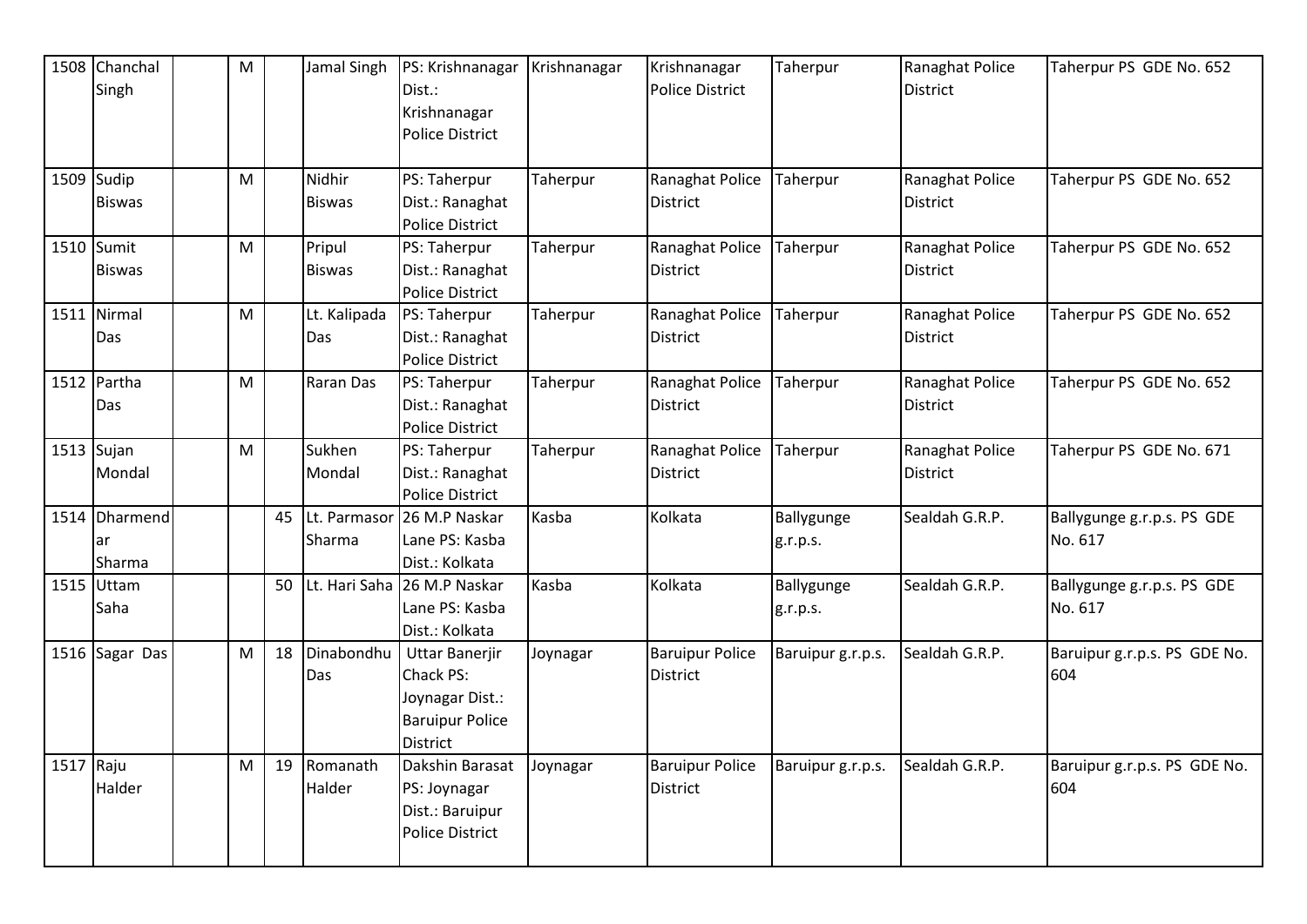|           | 1508 Chanchal<br>Singh         | M |    | Jamal Singh               | PS: Krishnanagar<br>Dist.:<br>Krishnanagar<br><b>Police District</b>                        | Krishnanagar | Krishnanagar<br><b>Police District</b>    | Taherpur               | Ranaghat Police<br><b>District</b> | Taherpur PS GDE No. 652               |
|-----------|--------------------------------|---|----|---------------------------|---------------------------------------------------------------------------------------------|--------------|-------------------------------------------|------------------------|------------------------------------|---------------------------------------|
|           | $1509$ Sudip<br><b>Biswas</b>  | M |    | Nidhir<br><b>Biswas</b>   | PS: Taherpur<br>Dist.: Ranaghat<br><b>Police District</b>                                   | Taherpur     | Ranaghat Police<br><b>District</b>        | Taherpur               | Ranaghat Police<br><b>District</b> | Taherpur PS GDE No. 652               |
|           | 1510 Sumit<br><b>Biswas</b>    | M |    | Pripul<br><b>Biswas</b>   | PS: Taherpur<br>Dist.: Ranaghat<br>Police District                                          | Taherpur     | Ranaghat Police<br>District               | Taherpur               | Ranaghat Police<br><b>District</b> | Taherpur PS GDE No. 652               |
|           | 1511 Nirmal<br>Das             | M |    | Lt. Kalipada<br>Das       | PS: Taherpur<br>Dist.: Ranaghat<br><b>Police District</b>                                   | Taherpur     | Ranaghat Police<br><b>District</b>        | Taherpur               | Ranaghat Police<br><b>District</b> | Taherpur PS GDE No. 652               |
|           | 1512 Partha<br>Das             | M |    | Raran Das                 | PS: Taherpur<br>Dist.: Ranaghat<br><b>Police District</b>                                   | Taherpur     | Ranaghat Police<br><b>District</b>        | Taherpur               | Ranaghat Police<br><b>District</b> | Taherpur PS GDE No. 652               |
|           | $1513$ Sujan<br>Mondal         | M |    | Sukhen<br>Mondal          | PS: Taherpur<br>Dist.: Ranaghat<br><b>Police District</b>                                   | Taherpur     | Ranaghat Police<br><b>District</b>        | Taherpur               | Ranaghat Police<br><b>District</b> | Taherpur PS GDE No. 671               |
|           | 1514 Dharmend<br>lar<br>Sharma |   |    | 45 Lt. Parmasor<br>Sharma | 26 M.P Naskar<br>Lane PS: Kasba<br>Dist.: Kolkata                                           | Kasba        | Kolkata                                   | Ballygunge<br>g.r.p.s. | Sealdah G.R.P.                     | Ballygunge g.r.p.s. PS GDE<br>No. 617 |
|           | 1515 Uttam<br>Saha             |   | 50 |                           | Lt. Hari Saha 26 M.P Naskar<br>Lane PS: Kasba<br>Dist.: Kolkata                             | Kasba        | Kolkata                                   | Ballygunge<br>g.r.p.s. | Sealdah G.R.P.                     | Ballygunge g.r.p.s. PS GDE<br>No. 617 |
|           | 1516 Sagar Das                 | M | 18 | Dinabondhu<br>Das         | <b>Uttar Banerjir</b><br>Chack PS:<br>Joynagar Dist.:<br><b>Baruipur Police</b><br>District | Joynagar     | <b>Baruipur Police</b><br><b>District</b> | Baruipur g.r.p.s.      | Sealdah G.R.P.                     | Baruipur g.r.p.s. PS GDE No.<br>604   |
| 1517 Raju | Halder                         | M | 19 | Romanath<br>Halder        | Dakshin Barasat<br>PS: Joynagar<br>Dist.: Baruipur<br><b>Police District</b>                | Joynagar     | <b>Baruipur Police</b><br><b>District</b> | Baruipur g.r.p.s.      | Sealdah G.R.P.                     | Baruipur g.r.p.s. PS GDE No.<br>604   |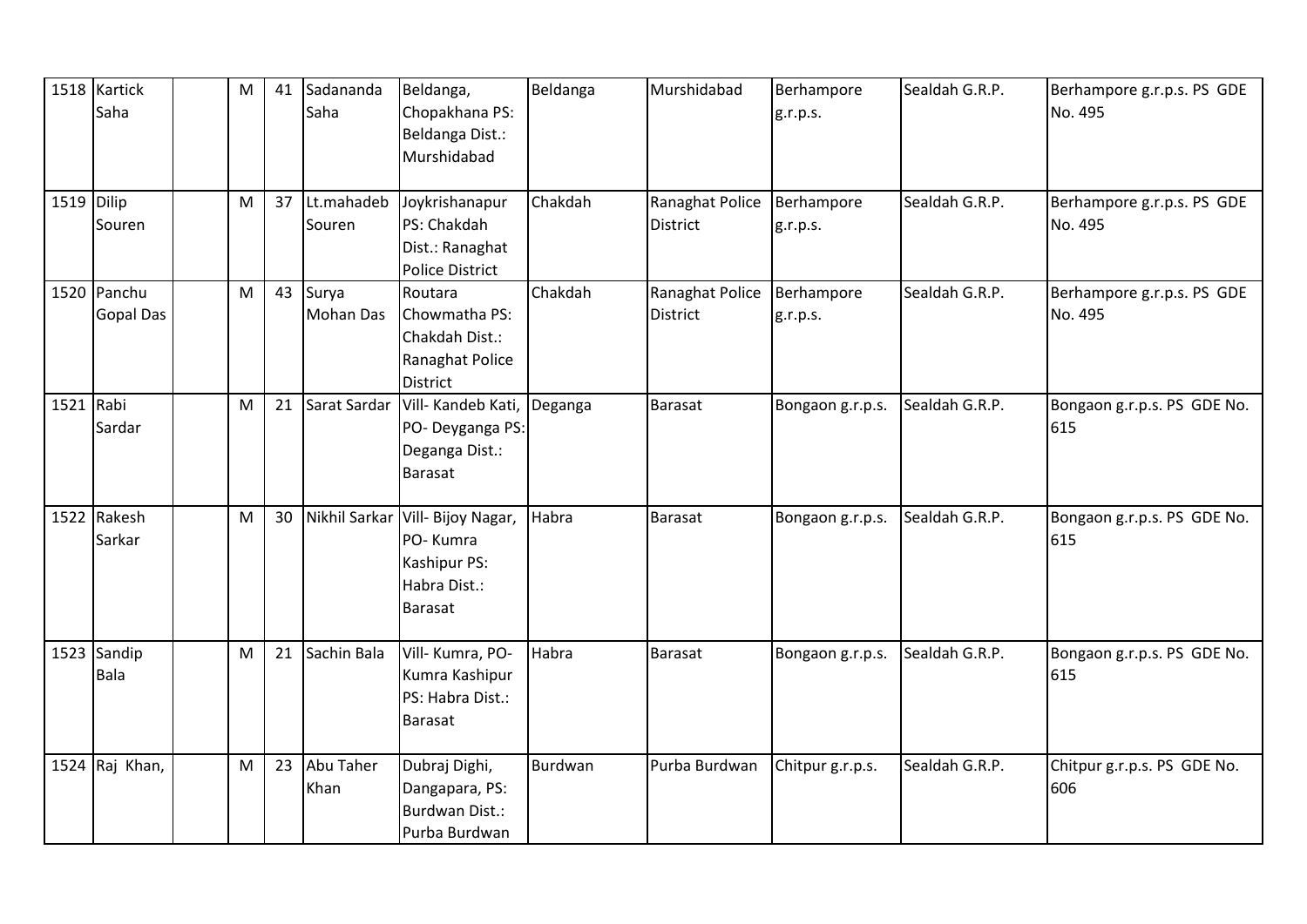|              | 1518 Kartick<br>Saha            | ${\sf M}$ | 41 | Sadananda<br>Saha         | Beldanga,<br>Chopakhana PS:<br>Beldanga Dist.:<br>Murshidabad                           | Beldanga | Murshidabad                               | Berhampore<br>g.r.p.s. | Sealdah G.R.P. | Berhampore g.r.p.s. PS GDE<br>No. 495 |
|--------------|---------------------------------|-----------|----|---------------------------|-----------------------------------------------------------------------------------------|----------|-------------------------------------------|------------------------|----------------|---------------------------------------|
| $1519$ Dilip | Souren                          | M         | 37 | Lt.mahadeb<br>Souren      | Joykrishanapur<br>PS: Chakdah<br>Dist.: Ranaghat<br><b>Police District</b>              | Chakdah  | <b>Ranaghat Police</b><br><b>District</b> | Berhampore<br>g.r.p.s. | Sealdah G.R.P. | Berhampore g.r.p.s. PS GDE<br>No. 495 |
|              | 1520 Panchu<br><b>Gopal Das</b> | M         | 43 | Surya<br><b>Mohan Das</b> | Routara<br>Chowmatha PS:<br>Chakdah Dist.:<br>Ranaghat Police<br><b>District</b>        | Chakdah  | Ranaghat Police<br><b>District</b>        | Berhampore<br>g.r.p.s. | Sealdah G.R.P. | Berhampore g.r.p.s. PS GDE<br>No. 495 |
| 1521 Rabi    | Sardar                          | M         | 21 | Sarat Sardar              | Vill- Kandeb Kati,<br>PO- Deyganga PS:<br>Deganga Dist.:<br><b>Barasat</b>              | Deganga  | <b>Barasat</b>                            | Bongaon g.r.p.s.       | Sealdah G.R.P. | Bongaon g.r.p.s. PS GDE No.<br>615    |
|              | 1522 Rakesh<br>Sarkar           | M         | 30 |                           | Nikhil Sarkar Vill- Bijoy Nagar,<br>PO-Kumra<br>Kashipur PS:<br>Habra Dist.:<br>Barasat | Habra    | <b>Barasat</b>                            | Bongaon g.r.p.s.       | Sealdah G.R.P. | Bongaon g.r.p.s. PS GDE No.<br>615    |
|              | 1523 Sandip<br>Bala             | M         | 21 | Sachin Bala               | Vill- Kumra, PO-<br>Kumra Kashipur<br>PS: Habra Dist.:<br><b>Barasat</b>                | Habra    | <b>Barasat</b>                            | Bongaon g.r.p.s.       | Sealdah G.R.P. | Bongaon g.r.p.s. PS GDE No.<br>615    |
|              | 1524 Raj Khan,                  | M         | 23 | Abu Taher<br>Khan         | Dubraj Dighi,<br>Dangapara, PS:<br><b>Burdwan Dist.:</b><br>Purba Burdwan               | Burdwan  | Purba Burdwan                             | Chitpur g.r.p.s.       | Sealdah G.R.P. | Chitpur g.r.p.s. PS GDE No.<br>606    |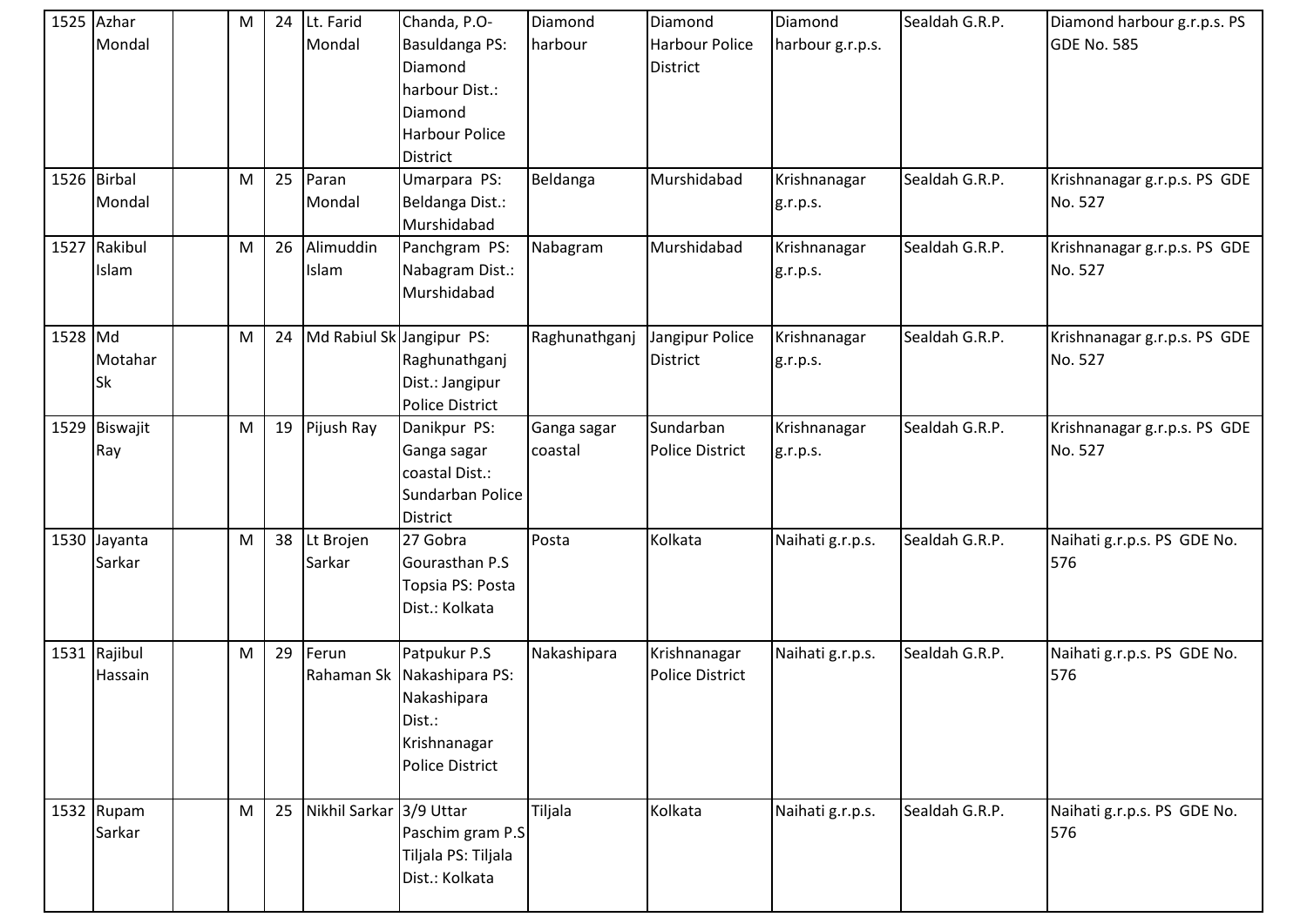|         | 1525 Azhar<br>Mondal    | M | 24 | Lt. Farid<br>Mondal       | Chanda, P.O-<br>Basuldanga PS:<br>Diamond<br>harbour Dist.:<br>Diamond<br><b>Harbour Police</b><br><b>District</b> | Diamond<br>harbour     | Diamond<br><b>Harbour Police</b><br><b>District</b> | Diamond<br>harbour g.r.p.s. | Sealdah G.R.P. | Diamond harbour g.r.p.s. PS<br><b>GDE No. 585</b> |
|---------|-------------------------|---|----|---------------------------|--------------------------------------------------------------------------------------------------------------------|------------------------|-----------------------------------------------------|-----------------------------|----------------|---------------------------------------------------|
|         | 1526 Birbal<br>Mondal   | M | 25 | Paran<br>Mondal           | Umarpara PS:<br>Beldanga Dist.:<br>Murshidabad                                                                     | Beldanga               | Murshidabad                                         | Krishnanagar<br>g.r.p.s.    | Sealdah G.R.P. | Krishnanagar g.r.p.s. PS GDE<br>No. 527           |
|         | 1527 Rakibul<br>Islam   | M | 26 | Alimuddin<br>Islam        | Panchgram PS:<br>Nabagram Dist.:<br>Murshidabad                                                                    | Nabagram               | Murshidabad                                         | Krishnanagar<br>g.r.p.s.    | Sealdah G.R.P. | Krishnanagar g.r.p.s. PS GDE<br>No. 527           |
| 1528 Md | Motahar<br><b>Sk</b>    | M | 24 | Md Rabiul Sk Jangipur PS: | Raghunathganj<br>Dist.: Jangipur<br><b>Police District</b>                                                         | Raghunathganj          | Jangipur Police<br>District                         | Krishnanagar<br>g.r.p.s.    | Sealdah G.R.P. | Krishnanagar g.r.p.s. PS GDE<br>No. 527           |
|         | 1529 Biswajit<br>Ray    | M | 19 | Pijush Ray                | Danikpur PS:<br>Ganga sagar<br>coastal Dist.:<br>Sundarban Police<br><b>District</b>                               | Ganga sagar<br>coastal | Sundarban<br><b>Police District</b>                 | Krishnanagar<br>g.r.p.s.    | Sealdah G.R.P. | Krishnanagar g.r.p.s. PS GDE<br>No. 527           |
|         | 1530 Jayanta<br>Sarkar  | M | 38 | Lt Brojen<br>Sarkar       | 27 Gobra<br>Gourasthan P.S<br>Topsia PS: Posta<br>Dist.: Kolkata                                                   | Posta                  | Kolkata                                             | Naihati g.r.p.s.            | Sealdah G.R.P. | Naihati g.r.p.s. PS GDE No.<br>576                |
|         | 1531 Rajibul<br>Hassain | M | 29 | Ferun<br>Rahaman Sk       | Patpukur P.S<br>Nakashipara PS:<br>Nakashipara<br>Dist.:<br>Krishnanagar<br><b>Police District</b>                 | Nakashipara            | Krishnanagar<br><b>Police District</b>              | Naihati g.r.p.s.            | Sealdah G.R.P. | Naihati g.r.p.s. PS GDE No.<br>576                |
|         | 1532 Rupam<br>Sarkar    | M | 25 | Nikhil Sarkar 3/9 Uttar   | Paschim gram P.S<br>Tiljala PS: Tiljala<br>Dist.: Kolkata                                                          | Tiljala                | Kolkata                                             | Naihati g.r.p.s.            | Sealdah G.R.P. | Naihati g.r.p.s. PS GDE No.<br>576                |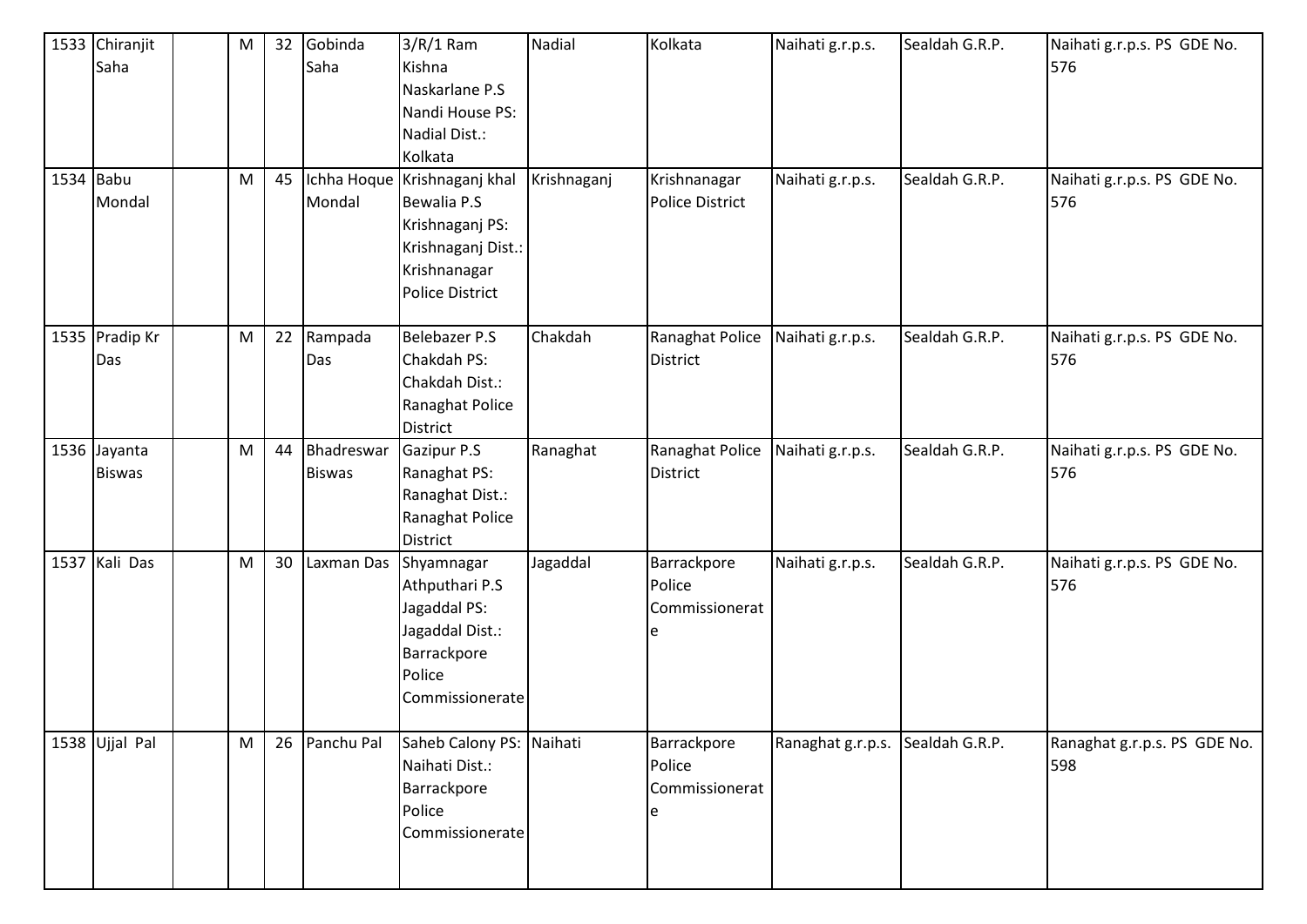|           | 1533 Chiranjit<br>Saha        | M | 32 | Gobinda<br>Saha             | $3/R/1$ Ram<br>Kishna<br>Naskarlane P.S<br>Nandi House PS:<br>Nadial Dist.:<br>Kolkata                                         | Nadial      | Kolkata                                      | Naihati g.r.p.s.                 | Sealdah G.R.P.<br>Sealdah G.R.P. | Naihati g.r.p.s. PS GDE No.<br>576  |
|-----------|-------------------------------|---|----|-----------------------------|--------------------------------------------------------------------------------------------------------------------------------|-------------|----------------------------------------------|----------------------------------|----------------------------------|-------------------------------------|
| 1534 Babu | Mondal                        | M | 45 | Mondal                      | Ichha Hoque Krishnaganj khal<br>Bewalia P.S<br>Krishnaganj PS:<br>Krishnaganj Dist.:<br>Krishnanagar<br><b>Police District</b> | Krishnaganj | Krishnanagar<br>Police District              | Naihati g.r.p.s.                 |                                  | Naihati g.r.p.s. PS GDE No.<br>576  |
|           | 1535 Pradip Kr<br>Das         | M | 22 | Rampada<br>Das              | <b>Belebazer P.S</b><br>Chakdah PS:<br>Chakdah Dist.:<br>Ranaghat Police<br><b>District</b>                                    | Chakdah     | Ranaghat Police<br><b>District</b>           | Naihati g.r.p.s.                 | Sealdah G.R.P.                   | Naihati g.r.p.s. PS GDE No.<br>576  |
|           | 1536 Jayanta<br><b>Biswas</b> | M | 44 | Bhadreswar<br><b>Biswas</b> | Gazipur P.S<br>Ranaghat PS:<br>Ranaghat Dist.:<br>Ranaghat Police<br><b>District</b>                                           | Ranaghat    | Ranaghat Police<br><b>District</b>           | Naihati g.r.p.s.                 | Sealdah G.R.P.                   | Naihati g.r.p.s. PS GDE No.<br>576  |
|           | 1537 Kali Das                 | M | 30 | Laxman Das                  | Shyamnagar<br>Athputhari P.S<br>Jagaddal PS:<br>Jagaddal Dist.:<br>Barrackpore<br>Police<br>Commissionerate                    | Jagaddal    | Barrackpore<br>Police<br>Commissionerat<br>e | Naihati g.r.p.s.                 | Sealdah G.R.P.                   | Naihati g.r.p.s. PS GDE No.<br>576  |
|           | 1538 Ujjal Pal                | M |    | 26 Panchu Pal               | Saheb Calony PS: Naihati<br>Naihati Dist.:<br>Barrackpore<br>Police<br>Commissionerate                                         |             | Barrackpore<br>Police<br>Commissionerat<br>e | Ranaghat g.r.p.s. Sealdah G.R.P. |                                  | Ranaghat g.r.p.s. PS GDE No.<br>598 |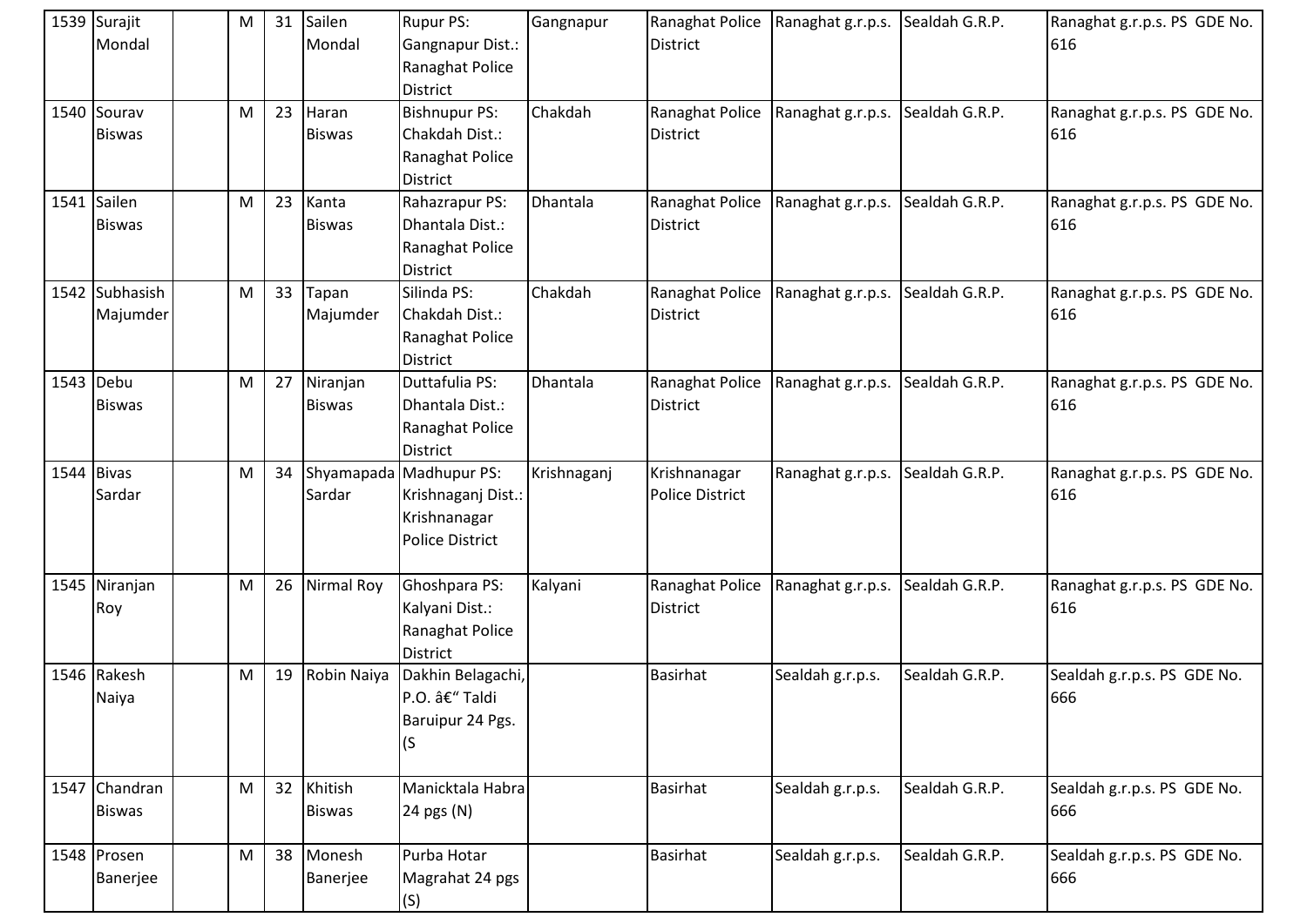|      | 1539 Surajit<br>Mondal         | M         | 31 | Sailen<br>Mondal          | <b>Rupur PS:</b><br>Gangnapur Dist.:<br>Ranaghat Police<br><b>District</b>   | Gangnapur   | Ranaghat Police<br><b>District</b>     | Ranaghat g.r.p.s. | Sealdah G.R.P. | Ranaghat g.r.p.s. PS GDE No.<br>616 |
|------|--------------------------------|-----------|----|---------------------------|------------------------------------------------------------------------------|-------------|----------------------------------------|-------------------|----------------|-------------------------------------|
|      | 1540 Sourav<br><b>Biswas</b>   | M         | 23 | Haran<br><b>Biswas</b>    | <b>Bishnupur PS:</b><br>Chakdah Dist.:<br>Ranaghat Police<br><b>District</b> | Chakdah     | Ranaghat Police<br><b>District</b>     | Ranaghat g.r.p.s. | Sealdah G.R.P. | Ranaghat g.r.p.s. PS GDE No.<br>616 |
| 1541 | Sailen<br><b>Biswas</b>        | M         | 23 | Kanta<br><b>Biswas</b>    | Rahazrapur PS:<br>Dhantala Dist.:<br>Ranaghat Police<br><b>District</b>      | Dhantala    | Ranaghat Police<br><b>District</b>     | Ranaghat g.r.p.s. | Sealdah G.R.P. | Ranaghat g.r.p.s. PS GDE No.<br>616 |
|      | 1542 Subhasish<br>Majumder     | M         | 33 | Tapan<br>Majumder         | Silinda PS:<br>Chakdah Dist.:<br>Ranaghat Police<br><b>District</b>          | Chakdah     | Ranaghat Police<br><b>District</b>     | Ranaghat g.r.p.s. | Sealdah G.R.P. | Ranaghat g.r.p.s. PS GDE No.<br>616 |
|      | 1543 Debu<br><b>Biswas</b>     | M         | 27 | Niranjan<br><b>Biswas</b> | Duttafulia PS:<br>Dhantala Dist.:<br>Ranaghat Police<br><b>District</b>      | Dhantala    | Ranaghat Police<br><b>District</b>     | Ranaghat g.r.p.s. | Sealdah G.R.P. | Ranaghat g.r.p.s. PS GDE No.<br>616 |
|      | $1544$ Bivas<br>Sardar         | ${\sf M}$ | 34 | Shyamapada<br>Sardar      | Madhupur PS:<br>Krishnaganj Dist.:<br>Krishnanagar<br><b>Police District</b> | Krishnaganj | Krishnanagar<br><b>Police District</b> | Ranaghat g.r.p.s. | Sealdah G.R.P. | Ranaghat g.r.p.s. PS GDE No.<br>616 |
|      | 1545 Niranjan<br>Roy           | M         | 26 | Nirmal Roy                | Ghoshpara PS:<br>Kalyani Dist.:<br>Ranaghat Police<br><b>District</b>        | Kalyani     | Ranaghat Police<br><b>District</b>     | Ranaghat g.r.p.s. | Sealdah G.R.P. | Ranaghat g.r.p.s. PS GDE No.<br>616 |
|      | 1546 Rakesh<br>Naiya           | ${\sf M}$ | 19 | Robin Naiya               | Dakhin Belagachi,<br>P.O. – Taldi<br>Baruipur 24 Pgs.<br>(S)                 |             | <b>Basirhat</b>                        | Sealdah g.r.p.s.  | Sealdah G.R.P. | Sealdah g.r.p.s. PS GDE No.<br>666  |
|      | 1547 Chandran<br><b>Biswas</b> | M         | 32 | Khitish<br><b>Biswas</b>  | Manicktala Habra<br>24 pgs (N)                                               |             | <b>Basirhat</b>                        | Sealdah g.r.p.s.  | Sealdah G.R.P. | Sealdah g.r.p.s. PS GDE No.<br>666  |
|      | 1548 Prosen<br>Banerjee        | M         | 38 | Monesh<br>Banerjee        | Purba Hotar<br>Magrahat 24 pgs<br>(S)                                        |             | Basirhat                               | Sealdah g.r.p.s.  | Sealdah G.R.P. | Sealdah g.r.p.s. PS GDE No.<br>666  |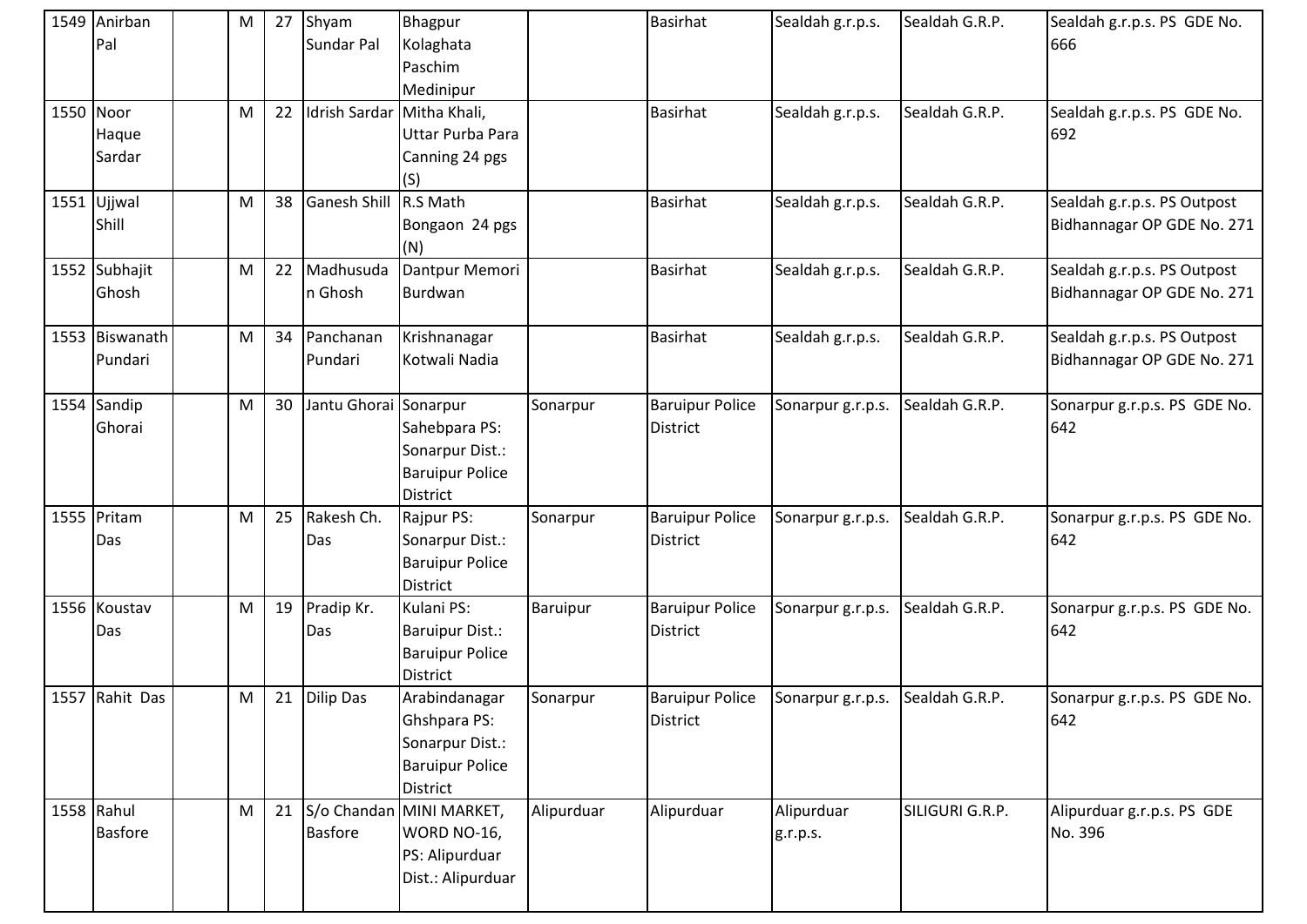| 1549 Anirban<br>Pal          | M         | 27 | Shyam<br>Sundar Pal        | Bhagpur<br>Kolaghata<br>Paschim<br>Medinipur                                           |                 | <b>Basirhat</b>                           | Sealdah g.r.p.s.       | Sealdah G.R.P.  | Sealdah g.r.p.s. PS GDE No.<br>666                        |
|------------------------------|-----------|----|----------------------------|----------------------------------------------------------------------------------------|-----------------|-------------------------------------------|------------------------|-----------------|-----------------------------------------------------------|
| 1550 Noor<br>Haque<br>Sardar | M         | 22 | Idrish Sardar Mitha Khali, | Uttar Purba Para<br>Canning 24 pgs<br>(S)                                              |                 | <b>Basirhat</b>                           | Sealdah g.r.p.s.       | Sealdah G.R.P.  | Sealdah g.r.p.s. PS GDE No.<br>692                        |
| 1551 Ujjwal<br>Shill         | ${\sf M}$ | 38 | <b>Ganesh Shill</b>        | R.S Math<br>Bongaon 24 pgs<br>(N)                                                      |                 | <b>Basirhat</b>                           | Sealdah g.r.p.s.       | Sealdah G.R.P.  | Sealdah g.r.p.s. PS Outpost<br>Bidhannagar OP GDE No. 271 |
| 1552 Subhajit<br>Ghosh       | M         | 22 | Madhusuda<br>n Ghosh       | Dantpur Memori<br>Burdwan                                                              |                 | <b>Basirhat</b>                           | Sealdah g.r.p.s.       | Sealdah G.R.P.  | Sealdah g.r.p.s. PS Outpost<br>Bidhannagar OP GDE No. 271 |
| 1553 Biswanath<br>Pundari    | M         | 34 | Panchanan<br>Pundari       | Krishnanagar<br>Kotwali Nadia                                                          |                 | <b>Basirhat</b>                           | Sealdah g.r.p.s.       | Sealdah G.R.P.  | Sealdah g.r.p.s. PS Outpost<br>Bidhannagar OP GDE No. 271 |
| 1554 Sandip<br>Ghorai        | M         | 30 | Jantu Ghorai Sonarpur      | Sahebpara PS:<br>Sonarpur Dist.:<br><b>Baruipur Police</b><br><b>District</b>          | Sonarpur        | <b>Baruipur Police</b><br><b>District</b> | Sonarpur g.r.p.s.      | Sealdah G.R.P.  | Sonarpur g.r.p.s. PS GDE No.<br>642                       |
| 1555 Pritam<br>Das           | M         | 25 | Rakesh Ch.<br>Das          | Rajpur PS:<br>Sonarpur Dist.:<br><b>Baruipur Police</b><br><b>District</b>             | Sonarpur        | <b>Baruipur Police</b><br><b>District</b> | Sonarpur g.r.p.s.      | Sealdah G.R.P.  | Sonarpur g.r.p.s. PS GDE No.<br>642                       |
| 1556 Koustav<br>Das          | M         | 19 | Pradip Kr.<br>Das          | Kulani PS:<br><b>Baruipur Dist.:</b><br><b>Baruipur Police</b><br><b>District</b>      | <b>Baruipur</b> | <b>Baruipur Police</b><br><b>District</b> | Sonarpur g.r.p.s.      | Sealdah G.R.P.  | Sonarpur g.r.p.s. PS GDE No.<br>642                       |
| 1557 Rahit Das               | ${\sf M}$ | 21 | <b>Dilip Das</b>           | Arabindanagar<br>Ghshpara PS:<br>Sonarpur Dist.:<br><b>Baruipur Police</b><br>District | Sonarpur        | <b>Baruipur Police</b><br><b>District</b> | Sonarpur g.r.p.s.      | Sealdah G.R.P.  | Sonarpur g.r.p.s. PS GDE No.<br>642                       |
| 1558 Rahul<br><b>Basfore</b> | M         | 21 | <b>Basfore</b>             | S/o Chandan MINI MARKET,<br>WORD NO-16,<br>PS: Alipurduar<br>Dist.: Alipurduar         | Alipurduar      | Alipurduar                                | Alipurduar<br>g.r.p.s. | SILIGURI G.R.P. | Alipurduar g.r.p.s. PS GDE<br>No. 396                     |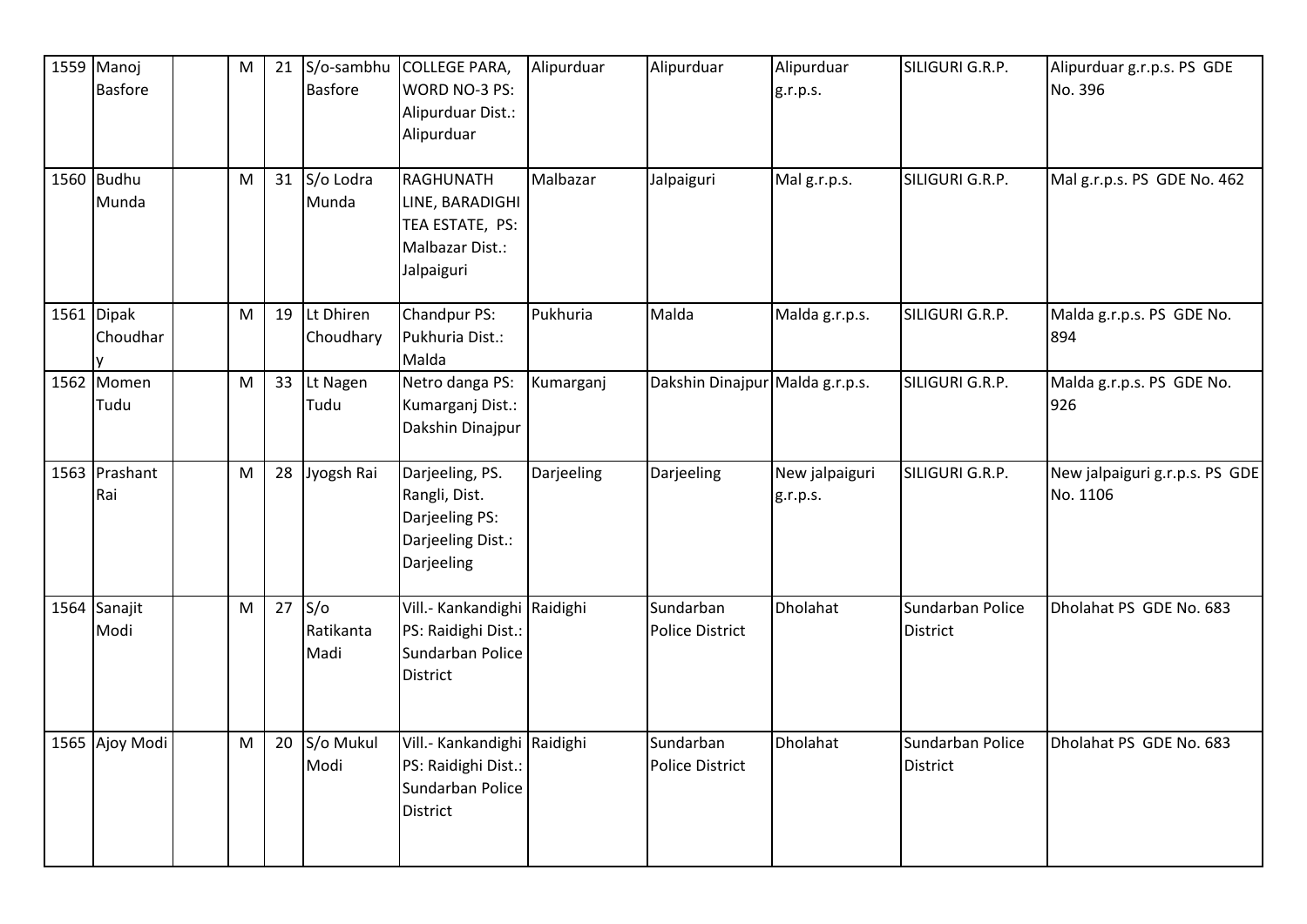| 1559 Manoj<br><b>Basfore</b>        | M |    | 21 $S/O$ -sambhu<br><b>Basfore</b> | <b>COLLEGE PARA,</b><br>WORD NO-3 PS:<br>Alipurduar Dist.:<br>Alipurduar                   | Alipurduar | Alipurduar                          | Alipurduar<br>g.r.p.s.     | SILIGURI G.R.P.                     | Alipurduar g.r.p.s. PS GDE<br>No. 396      |
|-------------------------------------|---|----|------------------------------------|--------------------------------------------------------------------------------------------|------------|-------------------------------------|----------------------------|-------------------------------------|--------------------------------------------|
| 1560 Budhu<br>Munda                 | M |    | 31 S/o Lodra<br>Munda              | RAGHUNATH<br>LINE, BARADIGHI<br>TEA ESTATE, PS:<br>Malbazar Dist.:<br>Jalpaiguri           | Malbazar   | Jalpaiguri                          | Malg.r.p.s.                | SILIGURI G.R.P.                     | Mal g.r.p.s. PS GDE No. 462                |
| 1561 $\vert$ Dipak<br>Choudhar<br>v | M | 19 | Lt Dhiren<br>Choudhary             | Chandpur PS:<br>Pukhuria Dist.:<br>Malda                                                   | Pukhuria   | Malda                               | Malda g.r.p.s.             | SILIGURI G.R.P.                     | Malda g.r.p.s. PS GDE No.<br>894           |
| 1562 Momen<br>Tudu                  | M | 33 | Lt Nagen<br>Tudu                   | Netro danga PS:<br>Kumarganj Dist.:<br>Dakshin Dinajpur                                    | Kumarganj  | Dakshin Dinajpur Malda g.r.p.s.     |                            | SILIGURI G.R.P.                     | Malda g.r.p.s. PS GDE No.<br>926           |
| 1563 Prashant<br>Rai                | M |    | 28 Jyogsh Rai                      | Darjeeling, PS.<br>Rangli, Dist.<br>Darjeeling PS:<br>Darjeeling Dist.:<br>Darjeeling      | Darjeeling | Darjeeling                          | New jalpaiguri<br>g.r.p.s. | SILIGURI G.R.P.                     | New jalpaiguri g.r.p.s. PS GDE<br>No. 1106 |
| 1564 Sanajit<br>Modi                | M | 27 | S/O<br>Ratikanta<br>Madi           | Vill .- Kankandighi Raidighi<br>PS: Raidighi Dist.:<br>Sundarban Police<br><b>District</b> |            | Sundarban<br><b>Police District</b> | Dholahat                   | Sundarban Police<br><b>District</b> | Dholahat PS GDE No. 683                    |
| 1565 Ajoy Modi                      | M | 20 | S/o Mukul<br>Modi                  | Vill .- Kankandighi Raidighi<br>PS: Raidighi Dist.:<br>Sundarban Police<br>District        |            | Sundarban<br><b>Police District</b> | Dholahat                   | Sundarban Police<br><b>District</b> | Dholahat PS GDE No. 683                    |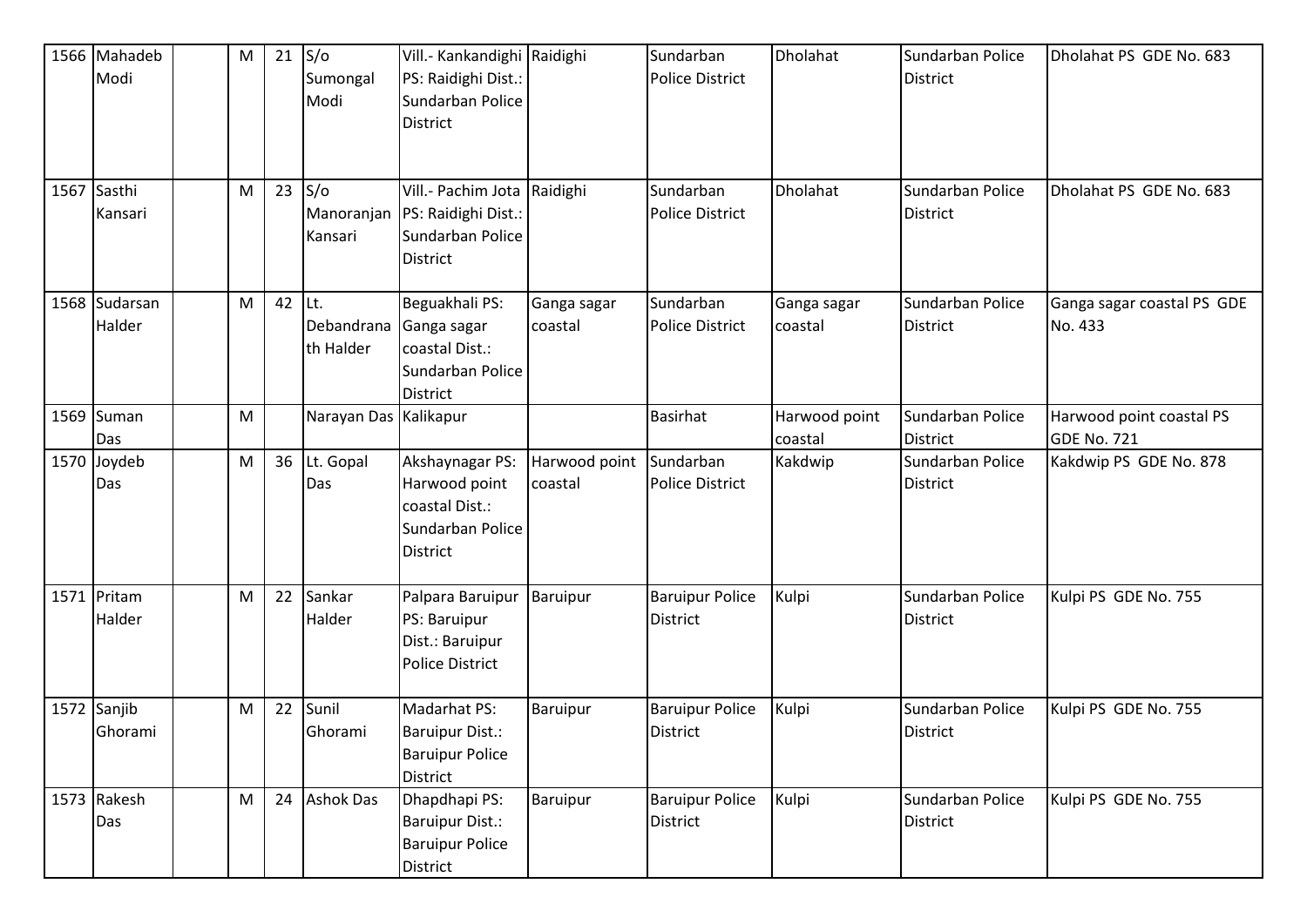| 1566 Mahadeb<br>Modi    | M |    | $21$ S/o<br>Sumongal<br>Modi   | Vill .- Kankandighi Raidighi<br>PS: Raidighi Dist.:<br>Sundarban Police<br><b>District</b> |                          | Sundarban<br><b>Police District</b>       | Dholahat                 | Sundarban Police<br>District        | Dholahat PS GDE No. 683                 |
|-------------------------|---|----|--------------------------------|--------------------------------------------------------------------------------------------|--------------------------|-------------------------------------------|--------------------------|-------------------------------------|-----------------------------------------|
| 1567 Sasthi<br>Kansari  | M | 23 | S/O<br>Manoranjan<br>Kansari   | Vill .- Pachim Jota Raidighi<br>PS: Raidighi Dist.:<br>Sundarban Police<br><b>District</b> |                          | Sundarban<br><b>Police District</b>       | Dholahat                 | Sundarban Police<br>District        | Dholahat PS GDE No. 683                 |
| 1568 Sudarsan<br>Halder | M | 42 | Lt.<br>Debandrana<br>th Halder | Beguakhali PS:<br>Ganga sagar<br>coastal Dist.:<br>Sundarban Police<br><b>District</b>     | Ganga sagar<br>coastal   | Sundarban<br><b>Police District</b>       | Ganga sagar<br>coastal   | Sundarban Police<br>District        | Ganga sagar coastal PS GDE<br>No. 433   |
| 1569 Suman<br>Das       | M |    | Narayan Das Kalikapur          |                                                                                            |                          | <b>Basirhat</b>                           | Harwood point<br>coastal | Sundarban Police<br><b>District</b> | Harwood point coastal PS<br>GDE No. 721 |
| 1570 Joydeb<br>Das      | M |    | 36 Lt. Gopal<br>Das            | Akshaynagar PS:<br>Harwood point<br>coastal Dist.:<br>Sundarban Police<br><b>District</b>  | Harwood point<br>coastal | Sundarban<br><b>Police District</b>       | Kakdwip                  | Sundarban Police<br>District        | Kakdwip PS GDE No. 878                  |
| 1571 Pritam<br>Halder   | M | 22 | Sankar<br>Halder               | Palpara Baruipur<br>PS: Baruipur<br>Dist.: Baruipur<br><b>Police District</b>              | Baruipur                 | <b>Baruipur Police</b><br>District        | Kulpi                    | Sundarban Police<br>District        | Kulpi PS GDE No. 755                    |
| 1572 Sanjib<br>Ghorami  | M | 22 | Sunil<br>Ghorami               | Madarhat PS:<br><b>Baruipur Dist.:</b><br><b>Baruipur Police</b><br>District               | Baruipur                 | <b>Baruipur Police</b><br><b>District</b> | Kulpi                    | Sundarban Police<br><b>District</b> | Kulpi PS GDE No. 755                    |
| 1573 Rakesh<br>Das      | M | 24 | <b>Ashok Das</b>               | Dhapdhapi PS:<br><b>Baruipur Dist.:</b><br><b>Baruipur Police</b><br>District              | Baruipur                 | <b>Baruipur Police</b><br>District        | Kulpi                    | Sundarban Police<br>District        | Kulpi PS GDE No. 755                    |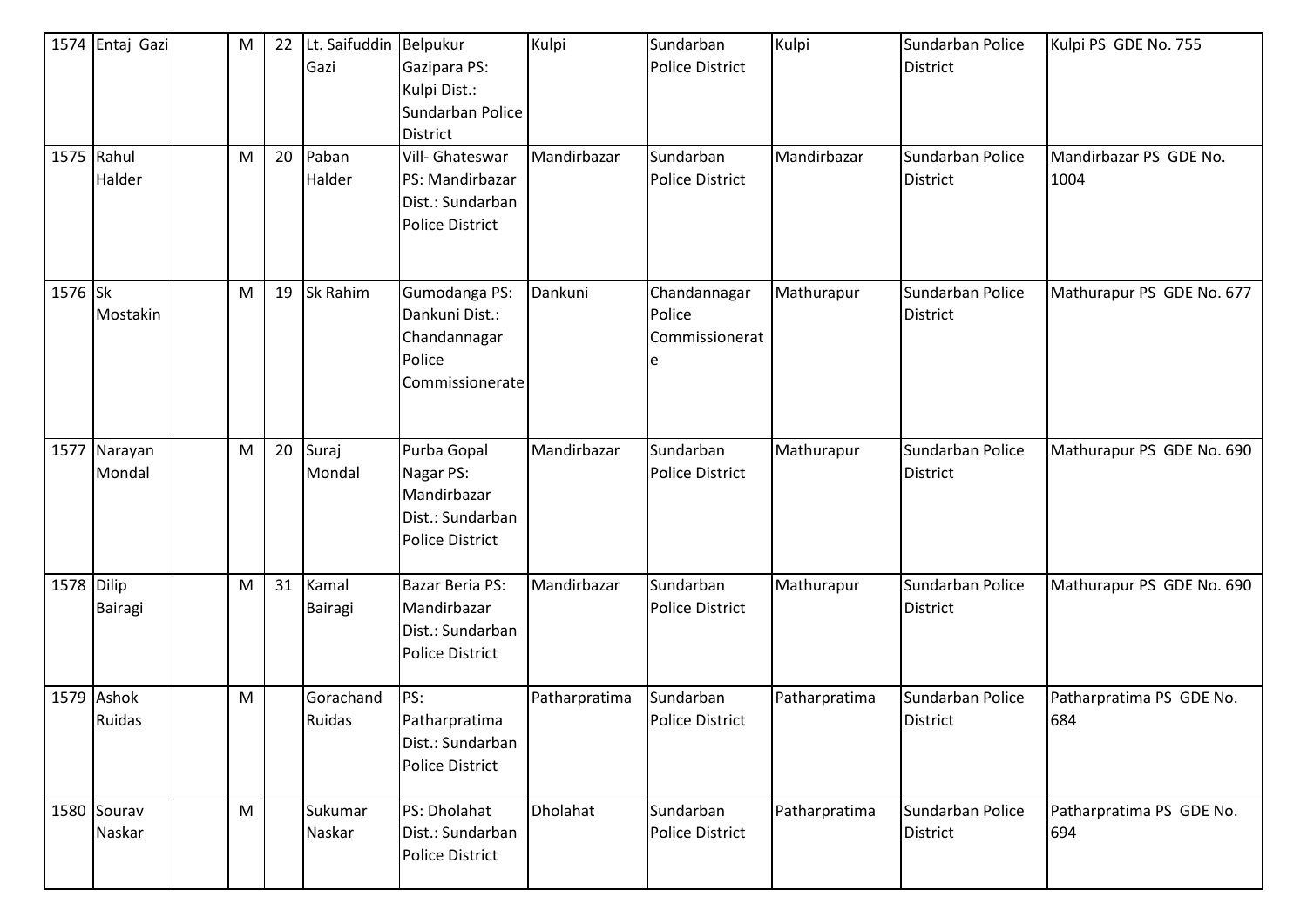|            | 1574 Entaj Gazi<br>1575 Rahul<br>Halder | M<br>${\sf M}$ | 22<br>20 | Lt. Saifuddin Belpukur<br>Gazi<br>Paban<br>Halder | Gazipara PS:<br>Kulpi Dist.:<br>Sundarban Police<br><b>District</b><br>Vill- Ghateswar<br>PS: Mandirbazar<br>Dist.: Sundarban<br><b>Police District</b> | Kulpi<br>Mandirbazar | Sundarban<br><b>Police District</b><br>Sundarban<br><b>Police District</b> | Kulpi<br>Mandirbazar | Sundarban Police<br><b>District</b><br>Sundarban Police<br><b>District</b> | Kulpi PS GDE No. 755<br>Mandirbazar PS GDE No.<br>1004 |
|------------|-----------------------------------------|----------------|----------|---------------------------------------------------|---------------------------------------------------------------------------------------------------------------------------------------------------------|----------------------|----------------------------------------------------------------------------|----------------------|----------------------------------------------------------------------------|--------------------------------------------------------|
| 1576 Sk    | Mostakin                                | M              | 19       | Sk Rahim                                          | Gumodanga PS:<br>Dankuni Dist.:<br>Chandannagar<br>Police<br>Commissionerate                                                                            | Dankuni              | Chandannagar<br>Police<br>Commissionerat                                   | Mathurapur           | Sundarban Police<br><b>District</b>                                        | Mathurapur PS GDE No. 677                              |
|            | 1577 Narayan<br>Mondal                  | M              | 20       | Suraj<br>Mondal                                   | Purba Gopal<br>Nagar PS:<br>Mandirbazar<br>Dist.: Sundarban<br><b>Police District</b>                                                                   | Mandirbazar          | Sundarban<br><b>Police District</b>                                        | Mathurapur           | Sundarban Police<br><b>District</b>                                        | Mathurapur PS GDE No. 690                              |
| 1578 Dilip | Bairagi                                 | M              | 31       | Kamal<br>Bairagi                                  | <b>Bazar Beria PS:</b><br>Mandirbazar<br>Dist.: Sundarban<br><b>Police District</b>                                                                     | Mandirbazar          | Sundarban<br><b>Police District</b>                                        | Mathurapur           | Sundarban Police<br><b>District</b>                                        | Mathurapur PS GDE No. 690                              |
|            | 1579 Ashok<br>Ruidas                    | M              |          | Gorachand<br>Ruidas                               | PS:<br>Patharpratima<br>Dist.: Sundarban<br><b>Police District</b>                                                                                      | Patharpratima        | Sundarban<br><b>Police District</b>                                        | Patharpratima        | Sundarban Police<br>District                                               | Patharpratima PS GDE No.<br>684                        |
|            | 1580 Sourav<br>Naskar                   | M              |          | Sukumar<br>Naskar                                 | PS: Dholahat<br>Dist.: Sundarban<br><b>Police District</b>                                                                                              | Dholahat             | Sundarban<br>Police District                                               | Patharpratima        | Sundarban Police<br>District                                               | Patharpratima PS GDE No.<br>694                        |